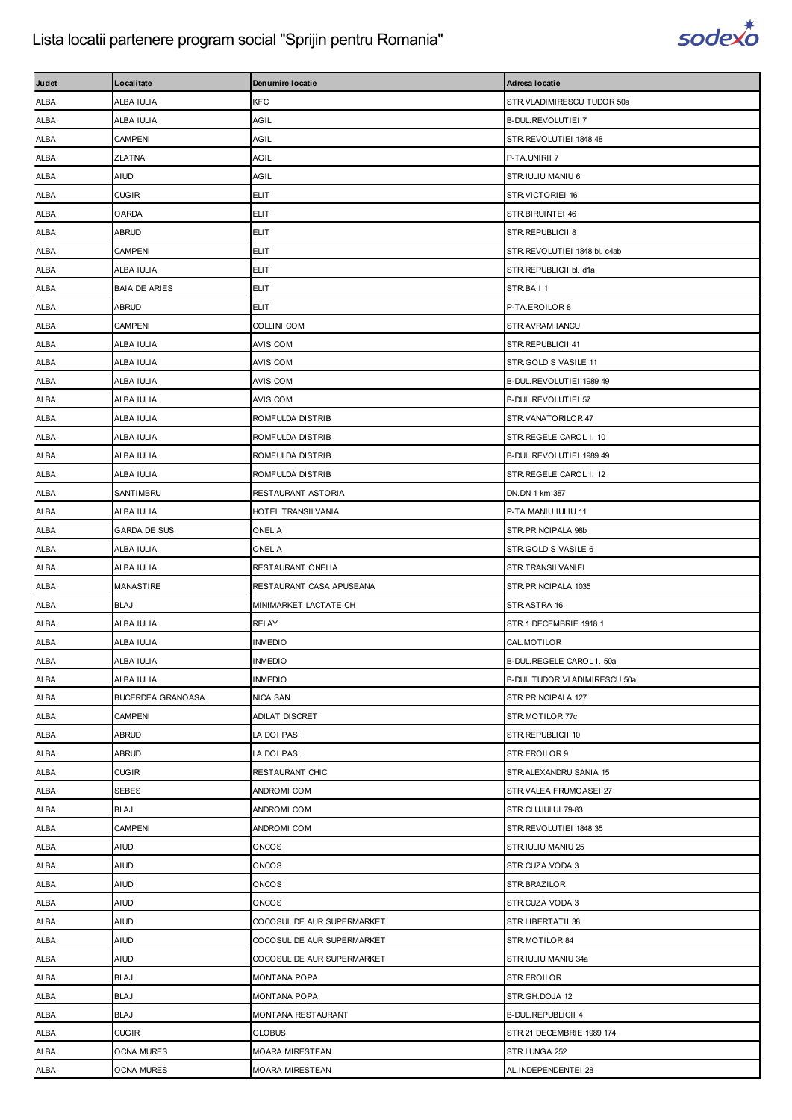

| Judet       | Localitate           | Denumire locatie           | Adresa locatie               |
|-------------|----------------------|----------------------------|------------------------------|
| <b>ALBA</b> | ALBA IULIA           | <b>KFC</b>                 | STR.VLADIMIRESCU TUDOR 50a   |
| ALBA        | ALBA IULIA           | AGIL                       | B-DUL.REVOLUTIEI 7           |
| ALBA        | CAMPENI              | AGIL                       | STR.REVOLUTIEI 1848 48       |
| <b>ALBA</b> | <b>ZLATNA</b>        | AGIL                       | P-TA.UNIRII 7                |
| <b>ALBA</b> | AIUD                 | AGIL                       | STR.IULIU MANIU 6            |
| ALBA        | <b>CUGIR</b>         | <b>ELIT</b>                | STR.VICTORIEI 16             |
| ALBA        | <b>OARDA</b>         | <b>ELIT</b>                | STR.BIRUINTEI 46             |
| ALBA        | <b>ABRUD</b>         | <b>ELIT</b>                | STR.REPUBLICII 8             |
| <b>ALBA</b> | <b>CAMPENI</b>       | <b>ELIT</b>                | STR.REVOLUTIEI 1848 bl. c4ab |
| <b>ALBA</b> | ALBA IULIA           | <b>ELIT</b>                | STR.REPUBLICII bl. d1a       |
| ALBA        | <b>BAIA DE ARIES</b> | <b>ELIT</b>                | STR.BAII 1                   |
| ALBA        | ABRUD                | ELIT                       | P-TA.EROILOR 8               |
| ALBA        | <b>CAMPENI</b>       | <b>COLLINI COM</b>         | STR.AVRAM IANCU              |
| ALBA        | ALBA IULIA           | <b>AVIS COM</b>            | STR.REPUBLICII 41            |
| <b>ALBA</b> | ALBA IULIA           | AVIS COM                   | STR.GOLDIS VASILE 11         |
| <b>ALBA</b> | ALBA IULIA           | <b>AVIS COM</b>            | B-DUL.REVOLUTIEI 1989 49     |
| ALBA        | ALBA IULIA           | AVIS COM                   | B-DUL.REVOLUTIEI 57          |
| <b>ALBA</b> | ALBA IULIA           | ROMFULDA DISTRIB           | STR.VANATORILOR 47           |
| ALBA        | ALBA IULIA           | ROMFULDA DISTRIB           | STR.REGELE CAROL I. 10       |
| ALBA        | ALBA IULIA           | ROMFULDA DISTRIB           | B-DUL.REVOLUTIEI 1989 49     |
| <b>ALBA</b> | ALBA IULIA           | ROMFULDA DISTRIB           | STR.REGELE CAROL I. 12       |
| <b>ALBA</b> | SANTIMBRU            | RESTAURANT ASTORIA         | DN.DN 1 km 387               |
| ALBA        | ALBA IULIA           | HOTEL TRANSILVANIA         | P-TA.MANIU IULIU 11          |
| ALBA        | <b>GARDA DE SUS</b>  | ONELIA                     | STR. PRINCIPALA 98b          |
| <b>ALBA</b> | ALBA IULIA           | ONELIA                     | STR.GOLDIS VASILE 6          |
| ALBA        | ALBA IULIA           | RESTAURANT ONELIA          | STR.TRANSILVANIEI            |
| <b>ALBA</b> | <b>MANASTIRE</b>     | RESTAURANT CASA APUSEANA   | STR. PRINCIPALA 1035         |
| <b>ALBA</b> | <b>BLAJ</b>          | MINIMARKET LACTATE CH      | STR.ASTRA 16                 |
| ALBA        | ALBA IULIA           | <b>RELAY</b>               | STR.1 DECEMBRIE 1918 1       |
| ALBA        | ALBA IULIA           | <b>INMEDIO</b>             | CAL.MOTILOR                  |
| <b>ALBA</b> | ALBA IULIA           | <b>INMEDIO</b>             | B-DUL.REGELE CAROL I. 50a    |
| ALBA        | ALBA IULIA           | <b>INMEDIO</b>             | B-DUL.TUDOR VLADIMIRESCU 50a |
| ALBA        | BUCERDEA GRANOASA    | NICA SAN                   | STR.PRINCIPALA 127           |
| <b>ALBA</b> | <b>CAMPENI</b>       | ADILAT DISCRET             | STR.MOTILOR 77c              |
| ALBA        | <b>ABRUD</b>         | LA DOI PASI                | STR.REPUBLICII 10            |
| ALBA        | <b>ABRUD</b>         | LA DOI PASI                | STR.EROILOR 9                |
| <b>ALBA</b> | <b>CUGIR</b>         | RESTAURANT CHIC            | STR.ALEXANDRU SANIA 15       |
| ALBA        | <b>SEBES</b>         | ANDROMI COM                | STR.VALEA FRUMOASEI 27       |
| ALBA        | <b>BLAJ</b>          | ANDROMI COM                | STR.CLUJULUI 79-83           |
| <b>ALBA</b> | <b>CAMPENI</b>       | ANDROMI COM                | STR.REVOLUTIEI 1848 35       |
| ALBA        | <b>AIUD</b>          | <b>ONCOS</b>               | STR.IULIU MANIU 25           |
| ALBA        | AIUD                 | <b>ONCOS</b>               | STR.CUZA VODA 3              |
| <b>ALBA</b> | AIUD                 | <b>ONCOS</b>               | STR.BRAZILOR                 |
| ALBA        | AIUD                 | <b>ONCOS</b>               | STR.CUZA VODA 3              |
| ALBA        | AIUD                 | COCOSUL DE AUR SUPERMARKET | STR.LIBERTATII 38            |
| <b>ALBA</b> | AIUD                 | COCOSUL DE AUR SUPERMARKET | STR.MOTILOR 84               |
| ALBA        | <b>AIUD</b>          | COCOSUL DE AUR SUPERMARKET | STR.IULIU MANIU 34a          |
| ALBA        | <b>BLAJ</b>          | MONTANA POPA               | STR.EROILOR                  |
| ALBA        | <b>BLAJ</b>          | MONTANA POPA               | STR.GH.DOJA 12               |
| ALBA        | <b>BLAJ</b>          | MONTANA RESTAURANT         | <b>B-DUL.REPUBLICII 4</b>    |
| ALBA        | <b>CUGIR</b>         | <b>GLOBUS</b>              | STR.21 DECEMBRIE 1989 174    |
| ALBA        | <b>OCNA MURES</b>    | MOARA MIRESTEAN            | STR.LUNGA 252                |
| ALBA        | <b>OCNA MURES</b>    | MOARA MIRESTEAN            | AL.INDEPENDENTEI 28          |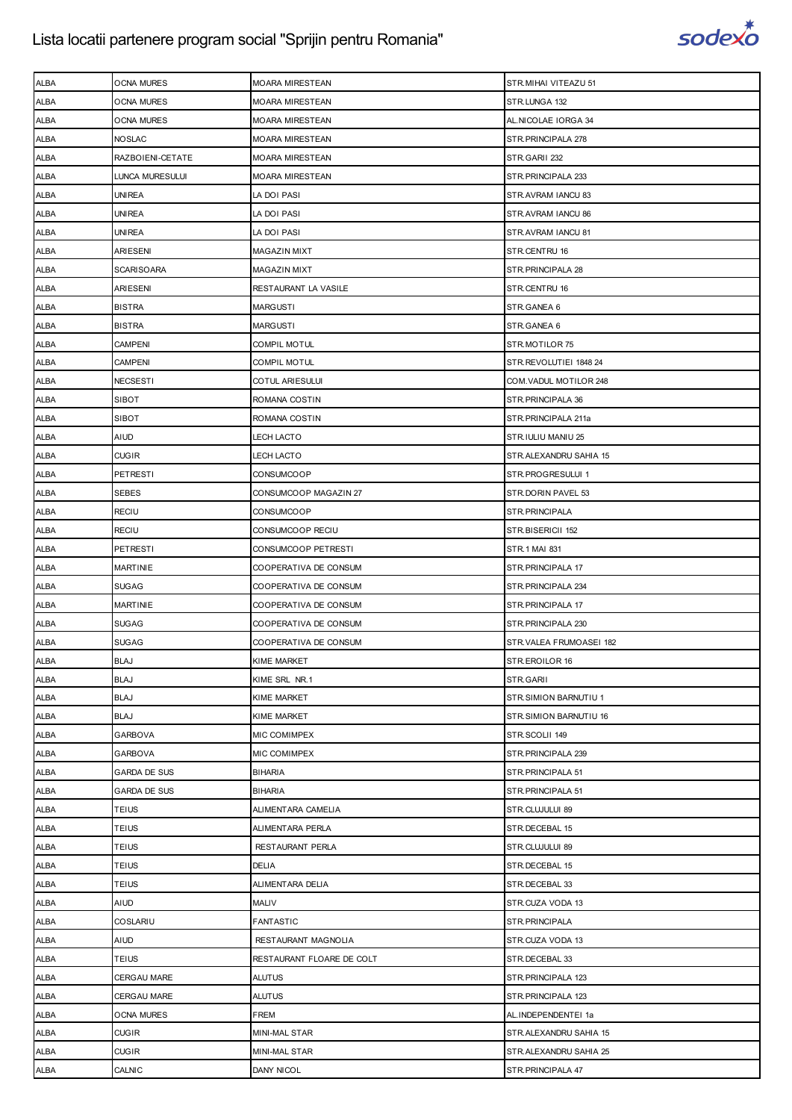

| <b>ALBA</b> | <b>OCNA MURES</b>   | <b>MOARA MIRESTEAN</b>    | STR.MIHAI VITEAZU 51    |
|-------------|---------------------|---------------------------|-------------------------|
| ALBA        | <b>OCNA MURES</b>   | <b>MOARA MIRESTEAN</b>    | STR.LUNGA 132           |
| ALBA        | <b>OCNA MURES</b>   | <b>MOARA MIRESTEAN</b>    | AL.NICOLAE IORGA 34     |
| ALBA        | <b>NOSLAC</b>       | <b>MOARA MIRESTEAN</b>    | STR.PRINCIPALA 278      |
| ALBA        | RAZBOIENI-CETATE    | <b>MOARA MIRESTEAN</b>    | STR.GARII 232           |
| ALBA        | LUNCA MURESULUI     | <b>MOARA MIRESTEAN</b>    | STR. PRINCIPALA 233     |
| ALBA        | <b>UNIREA</b>       | LA DOI PASI               | STR.AVRAM IANCU 83      |
| ALBA        | <b>UNIREA</b>       | LA DOI PASI               | STR.AVRAM IANCU 86      |
| ALBA        | <b>UNIREA</b>       | LA DOI PASI               | STR.AVRAM IANCU 81      |
| <b>ALBA</b> | ARIESENI            | <b>MAGAZIN MIXT</b>       | STR.CENTRU 16           |
| ALBA        | <b>SCARISOARA</b>   | <b>MAGAZIN MIXT</b>       | STR. PRINCIPALA 28      |
| ALBA        | <b>ARIESENI</b>     | RESTAURANT LA VASILE      | STR.CENTRU 16           |
| <b>ALBA</b> | <b>BISTRA</b>       | <b>MARGUSTI</b>           | STR.GANEA 6             |
| ALBA        | <b>BISTRA</b>       | <b>MARGUSTI</b>           | STR.GANEA 6             |
| ALBA        | <b>CAMPENI</b>      | <b>COMPIL MOTUL</b>       | STR.MOTILOR 75          |
| <b>ALBA</b> | <b>CAMPENI</b>      | COMPIL MOTUL              | STR.REVOLUTIEI 1848 24  |
| ALBA        | <b>NECSESTI</b>     | <b>COTUL ARIESULUI</b>    | COM. VADUL MOTILOR 248  |
| ALBA        | SIBOT               | ROMANA COSTIN             | STR. PRINCIPALA 36      |
| <b>ALBA</b> | <b>SIBOT</b>        | ROMANA COSTIN             | STR.PRINCIPALA 211a     |
| ALBA        | <b>AIUD</b>         | LECH LACTO                | STR.IULIU MANIU 25      |
| ALBA        | <b>CUGIR</b>        | <b>LECH LACTO</b>         | STR.ALEXANDRU SAHIA 15  |
| <b>ALBA</b> | PETRESTI            | CONSUMCOOP                | STR.PROGRESULUI 1       |
| ALBA        | <b>SEBES</b>        | CONSUMCOOP MAGAZIN 27     | STR.DORIN PAVEL 53      |
| ALBA        | <b>RECIU</b>        | CONSUMCOOP                | STR.PRINCIPALA          |
| <b>ALBA</b> | <b>RECIU</b>        | CONSUMCOOP RECIU          | STR.BISERICII 152       |
| ALBA        | PETRESTI            | CONSUMCOOP PETRESTI       | STR.1 MAI 831           |
| ALBA        | <b>MARTINIE</b>     | COOPERATIVA DE CONSUM     | STR. PRINCIPALA 17      |
| <b>ALBA</b> | <b>SUGAG</b>        | COOPERATIVA DE CONSUM     | STR. PRINCIPALA 234     |
| ALBA        | <b>MARTINIE</b>     | COOPERATIVA DE CONSUM     | STR. PRINCIPALA 17      |
| ALBA        | <b>SUGAG</b>        | COOPERATIVA DE CONSUM     | STR.PRINCIPALA 230      |
| <b>ALBA</b> | <b>SUGAG</b>        | COOPERATIVA DE CONSUM     | STR.VALEA FRUMOASEI 182 |
| ALBA        | <b>BLAJ</b>         | <b>KIME MARKET</b>        | STR.EROILOR 16          |
| ALBA        | <b>BLAJ</b>         | KIME SRL NR.1             | STR.GARII               |
| <b>ALBA</b> | <b>BLAJ</b>         | <b>KIME MARKET</b>        | STR.SIMION BARNUTIU 1   |
| ALBA        | <b>BLAJ</b>         | <b>KIME MARKET</b>        | STR.SIMION BARNUTIU 16  |
| ALBA        | GARBOVA             | MIC COMIMPEX              | STR.SCOLII 149          |
| <b>ALBA</b> | <b>GARBOVA</b>      | MIC COMIMPEX              | STR. PRINCIPALA 239     |
| ALBA        | <b>GARDA DE SUS</b> | <b>BIHARIA</b>            | STR. PRINCIPALA 51      |
| ALBA        | <b>GARDA DE SUS</b> | <b>BIHARIA</b>            | STR. PRINCIPALA 51      |
| ALBA        | TEIUS               | ALIMENTARA CAMELIA        | STR.CLUJULUI 89         |
| ALBA        | <b>TEIUS</b>        | <b>ALIMENTARA PERLA</b>   | STR.DECEBAL 15          |
| ALBA        | TEIUS               | RESTAURANT PERLA          | STR.CLUJULUI 89         |
| <b>ALBA</b> | <b>TEIUS</b>        | <b>DELIA</b>              | STR.DECEBAL 15          |
| ALBA        | <b>TEIUS</b>        | ALIMENTARA DELIA          | STR.DECEBAL 33          |
| ALBA        | AIUD                | <b>MALIV</b>              | STR.CUZA VODA 13        |
| ALBA        | COSLARIU            | <b>FANTASTIC</b>          | STR.PRINCIPALA          |
| ALBA        | AIUD                | RESTAURANT MAGNOLIA       | STR.CUZA VODA 13        |
| ALBA        | TEIUS               | RESTAURANT FLOARE DE COLT | STR.DECEBAL 33          |
| <b>ALBA</b> | CERGAU MARE         | <b>ALUTUS</b>             | STR. PRINCIPALA 123     |
| ALBA        | <b>CERGAU MARE</b>  | <b>ALUTUS</b>             | STR. PRINCIPALA 123     |
| ALBA        | <b>OCNA MURES</b>   | FREM                      | AL.INDEPENDENTEI 1a     |
| ALBA        | <b>CUGIR</b>        | <b>MINI-MAL STAR</b>      | STR.ALEXANDRU SAHIA 15  |
| ALBA        | <b>CUGIR</b>        | <b>MINI-MAL STAR</b>      | STR. ALEXANDRU SAHIA 25 |
| ALBA        | CALNIC              | DANY NICOL                | STR. PRINCIPALA 47      |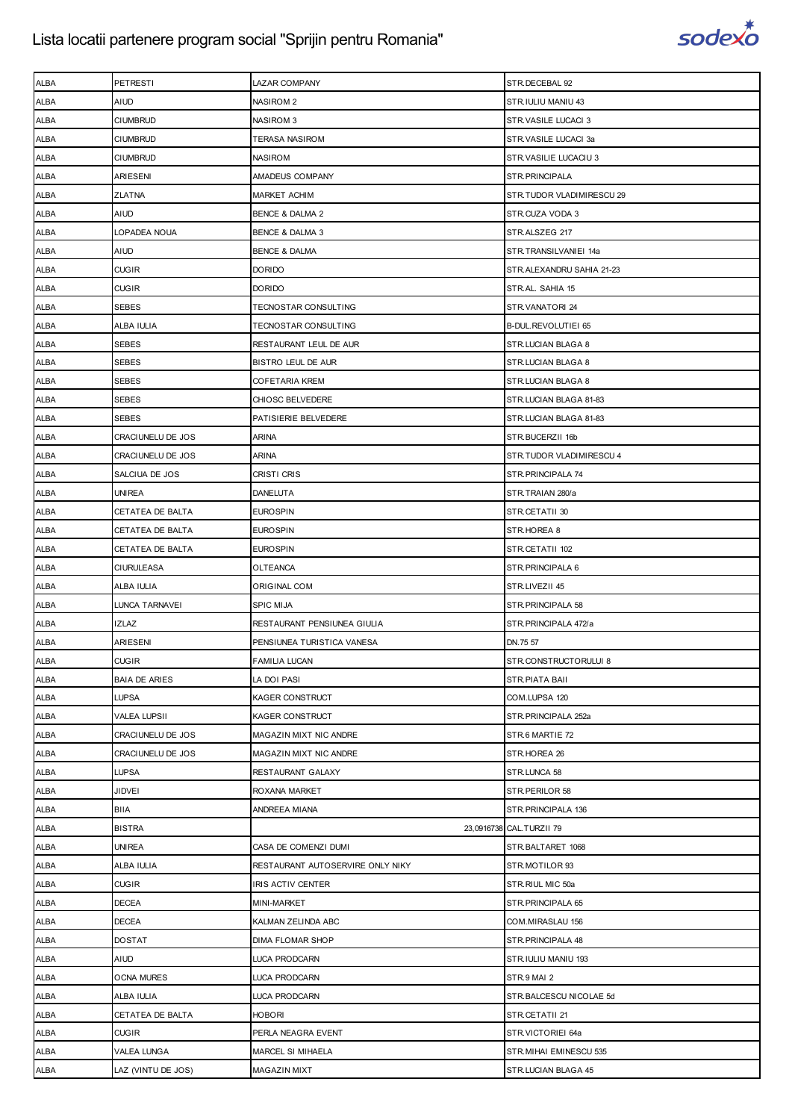

| <b>ALBA</b>         | <b>PETRESTI</b>      | <b>LAZAR COMPANY</b>                   | STR.DECEBAL 92            |
|---------------------|----------------------|----------------------------------------|---------------------------|
| <b>ALBA</b>         | AIUD                 | <b>NASIROM 2</b>                       | STR.IULIU MANIU 43        |
| ALBA                | <b>CIUMBRUD</b>      | <b>NASIROM 3</b>                       | STR.VASILE LUCACI 3       |
| ALBA                | <b>CIUMBRUD</b>      | <b>TERASA NASIROM</b>                  | STR.VASILE LUCACI 3a      |
| <b>ALBA</b>         | <b>CIUMBRUD</b>      | <b>NASIROM</b>                         | STR.VASILIE LUCACIU 3     |
| ALBA                | ARIESENI             | AMADEUS COMPANY                        | STR.PRINCIPALA            |
|                     | <b>ZLATNA</b>        |                                        | STR.TUDOR VLADIMIRESCU 29 |
| ALBA<br><b>ALBA</b> | <b>AIUD</b>          | <b>MARKET ACHIM</b><br>BENCE & DALMA 2 | STR.CUZA VODA 3           |
| ALBA                | LOPADEA NOUA         | BENCE & DALMA 3                        | STR.ALSZEG 217            |
|                     |                      |                                        |                           |
| ALBA                | <b>AIUD</b>          | <b>BENCE &amp; DALMA</b>               | STR.TRANSILVANIEI 14a     |
| <b>ALBA</b>         | <b>CUGIR</b>         | <b>DORIDO</b>                          | STR.ALEXANDRU SAHIA 21-23 |
| ALBA                | <b>CUGIR</b>         | <b>DORIDO</b>                          | STR.AL. SAHIA 15          |
| ALBA                | SEBES                | TECNOSTAR CONSULTING                   | STR.VANATORI 24           |
| <b>ALBA</b>         | ALBA IULIA           | TECNOSTAR CONSULTING                   | B-DUL.REVOLUTIEI 65       |
| ALBA                | <b>SEBES</b>         | RESTAURANT LEUL DE AUR                 | STR.LUCIAN BLAGA 8        |
| ALBA                | SEBES                | <b>BISTRO LEUL DE AUR</b>              | STR.LUCIAN BLAGA 8        |
| <b>ALBA</b>         | <b>SEBES</b>         | <b>COFETARIA KREM</b>                  | STR.LUCIAN BLAGA 8        |
| ALBA                | SEBES                | <b>CHIOSC BELVEDERE</b>                | STR.LUCIAN BLAGA 81-83    |
| ALBA                | SEBES                | PATISIERIE BELVEDERE                   | STR.LUCIAN BLAGA 81-83    |
| <b>ALBA</b>         | CRACIUNELU DE JOS    | <b>ARINA</b>                           | STR.BUCERZII 16b          |
| <b>ALBA</b>         | CRACIUNELU DE JOS    | ARINA                                  | STR.TUDOR VLADIMIRESCU 4  |
| ALBA                | SALCIUA DE JOS       | CRISTI CRIS                            | STR.PRINCIPALA 74         |
| <b>ALBA</b>         | <b>UNIREA</b>        | <b>DANELUTA</b>                        | STR.TRAIAN 280/a          |
| ALBA                | CETATEA DE BALTA     | <b>EUROSPIN</b>                        | STR.CETATII 30            |
| ALBA                | CETATEA DE BALTA     | <b>EUROSPIN</b>                        | STR.HOREA 8               |
| <b>ALBA</b>         | CETATEA DE BALTA     | <b>EUROSPIN</b>                        | STR.CETATII 102           |
| ALBA                | <b>CIURULEASA</b>    | <b>OLTEANCA</b>                        | STR.PRINCIPALA 6          |
| ALBA                | ALBA IULIA           | ORIGINAL COM                           | STR.LIVEZII 45            |
| <b>ALBA</b>         | LUNCA TARNAVEI       | <b>SPIC MIJA</b>                       | STR.PRINCIPALA 58         |
| ALBA                | <b>IZLAZ</b>         | RESTAURANT PENSIUNEA GIULIA            | STR.PRINCIPALA 472/a      |
| ALBA                | <b>ARIESENI</b>      | PENSIUNEA TURISTICA VANESA             | DN.75 57                  |
| <b>ALBA</b>         | <b>CUGIR</b>         | <b>FAMILIA LUCAN</b>                   | STR.CONSTRUCTORULUI 8     |
| ALBA                | <b>BAIA DE ARIES</b> | LA DOI PASI                            | STR.PIATA BAII            |
| ALBA                | LUPSA                | KAGER CONSTRUCT                        | COM.LUPSA 120             |
| ALBA                | <b>VALEA LUPSII</b>  | KAGER CONSTRUCT                        | STR.PRINCIPALA 252a       |
| ALBA                | CRACIUNELU DE JOS    | MAGAZIN MIXT NIC ANDRE                 | STR.6 MARTIE 72           |
| ALBA                | CRACIUNELU DE JOS    | MAGAZIN MIXT NIC ANDRE                 | STR.HOREA 26              |
| ALBA                | LUPSA                | RESTAURANT GALAXY                      | STR.LUNCA 58              |
| ALBA                | JIDVEI               | ROXANA MARKET                          | STR.PERILOR 58            |
| ALBA                | BIIA                 | ANDREEA MIANA                          | STR.PRINCIPALA 136        |
| ALBA                | <b>BISTRA</b>        |                                        | 23,0916738 CAL.TURZII 79  |
|                     |                      |                                        |                           |
| ALBA                | UNIREA               | CASA DE COMENZI DUMI                   | STR.BALTARET 1068         |
| ALBA                | ALBA IULIA           | RESTAURANT AUTOSERVIRE ONLY NIKY       | STR.MOTILOR 93            |
| ALBA                | <b>CUGIR</b>         | IRIS ACTIV CENTER                      | STR.RIUL MIC 50a          |
| ALBA                | DECEA                | MINI-MARKET                            | STR. PRINCIPALA 65        |
| ALBA                | <b>DECEA</b>         | KALMAN ZELINDA ABC                     | COM.MIRASLAU 156          |
| ALBA                | <b>DOSTAT</b>        | <b>DIMA FLOMAR SHOP</b>                | STR. PRINCIPALA 48        |
| ALBA                | AIUD                 | <b>LUCA PRODCARN</b>                   | STR.IULIU MANIU 193       |
|                     |                      |                                        |                           |
| ALBA                | <b>OCNA MURES</b>    | LUCA PRODCARN                          | STR.9 MAI 2               |
| ALBA                | ALBA IULIA           | LUCA PRODCARN                          | STR.BALCESCU NICOLAE 5d   |
| ALBA                | CETATEA DE BALTA     | <b>HOBORI</b>                          | STR.CETATII 21            |
| ALBA                | <b>CUGIR</b>         | PERLA NEAGRA EVENT                     | STR.VICTORIEI 64a         |
| ALBA                | <b>VALEA LUNGA</b>   | MARCEL SI MIHAELA                      | STR. MIHAI EMINESCU 535   |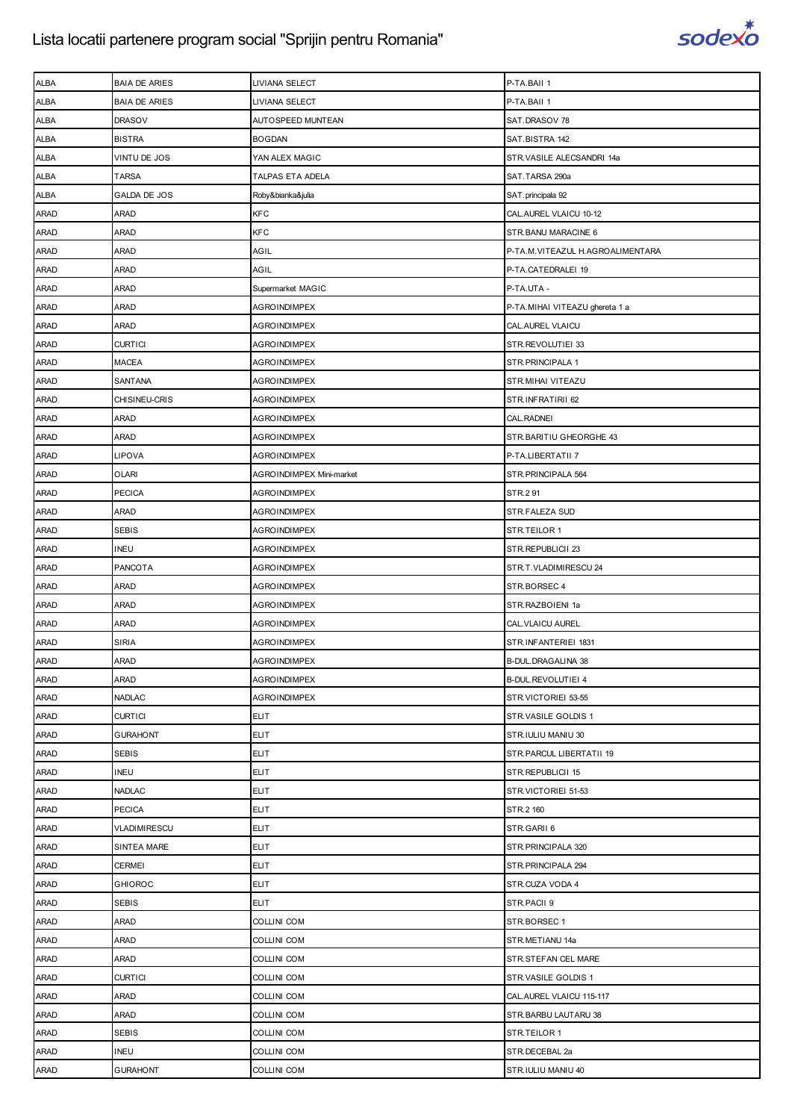

| <b>ALBA</b> | <b>BAIA DE ARIES</b> | LIVIANA SELECT           | P-TA.BAII 1                      |
|-------------|----------------------|--------------------------|----------------------------------|
| ALBA        | <b>BAIA DE ARIES</b> | LIVIANA SELECT           | P-TA.BAII 1                      |
| <b>ALBA</b> | <b>DRASOV</b>        | AUTOSPEED MUNTEAN        | SAT.DRASOV 78                    |
| <b>ALBA</b> | <b>BISTRA</b>        | <b>BOGDAN</b>            | SAT.BISTRA 142                   |
| ALBA        | VINTU DE JOS         | YAN ALEX MAGIC           | STR.VASILE ALECSANDRI 14a        |
| ALBA        | <b>TARSA</b>         | TALPAS ETA ADELA         | SAT.TARSA 290a                   |
| ALBA        | GALDA DE JOS         | Roby&bianka&julia        | SAT.principala 92                |
| ARAD        | ARAD                 | KFC                      | CAL. AUREL VLAICU 10-12          |
| <b>ARAD</b> | ARAD                 | <b>KFC</b>               | STR.BANU MARACINE 6              |
| <b>ARAD</b> | <b>ARAD</b>          | AGIL                     | P-TA.M.VITEAZUL H.AGROALIMENTARA |
| ARAD        | ARAD                 | AGIL                     | P-TA.CATEDRALEI 19               |
| <b>ARAD</b> | ARAD                 | Supermarket MAGIC        | P-TA.UTA -                       |
| <b>ARAD</b> | ARAD                 | <b>AGROINDIMPEX</b>      | P-TA.MIHAI VITEAZU ghereta 1 a   |
| <b>ARAD</b> | ARAD                 | <b>AGROINDIMPEX</b>      | CAL.AUREL VLAICU                 |
| <b>ARAD</b> | <b>CURTICI</b>       | <b>AGROINDIMPEX</b>      | STR.REVOLUTIEI 33                |
| <b>ARAD</b> | MACEA                | <b>AGROINDIMPEX</b>      | STR.PRINCIPALA 1                 |
| ARAD        | SANTANA              | <b>AGROINDIMPEX</b>      | STR.MIHAI VITEAZU                |
| <b>ARAD</b> | CHISINEU-CRIS        | <b>AGROINDIMPEX</b>      | STR.INFRATIRII 62                |
| <b>ARAD</b> | ARAD                 | <b>AGROINDIMPEX</b>      | CAL. RADNEI                      |
| <b>ARAD</b> | ARAD                 | <b>AGROINDIMPEX</b>      | STR. BARITIU GHEORGHE 43         |
| <b>ARAD</b> | LIPOVA               | <b>AGROINDIMPEX</b>      | P-TA.LIBERTATII 7                |
| <b>ARAD</b> | <b>OLARI</b>         | AGROINDIMPEX Mini-market | STR. PRINCIPALA 564              |
| <b>ARAD</b> | <b>PECICA</b>        | <b>AGROINDIMPEX</b>      | STR.2 91                         |
| <b>ARAD</b> | ARAD                 | <b>AGROINDIMPEX</b>      | STR.FALEZA SUD                   |
| <b>ARAD</b> | <b>SEBIS</b>         | <b>AGROINDIMPEX</b>      | STR.TEILOR 1                     |
| <b>ARAD</b> | <b>INEU</b>          | <b>AGROINDIMPEX</b>      | STR.REPUBLICII 23                |
| <b>ARAD</b> | PANCOTA              | <b>AGROINDIMPEX</b>      | STR.T.VLADIMIRESCU 24            |
| <b>ARAD</b> | ARAD                 | <b>AGROINDIMPEX</b>      | STR.BORSEC 4                     |
| <b>ARAD</b> | ARAD                 | <b>AGROINDIMPEX</b>      | STR.RAZBOIENI 1a                 |
| <b>ARAD</b> | ARAD                 | AGROINDIMPEX             | CAL. VLAICU AUREL                |
| <b>ARAD</b> | <b>SIRIA</b>         | <b>AGROINDIMPEX</b>      | STR.INFANTERIEI 1831             |
| <b>ARAD</b> | <b>ARAD</b>          | <b>AGROINDIMPEX</b>      | <b>B-DUL.DRAGALINA 38</b>        |
| <b>ARAD</b> | ARAD                 | AGROINDIMPEX             | B-DUL.REVOLUTIEI 4               |
| ARAD        | <b>NADLAC</b>        | <b>AGROINDIMPEX</b>      | STR.VICTORIEI 53-55              |
| ARAD        | <b>CURTICI</b>       | <b>ELIT</b>              | STR.VASILE GOLDIS 1              |
| <b>ARAD</b> | <b>GURAHONT</b>      | <b>ELIT</b>              | STR.IULIU MANIU 30               |
| ARAD        | <b>SEBIS</b>         | <b>ELIT</b>              | STR.PARCUL LIBERTATII 19         |
| ARAD        | <b>INEU</b>          | <b>ELIT</b>              | STR.REPUBLICII 15                |
| ARAD        | <b>NADLAC</b>        | <b>ELIT</b>              | STR.VICTORIEI 51-53              |
| ARAD        | <b>PECICA</b>        | <b>ELIT</b>              | STR.2 160                        |
| <b>ARAD</b> | VLADIMIRESCU         | <b>ELIT</b>              | STR.GARII 6                      |
| ARAD        | SINTEA MARE          | <b>ELIT</b>              | STR. PRINCIPALA 320              |
| ARAD        | <b>CERMEI</b>        | <b>ELIT</b>              | STR. PRINCIPALA 294              |
| ARAD        | <b>GHIOROC</b>       | <b>ELIT</b>              | STR.CUZA VODA 4                  |
| ARAD        | <b>SEBIS</b>         | <b>ELIT</b>              | STR.PACII 9                      |
| ARAD        | ARAD                 | COLLINI COM              | STR.BORSEC 1                     |
| ARAD        | ARAD                 | COLLINI COM              | STR.METIANU 14a                  |
| ARAD        | ARAD                 | COLLINI COM              | STR.STEFAN CEL MARE              |
| ARAD        | <b>CURTICI</b>       | COLLINI COM              | STR.VASILE GOLDIS 1              |
| ARAD        | ARAD                 | COLLINI COM              | CAL.AUREL VLAICU 115-117         |
| ARAD        | ARAD                 | COLLINI COM              | STR.BARBU LAUTARU 38             |
| ARAD        | <b>SEBIS</b>         | COLLINI COM              | STR.TEILOR 1                     |
| ARAD        | <b>INEU</b>          | COLLINI COM              | STR.DECEBAL 2a                   |
| ARAD        | <b>GURAHONT</b>      | COLLINI COM              | STR.IULIU MANIU 40               |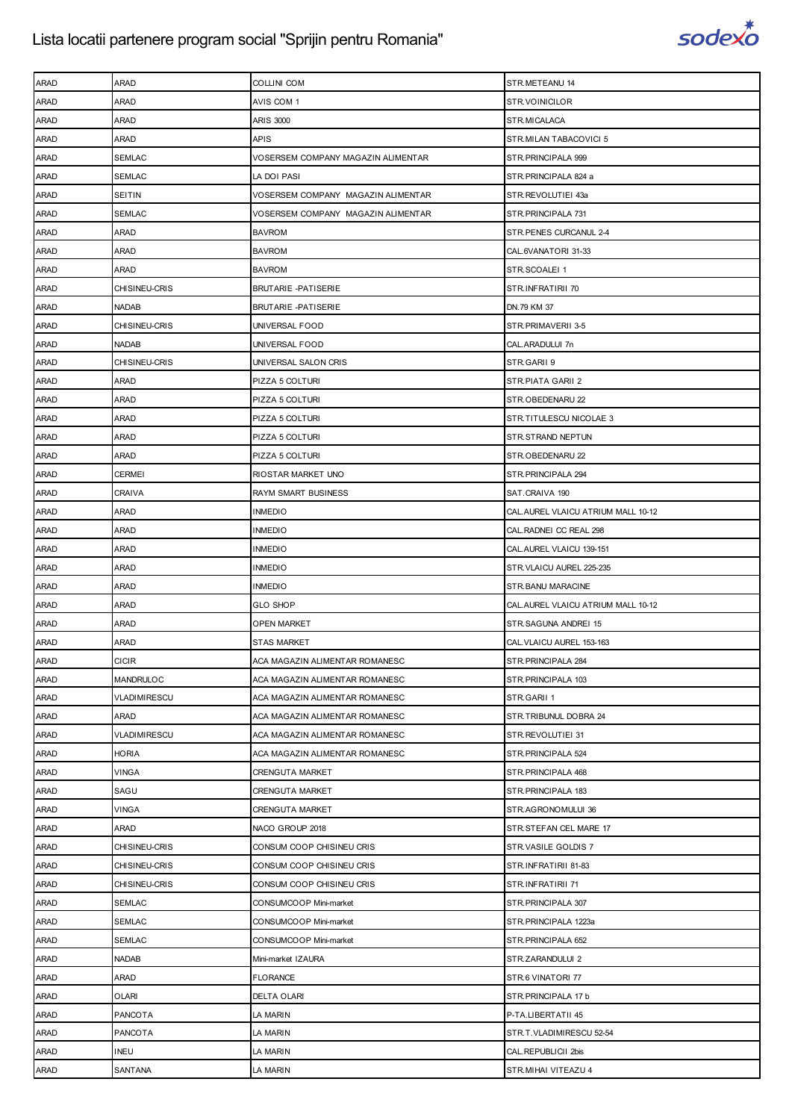

| <b>ARAD</b> | <b>ARAD</b>          | <b>COLLINI COM</b>                 | STR.METEANU 14                     |
|-------------|----------------------|------------------------------------|------------------------------------|
| <b>ARAD</b> | <b>ARAD</b>          | AVIS COM 1                         | STR.VOINICILOR                     |
| <b>ARAD</b> | ARAD                 | <b>ARIS 3000</b>                   | STR.MICALACA                       |
| <b>ARAD</b> | ARAD                 | <b>APIS</b>                        | STR.MILAN TABACOVICI 5             |
| <b>ARAD</b> | <b>SEMLAC</b>        | VOSERSEM COMPANY MAGAZIN ALIMENTAR | STR. PRINCIPALA 999                |
| ARAD        | SEMLAC               | LA DOI PASI                        | STR.PRINCIPALA 824 a               |
| <b>ARAD</b> | SEITIN               | VOSERSEM COMPANY MAGAZIN ALIMENTAR | STR.REVOLUTIEI 43a                 |
| <b>ARAD</b> | <b>SEMLAC</b>        | VOSERSEM COMPANY MAGAZIN ALIMENTAR | STR. PRINCIPALA 731                |
| <b>ARAD</b> | ARAD                 | <b>BAVROM</b>                      | STR. PENES CURCANUL 2-4            |
| <b>ARAD</b> | ARAD                 | <b>BAVROM</b>                      | CAL.6VANATORI 31-33                |
| <b>ARAD</b> | ARAD                 | <b>BAVROM</b>                      | STR.SCOALEI 1                      |
| ARAD        | CHISINEU-CRIS        | <b>BRUTARIE -PATISERIE</b>         | STR.INFRATIRII 70                  |
|             | <b>NADAB</b>         | <b>BRUTARIE -PATISERIE</b>         | DN.79 KM 37                        |
| <b>ARAD</b> |                      |                                    |                                    |
| <b>ARAD</b> | <b>CHISINEU-CRIS</b> | UNIVERSAL FOOD                     | STR.PRIMAVERII 3-5                 |
| <b>ARAD</b> | <b>NADAB</b>         | UNIVERSAL FOOD                     | CAL.ARADULUI 7n                    |
| <b>ARAD</b> | CHISINEU-CRIS        | UNIVERSAL SALON CRIS               | STR.GARII 9                        |
| <b>ARAD</b> | <b>ARAD</b>          | PIZZA 5 COLTURI                    | STR.PIATA GARII 2                  |
| ARAD        | ARAD                 | PIZZA 5 COLTURI                    | STR.OBEDENARU 22                   |
| <b>ARAD</b> | ARAD                 | PIZZA 5 COLTURI                    | STR.TITULESCU NICOLAE 3            |
| <b>ARAD</b> | <b>ARAD</b>          | PIZZA 5 COLTURI                    | STR.STRAND NEPTUN                  |
| <b>ARAD</b> | ARAD                 | PIZZA 5 COLTURI                    | STR.OBEDENARU 22                   |
| <b>ARAD</b> | <b>CERMEI</b>        | RIOSTAR MARKET UNO                 | STR.PRINCIPALA 294                 |
| <b>ARAD</b> | <b>CRAIVA</b>        | RAYM SMART BUSINESS                | SAT.CRAIVA 190                     |
| ARAD        | ARAD                 | <b>INMEDIO</b>                     | CAL.AUREL VLAICU ATRIUM MALL 10-12 |
| <b>ARAD</b> | ARAD                 | <b>INMEDIO</b>                     | CAL. RADNEI CC REAL 298            |
| <b>ARAD</b> | <b>ARAD</b>          | <b>INMEDIO</b>                     | CAL.AUREL VLAICU 139-151           |
| <b>ARAD</b> | ARAD                 | <b>INMEDIO</b>                     | STR. VLAICU AUREL 225-235          |
|             |                      |                                    |                                    |
| <b>ARAD</b> | ARAD                 | <b>INMEDIO</b>                     | STR. BANU MARACINE                 |
| <b>ARAD</b> | <b>ARAD</b>          | <b>GLO SHOP</b>                    | CAL.AUREL VLAICU ATRIUM MALL 10-12 |
| ARAD        | ARAD                 | OPEN MARKET                        | STR.SAGUNA ANDREI 15               |
| ARAD        | ARAD                 | <b>STAS MARKET</b>                 | CAL. VLAICU AUREL 153-163          |
| <b>ARAD</b> | <b>CICIR</b>         | ACA MAGAZIN ALIMENTAR ROMANESC     | STR.PRINCIPALA 284                 |
| <b>ARAD</b> | MANDRULOC            | ACA MAGAZIN ALIMENTAR ROMANESC     | STR.PRINCIPALA 103                 |
| ARAD        | VLADIMIRESCU         | ACA MAGAZIN ALIMENTAR ROMANESC     | STR.GARII 1                        |
| <b>ARAD</b> | ARAD                 | ACA MAGAZIN ALIMENTAR ROMANESC     | STR.TRIBUNUL DOBRA 24              |
| ARAD        | VLADIMIRESCU         | ACA MAGAZIN ALIMENTAR ROMANESC     | STR.REVOLUTIEI 31                  |
| ARAD        | <b>HORIA</b>         | ACA MAGAZIN ALIMENTAR ROMANESC     | STR. PRINCIPALA 524                |
| <b>ARAD</b> | <b>VINGA</b>         | <b>CRENGUTA MARKET</b>             | STR. PRINCIPALA 468                |
| ARAD        | SAGU                 | <b>CRENGUTA MARKET</b>             | STR. PRINCIPALA 183                |
| ARAD        | <b>VINGA</b>         | <b>CRENGUTA MARKET</b>             | STR.AGRONOMULUI 36                 |
| <b>ARAD</b> | ARAD                 | NACO GROUP 2018                    | STR.STEFAN CEL MARE 17             |
| ARAD        | CHISINEU-CRIS        | CONSUM COOP CHISINEU CRIS          | STR.VASILE GOLDIS 7                |
| ARAD        | CHISINEU-CRIS        | CONSUM COOP CHISINEU CRIS          | STR.INFRATIRII 81-83               |
| <b>ARAD</b> | CHISINEU-CRIS        | CONSUM COOP CHISINEU CRIS          | STR.INFRATIRII 71                  |
| ARAD        | SEMLAC               | CONSUMCOOP Mini-market             | STR. PRINCIPALA 307                |
| ARAD        | <b>SEMLAC</b>        | CONSUMCOOP Mini-market             | STR.PRINCIPALA 1223a               |
| ARAD        | <b>SEMLAC</b>        | CONSUMCOOP Mini-market             | STR. PRINCIPALA 652                |
| ARAD        | <b>NADAB</b>         | Mini-market IZAURA                 | STR.ZARANDULUI 2                   |
| ARAD        | ARAD                 | FLORANCE                           | STR.6 VINATORI 77                  |
| <b>ARAD</b> | <b>OLARI</b>         | <b>DELTA OLARI</b>                 | STR.PRINCIPALA 17 b                |
| ARAD        | PANCOTA              | LA MARIN                           | P-TA.LIBERTATII 45                 |
| ARAD        | <b>PANCOTA</b>       | LA MARIN                           | STR.T.VLADIMIRESCU 52-54           |
| <b>ARAD</b> | <b>INEU</b>          | LA MARIN                           | CAL. REPUBLICII 2bis               |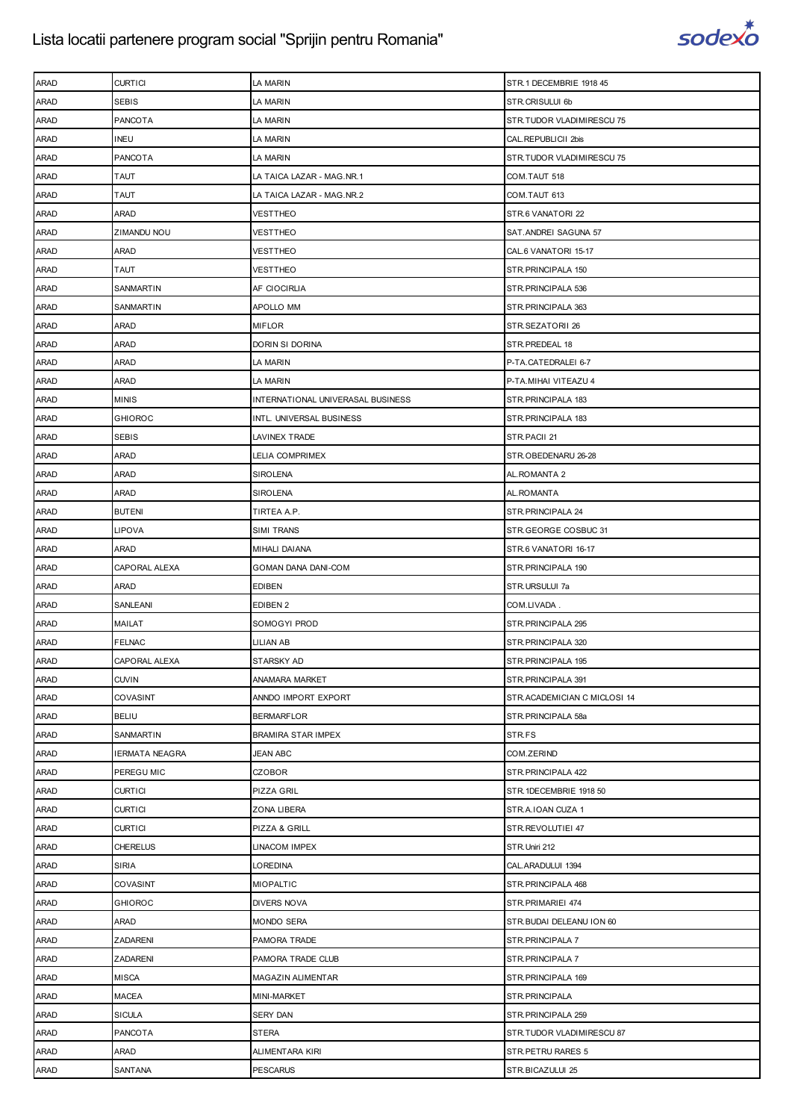

| <b>ARAD</b> | <b>CURTICI</b>        | LA MARIN                          | STR.1 DECEMBRIE 1918 45      |
|-------------|-----------------------|-----------------------------------|------------------------------|
| <b>ARAD</b> | SEBIS                 | LA MARIN                          | STR.CRISULUI 6b              |
| ARAD        | <b>PANCOTA</b>        | LA MARIN                          | STR.TUDOR VLADIMIRESCU 75    |
| <b>ARAD</b> | INEU                  | LA MARIN                          | CAL. REPUBLICII 2bis         |
| <b>ARAD</b> | PANCOTA               | LA MARIN                          | STR.TUDOR VLADIMIRESCU 75    |
| ARAD        | TAUT                  | LA TAICA LAZAR - MAG.NR.1         | COM.TAUT 518                 |
| ARAD        | <b>TAUT</b>           | LA TAICA LAZAR - MAG.NR.2         | COM.TAUT 613                 |
| <b>ARAD</b> | ARAD                  | <b>VESTTHEO</b>                   | STR.6 VANATORI 22            |
| ARAD        | ZIMANDU NOU           | VESTTHEO                          | SAT.ANDREI SAGUNA 57         |
| <b>ARAD</b> | ARAD                  | VESTTHEO                          | CAL.6 VANATORI 15-17         |
| <b>ARAD</b> | <b>TAUT</b>           | <b>VESTTHEO</b>                   | STR.PRINCIPALA 150           |
| ARAD        | SANMARTIN             | AF CIOCIRLIA                      | STR.PRINCIPALA 536           |
| <b>ARAD</b> | SANMARTIN             | APOLLO MM                         | STR.PRINCIPALA 363           |
| <b>ARAD</b> | ARAD                  | <b>MIFLOR</b>                     | STR.SEZATORII 26             |
| ARAD        | ARAD                  | DORIN SI DORINA                   | STR.PREDEAL 18               |
| <b>ARAD</b> | ARAD                  | LA MARIN                          | P-TA.CATEDRALEI 6-7          |
| <b>ARAD</b> | ARAD                  | LA MARIN                          | P-TA.MIHAI VITEAZU 4         |
| ARAD        | MINIS                 | INTERNATIONAL UNIVERASAL BUSINESS | STR.PRINCIPALA 183           |
| <b>ARAD</b> | <b>GHIOROC</b>        | INTL. UNIVERSAL BUSINESS          | STR.PRINCIPALA 183           |
| <b>ARAD</b> | SEBIS                 | LAVINEX TRADE                     | STR.PACII 21                 |
| <b>ARAD</b> | ARAD                  | LELIA COMPRIMEX                   | STR.OBEDENARU 26-28          |
| <b>ARAD</b> | ARAD                  | <b>SIROLENA</b>                   | AL.ROMANTA 2                 |
| <b>ARAD</b> | ARAD                  | SIROLENA                          | AL.ROMANTA                   |
| ARAD        | <b>BUTENI</b>         | TIRTEA A.P.                       | STR.PRINCIPALA 24            |
| <b>ARAD</b> | LIPOVA                | SIMI TRANS                        | STR.GEORGE COSBUC 31         |
| <b>ARAD</b> | ARAD                  | MIHALI DAIANA                     | STR.6 VANATORI 16-17         |
| <b>ARAD</b> | CAPORAL ALEXA         | GOMAN DANA DANI-COM               | STR.PRINCIPALA 190           |
| <b>ARAD</b> | ARAD                  | <b>EDIBEN</b>                     | STR.URSULUI 7a               |
| <b>ARAD</b> | SANLEANI              | EDIBEN 2                          | COM.LIVADA.                  |
| ARAD        | MAILAT                | SOMOGYI PROD                      | STR. PRINCIPALA 295          |
| <b>ARAD</b> | <b>FELNAC</b>         | LILIAN AB                         | STR.PRINCIPALA 320           |
| <b>ARAD</b> | CAPORAL ALEXA         | STARSKY AD                        | STR.PRINCIPALA 195           |
| ARAD        | <b>CUVIN</b>          | ANAMARA MARKET                    | STR.PRINCIPALA 391           |
| ARAD        | COVASINT              | ANNDO IMPORT EXPORT               | STR.ACADEMICIAN C MICLOSI 14 |
| <b>ARAD</b> | <b>BELIU</b>          | <b>BERMARFLOR</b>                 | STR.PRINCIPALA 58a           |
| ARAD        | SANMARTIN             | BRAMIRA STAR IMPEX                | STR.FS                       |
| <b>ARAD</b> | <b>IERMATA NEAGRA</b> | JEAN ABC                          | COM.ZERIND                   |
| <b>ARAD</b> | PEREGU MIC            | <b>CZOBOR</b>                     | STR.PRINCIPALA 422           |
| ARAD        | <b>CURTICI</b>        | PIZZA GRIL                        | STR.1DECEMBRIE 1918 50       |
| <b>ARAD</b> | <b>CURTICI</b>        | ZONA LIBERA                       | STR.A.IOAN CUZA 1            |
| ARAD        | <b>CURTICI</b>        | PIZZA & GRILL                     | STR.REVOLUTIEI 47            |
| ARAD        | <b>CHERELUS</b>       | LINACOM IMPEX                     | STR. Uniri 212               |
| <b>ARAD</b> | <b>SIRIA</b>          | LOREDINA                          | CAL.ARADULUI 1394            |
| <b>ARAD</b> | COVASINT              | <b>MIOPALTIC</b>                  | STR.PRINCIPALA 468           |
| ARAD        | GHIOROC               | DIVERS NOVA                       | STR.PRIMARIEI 474            |
| <b>ARAD</b> | ARAD                  | <b>MONDO SERA</b>                 | STR. BUDAI DELEANU ION 60    |
| <b>ARAD</b> |                       |                                   |                              |
|             | ZADARENI              | PAMORA TRADE                      | STR.PRINCIPALA 7             |
| ARAD        | ZADARENI              | PAMORA TRADE CLUB                 | STR.PRINCIPALA 7             |
| <b>ARAD</b> | <b>MISCA</b>          | MAGAZIN ALIMENTAR                 | STR.PRINCIPALA 169           |
| <b>ARAD</b> | MACEA                 | MINI-MARKET                       | STR.PRINCIPALA               |
| ARAD        | SICULA                | SERY DAN                          | STR.PRINCIPALA 259           |
| <b>ARAD</b> | PANCOTA               | <b>STERA</b>                      | STR.TUDOR VLADIMIRESCU 87    |
| ARAD        | ARAD                  | ALIMENTARA KIRI                   | STR.PETRU RARES 5            |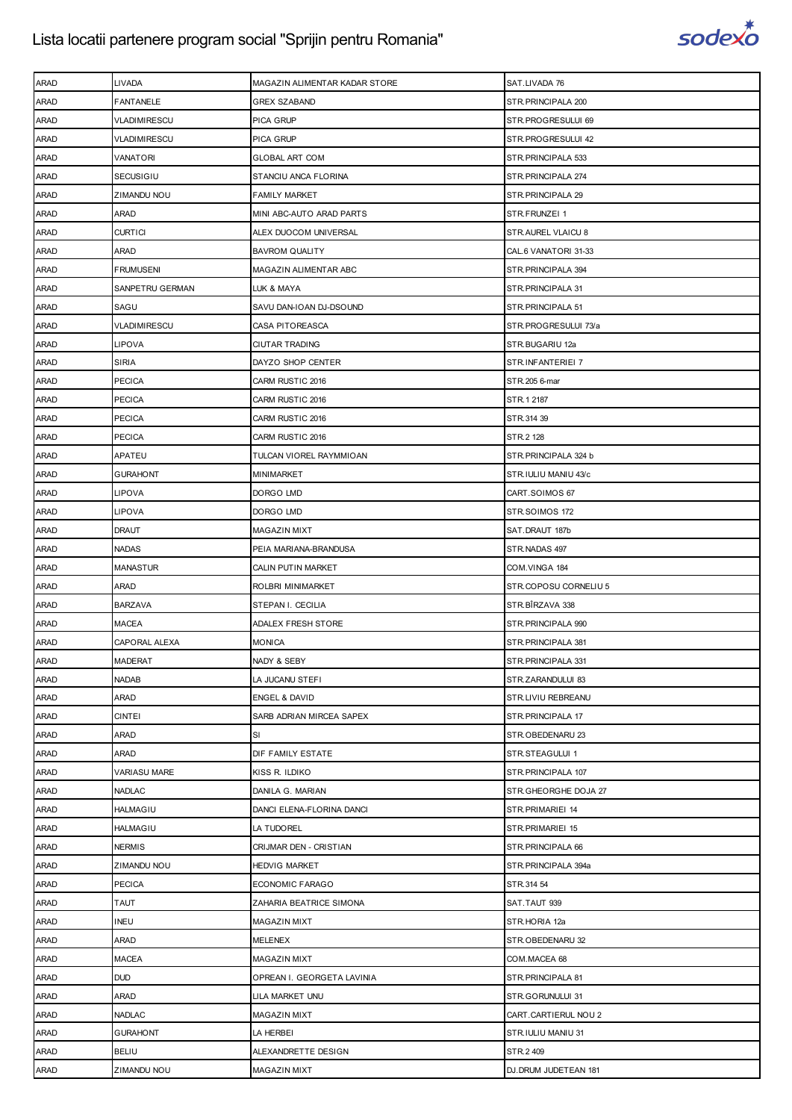

| <b>ARAD</b> | LIVADA           | MAGAZIN ALIMENTAR KADAR STORE | SAT.LIVADA 76         |
|-------------|------------------|-------------------------------|-----------------------|
| ARAD        | FANTANELE        | <b>GREX SZABAND</b>           | STR. PRINCIPALA 200   |
| <b>ARAD</b> | VLADIMIRESCU     | PICA GRUP                     | STR.PROGRESULUI 69    |
| <b>ARAD</b> | VLADIMIRESCU     | PICA GRUP                     | STR.PROGRESULUI 42    |
| ARAD        | VANATORI         | <b>GLOBAL ART COM</b>         | STR. PRINCIPALA 533   |
| ARAD        | SECUSIGIU        | STANCIU ANCA FLORINA          | STR. PRINCIPALA 274   |
| <b>ARAD</b> | ZIMANDU NOU      | FAMILY MARKET                 | STR. PRINCIPALA 29    |
| <b>ARAD</b> | ARAD             | MINI ABC-AUTO ARAD PARTS      | STR.FRUNZEI 1         |
| <b>ARAD</b> | <b>CURTICI</b>   | ALEX DUOCOM UNIVERSAL         | STR.AUREL VLAICU 8    |
| <b>ARAD</b> | ARAD             | <b>BAVROM QUALITY</b>         | CAL.6 VANATORI 31-33  |
| ARAD        | <b>FRUMUSENI</b> | MAGAZIN ALIMENTAR ABC         | STR. PRINCIPALA 394   |
| ARAD        | SANPETRU GERMAN  | LUK & MAYA                    | STR. PRINCIPALA 31    |
| <b>ARAD</b> | SAGU             | SAVU DAN-IOAN DJ-DSOUND       | STR. PRINCIPALA 51    |
| <b>ARAD</b> | VLADIMIRESCU     | CASA PITOREASCA               | STR.PROGRESULUI 73/a  |
| <b>ARAD</b> | LIPOVA           | <b>CIUTAR TRADING</b>         | STR.BUGARIU 12a       |
| <b>ARAD</b> | <b>SIRIA</b>     | DAYZO SHOP CENTER             | STR.INFANTERIEI 7     |
| ARAD        | <b>PECICA</b>    | CARM RUSTIC 2016              | STR.205 6-mar         |
| ARAD        | <b>PECICA</b>    | CARM RUSTIC 2016              | STR.1 2187            |
| <b>ARAD</b> | <b>PECICA</b>    | CARM RUSTIC 2016              | STR.314 39            |
| <b>ARAD</b> | PECICA           | CARM RUSTIC 2016              | STR.2 128             |
| <b>ARAD</b> | APATEU           | TULCAN VIOREL RAYMMIOAN       | STR.PRINCIPALA 324 b  |
| <b>ARAD</b> | GURAHONT         | MINIMARKET                    | STR.IULIU MANIU 43/c  |
| ARAD        | LIPOVA           | DORGO LMD                     | CART.SOIMOS 67        |
| ARAD        | LIPOVA           | DORGO LMD                     | STR.SOIMOS 172        |
| <b>ARAD</b> | <b>DRAUT</b>     | MAGAZIN MIXT                  | SAT.DRAUT 187b        |
| <b>ARAD</b> | <b>NADAS</b>     | PEIA MARIANA-BRANDUSA         | STR.NADAS 497         |
| <b>ARAD</b> | <b>MANASTUR</b>  | CALIN PUTIN MARKET            | COM.VINGA 184         |
| <b>ARAD</b> | ARAD             | ROLBRI MINIMARKET             | STR.COPOSU CORNELIU 5 |
| ARAD        | <b>BARZAVA</b>   | STEPAN I. CECILIA             | STR.BÎRZAVA 338       |
| <b>ARAD</b> | MACEA            | <b>ADALEX FRESH STORE</b>     | STR. PRINCIPALA 990   |
| ARAD        | CAPORAL ALEXA    | <b>MONICA</b>                 | STR. PRINCIPALA 381   |
| <b>ARAD</b> | <b>MADERAT</b>   | NADY & SEBY                   | STR. PRINCIPALA 331   |
| <b>ARAD</b> | <b>NADAB</b>     | LA JUCANU STEFI               | STR.ZARANDULUI 83     |
| ARAD        | ARAD             | <b>ENGEL &amp; DAVID</b>      | STR.LIVIU REBREANU    |
| ARAD        | <b>CINTEI</b>    | SARB ADRIAN MIRCEA SAPEX      | STR.PRINCIPALA 17     |
| <b>ARAD</b> | ARAD             | SI                            | STR.OBEDENARU 23      |
| ARAD        | ARAD             | DIF FAMILY ESTATE             | STR.STEAGULUI 1       |
| ARAD        | VARIASU MARE     | KISS R. ILDIKO                | STR. PRINCIPALA 107   |
| ARAD        | <b>NADLAC</b>    | DANILA G. MARIAN              | STR.GHEORGHE DOJA 27  |
| ARAD        | <b>HALMAGIU</b>  | DANCI ELENA-FLORINA DANCI     | STR.PRIMARIEI 14      |
| ARAD        | <b>HALMAGIU</b>  | LA TUDOREL                    | STR.PRIMARIEI 15      |
| ARAD        | <b>NERMIS</b>    | CRIJMAR DEN - CRISTIAN        | STR. PRINCIPALA 66    |
| ARAD        | ZIMANDU NOU      | <b>HEDVIG MARKET</b>          | STR.PRINCIPALA 394a   |
| ARAD        | <b>PECICA</b>    | ECONOMIC FARAGO               | STR.314 54            |
| ARAD        | <b>TAUT</b>      | ZAHARIA BEATRICE SIMONA       | SAT.TAUT 939          |
| ARAD        | <b>INEU</b>      | MAGAZIN MIXT                  | STR.HORIA 12a         |
| ARAD        | ARAD             | MELENEX                       | STR.OBEDENARU 32      |
| ARAD        | MACEA            | <b>MAGAZIN MIXT</b>           | COM.MACEA 68          |
| ARAD        | <b>DUD</b>       | OPREAN I. GEORGETA LAVINIA    | STR. PRINCIPALA 81    |
| ARAD        | ARAD             | LILA MARKET UNU               | STR.GORUNULUI 31      |
| ARAD        | <b>NADLAC</b>    | <b>MAGAZIN MIXT</b>           | CART.CARTIERUL NOU 2  |
| ARAD        | <b>GURAHONT</b>  | LA HERBEI                     | STR.IULIU MANIU 31    |
| ARAD        | <b>BELIU</b>     | ALEXANDRETTE DESIGN           | STR.2 409             |
| ARAD        | ZIMANDU NOU      | MAGAZIN MIXT                  | DJ.DRUM JUDETEAN 181  |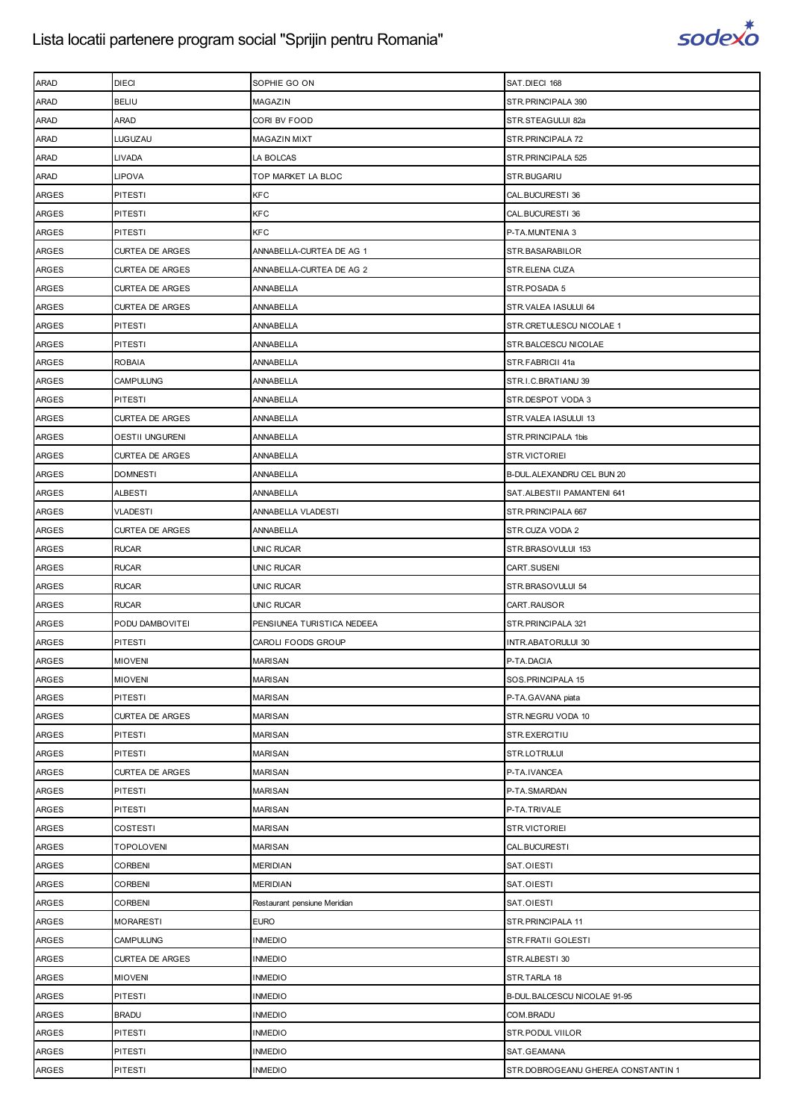

| <b>ARAD</b>  | <b>DIECI</b>           | SOPHIE GO ON                 | SAT.DIECI 168                      |
|--------------|------------------------|------------------------------|------------------------------------|
| <b>ARAD</b>  | <b>BELIU</b>           | MAGAZIN                      | STR.PRINCIPALA 390                 |
| <b>ARAD</b>  | ARAD                   | CORI BV FOOD                 | STR.STEAGULUI 82a                  |
| <b>ARAD</b>  | LUGUZAU                | <b>MAGAZIN MIXT</b>          | STR.PRINCIPALA 72                  |
| <b>ARAD</b>  | <b>LIVADA</b>          | LA BOLCAS                    | STR.PRINCIPALA 525                 |
| <b>ARAD</b>  | <b>LIPOVA</b>          | TOP MARKET LA BLOC           | STR.BUGARIU                        |
| ARGES        | PITESTI                | <b>KFC</b>                   | CAL.BUCURESTI 36                   |
| <b>ARGES</b> | <b>PITESTI</b>         | <b>KFC</b>                   | CAL.BUCURESTI 36                   |
| <b>ARGES</b> | <b>PITESTI</b>         | <b>KFC</b>                   | P-TA.MUNTENIA 3                    |
| <b>ARGES</b> | <b>CURTEA DE ARGES</b> | ANNABELLA-CURTEA DE AG 1     | STR.BASARABILOR                    |
| <b>ARGES</b> | <b>CURTEA DE ARGES</b> | ANNABELLA-CURTEA DE AG 2     | STR.ELENA CUZA                     |
| <b>ARGES</b> | <b>CURTEA DE ARGES</b> | ANNABELLA                    | STR.POSADA 5                       |
| ARGES        | <b>CURTEA DE ARGES</b> | ANNABELLA                    | STR.VALEA IASULUI 64               |
| <b>ARGES</b> | <b>PITESTI</b>         | ANNABELLA                    | STR.CRETULESCU NICOLAE 1           |
| <b>ARGES</b> | <b>PITESTI</b>         | ANNABELLA                    | STR.BALCESCU NICOLAE               |
| <b>ARGES</b> | ROBAIA                 | ANNABELLA                    | STR.FABRICII 41a                   |
| <b>ARGES</b> | <b>CAMPULUNG</b>       | ANNABELLA                    | STR.I.C.BRATIANU 39                |
| <b>ARGES</b> | <b>PITESTI</b>         | ANNABELLA                    | STR.DESPOT VODA 3                  |
| <b>ARGES</b> | <b>CURTEA DE ARGES</b> | ANNABELLA                    | STR.VALEA IASULUI 13               |
| <b>ARGES</b> | <b>OESTII UNGURENI</b> | ANNABELLA                    | STR.PRINCIPALA 1bis                |
| <b>ARGES</b> | <b>CURTEA DE ARGES</b> | ANNABELLA                    | STR.VICTORIEI                      |
| <b>ARGES</b> | <b>DOMNESTI</b>        | ANNABELLA                    | B-DUL.ALEXANDRU CEL BUN 20         |
| <b>ARGES</b> | <b>ALBESTI</b>         | ANNABELLA                    | SAT.ALBESTII PAMANTENI 641         |
| <b>ARGES</b> | <b>VLADESTI</b>        | ANNABELLA VLADESTI           | STR.PRINCIPALA 667                 |
| <b>ARGES</b> | <b>CURTEA DE ARGES</b> | ANNABELLA                    | STR.CUZA VODA 2                    |
| <b>ARGES</b> | <b>RUCAR</b>           | <b>UNIC RUCAR</b>            | STR.BRASOVULUI 153                 |
| <b>ARGES</b> | <b>RUCAR</b>           | <b>UNIC RUCAR</b>            | CART.SUSENI                        |
| <b>ARGES</b> | <b>RUCAR</b>           | <b>UNIC RUCAR</b>            | STR.BRASOVULUI 54                  |
| <b>ARGES</b> | <b>RUCAR</b>           | <b>UNIC RUCAR</b>            | CART.RAUSOR                        |
| <b>ARGES</b> | PODU DAMBOVITEI        | PENSIUNEA TURISTICA NEDEEA   | STR.PRINCIPALA 321                 |
| <b>ARGES</b> | <b>PITESTI</b>         | CAROLI FOODS GROUP           | INTR.ABATORULUI 30                 |
| <b>ARGES</b> | <b>MIOVENI</b>         | <b>MARISAN</b>               | P-TA.DACIA                         |
| <b>ARGES</b> | <b>MIOVENI</b>         | <b>MARISAN</b>               | SOS.PRINCIPALA 15                  |
| ARGES        | PITESTI                | <b>MARISAN</b>               | P-TA.GAVANA piata                  |
| <b>ARGES</b> | <b>CURTEA DE ARGES</b> | <b>MARISAN</b>               | STR.NEGRU VODA 10                  |
| <b>ARGES</b> | <b>PITESTI</b>         | <b>MARISAN</b>               | STR.EXERCITIU                      |
| ARGES        | <b>PITESTI</b>         | <b>MARISAN</b>               | STR.LOTRULUI                       |
| ARGES        | <b>CURTEA DE ARGES</b> | <b>MARISAN</b>               | P-TA.IVANCEA                       |
| <b>ARGES</b> | <b>PITESTI</b>         | <b>MARISAN</b>               | P-TA.SMARDAN                       |
| ARGES        | <b>PITESTI</b>         | <b>MARISAN</b>               | P-TA.TRIVALE                       |
| <b>ARGES</b> | <b>COSTESTI</b>        | <b>MARISAN</b>               | STR.VICTORIEI                      |
| <b>ARGES</b> | <b>TOPOLOVENI</b>      | <b>MARISAN</b>               | CAL.BUCURESTI                      |
| ARGES        | <b>CORBENI</b>         | <b>MERIDIAN</b>              | SAT.OIESTI                         |
| ARGES        | <b>CORBENI</b>         | <b>MERIDIAN</b>              | SAT.OIESTI                         |
| <b>ARGES</b> | <b>CORBENI</b>         | Restaurant pensiune Meridian | SAT.OIESTI                         |
| ARGES        | <b>MORARESTI</b>       | <b>EURO</b>                  | STR.PRINCIPALA 11                  |
| <b>ARGES</b> | <b>CAMPULUNG</b>       | <b>INMEDIO</b>               | STR.FRATII GOLESTI                 |
| <b>ARGES</b> | <b>CURTEA DE ARGES</b> | <b>INMEDIO</b>               | STR.ALBESTI 30                     |
| ARGES        | <b>MIOVENI</b>         | <b>INMEDIO</b>               | STR.TARLA 18                       |
| <b>ARGES</b> | <b>PITESTI</b>         | <b>INMEDIO</b>               | B-DUL.BALCESCU NICOLAE 91-95       |
| <b>ARGES</b> | <b>BRADU</b>           | <b>INMEDIO</b>               | COM.BRADU                          |
| ARGES        | PITESTI                | <b>INMEDIO</b>               | STR.PODUL VIILOR                   |
| ARGES        | <b>PITESTI</b>         | <b>INMEDIO</b>               | SAT.GEAMANA                        |
| ARGES        | <b>PITESTI</b>         | <b>INMEDIO</b>               | STR.DOBROGEANU GHEREA CONSTANTIN 1 |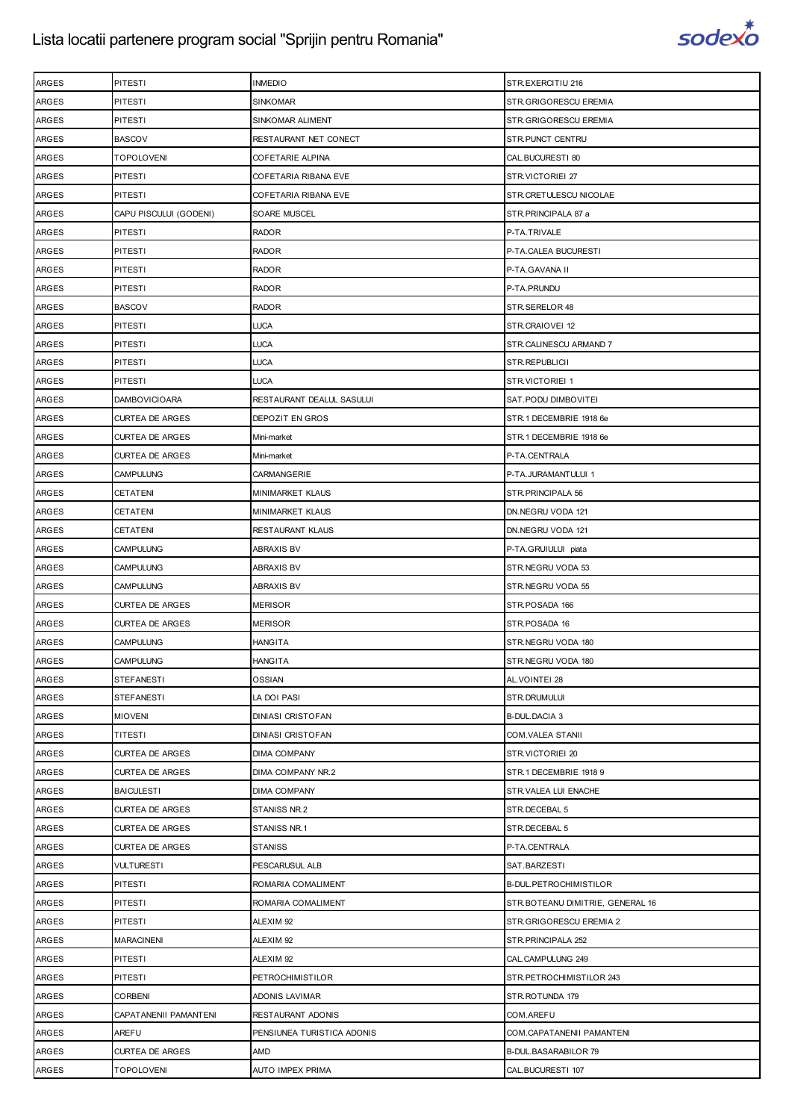

| <b>ARGES</b> | <b>PITESTI</b>         | <b>INMEDIO</b>             | STR.EXERCITIU 216                |
|--------------|------------------------|----------------------------|----------------------------------|
| <b>ARGES</b> | <b>PITESTI</b>         | <b>SINKOMAR</b>            | STR.GRIGORESCU EREMIA            |
| <b>ARGES</b> | <b>PITESTI</b>         | SINKOMAR ALIMENT           | STR.GRIGORESCU EREMIA            |
| <b>ARGES</b> | <b>BASCOV</b>          | RESTAURANT NET CONECT      | STR.PUNCT CENTRU                 |
| <b>ARGES</b> | <b>TOPOLOVENI</b>      | COFETARIE ALPINA           | CAL.BUCURESTI 80                 |
| <b>ARGES</b> | <b>PITESTI</b>         | COFETARIA RIBANA EVE       | STR.VICTORIEI 27                 |
| <b>ARGES</b> | <b>PITESTI</b>         | COFETARIA RIBANA EVE       | STR.CRETULESCU NICOLAE           |
| <b>ARGES</b> | CAPU PISCULUI (GODENI) | SOARE MUSCEL               | STR.PRINCIPALA 87 a              |
| <b>ARGES</b> | <b>PITESTI</b>         | <b>RADOR</b>               | P-TA.TRIVALE                     |
| <b>ARGES</b> | <b>PITESTI</b>         | <b>RADOR</b>               | P-TA.CALEA BUCURESTI             |
| <b>ARGES</b> | <b>PITESTI</b>         | <b>RADOR</b>               | P-TA.GAVANA II                   |
| <b>ARGES</b> | <b>PITESTI</b>         | <b>RADOR</b>               | P-TA.PRUNDU                      |
| <b>ARGES</b> | <b>BASCOV</b>          | <b>RADOR</b>               | STR.SERELOR 48                   |
| <b>ARGES</b> | PITESTI                | <b>LUCA</b>                | STR.CRAIOVEI 12                  |
| <b>ARGES</b> | <b>PITESTI</b>         | <b>LUCA</b>                | STR.CALINESCU ARMAND 7           |
| <b>ARGES</b> | <b>PITESTI</b>         | <b>LUCA</b>                | STR.REPUBLICII                   |
| <b>ARGES</b> | <b>PITESTI</b>         | <b>LUCA</b>                | <b>STR.VICTORIEI 1</b>           |
| <b>ARGES</b> | <b>DAMBOVICIOARA</b>   | RESTAURANT DEALUL SASULUI  | SAT.PODU DIMBOVITEI              |
| <b>ARGES</b> | <b>CURTEA DE ARGES</b> | DEPOZIT EN GROS            | STR.1 DECEMBRIE 1918 6e          |
| <b>ARGES</b> | <b>CURTEA DE ARGES</b> | Mini-market                | STR.1 DECEMBRIE 1918 6e          |
| <b>ARGES</b> | <b>CURTEA DE ARGES</b> | Mini-market                | P-TA.CENTRALA                    |
| <b>ARGES</b> | CAMPULUNG              | CARMANGERIE                | P-TA.JURAMANTULUI 1              |
| <b>ARGES</b> | <b>CETATENI</b>        | <b>MINIMARKET KLAUS</b>    | STR. PRINCIPALA 56               |
| <b>ARGES</b> | CETATENI               | <b>MINIMARKET KLAUS</b>    | DN.NEGRU VODA 121                |
| <b>ARGES</b> | CETATENI               | RESTAURANT KLAUS           | DN.NEGRU VODA 121                |
| <b>ARGES</b> | CAMPULUNG              | <b>ABRAXIS BV</b>          | P-TA.GRUIULUI piata              |
| <b>ARGES</b> | <b>CAMPULUNG</b>       | <b>ABRAXIS BV</b>          | STR.NEGRU VODA 53                |
| <b>ARGES</b> | <b>CAMPULUNG</b>       | <b>ABRAXIS BV</b>          | STR.NEGRU VODA 55                |
| <b>ARGES</b> | <b>CURTEA DE ARGES</b> | <b>MERISOR</b>             | STR.POSADA 166                   |
| <b>ARGES</b> | <b>CURTEA DE ARGES</b> | <b>MERISOR</b>             | STR.POSADA 16                    |
| <b>ARGES</b> | <b>CAMPULUNG</b>       | <b>HANGITA</b>             | STR.NEGRU VODA 180               |
| <b>ARGES</b> | <b>CAMPULUNG</b>       | <b>HANGITA</b>             | STR.NEGRU VODA 180               |
| <b>ARGES</b> | <b>STEFANESTI</b>      | OSSIAN                     | AL.VOINTEI 28                    |
| <b>ARGES</b> | <b>STEFANESTI</b>      | LA DOI PASI                | STR.DRUMULUI                     |
| <b>ARGES</b> | <b>MIOVENI</b>         | <b>DINIASI CRISTOFAN</b>   | <b>B-DUL.DACIA 3</b>             |
| <b>ARGES</b> | TITESTI                | <b>DINIASI CRISTOFAN</b>   | <b>COM.VALEA STANII</b>          |
| <b>ARGES</b> | <b>CURTEA DE ARGES</b> | <b>DIMA COMPANY</b>        | STR.VICTORIEI 20                 |
| ARGES        | <b>CURTEA DE ARGES</b> | DIMA COMPANY NR.2          | STR.1 DECEMBRIE 1918 9           |
| ARGES        | <b>BAICULESTI</b>      | <b>DIMA COMPANY</b>        | STR.VALEA LUI ENACHE             |
| <b>ARGES</b> | <b>CURTEA DE ARGES</b> | STANISS NR.2               | STR.DECEBAL 5                    |
| <b>ARGES</b> | <b>CURTEA DE ARGES</b> | STANISS NR.1               | STR.DECEBAL 5                    |
| <b>ARGES</b> | <b>CURTEA DE ARGES</b> | <b>STANISS</b>             | P-TA.CENTRALA                    |
| <b>ARGES</b> | <b>VULTURESTI</b>      | PESCARUSUL ALB             | SAT.BARZESTI                     |
| <b>ARGES</b> | <b>PITESTI</b>         | ROMARIA COMALIMENT         | B-DUL.PETROCHIMISTILOR           |
| ARGES        | PITESTI                | ROMARIA COMALIMENT         | STR.BOTEANU DIMITRIE, GENERAL 16 |
| <b>ARGES</b> | <b>PITESTI</b>         | ALEXIM 92                  | STR.GRIGORESCU EREMIA 2          |
| <b>ARGES</b> | <b>MARACINENI</b>      | ALEXIM 92                  | STR. PRINCIPALA 252              |
| <b>ARGES</b> | <b>PITESTI</b>         | ALEXIM 92                  | CAL.CAMPULUNG 249                |
| <b>ARGES</b> | <b>PITESTI</b>         | <b>PETROCHIMISTILOR</b>    | STR.PETROCHIMISTILOR 243         |
| ARGES        | <b>CORBENI</b>         | <b>ADONIS LAVIMAR</b>      | STR.ROTUNDA 179                  |
| <b>ARGES</b> | CAPATANENII PAMANTENI  | <b>RESTAURANT ADONIS</b>   | COM.AREFU                        |
| <b>ARGES</b> | <b>AREFU</b>           | PENSIUNEA TURISTICA ADONIS | COM.CAPATANENII PAMANTENI        |
| ARGES        | <b>CURTEA DE ARGES</b> | <b>AMD</b>                 | B-DUL.BASARABILOR 79             |
| ARGES        | <b>TOPOLOVENI</b>      | <b>AUTO IMPEX PRIMA</b>    | CAL.BUCURESTI 107                |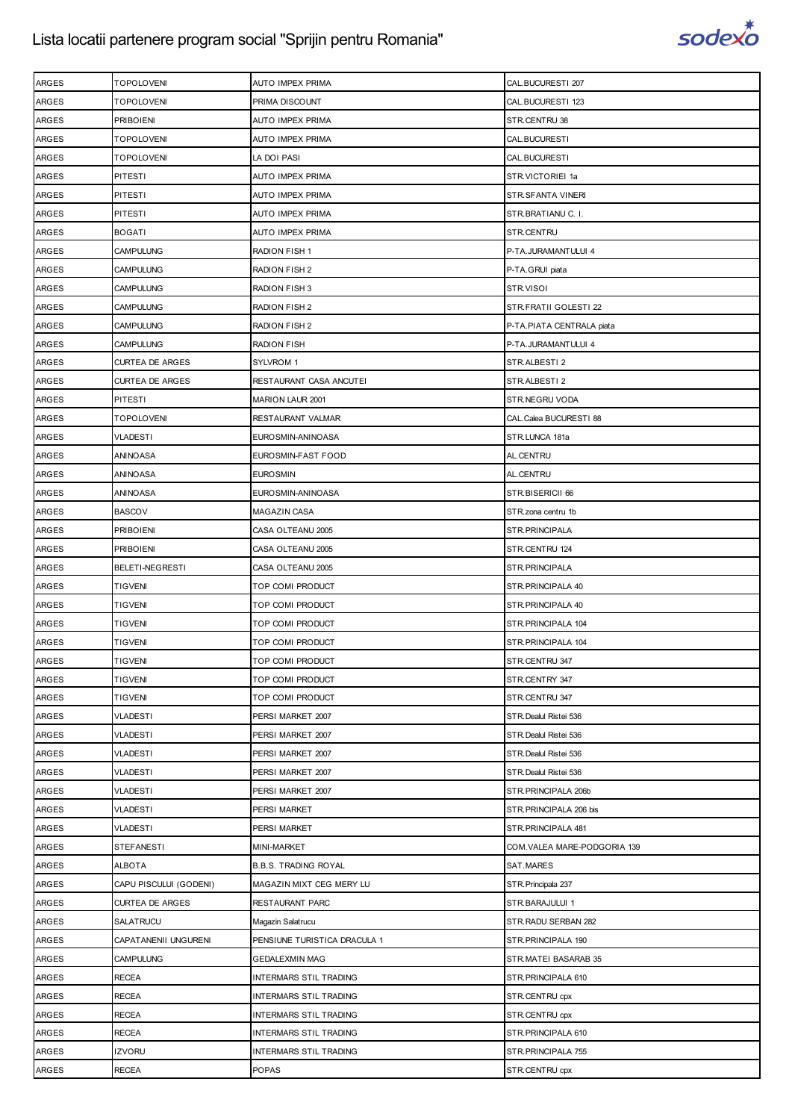

| <b>ARGES</b> | <b>TOPOLOVENI</b>      | AUTO IMPEX PRIMA             | CAL.BUCURESTI 207           |
|--------------|------------------------|------------------------------|-----------------------------|
| ARGES        | <b>TOPOLOVENI</b>      | PRIMA DISCOUNT               | CAL.BUCURESTI 123           |
| <b>ARGES</b> | <b>PRIBOIENI</b>       | AUTO IMPEX PRIMA             | STR.CENTRU 38               |
| ARGES        | <b>TOPOLOVENI</b>      | AUTO IMPEX PRIMA             | CAL.BUCURESTI               |
| ARGES        | <b>TOPOLOVENI</b>      | LA DOI PASI                  | CAL.BUCURESTI               |
| ARGES        | <b>PITESTI</b>         | AUTO IMPEX PRIMA             | STR.VICTORIEI 1a            |
| ARGES        | PITESTI                | AUTO IMPEX PRIMA             | STR.SFANTA VINERI           |
| ARGES        | PITESTI                | AUTO IMPEX PRIMA             | STR.BRATIANU C. I.          |
| ARGES        | <b>BOGATI</b>          | AUTO IMPEX PRIMA             | STR.CENTRU                  |
| <b>ARGES</b> | <b>CAMPULUNG</b>       | <b>RADION FISH 1</b>         | P-TA.JURAMANTULUI 4         |
| ARGES        | <b>CAMPULUNG</b>       | RADION FISH 2                | P-TA.GRUI piata             |
| ARGES        | <b>CAMPULUNG</b>       | RADION FISH 3                | STR.VISOI                   |
| ARGES        | CAMPULUNG              | RADION FISH 2                | STR.FRATII GOLESTI 22       |
| ARGES        | <b>CAMPULUNG</b>       | RADION FISH 2                | P-TA.PIATA CENTRALA piata   |
|              | CAMPULUNG              | RADION FISH                  | P-TA.JURAMANTULUI 4         |
| ARGES        |                        |                              |                             |
| ARGES        | <b>CURTEA DE ARGES</b> | SYLVROM 1                    | STR.ALBESTI2                |
| ARGES        | <b>CURTEA DE ARGES</b> | RESTAURANT CASA ANCUTEI      | STR.ALBESTI 2               |
| ARGES        | PITESTI                | <b>MARION LAUR 2001</b>      | STR.NEGRU VODA              |
| ARGES        | <b>TOPOLOVENI</b>      | RESTAURANT VALMAR            | CAL. Calea BUCURESTI 88     |
| ARGES        | VLADESTI               | EUROSMIN-ANINOASA            | STR.LUNCA 181a              |
| ARGES        | ANINOASA               | EUROSMIN-FAST FOOD           | AL.CENTRU                   |
| ARGES        | ANINOASA               | <b>EUROSMIN</b>              | AL.CENTRU                   |
| ARGES        | ANINOASA               | EUROSMIN-ANINOASA            | STR.BISERICII 66            |
| ARGES        | <b>BASCOV</b>          | MAGAZIN CASA                 | STR.zona centru 1b          |
| ARGES        | <b>PRIBOIENI</b>       | CASA OLTEANU 2005            | STR.PRINCIPALA              |
| ARGES        | <b>PRIBOIENI</b>       | CASA OLTEANU 2005            | STR.CENTRU 124              |
| ARGES        | BELETI-NEGRESTI        | CASA OLTEANU 2005            | STR.PRINCIPALA              |
| ARGES        | <b>TIGVENI</b>         | TOP COMI PRODUCT             | STR. PRINCIPALA 40          |
| ARGES        | <b>TIGVENI</b>         | TOP COMI PRODUCT             | STR. PRINCIPALA 40          |
| ARGES        | <b>TIGVENI</b>         | TOP COMI PRODUCT             | STR.PRINCIPALA 104          |
| ARGES        | <b>TIGVENI</b>         | TOP COMI PRODUCT             | STR. PRINCIPALA 104         |
| <b>ARGES</b> | <b>TIGVENI</b>         | TOP COMI PRODUCT             | STR.CENTRU 347              |
| ARGES        | <b>TIGVENI</b>         | TOP COMI PRODUCT             | STR.CENTRY 347              |
| ARGES        | <b>TIGVENI</b>         | TOP COMI PRODUCT             | STR.CENTRU 347              |
| <b>ARGES</b> | <b>VLADESTI</b>        | PERSI MARKET 2007            | STR. Dealul Ristei 536      |
| ARGES        | VLADESTI               | PERSI MARKET 2007            | STR. Dealul Ristei 536      |
| ARGES        | VLADESTI               | PERSI MARKET 2007            | STR. Dealul Ristei 536      |
| ARGES        | <b>VLADESTI</b>        | PERSI MARKET 2007            | STR. Dealul Ristei 536      |
| <b>ARGES</b> | VLADESTI               | PERSI MARKET 2007            | STR.PRINCIPALA 206b         |
| ARGES        | <b>VLADESTI</b>        | PERSI MARKET                 | STR.PRINCIPALA 206 bis      |
| <b>ARGES</b> | <b>VLADESTI</b>        | PERSI MARKET                 | STR. PRINCIPALA 481         |
| ARGES        | <b>STEFANESTI</b>      | MINI-MARKET                  | COM.VALEA MARE-PODGORIA 139 |
| ARGES        | <b>ALBOTA</b>          | <b>B.B.S. TRADING ROYAL</b>  | SAT.MARES                   |
| <b>ARGES</b> | CAPU PISCULUI (GODENI) | MAGAZIN MIXT CEG MERY LU     | STR. Principala 237         |
| ARGES        | <b>CURTEA DE ARGES</b> | RESTAURANT PARC              | STR.BARAJULUI 1             |
| ARGES        | SALATRUCU              | Magazin Salatrucu            | STR.RADU SERBAN 282         |
| <b>ARGES</b> | CAPATANENII UNGURENI   | PENSIUNE TURISTICA DRACULA 1 | STR. PRINCIPALA 190         |
| ARGES        | <b>CAMPULUNG</b>       | <b>GEDALEXMIN MAG</b>        | STR.MATEI BASARAB 35        |
| ARGES        | <b>RECEA</b>           | INTERMARS STIL TRADING       | STR. PRINCIPALA 610         |
| <b>ARGES</b> | <b>RECEA</b>           | INTERMARS STIL TRADING       | STR.CENTRU cpx              |
| ARGES        | <b>RECEA</b>           | INTERMARS STIL TRADING       | STR.CENTRU cpx              |
| ARGES        | <b>RECEA</b>           | INTERMARS STIL TRADING       | STR. PRINCIPALA 610         |
| <b>ARGES</b> | <b>IZVORU</b>          | INTERMARS STIL TRADING       | STR.PRINCIPALA 755          |
| ARGES        | <b>RECEA</b>           | POPAS                        | STR.CENTRU cpx              |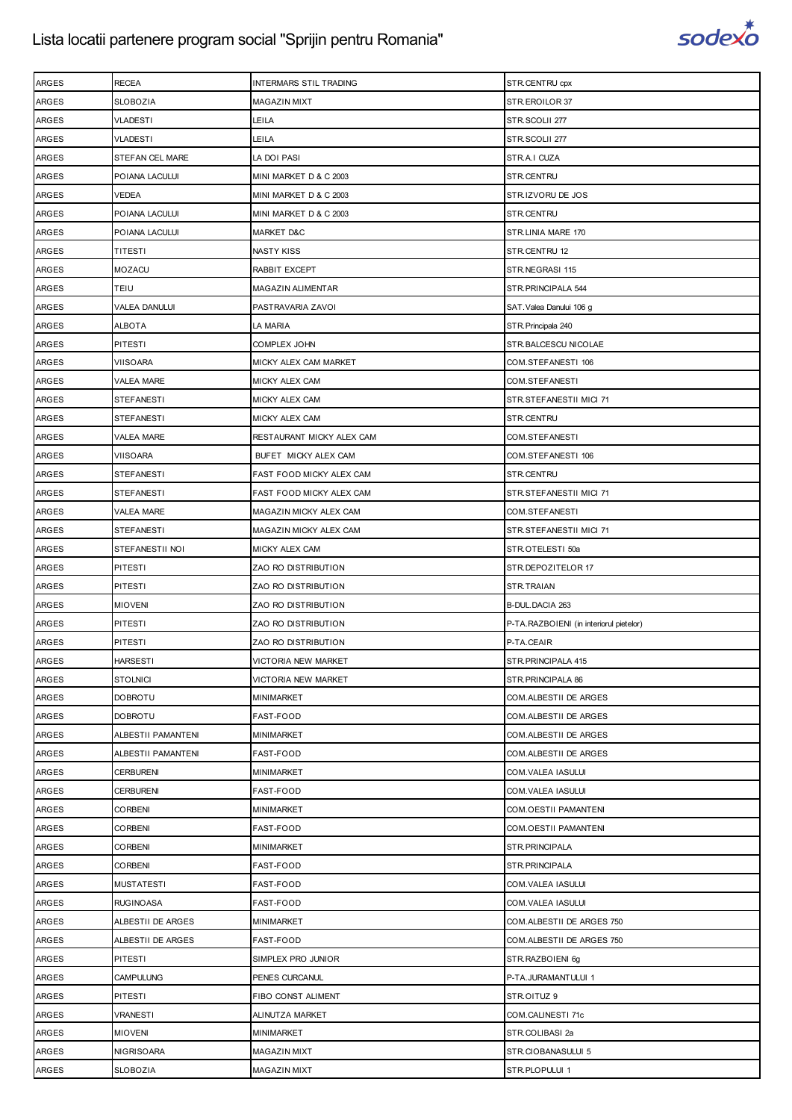

| <b>ARGES</b> | <b>RECEA</b>       | <b>INTERMARS STIL TRADING</b> | STR.CENTRU cpx                          |
|--------------|--------------------|-------------------------------|-----------------------------------------|
| <b>ARGES</b> | <b>SLOBOZIA</b>    | <b>MAGAZIN MIXT</b>           | STR.EROILOR 37                          |
| <b>ARGES</b> | <b>VLADESTI</b>    | LEILA                         | STR.SCOLII 277                          |
| <b>ARGES</b> | VLADESTI           | LEILA                         | STR.SCOLII 277                          |
| <b>ARGES</b> | STEFAN CEL MARE    | LA DOI PASI                   | STR.A.I CUZA                            |
| <b>ARGES</b> | POIANA LACULUI     | MINI MARKET D & C 2003        | STR.CENTRU                              |
| ARGES        | VEDEA              | MINI MARKET D & C 2003        | STR.IZVORU DE JOS                       |
| ARGES        | POIANA LACULUI     | MINI MARKET D & C 2003        | STR.CENTRU                              |
| <b>ARGES</b> | POIANA LACULUI     | MARKET D&C                    | STR.LINIA MARE 170                      |
| ARGES        | TITESTI            | NASTY KISS                    | STR.CENTRU 12                           |
| <b>ARGES</b> | <b>MOZACU</b>      | RABBIT EXCEPT                 | STR.NEGRASI 115                         |
| <b>ARGES</b> | TEIU               | MAGAZIN ALIMENTAR             | STR. PRINCIPALA 544                     |
| ARGES        | VALEA DANULUI      | PASTRAVARIA ZAVOI             | SAT.Valea Danului 106 g                 |
| <b>ARGES</b> | ALBOTA             | LA MARIA                      | STR. Principala 240                     |
| <b>ARGES</b> | <b>PITESTI</b>     | COMPLEX JOHN                  | STR.BALCESCU NICOLAE                    |
| ARGES        | VIISOARA           | MICKY ALEX CAM MARKET         | COM.STEFANESTI 106                      |
| <b>ARGES</b> | <b>VALEA MARE</b>  | MICKY ALEX CAM                | COM.STEFANESTI                          |
| <b>ARGES</b> | <b>STEFANESTI</b>  | MICKY ALEX CAM                | STR.STEFANESTII MICI 71                 |
| ARGES        | <b>STEFANESTI</b>  | MICKY ALEX CAM                | STR.CENTRU                              |
| <b>ARGES</b> | VALEA MARE         | RESTAURANT MICKY ALEX CAM     | COM.STEFANESTI                          |
| <b>ARGES</b> | <b>VIISOARA</b>    | BUFET MICKY ALEX CAM          | COM.STEFANESTI 106                      |
| <b>ARGES</b> | <b>STEFANESTI</b>  | FAST FOOD MICKY ALEX CAM      | STR.CENTRU                              |
| <b>ARGES</b> | <b>STEFANESTI</b>  | FAST FOOD MICKY ALEX CAM      | STR.STEFANESTII MICI 71                 |
| <b>ARGES</b> | <b>VALEA MARE</b>  | MAGAZIN MICKY ALEX CAM        | COM.STEFANESTI                          |
| ARGES        | <b>STEFANESTI</b>  | MAGAZIN MICKY ALEX CAM        | STR.STEFANESTII MICI 71                 |
| ARGES        | STEFANESTII NOI    | MICKY ALEX CAM                | STR.OTELESTI 50a                        |
| <b>ARGES</b> | PITESTI            | ZAO RO DISTRIBUTION           | STR.DEPOZITELOR 17                      |
| ARGES        | <b>PITESTI</b>     | ZAO RO DISTRIBUTION           | STR.TRAIAN                              |
| <b>ARGES</b> | <b>MIOVENI</b>     | ZAO RO DISTRIBUTION           | B-DUL.DACIA 263                         |
| ARGES        | PITESTI            | ZAO RO DISTRIBUTION           | P-TA.RAZBOIENI (in interiorul pietelor) |
| ARGES        | PITESTI            | ZAO RO DISTRIBUTION           | P-TA.CEAIR                              |
| <b>ARGES</b> | <b>HARSESTI</b>    | VICTORIA NEW MARKET           | STR. PRINCIPALA 415                     |
| <b>ARGES</b> | <b>STOLNICI</b>    | VICTORIA NEW MARKET           | STR. PRINCIPALA 86                      |
| ARGES        | DOBROTU            | MINIMARKET                    | COM.ALBESTII DE ARGES                   |
| <b>ARGES</b> | <b>DOBROTU</b>     | FAST-FOOD                     | COM.ALBESTII DE ARGES                   |
| <b>ARGES</b> | ALBESTII PAMANTENI | MINIMARKET                    | COM.ALBESTII DE ARGES                   |
| ARGES        | ALBESTII PAMANTENI | FAST-FOOD                     | COM.ALBESTII DE ARGES                   |
| <b>ARGES</b> | <b>CERBURENI</b>   | MINIMARKET                    | COM.VALEA IASULUI                       |
| <b>ARGES</b> | <b>CERBURENI</b>   | FAST-FOOD                     | COM.VALEA IASULUI                       |
| ARGES        | <b>CORBENI</b>     | MINIMARKET                    | COM.OESTII PAMANTENI                    |
| ARGES        | <b>CORBENI</b>     | FAST-FOOD                     | COM.OESTII PAMANTENI                    |
| <b>ARGES</b> | <b>CORBENI</b>     | MINIMARKET                    | STR. PRINCIPALA                         |
| ARGES        | CORBENI            | FAST-FOOD                     | STR.PRINCIPALA                          |
| ARGES        | <b>MUSTATESTI</b>  | FAST-FOOD                     | COM.VALEA IASULUI                       |
| <b>ARGES</b> | <b>RUGINOASA</b>   | FAST-FOOD                     | COM.VALEA IASULUI                       |
| ARGES        | ALBESTII DE ARGES  | MINIMARKET                    | COM.ALBESTII DE ARGES 750               |
| <b>ARGES</b> | ALBESTII DE ARGES  | FAST-FOOD                     | COM.ALBESTII DE ARGES 750               |
| <b>ARGES</b> | <b>PITESTI</b>     | SIMPLEX PRO JUNIOR            | STR.RAZBOIENI 6g                        |
| ARGES        | <b>CAMPULUNG</b>   | PENES CURCANUL                | P-TA.JURAMANTULUI 1                     |
| <b>ARGES</b> | <b>PITESTI</b>     | FIBO CONST ALIMENT            | STR.OITUZ 9                             |
| <b>ARGES</b> | VRANESTI           | ALINUTZA MARKET               | COM.CALINESTI 71c                       |
| ARGES        | <b>MIOVENI</b>     | MINIMARKET                    | STR.COLIBASI 2a                         |
| <b>ARGES</b> | <b>NIGRISOARA</b>  | <b>MAGAZIN MIXT</b>           | STR.CIOBANASULUI 5                      |
| ARGES        | <b>SLOBOZIA</b>    | MAGAZIN MIXT                  | STR.PLOPULUI 1                          |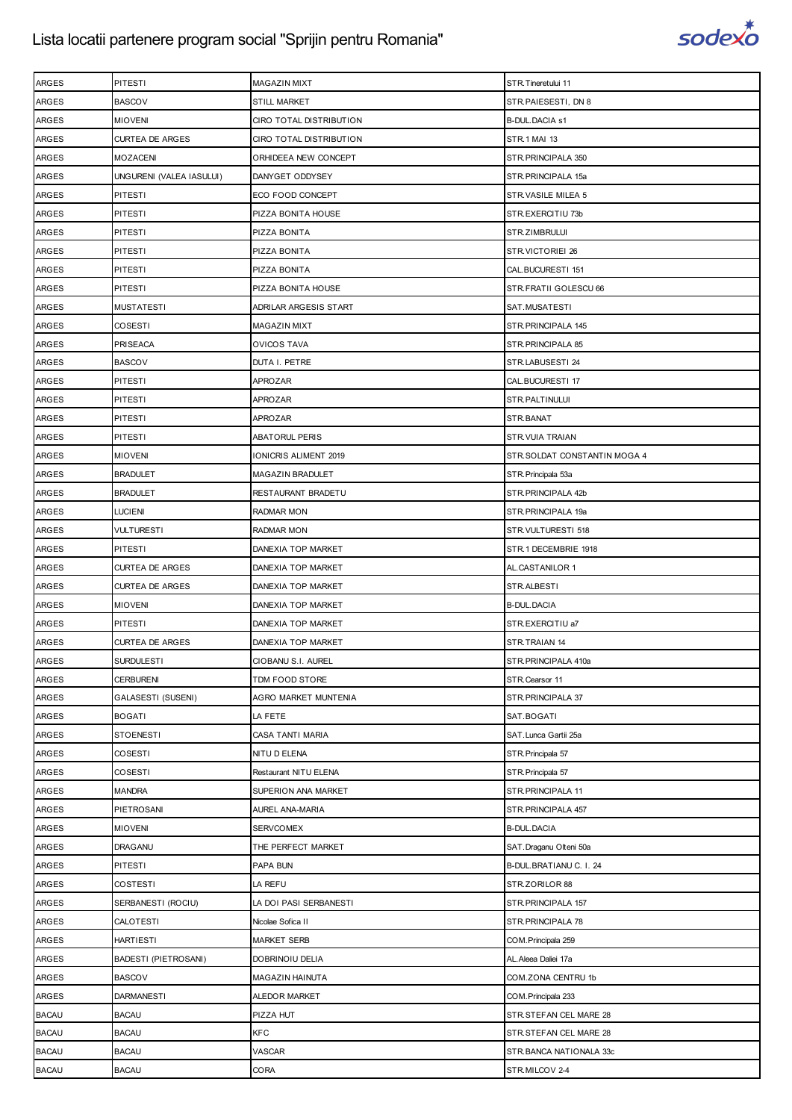

| <b>ARGES</b> | <b>PITESTI</b>           | MAGAZIN MIXT            | STR. Tineretului 11          |
|--------------|--------------------------|-------------------------|------------------------------|
| <b>ARGES</b> | <b>BASCOV</b>            | <b>STILL MARKET</b>     | STR.PAIESESTI, DN 8          |
| <b>ARGES</b> | <b>MIOVENI</b>           | CIRO TOTAL DISTRIBUTION | <b>B-DUL.DACIA s1</b>        |
| <b>ARGES</b> | <b>CURTEA DE ARGES</b>   | CIRO TOTAL DISTRIBUTION | STR.1 MAI 13                 |
| <b>ARGES</b> | <b>MOZACENI</b>          | ORHIDEEA NEW CONCEPT    | STR. PRINCIPALA 350          |
| <b>ARGES</b> | UNGURENI (VALEA IASULUI) | DANYGET ODDYSEY         | STR.PRINCIPALA 15a           |
| <b>ARGES</b> | <b>PITESTI</b>           | ECO FOOD CONCEPT        | STR. VASILE MILEA 5          |
| <b>ARGES</b> | <b>PITESTI</b>           | PIZZA BONITA HOUSE      | STR.EXERCITIU 73b            |
| <b>ARGES</b> | PITESTI                  | PIZZA BONITA            | STR.ZIMBRULUI                |
| ARGES        | <b>PITESTI</b>           | PIZZA BONITA            | STR.VICTORIEI 26             |
| <b>ARGES</b> | <b>PITESTI</b>           | PIZZA BONITA            | CAL.BUCURESTI 151            |
| <b>ARGES</b> | <b>PITESTI</b>           | PIZZA BONITA HOUSE      | STR.FRATII GOLESCU 66        |
| ARGES        | <b>MUSTATESTI</b>        | ADRILAR ARGESIS START   | SAT.MUSATESTI                |
| <b>ARGES</b> | <b>COSESTI</b>           | <b>MAGAZIN MIXT</b>     | STR. PRINCIPALA 145          |
| <b>ARGES</b> | <b>PRISEACA</b>          | <b>OVICOS TAVA</b>      | STR. PRINCIPALA 85           |
| <b>ARGES</b> | <b>BASCOV</b>            | DUTA I. PETRE           | STR.LABUSESTI 24             |
| <b>ARGES</b> | <b>PITESTI</b>           | APROZAR                 | CAL.BUCURESTI 17             |
| <b>ARGES</b> | <b>PITESTI</b>           | APROZAR                 | STR.PALTINULUI               |
| ARGES        | PITESTI                  | APROZAR                 | STR.BANAT                    |
| <b>ARGES</b> | <b>PITESTI</b>           | <b>ABATORUL PERIS</b>   | STR. VUIA TRAIAN             |
| <b>ARGES</b> | <b>MIOVENI</b>           | IONICRIS ALIMENT 2019   | STR.SOLDAT CONSTANTIN MOGA 4 |
| <b>ARGES</b> | <b>BRADULET</b>          | MAGAZIN BRADULET        | STR. Principala 53a          |
| <b>ARGES</b> | <b>BRADULET</b>          | RESTAURANT BRADETU      | STR. PRINCIPALA 42b          |
| <b>ARGES</b> | LUCIENI                  | <b>RADMAR MON</b>       | STR.PRINCIPALA 19a           |
| <b>ARGES</b> | <b>VULTURESTI</b>        | RADMAR MON              | STR.VULTURESTI 518           |
| <b>ARGES</b> | <b>PITESTI</b>           | DANEXIA TOP MARKET      | STR.1 DECEMBRIE 1918         |
| <b>ARGES</b> | <b>CURTEA DE ARGES</b>   | DANEXIA TOP MARKET      | AL.CASTANILOR 1              |
| <b>ARGES</b> | <b>CURTEA DE ARGES</b>   | DANEXIA TOP MARKET      | STR.ALBESTI                  |
| <b>ARGES</b> | <b>MIOVENI</b>           | DANEXIA TOP MARKET      | <b>B-DUL.DACIA</b>           |
| ARGES        | PITESTI                  | DANEXIA TOP MARKET      | STR.EXERCITIU a7             |
| <b>ARGES</b> | <b>CURTEA DE ARGES</b>   | DANEXIA TOP MARKET      | STR.TRAIAN 14                |
| <b>ARGES</b> | <b>SURDULESTI</b>        | CIOBANU S.I. AUREL      | STR.PRINCIPALA 410a          |
| <b>ARGES</b> | <b>CERBURENI</b>         | TDM FOOD STORE          | STR.Cearsor 11               |
| <b>ARGES</b> | GALASESTI (SUSENI)       | AGRO MARKET MUNTENIA    | STR. PRINCIPALA 37           |
| ARGES        | <b>BOGATI</b>            | LA FETE                 | SAT.BOGATI                   |
| ARGES        | <b>STOENESTI</b>         | CASA TANTI MARIA        | SAT.Lunca Gartii 25a         |
| ARGES        | COSESTI                  | NITU D ELENA            | STR. Principala 57           |
| <b>ARGES</b> | COSESTI                  | Restaurant NITU ELENA   | STR. Principala 57           |
| <b>ARGES</b> | <b>MANDRA</b>            | SUPERION ANA MARKET     | STR. PRINCIPALA 11           |
| <b>ARGES</b> | PIETROSANI               | AUREL ANA-MARIA         | STR. PRINCIPALA 457          |
| <b>ARGES</b> | <b>MIOVENI</b>           | <b>SERVCOMEX</b>        | <b>B-DUL.DACIA</b>           |
| <b>ARGES</b> | DRAGANU                  | THE PERFECT MARKET      | SAT.Draganu Olteni 50a       |
| ARGES        | <b>PITESTI</b>           | PAPA BUN                | B-DUL.BRATIANU C. I. 24      |
| ARGES        | <b>COSTESTI</b>          | LA REFU                 | STR.ZORILOR 88               |
| <b>ARGES</b> | SERBANESTI (ROCIU)       | LA DOI PASI SERBANESTI  | STR. PRINCIPALA 157          |
| <b>ARGES</b> | CALOTESTI                | Nicolae Sofica II       | STR.PRINCIPALA 78            |
| <b>ARGES</b> | <b>HARTIESTI</b>         | <b>MARKET SERB</b>      | COM. Principala 259          |
| <b>ARGES</b> | BADESTI (PIETROSANI)     | DOBRINOIU DELIA         | AL.Aleea Daliei 17a          |
| <b>ARGES</b> | <b>BASCOV</b>            | MAGAZIN HAINUTA         | COM.ZONA CENTRU 1b           |
| ARGES        | <b>DARMANESTI</b>        | ALEDOR MARKET           | COM. Principala 233          |
| <b>BACAU</b> | <b>BACAU</b>             | PIZZA HUT               | STR.STEFAN CEL MARE 28       |
| <b>BACAU</b> | <b>BACAU</b>             | KFC                     | STR.STEFAN CEL MARE 28       |
| <b>BACAU</b> | <b>BACAU</b>             | VASCAR                  | STR. BANCA NATIONALA 33c     |
| <b>BACAU</b> | <b>BACAU</b>             | CORA                    | STR.MILCOV 2-4               |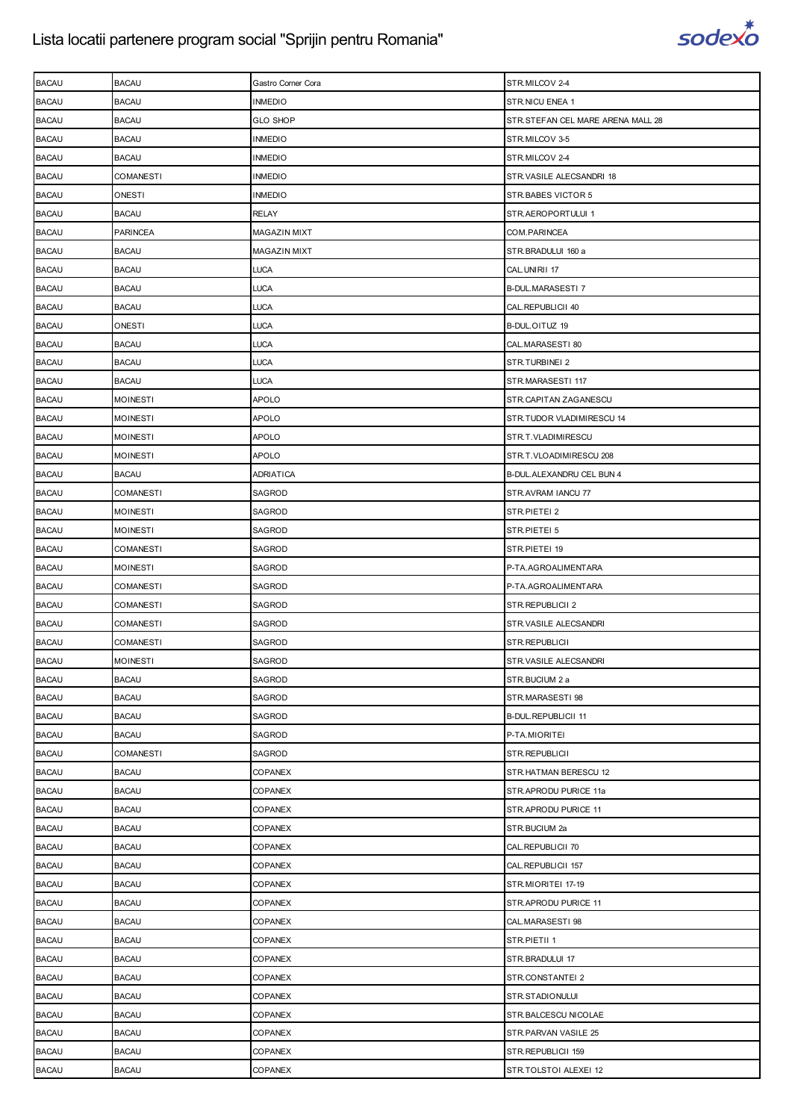

| <b>BACAU</b> | <b>BACAU</b>     | Gastro Corner Cora  | STR.MILCOV 2-4                    |
|--------------|------------------|---------------------|-----------------------------------|
| <b>BACAU</b> | <b>BACAU</b>     | <b>INMEDIO</b>      | STR.NICU ENEA 1                   |
| <b>BACAU</b> | <b>BACAU</b>     | <b>GLO SHOP</b>     | STR.STEFAN CEL MARE ARENA MALL 28 |
| <b>BACAU</b> | <b>BACAU</b>     | INMEDIO             | STR.MILCOV 3-5                    |
| <b>BACAU</b> | <b>BACAU</b>     | <b>INMEDIO</b>      | STR.MILCOV 2-4                    |
| <b>BACAU</b> | <b>COMANESTI</b> | <b>INMEDIO</b>      | STR.VASILE ALECSANDRI 18          |
| <b>BACAU</b> | ONESTI           | INMEDIO             | STR.BABES VICTOR 5                |
| <b>BACAU</b> | <b>BACAU</b>     | <b>RELAY</b>        | STR.AEROPORTULUI 1                |
| <b>BACAU</b> | <b>PARINCEA</b>  | <b>MAGAZIN MIXT</b> | COM. PARINCEA                     |
| <b>BACAU</b> | <b>BACAU</b>     | <b>MAGAZIN MIXT</b> | STR.BRADULUI 160 a                |
| <b>BACAU</b> | <b>BACAU</b>     | <b>LUCA</b>         | CAL.UNIRII 17                     |
| <b>BACAU</b> | <b>BACAU</b>     | <b>LUCA</b>         | <b>B-DUL.MARASESTI7</b>           |
| <b>BACAU</b> | <b>BACAU</b>     | <b>LUCA</b>         | CAL. REPUBLICII 40                |
| <b>BACAU</b> | ONESTI           | <b>LUCA</b>         | B-DUL.OITUZ 19                    |
| <b>BACAU</b> | <b>BACAU</b>     | <b>LUCA</b>         | CAL.MARASESTI 80                  |
| <b>BACAU</b> | <b>BACAU</b>     | <b>LUCA</b>         | STR.TURBINEI 2                    |
| <b>BACAU</b> | <b>BACAU</b>     | <b>LUCA</b>         | STR.MARASESTI 117                 |
| <b>BACAU</b> | <b>MOINESTI</b>  | <b>APOLO</b>        | STR.CAPITAN ZAGANESCU             |
| <b>BACAU</b> | MOINESTI         | APOLO               | STR.TUDOR VLADIMIRESCU 14         |
| <b>BACAU</b> | <b>MOINESTI</b>  | <b>APOLO</b>        | STR.T.VLADIMIRESCU                |
| <b>BACAU</b> | <b>MOINESTI</b>  | APOLO               | STR.T.VLOADIMIRESCU 208           |
| <b>BACAU</b> | <b>BACAU</b>     | ADRIATICA           | B-DUL. ALEXANDRU CEL BUN 4        |
| <b>BACAU</b> | <b>COMANESTI</b> | SAGROD              | STR.AVRAM IANCU 77                |
| <b>BACAU</b> | <b>MOINESTI</b>  | SAGROD              | STR.PIETEI 2                      |
| <b>BACAU</b> | MOINESTI         | SAGROD              | STR.PIETEI 5                      |
| <b>BACAU</b> | <b>COMANESTI</b> | SAGROD              | STR.PIETEI 19                     |
| <b>BACAU</b> | <b>MOINESTI</b>  | SAGROD              | P-TA.AGROALIMENTARA               |
| <b>BACAU</b> | COMANESTI        | SAGROD              | P-TA.AGROALIMENTARA               |
| <b>BACAU</b> | <b>COMANESTI</b> | SAGROD              | STR.REPUBLICII 2                  |
| <b>BACAU</b> | <b>COMANESTI</b> | SAGROD              | STR. VASILE ALECSANDRI            |
| <b>BACAU</b> | COMANESTI        | SAGROD              | STR.REPUBLICII                    |
| <b>BACAU</b> | <b>MOINESTI</b>  | SAGROD              | STR.VASILE ALECSANDRI             |
| <b>BACAU</b> | <b>BACAU</b>     | SAGROD              | STR.BUCIUM 2 a                    |
| <b>BACAU</b> | <b>BACAU</b>     | SAGROD              | STR.MARASESTI 98                  |
| <b>BACAU</b> | <b>BACAU</b>     | SAGROD              | <b>B-DUL.REPUBLICII 11</b>        |
| <b>BACAU</b> | <b>BACAU</b>     | SAGROD              | P-TA.MIORITEI                     |
| <b>BACAU</b> | <b>COMANESTI</b> | SAGROD              | STR.REPUBLICII                    |
| <b>BACAU</b> | <b>BACAU</b>     | COPANEX             | STR.HATMAN BERESCU 12             |
| <b>BACAU</b> | <b>BACAU</b>     | COPANEX             | STR.APRODU PURICE 11a             |
| <b>BACAU</b> | <b>BACAU</b>     | COPANEX             | STR.APRODU PURICE 11              |
| <b>BACAU</b> | <b>BACAU</b>     | COPANEX             | STR.BUCIUM 2a                     |
| <b>BACAU</b> | <b>BACAU</b>     | COPANEX             | CAL.REPUBLICII 70                 |
| <b>BACAU</b> | <b>BACAU</b>     | COPANEX             | CAL.REPUBLICII 157                |
| <b>BACAU</b> | <b>BACAU</b>     | COPANEX             | STR.MIORITEI 17-19                |
| <b>BACAU</b> | <b>BACAU</b>     | COPANEX             | STR.APRODU PURICE 11              |
| <b>BACAU</b> | <b>BACAU</b>     | COPANEX             | CAL MARASESTI 98                  |
| <b>BACAU</b> | <b>BACAU</b>     | COPANEX             | STR.PIETII 1                      |
| <b>BACAU</b> | <b>BACAU</b>     | COPANEX             | STR.BRADULUI 17                   |
| <b>BACAU</b> | <b>BACAU</b>     | COPANEX             | STR.CONSTANTEI 2                  |
| <b>BACAU</b> | <b>BACAU</b>     | COPANEX             | STR.STADIONULUI                   |
| <b>BACAU</b> | <b>BACAU</b>     | COPANEX             | STR.BALCESCU NICOLAE              |
| <b>BACAU</b> | <b>BACAU</b>     | COPANEX             | STR. PARVAN VASILE 25             |
| <b>BACAU</b> | <b>BACAU</b>     | COPANEX             | STR.REPUBLICII 159                |
| <b>BACAU</b> | <b>BACAU</b>     | COPANEX             | STR.TOLSTOI ALEXEI 12             |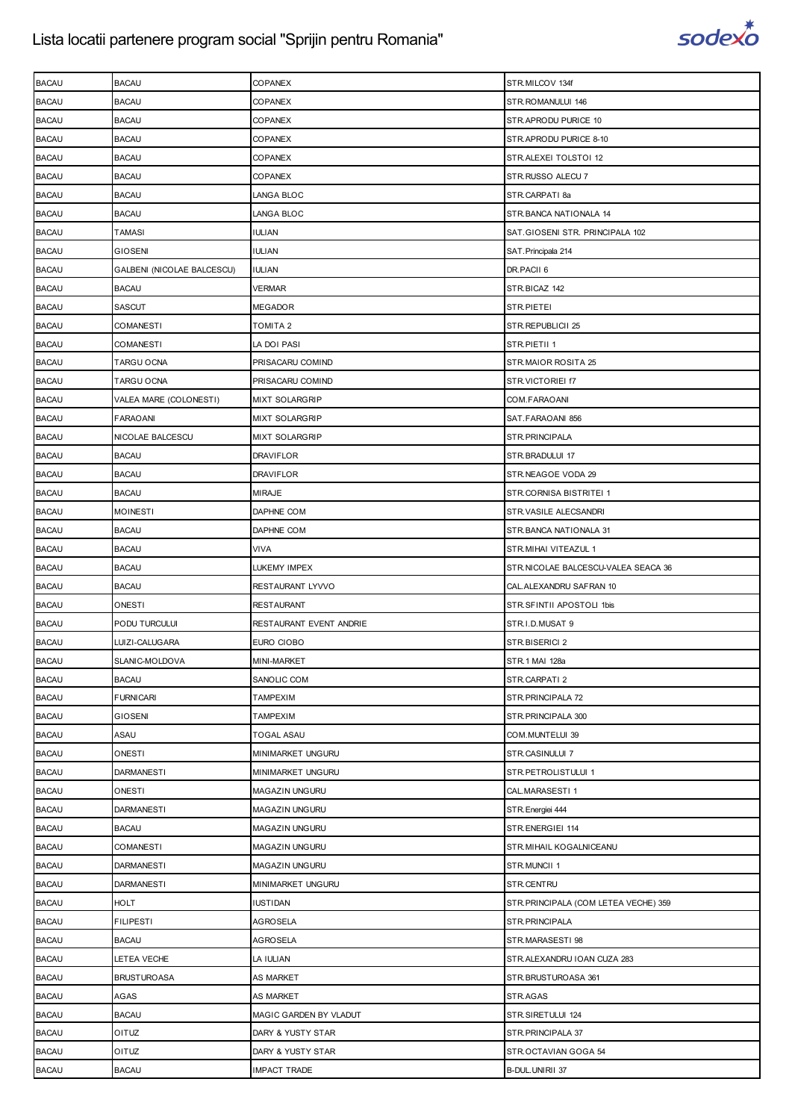

| <b>BACAU</b> | <b>BACAU</b>               | COPANEX                 | STR.MILCOV 134f                      |
|--------------|----------------------------|-------------------------|--------------------------------------|
| <b>BACAU</b> | <b>BACAU</b>               | COPANEX                 | STR.ROMANULUI 146                    |
| <b>BACAU</b> | <b>BACAU</b>               | COPANEX                 | STR.APRODU PURICE 10                 |
| <b>BACAU</b> | <b>BACAU</b>               | COPANEX                 | STR.APRODU PURICE 8-10               |
| <b>BACAU</b> | <b>BACAU</b>               | <b>COPANEX</b>          | STR.ALEXEI TOLSTOI 12                |
| <b>BACAU</b> | <b>BACAU</b>               | COPANEX                 | STR.RUSSO ALECU 7                    |
| <b>BACAU</b> | BACAU                      | LANGA BLOC              | STR.CARPATI 8a                       |
| <b>BACAU</b> | <b>BACAU</b>               | LANGA BLOC              | STR. BANCA NATIONALA 14              |
| <b>BACAU</b> | TAMASI                     | IULIAN                  | SAT.GIOSENI STR. PRINCIPALA 102      |
| <b>BACAU</b> | GIOSENI                    | IULIAN                  | SAT. Principala 214                  |
| <b>BACAU</b> | GALBENI (NICOLAE BALCESCU) | <b>IULIAN</b>           | DR.PACII 6                           |
| <b>BACAU</b> | <b>BACAU</b>               | VERMAR                  | STR.BICAZ 142                        |
| <b>BACAU</b> | SASCUT                     | MEGADOR                 | STR.PIETEI                           |
| <b>BACAU</b> | COMANESTI                  | TOMITA 2                | STR.REPUBLICII 25                    |
| <b>BACAU</b> | COMANESTI                  | LA DOI PASI             | STR.PIETII 1                         |
| <b>BACAU</b> | TARGU OCNA                 | PRISACARU COMIND        | STR.MAIOR ROSITA 25                  |
| <b>BACAU</b> | TARGU OCNA                 | PRISACARU COMIND        | STR.VICTORIEI f7                     |
| <b>BACAU</b> | VALEA MARE (COLONESTI)     | MIXT SOLARGRIP          | COM.FARAOANI                         |
| <b>BACAU</b> | <b>FARAOANI</b>            | <b>MIXT SOLARGRIP</b>   | SAT.FARAOANI 856                     |
| <b>BACAU</b> | NICOLAE BALCESCU           | MIXT SOLARGRIP          | STR. PRINCIPALA                      |
| <b>BACAU</b> | <b>BACAU</b>               | <b>DRAVIFLOR</b>        | STR.BRADULUI 17                      |
| <b>BACAU</b> | <b>BACAU</b>               | DRAVIFLOR               | STR.NEAGOE VODA 29                   |
| <b>BACAU</b> | <b>BACAU</b>               | <b>MIRAJE</b>           | STR.CORNISA BISTRITEI 1              |
| <b>BACAU</b> | <b>MOINESTI</b>            | DAPHNE COM              | STR.VASILE ALECSANDRI                |
| <b>BACAU</b> | BACAU                      | DAPHNE COM              | STR. BANCA NATIONALA 31              |
| <b>BACAU</b> | <b>BACAU</b>               | VIVA                    | STR. MIHAI VITEAZUL 1                |
| <b>BACAU</b> | <b>BACAU</b>               | LUKEMY IMPEX            | STR.NICOLAE BALCESCU-VALEA SEACA 36  |
| <b>BACAU</b> | <b>BACAU</b>               | RESTAURANT LYVVO        | CAL. ALEXANDRU SAFRAN 10             |
| <b>BACAU</b> | ONESTI                     | RESTAURANT              | STR.SFINTII APOSTOLI 1bis            |
| <b>BACAU</b> | PODU TURCULUI              | RESTAURANT EVENT ANDRIE | STR.I.D.MUSAT 9                      |
| <b>BACAU</b> | LUIZI-CALUGARA             | EURO CIOBO              | STR.BISERICI 2                       |
| <b>BACAU</b> | SLANIC-MOLDOVA             | MINI-MARKET             | STR.1 MAI 128a                       |
| <b>BACAU</b> | <b>BACAU</b>               | SANOLIC COM             | STR.CARPATI 2                        |
| <b>BACAU</b> | <b>FURNICARI</b>           | TAMPEXIM                | STR.PRINCIPALA 72                    |
| <b>BACAU</b> | <b>GIOSENI</b>             | TAMPEXIM                | STR. PRINCIPALA 300                  |
| <b>BACAU</b> | ASAU                       | TOGAL ASAU              | COM.MUNTELUI 39                      |
| <b>BACAU</b> | ONESTI                     | MINIMARKET UNGURU       | STR.CASINULUI 7                      |
| <b>BACAU</b> | <b>DARMANESTI</b>          | MINIMARKET UNGURU       | STR.PETROLISTULUI 1                  |
| <b>BACAU</b> | ONESTI                     | MAGAZIN UNGURU          | CAL.MARASESTI 1                      |
| <b>BACAU</b> | <b>DARMANESTI</b>          | MAGAZIN UNGURU          | STR. Energiei 444                    |
| <b>BACAU</b> | <b>BACAU</b>               | MAGAZIN UNGURU          | STR.ENERGIEI 114                     |
| <b>BACAU</b> | <b>COMANESTI</b>           | MAGAZIN UNGURU          | STR. MIHAIL KOGALNICEANU             |
| <b>BACAU</b> | <b>DARMANESTI</b>          | MAGAZIN UNGURU          | STR.MUNCII 1                         |
| <b>BACAU</b> | <b>DARMANESTI</b>          | MINIMARKET UNGURU       | STR.CENTRU                           |
| <b>BACAU</b> | <b>HOLT</b>                | IUSTIDAN                | STR.PRINCIPALA (COM LETEA VECHE) 359 |
| <b>BACAU</b> | FILIPESTI                  | AGROSELA                | STR.PRINCIPALA                       |
| <b>BACAU</b> | <b>BACAU</b>               | AGROSELA                | STR.MARASESTI 98                     |
| <b>BACAU</b> | LETEA VECHE                | LA IULIAN               | STR.ALEXANDRU IOAN CUZA 283          |
| <b>BACAU</b> | <b>BRUSTUROASA</b>         | AS MARKET               | STR.BRUSTUROASA 361                  |
| <b>BACAU</b> | AGAS                       | AS MARKET               | STR.AGAS                             |
| <b>BACAU</b> | <b>BACAU</b>               | MAGIC GARDEN BY VLADUT  | STR.SIRETULUI 124                    |
| <b>BACAU</b> | OITUZ                      | DARY & YUSTY STAR       | STR.PRINCIPALA 37                    |
| <b>BACAU</b> | OITUZ                      | DARY & YUSTY STAR       | STR.OCTAVIAN GOGA 54                 |
| <b>BACAU</b> | <b>BACAU</b>               | IMPACT TRADE            | B-DUL.UNIRII 37                      |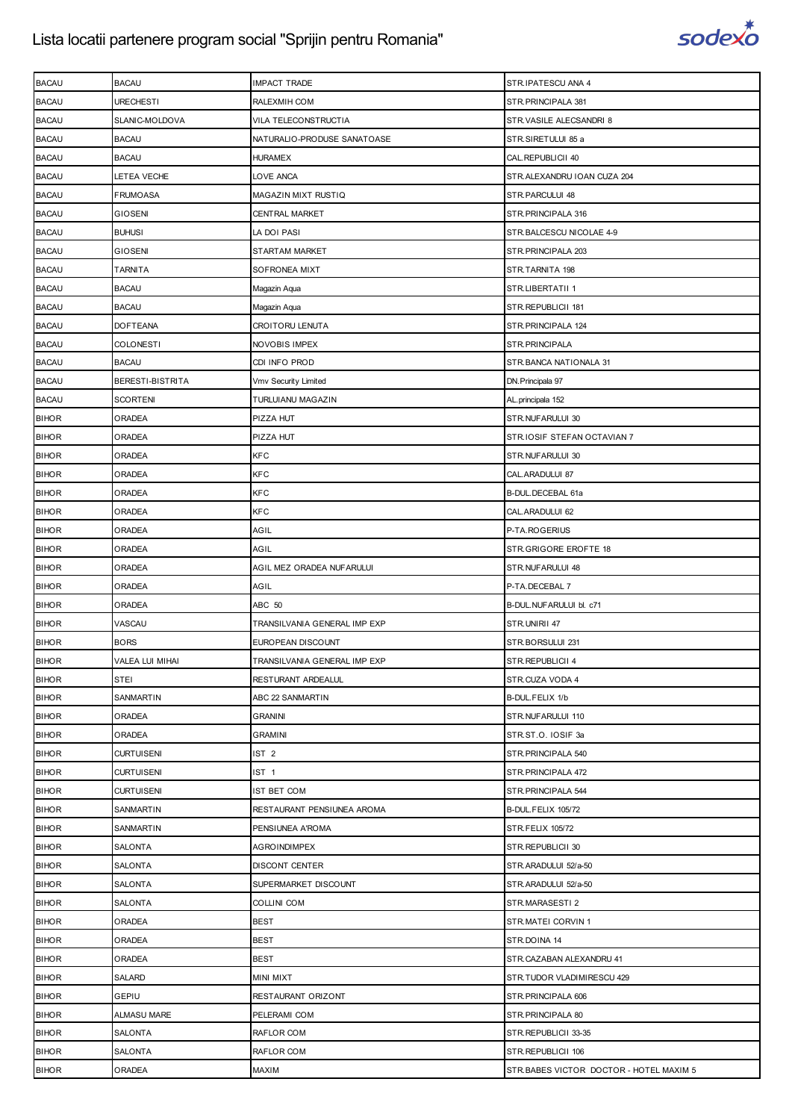

| <b>BACAU</b> | <b>BACAU</b>            | <b>IMPACT TRADE</b>          | STR.IPATESCU ANA 4                      |
|--------------|-------------------------|------------------------------|-----------------------------------------|
| <b>BACAU</b> | URECHESTI               | RALEXMIH COM                 | STR. PRINCIPALA 381                     |
| <b>BACAU</b> | SLANIC-MOLDOVA          | VILA TELECONSTRUCTIA         | STR.VASILE ALECSANDRI 8                 |
| <b>BACAU</b> | <b>BACAU</b>            | NATURALIO-PRODUSE SANATOASE  | STR.SIRETULUI 85 a                      |
| <b>BACAU</b> | <b>BACAU</b>            | <b>HURAMEX</b>               | CAL.REPUBLICII 40                       |
| <b>BACAU</b> | LETEA VECHE             | LOVE ANCA                    | STR.ALEXANDRU IOAN CUZA 204             |
| <b>BACAU</b> | FRUMOASA                | MAGAZIN MIXT RUSTIQ          | STR.PARCULUI 48                         |
| <b>BACAU</b> | <b>GIOSENI</b>          | CENTRAL MARKET               | STR. PRINCIPALA 316                     |
| <b>BACAU</b> | <b>BUHUSI</b>           | LA DOI PASI                  | STR.BALCESCU NICOLAE 4-9                |
| <b>BACAU</b> | <b>GIOSENI</b>          | STARTAM MARKET               | STR.PRINCIPALA 203                      |
| <b>BACAU</b> | <b>TARNITA</b>          | SOFRONEA MIXT                | STR.TARNITA 198                         |
| <b>BACAU</b> | <b>BACAU</b>            | Magazin Aqua                 | STR.LIBERTATII 1                        |
| <b>BACAU</b> | <b>BACAU</b>            | Magazin Aqua                 | STR.REPUBLICII 181                      |
| <b>BACAU</b> | <b>DOFTEANA</b>         | CROITORU LENUTA              | STR. PRINCIPALA 124                     |
| <b>BACAU</b> | <b>COLONESTI</b>        | <b>NOVOBIS IMPEX</b>         | STR. PRINCIPALA                         |
| <b>BACAU</b> | <b>BACAU</b>            | CDI INFO PROD                | STR.BANCA NATIONALA 31                  |
| <b>BACAU</b> | <b>BERESTI-BISTRITA</b> | Vmv Security Limited         | DN. Principala 97                       |
| <b>BACAU</b> | <b>SCORTENI</b>         | TURLUIANU MAGAZIN            | AL.principala 152                       |
| <b>BIHOR</b> | ORADEA                  | PIZZA HUT                    | STR.NUFARULUI 30                        |
| <b>BIHOR</b> | ORADEA                  | PIZZA HUT                    | STR.IOSIF STEFAN OCTAVIAN 7             |
| <b>BIHOR</b> | ORADEA                  | KFC                          | STR.NUFARULUI 30                        |
| <b>BIHOR</b> | ORADEA                  | KFC                          | CAL. ARADULUI 87                        |
| <b>BIHOR</b> | ORADEA                  | KFC                          | B-DUL.DECEBAL 61a                       |
| <b>BIHOR</b> | ORADEA                  | KFC                          | CAL. ARADULUI 62                        |
| <b>BIHOR</b> | ORADEA                  | AGIL                         | P-TA.ROGERIUS                           |
| <b>BIHOR</b> | ORADEA                  | AGIL                         | STR.GRIGORE EROFTE 18                   |
| <b>BIHOR</b> | ORADEA                  | AGIL MEZ ORADEA NUFARULUI    | STR.NUFARULUI 48                        |
| <b>BIHOR</b> | ORADEA                  | AGIL                         | P-TA.DECEBAL 7                          |
| <b>BIHOR</b> | ORADEA                  | ABC 50                       | B-DUL.NUFARULUI bl. c71                 |
| <b>BIHOR</b> | VASCAU                  | TRANSILVANIA GENERAL IMP EXP | STR.UNIRII 47                           |
| <b>BIHOR</b> | <b>BORS</b>             | EUROPEAN DISCOUNT            | STR.BORSULUI 231                        |
| <b>BIHOR</b> | VALEA LUI MIHAI         | TRANSILVANIA GENERAL IMP EXP | STR.REPUBLICII 4                        |
| <b>BIHOR</b> | <b>STEI</b>             | RESTURANT ARDEALUL           | STR.CUZA VODA 4                         |
| <b>BIHOR</b> | SANMARTIN               | ABC 22 SANMARTIN             | B-DUL.FELIX 1/b                         |
| <b>BIHOR</b> | <b>ORADEA</b>           | <b>GRANINI</b>               | STR.NUFARULUI 110                       |
| <b>BIHOR</b> | ORADEA                  | <b>GRAMINI</b>               | STR.ST.O. IOSIF 3a                      |
| <b>BIHOR</b> | <b>CURTUISENI</b>       | IST <sub>2</sub>             | STR. PRINCIPALA 540                     |
| <b>BIHOR</b> | <b>CURTUISENI</b>       | IST <sub>1</sub>             | STR. PRINCIPALA 472                     |
| <b>BIHOR</b> | <b>CURTUISENI</b>       | IST BET COM                  | STR.PRINCIPALA 544                      |
| <b>BIHOR</b> | SANMARTIN               | RESTAURANT PENSIUNEA AROMA   | B-DUL.FELIX 105/72                      |
| <b>BIHOR</b> | SANMARTIN               | PENSIUNEA A'ROMA             | STR.FELIX 105/72                        |
| <b>BIHOR</b> | SALONTA                 | <b>AGROINDIMPEX</b>          | STR.REPUBLICII 30                       |
| <b>BIHOR</b> | <b>SALONTA</b>          | DISCONT CENTER               | STR.ARADULUI 52/a-50                    |
| <b>BIHOR</b> | <b>SALONTA</b>          | SUPERMARKET DISCOUNT         | STR.ARADULUI 52/a-50                    |
| <b>BIHOR</b> | SALONTA                 | <b>COLLINI COM</b>           | STR.MARASESTI 2                         |
| <b>BIHOR</b> | ORADEA                  | <b>BEST</b>                  | STR.MATEI CORVIN 1                      |
| <b>BIHOR</b> | ORADEA                  | <b>BEST</b>                  | STR.DOINA 14                            |
| <b>BIHOR</b> | ORADEA                  | BEST                         | STR.CAZABAN ALEXANDRU 41                |
| <b>BIHOR</b> | SALARD                  | MINI MIXT                    | STR.TUDOR VLADIMIRESCU 429              |
| <b>BIHOR</b> | GEPIU                   | RESTAURANT ORIZONT           | STR. PRINCIPALA 606                     |
| <b>BIHOR</b> | <b>ALMASU MARE</b>      | PELERAMI COM                 | STR. PRINCIPALA 80                      |
| <b>BIHOR</b> | SALONTA                 | RAFLOR COM                   | STR.REPUBLICII 33-35                    |
| <b>BIHOR</b> | <b>SALONTA</b>          | RAFLOR COM                   | STR.REPUBLICII 106                      |
| <b>BIHOR</b> | ORADEA                  | MAXIM                        | STR.BABES VICTOR DOCTOR - HOTEL MAXIM 5 |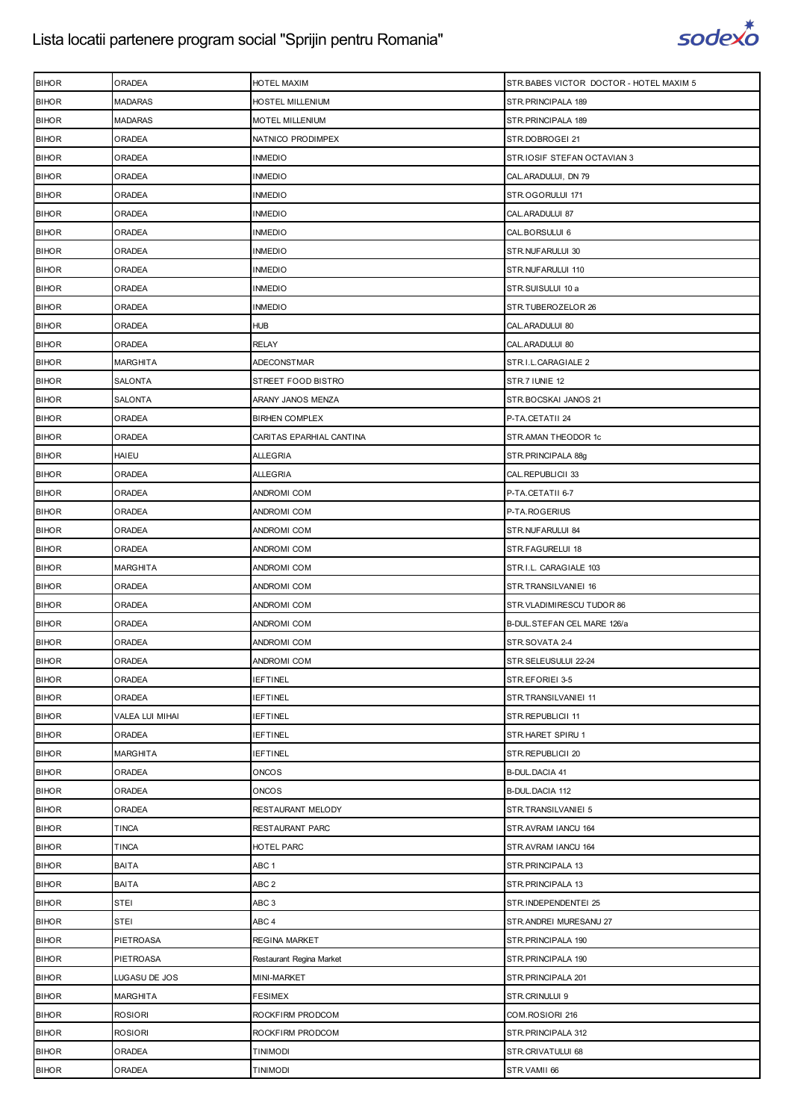

| <b>BIHOR</b> | ORADEA           | HOTEL MAXIM              | STR.BABES VICTOR DOCTOR - HOTEL MAXIM 5 |
|--------------|------------------|--------------------------|-----------------------------------------|
| <b>BIHOR</b> | <b>MADARAS</b>   | HOSTEL MILLENIUM         | STR. PRINCIPALA 189                     |
| <b>BIHOR</b> | <b>MADARAS</b>   | MOTEL MILLENIUM          | STR. PRINCIPALA 189                     |
| <b>BIHOR</b> | ORADEA           | NATNICO PRODIMPEX        | STR.DOBROGEI 21                         |
| <b>BIHOR</b> | ORADEA           | <b>INMEDIO</b>           | STR.IOSIF STEFAN OCTAVIAN 3             |
| <b>BIHOR</b> | ORADEA           | <b>INMEDIO</b>           | CAL.ARADULUI, DN 79                     |
| <b>BIHOR</b> | ORADEA           | <b>INMEDIO</b>           | STR.OGORULUI 171                        |
| <b>BIHOR</b> | ORADEA           | <b>INMEDIO</b>           | CAL.ARADULUI 87                         |
| <b>BIHOR</b> | ORADEA           | <b>INMEDIO</b>           | CAL.BORSULUI 6                          |
| <b>BIHOR</b> | ORADEA           | <b>INMEDIO</b>           | STR.NUFARULUI 30                        |
| <b>BIHOR</b> | ORADEA           | <b>INMEDIO</b>           | STR.NUFARULUI 110                       |
| <b>BIHOR</b> | ORADEA           | <b>INMEDIO</b>           | STR.SUISULUI 10 a                       |
| <b>BIHOR</b> | ORADEA           | <b>INMEDIO</b>           | STR.TUBEROZELOR 26                      |
| <b>BIHOR</b> | ORADEA           | <b>HUB</b>               | CAL.ARADULUI 80                         |
| <b>BIHOR</b> | ORADEA           | <b>RELAY</b>             | CAL.ARADULUI 80                         |
| <b>BIHOR</b> | <b>MARGHITA</b>  | ADECONSTMAR              | STR.I.L.CARAGIALE 2                     |
| <b>BIHOR</b> | <b>SALONTA</b>   | STREET FOOD BISTRO       | STR.7 IUNIE 12                          |
| <b>BIHOR</b> | SALONTA          | ARANY JANOS MENZA        | STR.BOCSKAI JANOS 21                    |
| <b>BIHOR</b> | ORADEA           | <b>BIRHEN COMPLEX</b>    | P-TA.CETATII 24                         |
| <b>BIHOR</b> | ORADEA           | CARITAS EPARHIAL CANTINA | STR.AMAN THEODOR 1c                     |
| <b>BIHOR</b> | <b>HAIEU</b>     | <b>ALLEGRIA</b>          | STR. PRINCIPALA 88g                     |
| <b>BIHOR</b> | ORADEA           | <b>ALLEGRIA</b>          | CAL.REPUBLICII 33                       |
| <b>BIHOR</b> | ORADEA           | ANDROMI COM              | P-TA.CETATII 6-7                        |
| <b>BIHOR</b> | ORADEA           | ANDROMI COM              | P-TA.ROGERIUS                           |
| <b>BIHOR</b> | ORADEA           | ANDROMI COM              | STR.NUFARULUI 84                        |
| <b>BIHOR</b> | ORADEA           | ANDROMI COM              | STR.FAGURELUI 18                        |
| <b>BIHOR</b> | <b>MARGHITA</b>  | ANDROMI COM              | STR.I.L. CARAGIALE 103                  |
| <b>BIHOR</b> | ORADEA           | ANDROMI COM              | STR.TRANSILVANIEI 16                    |
| <b>BIHOR</b> | ORADEA           | <b>ANDROMI COM</b>       | STR.VLADIMIRESCU TUDOR 86               |
| <b>BIHOR</b> | ORADEA           | ANDROMI COM              | B-DUL.STEFAN CEL MARE 126/a             |
| <b>BIHOR</b> | ORADEA           | ANDROMI COM              | STR.SOVATA 2-4                          |
| <b>BIHOR</b> | ORADEA           | ANDROMI COM              | STR.SELEUSULUI 22-24                    |
| <b>BIHOR</b> | ORADEA           | <b>IEFTINEL</b>          | STR.EFORIEI 3-5                         |
| <b>BIHOR</b> | ORADEA           | <b>IEFTINEL</b>          | STR.TRANSILVANIEI 11                    |
| <b>BIHOR</b> | VALEA LUI MIHAI  | <b>IEFTINEL</b>          | STR.REPUBLICII 11                       |
| <b>BIHOR</b> | ORADEA           | <b>IEFTINEL</b>          | STR.HARET SPIRU 1                       |
| <b>BIHOR</b> | <b>MARGHITA</b>  | <b>IEFTINEL</b>          | STR.REPUBLICII 20                       |
| <b>BIHOR</b> | ORADEA           | ONCOS                    | <b>B-DUL.DACIA 41</b>                   |
| <b>BIHOR</b> | ORADEA           | <b>ONCOS</b>             | B-DUL.DACIA 112                         |
| <b>BIHOR</b> | ORADEA           | RESTAURANT MELODY        | STR.TRANSILVANIEI 5                     |
| <b>BIHOR</b> | <b>TINCA</b>     | RESTAURANT PARC          | STR.AVRAM IANCU 164                     |
| <b>BIHOR</b> | <b>TINCA</b>     | HOTEL PARC               | STR.AVRAM IANCU 164                     |
| <b>BIHOR</b> | <b>BAITA</b>     | ABC <sub>1</sub>         | STR.PRINCIPALA 13                       |
| <b>BIHOR</b> | <b>BAITA</b>     | ABC <sub>2</sub>         | STR.PRINCIPALA 13                       |
| <b>BIHOR</b> | <b>STEI</b>      | ABC <sub>3</sub>         | STR.INDEPENDENTEI 25                    |
| <b>BIHOR</b> | <b>STEI</b>      | ABC <sub>4</sub>         | STR.ANDREI MURESANU 27                  |
| <b>BIHOR</b> | <b>PIETROASA</b> | <b>REGINA MARKET</b>     | STR. PRINCIPALA 190                     |
| <b>BIHOR</b> | <b>PIETROASA</b> | Restaurant Regina Market | STR.PRINCIPALA 190                      |
| <b>BIHOR</b> | LUGASU DE JOS    | MINI-MARKET              | STR. PRINCIPALA 201                     |
| <b>BIHOR</b> | <b>MARGHITA</b>  | <b>FESIMEX</b>           | STR.CRINULUI 9                          |
| <b>BIHOR</b> | <b>ROSIORI</b>   | ROCKFIRM PRODCOM         | COM.ROSIORI 216                         |
| <b>BIHOR</b> | <b>ROSIORI</b>   | ROCKFIRM PRODCOM         | STR. PRINCIPALA 312                     |
| <b>BIHOR</b> | ORADEA           | <b>TINIMODI</b>          | STR.CRIVATULUI 68                       |
| <b>BIHOR</b> | ORADEA           | <b>TINIMODI</b>          | STR.VAMII 66                            |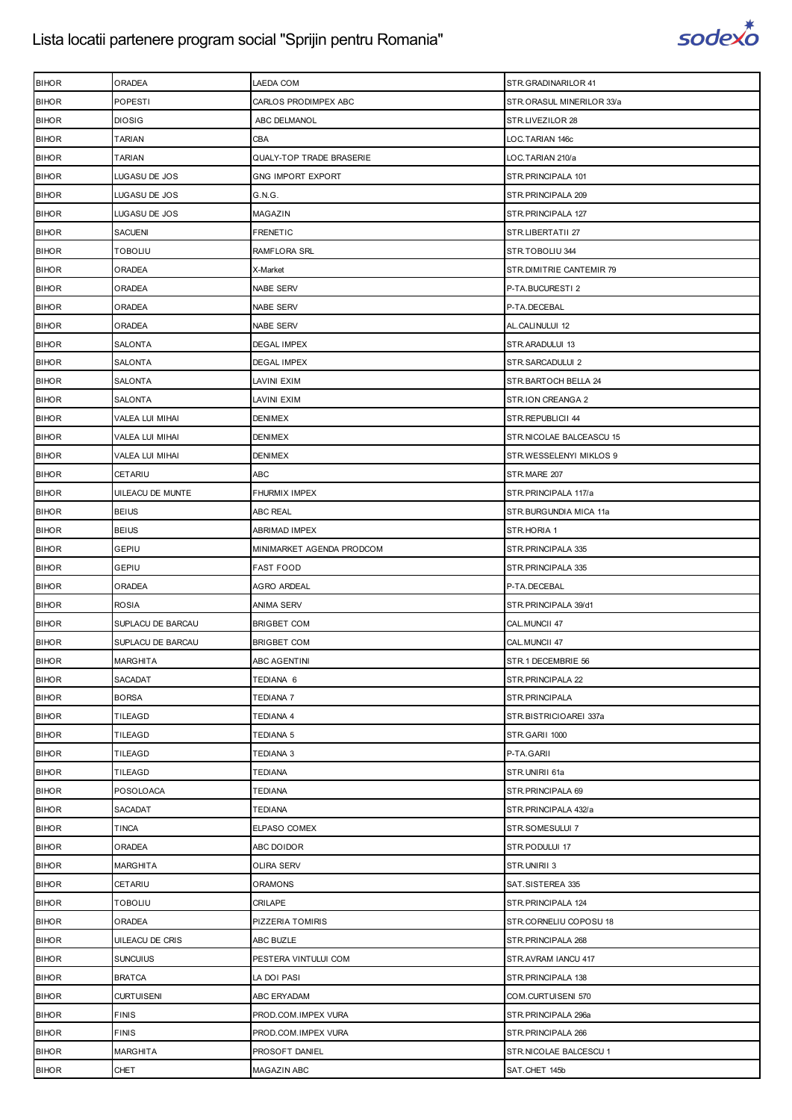

| <b>BIHOR</b> | ORADEA                 | LAEDA COM                 | STR.GRADINARILOR 41       |
|--------------|------------------------|---------------------------|---------------------------|
| <b>BIHOR</b> | POPESTI                | CARLOS PRODIMPEX ABC      | STR.ORASUL MINERILOR 33/a |
| <b>BIHOR</b> | <b>DIOSIG</b>          | ABC DELMANOL              | STR.LIVEZILOR 28          |
| <b>BIHOR</b> | <b>TARIAN</b>          | CBA                       | LOC.TARIAN 146c           |
| <b>BIHOR</b> | TARIAN                 | QUALY-TOP TRADE BRASERIE  | LOC.TARIAN 210/a          |
| <b>BIHOR</b> | LUGASU DE JOS          | <b>GNG IMPORT EXPORT</b>  | STR.PRINCIPALA 101        |
| <b>BIHOR</b> | LUGASU DE JOS          | G.N.G.                    | STR.PRINCIPALA 209        |
| <b>BIHOR</b> | LUGASU DE JOS          | MAGAZIN                   | STR.PRINCIPALA 127        |
| <b>BIHOR</b> | SACUENI                | <b>FRENETIC</b>           | STR.LIBERTATII 27         |
| <b>BIHOR</b> | TOBOLIU                | RAMFLORA SRL              | STR.TOBOLIU 344           |
| <b>BIHOR</b> | ORADEA                 | X-Market                  | STR.DIMITRIE CANTEMIR 79  |
| <b>BIHOR</b> | ORADEA                 | NABE SERV                 | P-TA.BUCURESTI 2          |
| <b>BIHOR</b> | ORADEA                 | NABE SERV                 | P-TA.DECEBAL              |
| <b>BIHOR</b> | ORADEA                 | <b>NABE SERV</b>          | AL.CALINULUI 12           |
| <b>BIHOR</b> | SALONTA                | <b>DEGAL IMPEX</b>        | STR.ARADULUI 13           |
| <b>BIHOR</b> | <b>SALONTA</b>         | <b>DEGAL IMPEX</b>        | STR.SARCADULUI 2          |
| <b>BIHOR</b> | SALONTA                | LAVINI EXIM               | STR.BARTOCH BELLA 24      |
| <b>BIHOR</b> | SALONTA                | LAVINI EXIM               | STR.ION CREANGA 2         |
| <b>BIHOR</b> | VALEA LUI MIHAI        | <b>DENIMEX</b>            | STR.REPUBLICII 44         |
| <b>BIHOR</b> | Valea lui Mihai        | DENIMEX                   | STR.NICOLAE BALCEASCU 15  |
| <b>BIHOR</b> | VALEA LUI MIHAI        | <b>DENIMEX</b>            | STR.WESSELENYI MIKLOS 9   |
| <b>BIHOR</b> | CETARIU                | ABC                       | STR.MARE 207              |
| <b>BIHOR</b> | UILEACU DE MUNTE       | <b>FHURMIX IMPEX</b>      | STR.PRINCIPALA 117/a      |
| <b>BIHOR</b> | <b>BEIUS</b>           | <b>ABC REAL</b>           | STR.BURGUNDIA MICA 11a    |
| <b>BIHOR</b> | <b>BEIUS</b>           | <b>ABRIMAD IMPEX</b>      | STR.HORIA 1               |
| <b>BIHOR</b> | GEPIU                  | MINIMARKET AGENDA PRODCOM | STR.PRINCIPALA 335        |
| <b>BIHOR</b> | GEPIU                  | <b>FAST FOOD</b>          | STR. PRINCIPALA 335       |
| <b>BIHOR</b> | <b>ORADEA</b>          | AGRO ARDEAL               | P-TA.DECEBAL              |
| <b>BIHOR</b> | <b>ROSIA</b>           | ANIMA SERV                | STR.PRINCIPALA 39/d1      |
| <b>BIHOR</b> | SUPLACU DE BARCAU      | <b>BRIGBET COM</b>        | CAL.MUNCII 47             |
| <b>BIHOR</b> | SUPLACU DE BARCAU      | <b>BRIGBET COM</b>        | CAL.MUNCII 47             |
| <b>BIHOR</b> | <b>MARGHITA</b>        | ABC AGENTINI              | STR.1 DECEMBRIE 56        |
| <b>BIHOR</b> | <b>SACADAT</b>         | TEDIANA 6                 | STR.PRINCIPALA 22         |
| <b>BIHOR</b> | <b>BORSA</b>           | <b>TEDIANA 7</b>          | STR.PRINCIPALA            |
| <b>BIHOR</b> | <b>TILEAGD</b>         | <b>TEDIANA 4</b>          | STR.BISTRICIOAREI 337a    |
| <b>BIHOR</b> | TILEAGD                | <b>TEDIANA 5</b>          | STR.GARII 1000            |
| <b>BIHOR</b> | TILEAGD                | TEDIANA 3                 | P-TA.GARII                |
| <b>BIHOR</b> | TILEAGD                | <b>TEDIANA</b>            | STR.UNIRII 61a            |
| <b>BIHOR</b> | POSOLOACA              | <b>TEDIANA</b>            | STR.PRINCIPALA 69         |
| <b>BIHOR</b> | SACADAT                | <b>TEDIANA</b>            | STR.PRINCIPALA 432/a      |
| <b>BIHOR</b> | TINCA                  | ELPASO COMEX              | STR.SOMESULUI 7           |
| <b>BIHOR</b> | ORADEA                 | ABC DOIDOR                | STR.PODULUI 17            |
| <b>BIHOR</b> | MARGHITA               | <b>OLIRA SERV</b>         | STR.UNIRII 3              |
| <b>BIHOR</b> | CETARIU                | <b>ORAMONS</b>            | SAT.SISTEREA 335          |
| <b>BIHOR</b> | TOBOLIU                | CRILAPE                   | STR. PRINCIPALA 124       |
| <b>BIHOR</b> | ORADEA                 | PIZZERIA TOMIRIS          | STR.CORNELIU COPOSU 18    |
| <b>BIHOR</b> | <b>UILEACU DE CRIS</b> | ABC BUZLE                 | STR.PRINCIPALA 268        |
| <b>BIHOR</b> | <b>SUNCUIUS</b>        | PESTERA VINTULUI COM      | STR.AVRAM IANCU 417       |
| <b>BIHOR</b> | <b>BRATCA</b>          | LA DOI PASI               | STR. PRINCIPALA 138       |
| <b>BIHOR</b> | <b>CURTUISENI</b>      | ABC ERYADAM               | COM.CURTUISENI 570        |
| <b>BIHOR</b> | <b>FINIS</b>           | PROD.COM.IMPEX VURA       | STR.PRINCIPALA 296a       |
| <b>BIHOR</b> | <b>FINIS</b>           | PROD.COM.IMPEX VURA       | STR. PRINCIPALA 266       |
| <b>BIHOR</b> | MARGHITA               | PROSOFT DANIEL            | STR.NICOLAE BALCESCU 1    |
| <b>BIHOR</b> | CHET                   | MAGAZIN ABC               | SAT.CHET 145b             |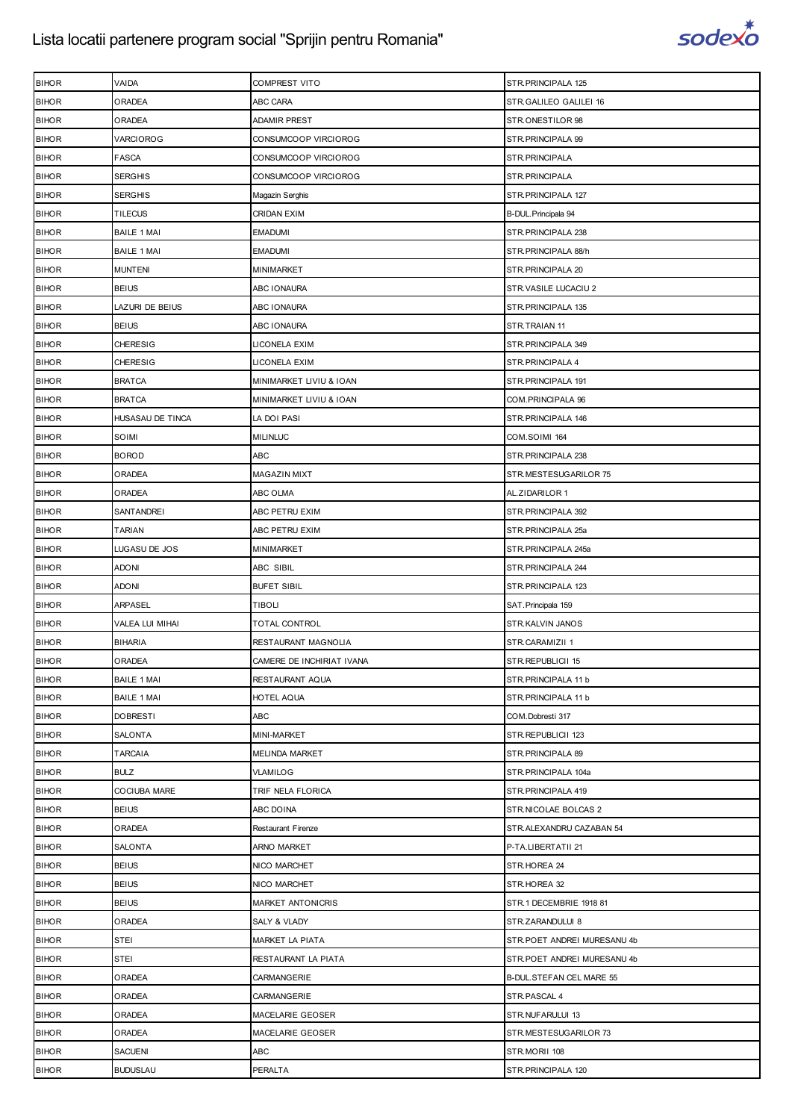

| <b>BIHOR</b> | VAIDA              | COMPREST VITO             | STR.PRINCIPALA 125           |
|--------------|--------------------|---------------------------|------------------------------|
| <b>BIHOR</b> | ORADEA             | ABC CARA                  | STR.GALILEO GALILEI 16       |
| <b>BIHOR</b> | ORADEA             | <b>ADAMIR PREST</b>       | STR.ONESTILOR 98             |
| <b>BIHOR</b> | VARCIOROG          | CONSUMCOOP VIRCIOROG      | STR.PRINCIPALA 99            |
| <b>BIHOR</b> | <b>FASCA</b>       | CONSUMCOOP VIRCIOROG      | STR.PRINCIPALA               |
| <b>BIHOR</b> | SERGHIS            | CONSUMCOOP VIRCIOROG      | STR.PRINCIPALA               |
| <b>BIHOR</b> | <b>SERGHIS</b>     | Magazin Serghis           | STR.PRINCIPALA 127           |
| <b>BIHOR</b> | <b>TILECUS</b>     | CRIDAN EXIM               | B-DUL. Principala 94         |
| <b>BIHOR</b> | <b>BAILE 1 MAI</b> | EMADUMI                   | STR.PRINCIPALA 238           |
| <b>BIHOR</b> | <b>BAILE 1 MAI</b> | <b>EMADUMI</b>            | STR.PRINCIPALA 88/h          |
| <b>BIHOR</b> | <b>MUNTENI</b>     | MINIMARKET                | STR.PRINCIPALA 20            |
| <b>BIHOR</b> | <b>BEIUS</b>       | ABC IONAURA               | STR.VASILE LUCACIU 2         |
| <b>BIHOR</b> | LAZURI DE BEIUS    | ABC IONAURA               | STR.PRINCIPALA 135           |
| <b>BIHOR</b> | <b>BEIUS</b>       | ABC IONAURA               | STR.TRAIAN 11                |
| <b>BIHOR</b> | <b>CHERESIG</b>    | LICONELA EXIM             | STR.PRINCIPALA 349           |
| <b>BIHOR</b> | <b>CHERESIG</b>    | LICONELA EXIM             | STR. PRINCIPALA 4            |
| <b>BIHOR</b> | <b>BRATCA</b>      | MINIMARKET LIVIU & IOAN   | STR.PRINCIPALA 191           |
| <b>BIHOR</b> | <b>BRATCA</b>      | MINIMARKET LIVIU & IOAN   | COM. PRINCIPALA 96           |
| <b>BIHOR</b> | HUSASAU DE TINCA   | LA DOI PASI               | STR.PRINCIPALA 146           |
| <b>BIHOR</b> | SOIMI              | <b>MILINLUC</b>           | COM.SOIMI 164                |
| <b>BIHOR</b> | <b>BOROD</b>       | ABC                       | STR.PRINCIPALA 238           |
| <b>BIHOR</b> | ORADEA             | MAGAZIN MIXT              | STR.MESTESUGARILOR 75        |
| <b>BIHOR</b> | ORADEA             | ABC OLMA                  | AL.ZIDARILOR 1               |
| <b>BIHOR</b> | SANTANDREI         | ABC PETRU EXIM            | STR.PRINCIPALA 392           |
| <b>BIHOR</b> | <b>TARIAN</b>      | ABC PETRU EXIM            | STR.PRINCIPALA 25a           |
| <b>BIHOR</b> | LUGASU DE JOS      | MINIMARKET                | STR.PRINCIPALA 245a          |
| <b>BIHOR</b> | adoni              | ABC SIBIL                 | STR.PRINCIPALA 244           |
| <b>BIHOR</b> | <b>ADONI</b>       | <b>BUFET SIBIL</b>        | STR.PRINCIPALA 123           |
| <b>BIHOR</b> | <b>ARPASEL</b>     | <b>TIBOLI</b>             | SAT. Principala 159          |
| <b>BIHOR</b> | VALEA LUI MIHAI    | TOTAL CONTROL             | STR.KALVIN JANOS             |
| <b>BIHOR</b> | <b>BIHARIA</b>     | RESTAURANT MAGNOLIA       | STR.CARAMIZII 1              |
| <b>BIHOR</b> | ORADEA             | CAMERE DE INCHIRIAT IVANA | STR.REPUBLICII 15            |
| <b>BIHOR</b> | <b>BAILE 1 MAI</b> | RESTAURANT AQUA           | STR.PRINCIPALA 11 b          |
| <b>BIHOR</b> | <b>BAILE 1 MAI</b> | HOTEL AQUA                | STR.PRINCIPALA 11 b          |
| <b>BIHOR</b> | <b>DOBRESTI</b>    | <b>ABC</b>                | COM.Dobresti 317             |
| <b>BIHOR</b> | SALONTA            | MINI-MARKET               | STR.REPUBLICII 123           |
| <b>BIHOR</b> | TARCAIA            | <b>MELINDA MARKET</b>     | STR.PRINCIPALA 89            |
| <b>BIHOR</b> | <b>BULZ</b>        | <b>VLAMILOG</b>           | STR.PRINCIPALA 104a          |
| <b>BIHOR</b> | COCIUBA MARE       | TRIF NELA FLORICA         | STR.PRINCIPALA 419           |
| <b>BIHOR</b> | <b>BEIUS</b>       | ABC DOINA                 | STR.NICOLAE BOLCAS 2         |
| <b>BIHOR</b> | ORADEA             | <b>Restaurant Firenze</b> | STR.ALEXANDRU CAZABAN 54     |
| <b>BIHOR</b> | SALONTA            | ARNO MARKET               | P-TA.LIBERTATII 21           |
| <b>BIHOR</b> | <b>BEIUS</b>       | NICO MARCHET              | STR.HOREA 24                 |
| <b>BIHOR</b> | <b>BEIUS</b>       | <b>NICO MARCHET</b>       | STR.HOREA 32                 |
| <b>BIHOR</b> | <b>BEIUS</b>       | MARKET ANTONICRIS         | STR.1 DECEMBRIE 1918 81      |
| <b>BIHOR</b> | ORADEA             | SALY & VLADY              | STR.ZARANDULUI 8             |
| <b>BIHOR</b> | <b>STEI</b>        | MARKET LA PIATA           | STR. POET ANDREI MURESANU 4b |
| <b>BIHOR</b> | STEI               | RESTAURANT LA PIATA       | STR. POET ANDREI MURESANU 4b |
| <b>BIHOR</b> | ORADEA             | CARMANGERIE               | B-DUL.STEFAN CEL MARE 55     |
| <b>BIHOR</b> | ORADEA             | CARMANGERIE               | STR.PASCAL 4                 |
| <b>BIHOR</b> | ORADEA             | MACELARIE GEOSER          | STR.NUFARULUI 13             |
| <b>BIHOR</b> | ORADEA             | MACELARIE GEOSER          | STR.MESTESUGARILOR 73        |
| <b>BIHOR</b> | SACUENI            | <b>ABC</b>                | STR.MORII 108                |
| <b>BIHOR</b> | <b>BUDUSLAU</b>    | PERALTA                   | STR.PRINCIPALA 120           |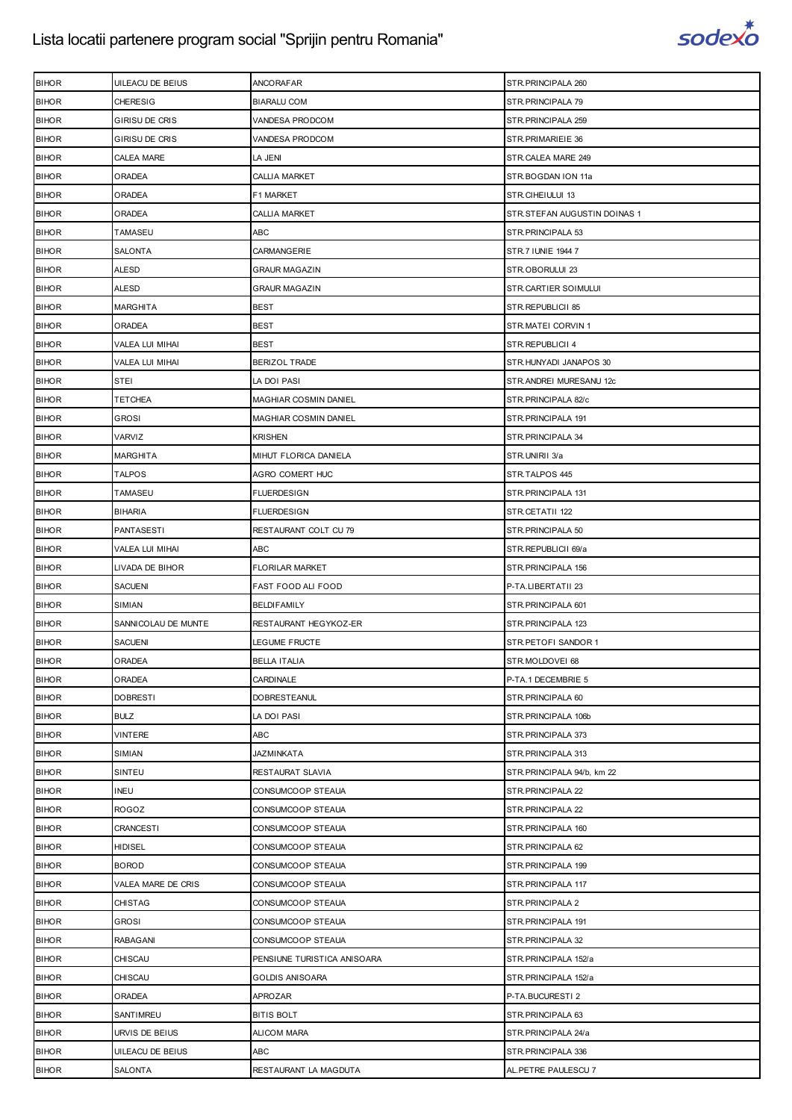

| <b>BIHOR</b> | UILEACU DE BEIUS       | ANCORAFAR                   | STR. PRINCIPALA 260          |
|--------------|------------------------|-----------------------------|------------------------------|
| <b>BIHOR</b> | <b>CHERESIG</b>        | <b>BIARALU COM</b>          | STR.PRINCIPALA 79            |
| <b>BIHOR</b> | GIRISU DE CRIS         | VANDESA PRODCOM             | STR. PRINCIPALA 259          |
| <b>BIHOR</b> | GIRISU DE CRIS         | VANDESA PRODCOM             | STR. PRIMARIEIE 36           |
| <b>BIHOR</b> | CALEA MARE             | LA JENI                     | STR.CALEA MARE 249           |
| <b>BIHOR</b> | ORADEA                 | CALLIA MARKET               | STR.BOGDAN ION 11a           |
| <b>BIHOR</b> | ORADEA                 | F1 MARKET                   | STR.CIHEIULUI 13             |
| <b>BIHOR</b> | ORADEA                 | <b>CALLIA MARKET</b>        | STR.STEFAN AUGUSTIN DOINAS 1 |
| <b>BIHOR</b> | TAMASEU                | ABC                         | STR. PRINCIPALA 53           |
| <b>BIHOR</b> | SALONTA                | CARMANGERIE                 | STR.7 IUNIE 1944 7           |
| <b>BIHOR</b> | ALESD                  | <b>GRAUR MAGAZIN</b>        | STR.OBORULUI 23              |
| <b>BIHOR</b> | ALESD                  | <b>GRAUR MAGAZIN</b>        | STR.CARTIER SOIMULUI         |
| <b>BIHOR</b> | <b>MARGHITA</b>        | <b>BEST</b>                 | STR.REPUBLICII 85            |
| <b>BIHOR</b> | ORADEA                 | <b>BEST</b>                 | STR.MATEI CORVIN 1           |
| <b>BIHOR</b> | VALEA LUI MIHAI        | <b>BEST</b>                 | STR.REPUBLICII 4             |
| <b>BIHOR</b> | <b>VALEA LUI MIHAI</b> | <b>BERIZOL TRADE</b>        | STR.HUNYADI JANAPOS 30       |
| <b>BIHOR</b> | <b>STEI</b>            | LA DOI PASI                 | STR.ANDREI MURESANU 12c      |
| <b>BIHOR</b> | TETCHEA                | MAGHIAR COSMIN DANIEL       | STR.PRINCIPALA 82/c          |
| <b>BIHOR</b> | GROSI                  | MAGHIAR COSMIN DANIEL       | STR.PRINCIPALA 191           |
| <b>BIHOR</b> | VARVIZ                 | <b>KRISHEN</b>              | STR. PRINCIPALA 34           |
| <b>BIHOR</b> | <b>MARGHITA</b>        | MIHUT FLORICA DANIELA       | STR.UNIRII 3/a               |
| <b>BIHOR</b> | <b>TALPOS</b>          | AGRO COMERT HUC             | STR.TALPOS 445               |
| <b>BIHOR</b> | TAMASEU                | <b>FLUERDESIGN</b>          | STR. PRINCIPALA 131          |
| <b>BIHOR</b> | <b>BIHARIA</b>         | FLUERDESIGN                 | STR.CETATII 122              |
| <b>BIHOR</b> | <b>PANTASESTI</b>      | RESTAURANT COLT CU 79       | STR. PRINCIPALA 50           |
| <b>BIHOR</b> | VALEA LUI MIHAI        | ABC                         | STR.REPUBLICII 69/a          |
| <b>BIHOR</b> | LIVADA DE BIHOR        | FLORILAR MARKET             | STR. PRINCIPALA 156          |
| <b>BIHOR</b> | <b>SACUENI</b>         | FAST FOOD ALI FOOD          | P-TA.LIBERTATII 23           |
| <b>BIHOR</b> | SIMIAN                 | <b>BELDIFAMILY</b>          | STR. PRINCIPALA 601          |
| <b>BIHOR</b> | SANNICOLAU DE MUNTE    | RESTAURANT HEGYKOZ-ER       | STR. PRINCIPALA 123          |
| <b>BIHOR</b> | <b>SACUENI</b>         | LEGUME FRUCTE               | STR.PETOFI SANDOR 1          |
| <b>BIHOR</b> | <b>ORADEA</b>          | <b>BELLA ITALIA</b>         | STR.MOLDOVEI 68              |
| <b>BIHOR</b> | ORADEA                 | CARDINALE                   | P-TA.1 DECEMBRIE 5           |
| <b>BIHOR</b> | <b>DOBRESTI</b>        | <b>DOBRESTEANUL</b>         | STR. PRINCIPALA 60           |
| <b>BIHOR</b> | <b>BULZ</b>            | LA DOI PASI                 | STR. PRINCIPALA 106b         |
| <b>BIHOR</b> | <b>VINTERE</b>         | ABC                         | STR. PRINCIPALA 373          |
| <b>BIHOR</b> | SIMIAN                 | JAZMINKATA                  | STR.PRINCIPALA 313           |
| <b>BIHOR</b> | SINTEU                 | RESTAURAT SLAVIA            | STR.PRINCIPALA 94/b, km 22   |
| <b>BIHOR</b> | <b>INEU</b>            | CONSUMCOOP STEAUA           | STR.PRINCIPALA 22            |
| <b>BIHOR</b> | <b>ROGOZ</b>           | CONSUMCOOP STEAUA           | STR. PRINCIPALA 22           |
| <b>BIHOR</b> | <b>CRANCESTI</b>       | CONSUMCOOP STEAUA           | STR. PRINCIPALA 160          |
| <b>BIHOR</b> | <b>HIDISEL</b>         | CONSUMCOOP STEAUA           | STR.PRINCIPALA 62            |
| <b>BIHOR</b> | <b>BOROD</b>           | CONSUMCOOP STEAUA           | STR.PRINCIPALA 199           |
| <b>BIHOR</b> | VALEA MARE DE CRIS     | CONSUMCOOP STEAUA           | STR. PRINCIPALA 117          |
|              |                        |                             |                              |
| <b>BIHOR</b> | <b>CHISTAG</b>         | CONSUMCOOP STEAUA           | STR. PRINCIPALA 2            |
| <b>BIHOR</b> | <b>GROSI</b>           | CONSUMCOOP STEAUA           | STR. PRINCIPALA 191          |
| <b>BIHOR</b> | <b>RABAGANI</b>        | CONSUMCOOP STEAUA           | STR. PRINCIPALA 32           |
| <b>BIHOR</b> | CHISCAU                | PENSIUNE TURISTICA ANISOARA | STR.PRINCIPALA 152/a         |
| <b>BIHOR</b> | CHISCAU                | <b>GOLDIS ANISOARA</b>      | STR.PRINCIPALA 152/a         |
| <b>BIHOR</b> | ORADEA                 | APROZAR                     | P-TA.BUCURESTI 2             |
| <b>BIHOR</b> | SANTIMREU              | <b>BITIS BOLT</b>           | STR.PRINCIPALA 63            |
| <b>BIHOR</b> | URVIS DE BEIUS         | <b>ALICOM MARA</b>          | STR.PRINCIPALA 24/a          |
| <b>BIHOR</b> | UILEACU DE BEIUS       | ABC                         | STR. PRINCIPALA 336          |
| <b>BIHOR</b> | SALONTA                | RESTAURANT LA MAGDUTA       | AL. PETRE PAULESCU 7         |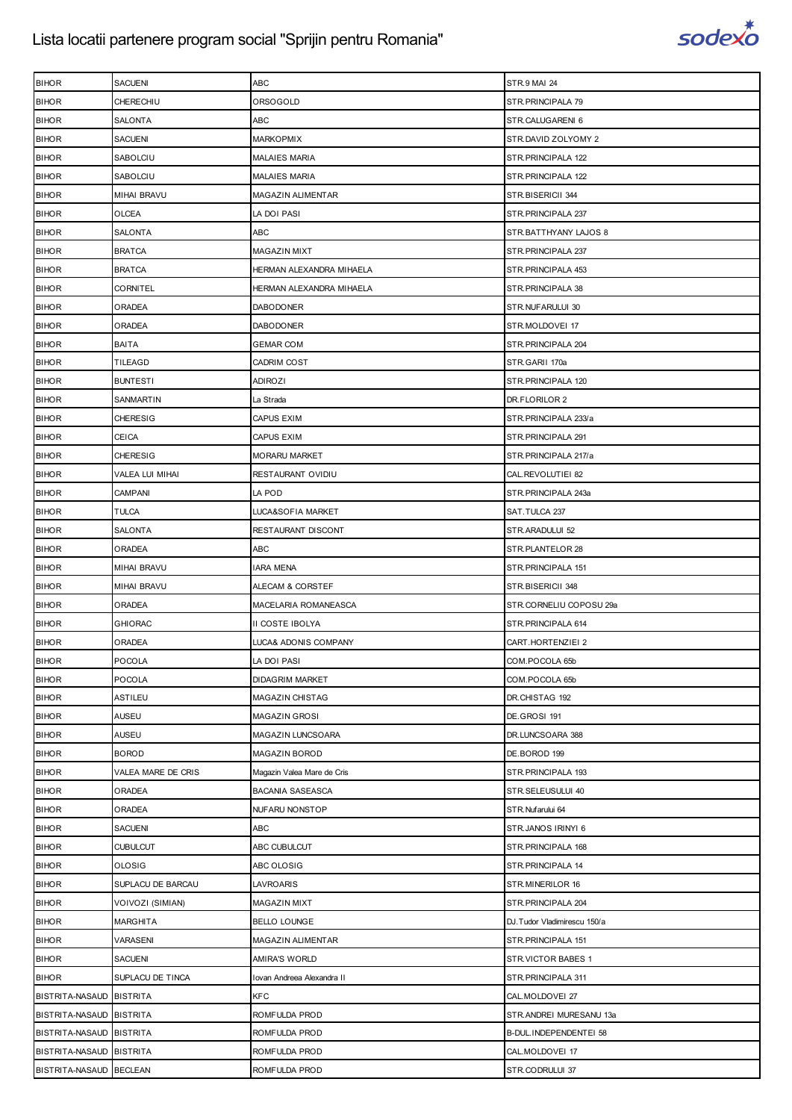

| <b>BIHOR</b>             | SACUENI            | ABC                        | <b>STR.9 MAI 24</b>          |
|--------------------------|--------------------|----------------------------|------------------------------|
| <b>BIHOR</b>             | CHERECHIU          | ORSOGOLD                   | STR. PRINCIPALA 79           |
| <b>BIHOR</b>             | SALONTA            | ABC                        | STR.CALUGARENI 6             |
| <b>BIHOR</b>             | SACUENI            | <b>MARKOPMIX</b>           | STR.DAVID ZOLYOMY 2          |
| <b>BIHOR</b>             | SABOLCIU           | <b>MALAIES MARIA</b>       | STR. PRINCIPALA 122          |
| <b>BIHOR</b>             | SABOLCIU           | <b>MALAIES MARIA</b>       | STR. PRINCIPALA 122          |
| <b>BIHOR</b>             | MIHAI BRAVU        | MAGAZIN ALIMENTAR          | STR.BISERICII 344            |
| <b>BIHOR</b>             | OLCEA              | LA DOI PASI                | STR. PRINCIPALA 237          |
| <b>BIHOR</b>             | SALONTA            | <b>ABC</b>                 | STR.BATTHYANY LAJOS 8        |
| <b>BIHOR</b>             | <b>BRATCA</b>      | <b>MAGAZIN MIXT</b>        | STR. PRINCIPALA 237          |
| <b>BIHOR</b>             | <b>BRATCA</b>      | HERMAN ALEXANDRA MIHAELA   | STR. PRINCIPALA 453          |
| <b>BIHOR</b>             | CORNITEL           | HERMAN ALEXANDRA MIHAELA   | STR. PRINCIPALA 38           |
| <b>BIHOR</b>             | ORADEA             | DABODONER                  | STR.NUFARULUI 30             |
| <b>BIHOR</b>             | ORADEA             | <b>DABODONER</b>           | STR.MOLDOVEI 17              |
| <b>BIHOR</b>             | BAITA              | GEMAR COM                  | STR. PRINCIPALA 204          |
| <b>BIHOR</b>             | TILEAGD            | CADRIM COST                | STR.GARII 170a               |
| <b>BIHOR</b>             | <b>BUNTESTI</b>    | <b>ADIROZI</b>             | STR. PRINCIPALA 120          |
| <b>BIHOR</b>             | SANMARTIN          | La Strada                  | DR.FLORILOR 2                |
| <b>BIHOR</b>             | <b>CHERESIG</b>    | CAPUS EXIM                 | STR.PRINCIPALA 233/a         |
| <b>BIHOR</b>             | CEICA              | CAPUS EXIM                 | STR. PRINCIPALA 291          |
| <b>BIHOR</b>             | <b>CHERESIG</b>    | <b>MORARU MARKET</b>       | STR.PRINCIPALA 217/a         |
| <b>BIHOR</b>             | VALEA LUI MIHAI    | RESTAURANT OVIDIU          | CAL.REVOLUTIEI 82            |
| <b>BIHOR</b>             | CAMPANI            | LA POD                     | STR.PRINCIPALA 243a          |
| <b>BIHOR</b>             | TULCA              | LUCA&SOFIA MARKET          | SAT.TULCA 237                |
| <b>BIHOR</b>             | SALONTA            | RESTAURANT DISCONT         | STR.ARADULUI 52              |
| <b>BIHOR</b>             | ORADEA             | ABC                        | STR.PLANTELOR 28             |
| <b>BIHOR</b>             | MIHAI BRAVU        | IARA MENA                  | STR.PRINCIPALA 151           |
| <b>BIHOR</b>             | MIHAI BRAVU        | ALECAM & CORSTEF           | STR.BISERICII 348            |
| <b>BIHOR</b>             | ORADEA             | MACELARIA ROMANEASCA       | STR.CORNELIU COPOSU 29a      |
| <b>BIHOR</b>             | GHIORAC            | II COSTE IBOLYA            | STR. PRINCIPALA 614          |
| <b>BIHOR</b>             | ORADEA             | LUCA& ADONIS COMPANY       | CART.HORTENZIEI 2            |
| <b>BIHOR</b>             | <b>POCOLA</b>      | LA DOI PASI                | COM.POCOLA 65b               |
| <b>BIHOR</b>             | POCOLA             | <b>DIDAGRIM MARKET</b>     | COM.POCOLA 65b               |
| <b>BIHOR</b>             | ASTILEU            | <b>MAGAZIN CHISTAG</b>     | DR.CHISTAG 192               |
| <b>BIHOR</b>             | <b>AUSEU</b>       | MAGAZIN GROSI              | DE.GROSI 191                 |
| <b>BIHOR</b>             | AUSEU              | MAGAZIN LUNCSOARA          | DR.LUNCSOARA 388             |
| <b>BIHOR</b>             | <b>BOROD</b>       | MAGAZIN BOROD              | DE.BOROD 199                 |
| <b>BIHOR</b>             | VALEA MARE DE CRIS | Magazin Valea Mare de Cris | STR.PRINCIPALA 193           |
| <b>BIHOR</b>             | ORADEA             | BACANIA SASEASCA           | STR.SELEUSULUI 40            |
| <b>BIHOR</b>             | ORADEA             | NUFARU NONSTOP             | STR. Nufarului 64            |
| <b>BIHOR</b>             | <b>SACUENI</b>     | <b>ABC</b>                 | STR.JANOS IRINYI 6           |
| <b>BIHOR</b>             | <b>CUBULCUT</b>    | ABC CUBULCUT               | STR. PRINCIPALA 168          |
| <b>BIHOR</b>             | OLOSIG             | ABC OLOSIG                 | STR.PRINCIPALA 14            |
| <b>BIHOR</b>             | SUPLACU DE BARCAU  | LAVROARIS                  | STR.MINERILOR 16             |
| <b>BIHOR</b>             | VOIVOZI (SIMIAN)   | MAGAZIN MIXT               | STR. PRINCIPALA 204          |
| <b>BIHOR</b>             | MARGHITA           | BELLO LOUNGE               | DJ. Tudor Vladimirescu 150/a |
| <b>BIHOR</b>             | VARASENI           | MAGAZIN ALIMENTAR          | STR.PRINCIPALA 151           |
| <b>BIHOR</b>             | <b>SACUENI</b>     | AMIRA'S WORLD              | STR.VICTOR BABES 1           |
| <b>BIHOR</b>             | SUPLACU DE TINCA   | Iovan Andreea Alexandra II | STR. PRINCIPALA 311          |
| BISTRITA-NASAUD BISTRITA |                    | <b>KFC</b>                 | CAL.MOLDOVEI 27              |
| BISTRITA-NASAUD BISTRITA |                    | ROMFULDA PROD              | STR.ANDREI MURESANU 13a      |
| BISTRITA-NASAUD BISTRITA |                    | ROMFULDA PROD              | B-DUL.INDEPENDENTEI 58       |
| BISTRITA-NASAUD BISTRITA |                    | ROMFULDA PROD              | CAL.MOLDOVEI 17              |
| BISTRITA-NASAUD BECLEAN  |                    | ROMFULDA PROD              | STR.CODRULUI 37              |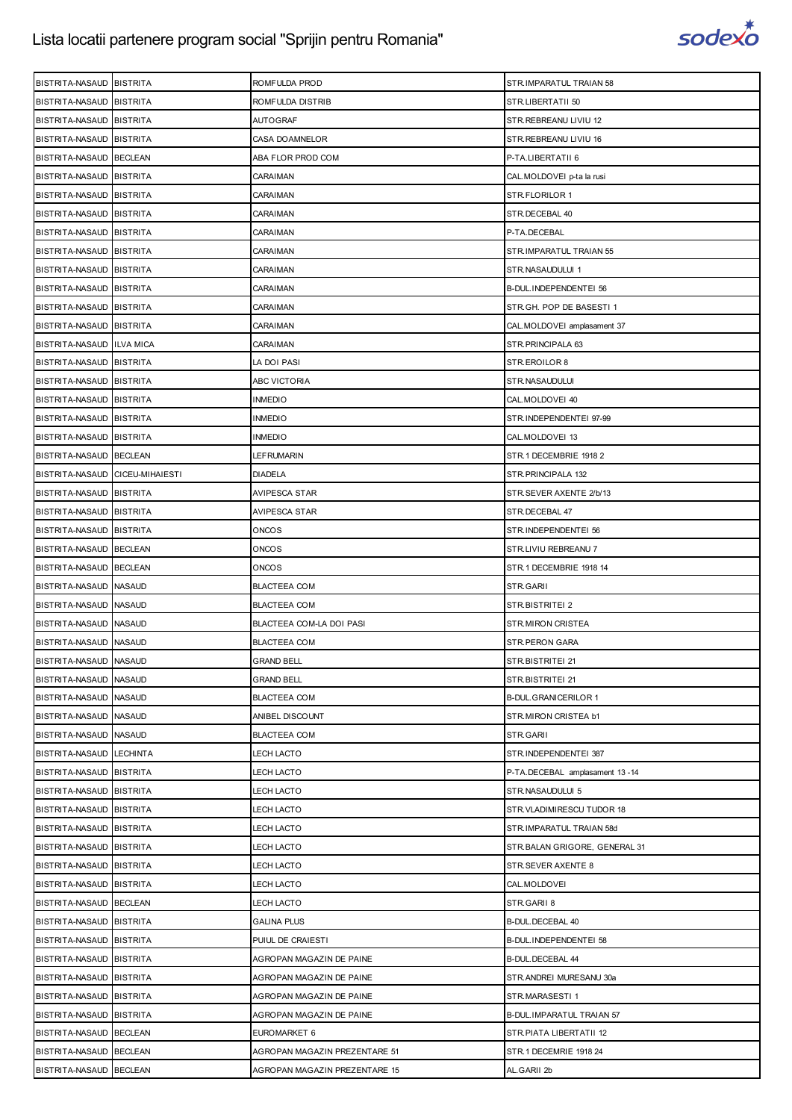

| BISTRITA-NASAUD BISTRITA        | ROMFULDA PROD                 | STR.IMPARATUL TRAIAN 58        |
|---------------------------------|-------------------------------|--------------------------------|
| BISTRITA-NASAUD BISTRITA        | ROMFULDA DISTRIB              | STR.LIBERTATII 50              |
| BISTRITA-NASAUD BISTRITA        | <b>AUTOGRAF</b>               | STR.REBREANU LIVIU 12          |
| BISTRITA-NASAUD BISTRITA        | CASA DOAMNELOR                | STR. REBREANU LIVIU 16         |
| BISTRITA-NASAUD BECLEAN         | ABA FLOR PROD COM             | P-TA.LIBERTATII 6              |
| BISTRITA-NASAUD BISTRITA        | CARAIMAN                      | CAL.MOLDOVEI p-ta la rusi      |
| BISTRITA-NASAUD BISTRITA        | CARAIMAN                      | STR.FLORILOR 1                 |
| BISTRITA-NASAUD BISTRITA        | CARAIMAN                      | STR. DECEBAL 40                |
| BISTRITA-NASAUD BISTRITA        | <b>CARAIMAN</b>               | P-TA.DECEBAL                   |
| BISTRITA-NASAUD BISTRITA        | CARAIMAN                      | STR.IMPARATUL TRAIAN 55        |
| BISTRITA-NASAUD BISTRITA        | CARAIMAN                      | STR.NASAUDULUI 1               |
| BISTRITA-NASAUD BISTRITA        | CARAIMAN                      | B-DUL.INDEPENDENTEI 56         |
| BISTRITA-NASAUD BISTRITA        | CARAIMAN                      | STR.GH. POP DE BASESTI 1       |
| BISTRITA-NASAUD BISTRITA        | CARAIMAN                      | CAL.MOLDOVEI amplasament 37    |
| BISTRITA-NASAUD ILVA MICA       | CARAIMAN                      | STR.PRINCIPALA 63              |
| BISTRITA-NASAUD BISTRITA        | LA DOI PASI                   | STR.EROILOR 8                  |
| BISTRITA-NASAUD BISTRITA        | <b>ABC VICTORIA</b>           | STR.NASAUDULUI                 |
| BISTRITA-NASAUD BISTRITA        | <b>INMEDIO</b>                | CAL.MOLDOVEI 40                |
| BISTRITA-NASAUD BISTRITA        | <b>INMEDIO</b>                | STR.INDEPENDENTEI 97-99        |
| BISTRITA-NASAUD BISTRITA        | <b>INMEDIO</b>                | CAL.MOLDOVEI 13                |
| BISTRITA-NASAUD BECLEAN         | LEFRUMARIN                    | STR.1 DECEMBRIE 1918 2         |
| BISTRITA-NASAUD CICEU-MIHAIESTI | <b>DIADELA</b>                | STR. PRINCIPALA 132            |
| BISTRITA-NASAUD BISTRITA        | AVIPESCA STAR                 | STR.SEVER AXENTE 2/b/13        |
| BISTRITA-NASAUD BISTRITA        | AVIPESCA STAR                 | STR.DECEBAL 47                 |
| BISTRITA-NASAUD BISTRITA        | ONCOS                         | STR.INDEPENDENTEI 56           |
| BISTRITA-NASAUD BECLEAN         | ONCOS                         | STR.LIVIU REBREANU 7           |
| BISTRITA-NASAUD BECLEAN         | <b>ONCOS</b>                  | STR.1 DECEMBRIE 1918 14        |
| BISTRITA-NASAUD NASAUD          | <b>BLACTEEA COM</b>           | STR.GARII                      |
| BISTRITA-NASAUD NASAUD          | <b>BLACTEEA COM</b>           | STR.BISTRITEI 2                |
| BISTRITA-NASAUD NASAUD          | BLACTEEA COM-LA DOI PASI      | STR.MIRON CRISTEA              |
| BISTRITA-NASAUD NASAUD          | <b>BLACTEEA COM</b>           | STR.PERON GARA                 |
| BISTRITA-NASAUD NASAUD          | <b>GRAND BELL</b>             | STR.BISTRITEI 21               |
| BISTRITA-NASAUD NASAUD          | <b>GRAND BELL</b>             | STR.BISTRITEI 21               |
| BISTRITA-NASAUD NASAUD          | <b>BLACTEEA COM</b>           | <b>B-DUL.GRANICERILOR 1</b>    |
| BISTRITA-NASAUD NASAUD          | ANIBEL DISCOUNT               | STR.MIRON CRISTEA b1           |
| BISTRITA-NASAUD NASAUD          | <b>BLACTEEA COM</b>           | STR.GARII                      |
| BISTRITA-NASAUD LECHINTA        | LECH LACTO                    | STR.INDEPENDENTEI 387          |
| BISTRITA-NASAUD BISTRITA        | LECH LACTO                    | P-TA.DECEBAL amplasament 13-14 |
| BISTRITA-NASAUD BISTRITA        | LECH LACTO                    | STR.NASAUDULUI 5               |
| BISTRITA-NASAUD BISTRITA        | LECH LACTO                    | STR.VLADIMIRESCU TUDOR 18      |
| BISTRITA-NASAUD BISTRITA        | <b>LECH LACTO</b>             | STR.IMPARATUL TRAIAN 58d       |
| BISTRITA-NASAUD BISTRITA        | LECH LACTO                    | STR. BALAN GRIGORE, GENERAL 31 |
| BISTRITA-NASAUD BISTRITA        | LECH LACTO                    | STR.SEVER AXENTE 8             |
| BISTRITA-NASAUD BISTRITA        | <b>LECH LACTO</b>             | CAL.MOLDOVEI                   |
| BISTRITA-NASAUD BECLEAN         | LECH LACTO                    | STR.GARII 8                    |
| BISTRITA-NASAUD BISTRITA        | <b>GALINA PLUS</b>            | B-DUL.DECEBAL 40               |
| BISTRITA-NASAUD BISTRITA        | PUIUL DE CRAIESTI             | B-DUL.INDEPENDENTEI 58         |
| BISTRITA-NASAUD BISTRITA        | AGROPAN MAGAZIN DE PAINE      | B-DUL.DECEBAL 44               |
| BISTRITA-NASAUD BISTRITA        | AGROPAN MAGAZIN DE PAINE      | STR.ANDREI MURESANU 30a        |
| BISTRITA-NASAUD BISTRITA        | AGROPAN MAGAZIN DE PAINE      | STR.MARASESTI 1                |
| BISTRITA-NASAUD BISTRITA        | AGROPAN MAGAZIN DE PAINE      | B-DUL.IMPARATUL TRAIAN 57      |
| BISTRITA-NASAUD BECLEAN         | EUROMARKET 6                  | STR. PIATA LIBERTATII 12       |
| BISTRITA-NASAUD BECLEAN         | AGROPAN MAGAZIN PREZENTARE 51 | STR.1 DECEMRIE 1918 24         |
| BISTRITA-NASAUD BECLEAN         | AGROPAN MAGAZIN PREZENTARE 15 | AL.GARII 2b                    |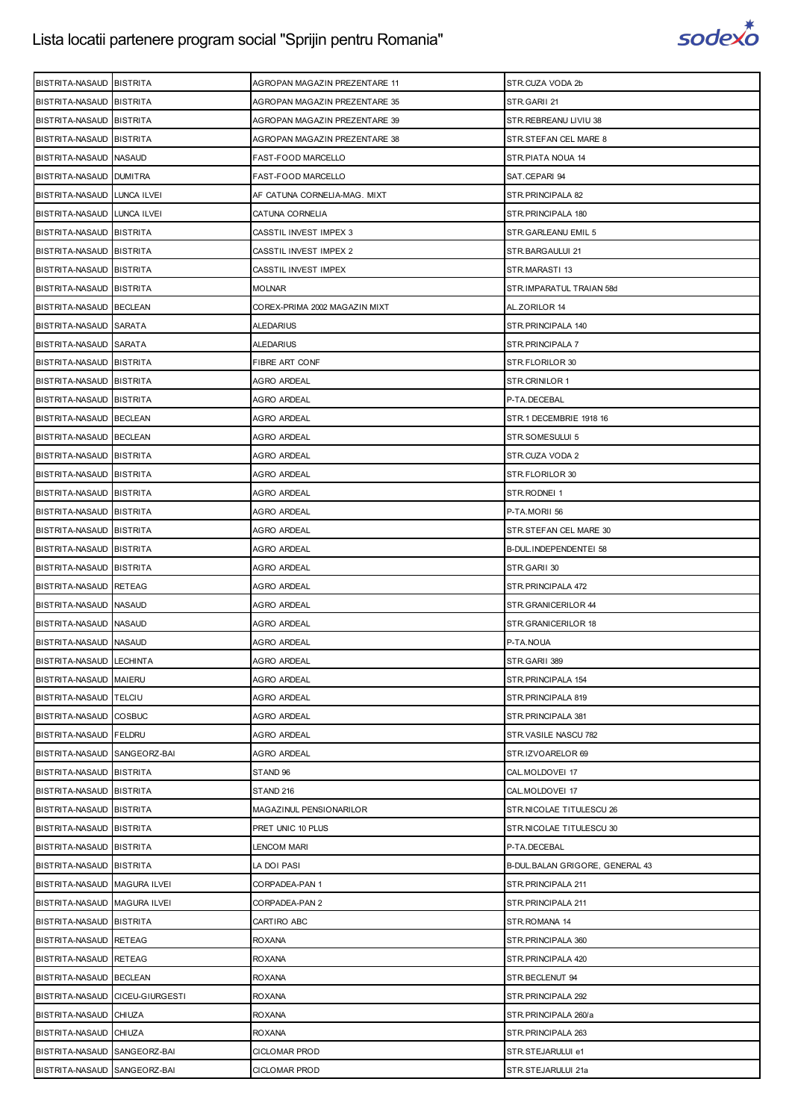

| BISTRITA-NASAUD BISTRITA        |                 | AGROPAN MAGAZIN PREZENTARE 11 | STR.CUZA VODA 2b                |
|---------------------------------|-----------------|-------------------------------|---------------------------------|
| BISTRITA-NASAUD BISTRITA        |                 | AGROPAN MAGAZIN PREZENTARE 35 | STR.GARII 21                    |
| BISTRITA-NASAUD BISTRITA        |                 | AGROPAN MAGAZIN PREZENTARE 39 | STR. REBREANU LIVIU 38          |
| BISTRITA-NASAUD BISTRITA        |                 | AGROPAN MAGAZIN PREZENTARE 38 | STR.STEFAN CEL MARE 8           |
| BISTRITA-NASAUD NASAUD          |                 | <b>FAST-FOOD MARCELLO</b>     | STR.PIATA NOUA 14               |
| BISTRITA-NASAUD DUMITRA         |                 | FAST-FOOD MARCELLO            | SAT.CEPARI 94                   |
| BISTRITA-NASAUD LUNCA ILVEI     |                 | AF CATUNA CORNELIA-MAG. MIXT  | STR. PRINCIPALA 82              |
| BISTRITA-NASAUD LUNCA ILVEI     |                 | CATUNA CORNELIA               | STR. PRINCIPALA 180             |
| BISTRITA-NASAUD BISTRITA        |                 | CASSTIL INVEST IMPEX 3        | STR.GARLEANU EMIL 5             |
| BISTRITA-NASAUD BISTRITA        |                 | CASSTIL INVEST IMPEX 2        | STR.BARGAULUI 21                |
| BISTRITA-NASAUD BISTRITA        |                 | CASSTIL INVEST IMPEX          | STR.MARASTI 13                  |
| BISTRITA-NASAUD BISTRITA        |                 | MOLNAR                        | STR.IMPARATUL TRAIAN 58d        |
| BISTRITA-NASAUD BECLEAN         |                 | COREX-PRIMA 2002 MAGAZIN MIXT | AL.ZORILOR 14                   |
| BISTRITA-NASAUD SARATA          |                 | ALEDARIUS                     | STR. PRINCIPALA 140             |
| BISTRITA-NASAUD SARATA          |                 | ALEDARIUS                     | STR. PRINCIPALA 7               |
| BISTRITA-NASAUD BISTRITA        |                 | FIBRE ART CONF                | STR.FLORILOR 30                 |
| BISTRITA-NASAUD BISTRITA        |                 | AGRO ARDEAL                   | STR.CRINILOR 1                  |
| BISTRITA-NASAUD BISTRITA        |                 | AGRO ARDEAL                   | P-TA.DECEBAL                    |
| BISTRITA-NASAUD BECLEAN         |                 | AGRO ARDEAL                   | STR.1 DECEMBRIE 1918 16         |
| BISTRITA-NASAUD BECLEAN         |                 | AGRO ARDEAL                   | STR.SOMESULUI 5                 |
| BISTRITA-NASAUD BISTRITA        |                 | AGRO ARDEAL                   | STR.CUZA VODA 2                 |
| BISTRITA-NASAUD BISTRITA        |                 | <b>AGRO ARDEAL</b>            | STR.FLORILOR 30                 |
| BISTRITA-NASAUD BISTRITA        |                 | AGRO ARDEAL                   | STR.RODNEI 1                    |
| BISTRITA-NASAUD BISTRITA        |                 | AGRO ARDEAL                   | P-TA.MORII 56                   |
| BISTRITA-NASAUD BISTRITA        |                 | <b>AGRO ARDEAL</b>            | STR.STEFAN CEL MARE 30          |
| BISTRITA-NASAUD BISTRITA        |                 | AGRO ARDEAL                   | B-DUL.INDEPENDENTEI 58          |
| BISTRITA-NASAUD BISTRITA        |                 | AGRO ARDEAL                   | STR.GARII 30                    |
| BISTRITA-NASAUD RETEAG          |                 | <b>AGRO ARDEAL</b>            | STR.PRINCIPALA 472              |
| BISTRITA-NASAUD NASAUD          |                 | AGRO ARDEAL                   | STR.GRANICERILOR 44             |
| BISTRITA-NASAUD NASAUD          |                 | AGRO ARDEAL                   | STR.GRANICERILOR 18             |
| BISTRITA-NASAUD NASAUD          |                 | <b>AGRO ARDEAL</b>            | P-TA.NOUA                       |
| BISTRITA-NASAUD LECHINTA        |                 | <b>AGRO ARDEAL</b>            | STR.GARII 389                   |
| BISTRITA-NASAUD MAIERU          |                 | <b>AGRO ARDEAL</b>            | STR.PRINCIPALA 154              |
| BISTRITA-NASAUD TELCIU          |                 | AGRO ARDEAL                   | STR.PRINCIPALA 819              |
| BISTRITA-NASAUD COSBUC          |                 | <b>AGRO ARDEAL</b>            | STR. PRINCIPALA 381             |
| BISTRITA-NASAUD FELDRU          |                 | AGRO ARDEAL                   | STR.VASILE NASCU 782            |
| BISTRITA-NASAUD SANGEORZ-BAI    |                 | AGRO ARDEAL                   | STR.IZVOARELOR 69               |
| BISTRITA-NASAUD                 | <b>BISTRITA</b> | STAND 96                      | CAL.MOLDOVEI 17                 |
| BISTRITA-NASAUD BISTRITA        |                 | STAND 216                     | CAL.MOLDOVEI 17                 |
| BISTRITA-NASAUD BISTRITA        |                 | MAGAZINUL PENSIONARILOR       | STR.NICOLAE TITULESCU 26        |
| BISTRITA-NASAUD BISTRITA        |                 | PRET UNIC 10 PLUS             | STR.NICOLAE TITULESCU 30        |
| BISTRITA-NASAUD BISTRITA        |                 | LENCOM MARI                   | P-TA.DECEBAL                    |
| BISTRITA-NASAUD BISTRITA        |                 | LA DOI PASI                   | B-DUL.BALAN GRIGORE, GENERAL 43 |
| BISTRITA-NASAUD MAGURA ILVEI    |                 | CORPADEA-PAN 1                | STR. PRINCIPALA 211             |
| BISTRITA-NASAUD MAGURA ILVEI    |                 | CORPADEA-PAN 2                | STR. PRINCIPALA 211             |
| BISTRITA-NASAUD BISTRITA        |                 | CARTIRO ABC                   | STR.ROMANA 14                   |
| BISTRITA-NASAUD RETEAG          |                 | <b>ROXANA</b>                 | STR. PRINCIPALA 360             |
| BISTRITA-NASAUD RETEAG          |                 | <b>ROXANA</b>                 | STR. PRINCIPALA 420             |
| BISTRITA-NASAUD BECLEAN         |                 | <b>ROXANA</b>                 | STR.BECLENUT 94                 |
| BISTRITA-NASAUD CICEU-GIURGESTI |                 | <b>ROXANA</b>                 | STR. PRINCIPALA 292             |
| BISTRITA-NASAUD CHIUZA          |                 | <b>ROXANA</b>                 | STR.PRINCIPALA 260/a            |
| BISTRITA-NASAUD CHIUZA          |                 | <b>ROXANA</b>                 | STR. PRINCIPALA 263             |
| BISTRITA-NASAUD SANGEORZ-BAI    |                 | <b>CICLOMAR PROD</b>          | STR.STEJARULUI e1               |
| BISTRITA-NASAUD SANGEORZ-BAI    |                 | <b>CICLOMAR PROD</b>          | STR.STEJARULUI 21a              |
|                                 |                 |                               |                                 |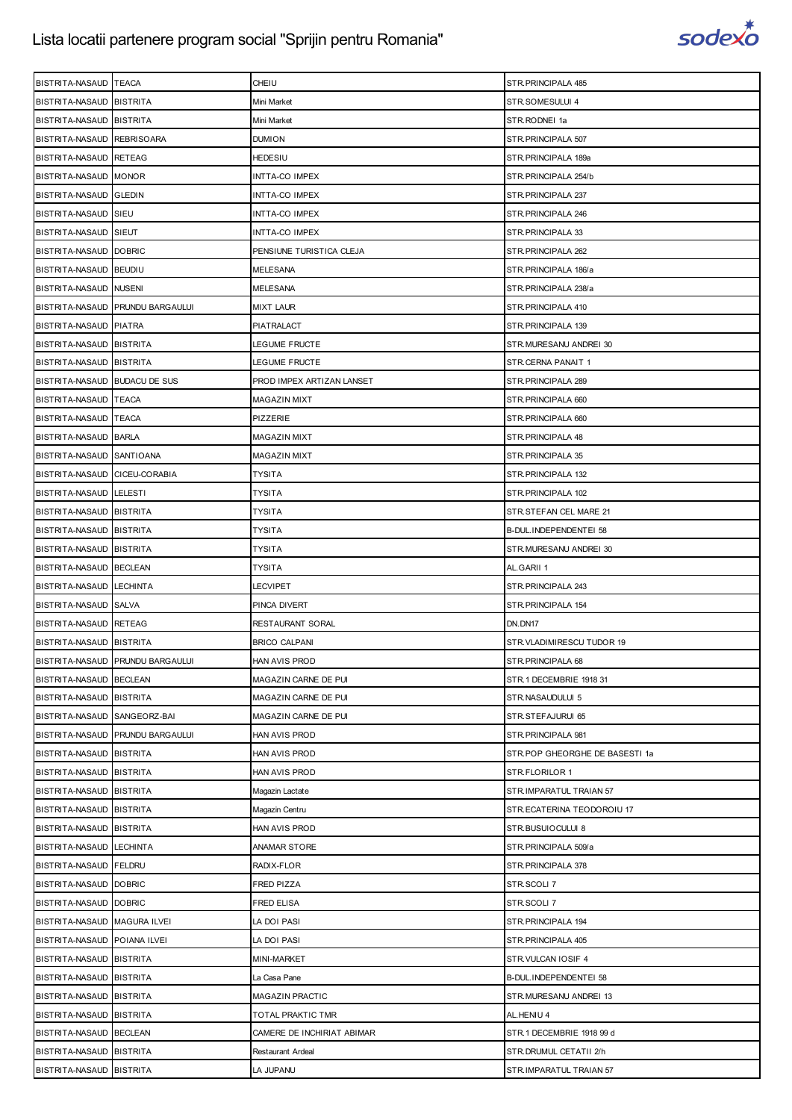

| BISTRITA-NASAUD TEACA         |                                  | CHEIU                      | STR. PRINCIPALA 485            |
|-------------------------------|----------------------------------|----------------------------|--------------------------------|
| BISTRITA-NASAUD BISTRITA      |                                  | Mini Market                | STR.SOMESULUI 4                |
| BISTRITA-NASAUD BISTRITA      |                                  | Mini Market                | STR.RODNEI 1a                  |
| BISTRITA-NASAUD REBRISOARA    |                                  | <b>DUMION</b>              | STR.PRINCIPALA 507             |
| BISTRITA-NASAUD RETEAG        |                                  | HEDESIU                    | STR.PRINCIPALA 189a            |
| BISTRITA-NASAUD MONOR         |                                  | INTTA-CO IMPEX             | STR.PRINCIPALA 254/b           |
| BISTRITA-NASAUD GLEDIN        |                                  | INTTA-CO IMPEX             | STR. PRINCIPALA 237            |
| BISTRITA-NASAUD SIEU          |                                  | INTTA-CO IMPEX             | STR. PRINCIPALA 246            |
| BISTRITA-NASAUD SIEUT         |                                  | INTTA-CO IMPEX             | STR. PRINCIPALA 33             |
| BISTRITA-NASAUD DOBRIC        |                                  | PENSIUNE TURISTICA CLEJA   | STR. PRINCIPALA 262            |
| BISTRITA-NASAUD BEUDIU        |                                  | MELESANA                   | STR.PRINCIPALA 186/a           |
| BISTRITA-NASAUD NUSENI        |                                  | MELESANA                   | STR.PRINCIPALA 238/a           |
|                               | BISTRITA-NASAUD PRUNDU BARGAULUI | MIXT LAUR                  | STR. PRINCIPALA 410            |
| BISTRITA-NASAUD PIATRA        |                                  | PIATRALACT                 | STR. PRINCIPALA 139            |
| BISTRITA-NASAUD BISTRITA      |                                  | LEGUME FRUCTE              | STR.MURESANU ANDREI 30         |
| BISTRITA-NASAUD BISTRITA      |                                  | LEGUME FRUCTE              | STR.CERNA PANAIT 1             |
| BISTRITA-NASAUD BUDACU DE SUS |                                  | PROD IMPEX ARTIZAN LANSET  | STR. PRINCIPALA 289            |
| BISTRITA-NASAUD TEACA         |                                  | MAGAZIN MIXT               | STR. PRINCIPALA 660            |
| BISTRITA-NASAUD TEACA         |                                  | PIZZERIE                   | STR. PRINCIPALA 660            |
| BISTRITA-NASAUD BARLA         |                                  | MAGAZIN MIXT               | STR. PRINCIPALA 48             |
| BISTRITA-NASAUD SANTIOANA     |                                  | MAGAZIN MIXT               | STR. PRINCIPALA 35             |
| BISTRITA-NASAUD CICEU-CORABIA |                                  | TYSITA                     | STR. PRINCIPALA 132            |
| BISTRITA-NASAUD LELESTI       |                                  | TYSITA                     | STR. PRINCIPALA 102            |
| BISTRITA-NASAUD BISTRITA      |                                  | TYSITA                     | STR.STEFAN CEL MARE 21         |
| BISTRITA-NASAUD BISTRITA      |                                  | TYSITA                     | B-DUL.INDEPENDENTEI 58         |
| BISTRITA-NASAUD BISTRITA      |                                  | TYSITA                     | STR.MURESANU ANDREI 30         |
| BISTRITA-NASAUD BECLEAN       |                                  | TYSITA                     | AL.GARII 1                     |
| BISTRITA-NASAUD LECHINTA      |                                  | <b>LECVIPET</b>            | STR. PRINCIPALA 243            |
| BISTRITA-NASAUD SALVA         |                                  | PINCA DIVERT               | STR. PRINCIPALA 154            |
| BISTRITA-NASAUD RETEAG        |                                  | RESTAURANT SORAL           | DN.DN17                        |
| BISTRITA-NASAUD BISTRITA      |                                  | <b>BRICO CALPANI</b>       | STR.VLADIMIRESCU TUDOR 19      |
|                               | BISTRITA-NASAUD PRUNDU BARGAULUI | HAN AVIS PROD              | STR. PRINCIPALA 68             |
| BISTRITA-NASAUD BECLEAN       |                                  | MAGAZIN CARNE DE PUI       | STR.1 DECEMBRIE 1918 31        |
| BISTRITA-NASAUD BISTRITA      |                                  | MAGAZIN CARNE DE PUI       | STR.NASAUDULUI 5               |
| BISTRITA-NASAUD SANGEORZ-BAI  |                                  | MAGAZIN CARNE DE PUI       | STR.STEFAJURUI 65              |
|                               | BISTRITA-NASAUD PRUNDU BARGAULUI | HAN AVIS PROD              | STR. PRINCIPALA 981            |
| BISTRITA-NASAUD BISTRITA      |                                  | HAN AVIS PROD              | STR.POP GHEORGHE DE BASESTI 1a |
| BISTRITA-NASAUD BISTRITA      |                                  | HAN AVIS PROD              | STR.FLORILOR 1                 |
| BISTRITA-NASAUD BISTRITA      |                                  | Magazin Lactate            | STR.IMPARATUL TRAIAN 57        |
| BISTRITA-NASAUD BISTRITA      |                                  | Magazin Centru             | STR.ECATERINA TEODOROIU 17     |
| BISTRITA-NASAUD BISTRITA      |                                  | HAN AVIS PROD              | STR.BUSUIOCULUI 8              |
| BISTRITA-NASAUD LECHINTA      |                                  | ANAMAR STORE               | STR.PRINCIPALA 509/a           |
| BISTRITA-NASAUD FELDRU        |                                  | RADIX-FLOR                 | STR. PRINCIPALA 378            |
| BISTRITA-NASAUD DOBRIC        |                                  | FRED PIZZA                 | STR.SCOLI 7                    |
| BISTRITA-NASAUD DOBRIC        |                                  | FRED ELISA                 | STR.SCOLI 7                    |
| BISTRITA-NASAUD MAGURA ILVEI  |                                  | LA DOI PASI                | STR. PRINCIPALA 194            |
| BISTRITA-NASAUD POIANA ILVEI  |                                  | LA DOI PASI                | STR.PRINCIPALA 405             |
| BISTRITA-NASAUD BISTRITA      |                                  | MINI-MARKET                | STR. VULCAN IOSIF 4            |
| BISTRITA-NASAUD BISTRITA      |                                  | La Casa Pane               | B-DUL.INDEPENDENTEI 58         |
| BISTRITA-NASAUD BISTRITA      |                                  | MAGAZIN PRACTIC            | STR.MURESANU ANDREI 13         |
| BISTRITA-NASAUD BISTRITA      |                                  | TOTAL PRAKTIC TMR          | AL.HENIU 4                     |
| BISTRITA-NASAUD BECLEAN       |                                  | CAMERE DE INCHIRIAT ABIMAR | STR.1 DECEMBRIE 1918 99 d      |
| BISTRITA-NASAUD BISTRITA      |                                  | Restaurant Ardeal          | STR.DRUMUL CETATII 2/h         |
| BISTRITA-NASAUD BISTRITA      |                                  | LA JUPANU                  | STR.IMPARATUL TRAIAN 57        |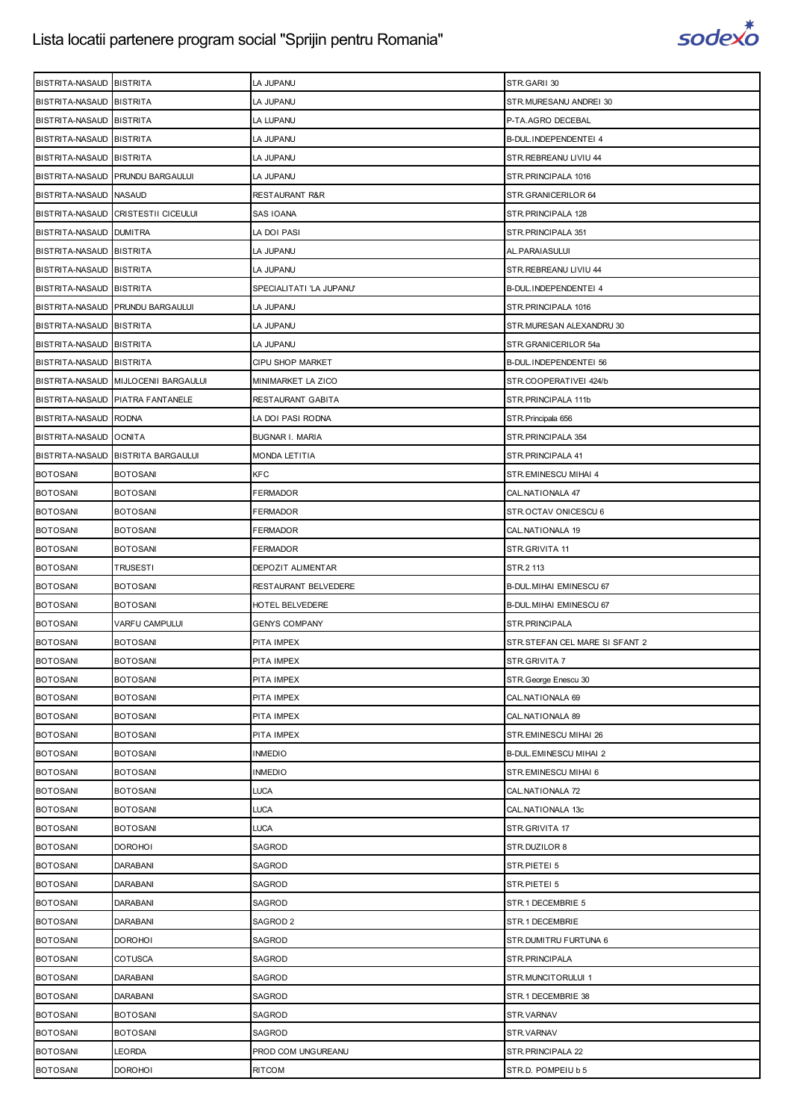

| BISTRITA-NASAUD BISTRITA           |                                      | LA JUPANU                           | STR.GARII 30                            |
|------------------------------------|--------------------------------------|-------------------------------------|-----------------------------------------|
| BISTRITA-NASAUD BISTRITA           |                                      | LA JUPANU                           | STR.MURESANU ANDREI 30                  |
| BISTRITA-NASAUD BISTRITA           |                                      | LA LUPANU                           | P-TA.AGRO DECEBAL                       |
| BISTRITA-NASAUD BISTRITA           |                                      | LA JUPANU                           | B-DUL.INDEPENDENTEI 4                   |
| BISTRITA-NASAUD BISTRITA           |                                      | LA JUPANU                           | STR.REBREANU LIVIU 44                   |
|                                    | BISTRITA-NASAUD PRUNDU BARGAULUI     | LA JUPANU                           | STR. PRINCIPALA 1016                    |
| BISTRITA-NASAUD NASAUD             |                                      | RESTAURANT R&R                      | STR.GRANICERILOR 64                     |
|                                    | BISTRITA-NASAUD CRISTESTII CICEULUI  | SAS IOANA                           | STR. PRINCIPALA 128                     |
| BISTRITA-NASAUD DUMITRA            |                                      | LA DOI PASI                         | STR. PRINCIPALA 351                     |
| BISTRITA-NASAUD BISTRITA           |                                      | LA JUPANU                           | AL. PARAIASULUI                         |
| BISTRITA-NASAUD BISTRITA           |                                      | LA JUPANU                           | STR.REBREANU LIVIU 44                   |
| BISTRITA-NASAUD BISTRITA           |                                      | SPECIALITATI 'LA JUPANU'            | B-DUL.INDEPENDENTEI 4                   |
|                                    | BISTRITA-NASAUD PRUNDU BARGAULUI     | LA JUPANU                           | STR. PRINCIPALA 1016                    |
| BISTRITA-NASAUD BISTRITA           |                                      | LA JUPANU                           | STR.MURESAN ALEXANDRU 30                |
| BISTRITA-NASAUD BISTRITA           |                                      | LA JUPANU                           | STR.GRANICERILOR 54a                    |
| BISTRITA-NASAUD BISTRITA           |                                      | CIPU SHOP MARKET                    | B-DUL.INDEPENDENTEI 56                  |
|                                    | BISTRITA-NASAUD MIJLOCENII BARGAULUI | MINIMARKET LA ZICO                  | STR.COOPERATIVEI 424/b                  |
|                                    | BISTRITA-NASAUD PIATRA FANTANELE     | RESTAURANT GABITA                   | STR.PRINCIPALA 111b                     |
| BISTRITA-NASAUD RODNA              |                                      | LA DOI PASI RODNA                   | STR. Principala 656                     |
| BISTRITA-NASAUD OCNITA             |                                      | <b>BUGNAR I. MARIA</b>              | STR. PRINCIPALA 354                     |
| BISTRITA-NASAUD                    | <b>BISTRITA BARGAULUI</b>            | MONDA LETITIA                       | STR. PRINCIPALA 41                      |
| <b>BOTOSANI</b>                    | <b>BOTOSANI</b>                      | <b>KFC</b>                          | STR.EMINESCU MIHAI 4                    |
| <b>BOTOSANI</b>                    | <b>BOTOSANI</b>                      | FERMADOR                            | CAL.NATIONALA 47                        |
| <b>BOTOSANI</b>                    | <b>BOTOSANI</b>                      | FERMADOR                            | STR.OCTAV ONICESCU 6                    |
| <b>BOTOSANI</b>                    | <b>BOTOSANI</b>                      | FERMADOR                            | CAL. NATIONALA 19                       |
| <b>BOTOSANI</b>                    | <b>BOTOSANI</b>                      | FERMADOR                            | STR.GRIVITA 11                          |
| <b>BOTOSANI</b>                    | TRUSESTI                             | DEPOZIT ALIMENTAR                   | STR.2 113                               |
| <b>BOTOSANI</b>                    | <b>BOTOSANI</b>                      | RESTAURANT BELVEDERE                | <b>B-DUL. MIHAI EMINESCU 67</b>         |
|                                    |                                      |                                     |                                         |
| <b>BOTOSANI</b>                    | <b>BOTOSANI</b>                      | HOTEL BELVEDERE                     | B-DUL. MIHAI EMINESCU 67                |
| <b>BOTOSANI</b>                    | VARFU CAMPULUI                       | <b>GENYS COMPANY</b>                | STR.PRINCIPALA                          |
| <b>BOTOSANI</b>                    | <b>BOTOSANI</b>                      | PITA IMPEX                          | STR. STEFAN CEL MARE SI SFANT 2         |
| <b>BOTOSANI</b>                    | <b>BOTOSANI</b>                      | PITA IMPEX                          | STR.GRIVITA 7                           |
| <b>BOTOSANI</b>                    | <b>BOTOSANI</b>                      | PITA IMPEX                          | STR. George Enescu 30                   |
| <b>BOTOSANI</b>                    | <b>BOTOSANI</b>                      | PITA IMPEX                          | CAL.NATIONALA 69                        |
| <b>BOTOSANI</b>                    | <b>BOTOSANI</b>                      | PITA IMPEX                          | CAL. NATIONALA 89                       |
| <b>BOTOSANI</b>                    | <b>BOTOSANI</b>                      | PITA IMPEX                          | STR.EMINESCU MIHAI 26                   |
| <b>BOTOSANI</b>                    | <b>BOTOSANI</b>                      | <b>INMEDIO</b>                      | B-DUL.EMINESCU MIHAI 2                  |
| <b>BOTOSANI</b>                    | <b>BOTOSANI</b>                      | <b>INMEDIO</b>                      | STR.EMINESCU MIHAI 6                    |
| <b>BOTOSANI</b>                    | <b>BOTOSANI</b>                      | LUCA                                | CAL NATIONALA 72                        |
| <b>BOTOSANI</b>                    | <b>BOTOSANI</b>                      | LUCA                                | CAL.NATIONALA 13c                       |
| <b>BOTOSANI</b>                    | <b>BOTOSANI</b>                      | <b>LUCA</b>                         | STR.GRIVITA 17                          |
| <b>BOTOSANI</b>                    | <b>DOROHOI</b>                       | SAGROD                              | STR.DUZILOR 8                           |
| <b>BOTOSANI</b>                    | <b>DARABANI</b>                      | SAGROD                              | STR.PIETEI 5                            |
| <b>BOTOSANI</b>                    | <b>DARABANI</b>                      | SAGROD                              | STR.PIETEI 5                            |
| <b>BOTOSANI</b>                    | <b>DARABANI</b>                      | SAGROD                              | STR.1 DECEMBRIE 5                       |
| <b>BOTOSANI</b>                    | <b>DARABANI</b>                      | SAGROD <sub>2</sub>                 | STR.1 DECEMBRIE                         |
| <b>BOTOSANI</b>                    | <b>DOROHOI</b>                       | SAGROD                              | STR. DUMITRU FURTUNA 6                  |
| <b>BOTOSANI</b>                    | <b>COTUSCA</b>                       | SAGROD                              | STR.PRINCIPALA                          |
| <b>BOTOSANI</b>                    | <b>DARABANI</b>                      | SAGROD                              | STR.MUNCITORULUI 1                      |
| <b>BOTOSANI</b>                    | <b>DARABANI</b>                      | SAGROD                              | STR.1 DECEMBRIE 38                      |
| <b>BOTOSANI</b>                    | <b>BOTOSANI</b>                      | SAGROD                              | STR.VARNAV                              |
| <b>BOTOSANI</b>                    | <b>BOTOSANI</b>                      | SAGROD                              | STR.VARNAV                              |
| <b>BOTOSANI</b><br><b>BOTOSANI</b> | LEORDA<br><b>DOROHOI</b>             | PROD COM UNGUREANU<br><b>RITCOM</b> | STR.PRINCIPALA 22<br>STR.D. POMPEIU b 5 |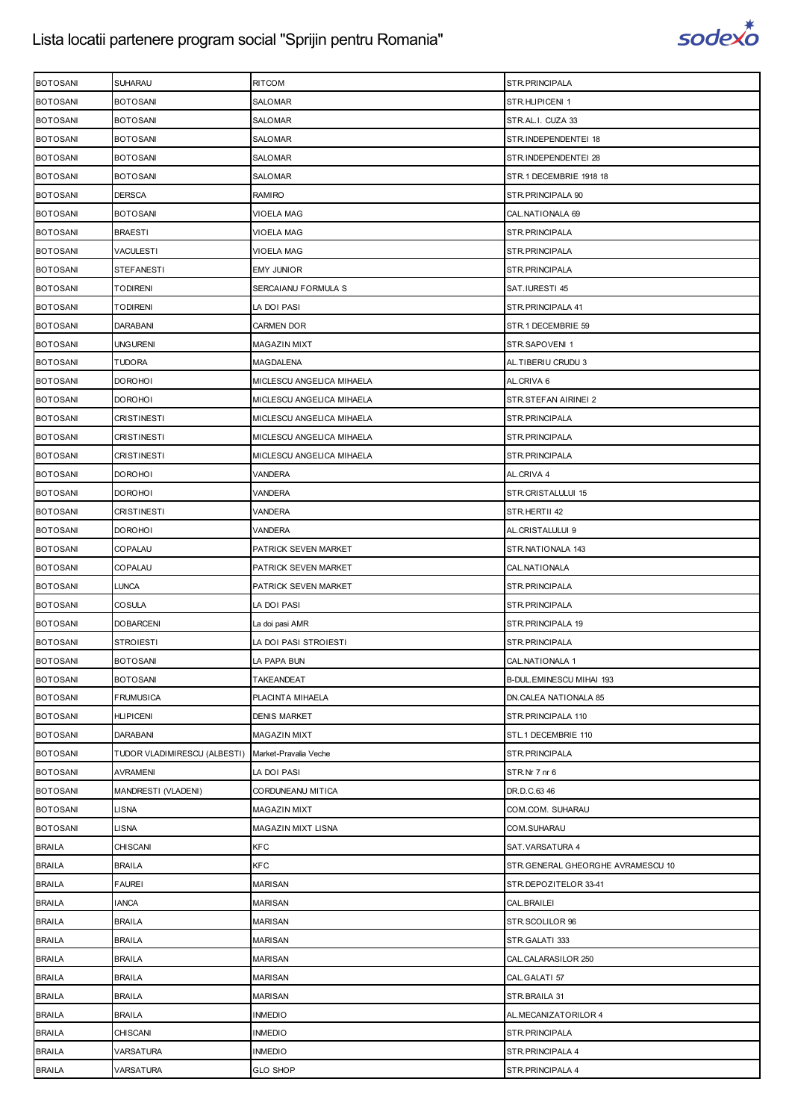

| <b>BOTOSANI</b> | SUHARAU                                            | <b>RITCOM</b>             | STR.PRINCIPALA                    |
|-----------------|----------------------------------------------------|---------------------------|-----------------------------------|
| <b>BOTOSANI</b> | <b>BOTOSANI</b>                                    | SALOMAR                   | STR.HLIPICENI 1                   |
| <b>BOTOSANI</b> | <b>BOTOSANI</b>                                    | SALOMAR                   | STR.AL.I. CUZA 33                 |
| <b>BOTOSANI</b> | <b>BOTOSANI</b>                                    | SALOMAR                   | STR.INDEPENDENTEI 18              |
| <b>BOTOSANI</b> | <b>BOTOSANI</b>                                    | SALOMAR                   | STR.INDEPENDENTEI 28              |
| <b>BOTOSANI</b> | <b>BOTOSANI</b>                                    | SALOMAR                   | STR.1 DECEMBRIE 1918 18           |
| <b>BOTOSANI</b> | <b>DERSCA</b>                                      | RAMIRO                    | STR. PRINCIPALA 90                |
| <b>BOTOSANI</b> | <b>BOTOSANI</b>                                    | VIOELA MAG                | CAL. NATIONALA 69                 |
| <b>BOTOSANI</b> | <b>BRAESTI</b>                                     | VIOELA MAG                | STR.PRINCIPALA                    |
| <b>BOTOSANI</b> | <b>VACULESTI</b>                                   | VIOELA MAG                | STR.PRINCIPALA                    |
| <b>BOTOSANI</b> | <b>STEFANESTI</b>                                  | <b>EMY JUNIOR</b>         | STR.PRINCIPALA                    |
| <b>BOTOSANI</b> | TODIRENI                                           | SERCAIANU FORMULA S       | SAT.IURESTI 45                    |
| <b>BOTOSANI</b> | <b>TODIRENI</b>                                    | LA DOI PASI               | STR. PRINCIPALA 41                |
| <b>BOTOSANI</b> | <b>DARABANI</b>                                    | <b>CARMEN DOR</b>         | STR.1 DECEMBRIE 59                |
|                 | <b>UNGURENI</b>                                    |                           |                                   |
| <b>BOTOSANI</b> |                                                    | MAGAZIN MIXT              | STR.SAPOVENI 1                    |
| <b>BOTOSANI</b> | <b>TUDORA</b>                                      | MAGDALENA                 | AL. TIBERIU CRUDU 3               |
| <b>BOTOSANI</b> | <b>DOROHOI</b>                                     | MICLESCU ANGELICA MIHAELA | AL.CRIVA 6                        |
| <b>BOTOSANI</b> | <b>DOROHOI</b>                                     | MICLESCU ANGELICA MIHAELA | STR.STEFAN AIRINEI 2              |
| <b>BOTOSANI</b> | <b>CRISTINESTI</b>                                 | MICLESCU ANGELICA MIHAELA | STR.PRINCIPALA                    |
| <b>BOTOSANI</b> | <b>CRISTINESTI</b>                                 | MICLESCU ANGELICA MIHAELA | STR.PRINCIPALA                    |
| <b>BOTOSANI</b> | <b>CRISTINESTI</b>                                 | MICLESCU ANGELICA MIHAELA | STR.PRINCIPALA                    |
| <b>BOTOSANI</b> | <b>DOROHOI</b>                                     | VANDERA                   | AL.CRIVA 4                        |
| <b>BOTOSANI</b> | <b>DOROHOI</b>                                     | VANDERA                   | STR.CRISTALULUI 15                |
| <b>BOTOSANI</b> | CRISTINESTI                                        | VANDERA                   | STR.HERTII 42                     |
| <b>BOTOSANI</b> | <b>DOROHOI</b>                                     | VANDERA                   | AL.CRISTALULUI 9                  |
| <b>BOTOSANI</b> | COPALAU                                            | PATRICK SEVEN MARKET      | STR.NATIONALA 143                 |
| <b>BOTOSANI</b> | COPALAU                                            | PATRICK SEVEN MARKET      | CAL.NATIONALA                     |
| <b>BOTOSANI</b> | <b>LUNCA</b>                                       | PATRICK SEVEN MARKET      | STR.PRINCIPALA                    |
| <b>BOTOSANI</b> | COSULA                                             | LA DOI PASI               | STR.PRINCIPALA                    |
| <b>BOTOSANI</b> | <b>DOBARCENI</b>                                   | La doi pasi AMR           | STR.PRINCIPALA 19                 |
| <b>BOTOSANI</b> | <b>STROIESTI</b>                                   | LA DOI PASI STROIESTI     | STR.PRINCIPALA                    |
| <b>BOTOSANI</b> | <b>BOTOSANI</b>                                    | LA PAPA BUN               | CAL.NATIONALA 1                   |
| <b>BOTOSANI</b> | <b>BOTOSANI</b>                                    | TAKEANDEAT                | B-DUL.EMINESCU MIHAI 193          |
| <b>BOTOSANI</b> | <b>FRUMUSICA</b>                                   | PLACINTA MIHAELA          | DN.CALEA NATIONALA 85             |
| <b>BOTOSANI</b> | <b>HLIPICENI</b>                                   | <b>DENIS MARKET</b>       | STR. PRINCIPALA 110               |
| <b>BOTOSANI</b> | <b>DARABANI</b>                                    | MAGAZIN MIXT              | STL.1 DECEMBRIE 110               |
| <b>BOTOSANI</b> | TUDOR VLADIMIRESCU (ALBESTI) Market-Pravalia Veche |                           | STR.PRINCIPALA                    |
| <b>BOTOSANI</b> | AVRAMENI                                           | LA DOI PASI               | STR.Nr 7 nr 6                     |
| <b>BOTOSANI</b> | MANDRESTI (VLADENI)                                | CORDUNEANU MITICA         | DR.D.C.63 46                      |
| <b>BOTOSANI</b> | LISNA                                              | <b>MAGAZIN MIXT</b>       | COM.COM. SUHARAU                  |
| <b>BOTOSANI</b> | LISNA                                              | MAGAZIN MIXT LISNA        | COM.SUHARAU                       |
| <b>BRAILA</b>   | CHISCANI                                           | <b>KFC</b>                | SAT.VARSATURA 4                   |
| <b>BRAILA</b>   | <b>BRAILA</b>                                      | <b>KFC</b>                | STR.GENERAL GHEORGHE AVRAMESCU 10 |
| <b>BRAILA</b>   | <b>FAUREI</b>                                      | <b>MARISAN</b>            | STR.DEPOZITELOR 33-41             |
| <b>BRAILA</b>   | <b>IANCA</b>                                       | MARISAN                   | CAL.BRAILEI                       |
| <b>BRAILA</b>   | <b>BRAILA</b>                                      | <b>MARISAN</b>            | STR.SCOLILOR 96                   |
| <b>BRAILA</b>   | <b>BRAILA</b>                                      | <b>MARISAN</b>            | STR.GALATI 333                    |
| <b>BRAILA</b>   | <b>BRAILA</b>                                      | MARISAN                   | CAL.CALARASILOR 250               |
| <b>BRAILA</b>   | <b>BRAILA</b>                                      | <b>MARISAN</b>            | CAL.GALATI 57                     |
| <b>BRAILA</b>   | <b>BRAILA</b>                                      | MARISAN                   | STR.BRAILA 31                     |
| <b>BRAILA</b>   | <b>BRAILA</b>                                      | <b>INMEDIO</b>            | AL.MECANIZATORILOR 4              |
| <b>BRAILA</b>   | CHISCANI                                           | <b>INMEDIO</b>            | STR.PRINCIPALA                    |
| <b>BRAILA</b>   | VARSATURA                                          | <b>INMEDIO</b>            | STR.PRINCIPALA 4                  |
| <b>BRAILA</b>   | VARSATURA                                          | <b>GLO SHOP</b>           | STR. PRINCIPALA 4                 |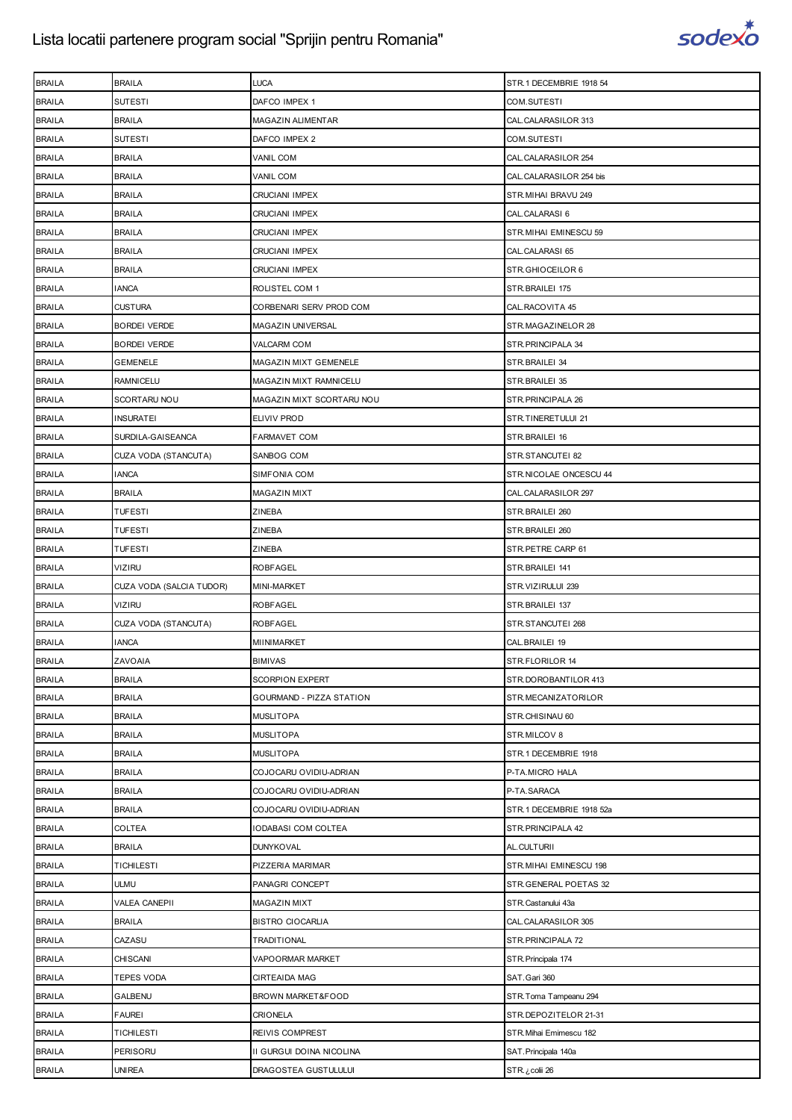

| <b>BRAILA</b> | <b>BRAILA</b>            | LUCA                      | STR.1 DECEMBRIE 1918 54  |
|---------------|--------------------------|---------------------------|--------------------------|
| <b>BRAILA</b> | <b>SUTESTI</b>           | DAFCO IMPEX 1             | COM.SUTESTI              |
| <b>BRAILA</b> | <b>BRAILA</b>            | MAGAZIN ALIMENTAR         | CAL.CALARASILOR 313      |
| <b>BRAILA</b> | SUTESTI                  | DAFCO IMPEX 2             | COM.SUTESTI              |
| <b>BRAILA</b> | <b>BRAILA</b>            | VANIL COM                 | CAL.CALARASILOR 254      |
| <b>BRAILA</b> | <b>BRAILA</b>            | VANIL COM                 | CAL.CALARASILOR 254 bis  |
| <b>BRAILA</b> | <b>BRAILA</b>            | CRUCIANI IMPEX            | STR.MIHAI BRAVU 249      |
| <b>BRAILA</b> | <b>BRAILA</b>            | <b>CRUCIANI IMPEX</b>     | CAL.CALARASI 6           |
| <b>BRAILA</b> | <b>BRAILA</b>            | <b>CRUCIANI IMPEX</b>     | STR. MIHAI EMINESCU 59   |
| <b>BRAILA</b> | <b>BRAILA</b>            | CRUCIANI IMPEX            | CAL.CALARASI 65          |
| <b>BRAILA</b> | <b>BRAILA</b>            | <b>CRUCIANI IMPEX</b>     | STR.GHIOCEILOR 6         |
| <b>BRAILA</b> | <b>IANCA</b>             | ROLISTEL COM 1            | STR.BRAILEI 175          |
| <b>BRAILA</b> | <b>CUSTURA</b>           | CORBENARI SERV PROD COM   | CAL.RACOVITA 45          |
| <b>BRAILA</b> | <b>BORDEI VERDE</b>      | MAGAZIN UNIVERSAL         | STR.MAGAZINELOR 28       |
| <b>BRAILA</b> | <b>BORDEI VERDE</b>      | <b>VALCARM COM</b>        | STR. PRINCIPALA 34       |
| <b>BRAILA</b> | <b>GEMENELE</b>          | MAGAZIN MIXT GEMENELE     | STR.BRAILEI 34           |
| <b>BRAILA</b> | <b>RAMNICELU</b>         | MAGAZIN MIXT RAMNICELU    | STR.BRAILEI 35           |
| <b>BRAILA</b> | SCORTARU NOU             | MAGAZIN MIXT SCORTARU NOU | STR. PRINCIPALA 26       |
| <b>BRAILA</b> | <b>INSURATEI</b>         | ELIVIV PROD               | STR.TINERETULUI 21       |
| <b>BRAILA</b> | SURDILA-GAISEANCA        | <b>FARMAVET COM</b>       | STR.BRAILEI 16           |
| <b>BRAILA</b> | CUZA VODA (STANCUTA)     | SANBOG COM                | STR.STANCUTEI 82         |
| <b>BRAILA</b> | <b>IANCA</b>             | SIMFONIA COM              | STR.NICOLAE ONCESCU 44   |
| <b>BRAILA</b> | <b>BRAILA</b>            | <b>MAGAZIN MIXT</b>       | CAL.CALARASILOR 297      |
| <b>BRAILA</b> | TUFESTI                  | ZINEBA                    | STR.BRAILEI 260          |
| <b>BRAILA</b> | <b>TUFESTI</b>           | ZINEBA                    | STR.BRAILEI 260          |
| <b>BRAILA</b> | <b>TUFESTI</b>           | ZINEBA                    | STR.PETRE CARP 61        |
| <b>BRAILA</b> | VIZIRU                   | <b>ROBFAGEL</b>           | STR.BRAILEI 141          |
| <b>BRAILA</b> | CUZA VODA (SALCIA TUDOR) | MINI-MARKET               | STR.VIZIRULUI 239        |
| <b>BRAILA</b> | <b>VIZIRU</b>            | <b>ROBFAGEL</b>           | STR.BRAILEI 137          |
| <b>BRAILA</b> | CUZA VODA (STANCUTA)     | <b>ROBFAGEL</b>           | STR.STANCUTEI 268        |
| <b>BRAILA</b> | <b>IANCA</b>             | MIINIMARKET               | CAL.BRAILEI 19           |
| <b>BRAILA</b> | ZAVOAIA                  | <b>BIMIVAS</b>            | STR.FLORILOR 14          |
| <b>BRAILA</b> | <b>BRAILA</b>            | <b>SCORPION EXPERT</b>    | STR.DOROBANTILOR 413     |
| <b>BRAILA</b> | BRAILA                   | GOURMAND - PIZZA STATION  | STR.MECANIZATORILOR      |
| <b>BRAILA</b> | <b>BRAILA</b>            | <b>MUSLITOPA</b>          | STR.CHISINAU 60          |
| <b>BRAILA</b> | <b>BRAILA</b>            | <b>MUSLITOPA</b>          | STR.MILCOV 8             |
| <b>BRAILA</b> | <b>BRAILA</b>            | <b>MUSLITOPA</b>          | STR.1 DECEMBRIE 1918     |
| <b>BRAILA</b> | <b>BRAILA</b>            | COJOCARU OVIDIU-ADRIAN    | P-TA.MICRO HALA          |
| <b>BRAILA</b> | <b>BRAILA</b>            | COJOCARU OVIDIU-ADRIAN    | P-TA.SARACA              |
| <b>BRAILA</b> | <b>BRAILA</b>            | COJOCARU OVIDIU-ADRIAN    | STR.1 DECEMBRIE 1918 52a |
| <b>BRAILA</b> | COLTEA                   | IODABASI COM COLTEA       | STR.PRINCIPALA 42        |
| <b>BRAILA</b> | <b>BRAILA</b>            | <b>DUNYKOVAL</b>          | AL.CULTURII              |
| <b>BRAILA</b> | TICHILESTI               | PIZZERIA MARIMAR          | STR.MIHAI EMINESCU 198   |
| <b>BRAILA</b> | ULMU                     | PANAGRI CONCEPT           | STR.GENERAL POETAS 32    |
| <b>BRAILA</b> | VALEA CANEPII            | MAGAZIN MIXT              | STR.Castanului 43a       |
| <b>BRAILA</b> | <b>BRAILA</b>            | <b>BISTRO CIOCARLIA</b>   | CAL.CALARASILOR 305      |
| <b>BRAILA</b> | CAZASU                   | TRADITIONAL               | STR.PRINCIPALA 72        |
| <b>BRAILA</b> | CHISCANI                 | VAPOORMAR MARKET          | STR. Principala 174      |
| <b>BRAILA</b> | TEPES VODA               | <b>CIRTEAIDA MAG</b>      | SAT.Gari 360             |
| <b>BRAILA</b> | GALBENU                  | BROWN MARKET&FOOD         | STR. Toma Tampeanu 294   |
| <b>BRAILA</b> | <b>FAUREI</b>            | CRIONELA                  | STR.DEPOZITELOR 21-31    |
| <b>BRAILA</b> | TICHILESTI               | REIVIS COMPREST           | STR. Mihai Emimescu 182  |
| <b>BRAILA</b> | PERISORU                 | II GURGUI DOINA NICOLINA  | SAT. Principala 140a     |
| <b>BRAILA</b> | UNIREA                   | DRAGOSTEA GUSTULULUI      | colii 26 اSTR.           |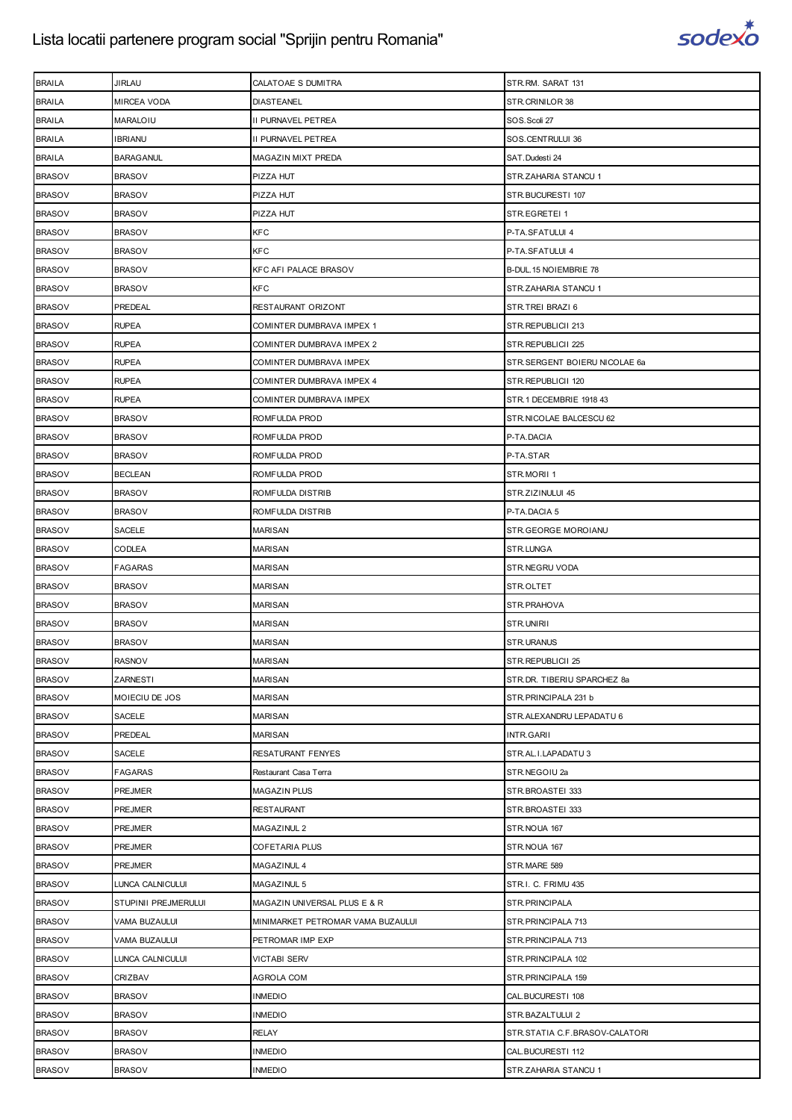

| <b>BRAILA</b> | JIRLAU               | CALATOAE S DUMITRA                | STR.RM. SARAT 131              |
|---------------|----------------------|-----------------------------------|--------------------------------|
| <b>BRAILA</b> | MIRCEA VODA          | <b>DIASTEANEL</b>                 | STR.CRINILOR 38                |
| <b>BRAILA</b> | MARALOIU             | II PURNAVEL PETREA                | SOS.Scoli 27                   |
| <b>BRAILA</b> | <b>IBRIANU</b>       | II PURNAVEL PETREA                | SOS.CENTRULUI 36               |
| <b>BRAILA</b> | <b>BARAGANUL</b>     | MAGAZIN MIXT PREDA                | SAT.Dudesti 24                 |
| <b>BRASOV</b> | <b>BRASOV</b>        | PIZZA HUT                         | STR.ZAHARIA STANCU 1           |
| <b>BRASOV</b> | <b>BRASOV</b>        | PIZZA HUT                         | STR.BUCURESTI 107              |
| <b>BRASOV</b> | <b>BRASOV</b>        | PIZZA HUT                         | STR.EGRETEI 1                  |
| <b>BRASOV</b> | <b>BRASOV</b>        | <b>KFC</b>                        | P-TA.SFATULUI 4                |
| <b>BRASOV</b> | <b>BRASOV</b>        | <b>KFC</b>                        | P-TA.SFATULUI 4                |
| <b>BRASOV</b> | <b>BRASOV</b>        | KFC AFI PALACE BRASOV             | B-DUL. 15 NOIEMBRIE 78         |
| <b>BRASOV</b> | <b>BRASOV</b>        | <b>KFC</b>                        | STR.ZAHARIA STANCU 1           |
| <b>BRASOV</b> | PREDEAL              | RESTAURANT ORIZONT                | STR.TREI BRAZI 6               |
| <b>BRASOV</b> | <b>RUPEA</b>         | COMINTER DUMBRAVA IMPEX 1         | STR.REPUBLICII 213             |
| <b>BRASOV</b> | <b>RUPEA</b>         | COMINTER DUMBRAVA IMPEX 2         | STR.REPUBLICII 225             |
| <b>BRASOV</b> | <b>RUPEA</b>         | COMINTER DUMBRAVA IMPEX           | STR.SERGENT BOIERU NICOLAE 6a  |
| <b>BRASOV</b> | <b>RUPEA</b>         | COMINTER DUMBRAVA IMPEX 4         | STR.REPUBLICII 120             |
| <b>BRASOV</b> | <b>RUPEA</b>         | COMINTER DUMBRAVA IMPEX           | STR.1 DECEMBRIE 1918 43        |
| <b>BRASOV</b> | <b>BRASOV</b>        | ROMFULDA PROD                     | STR.NICOLAE BALCESCU 62        |
| <b>BRASOV</b> | <b>BRASOV</b>        | ROMFULDA PROD                     | P-TA.DACIA                     |
| <b>BRASOV</b> | <b>BRASOV</b>        | ROMFULDA PROD                     | P-TA.STAR                      |
| <b>BRASOV</b> | <b>BECLEAN</b>       | ROMFULDA PROD                     | STR.MORII 1                    |
| <b>BRASOV</b> | <b>BRASOV</b>        | ROMFULDA DISTRIB                  | STR.ZIZINULUI 45               |
| <b>BRASOV</b> | <b>BRASOV</b>        | ROMFULDA DISTRIB                  | P-TA.DACIA 5                   |
| <b>BRASOV</b> | SACELE               | <b>MARISAN</b>                    | STR.GEORGE MOROIANU            |
| <b>BRASOV</b> | CODLEA               | <b>MARISAN</b>                    | STR.LUNGA                      |
| <b>BRASOV</b> | <b>FAGARAS</b>       | MARISAN                           | STR.NEGRU VODA                 |
| <b>BRASOV</b> | <b>BRASOV</b>        | <b>MARISAN</b>                    | STR.OLTET                      |
| <b>BRASOV</b> | <b>BRASOV</b>        | <b>MARISAN</b>                    | STR.PRAHOVA                    |
| <b>BRASOV</b> | <b>BRASOV</b>        | MARISAN                           | STR.UNIRII                     |
| <b>BRASOV</b> | <b>BRASOV</b>        | <b>MARISAN</b>                    | STR.URANUS                     |
| <b>BRASOV</b> | <b>RASNOV</b>        | <b>MARISAN</b>                    | STR.REPUBLICII 25              |
| <b>BRASOV</b> | <b>ZARNESTI</b>      | <b>MARISAN</b>                    | STR.DR. TIBERIU SPARCHEZ 8a    |
| <b>BRASOV</b> | MOIECIU DE JOS       | <b>MARISAN</b>                    | STR.PRINCIPALA 231 b           |
| <b>BRASOV</b> | SACELE               | <b>MARISAN</b>                    | STR.ALEXANDRU LEPADATU 6       |
| <b>BRASOV</b> | PREDEAL              | <b>MARISAN</b>                    | INTR.GARII                     |
| <b>BRASOV</b> | <b>SACELE</b>        | RESATURANT FENYES                 | STR.AL.I.LAPADATU 3            |
| <b>BRASOV</b> | <b>FAGARAS</b>       | Restaurant Casa Terra             | STR.NEGOIU 2a                  |
| <b>BRASOV</b> | PREJMER              | <b>MAGAZIN PLUS</b>               | STR.BROASTEI 333               |
| <b>BRASOV</b> | PREJMER              | <b>RESTAURANT</b>                 | STR.BROASTEI 333               |
| <b>BRASOV</b> | PREJMER              | MAGAZINUL 2                       | STR.NOUA 167                   |
| <b>BRASOV</b> | PREJMER              | <b>COFETARIA PLUS</b>             | STR.NOUA 167                   |
| <b>BRASOV</b> | <b>PREJMER</b>       | MAGAZINUL 4                       | STR.MARE 589                   |
| <b>BRASOV</b> | LUNCA CALNICULUI     | MAGAZINUL 5                       | STR.I. C. FRIMU 435            |
| <b>BRASOV</b> | STUPINII PREJMERULUI | MAGAZIN UNIVERSAL PLUS E & R      | STR.PRINCIPALA                 |
| <b>BRASOV</b> | VAMA BUZAULUI        | MINIMARKET PETROMAR VAMA BUZAULUI | STR.PRINCIPALA 713             |
| <b>BRASOV</b> | VAMA BUZAULUI        | PETROMAR IMP EXP                  | STR. PRINCIPALA 713            |
| <b>BRASOV</b> | LUNCA CALNICULUI     | VICTABI SERV                      | STR. PRINCIPALA 102            |
| <b>BRASOV</b> | <b>CRIZBAV</b>       | AGROLA COM                        | STR.PRINCIPALA 159             |
| <b>BRASOV</b> | <b>BRASOV</b>        | <b>INMEDIO</b>                    | CAL.BUCURESTI 108              |
| <b>BRASOV</b> | <b>BRASOV</b>        | <b>INMEDIO</b>                    | STR.BAZALTULUI 2               |
| <b>BRASOV</b> | <b>BRASOV</b>        | <b>RELAY</b>                      | STR.STATIA C.F.BRASOV-CALATORI |
| <b>BRASOV</b> | <b>BRASOV</b>        | <b>INMEDIO</b>                    | CAL.BUCURESTI 112              |
| <b>BRASOV</b> | <b>BRASOV</b>        | <b>INMEDIO</b>                    | STR.ZAHARIA STANCU 1           |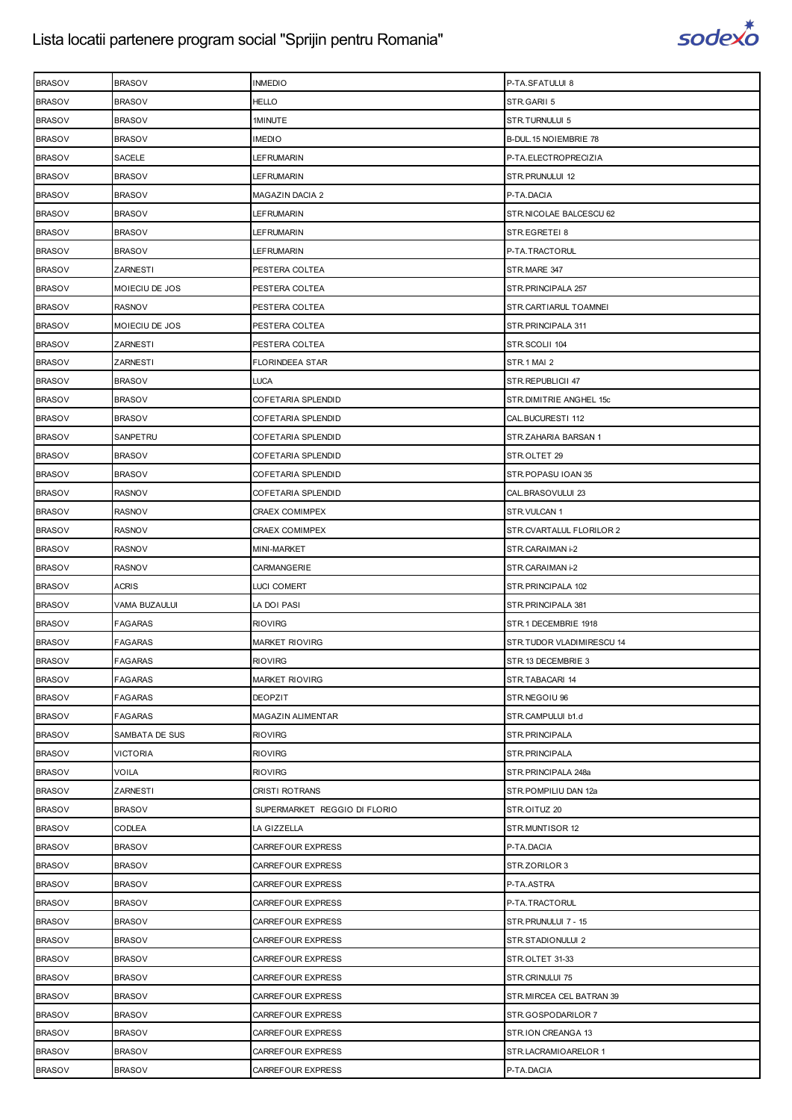

| <b>BRASOV</b> | <b>BRASOV</b>   | <b>INMEDIO</b>               | P-TA.SFATULUI 8           |
|---------------|-----------------|------------------------------|---------------------------|
| <b>BRASOV</b> | <b>BRASOV</b>   | <b>HELLO</b>                 | STR.GARII 5               |
| <b>BRASOV</b> | <b>BRASOV</b>   | 1MINUTE                      | STR.TURNULUI 5            |
| <b>BRASOV</b> | <b>BRASOV</b>   | <b>IMEDIO</b>                | B-DUL. 15 NOIEMBRIE 78    |
| <b>BRASOV</b> | <b>SACELE</b>   | LEFRUMARIN                   | P-TA.ELECTROPRECIZIA      |
| <b>BRASOV</b> | <b>BRASOV</b>   | LEFRUMARIN                   | STR. PRUNULUI 12          |
| <b>BRASOV</b> | <b>BRASOV</b>   | <b>MAGAZIN DACIA 2</b>       | P-TA.DACIA                |
| <b>BRASOV</b> | <b>BRASOV</b>   | LEFRUMARIN                   | STR.NICOLAE BALCESCU 62   |
| <b>BRASOV</b> | <b>BRASOV</b>   | LEFRUMARIN                   | STR.EGRETEI 8             |
| <b>BRASOV</b> | <b>BRASOV</b>   | LEFRUMARIN                   | P-TA.TRACTORUL            |
| <b>BRASOV</b> | ZARNESTI        | PESTERA COLTEA               | STR.MARE 347              |
| <b>BRASOV</b> | MOIECIU DE JOS  | PESTERA COLTEA               | STR. PRINCIPALA 257       |
| <b>BRASOV</b> | <b>RASNOV</b>   | PESTERA COLTEA               | STR.CARTIARUL TOAMNEI     |
| <b>BRASOV</b> | MOIECIU DE JOS  | PESTERA COLTEA               | STR. PRINCIPALA 311       |
| <b>BRASOV</b> | ZARNESTI        | PESTERA COLTEA               | STR.SCOLII 104            |
| <b>BRASOV</b> | ZARNESTI        | FLORINDEEA STAR              | STR.1 MAI 2               |
| <b>BRASOV</b> | <b>BRASOV</b>   | LUCA                         | STR.REPUBLICII 47         |
| <b>BRASOV</b> | <b>BRASOV</b>   | COFETARIA SPLENDID           | STR.DIMITRIE ANGHEL 15c   |
| <b>BRASOV</b> | <b>BRASOV</b>   | COFETARIA SPLENDID           | CAL.BUCURESTI 112         |
| <b>BRASOV</b> | SANPETRU        | COFETARIA SPLENDID           | STR.ZAHARIA BARSAN 1      |
| <b>BRASOV</b> | <b>BRASOV</b>   | COFETARIA SPLENDID           | STR.OLTET 29              |
| <b>BRASOV</b> | <b>BRASOV</b>   | COFETARIA SPLENDID           | STR.POPASU IOAN 35        |
| <b>BRASOV</b> | <b>RASNOV</b>   | COFETARIA SPLENDID           | CAL.BRASOVULUI 23         |
| <b>BRASOV</b> | <b>RASNOV</b>   | <b>CRAEX COMIMPEX</b>        | STR.VULCAN 1              |
| <b>BRASOV</b> | <b>RASNOV</b>   | CRAEX COMIMPEX               | STR.CVARTALUL FLORILOR 2  |
| <b>BRASOV</b> | <b>RASNOV</b>   | MINI-MARKET                  | STR.CARAIMAN i-2          |
| <b>BRASOV</b> | <b>RASNOV</b>   | CARMANGERIE                  | STR.CARAIMAN i-2          |
| <b>BRASOV</b> | <b>ACRIS</b>    | LUCI COMERT                  | STR. PRINCIPALA 102       |
| <b>BRASOV</b> | VAMA BUZAULUI   | LA DOI PASI                  | STR. PRINCIPALA 381       |
| <b>BRASOV</b> | FAGARAS         | <b>RIOVIRG</b>               | STR.1 DECEMBRIE 1918      |
| <b>BRASOV</b> | <b>FAGARAS</b>  | <b>MARKET RIOVIRG</b>        | STR.TUDOR VLADIMIRESCU 14 |
| <b>BRASOV</b> | <b>FAGARAS</b>  | <b>RIOVIRG</b>               | STR.13 DECEMBRIE 3        |
| <b>BRASOV</b> | <b>FAGARAS</b>  | <b>MARKET RIOVIRG</b>        | STR.TABACARI 14           |
| <b>BRASOV</b> | FAGARAS         | <b>DEOPZIT</b>               | STR.NEGOIU 96             |
| <b>BRASOV</b> | <b>FAGARAS</b>  | MAGAZIN ALIMENTAR            | STR.CAMPULUI b1.d         |
| <b>BRASOV</b> | SAMBATA DE SUS  | <b>RIOVIRG</b>               | STR.PRINCIPALA            |
| <b>BRASOV</b> | <b>VICTORIA</b> | <b>RIOVIRG</b>               | STR.PRINCIPALA            |
| <b>BRASOV</b> | <b>VOILA</b>    | <b>RIOVIRG</b>               | STR.PRINCIPALA 248a       |
| <b>BRASOV</b> | <b>ZARNESTI</b> | <b>CRISTI ROTRANS</b>        | STR.POMPILIU DAN 12a      |
| <b>BRASOV</b> | <b>BRASOV</b>   | SUPERMARKET REGGIO DI FLORIO | STR.OITUZ 20              |
| <b>BRASOV</b> | <b>CODLEA</b>   | LA GIZZELLA                  | STR.MUNTISOR 12           |
| <b>BRASOV</b> | <b>BRASOV</b>   | CARREFOUR EXPRESS            | P-TA.DACIA                |
| <b>BRASOV</b> | <b>BRASOV</b>   | CARREFOUR EXPRESS            | STR.ZORILOR 3             |
| <b>BRASOV</b> | <b>BRASOV</b>   | CARREFOUR EXPRESS            | P-TA.ASTRA                |
| <b>BRASOV</b> | <b>BRASOV</b>   | CARREFOUR EXPRESS            | P-TA.TRACTORUL            |
| <b>BRASOV</b> | <b>BRASOV</b>   | CARREFOUR EXPRESS            | STR.PRUNULUI 7 - 15       |
| <b>BRASOV</b> | <b>BRASOV</b>   | CARREFOUR EXPRESS            | STR.STADIONULUI 2         |
| <b>BRASOV</b> | <b>BRASOV</b>   | CARREFOUR EXPRESS            | STR.OLTET 31-33           |
| <b>BRASOV</b> | <b>BRASOV</b>   | CARREFOUR EXPRESS            | STR.CRINULUI 75           |
| <b>BRASOV</b> | <b>BRASOV</b>   | CARREFOUR EXPRESS            | STR.MIRCEA CEL BATRAN 39  |
| <b>BRASOV</b> | <b>BRASOV</b>   | CARREFOUR EXPRESS            | STR.GOSPODARILOR 7        |
| <b>BRASOV</b> | <b>BRASOV</b>   | CARREFOUR EXPRESS            | STR.ION CREANGA 13        |
| <b>BRASOV</b> | <b>BRASOV</b>   | CARREFOUR EXPRESS            | STR.LACRAMIOARELOR 1      |
| <b>BRASOV</b> | <b>BRASOV</b>   | CARREFOUR EXPRESS            | P-TA.DACIA                |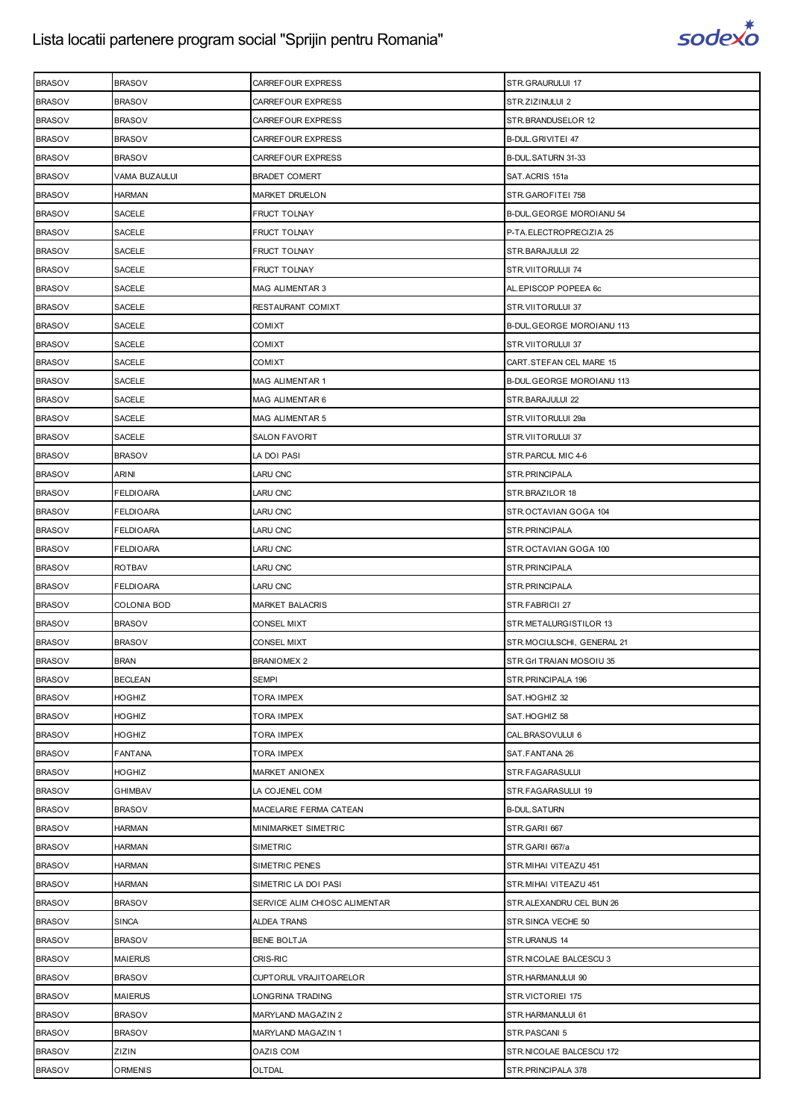

| <b>BRASOV</b> | <b>BRASOV</b>      | CARREFOUR EXPRESS             | STR.GRAURULUI 17           |
|---------------|--------------------|-------------------------------|----------------------------|
| <b>BRASOV</b> | <b>BRASOV</b>      | CARREFOUR EXPRESS             | STR.ZIZINULUI 2            |
| <b>BRASOV</b> | <b>BRASOV</b>      | CARREFOUR EXPRESS             | STR.BRANDUSELOR 12         |
| <b>BRASOV</b> | <b>BRASOV</b>      | CARREFOUR EXPRESS             | B-DUL.GRIVITEI 47          |
| <b>BRASOV</b> | <b>BRASOV</b>      | CARREFOUR EXPRESS             | B-DUL.SATURN 31-33         |
| <b>BRASOV</b> | VAMA BUZAULUI      | <b>BRADET COMERT</b>          | SAT.ACRIS 151a             |
| <b>BRASOV</b> | HARMAN             | <b>MARKET DRUELON</b>         | STR.GAROFITEI 758          |
| <b>BRASOV</b> | SACELE             | <b>FRUCT TOLNAY</b>           | B-DUL GEORGE MOROIANU 54   |
| <b>BRASOV</b> | <b>SACELE</b>      | <b>FRUCT TOLNAY</b>           | P-TA.ELECTROPRECIZIA 25    |
| <b>BRASOV</b> | SACELE             | FRUCT TOLNAY                  | STR.BARAJULUI 22           |
| <b>BRASOV</b> | <b>SACELE</b>      | <b>FRUCT TOLNAY</b>           | STR.VIITORULUI 74          |
| <b>BRASOV</b> | SACELE             | MAG ALIMENTAR 3               | AL.EPISCOP POPEEA 6c       |
| <b>BRASOV</b> | SACELE             | RESTAURANT COMIXT             | STR.VIITORULUI 37          |
| <b>BRASOV</b> | SACELE             | <b>COMIXT</b>                 | B-DUL.GEORGE MOROIANU 113  |
| <b>BRASOV</b> | SACELE             | <b>COMIXT</b>                 | STR.VIITORULUI 37          |
| <b>BRASOV</b> | SACELE             | <b>COMIXT</b>                 | CART.STEFAN CEL MARE 15    |
| <b>BRASOV</b> | <b>SACELE</b>      | <b>MAG ALIMENTAR 1</b>        | B-DUL.GEORGE MOROIANU 113  |
| <b>BRASOV</b> | <b>SACELE</b>      | MAG ALIMENTAR 6               | STR.BARAJULUI 22           |
| <b>BRASOV</b> | SACELE             | MAG ALIMENTAR 5               | STR.VIITORULUI 29a         |
| <b>BRASOV</b> | SACELE             | <b>SALON FAVORIT</b>          | STR.VIITORULUI 37          |
| <b>BRASOV</b> | <b>BRASOV</b>      | LA DOI PASI                   | STR.PARCUL MIC 4-6         |
| <b>BRASOV</b> | ARINI              | <b>LARU CNC</b>               | STR.PRINCIPALA             |
| <b>BRASOV</b> | <b>FELDIOARA</b>   | <b>LARU CNC</b>               | STR.BRAZILOR 18            |
| <b>BRASOV</b> | FELDIOARA          | LARU CNC                      | STR.OCTAVIAN GOGA 104      |
| <b>BRASOV</b> | <b>FELDIOARA</b>   | <b>LARU CNC</b>               | STR.PRINCIPALA             |
| <b>BRASOV</b> | <b>FELDIOARA</b>   | <b>LARU CNC</b>               | STR.OCTAVIAN GOGA 100      |
| <b>BRASOV</b> | <b>ROTBAV</b>      | <b>LARU CNC</b>               | STR.PRINCIPALA             |
| <b>BRASOV</b> | <b>FELDIOARA</b>   | <b>LARU CNC</b>               | STR.PRINCIPALA             |
| <b>BRASOV</b> | <b>COLONIA BOD</b> | <b>MARKET BALACRIS</b>        | STR.FABRICII 27            |
| <b>BRASOV</b> | <b>BRASOV</b>      | <b>CONSEL MIXT</b>            | STR.METALURGISTILOR 13     |
| <b>BRASOV</b> | <b>BRASOV</b>      | CONSEL MIXT                   | STR.MOCIULSCHI, GENERAL 21 |
| <b>BRASOV</b> | <b>BRAN</b>        | <b>BRANIOMEX 2</b>            | STR. GrI TRAIAN MOSOIU 35  |
| <b>BRASOV</b> | <b>BECLEAN</b>     | <b>SEMPI</b>                  | STR.PRINCIPALA 196         |
| <b>BRASOV</b> | HOGHIZ             | TORA IMPEX                    | SAT.HOGHIZ 32              |
| <b>BRASOV</b> | HOGHIZ             | <b>TORA IMPEX</b>             | SAT.HOGHIZ 58              |
| <b>BRASOV</b> | <b>HOGHIZ</b>      | TORA IMPEX                    | CAL.BRASOVULUI 6           |
| <b>BRASOV</b> | <b>FANTANA</b>     | TORA IMPEX                    | SAT.FANTANA 26             |
| <b>BRASOV</b> | HOGHIZ             | MARKET ANIONEX                | STR.FAGARASULUI            |
| <b>BRASOV</b> | GHIMBAV            | LA COJENEL COM                | STR.FAGARASULUI 19         |
| <b>BRASOV</b> | <b>BRASOV</b>      | MACELARIE FERMA CATEAN        | <b>B-DUL.SATURN</b>        |
| <b>BRASOV</b> | <b>HARMAN</b>      | MINIMARKET SIMETRIC           | STR.GARII 667              |
| <b>BRASOV</b> | <b>HARMAN</b>      | <b>SIMETRIC</b>               | STR.GARII 667/a            |
| <b>BRASOV</b> | <b>HARMAN</b>      | SIMETRIC PENES                | STR.MIHAI VITEAZU 451      |
| <b>BRASOV</b> | <b>HARMAN</b>      | SIMETRIC LA DOI PASI          | STR.MIHAI VITEAZU 451      |
| <b>BRASOV</b> | <b>BRASOV</b>      | SERVICE ALIM CHIOSC ALIMENTAR | STR.ALEXANDRU CEL BUN 26   |
| <b>BRASOV</b> | <b>SINCA</b>       | <b>ALDEA TRANS</b>            | STR.SINCA VECHE 50         |
| <b>BRASOV</b> | <b>BRASOV</b>      | <b>BENE BOLTJA</b>            | STR.URANUS 14              |
| <b>BRASOV</b> | <b>MAIERUS</b>     | <b>CRIS-RIC</b>               | STR.NICOLAE BALCESCU 3     |
| <b>BRASOV</b> | <b>BRASOV</b>      | CUPTORUL VRAJITOARELOR        | STR.HARMANULUI 90          |
| <b>BRASOV</b> | <b>MAIERUS</b>     | LONGRINA TRADING              | STR.VICTORIEI 175          |
| <b>BRASOV</b> | <b>BRASOV</b>      | <b>MARYLAND MAGAZIN 2</b>     | STR.HARMANULUI 61          |
| <b>BRASOV</b> | <b>BRASOV</b>      | MARYLAND MAGAZIN 1            | STR.PASCANI 5              |
| <b>BRASOV</b> | ZIZIN              | OAZIS COM                     | STR.NICOLAE BALCESCU 172   |
| <b>BRASOV</b> | <b>ORMENIS</b>     | OLTDAL                        | STR. PRINCIPALA 378        |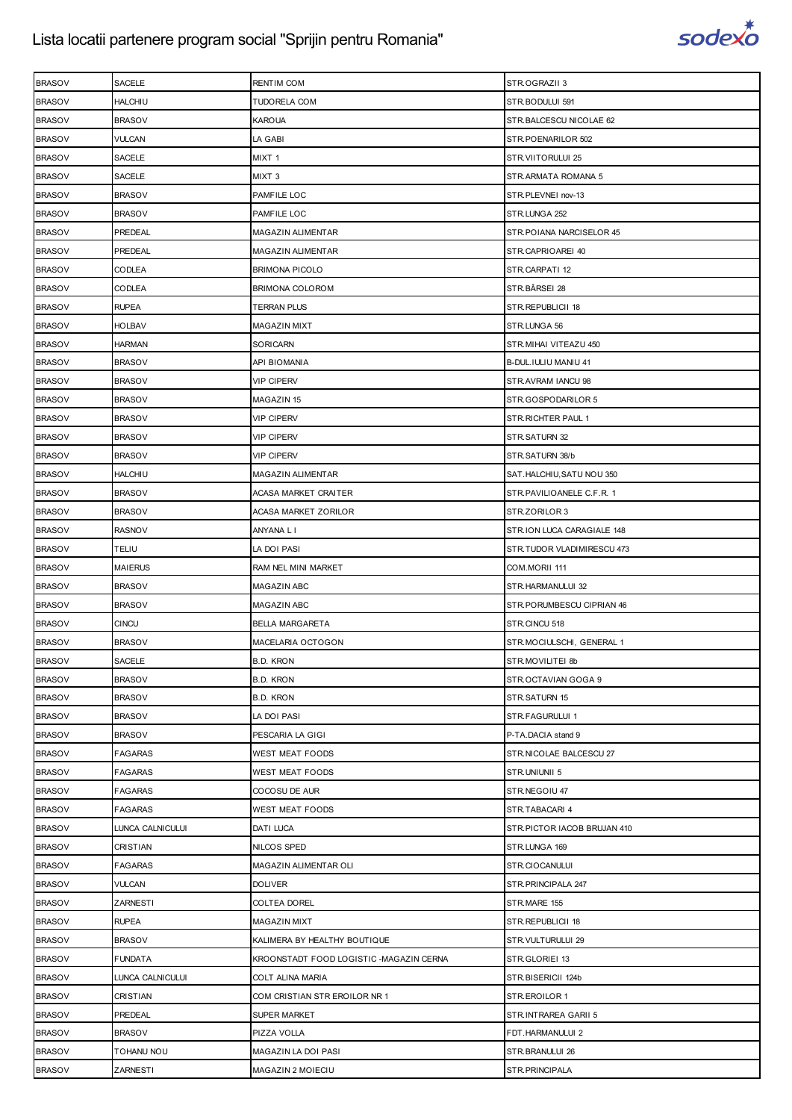

| <b>BRASOV</b> | SACELE            | <b>RENTIM COM</b>                       | STR.OGRAZII 3                |
|---------------|-------------------|-----------------------------------------|------------------------------|
| <b>BRASOV</b> | <b>HALCHIU</b>    | <b>TUDORELA COM</b>                     | STR.BODULUI 591              |
| <b>BRASOV</b> | <b>BRASOV</b>     | KAROUA                                  | STR.BALCESCU NICOLAE 62      |
| <b>BRASOV</b> | <b>VULCAN</b>     | LA GABI                                 | STR.POENARILOR 502           |
| <b>BRASOV</b> | <b>SACELE</b>     | MIXT 1                                  | STR.VIITORULUI 25            |
| <b>BRASOV</b> | SACELE            | MIXT <sub>3</sub>                       | STR.ARMATA ROMANA 5          |
| <b>BRASOV</b> | <b>BRASOV</b>     | PAMFILE LOC                             | STR.PLEVNEI nov-13           |
| <b>BRASOV</b> | <b>BRASOV</b>     | PAMFILE LOC                             | STR.LUNGA 252                |
| <b>BRASOV</b> | PREDEAL           | MAGAZIN ALIMENTAR                       | STR. POIANA NARCISELOR 45    |
| <b>BRASOV</b> | PREDEAL           | MAGAZIN ALIMENTAR                       | STR.CAPRIOAREI 40            |
| <b>BRASOV</b> | CODLEA            | <b>BRIMONA PICOLO</b>                   | STR.CARPATI 12               |
| <b>BRASOV</b> | CODLEA            | BRIMONA COLOROM                         | STR.BÂRSEI 28                |
| <b>BRASOV</b> | <b>RUPEA</b>      | TERRAN PLUS                             | STR.REPUBLICII 18            |
| <b>BRASOV</b> | HOLBAV            | MAGAZIN MIXT                            | STR.LUNGA 56                 |
| <b>BRASOV</b> | HARMAN            | SORICARN                                | STR.MIHAI VITEAZU 450        |
| <b>BRASOV</b> | <b>BRASOV</b>     | API BIOMANIA                            | B-DUL.IULIU MANIU 41         |
| <b>BRASOV</b> | <b>BRASOV</b>     | <b>VIP CIPERV</b>                       | STR.AVRAM IANCU 98           |
| <b>BRASOV</b> | <b>BRASOV</b>     | MAGAZIN 15                              | STR.GOSPODARILOR 5           |
| <b>BRASOV</b> | <b>BRASOV</b>     | <b>VIP CIPERV</b>                       | STR. RICHTER PAUL 1          |
| <b>BRASOV</b> | <b>BRASOV</b>     | VIP CIPERV                              | STR.SATURN 32                |
| <b>BRASOV</b> | <b>BRASOV</b>     | VIP CIPERV                              | STR.SATURN 38/b              |
| <b>BRASOV</b> | <b>HALCHIU</b>    | MAGAZIN ALIMENTAR                       | SAT.HALCHIU, SATU NOU 350    |
| <b>BRASOV</b> | <b>BRASOV</b>     | ACASA MARKET CRAITER                    | STR.PAVILIOANELE C.F.R. 1    |
| <b>BRASOV</b> | <b>BRASOV</b>     | ACASA MARKET ZORILOR                    | STR.ZORILOR 3                |
| <b>BRASOV</b> | <b>RASNOV</b>     | ANYANA L I                              | STR.ION LUCA CARAGIALE 148   |
| <b>BRASOV</b> | TELIU             | LA DOI PASI                             | STR.TUDOR VLADIMIRESCU 473   |
| <b>BRASOV</b> | <b>MAIERUS</b>    | RAM NEL MINI MARKET                     | COM.MORII 111                |
| <b>BRASOV</b> | <b>BRASOV</b>     | MAGAZIN ABC                             | STR.HARMANULUI 32            |
| <b>BRASOV</b> | <b>BRASOV</b>     | MAGAZIN ABC                             | STR.PORUMBESCU CIPRIAN 46    |
| <b>BRASOV</b> | <b>CINCU</b>      | <b>BELLA MARGARETA</b>                  | STR.CINCU 518                |
| <b>BRASOV</b> | <b>BRASOV</b>     | MACELARIA OCTOGON                       | STR.MOCIULSCHI, GENERAL 1    |
| <b>BRASOV</b> | <b>SACELE</b>     | <b>B.D. KRON</b>                        | STR.MOVILITEI 8b             |
| <b>BRASOV</b> | <b>BRASOV</b>     | <b>B.D. KRON</b>                        | STR.OCTAVIAN GOGA 9          |
| <b>BRASOV</b> | <b>BRASOV</b>     | <b>B.D. KRON</b>                        | STR.SATURN 15                |
| <b>BRASOV</b> | <b>BRASOV</b>     | LA DOI PASI                             | STR.FAGURULUI 1              |
| <b>BRASOV</b> | <b>BRASOV</b>     | PESCARIA LA GIGI                        | P-TA.DACIA stand 9           |
| <b>BRASOV</b> | <b>FAGARAS</b>    | WEST MEAT FOODS                         | STR.NICOLAE BALCESCU 27      |
| <b>BRASOV</b> | <b>FAGARAS</b>    | WEST MEAT FOODS                         | STR.UNIUNII 5                |
| <b>BRASOV</b> | <b>FAGARAS</b>    | COCOSU DE AUR                           | STR.NEGOIU 47                |
| <b>BRASOV</b> | <b>FAGARAS</b>    | WEST MEAT FOODS                         | STR.TABACARI 4               |
| <b>BRASOV</b> | LUNCA CALNICULUI  | <b>DATI LUCA</b>                        | STR. PICTOR IACOB BRUJAN 410 |
| <b>BRASOV</b> | CRISTIAN          | NILCOS SPED                             | STR.LUNGA 169                |
| <b>BRASOV</b> | <b>FAGARAS</b>    | MAGAZIN ALIMENTAR OLI                   | STR.CIOCANULUI               |
| <b>BRASOV</b> | <b>VULCAN</b>     | <b>DOLIVER</b>                          | STR. PRINCIPALA 247          |
| <b>BRASOV</b> | ZARNESTI          | <b>COLTEA DOREL</b>                     | STR.MARE 155                 |
| <b>BRASOV</b> | <b>RUPEA</b>      | <b>MAGAZIN MIXT</b>                     | STR.REPUBLICII 18            |
| <b>BRASOV</b> | <b>BRASOV</b>     | KALIMERA BY HEALTHY BOUTIQUE            | STR.VULTURULUI 29            |
| <b>BRASOV</b> | <b>FUNDATA</b>    | KROONSTADT FOOD LOGISTIC -MAGAZIN CERNA | STR.GLORIEI 13               |
| <b>BRASOV</b> | LUNCA CALNICULUI  | COLT ALINA MARIA                        | STR.BISERICII 124b           |
| <b>BRASOV</b> | CRISTIAN          | COM CRISTIAN STR EROILOR NR 1           | STR.EROILOR 1                |
| <b>BRASOV</b> | PREDEAL           | <b>SUPER MARKET</b>                     | STR.INTRAREA GARII 5         |
| <b>BRASOV</b> | <b>BRASOV</b>     | PIZZA VOLLA                             | FDT.HARMANULUI 2             |
| <b>BRASOV</b> | <b>TOHANU NOU</b> | MAGAZIN LA DOI PASI                     | STR.BRANULUI 26              |
| <b>BRASOV</b> | ZARNESTI          | MAGAZIN 2 MOIECIU                       | STR.PRINCIPALA               |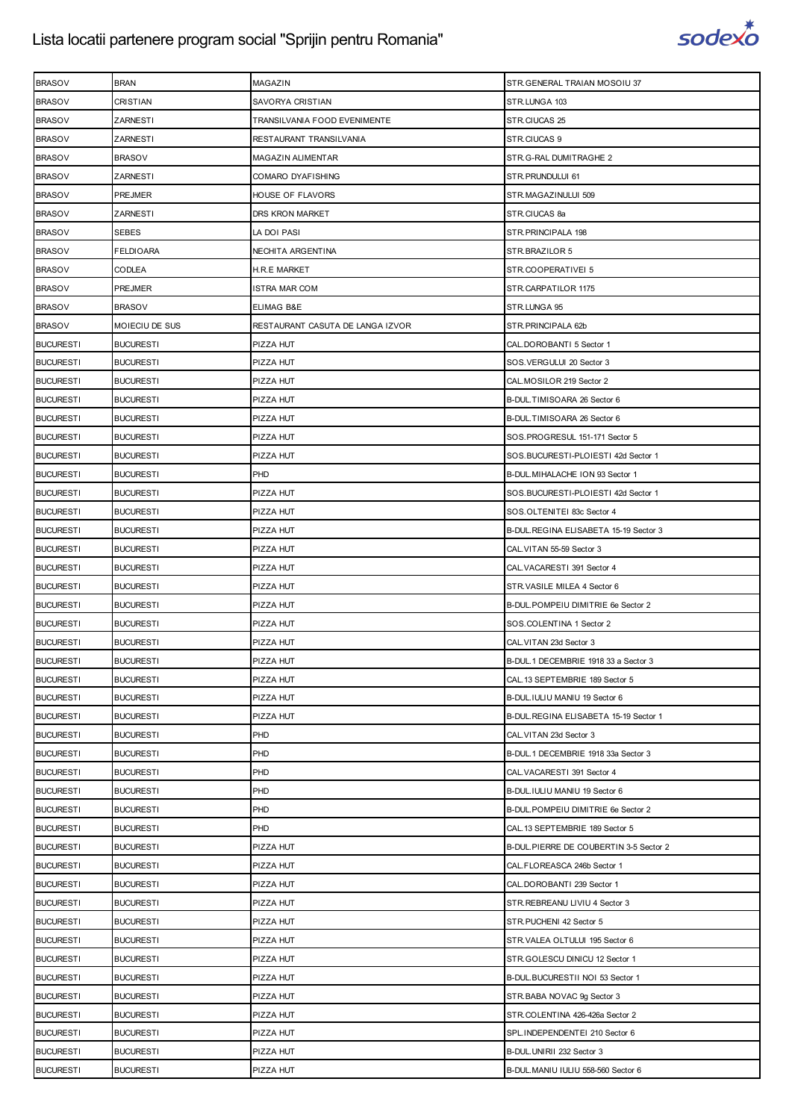

| <b>BRASOV</b>    | <b>BRAN</b>      | MAGAZIN                          | STR. GENERAL TRAIAN MOSOIU 37          |
|------------------|------------------|----------------------------------|----------------------------------------|
| <b>BRASOV</b>    | CRISTIAN         | SAVORYA CRISTIAN                 | STR.LUNGA 103                          |
| <b>BRASOV</b>    | ZARNESTI         | TRANSILVANIA FOOD EVENIMENTE     | STR.CIUCAS 25                          |
| <b>BRASOV</b>    | ZARNESTI         | RESTAURANT TRANSILVANIA          | STR.CIUCAS 9                           |
| <b>BRASOV</b>    | <b>BRASOV</b>    | <b>MAGAZIN ALIMENTAR</b>         | STR.G-RAL DUMITRAGHE 2                 |
| <b>BRASOV</b>    | ZARNESTI         | COMARO DYAFISHING                | STR.PRUNDULUI 61                       |
| <b>BRASOV</b>    | <b>PREJMER</b>   | HOUSE OF FLAVORS                 | STR.MAGAZINULUI 509                    |
| <b>BRASOV</b>    | ZARNESTI         | DRS KRON MARKET                  | STR.CIUCAS 8a                          |
| <b>BRASOV</b>    | <b>SEBES</b>     | LA DOI PASI                      | STR. PRINCIPALA 198                    |
| <b>BRASOV</b>    | <b>FELDIOARA</b> | NECHITA ARGENTINA                | STR.BRAZILOR 5                         |
| <b>BRASOV</b>    | CODLEA           | H.R.E MARKET                     | STR.COOPERATIVEI 5                     |
| <b>BRASOV</b>    | PREJMER          | ISTRA MAR COM                    | STR.CARPATILOR 1175                    |
| <b>BRASOV</b>    | <b>BRASOV</b>    | ELIMAG B&E                       | STR.LUNGA 95                           |
| <b>BRASOV</b>    | MOIECIU DE SUS   | RESTAURANT CASUTA DE LANGA IZVOR | STR. PRINCIPALA 62b                    |
| <b>BUCURESTI</b> | <b>BUCURESTI</b> | PIZZA HUT                        | CAL.DOROBANTI 5 Sector 1               |
| <b>BUCURESTI</b> | <b>BUCURESTI</b> | PIZZA HUT                        | SOS.VERGULUI 20 Sector 3               |
| <b>BUCURESTI</b> | <b>BUCURESTI</b> | PIZZA HUT                        | CAL.MOSILOR 219 Sector 2               |
| <b>BUCURESTI</b> | <b>BUCURESTI</b> | PIZZA HUT                        | B-DUL.TIMISOARA 26 Sector 6            |
| <b>BUCURESTI</b> | <b>BUCURESTI</b> | PIZZA HUT                        | B-DUL.TIMISOARA 26 Sector 6            |
| <b>BUCURESTI</b> | <b>BUCURESTI</b> | PIZZA HUT                        | SOS.PROGRESUL 151-171 Sector 5         |
| <b>BUCURESTI</b> | <b>BUCURESTI</b> | PIZZA HUT                        | SOS.BUCURESTI-PLOIESTI 42d Sector 1    |
| <b>BUCURESTI</b> | <b>BUCURESTI</b> | PHD                              | B-DUL. MIHALACHE ION 93 Sector 1       |
| <b>BUCURESTI</b> | <b>BUCURESTI</b> | PIZZA HUT                        | SOS.BUCURESTI-PLOIESTI 42d Sector 1    |
| <b>BUCURESTI</b> | <b>BUCURESTI</b> | PIZZA HUT                        | SOS.OLTENITEI 83c Sector 4             |
| <b>BUCURESTI</b> | <b>BUCURESTI</b> | PIZZA HUT                        | B-DUL.REGINA ELISABETA 15-19 Sector 3  |
| <b>BUCURESTI</b> | <b>BUCURESTI</b> | PIZZA HUT                        | CAL. VITAN 55-59 Sector 3              |
| <b>BUCURESTI</b> | <b>BUCURESTI</b> | PIZZA HUT                        | CAL. VACARESTI 391 Sector 4            |
| <b>BUCURESTI</b> | <b>BUCURESTI</b> | PIZZA HUT                        | STR.VASILE MILEA 4 Sector 6            |
| <b>BUCURESTI</b> | <b>BUCURESTI</b> | PIZZA HUT                        | B-DUL.POMPEIU DIMITRIE 6e Sector 2     |
| <b>BUCURESTI</b> | <b>BUCURESTI</b> | PIZZA HUT                        | SOS.COLENTINA 1 Sector 2               |
| <b>BUCURESTI</b> | <b>BUCURESTI</b> | PIZZA HUT                        | CAL. VITAN 23d Sector 3                |
| <b>BUCURESTI</b> | <b>BUCURESTI</b> | PIZZA HUT                        | B-DUL, 1 DECEMBRIE 1918 33 a Sector 3  |
| <b>BUCURESTI</b> | <b>BUCURESTI</b> | PIZZA HUT                        | CAL. 13 SEPTEMBRIE 189 Sector 5        |
| <b>BUCURESTI</b> | <b>BUCURESTI</b> | PIZZA HUT                        | B-DUL.IULIU MANIU 19 Sector 6          |
| <b>BUCURESTI</b> | <b>BUCURESTI</b> | PIZZA HUT                        | B-DUL.REGINA ELISABETA 15-19 Sector 1  |
| <b>BUCURESTI</b> | <b>BUCURESTI</b> | PHD                              | CAL. VITAN 23d Sector 3                |
| <b>BUCURESTI</b> | <b>BUCURESTI</b> | PHD                              | B-DUL.1 DECEMBRIE 1918 33a Sector 3    |
| <b>BUCURESTI</b> | <b>BUCURESTI</b> | PHD                              | CAL. VACARESTI 391 Sector 4            |
| <b>BUCURESTI</b> | <b>BUCURESTI</b> | PHD                              | B-DUL.IULIU MANIU 19 Sector 6          |
| <b>BUCURESTI</b> | <b>BUCURESTI</b> | PHD                              | B-DUL. POMPEIU DIMITRIE 6e Sector 2    |
| <b>BUCURESTI</b> | <b>BUCURESTI</b> | PHD                              | CAL. 13 SEPTEMBRIE 189 Sector 5        |
| <b>BUCURESTI</b> | <b>BUCURESTI</b> | PIZZA HUT                        | B-DUL.PIERRE DE COUBERTIN 3-5 Sector 2 |
| <b>BUCURESTI</b> | <b>BUCURESTI</b> | PIZZA HUT                        | CAL. FLOREASCA 246b Sector 1           |
| <b>BUCURESTI</b> | <b>BUCURESTI</b> | PIZZA HUT                        | CAL.DOROBANTI 239 Sector 1             |
| <b>BUCURESTI</b> | <b>BUCURESTI</b> | PIZZA HUT                        | STR.REBREANU LIVIU 4 Sector 3          |
| <b>BUCURESTI</b> | <b>BUCURESTI</b> | PIZZA HUT                        | STR.PUCHENI 42 Sector 5                |
| <b>BUCURESTI</b> | <b>BUCURESTI</b> | PIZZA HUT                        | STR.VALEA OLTULUI 195 Sector 6         |
| <b>BUCURESTI</b> | <b>BUCURESTI</b> | PIZZA HUT                        | STR.GOLESCU DINICU 12 Sector 1         |
| <b>BUCURESTI</b> | <b>BUCURESTI</b> | PIZZA HUT                        | B-DUL.BUCURESTII NOI 53 Sector 1       |
| <b>BUCURESTI</b> | <b>BUCURESTI</b> | PIZZA HUT                        | STR.BABA NOVAC 9g Sector 3             |
| <b>BUCURESTI</b> | <b>BUCURESTI</b> | PIZZA HUT                        | STR.COLENTINA 426-426a Sector 2        |
| <b>BUCURESTI</b> | <b>BUCURESTI</b> | PIZZA HUT                        | SPL.INDEPENDENTEI 210 Sector 6         |
| <b>BUCURESTI</b> | <b>BUCURESTI</b> | PIZZA HUT                        | B-DUL.UNIRII 232 Sector 3              |
| <b>BUCURESTI</b> | <b>BUCURESTI</b> | PIZZA HUT                        | B-DUL.MANIU IULIU 558-560 Sector 6     |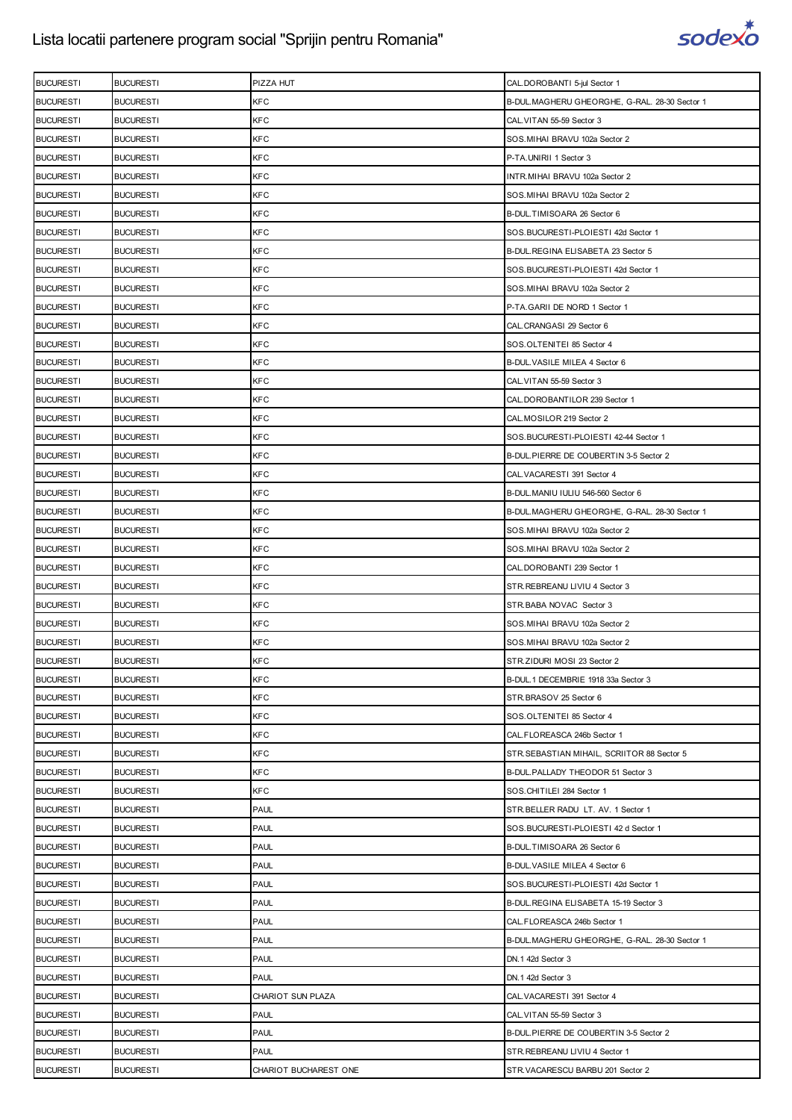

| <b>BUCURESTI</b> | <b>BUCURESTI</b> | PIZZA HUT             | CAL.DOROBANTI 5-jul Sector 1                   |
|------------------|------------------|-----------------------|------------------------------------------------|
| <b>BUCURESTI</b> | <b>BUCURESTI</b> | <b>KFC</b>            | B-DUL. MAGHERU GHEORGHE, G-RAL. 28-30 Sector 1 |
| <b>BUCURESTI</b> | <b>BUCURESTI</b> | <b>KFC</b>            | CAL. VITAN 55-59 Sector 3                      |
| <b>BUCURESTI</b> | <b>BUCURESTI</b> | <b>KFC</b>            | SOS.MIHAI BRAVU 102a Sector 2                  |
| <b>BUCURESTI</b> | <b>BUCURESTI</b> | <b>KFC</b>            | P-TA.UNIRII 1 Sector 3                         |
| <b>BUCURESTI</b> | <b>BUCURESTI</b> | KFC                   | INTR. MIHAI BRAVU 102a Sector 2                |
| <b>BUCURESTI</b> | <b>BUCURESTI</b> | KFC                   | SOS. MIHAI BRAVU 102a Sector 2                 |
| <b>BUCURESTI</b> | <b>BUCURESTI</b> | <b>KFC</b>            | B-DUL.TIMISOARA 26 Sector 6                    |
| <b>BUCURESTI</b> | <b>BUCURESTI</b> | KFC                   | SOS.BUCURESTI-PLOIESTI 42d Sector 1            |
| <b>BUCURESTI</b> | <b>BUCURESTI</b> | KFC                   | B-DUL.REGINA ELISABETA 23 Sector 5             |
| <b>BUCURESTI</b> | <b>BUCURESTI</b> | <b>KFC</b>            | SOS.BUCURESTI-PLOIESTI 42d Sector 1            |
| <b>BUCURESTI</b> | <b>BUCURESTI</b> | <b>KFC</b>            | SOS.MIHAI BRAVU 102a Sector 2                  |
| <b>BUCURESTI</b> | <b>BUCURESTI</b> | KFC                   | P-TA.GARII DE NORD 1 Sector 1                  |
| <b>BUCURESTI</b> | <b>BUCURESTI</b> | <b>KFC</b>            | CAL.CRANGASI 29 Sector 6                       |
| <b>BUCURESTI</b> | <b>BUCURESTI</b> | <b>KFC</b>            | SOS.OLTENITEI 85 Sector 4                      |
| <b>BUCURESTI</b> | <b>BUCURESTI</b> | <b>KFC</b>            | B-DUL. VASILE MILEA 4 Sector 6                 |
| <b>BUCURESTI</b> | <b>BUCURESTI</b> | <b>KFC</b>            | CAL. VITAN 55-59 Sector 3                      |
| <b>BUCURESTI</b> | <b>BUCURESTI</b> | KFC                   | CAL.DOROBANTILOR 239 Sector 1                  |
| <b>BUCURESTI</b> | <b>BUCURESTI</b> | KFC                   | CAL.MOSILOR 219 Sector 2                       |
| <b>BUCURESTI</b> | <b>BUCURESTI</b> | <b>KFC</b>            | SOS.BUCURESTI-PLOIESTI 42-44 Sector 1          |
| <b>BUCURESTI</b> | <b>BUCURESTI</b> | KFC                   | B-DUL. PIERRE DE COUBERTIN 3-5 Sector 2        |
| <b>BUCURESTI</b> | <b>BUCURESTI</b> | KFC                   | CAL.VACARESTI 391 Sector 4                     |
| <b>BUCURESTI</b> | <b>BUCURESTI</b> | <b>KFC</b>            | B-DUL.MANIU IULIU 546-560 Sector 6             |
| <b>BUCURESTI</b> | <b>BUCURESTI</b> | <b>KFC</b>            | B-DUL. MAGHERU GHEORGHE, G-RAL. 28-30 Sector 1 |
| <b>BUCURESTI</b> | <b>BUCURESTI</b> | <b>KFC</b>            | SOS. MIHAI BRAVU 102a Sector 2                 |
| <b>BUCURESTI</b> | <b>BUCURESTI</b> | <b>KFC</b>            | SOS.MIHAI BRAVU 102a Sector 2                  |
| <b>BUCURESTI</b> | <b>BUCURESTI</b> | KFC                   | CAL.DOROBANTI 239 Sector 1                     |
| <b>BUCURESTI</b> | <b>BUCURESTI</b> | KFC                   | STR.REBREANU LIVIU 4 Sector 3                  |
| <b>BUCURESTI</b> | <b>BUCURESTI</b> | <b>KFC</b>            | STR.BABA NOVAC Sector 3                        |
| <b>BUCURESTI</b> | <b>BUCURESTI</b> | KFC                   | SOS. MIHAI BRAVU 102a Sector 2                 |
| <b>BUCURESTI</b> | <b>BUCURESTI</b> | KFC                   | SOS. MIHAI BRAVU 102a Sector 2                 |
| <b>BUCURESTI</b> | <b>BUCURESTI</b> | <b>KFC</b>            | STR.ZIDURI MOSI 23 Sector 2                    |
| <b>BUCURESTI</b> | <b>BUCURESTI</b> | <b>KFC</b>            | B-DUL.1 DECEMBRIE 1918 33a Sector 3            |
| <b>BUCURESTI</b> | <b>BUCURESTI</b> | KFC                   | STR.BRASOV 25 Sector 6                         |
| <b>BUCURESTI</b> | <b>BUCURESTI</b> | <b>KFC</b>            | SOS.OLTENITEI 85 Sector 4                      |
| <b>BUCURESTI</b> | <b>BUCURESTI</b> | <b>KFC</b>            | CAL. FLOREASCA 246b Sector 1                   |
| <b>BUCURESTI</b> | <b>BUCURESTI</b> | <b>KFC</b>            | STR. SEBASTIAN MIHAIL, SCRIITOR 88 Sector 5    |
| <b>BUCURESTI</b> | <b>BUCURESTI</b> | <b>KFC</b>            | B-DUL. PALLADY THEODOR 51 Sector 3             |
| <b>BUCURESTI</b> | <b>BUCURESTI</b> | <b>KFC</b>            | SOS.CHITILEI 284 Sector 1                      |
| <b>BUCURESTI</b> | <b>BUCURESTI</b> | <b>PAUL</b>           | STR.BELLER RADU LT. AV. 1 Sector 1             |
| <b>BUCURESTI</b> | <b>BUCURESTI</b> | <b>PAUL</b>           | SOS.BUCURESTI-PLOIESTI 42 d Sector 1           |
| <b>BUCURESTI</b> | <b>BUCURESTI</b> | PAUL                  | B-DUL.TIMISOARA 26 Sector 6                    |
| <b>BUCURESTI</b> | <b>BUCURESTI</b> | <b>PAUL</b>           | B-DUL. VASILE MILEA 4 Sector 6                 |
| <b>BUCURESTI</b> | <b>BUCURESTI</b> | <b>PAUL</b>           | SOS.BUCURESTI-PLOIESTI 42d Sector 1            |
| <b>BUCURESTI</b> | <b>BUCURESTI</b> | <b>PAUL</b>           | B-DUL REGINA ELISABETA 15-19 Sector 3          |
| <b>BUCURESTI</b> | <b>BUCURESTI</b> | <b>PAUL</b>           | CAL. FLOREASCA 246b Sector 1                   |
| <b>BUCURESTI</b> | <b>BUCURESTI</b> | <b>PAUL</b>           | B-DUL. MAGHERU GHEORGHE, G-RAL. 28-30 Sector 1 |
| <b>BUCURESTI</b> | <b>BUCURESTI</b> | <b>PAUL</b>           | DN.1 42d Sector 3                              |
| <b>BUCURESTI</b> | <b>BUCURESTI</b> | <b>PAUL</b>           | DN.1 42d Sector 3                              |
| <b>BUCURESTI</b> | <b>BUCURESTI</b> | CHARIOT SUN PLAZA     | CAL.VACARESTI 391 Sector 4                     |
| <b>BUCURESTI</b> | <b>BUCURESTI</b> | PAUL                  | CAL. VITAN 55-59 Sector 3                      |
| <b>BUCURESTI</b> | <b>BUCURESTI</b> | <b>PAUL</b>           | B-DUL PIERRE DE COUBERTIN 3-5 Sector 2         |
| <b>BUCURESTI</b> | <b>BUCURESTI</b> | <b>PAUL</b>           | STR.REBREANU LIVIU 4 Sector 1                  |
| <b>BUCURESTI</b> | <b>BUCURESTI</b> | CHARIOT BUCHAREST ONE | STR.VACARESCU BARBU 201 Sector 2               |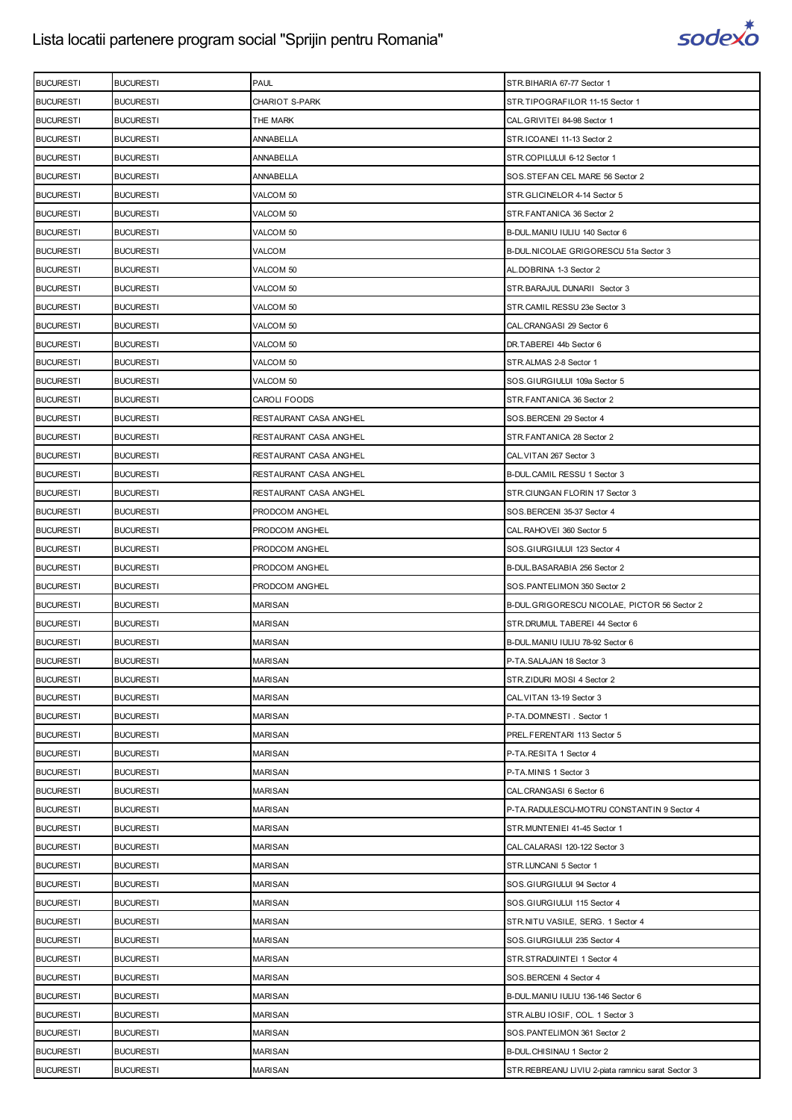

| <b>BUCURESTI</b> | <b>BUCURESTI</b> | PAUL                   | STR.BIHARIA 67-77 Sector 1                        |
|------------------|------------------|------------------------|---------------------------------------------------|
| <b>BUCURESTI</b> | <b>BUCURESTI</b> | <b>CHARIOT S-PARK</b>  | STR.TIPOGRAFILOR 11-15 Sector 1                   |
| <b>BUCURESTI</b> | <b>BUCURESTI</b> | THE MARK               | CAL.GRIVITEI 84-98 Sector 1                       |
| <b>BUCURESTI</b> | <b>BUCURESTI</b> | ANNABELLA              | STR.ICOANEI 11-13 Sector 2                        |
| <b>BUCURESTI</b> | <b>BUCURESTI</b> | <b>ANNABELLA</b>       | STR.COPILULUI 6-12 Sector 1                       |
| <b>BUCURESTI</b> | <b>BUCURESTI</b> | ANNABELLA              | SOS.STEFAN CEL MARE 56 Sector 2                   |
| <b>BUCURESTI</b> | <b>BUCURESTI</b> | VALCOM 50              | STR.GLICINELOR 4-14 Sector 5                      |
| <b>BUCURESTI</b> | <b>BUCURESTI</b> | VALCOM 50              | STR.FANTANICA 36 Sector 2                         |
| <b>BUCURESTI</b> | <b>BUCURESTI</b> | VALCOM 50              | B-DUL.MANIU IULIU 140 Sector 6                    |
| <b>BUCURESTI</b> | <b>BUCURESTI</b> | VALCOM                 | B-DUL. NICOLAE GRIGORESCU 51a Sector 3            |
| <b>BUCURESTI</b> | <b>BUCURESTI</b> | VALCOM 50              | AL.DOBRINA 1-3 Sector 2                           |
| <b>BUCURESTI</b> | <b>BUCURESTI</b> | VALCOM 50              | STR.BARAJUL DUNARII Sector 3                      |
| <b>BUCURESTI</b> | <b>BUCURESTI</b> | VALCOM 50              | STR.CAMIL RESSU 23e Sector 3                      |
| <b>BUCURESTI</b> | <b>BUCURESTI</b> | VALCOM 50              | CAL.CRANGASI 29 Sector 6                          |
| <b>BUCURESTI</b> | <b>BUCURESTI</b> | VALCOM 50              | DR.TABEREI 44b Sector 6                           |
| <b>BUCURESTI</b> | <b>BUCURESTI</b> | VALCOM 50              | STR.ALMAS 2-8 Sector 1                            |
| <b>BUCURESTI</b> | <b>BUCURESTI</b> | VALCOM 50              | SOS.GIURGIULUI 109a Sector 5                      |
| <b>BUCURESTI</b> | <b>BUCURESTI</b> | CAROLI FOODS           | STR.FANTANICA 36 Sector 2                         |
| <b>BUCURESTI</b> | <b>BUCURESTI</b> | RESTAURANT CASA ANGHEL | SOS.BERCENI 29 Sector 4                           |
| <b>BUCURESTI</b> | <b>BUCURESTI</b> | RESTAURANT CASA ANGHEL | STR.FANTANICA 28 Sector 2                         |
| <b>BUCURESTI</b> | <b>BUCURESTI</b> | RESTAURANT CASA ANGHEL | CAL. VITAN 267 Sector 3                           |
| <b>BUCURESTI</b> | <b>BUCURESTI</b> | RESTAURANT CASA ANGHEL | B-DUL.CAMIL RESSU 1 Sector 3                      |
| <b>BUCURESTI</b> | <b>BUCURESTI</b> | RESTAURANT CASA ANGHEL | STR.CIUNGAN FLORIN 17 Sector 3                    |
| <b>BUCURESTI</b> | <b>BUCURESTI</b> | PRODCOM ANGHEL         | SOS.BERCENI 35-37 Sector 4                        |
| <b>BUCURESTI</b> | <b>BUCURESTI</b> | PRODCOM ANGHEL         | CAL.RAHOVEI 360 Sector 5                          |
| <b>BUCURESTI</b> | <b>BUCURESTI</b> | PRODCOM ANGHEL         | SOS.GIURGIULUI 123 Sector 4                       |
| <b>BUCURESTI</b> | <b>BUCURESTI</b> | PRODCOM ANGHEL         | B-DUL.BASARABIA 256 Sector 2                      |
| <b>BUCURESTI</b> | <b>BUCURESTI</b> | PRODCOM ANGHEL         | SOS.PANTELIMON 350 Sector 2                       |
| <b>BUCURESTI</b> | <b>BUCURESTI</b> | MARISAN                | B-DUL.GRIGORESCU NICOLAE, PICTOR 56 Sector 2      |
| <b>BUCURESTI</b> | <b>BUCURESTI</b> | MARISAN                | STR. DRUMUL TABEREI 44 Sector 6                   |
| <b>BUCURESTI</b> | <b>BUCURESTI</b> | MARISAN                | B-DUL.MANIU IULIU 78-92 Sector 6                  |
| <b>BUCURESTI</b> | <b>BUCURESTI</b> | <b>MARISAN</b>         | P-TA.SALAJAN 18 Sector 3                          |
| <b>BUCURESTI</b> | <b>BUCURESTI</b> | <b>MARISAN</b>         | STR.ZIDURI MOSI 4 Sector 2                        |
| <b>BUCURESTI</b> | <b>BUCURESTI</b> | MARISAN                | CAL. VITAN 13-19 Sector 3                         |
| <b>BUCURESTI</b> | <b>BUCURESTI</b> | <b>MARISAN</b>         | P-TA.DOMNESTI. Sector 1                           |
| <b>BUCURESTI</b> | <b>BUCURESTI</b> | MARISAN                | PREL.FERENTARI 113 Sector 5                       |
| <b>BUCURESTI</b> | <b>BUCURESTI</b> | MARISAN                | P-TA.RESITA 1 Sector 4                            |
| <b>BUCURESTI</b> | <b>BUCURESTI</b> | <b>MARISAN</b>         | P-TA.MINIS 1 Sector 3                             |
| <b>BUCURESTI</b> | <b>BUCURESTI</b> | MARISAN                | CAL.CRANGASI 6 Sector 6                           |
| <b>BUCURESTI</b> | <b>BUCURESTI</b> | MARISAN                | P-TA.RADULESCU-MOTRU CONSTANTIN 9 Sector 4        |
| <b>BUCURESTI</b> | <b>BUCURESTI</b> | <b>MARISAN</b>         | STR.MUNTENIEI 41-45 Sector 1                      |
| <b>BUCURESTI</b> | <b>BUCURESTI</b> | MARISAN                | CAL.CALARASI 120-122 Sector 3                     |
| <b>BUCURESTI</b> | <b>BUCURESTI</b> | <b>MARISAN</b>         | STR.LUNCANI 5 Sector 1                            |
| <b>BUCURESTI</b> | <b>BUCURESTI</b> | <b>MARISAN</b>         | SOS.GIURGIULUI 94 Sector 4                        |
| <b>BUCURESTI</b> | <b>BUCURESTI</b> | MARISAN                | SOS.GIURGIULUI 115 Sector 4                       |
| <b>BUCURESTI</b> | <b>BUCURESTI</b> | MARISAN                | STR.NITU VASILE, SERG. 1 Sector 4                 |
| <b>BUCURESTI</b> | <b>BUCURESTI</b> | <b>MARISAN</b>         | SOS.GIURGIULUI 235 Sector 4                       |
| <b>BUCURESTI</b> | <b>BUCURESTI</b> | MARISAN                | STR.STRADUINTEI 1 Sector 4                        |
| <b>BUCURESTI</b> | <b>BUCURESTI</b> | MARISAN                | SOS.BERCENI 4 Sector 4                            |
| <b>BUCURESTI</b> | <b>BUCURESTI</b> | <b>MARISAN</b>         | B-DUL.MANIU IULIU 136-146 Sector 6                |
| <b>BUCURESTI</b> | <b>BUCURESTI</b> | MARISAN                | STR.ALBU IOSIF, COL. 1 Sector 3                   |
| <b>BUCURESTI</b> | <b>BUCURESTI</b> | MARISAN                | SOS.PANTELIMON 361 Sector 2                       |
| <b>BUCURESTI</b> | <b>BUCURESTI</b> | <b>MARISAN</b>         | B-DUL. CHISINAU 1 Sector 2                        |
| <b>BUCURESTI</b> | <b>BUCURESTI</b> | MARISAN                | STR.REBREANU LIVIU 2-piata ramnicu sarat Sector 3 |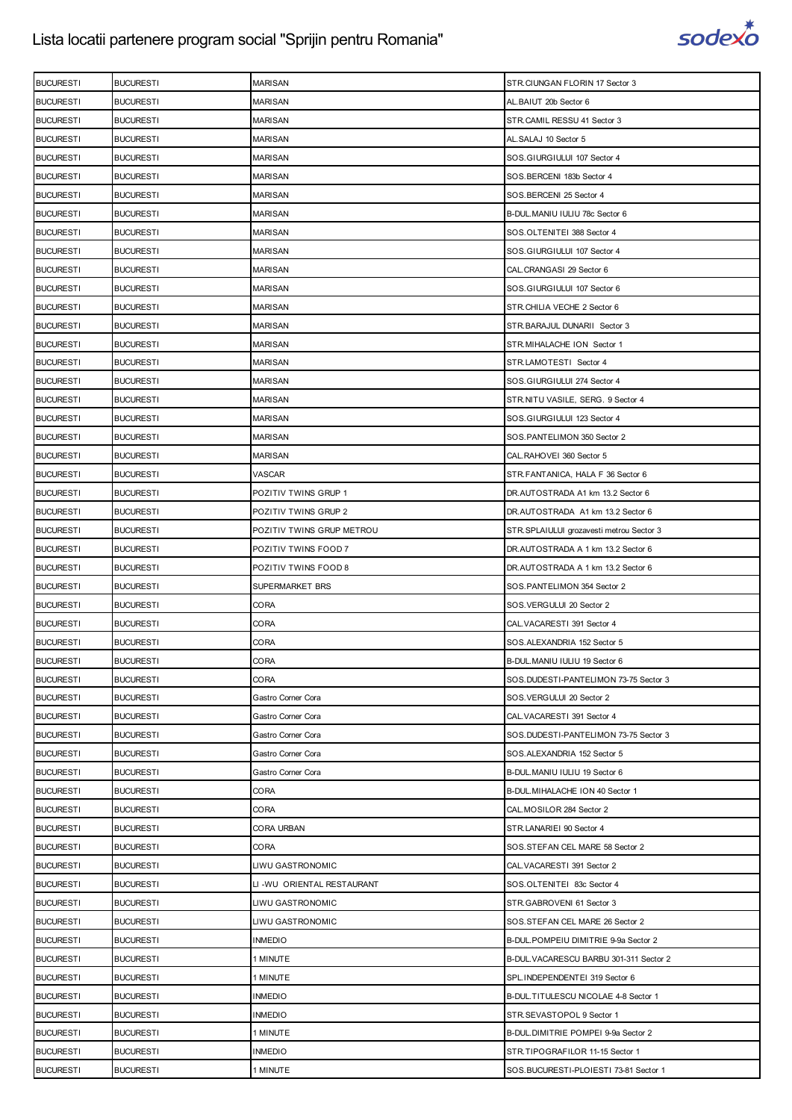

| <b>BUCURESTI</b> | <b>BUCURESTI</b> | MARISAN                    | STR.CIUNGAN FLORIN 17 Sector 3           |
|------------------|------------------|----------------------------|------------------------------------------|
| <b>BUCURESTI</b> | <b>BUCURESTI</b> | <b>MARISAN</b>             | AL.BAIUT 20b Sector 6                    |
| <b>BUCURESTI</b> | <b>BUCURESTI</b> | MARISAN                    | STR.CAMIL RESSU 41 Sector 3              |
| <b>BUCURESTI</b> | <b>BUCURESTI</b> | MARISAN                    | AL.SALAJ 10 Sector 5                     |
| <b>BUCURESTI</b> | <b>BUCURESTI</b> | <b>MARISAN</b>             | SOS.GIURGIULUI 107 Sector 4              |
| <b>BUCURESTI</b> | <b>BUCURESTI</b> | <b>MARISAN</b>             | SOS.BERCENI 183b Sector 4                |
| <b>BUCURESTI</b> | <b>BUCURESTI</b> | MARISAN                    | SOS.BERCENI 25 Sector 4                  |
| <b>BUCURESTI</b> | <b>BUCURESTI</b> | <b>MARISAN</b>             | B-DUL.MANIU IULIU 78c Sector 6           |
| <b>BUCURESTI</b> | <b>BUCURESTI</b> | <b>MARISAN</b>             | SOS.OLTENITEI 388 Sector 4               |
| <b>BUCURESTI</b> | <b>BUCURESTI</b> | <b>MARISAN</b>             | SOS.GIURGIULUI 107 Sector 4              |
| <b>BUCURESTI</b> | <b>BUCURESTI</b> | <b>MARISAN</b>             | CAL.CRANGASI 29 Sector 6                 |
| <b>BUCURESTI</b> | <b>BUCURESTI</b> | <b>MARISAN</b>             | SOS.GIURGIULUI 107 Sector 6              |
| <b>BUCURESTI</b> | <b>BUCURESTI</b> | MARISAN                    | STR.CHILIA VECHE 2 Sector 6              |
| <b>BUCURESTI</b> | <b>BUCURESTI</b> | <b>MARISAN</b>             | STR.BARAJUL DUNARII Sector 3             |
| <b>BUCURESTI</b> | <b>BUCURESTI</b> | MARISAN                    | STR.MIHALACHE ION Sector 1               |
| <b>BUCURESTI</b> | <b>BUCURESTI</b> | MARISAN                    | STR.LAMOTESTI Sector 4                   |
| <b>BUCURESTI</b> | <b>BUCURESTI</b> | <b>MARISAN</b>             | SOS.GIURGIULUI 274 Sector 4              |
| <b>BUCURESTI</b> | <b>BUCURESTI</b> | <b>MARISAN</b>             | STR.NITU VASILE, SERG. 9 Sector 4        |
| <b>BUCURESTI</b> | <b>BUCURESTI</b> | MARISAN                    | SOS.GIURGIULUI 123 Sector 4              |
| <b>BUCURESTI</b> | <b>BUCURESTI</b> | <b>MARISAN</b>             | SOS.PANTELIMON 350 Sector 2              |
| <b>BUCURESTI</b> | <b>BUCURESTI</b> | MARISAN                    | CAL.RAHOVEI 360 Sector 5                 |
| <b>BUCURESTI</b> | <b>BUCURESTI</b> | VASCAR                     | STR.FANTANICA, HALA F 36 Sector 6        |
| <b>BUCURESTI</b> | <b>BUCURESTI</b> | POZITIV TWINS GRUP 1       | DR.AUTOSTRADA A1 km 13.2 Sector 6        |
| <b>BUCURESTI</b> | <b>BUCURESTI</b> | POZITIV TWINS GRUP 2       | DR.AUTOSTRADA A1 km 13.2 Sector 6        |
| <b>BUCURESTI</b> | <b>BUCURESTI</b> | POZITIV TWINS GRUP METROU  | STR.SPLAIULUI grozavesti metrou Sector 3 |
| <b>BUCURESTI</b> | <b>BUCURESTI</b> | POZITIV TWINS FOOD 7       | DR.AUTOSTRADA A 1 km 13.2 Sector 6       |
| <b>BUCURESTI</b> | <b>BUCURESTI</b> | POZITIV TWINS FOOD 8       | DR.AUTOSTRADA A 1 km 13.2 Sector 6       |
| <b>BUCURESTI</b> | <b>BUCURESTI</b> | SUPERMARKET BRS            | SOS.PANTELIMON 354 Sector 2              |
| <b>BUCURESTI</b> | <b>BUCURESTI</b> | CORA                       | SOS.VERGULUI 20 Sector 2                 |
| <b>BUCURESTI</b> | <b>BUCURESTI</b> | CORA                       | CAL. VACARESTI 391 Sector 4              |
| <b>BUCURESTI</b> | <b>BUCURESTI</b> | CORA                       | SOS.ALEXANDRIA 152 Sector 5              |
| <b>BUCURESTI</b> | <b>BUCURESTI</b> | CORA                       | B-DUL.MANIU IULIU 19 Sector 6            |
| <b>BUCURESTI</b> | <b>BUCURESTI</b> | CORA                       | SOS.DUDESTI-PANTELIMON 73-75 Sector 3    |
| <b>BUCURESTI</b> | <b>BUCURESTI</b> | Gastro Corner Cora         | SOS.VERGULUI 20 Sector 2                 |
| <b>BUCURESTI</b> | <b>BUCURESTI</b> | Gastro Corner Cora         | CAL. VACARESTI 391 Sector 4              |
| <b>BUCURESTI</b> | <b>BUCURESTI</b> | Gastro Corner Cora         | SOS.DUDESTI-PANTELIMON 73-75 Sector 3    |
| <b>BUCURESTI</b> | <b>BUCURESTI</b> | Gastro Corner Cora         | SOS.ALEXANDRIA 152 Sector 5              |
| <b>BUCURESTI</b> | <b>BUCURESTI</b> | Gastro Corner Cora         | B-DUL.MANIU IULIU 19 Sector 6            |
| <b>BUCURESTI</b> | <b>BUCURESTI</b> | <b>CORA</b>                | B-DUL. MIHALACHE ION 40 Sector 1         |
| <b>BUCURESTI</b> | <b>BUCURESTI</b> | CORA                       | CAL.MOSILOR 284 Sector 2                 |
| <b>BUCURESTI</b> | <b>BUCURESTI</b> | <b>CORA URBAN</b>          | STR.LANARIEI 90 Sector 4                 |
| <b>BUCURESTI</b> | <b>BUCURESTI</b> | CORA                       | SOS.STEFAN CEL MARE 58 Sector 2          |
| <b>BUCURESTI</b> | <b>BUCURESTI</b> | LIWU GASTRONOMIC           | CAL. VACARESTI 391 Sector 2              |
| <b>BUCURESTI</b> | <b>BUCURESTI</b> | LI -WU ORIENTAL RESTAURANT | SOS.OLTENITEI 83c Sector 4               |
| <b>BUCURESTI</b> | <b>BUCURESTI</b> | LIWU GASTRONOMIC           | STR.GABROVENI 61 Sector 3                |
| <b>BUCURESTI</b> | <b>BUCURESTI</b> | LIWU GASTRONOMIC           | SOS.STEFAN CEL MARE 26 Sector 2          |
| <b>BUCURESTI</b> | <b>BUCURESTI</b> | <b>INMEDIO</b>             | B-DUL.POMPEIU DIMITRIE 9-9a Sector 2     |
| <b>BUCURESTI</b> | <b>BUCURESTI</b> | 1 MINUTE                   | B-DUL VACARESCU BARBU 301-311 Sector 2   |
| <b>BUCURESTI</b> | <b>BUCURESTI</b> | 1 MINUTE                   | SPL.INDEPENDENTEI 319 Sector 6           |
| <b>BUCURESTI</b> | <b>BUCURESTI</b> | <b>INMEDIO</b>             | B-DUL.TITULESCU NICOLAE 4-8 Sector 1     |
| <b>BUCURESTI</b> | <b>BUCURESTI</b> | <b>INMEDIO</b>             | STR.SEVASTOPOL 9 Sector 1                |
| <b>BUCURESTI</b> | <b>BUCURESTI</b> | 1 MINUTE                   | B-DUL.DIMITRIE POMPEI 9-9a Sector 2      |
| <b>BUCURESTI</b> | <b>BUCURESTI</b> | <b>INMEDIO</b>             | STR.TIPOGRAFILOR 11-15 Sector 1          |
| <b>BUCURESTI</b> | <b>BUCURESTI</b> | 1 MINUTE                   | SOS.BUCURESTI-PLOIESTI 73-81 Sector 1    |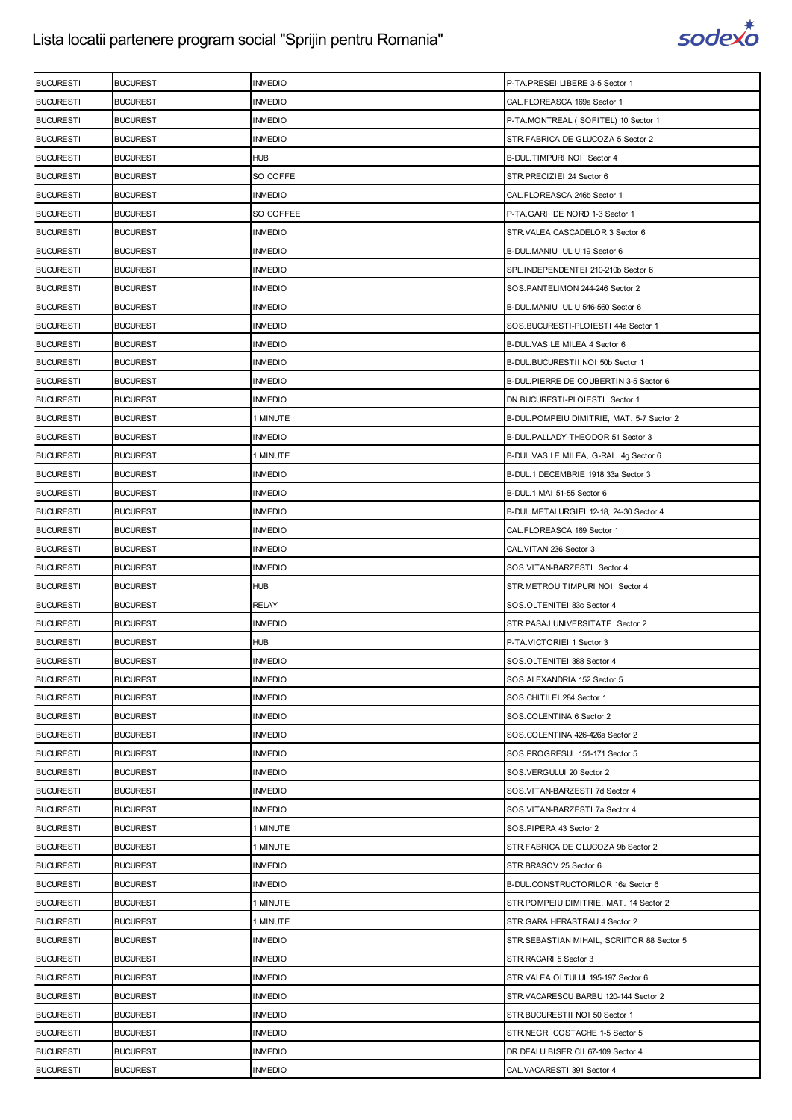

| <b>BUCURESTI</b> | <b>BUCURESTI</b> | <b>INMEDIO</b> | P-TA.PRESEI LIBERE 3-5 Sector 1            |
|------------------|------------------|----------------|--------------------------------------------|
| <b>BUCURESTI</b> | <b>BUCURESTI</b> | <b>INMEDIO</b> | CAL.FLOREASCA 169a Sector 1                |
| <b>BUCURESTI</b> | <b>BUCURESTI</b> | <b>INMEDIO</b> | P-TA.MONTREAL (SOFITEL) 10 Sector 1        |
| <b>BUCURESTI</b> | <b>BUCURESTI</b> | <b>INMEDIO</b> | STR.FABRICA DE GLUCOZA 5 Sector 2          |
| <b>BUCURESTI</b> | <b>BUCURESTI</b> | <b>HUB</b>     | B-DUL.TIMPURI NOI Sector 4                 |
| <b>BUCURESTI</b> | <b>BUCURESTI</b> | SO COFFE       | STR.PRECIZIEI 24 Sector 6                  |
| <b>BUCURESTI</b> | <b>BUCURESTI</b> | <b>INMEDIO</b> | CAL.FLOREASCA 246b Sector 1                |
| <b>BUCURESTI</b> | <b>BUCURESTI</b> | SO COFFEE      | P-TA.GARII DE NORD 1-3 Sector 1            |
| <b>BUCURESTI</b> | <b>BUCURESTI</b> | <b>INMEDIO</b> | STR.VALEA CASCADELOR 3 Sector 6            |
| <b>BUCURESTI</b> | <b>BUCURESTI</b> | INMEDIO        | B-DUL.MANIU IULIU 19 Sector 6              |
| <b>BUCURESTI</b> | <b>BUCURESTI</b> | <b>INMEDIO</b> | SPL.INDEPENDENTEI 210-210b Sector 6        |
| <b>BUCURESTI</b> | <b>BUCURESTI</b> | <b>INMEDIO</b> | SOS.PANTELIMON 244-246 Sector 2            |
| <b>BUCURESTI</b> | <b>BUCURESTI</b> | <b>INMEDIO</b> | B-DUL. MANIU IULIU 546-560 Sector 6        |
| <b>BUCURESTI</b> | <b>BUCURESTI</b> | <b>INMEDIO</b> | SOS.BUCURESTI-PLOIESTI 44a Sector 1        |
| <b>BUCURESTI</b> | <b>BUCURESTI</b> | <b>INMEDIO</b> | B-DUL. VASILE MILEA 4 Sector 6             |
| <b>BUCURESTI</b> | <b>BUCURESTI</b> | <b>INMEDIO</b> | B-DUL.BUCURESTII NOI 50b Sector 1          |
| <b>BUCURESTI</b> | <b>BUCURESTI</b> | <b>INMEDIO</b> | B-DUL PIERRE DE COUBERTIN 3-5 Sector 6     |
| <b>BUCURESTI</b> | <b>BUCURESTI</b> | <b>INMEDIO</b> | DN.BUCURESTI-PLOIESTI Sector 1             |
| <b>BUCURESTI</b> | <b>BUCURESTI</b> | 1 MINUTE       | B-DUL.POMPEIU DIMITRIE, MAT. 5-7 Sector 2  |
| <b>BUCURESTI</b> | <b>BUCURESTI</b> | <b>INMEDIO</b> | B-DUL.PALLADY THEODOR 51 Sector 3          |
| <b>BUCURESTI</b> | <b>BUCURESTI</b> | 1 MINUTE       | B-DUL VASILE MILEA, G-RAL. 4g Sector 6     |
| <b>BUCURESTI</b> | <b>BUCURESTI</b> | INMEDIO        | B-DUL. 1 DECEMBRIE 1918 33a Sector 3       |
| <b>BUCURESTI</b> | <b>BUCURESTI</b> | <b>INMEDIO</b> | B-DUL.1 MAI 51-55 Sector 6                 |
| <b>BUCURESTI</b> | <b>BUCURESTI</b> | <b>INMEDIO</b> | B-DUL.METALURGIEI 12-18, 24-30 Sector 4    |
| <b>BUCURESTI</b> | <b>BUCURESTI</b> | <b>INMEDIO</b> | CAL.FLOREASCA 169 Sector 1                 |
| <b>BUCURESTI</b> | <b>BUCURESTI</b> | <b>INMEDIO</b> | CAL. VITAN 236 Sector 3                    |
| <b>BUCURESTI</b> | <b>BUCURESTI</b> | <b>INMEDIO</b> | SOS.VITAN-BARZESTI Sector 4                |
| <b>BUCURESTI</b> | <b>BUCURESTI</b> | HUB            | STR.METROU TIMPURI NOI Sector 4            |
|                  |                  |                |                                            |
| <b>BUCURESTI</b> | <b>BUCURESTI</b> | <b>RELAY</b>   | SOS.OLTENITEI 83c Sector 4                 |
| <b>BUCURESTI</b> | <b>BUCURESTI</b> | <b>INMEDIO</b> | STR.PASAJ UNIVERSITATE Sector 2            |
| <b>BUCURESTI</b> | <b>BUCURESTI</b> | HUB            | P-TA.VICTORIEI 1 Sector 3                  |
| <b>BUCURESTI</b> | <b>BUCURESTI</b> | <b>INMEDIO</b> | SOS.OLTENITEI 388 Sector 4                 |
| <b>BUCURESTI</b> | <b>BUCURESTI</b> | <b>INMEDIO</b> | SOS.ALEXANDRIA 152 Sector 5                |
| <b>BUCURESTI</b> | <b>BUCURESTI</b> | <b>INMEDIO</b> | SOS.CHITILEI 284 Sector 1                  |
| <b>BUCURESTI</b> | <b>BUCURESTI</b> | <b>INMEDIO</b> | SOS.COLENTINA 6 Sector 2                   |
| <b>BUCURESTI</b> | <b>BUCURESTI</b> | <b>INMEDIO</b> | SOS.COLENTINA 426-426a Sector 2            |
| <b>BUCURESTI</b> | <b>BUCURESTI</b> | <b>INMEDIO</b> | SOS.PROGRESUL 151-171 Sector 5             |
| <b>BUCURESTI</b> | <b>BUCURESTI</b> | <b>INMEDIO</b> | SOS.VERGULUI 20 Sector 2                   |
| <b>BUCURESTI</b> | <b>BUCURESTI</b> | <b>INMEDIO</b> | SOS.VITAN-BARZESTI 7d Sector 4             |
| <b>BUCURESTI</b> | <b>BUCURESTI</b> | <b>INMEDIO</b> | SOS.VITAN-BARZESTI 7a Sector 4             |
| <b>BUCURESTI</b> | <b>BUCURESTI</b> | 1 MINUTE       | SOS.PIPERA 43 Sector 2                     |
| <b>BUCURESTI</b> | <b>BUCURESTI</b> | 1 MINUTE       | STR.FABRICA DE GLUCOZA 9b Sector 2         |
| <b>BUCURESTI</b> | <b>BUCURESTI</b> | <b>INMEDIO</b> | STR.BRASOV 25 Sector 6                     |
| <b>BUCURESTI</b> | <b>BUCURESTI</b> | <b>INMEDIO</b> | B-DUL.CONSTRUCTORILOR 16a Sector 6         |
| <b>BUCURESTI</b> | <b>BUCURESTI</b> | 1 MINUTE       | STR.POMPEIU DIMITRIE, MAT. 14 Sector 2     |
| <b>BUCURESTI</b> | <b>BUCURESTI</b> | 1 MINUTE       | STR.GARA HERASTRAU 4 Sector 2              |
| <b>BUCURESTI</b> | <b>BUCURESTI</b> | <b>INMEDIO</b> | STR.SEBASTIAN MIHAIL, SCRIITOR 88 Sector 5 |
| <b>BUCURESTI</b> | <b>BUCURESTI</b> | <b>INMEDIO</b> | STR.RACARI 5 Sector 3                      |
| <b>BUCURESTI</b> | <b>BUCURESTI</b> | <b>INMEDIO</b> | STR.VALEA OLTULUI 195-197 Sector 6         |
| <b>BUCURESTI</b> | <b>BUCURESTI</b> | <b>INMEDIO</b> | STR. VACARESCU BARBU 120-144 Sector 2      |
| <b>BUCURESTI</b> | <b>BUCURESTI</b> | <b>INMEDIO</b> | STR.BUCURESTII NOI 50 Sector 1             |
| <b>BUCURESTI</b> | <b>BUCURESTI</b> | <b>INMEDIO</b> | STR.NEGRI COSTACHE 1-5 Sector 5            |
| <b>BUCURESTI</b> | <b>BUCURESTI</b> | <b>INMEDIO</b> | DR. DEALU BISERICII 67-109 Sector 4        |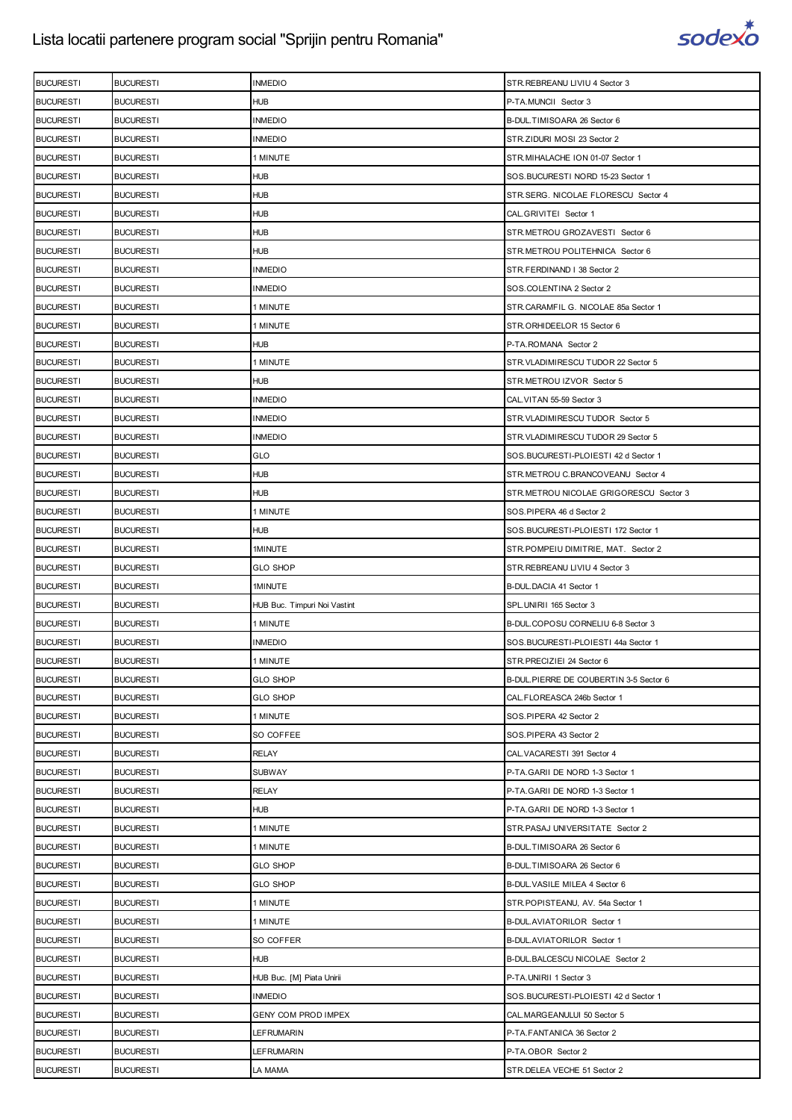

| <b>BUCURESTI</b> | <b>BUCURESTI</b> | <b>INMEDIO</b>               | STR.REBREANU LIVIU 4 Sector 3          |
|------------------|------------------|------------------------------|----------------------------------------|
| <b>BUCURESTI</b> | <b>BUCURESTI</b> | <b>HUB</b>                   | P-TA.MUNCII Sector 3                   |
| <b>BUCURESTI</b> | <b>BUCURESTI</b> | <b>INMEDIO</b>               | B-DUL.TIMISOARA 26 Sector 6            |
| <b>BUCURESTI</b> | <b>BUCURESTI</b> | <b>INMEDIO</b>               | STR.ZIDURI MOSI 23 Sector 2            |
| <b>BUCURESTI</b> | <b>BUCURESTI</b> | 1 MINUTE                     | STR.MIHALACHE ION 01-07 Sector 1       |
| <b>BUCURESTI</b> | <b>BUCURESTI</b> | <b>HUB</b>                   | SOS.BUCURESTI NORD 15-23 Sector 1      |
| <b>BUCURESTI</b> | <b>BUCURESTI</b> | HUB                          | STR.SERG. NICOLAE FLORESCU Sector 4    |
| <b>BUCURESTI</b> | <b>BUCURESTI</b> | <b>HUB</b>                   | CAL.GRIVITEI Sector 1                  |
| <b>BUCURESTI</b> | <b>BUCURESTI</b> | <b>HUB</b>                   | STR.METROU GROZAVESTI Sector 6         |
| <b>BUCURESTI</b> | <b>BUCURESTI</b> | HUB                          | STR.METROU POLITEHNICA Sector 6        |
| <b>BUCURESTI</b> | <b>BUCURESTI</b> | <b>INMEDIO</b>               | STR.FERDINAND I 38 Sector 2            |
| <b>BUCURESTI</b> | <b>BUCURESTI</b> | <b>INMEDIO</b>               | SOS.COLENTINA 2 Sector 2               |
| <b>BUCURESTI</b> | <b>BUCURESTI</b> | 1 MINUTE                     | STR.CARAMFIL G. NICOLAE 85a Sector 1   |
| <b>BUCURESTI</b> | <b>BUCURESTI</b> | 1 MINUTE                     | STR.ORHIDEELOR 15 Sector 6             |
| <b>BUCURESTI</b> | <b>BUCURESTI</b> | <b>HUB</b>                   | P-TA.ROMANA Sector 2                   |
| <b>BUCURESTI</b> | <b>BUCURESTI</b> | 1 MINUTE                     | STR. VLADIMIRESCU TUDOR 22 Sector 5    |
| <b>BUCURESTI</b> | <b>BUCURESTI</b> | <b>HUB</b>                   | STR.METROU IZVOR Sector 5              |
| <b>BUCURESTI</b> | <b>BUCURESTI</b> | <b>INMEDIO</b>               | CAL. VITAN 55-59 Sector 3              |
| <b>BUCURESTI</b> | <b>BUCURESTI</b> | <b>INMEDIO</b>               | STR.VLADIMIRESCU TUDOR Sector 5        |
| <b>BUCURESTI</b> | <b>BUCURESTI</b> | <b>INMEDIO</b>               | STR.VLADIMIRESCU TUDOR 29 Sector 5     |
| <b>BUCURESTI</b> | <b>BUCURESTI</b> | GLO                          | SOS.BUCURESTI-PLOIESTI 42 d Sector 1   |
| <b>BUCURESTI</b> | <b>BUCURESTI</b> | <b>HUB</b>                   | STR.METROU C.BRANCOVEANU Sector 4      |
| <b>BUCURESTI</b> | <b>BUCURESTI</b> | <b>HUB</b>                   | STR.METROU NICOLAE GRIGORESCU Sector 3 |
| <b>BUCURESTI</b> | <b>BUCURESTI</b> | 1 MINUTE                     | SOS.PIPERA 46 d Sector 2               |
| <b>BUCURESTI</b> | <b>BUCURESTI</b> | HUB                          | SOS.BUCURESTI-PLOIESTI 172 Sector 1    |
| <b>BUCURESTI</b> | <b>BUCURESTI</b> | 1MINUTE                      | STR.POMPEIU DIMITRIE, MAT. Sector 2    |
| <b>BUCURESTI</b> | <b>BUCURESTI</b> | <b>GLO SHOP</b>              | STR.REBREANU LIVIU 4 Sector 3          |
|                  |                  |                              |                                        |
| <b>BUCURESTI</b> | <b>BUCURESTI</b> | 1MINUTE                      | B-DUL.DACIA 41 Sector 1                |
| <b>BUCURESTI</b> | <b>BUCURESTI</b> | HUB Buc. Timpuri Noi Vastint | SPL.UNIRII 165 Sector 3                |
| <b>BUCURESTI</b> | <b>BUCURESTI</b> | 1 MINUTE                     | B-DUL.COPOSU CORNELIU 6-8 Sector 3     |
| <b>BUCURESTI</b> | <b>BUCURESTI</b> | <b>INMEDIO</b>               | SOS.BUCURESTI-PLOIESTI 44a Sector 1    |
| <b>BUCURESTI</b> | <b>BUCURESTI</b> | 1 MINUTE                     | STR.PRECIZIEI 24 Sector 6              |
| <b>BUCURESTI</b> | <b>BUCURESTI</b> | <b>GLO SHOP</b>              | B-DUL.PIERRE DE COUBERTIN 3-5 Sector 6 |
| <b>BUCURESTI</b> | <b>BUCURESTI</b> | <b>GLO SHOP</b>              | CAL.FLOREASCA 246b Sector 1            |
| <b>BUCURESTI</b> | <b>BUCURESTI</b> | 1 MINUTE                     | SOS.PIPERA 42 Sector 2                 |
| <b>BUCURESTI</b> | <b>BUCURESTI</b> | SO COFFEE                    | SOS.PIPERA 43 Sector 2                 |
| <b>BUCURESTI</b> | <b>BUCURESTI</b> | RELAY                        | CAL. VACARESTI 391 Sector 4            |
| <b>BUCURESTI</b> | <b>BUCURESTI</b> | SUBWAY                       | P-TA.GARII DE NORD 1-3 Sector 1        |
| <b>BUCURESTI</b> | <b>BUCURESTI</b> | <b>RELAY</b>                 | P-TA.GARII DE NORD 1-3 Sector 1        |
| <b>BUCURESTI</b> | <b>BUCURESTI</b> | HUB                          | P-TA.GARII DE NORD 1-3 Sector 1        |
| <b>BUCURESTI</b> | <b>BUCURESTI</b> | 1 MINUTE                     | STR.PASAJ UNIVERSITATE Sector 2        |
| <b>BUCURESTI</b> | <b>BUCURESTI</b> | 1 MINUTE                     | B-DUL.TIMISOARA 26 Sector 6            |
| <b>BUCURESTI</b> | <b>BUCURESTI</b> | <b>GLO SHOP</b>              | B-DUL.TIMISOARA 26 Sector 6            |
| <b>BUCURESTI</b> | <b>BUCURESTI</b> | <b>GLO SHOP</b>              | B-DUL. VASILE MILEA 4 Sector 6         |
| <b>BUCURESTI</b> | <b>BUCURESTI</b> | 1 MINUTE                     | STR.POPISTEANU, AV. 54a Sector 1       |
| <b>BUCURESTI</b> | <b>BUCURESTI</b> | 1 MINUTE                     | B-DUL.AVIATORILOR Sector 1             |
| <b>BUCURESTI</b> | <b>BUCURESTI</b> | SO COFFER                    | B-DUL.AVIATORILOR Sector 1             |
| <b>BUCURESTI</b> | <b>BUCURESTI</b> | HUB                          | B-DUL.BALCESCU NICOLAE Sector 2        |
| <b>BUCURESTI</b> | <b>BUCURESTI</b> | HUB Buc. [M] Piata Unirii    | P-TA.UNIRII 1 Sector 3                 |
| <b>BUCURESTI</b> | <b>BUCURESTI</b> | <b>INMEDIO</b>               | SOS.BUCURESTI-PLOIESTI 42 d Sector 1   |
| <b>BUCURESTI</b> | <b>BUCURESTI</b> | GENY COM PROD IMPEX          | CAL.MARGEANULUI 50 Sector 5            |
| <b>BUCURESTI</b> | <b>BUCURESTI</b> | LEFRUMARIN                   | P-TA.FANTANICA 36 Sector 2             |
| <b>BUCURESTI</b> | <b>BUCURESTI</b> | LEFRUMARIN                   | P-TA.OBOR Sector 2                     |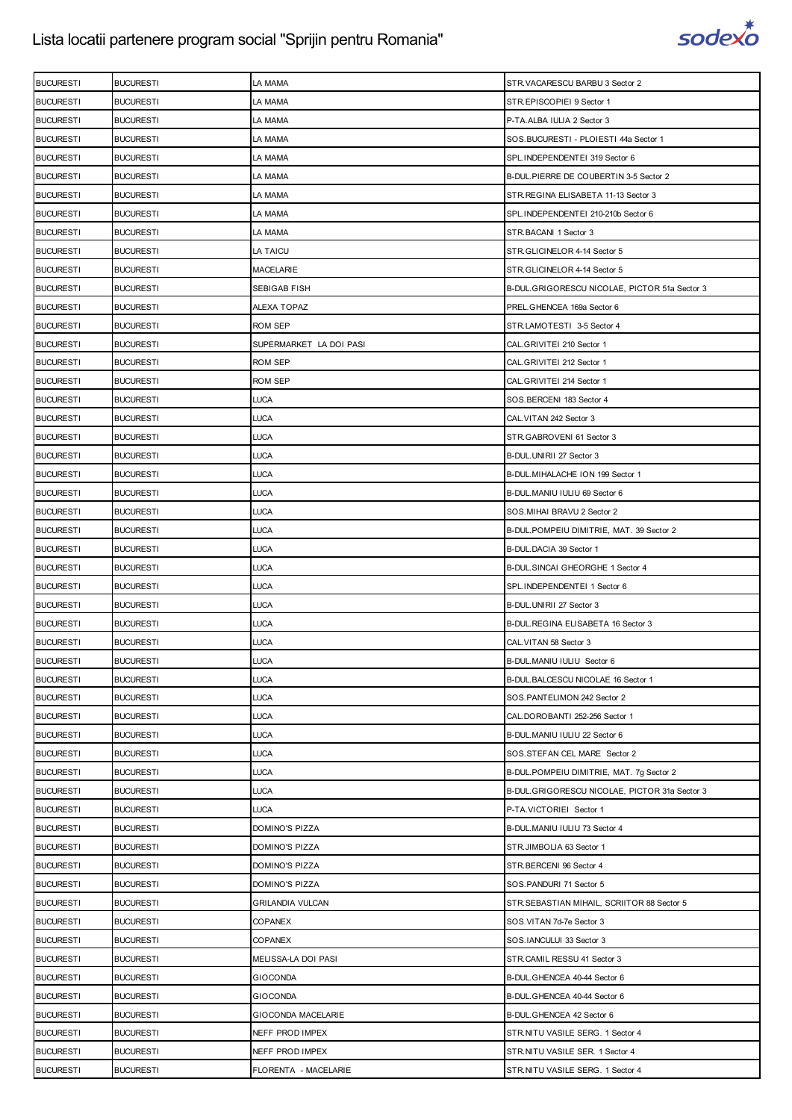

| <b>BUCURESTI</b> | <b>BUCURESTI</b> | LA MAMA                 | STR. VACARESCU BARBU 3 Sector 2               |
|------------------|------------------|-------------------------|-----------------------------------------------|
| <b>BUCURESTI</b> | <b>BUCURESTI</b> | LA MAMA                 | STR.EPISCOPIEI 9 Sector 1                     |
| <b>BUCURESTI</b> | <b>BUCURESTI</b> | LA MAMA                 | P-TA.ALBA IULIA 2 Sector 3                    |
| <b>BUCURESTI</b> | <b>BUCURESTI</b> | la mama                 | SOS.BUCURESTI - PLOIESTI 44a Sector 1         |
| <b>BUCURESTI</b> | <b>BUCURESTI</b> | LA MAMA                 | SPL.INDEPENDENTEI 319 Sector 6                |
| <b>BUCURESTI</b> | <b>BUCURESTI</b> | LA MAMA                 | B-DUL.PIERRE DE COUBERTIN 3-5 Sector 2        |
| <b>BUCURESTI</b> | <b>BUCURESTI</b> | la mama                 | STR. REGINA ELISABETA 11-13 Sector 3          |
| <b>BUCURESTI</b> | <b>BUCURESTI</b> | LA MAMA                 | SPL.INDEPENDENTEI 210-210b Sector 6           |
| <b>BUCURESTI</b> | <b>BUCURESTI</b> | LA MAMA                 | STR.BACANI 1 Sector 3                         |
| <b>BUCURESTI</b> | <b>BUCURESTI</b> | LA TAICU                | STR.GLICINELOR 4-14 Sector 5                  |
| <b>BUCURESTI</b> | <b>BUCURESTI</b> | MACELARIE               | STR.GLICINELOR 4-14 Sector 5                  |
| <b>BUCURESTI</b> | <b>BUCURESTI</b> | SEBIGAB FISH            | B-DUL.GRIGORESCU NICOLAE, PICTOR 51a Sector 3 |
| <b>BUCURESTI</b> | <b>BUCURESTI</b> | ALEXA TOPAZ             | PREL.GHENCEA 169a Sector 6                    |
| <b>BUCURESTI</b> | <b>BUCURESTI</b> | ROM SEP                 | STR.LAMOTESTI 3-5 Sector 4                    |
| <b>BUCURESTI</b> | <b>BUCURESTI</b> | SUPERMARKET LA DOI PASI | CAL.GRIVITEI 210 Sector 1                     |
| <b>BUCURESTI</b> | <b>BUCURESTI</b> | <b>ROM SEP</b>          | CAL.GRIVITEI 212 Sector 1                     |
| <b>BUCURESTI</b> | <b>BUCURESTI</b> | <b>ROM SEP</b>          | CAL.GRIVITEI 214 Sector 1                     |
| <b>BUCURESTI</b> | <b>BUCURESTI</b> | <b>LUCA</b>             | SOS.BERCENI 183 Sector 4                      |
| <b>BUCURESTI</b> | <b>BUCURESTI</b> | LUCA                    | CAL. VITAN 242 Sector 3                       |
| <b>BUCURESTI</b> | <b>BUCURESTI</b> | LUCA                    | STR.GABROVENI 61 Sector 3                     |
| <b>BUCURESTI</b> | <b>BUCURESTI</b> | <b>LUCA</b>             | B-DUL.UNIRII 27 Sector 3                      |
| <b>BUCURESTI</b> | <b>BUCURESTI</b> | LUCA                    | B-DUL. MIHALACHE ION 199 Sector 1             |
| <b>BUCURESTI</b> | <b>BUCURESTI</b> | LUCA                    | B-DUL.MANIU IULIU 69 Sector 6                 |
| <b>BUCURESTI</b> | <b>BUCURESTI</b> | <b>LUCA</b>             | SOS. MIHAI BRAVU 2 Sector 2                   |
| <b>BUCURESTI</b> | <b>BUCURESTI</b> | LUCA                    | B-DUL.POMPEIU DIMITRIE, MAT. 39 Sector 2      |
| <b>BUCURESTI</b> | <b>BUCURESTI</b> | LUCA                    | B-DUL.DACIA 39 Sector 1                       |
| <b>BUCURESTI</b> | <b>BUCURESTI</b> | <b>LUCA</b>             | B-DUL.SINCAI GHEORGHE 1 Sector 4              |
| <b>BUCURESTI</b> | <b>BUCURESTI</b> | LUCA                    | SPL.INDEPENDENTEI 1 Sector 6                  |
| <b>BUCURESTI</b> | <b>BUCURESTI</b> | <b>LUCA</b>             | B-DUL.UNIRII 27 Sector 3                      |
| <b>BUCURESTI</b> | <b>BUCURESTI</b> | LUCA                    | B-DUL.REGINA ELISABETA 16 Sector 3            |
| <b>BUCURESTI</b> | <b>BUCURESTI</b> | LUCA                    | CAL. VITAN 58 Sector 3                        |
| <b>BUCURESTI</b> | <b>BUCURESTI</b> | LUCA                    | B-DUL.MANIU IULIU Sector 6                    |
| <b>BUCURESTI</b> | <b>BUCURESTI</b> | <b>LUCA</b>             | B-DUL.BALCESCU NICOLAE 16 Sector 1            |
| <b>BUCURESTI</b> | <b>BUCURESTI</b> | LUCA                    | SOS.PANTELIMON 242 Sector 2                   |
| <b>BUCURESTI</b> | <b>BUCURESTI</b> | LUCA                    | CAL.DOROBANTI 252-256 Sector 1                |
| <b>BUCURESTI</b> | <b>BUCURESTI</b> | LUCA                    | B-DUL.MANIU IULIU 22 Sector 6                 |
| <b>BUCURESTI</b> | <b>BUCURESTI</b> | <b>LUCA</b>             | SOS.STEFAN CEL MARE Sector 2                  |
| <b>BUCURESTI</b> | <b>BUCURESTI</b> | LUCA                    | B-DUL.POMPEIU DIMITRIE, MAT. 7g Sector 2      |
| <b>BUCURESTI</b> | <b>BUCURESTI</b> | LUCA                    | B-DUL.GRIGORESCU NICOLAE, PICTOR 31a Sector 3 |
| <b>BUCURESTI</b> | <b>BUCURESTI</b> | LUCA                    | P-TA.VICTORIEI Sector 1                       |
| <b>BUCURESTI</b> | <b>BUCURESTI</b> | DOMINO'S PIZZA          | B-DUL.MANIU IULIU 73 Sector 4                 |
| <b>BUCURESTI</b> | <b>BUCURESTI</b> | DOMINO'S PIZZA          | STR.JIMBOLIA 63 Sector 1                      |
| <b>BUCURESTI</b> | <b>BUCURESTI</b> | DOMINO'S PIZZA          | STR.BERCENI 96 Sector 4                       |
| <b>BUCURESTI</b> | <b>BUCURESTI</b> | DOMINO'S PIZZA          | SOS.PANDURI 71 Sector 5                       |
| <b>BUCURESTI</b> | <b>BUCURESTI</b> | <b>GRILANDIA VULCAN</b> | STR.SEBASTIAN MIHAIL, SCRIITOR 88 Sector 5    |
| <b>BUCURESTI</b> | <b>BUCURESTI</b> | COPANEX                 | SOS.VITAN 7d-7e Sector 3                      |
| <b>BUCURESTI</b> | <b>BUCURESTI</b> | COPANEX                 | SOS.IANCULUI 33 Sector 3                      |
| <b>BUCURESTI</b> | <b>BUCURESTI</b> | MELISSA-LA DOI PASI     | STR.CAMIL RESSU 41 Sector 3                   |
| <b>BUCURESTI</b> | <b>BUCURESTI</b> | <b>GIOCONDA</b>         | B-DUL.GHENCEA 40-44 Sector 6                  |
| <b>BUCURESTI</b> | <b>BUCURESTI</b> | <b>GIOCONDA</b>         | B-DUL. GHENCEA 40-44 Sector 6                 |
| <b>BUCURESTI</b> | <b>BUCURESTI</b> | GIOCONDA MACELARIE      | B-DUL.GHENCEA 42 Sector 6                     |
| <b>BUCURESTI</b> | <b>BUCURESTI</b> | NEFF PROD IMPEX         | STR.NITU VASILE SERG. 1 Sector 4              |
| <b>BUCURESTI</b> | <b>BUCURESTI</b> | NEFF PROD IMPEX         | STR.NITU VASILE SER. 1 Sector 4               |
| <b>BUCURESTI</b> | <b>BUCURESTI</b> | FLORENTA - MACELARIE    | STR.NITU VASILE SERG. 1 Sector 4              |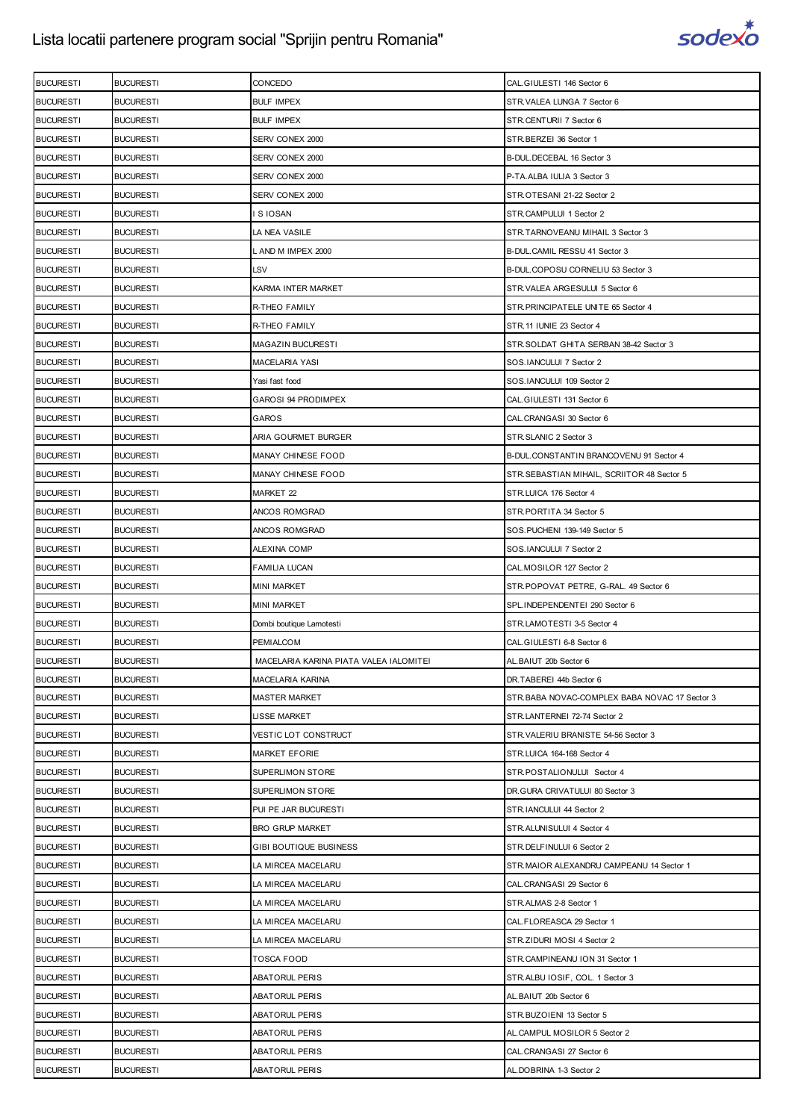

| <b>BULF IMPEX</b><br><b>BUCURESTI</b><br><b>BUCURESTI</b><br>STR.VALEA LUNGA 7 Sector 6<br><b>BUCURESTI</b><br><b>BUCURESTI</b><br><b>BULF IMPEX</b><br>STR.CENTURII 7 Sector 6<br><b>BUCURESTI</b><br><b>BUCURESTI</b><br>SERV CONEX 2000<br>STR.BERZEI 36 Sector 1<br><b>BUCURESTI</b><br><b>BUCURESTI</b><br>SERV CONEX 2000<br>B-DUL.DECEBAL 16 Sector 3<br><b>BUCURESTI</b><br><b>BUCURESTI</b><br>SERV CONEX 2000<br>P-TA.ALBA IULIA 3 Sector 3<br><b>BUCURESTI</b><br><b>BUCURESTI</b><br>SERV CONEX 2000<br>STR.OTESANI 21-22 Sector 2<br><b>BUCURESTI</b><br><b>BUCURESTI</b><br>I S IOSAN<br>STR.CAMPULUI 1 Sector 2<br><b>BUCURESTI</b><br><b>BUCURESTI</b><br>LA NEA VASILE<br>STR.TARNOVEANU MIHAIL 3 Sector 3<br><b>BUCURESTI</b><br><b>BUCURESTI</b><br>L AND M IMPEX 2000<br>B-DUL.CAMIL RESSU 41 Sector 3<br>LSV<br><b>BUCURESTI</b><br><b>BUCURESTI</b><br>B-DUL.COPOSU CORNELIU 53 Sector 3<br><b>BUCURESTI</b><br><b>BUCURESTI</b><br>KARMA INTER MARKET<br>STR.VALEA ARGESULUI 5 Sector 6<br><b>BUCURESTI</b><br><b>BUCURESTI</b><br>R-THEO FAMILY<br>STR.PRINCIPATELE UNITE 65 Sector 4<br><b>BUCURESTI</b><br><b>BUCURESTI</b><br>R-THEO FAMILY<br>STR.11 IUNIE 23 Sector 4<br><b>BUCURESTI</b><br><b>BUCURESTI</b><br><b>MAGAZIN BUCURESTI</b><br>STR.SOLDAT GHITA SERBAN 38-42 Sector 3<br><b>BUCURESTI</b><br><b>BUCURESTI</b><br>MACELARIA YASI<br>SOS.IANCULUI 7 Sector 2<br><b>BUCURESTI</b><br><b>BUCURESTI</b><br>Yasi fast food<br>SOS.IANCULUI 109 Sector 2<br><b>BUCURESTI</b><br><b>BUCURESTI</b><br>GAROSI 94 PRODIMPEX<br>CAL.GIULESTI 131 Sector 6<br><b>BUCURESTI</b><br><b>BUCURESTI</b><br><b>GAROS</b><br>CAL.CRANGASI 30 Sector 6<br><b>BUCURESTI</b><br><b>BUCURESTI</b><br>ARIA GOURMET BURGER<br>STR.SLANIC 2 Sector 3<br><b>BUCURESTI</b><br><b>BUCURESTI</b><br>MANAY CHINESE FOOD<br>B-DUL.CONSTANTIN BRANCOVENU 91 Sector 4<br><b>BUCURESTI</b><br><b>BUCURESTI</b><br>MANAY CHINESE FOOD<br>STR. SEBASTIAN MIHAIL, SCRIITOR 48 Sector 5<br><b>BUCURESTI</b><br><b>BUCURESTI</b><br>MARKET 22<br>STR.LUICA 176 Sector 4<br><b>BUCURESTI</b><br><b>BUCURESTI</b><br>ANCOS ROMGRAD<br>STR.PORTITA 34 Sector 5<br><b>BUCURESTI</b><br><b>BUCURESTI</b><br>ANCOS ROMGRAD<br>SOS.PUCHENI 139-149 Sector 5<br><b>BUCURESTI</b><br><b>BUCURESTI</b><br>ALEXINA COMP<br>SOS.IANCULUI 7 Sector 2<br><b>BUCURESTI</b><br><b>BUCURESTI</b><br>CAL.MOSILOR 127 Sector 2<br>FAMILIA LUCAN<br><b>BUCURESTI</b><br><b>BUCURESTI</b><br><b>MINI MARKET</b><br>STR.POPOVAT PETRE, G-RAL. 49 Sector 6<br><b>BUCURESTI</b><br><b>BUCURESTI</b><br><b>MINI MARKET</b><br>SPL.INDEPENDENTEI 290 Sector 6<br><b>BUCURESTI</b><br><b>BUCURESTI</b><br>Dombi boutique Lamotesti<br>STR.LAMOTESTI 3-5 Sector 4<br><b>BUCURESTI</b><br><b>BUCURESTI</b><br>PEMIALCOM<br>CAL.GIULESTI 6-8 Sector 6<br><b>BUCURESTI</b><br><b>BUCURESTI</b><br>MACELARIA KARINA PIATA VALEA IALOMITEI<br>AL.BAIUT 20b Sector 6<br><b>BUCURESTI</b><br><b>BUCURESTI</b><br>MACELARIA KARINA<br>DR.TABEREI 44b Sector 6<br><b>BUCURESTI</b><br><b>BUCURESTI</b><br>STR.BABA NOVAC-COMPLEX BABA NOVAC 17 Sector 3<br><b>MASTER MARKET</b><br><b>BUCURESTI</b><br><b>BUCURESTI</b><br>LISSE MARKET<br>STR.LANTERNEI 72-74 Sector 2<br><b>BUCURESTI</b><br><b>BUCURESTI</b><br>VESTIC LOT CONSTRUCT<br>STR.VALERIU BRANISTE 54-56 Sector 3<br><b>BUCURESTI</b><br><b>BUCURESTI</b><br>STR.LUICA 164-168 Sector 4<br><b>MARKET EFORIE</b><br><b>BUCURESTI</b><br><b>BUCURESTI</b><br>SUPERLIMON STORE<br>STR.POSTALIONULUI Sector 4<br><b>BUCURESTI</b><br><b>BUCURESTI</b><br>SUPERLIMON STORE<br>DR. GURA CRIVATULUI 80 Sector 3<br><b>BUCURESTI</b><br><b>BUCURESTI</b><br>PUI PE JAR BUCURESTI<br>STR.IANCULUI 44 Sector 2<br><b>BRO GRUP MARKET</b><br><b>BUCURESTI</b><br><b>BUCURESTI</b><br>STR.ALUNISULUI 4 Sector 4<br><b>BUCURESTI</b><br><b>BUCURESTI</b><br>GIBI BOUTIQUE BUSINESS<br>STR.DELFINULUI 6 Sector 2 | <b>BUCURESTI</b> | <b>BUCURESTI</b> | CONCEDO            | CAL.GIULESTI 146 Sector 6                |
|------------------------------------------------------------------------------------------------------------------------------------------------------------------------------------------------------------------------------------------------------------------------------------------------------------------------------------------------------------------------------------------------------------------------------------------------------------------------------------------------------------------------------------------------------------------------------------------------------------------------------------------------------------------------------------------------------------------------------------------------------------------------------------------------------------------------------------------------------------------------------------------------------------------------------------------------------------------------------------------------------------------------------------------------------------------------------------------------------------------------------------------------------------------------------------------------------------------------------------------------------------------------------------------------------------------------------------------------------------------------------------------------------------------------------------------------------------------------------------------------------------------------------------------------------------------------------------------------------------------------------------------------------------------------------------------------------------------------------------------------------------------------------------------------------------------------------------------------------------------------------------------------------------------------------------------------------------------------------------------------------------------------------------------------------------------------------------------------------------------------------------------------------------------------------------------------------------------------------------------------------------------------------------------------------------------------------------------------------------------------------------------------------------------------------------------------------------------------------------------------------------------------------------------------------------------------------------------------------------------------------------------------------------------------------------------------------------------------------------------------------------------------------------------------------------------------------------------------------------------------------------------------------------------------------------------------------------------------------------------------------------------------------------------------------------------------------------------------------------------------------------------------------------------------------------------------------------------------------------------------------------------------------------------------------------------------------------------------------------------------------------------------------------------------------------------------------------------------------------------------------------------------------------------------------------------------------------------------------------------------------------------------------------------------------------------------------------------------------------------------------------------------------------------------------------------------------------------------------------------------------------------------------------------------------|------------------|------------------|--------------------|------------------------------------------|
|                                                                                                                                                                                                                                                                                                                                                                                                                                                                                                                                                                                                                                                                                                                                                                                                                                                                                                                                                                                                                                                                                                                                                                                                                                                                                                                                                                                                                                                                                                                                                                                                                                                                                                                                                                                                                                                                                                                                                                                                                                                                                                                                                                                                                                                                                                                                                                                                                                                                                                                                                                                                                                                                                                                                                                                                                                                                                                                                                                                                                                                                                                                                                                                                                                                                                                                                                                                                                                                                                                                                                                                                                                                                                                                                                                                                                                                                                                                              |                  |                  |                    |                                          |
|                                                                                                                                                                                                                                                                                                                                                                                                                                                                                                                                                                                                                                                                                                                                                                                                                                                                                                                                                                                                                                                                                                                                                                                                                                                                                                                                                                                                                                                                                                                                                                                                                                                                                                                                                                                                                                                                                                                                                                                                                                                                                                                                                                                                                                                                                                                                                                                                                                                                                                                                                                                                                                                                                                                                                                                                                                                                                                                                                                                                                                                                                                                                                                                                                                                                                                                                                                                                                                                                                                                                                                                                                                                                                                                                                                                                                                                                                                                              |                  |                  |                    |                                          |
|                                                                                                                                                                                                                                                                                                                                                                                                                                                                                                                                                                                                                                                                                                                                                                                                                                                                                                                                                                                                                                                                                                                                                                                                                                                                                                                                                                                                                                                                                                                                                                                                                                                                                                                                                                                                                                                                                                                                                                                                                                                                                                                                                                                                                                                                                                                                                                                                                                                                                                                                                                                                                                                                                                                                                                                                                                                                                                                                                                                                                                                                                                                                                                                                                                                                                                                                                                                                                                                                                                                                                                                                                                                                                                                                                                                                                                                                                                                              |                  |                  |                    |                                          |
|                                                                                                                                                                                                                                                                                                                                                                                                                                                                                                                                                                                                                                                                                                                                                                                                                                                                                                                                                                                                                                                                                                                                                                                                                                                                                                                                                                                                                                                                                                                                                                                                                                                                                                                                                                                                                                                                                                                                                                                                                                                                                                                                                                                                                                                                                                                                                                                                                                                                                                                                                                                                                                                                                                                                                                                                                                                                                                                                                                                                                                                                                                                                                                                                                                                                                                                                                                                                                                                                                                                                                                                                                                                                                                                                                                                                                                                                                                                              |                  |                  |                    |                                          |
|                                                                                                                                                                                                                                                                                                                                                                                                                                                                                                                                                                                                                                                                                                                                                                                                                                                                                                                                                                                                                                                                                                                                                                                                                                                                                                                                                                                                                                                                                                                                                                                                                                                                                                                                                                                                                                                                                                                                                                                                                                                                                                                                                                                                                                                                                                                                                                                                                                                                                                                                                                                                                                                                                                                                                                                                                                                                                                                                                                                                                                                                                                                                                                                                                                                                                                                                                                                                                                                                                                                                                                                                                                                                                                                                                                                                                                                                                                                              |                  |                  |                    |                                          |
|                                                                                                                                                                                                                                                                                                                                                                                                                                                                                                                                                                                                                                                                                                                                                                                                                                                                                                                                                                                                                                                                                                                                                                                                                                                                                                                                                                                                                                                                                                                                                                                                                                                                                                                                                                                                                                                                                                                                                                                                                                                                                                                                                                                                                                                                                                                                                                                                                                                                                                                                                                                                                                                                                                                                                                                                                                                                                                                                                                                                                                                                                                                                                                                                                                                                                                                                                                                                                                                                                                                                                                                                                                                                                                                                                                                                                                                                                                                              |                  |                  |                    |                                          |
|                                                                                                                                                                                                                                                                                                                                                                                                                                                                                                                                                                                                                                                                                                                                                                                                                                                                                                                                                                                                                                                                                                                                                                                                                                                                                                                                                                                                                                                                                                                                                                                                                                                                                                                                                                                                                                                                                                                                                                                                                                                                                                                                                                                                                                                                                                                                                                                                                                                                                                                                                                                                                                                                                                                                                                                                                                                                                                                                                                                                                                                                                                                                                                                                                                                                                                                                                                                                                                                                                                                                                                                                                                                                                                                                                                                                                                                                                                                              |                  |                  |                    |                                          |
|                                                                                                                                                                                                                                                                                                                                                                                                                                                                                                                                                                                                                                                                                                                                                                                                                                                                                                                                                                                                                                                                                                                                                                                                                                                                                                                                                                                                                                                                                                                                                                                                                                                                                                                                                                                                                                                                                                                                                                                                                                                                                                                                                                                                                                                                                                                                                                                                                                                                                                                                                                                                                                                                                                                                                                                                                                                                                                                                                                                                                                                                                                                                                                                                                                                                                                                                                                                                                                                                                                                                                                                                                                                                                                                                                                                                                                                                                                                              |                  |                  |                    |                                          |
|                                                                                                                                                                                                                                                                                                                                                                                                                                                                                                                                                                                                                                                                                                                                                                                                                                                                                                                                                                                                                                                                                                                                                                                                                                                                                                                                                                                                                                                                                                                                                                                                                                                                                                                                                                                                                                                                                                                                                                                                                                                                                                                                                                                                                                                                                                                                                                                                                                                                                                                                                                                                                                                                                                                                                                                                                                                                                                                                                                                                                                                                                                                                                                                                                                                                                                                                                                                                                                                                                                                                                                                                                                                                                                                                                                                                                                                                                                                              |                  |                  |                    |                                          |
|                                                                                                                                                                                                                                                                                                                                                                                                                                                                                                                                                                                                                                                                                                                                                                                                                                                                                                                                                                                                                                                                                                                                                                                                                                                                                                                                                                                                                                                                                                                                                                                                                                                                                                                                                                                                                                                                                                                                                                                                                                                                                                                                                                                                                                                                                                                                                                                                                                                                                                                                                                                                                                                                                                                                                                                                                                                                                                                                                                                                                                                                                                                                                                                                                                                                                                                                                                                                                                                                                                                                                                                                                                                                                                                                                                                                                                                                                                                              |                  |                  |                    |                                          |
|                                                                                                                                                                                                                                                                                                                                                                                                                                                                                                                                                                                                                                                                                                                                                                                                                                                                                                                                                                                                                                                                                                                                                                                                                                                                                                                                                                                                                                                                                                                                                                                                                                                                                                                                                                                                                                                                                                                                                                                                                                                                                                                                                                                                                                                                                                                                                                                                                                                                                                                                                                                                                                                                                                                                                                                                                                                                                                                                                                                                                                                                                                                                                                                                                                                                                                                                                                                                                                                                                                                                                                                                                                                                                                                                                                                                                                                                                                                              |                  |                  |                    |                                          |
|                                                                                                                                                                                                                                                                                                                                                                                                                                                                                                                                                                                                                                                                                                                                                                                                                                                                                                                                                                                                                                                                                                                                                                                                                                                                                                                                                                                                                                                                                                                                                                                                                                                                                                                                                                                                                                                                                                                                                                                                                                                                                                                                                                                                                                                                                                                                                                                                                                                                                                                                                                                                                                                                                                                                                                                                                                                                                                                                                                                                                                                                                                                                                                                                                                                                                                                                                                                                                                                                                                                                                                                                                                                                                                                                                                                                                                                                                                                              |                  |                  |                    |                                          |
|                                                                                                                                                                                                                                                                                                                                                                                                                                                                                                                                                                                                                                                                                                                                                                                                                                                                                                                                                                                                                                                                                                                                                                                                                                                                                                                                                                                                                                                                                                                                                                                                                                                                                                                                                                                                                                                                                                                                                                                                                                                                                                                                                                                                                                                                                                                                                                                                                                                                                                                                                                                                                                                                                                                                                                                                                                                                                                                                                                                                                                                                                                                                                                                                                                                                                                                                                                                                                                                                                                                                                                                                                                                                                                                                                                                                                                                                                                                              |                  |                  |                    |                                          |
|                                                                                                                                                                                                                                                                                                                                                                                                                                                                                                                                                                                                                                                                                                                                                                                                                                                                                                                                                                                                                                                                                                                                                                                                                                                                                                                                                                                                                                                                                                                                                                                                                                                                                                                                                                                                                                                                                                                                                                                                                                                                                                                                                                                                                                                                                                                                                                                                                                                                                                                                                                                                                                                                                                                                                                                                                                                                                                                                                                                                                                                                                                                                                                                                                                                                                                                                                                                                                                                                                                                                                                                                                                                                                                                                                                                                                                                                                                                              |                  |                  |                    |                                          |
|                                                                                                                                                                                                                                                                                                                                                                                                                                                                                                                                                                                                                                                                                                                                                                                                                                                                                                                                                                                                                                                                                                                                                                                                                                                                                                                                                                                                                                                                                                                                                                                                                                                                                                                                                                                                                                                                                                                                                                                                                                                                                                                                                                                                                                                                                                                                                                                                                                                                                                                                                                                                                                                                                                                                                                                                                                                                                                                                                                                                                                                                                                                                                                                                                                                                                                                                                                                                                                                                                                                                                                                                                                                                                                                                                                                                                                                                                                                              |                  |                  |                    |                                          |
|                                                                                                                                                                                                                                                                                                                                                                                                                                                                                                                                                                                                                                                                                                                                                                                                                                                                                                                                                                                                                                                                                                                                                                                                                                                                                                                                                                                                                                                                                                                                                                                                                                                                                                                                                                                                                                                                                                                                                                                                                                                                                                                                                                                                                                                                                                                                                                                                                                                                                                                                                                                                                                                                                                                                                                                                                                                                                                                                                                                                                                                                                                                                                                                                                                                                                                                                                                                                                                                                                                                                                                                                                                                                                                                                                                                                                                                                                                                              |                  |                  |                    |                                          |
|                                                                                                                                                                                                                                                                                                                                                                                                                                                                                                                                                                                                                                                                                                                                                                                                                                                                                                                                                                                                                                                                                                                                                                                                                                                                                                                                                                                                                                                                                                                                                                                                                                                                                                                                                                                                                                                                                                                                                                                                                                                                                                                                                                                                                                                                                                                                                                                                                                                                                                                                                                                                                                                                                                                                                                                                                                                                                                                                                                                                                                                                                                                                                                                                                                                                                                                                                                                                                                                                                                                                                                                                                                                                                                                                                                                                                                                                                                                              |                  |                  |                    |                                          |
|                                                                                                                                                                                                                                                                                                                                                                                                                                                                                                                                                                                                                                                                                                                                                                                                                                                                                                                                                                                                                                                                                                                                                                                                                                                                                                                                                                                                                                                                                                                                                                                                                                                                                                                                                                                                                                                                                                                                                                                                                                                                                                                                                                                                                                                                                                                                                                                                                                                                                                                                                                                                                                                                                                                                                                                                                                                                                                                                                                                                                                                                                                                                                                                                                                                                                                                                                                                                                                                                                                                                                                                                                                                                                                                                                                                                                                                                                                                              |                  |                  |                    |                                          |
|                                                                                                                                                                                                                                                                                                                                                                                                                                                                                                                                                                                                                                                                                                                                                                                                                                                                                                                                                                                                                                                                                                                                                                                                                                                                                                                                                                                                                                                                                                                                                                                                                                                                                                                                                                                                                                                                                                                                                                                                                                                                                                                                                                                                                                                                                                                                                                                                                                                                                                                                                                                                                                                                                                                                                                                                                                                                                                                                                                                                                                                                                                                                                                                                                                                                                                                                                                                                                                                                                                                                                                                                                                                                                                                                                                                                                                                                                                                              |                  |                  |                    |                                          |
|                                                                                                                                                                                                                                                                                                                                                                                                                                                                                                                                                                                                                                                                                                                                                                                                                                                                                                                                                                                                                                                                                                                                                                                                                                                                                                                                                                                                                                                                                                                                                                                                                                                                                                                                                                                                                                                                                                                                                                                                                                                                                                                                                                                                                                                                                                                                                                                                                                                                                                                                                                                                                                                                                                                                                                                                                                                                                                                                                                                                                                                                                                                                                                                                                                                                                                                                                                                                                                                                                                                                                                                                                                                                                                                                                                                                                                                                                                                              |                  |                  |                    |                                          |
|                                                                                                                                                                                                                                                                                                                                                                                                                                                                                                                                                                                                                                                                                                                                                                                                                                                                                                                                                                                                                                                                                                                                                                                                                                                                                                                                                                                                                                                                                                                                                                                                                                                                                                                                                                                                                                                                                                                                                                                                                                                                                                                                                                                                                                                                                                                                                                                                                                                                                                                                                                                                                                                                                                                                                                                                                                                                                                                                                                                                                                                                                                                                                                                                                                                                                                                                                                                                                                                                                                                                                                                                                                                                                                                                                                                                                                                                                                                              |                  |                  |                    |                                          |
|                                                                                                                                                                                                                                                                                                                                                                                                                                                                                                                                                                                                                                                                                                                                                                                                                                                                                                                                                                                                                                                                                                                                                                                                                                                                                                                                                                                                                                                                                                                                                                                                                                                                                                                                                                                                                                                                                                                                                                                                                                                                                                                                                                                                                                                                                                                                                                                                                                                                                                                                                                                                                                                                                                                                                                                                                                                                                                                                                                                                                                                                                                                                                                                                                                                                                                                                                                                                                                                                                                                                                                                                                                                                                                                                                                                                                                                                                                                              |                  |                  |                    |                                          |
|                                                                                                                                                                                                                                                                                                                                                                                                                                                                                                                                                                                                                                                                                                                                                                                                                                                                                                                                                                                                                                                                                                                                                                                                                                                                                                                                                                                                                                                                                                                                                                                                                                                                                                                                                                                                                                                                                                                                                                                                                                                                                                                                                                                                                                                                                                                                                                                                                                                                                                                                                                                                                                                                                                                                                                                                                                                                                                                                                                                                                                                                                                                                                                                                                                                                                                                                                                                                                                                                                                                                                                                                                                                                                                                                                                                                                                                                                                                              |                  |                  |                    |                                          |
|                                                                                                                                                                                                                                                                                                                                                                                                                                                                                                                                                                                                                                                                                                                                                                                                                                                                                                                                                                                                                                                                                                                                                                                                                                                                                                                                                                                                                                                                                                                                                                                                                                                                                                                                                                                                                                                                                                                                                                                                                                                                                                                                                                                                                                                                                                                                                                                                                                                                                                                                                                                                                                                                                                                                                                                                                                                                                                                                                                                                                                                                                                                                                                                                                                                                                                                                                                                                                                                                                                                                                                                                                                                                                                                                                                                                                                                                                                                              |                  |                  |                    |                                          |
|                                                                                                                                                                                                                                                                                                                                                                                                                                                                                                                                                                                                                                                                                                                                                                                                                                                                                                                                                                                                                                                                                                                                                                                                                                                                                                                                                                                                                                                                                                                                                                                                                                                                                                                                                                                                                                                                                                                                                                                                                                                                                                                                                                                                                                                                                                                                                                                                                                                                                                                                                                                                                                                                                                                                                                                                                                                                                                                                                                                                                                                                                                                                                                                                                                                                                                                                                                                                                                                                                                                                                                                                                                                                                                                                                                                                                                                                                                                              |                  |                  |                    |                                          |
|                                                                                                                                                                                                                                                                                                                                                                                                                                                                                                                                                                                                                                                                                                                                                                                                                                                                                                                                                                                                                                                                                                                                                                                                                                                                                                                                                                                                                                                                                                                                                                                                                                                                                                                                                                                                                                                                                                                                                                                                                                                                                                                                                                                                                                                                                                                                                                                                                                                                                                                                                                                                                                                                                                                                                                                                                                                                                                                                                                                                                                                                                                                                                                                                                                                                                                                                                                                                                                                                                                                                                                                                                                                                                                                                                                                                                                                                                                                              |                  |                  |                    |                                          |
|                                                                                                                                                                                                                                                                                                                                                                                                                                                                                                                                                                                                                                                                                                                                                                                                                                                                                                                                                                                                                                                                                                                                                                                                                                                                                                                                                                                                                                                                                                                                                                                                                                                                                                                                                                                                                                                                                                                                                                                                                                                                                                                                                                                                                                                                                                                                                                                                                                                                                                                                                                                                                                                                                                                                                                                                                                                                                                                                                                                                                                                                                                                                                                                                                                                                                                                                                                                                                                                                                                                                                                                                                                                                                                                                                                                                                                                                                                                              |                  |                  |                    |                                          |
|                                                                                                                                                                                                                                                                                                                                                                                                                                                                                                                                                                                                                                                                                                                                                                                                                                                                                                                                                                                                                                                                                                                                                                                                                                                                                                                                                                                                                                                                                                                                                                                                                                                                                                                                                                                                                                                                                                                                                                                                                                                                                                                                                                                                                                                                                                                                                                                                                                                                                                                                                                                                                                                                                                                                                                                                                                                                                                                                                                                                                                                                                                                                                                                                                                                                                                                                                                                                                                                                                                                                                                                                                                                                                                                                                                                                                                                                                                                              |                  |                  |                    |                                          |
|                                                                                                                                                                                                                                                                                                                                                                                                                                                                                                                                                                                                                                                                                                                                                                                                                                                                                                                                                                                                                                                                                                                                                                                                                                                                                                                                                                                                                                                                                                                                                                                                                                                                                                                                                                                                                                                                                                                                                                                                                                                                                                                                                                                                                                                                                                                                                                                                                                                                                                                                                                                                                                                                                                                                                                                                                                                                                                                                                                                                                                                                                                                                                                                                                                                                                                                                                                                                                                                                                                                                                                                                                                                                                                                                                                                                                                                                                                                              |                  |                  |                    |                                          |
|                                                                                                                                                                                                                                                                                                                                                                                                                                                                                                                                                                                                                                                                                                                                                                                                                                                                                                                                                                                                                                                                                                                                                                                                                                                                                                                                                                                                                                                                                                                                                                                                                                                                                                                                                                                                                                                                                                                                                                                                                                                                                                                                                                                                                                                                                                                                                                                                                                                                                                                                                                                                                                                                                                                                                                                                                                                                                                                                                                                                                                                                                                                                                                                                                                                                                                                                                                                                                                                                                                                                                                                                                                                                                                                                                                                                                                                                                                                              |                  |                  |                    |                                          |
|                                                                                                                                                                                                                                                                                                                                                                                                                                                                                                                                                                                                                                                                                                                                                                                                                                                                                                                                                                                                                                                                                                                                                                                                                                                                                                                                                                                                                                                                                                                                                                                                                                                                                                                                                                                                                                                                                                                                                                                                                                                                                                                                                                                                                                                                                                                                                                                                                                                                                                                                                                                                                                                                                                                                                                                                                                                                                                                                                                                                                                                                                                                                                                                                                                                                                                                                                                                                                                                                                                                                                                                                                                                                                                                                                                                                                                                                                                                              |                  |                  |                    |                                          |
|                                                                                                                                                                                                                                                                                                                                                                                                                                                                                                                                                                                                                                                                                                                                                                                                                                                                                                                                                                                                                                                                                                                                                                                                                                                                                                                                                                                                                                                                                                                                                                                                                                                                                                                                                                                                                                                                                                                                                                                                                                                                                                                                                                                                                                                                                                                                                                                                                                                                                                                                                                                                                                                                                                                                                                                                                                                                                                                                                                                                                                                                                                                                                                                                                                                                                                                                                                                                                                                                                                                                                                                                                                                                                                                                                                                                                                                                                                                              |                  |                  |                    |                                          |
|                                                                                                                                                                                                                                                                                                                                                                                                                                                                                                                                                                                                                                                                                                                                                                                                                                                                                                                                                                                                                                                                                                                                                                                                                                                                                                                                                                                                                                                                                                                                                                                                                                                                                                                                                                                                                                                                                                                                                                                                                                                                                                                                                                                                                                                                                                                                                                                                                                                                                                                                                                                                                                                                                                                                                                                                                                                                                                                                                                                                                                                                                                                                                                                                                                                                                                                                                                                                                                                                                                                                                                                                                                                                                                                                                                                                                                                                                                                              |                  |                  |                    |                                          |
|                                                                                                                                                                                                                                                                                                                                                                                                                                                                                                                                                                                                                                                                                                                                                                                                                                                                                                                                                                                                                                                                                                                                                                                                                                                                                                                                                                                                                                                                                                                                                                                                                                                                                                                                                                                                                                                                                                                                                                                                                                                                                                                                                                                                                                                                                                                                                                                                                                                                                                                                                                                                                                                                                                                                                                                                                                                                                                                                                                                                                                                                                                                                                                                                                                                                                                                                                                                                                                                                                                                                                                                                                                                                                                                                                                                                                                                                                                                              |                  |                  |                    |                                          |
|                                                                                                                                                                                                                                                                                                                                                                                                                                                                                                                                                                                                                                                                                                                                                                                                                                                                                                                                                                                                                                                                                                                                                                                                                                                                                                                                                                                                                                                                                                                                                                                                                                                                                                                                                                                                                                                                                                                                                                                                                                                                                                                                                                                                                                                                                                                                                                                                                                                                                                                                                                                                                                                                                                                                                                                                                                                                                                                                                                                                                                                                                                                                                                                                                                                                                                                                                                                                                                                                                                                                                                                                                                                                                                                                                                                                                                                                                                                              |                  |                  |                    |                                          |
|                                                                                                                                                                                                                                                                                                                                                                                                                                                                                                                                                                                                                                                                                                                                                                                                                                                                                                                                                                                                                                                                                                                                                                                                                                                                                                                                                                                                                                                                                                                                                                                                                                                                                                                                                                                                                                                                                                                                                                                                                                                                                                                                                                                                                                                                                                                                                                                                                                                                                                                                                                                                                                                                                                                                                                                                                                                                                                                                                                                                                                                                                                                                                                                                                                                                                                                                                                                                                                                                                                                                                                                                                                                                                                                                                                                                                                                                                                                              |                  |                  |                    |                                          |
|                                                                                                                                                                                                                                                                                                                                                                                                                                                                                                                                                                                                                                                                                                                                                                                                                                                                                                                                                                                                                                                                                                                                                                                                                                                                                                                                                                                                                                                                                                                                                                                                                                                                                                                                                                                                                                                                                                                                                                                                                                                                                                                                                                                                                                                                                                                                                                                                                                                                                                                                                                                                                                                                                                                                                                                                                                                                                                                                                                                                                                                                                                                                                                                                                                                                                                                                                                                                                                                                                                                                                                                                                                                                                                                                                                                                                                                                                                                              |                  |                  |                    |                                          |
|                                                                                                                                                                                                                                                                                                                                                                                                                                                                                                                                                                                                                                                                                                                                                                                                                                                                                                                                                                                                                                                                                                                                                                                                                                                                                                                                                                                                                                                                                                                                                                                                                                                                                                                                                                                                                                                                                                                                                                                                                                                                                                                                                                                                                                                                                                                                                                                                                                                                                                                                                                                                                                                                                                                                                                                                                                                                                                                                                                                                                                                                                                                                                                                                                                                                                                                                                                                                                                                                                                                                                                                                                                                                                                                                                                                                                                                                                                                              |                  |                  |                    |                                          |
|                                                                                                                                                                                                                                                                                                                                                                                                                                                                                                                                                                                                                                                                                                                                                                                                                                                                                                                                                                                                                                                                                                                                                                                                                                                                                                                                                                                                                                                                                                                                                                                                                                                                                                                                                                                                                                                                                                                                                                                                                                                                                                                                                                                                                                                                                                                                                                                                                                                                                                                                                                                                                                                                                                                                                                                                                                                                                                                                                                                                                                                                                                                                                                                                                                                                                                                                                                                                                                                                                                                                                                                                                                                                                                                                                                                                                                                                                                                              |                  |                  |                    |                                          |
|                                                                                                                                                                                                                                                                                                                                                                                                                                                                                                                                                                                                                                                                                                                                                                                                                                                                                                                                                                                                                                                                                                                                                                                                                                                                                                                                                                                                                                                                                                                                                                                                                                                                                                                                                                                                                                                                                                                                                                                                                                                                                                                                                                                                                                                                                                                                                                                                                                                                                                                                                                                                                                                                                                                                                                                                                                                                                                                                                                                                                                                                                                                                                                                                                                                                                                                                                                                                                                                                                                                                                                                                                                                                                                                                                                                                                                                                                                                              |                  |                  |                    |                                          |
|                                                                                                                                                                                                                                                                                                                                                                                                                                                                                                                                                                                                                                                                                                                                                                                                                                                                                                                                                                                                                                                                                                                                                                                                                                                                                                                                                                                                                                                                                                                                                                                                                                                                                                                                                                                                                                                                                                                                                                                                                                                                                                                                                                                                                                                                                                                                                                                                                                                                                                                                                                                                                                                                                                                                                                                                                                                                                                                                                                                                                                                                                                                                                                                                                                                                                                                                                                                                                                                                                                                                                                                                                                                                                                                                                                                                                                                                                                                              |                  |                  |                    |                                          |
|                                                                                                                                                                                                                                                                                                                                                                                                                                                                                                                                                                                                                                                                                                                                                                                                                                                                                                                                                                                                                                                                                                                                                                                                                                                                                                                                                                                                                                                                                                                                                                                                                                                                                                                                                                                                                                                                                                                                                                                                                                                                                                                                                                                                                                                                                                                                                                                                                                                                                                                                                                                                                                                                                                                                                                                                                                                                                                                                                                                                                                                                                                                                                                                                                                                                                                                                                                                                                                                                                                                                                                                                                                                                                                                                                                                                                                                                                                                              | <b>BUCURESTI</b> | <b>BUCURESTI</b> | LA MIRCEA MACELARU | STR.MAIOR ALEXANDRU CAMPEANU 14 Sector 1 |
| <b>BUCURESTI</b><br><b>BUCURESTI</b><br>LA MIRCEA MACELARU<br>CAL.CRANGASI 29 Sector 6                                                                                                                                                                                                                                                                                                                                                                                                                                                                                                                                                                                                                                                                                                                                                                                                                                                                                                                                                                                                                                                                                                                                                                                                                                                                                                                                                                                                                                                                                                                                                                                                                                                                                                                                                                                                                                                                                                                                                                                                                                                                                                                                                                                                                                                                                                                                                                                                                                                                                                                                                                                                                                                                                                                                                                                                                                                                                                                                                                                                                                                                                                                                                                                                                                                                                                                                                                                                                                                                                                                                                                                                                                                                                                                                                                                                                                       |                  |                  |                    |                                          |
| <b>BUCURESTI</b><br><b>BUCURESTI</b><br>LA MIRCEA MACELARU<br>STR.ALMAS 2-8 Sector 1                                                                                                                                                                                                                                                                                                                                                                                                                                                                                                                                                                                                                                                                                                                                                                                                                                                                                                                                                                                                                                                                                                                                                                                                                                                                                                                                                                                                                                                                                                                                                                                                                                                                                                                                                                                                                                                                                                                                                                                                                                                                                                                                                                                                                                                                                                                                                                                                                                                                                                                                                                                                                                                                                                                                                                                                                                                                                                                                                                                                                                                                                                                                                                                                                                                                                                                                                                                                                                                                                                                                                                                                                                                                                                                                                                                                                                         |                  |                  |                    |                                          |
| <b>BUCURESTI</b><br><b>BUCURESTI</b><br>CAL.FLOREASCA 29 Sector 1<br>LA MIRCEA MACELARU                                                                                                                                                                                                                                                                                                                                                                                                                                                                                                                                                                                                                                                                                                                                                                                                                                                                                                                                                                                                                                                                                                                                                                                                                                                                                                                                                                                                                                                                                                                                                                                                                                                                                                                                                                                                                                                                                                                                                                                                                                                                                                                                                                                                                                                                                                                                                                                                                                                                                                                                                                                                                                                                                                                                                                                                                                                                                                                                                                                                                                                                                                                                                                                                                                                                                                                                                                                                                                                                                                                                                                                                                                                                                                                                                                                                                                      |                  |                  |                    |                                          |
| <b>BUCURESTI</b><br><b>BUCURESTI</b><br>LA MIRCEA MACELARU<br>STR.ZIDURI MOSI 4 Sector 2                                                                                                                                                                                                                                                                                                                                                                                                                                                                                                                                                                                                                                                                                                                                                                                                                                                                                                                                                                                                                                                                                                                                                                                                                                                                                                                                                                                                                                                                                                                                                                                                                                                                                                                                                                                                                                                                                                                                                                                                                                                                                                                                                                                                                                                                                                                                                                                                                                                                                                                                                                                                                                                                                                                                                                                                                                                                                                                                                                                                                                                                                                                                                                                                                                                                                                                                                                                                                                                                                                                                                                                                                                                                                                                                                                                                                                     |                  |                  |                    |                                          |
| <b>BUCURESTI</b><br><b>BUCURESTI</b><br>TOSCA FOOD<br>STR.CAMPINEANU ION 31 Sector 1                                                                                                                                                                                                                                                                                                                                                                                                                                                                                                                                                                                                                                                                                                                                                                                                                                                                                                                                                                                                                                                                                                                                                                                                                                                                                                                                                                                                                                                                                                                                                                                                                                                                                                                                                                                                                                                                                                                                                                                                                                                                                                                                                                                                                                                                                                                                                                                                                                                                                                                                                                                                                                                                                                                                                                                                                                                                                                                                                                                                                                                                                                                                                                                                                                                                                                                                                                                                                                                                                                                                                                                                                                                                                                                                                                                                                                         |                  |                  |                    |                                          |
| <b>BUCURESTI</b><br><b>BUCURESTI</b><br>STR.ALBU IOSIF, COL. 1 Sector 3<br>ABATORUL PERIS                                                                                                                                                                                                                                                                                                                                                                                                                                                                                                                                                                                                                                                                                                                                                                                                                                                                                                                                                                                                                                                                                                                                                                                                                                                                                                                                                                                                                                                                                                                                                                                                                                                                                                                                                                                                                                                                                                                                                                                                                                                                                                                                                                                                                                                                                                                                                                                                                                                                                                                                                                                                                                                                                                                                                                                                                                                                                                                                                                                                                                                                                                                                                                                                                                                                                                                                                                                                                                                                                                                                                                                                                                                                                                                                                                                                                                    |                  |                  |                    |                                          |
| <b>BUCURESTI</b><br><b>BUCURESTI</b><br>ABATORUL PERIS<br>AL.BAIUT 20b Sector 6                                                                                                                                                                                                                                                                                                                                                                                                                                                                                                                                                                                                                                                                                                                                                                                                                                                                                                                                                                                                                                                                                                                                                                                                                                                                                                                                                                                                                                                                                                                                                                                                                                                                                                                                                                                                                                                                                                                                                                                                                                                                                                                                                                                                                                                                                                                                                                                                                                                                                                                                                                                                                                                                                                                                                                                                                                                                                                                                                                                                                                                                                                                                                                                                                                                                                                                                                                                                                                                                                                                                                                                                                                                                                                                                                                                                                                              |                  |                  |                    |                                          |
| <b>BUCURESTI</b><br><b>BUCURESTI</b><br>ABATORUL PERIS<br>STR.BUZOIENI 13 Sector 5                                                                                                                                                                                                                                                                                                                                                                                                                                                                                                                                                                                                                                                                                                                                                                                                                                                                                                                                                                                                                                                                                                                                                                                                                                                                                                                                                                                                                                                                                                                                                                                                                                                                                                                                                                                                                                                                                                                                                                                                                                                                                                                                                                                                                                                                                                                                                                                                                                                                                                                                                                                                                                                                                                                                                                                                                                                                                                                                                                                                                                                                                                                                                                                                                                                                                                                                                                                                                                                                                                                                                                                                                                                                                                                                                                                                                                           |                  |                  |                    |                                          |
| <b>BUCURESTI</b><br><b>BUCURESTI</b><br>ABATORUL PERIS<br>AL.CAMPUL MOSILOR 5 Sector 2                                                                                                                                                                                                                                                                                                                                                                                                                                                                                                                                                                                                                                                                                                                                                                                                                                                                                                                                                                                                                                                                                                                                                                                                                                                                                                                                                                                                                                                                                                                                                                                                                                                                                                                                                                                                                                                                                                                                                                                                                                                                                                                                                                                                                                                                                                                                                                                                                                                                                                                                                                                                                                                                                                                                                                                                                                                                                                                                                                                                                                                                                                                                                                                                                                                                                                                                                                                                                                                                                                                                                                                                                                                                                                                                                                                                                                       |                  |                  |                    |                                          |
| <b>BUCURESTI</b><br><b>BUCURESTI</b><br>ABATORUL PERIS<br>CAL.CRANGASI 27 Sector 6                                                                                                                                                                                                                                                                                                                                                                                                                                                                                                                                                                                                                                                                                                                                                                                                                                                                                                                                                                                                                                                                                                                                                                                                                                                                                                                                                                                                                                                                                                                                                                                                                                                                                                                                                                                                                                                                                                                                                                                                                                                                                                                                                                                                                                                                                                                                                                                                                                                                                                                                                                                                                                                                                                                                                                                                                                                                                                                                                                                                                                                                                                                                                                                                                                                                                                                                                                                                                                                                                                                                                                                                                                                                                                                                                                                                                                           |                  |                  |                    |                                          |
| <b>BUCURESTI</b><br><b>BUCURESTI</b><br>ABATORUL PERIS<br>AL.DOBRINA 1-3 Sector 2                                                                                                                                                                                                                                                                                                                                                                                                                                                                                                                                                                                                                                                                                                                                                                                                                                                                                                                                                                                                                                                                                                                                                                                                                                                                                                                                                                                                                                                                                                                                                                                                                                                                                                                                                                                                                                                                                                                                                                                                                                                                                                                                                                                                                                                                                                                                                                                                                                                                                                                                                                                                                                                                                                                                                                                                                                                                                                                                                                                                                                                                                                                                                                                                                                                                                                                                                                                                                                                                                                                                                                                                                                                                                                                                                                                                                                            |                  |                  |                    |                                          |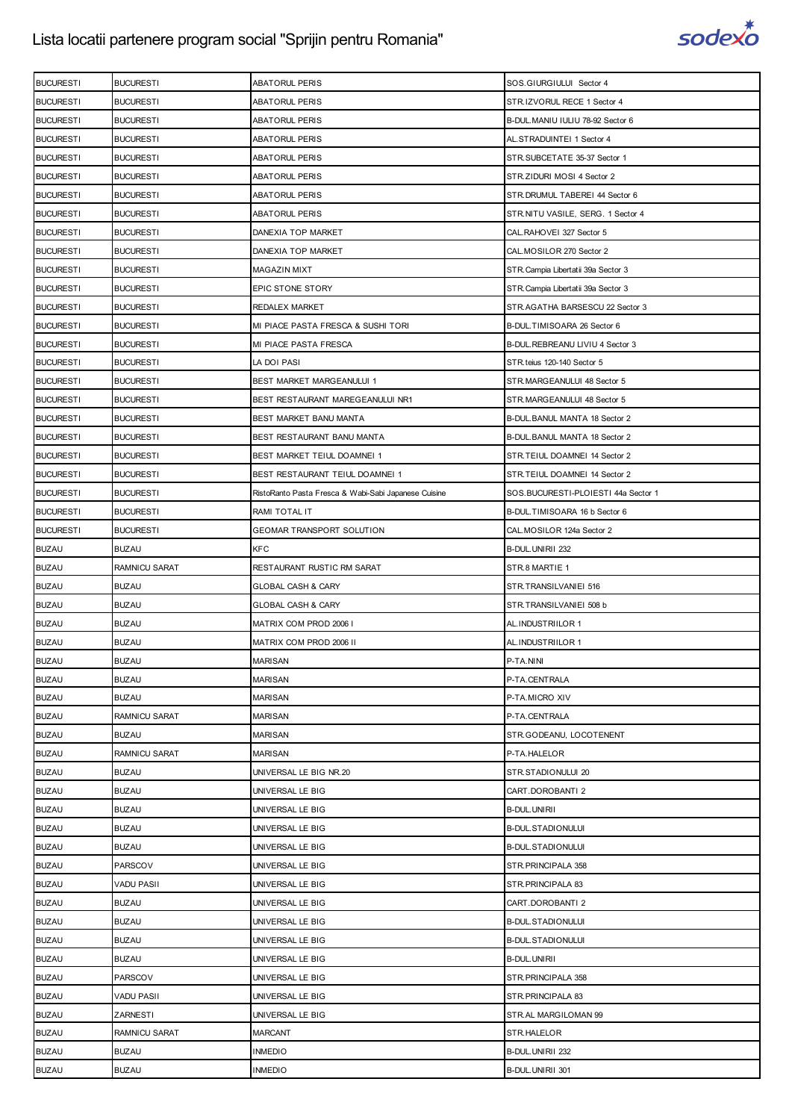

| <b>BUCURESTI</b> | <b>BUCURESTI</b>     | <b>ABATORUL PERIS</b>                                | SOS.GIURGIULUI Sector 4             |
|------------------|----------------------|------------------------------------------------------|-------------------------------------|
| <b>BUCURESTI</b> | <b>BUCURESTI</b>     | <b>ABATORUL PERIS</b>                                | STR.IZVORUL RECE 1 Sector 4         |
| <b>BUCURESTI</b> | <b>BUCURESTI</b>     | <b>ABATORUL PERIS</b>                                | B-DUL.MANIU IULIU 78-92 Sector 6    |
| <b>BUCURESTI</b> | <b>BUCURESTI</b>     | <b>ABATORUL PERIS</b>                                | AL.STRADUINTEI 1 Sector 4           |
| <b>BUCURESTI</b> | <b>BUCURESTI</b>     | <b>ABATORUL PERIS</b>                                | STR.SUBCETATE 35-37 Sector 1        |
| <b>BUCURESTI</b> | <b>BUCURESTI</b>     | ABATORUL PERIS                                       | STR.ZIDURI MOSI 4 Sector 2          |
| <b>BUCURESTI</b> | <b>BUCURESTI</b>     | <b>ABATORUL PERIS</b>                                | STR. DRUMUL TABEREI 44 Sector 6     |
| <b>BUCURESTI</b> | <b>BUCURESTI</b>     | <b>ABATORUL PERIS</b>                                | STR.NITU VASILE, SERG. 1 Sector 4   |
| <b>BUCURESTI</b> | <b>BUCURESTI</b>     | DANEXIA TOP MARKET                                   | CAL.RAHOVEI 327 Sector 5            |
| <b>BUCURESTI</b> | <b>BUCURESTI</b>     | DANEXIA TOP MARKET                                   | CAL.MOSILOR 270 Sector 2            |
| <b>BUCURESTI</b> | <b>BUCURESTI</b>     | MAGAZIN MIXT                                         | STR. Campia Libertatii 39a Sector 3 |
| <b>BUCURESTI</b> | <b>BUCURESTI</b>     | EPIC STONE STORY                                     | STR. Campia Libertatii 39a Sector 3 |
| <b>BUCURESTI</b> | <b>BUCURESTI</b>     | REDALEX MARKET                                       | STR.AGATHA BARSESCU 22 Sector 3     |
| <b>BUCURESTI</b> | <b>BUCURESTI</b>     | MI PIACE PASTA FRESCA & SUSHI TORI                   | B-DUL.TIMISOARA 26 Sector 6         |
| <b>BUCURESTI</b> | <b>BUCURESTI</b>     | MI PIACE PASTA FRESCA                                | B-DUL.REBREANU LIVIU 4 Sector 3     |
| <b>BUCURESTI</b> | <b>BUCURESTI</b>     | LA DOI PASI                                          | STR.teius 120-140 Sector 5          |
| <b>BUCURESTI</b> | <b>BUCURESTI</b>     | BEST MARKET MARGEANULUI 1                            | STR.MARGEANULUI 48 Sector 5         |
| <b>BUCURESTI</b> | <b>BUCURESTI</b>     | BEST RESTAURANT MAREGEANULUI NR1                     | STR.MARGEANULUI 48 Sector 5         |
| <b>BUCURESTI</b> | <b>BUCURESTI</b>     | BEST MARKET BANU MANTA                               | B-DUL.BANUL MANTA 18 Sector 2       |
| <b>BUCURESTI</b> | <b>BUCURESTI</b>     | BEST RESTAURANT BANU MANTA                           | B-DUL.BANUL MANTA 18 Sector 2       |
| <b>BUCURESTI</b> | <b>BUCURESTI</b>     | BEST MARKET TEIUL DOAMNEI 1                          | STR.TEIUL DOAMNEI 14 Sector 2       |
| <b>BUCURESTI</b> | <b>BUCURESTI</b>     | BEST RESTAURANT TEIUL DOAMNEI 1                      | STR.TEIUL DOAMNEI 14 Sector 2       |
| <b>BUCURESTI</b> | <b>BUCURESTI</b>     | RistoRanto Pasta Fresca & Wabi-Sabi Japanese Cuisine | SOS.BUCURESTI-PLOIESTI 44a Sector 1 |
| <b>BUCURESTI</b> | <b>BUCURESTI</b>     | RAMI TOTAL IT                                        | B-DUL.TIMISOARA 16 b Sector 6       |
| <b>BUCURESTI</b> | <b>BUCURESTI</b>     | GEOMAR TRANSPORT SOLUTION                            | CAL.MOSILOR 124a Sector 2           |
| <b>BUZAU</b>     | <b>BUZAU</b>         | <b>KFC</b>                                           | B-DUL.UNIRII 232                    |
| <b>BUZAU</b>     | RAMNICU SARAT        | RESTAURANT RUSTIC RM SARAT                           | STR.8 MARTIE 1                      |
| <b>BUZAU</b>     | <b>BUZAU</b>         | <b>GLOBAL CASH &amp; CARY</b>                        | STR.TRANSILVANIEI 516               |
| <b>BUZAU</b>     | <b>BUZAU</b>         | <b>GLOBAL CASH &amp; CARY</b>                        | STR.TRANSILVANIEI 508 b             |
| <b>BUZAU</b>     | <b>BUZAU</b>         | MATRIX COM PROD 2006 I                               | AL.INDUSTRIILOR 1                   |
| <b>BUZAU</b>     | <b>BUZAU</b>         | MATRIX COM PROD 2006 II                              | AL.INDUSTRIILOR 1                   |
| <b>BUZAU</b>     | <b>BUZAU</b>         | <b>MARISAN</b>                                       | P-TA.NINI                           |
| <b>BUZAU</b>     | <b>BUZAU</b>         | <b>MARISAN</b>                                       | P-TA.CENTRALA                       |
| <b>BUZAU</b>     | <b>BUZAU</b>         | <b>MARISAN</b>                                       | P-TA.MICRO XIV                      |
| <b>BUZAU</b>     | RAMNICU SARAT        | <b>MARISAN</b>                                       | P-TA.CENTRALA                       |
| <b>BUZAU</b>     | <b>BUZAU</b>         | <b>MARISAN</b>                                       | STR.GODEANU, LOCOTENENT             |
| <b>BUZAU</b>     | <b>RAMNICU SARAT</b> | <b>MARISAN</b>                                       | P-TA.HALELOR                        |
| <b>BUZAU</b>     | <b>BUZAU</b>         | UNIVERSAL LE BIG NR.20                               | STR.STADIONULUI 20                  |
| <b>BUZAU</b>     | <b>BUZAU</b>         | UNIVERSAL LE BIG                                     | CART.DOROBANTI 2                    |
| <b>BUZAU</b>     | <b>BUZAU</b>         | UNIVERSAL LE BIG                                     | <b>B-DUL.UNIRII</b>                 |
| <b>BUZAU</b>     | <b>BUZAU</b>         | UNIVERSAL LE BIG                                     | <b>B-DUL.STADIONULUI</b>            |
| <b>BUZAU</b>     | BUZAU                | UNIVERSAL LE BIG                                     | <b>B-DUL.STADIONULUI</b>            |
| <b>BUZAU</b>     | <b>PARSCOV</b>       | UNIVERSAL LE BIG                                     | STR. PRINCIPALA 358                 |
| <b>BUZAU</b>     | VADU PASII           | UNIVERSAL LE BIG                                     | STR. PRINCIPALA 83                  |
| <b>BUZAU</b>     | <b>BUZAU</b>         | UNIVERSAL LE BIG                                     | CART.DOROBANTI 2                    |
| <b>BUZAU</b>     | <b>BUZAU</b>         | UNIVERSAL LE BIG                                     | <b>B-DUL.STADIONULUI</b>            |
| <b>BUZAU</b>     | <b>BUZAU</b>         | UNIVERSAL LE BIG                                     | <b>B-DUL.STADIONULUI</b>            |
| <b>BUZAU</b>     | BUZAU                | UNIVERSAL LE BIG                                     | <b>B-DUL.UNIRII</b>                 |
| <b>BUZAU</b>     | <b>PARSCOV</b>       | UNIVERSAL LE BIG                                     | STR. PRINCIPALA 358                 |
| <b>BUZAU</b>     | VADU PASII           | UNIVERSAL LE BIG                                     | STR.PRINCIPALA 83                   |
| <b>BUZAU</b>     | ZARNESTI             | UNIVERSAL LE BIG                                     | STR.AL MARGILOMAN 99                |
| <b>BUZAU</b>     | RAMNICU SARAT        | <b>MARCANT</b>                                       | STR.HALELOR                         |
| <b>BUZAU</b>     | <b>BUZAU</b>         | <b>INMEDIO</b>                                       | B-DUL.UNIRII 232                    |
| <b>BUZAU</b>     | <b>BUZAU</b>         | <b>INMEDIO</b>                                       | B-DUL.UNIRII 301                    |
|                  |                      |                                                      |                                     |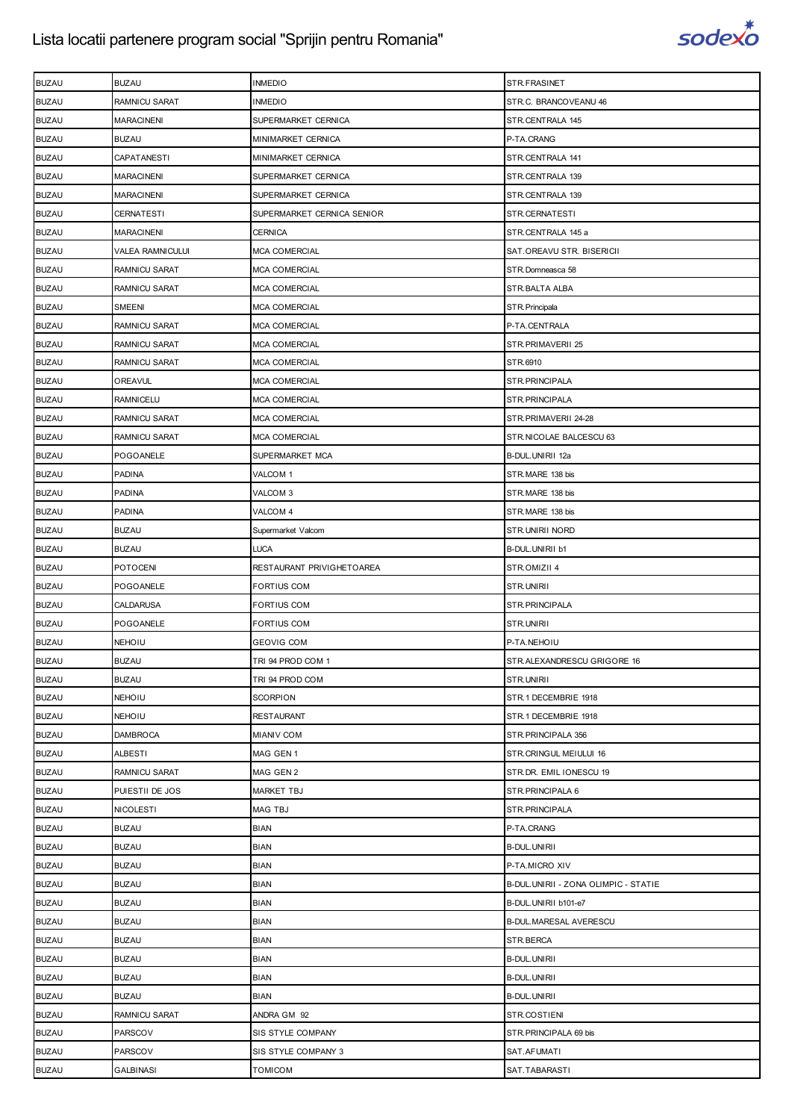

| <b>BUZAU</b> | <b>BUZAU</b>            | <b>INMEDIO</b>             | STR.FRASINET                         |
|--------------|-------------------------|----------------------------|--------------------------------------|
| <b>BUZAU</b> | RAMNICU SARAT           | <b>INMEDIO</b>             | STR.C. BRANCOVEANU 46                |
| <b>BUZAU</b> | <b>MARACINENI</b>       | SUPERMARKET CERNICA        | STR.CENTRALA 145                     |
| <b>BUZAU</b> | <b>BUZAU</b>            | MINIMARKET CERNICA         | P-TA.CRANG                           |
| <b>BUZAU</b> | CAPATANESTI             | MINIMARKET CERNICA         | STR.CENTRALA 141                     |
| <b>BUZAU</b> | <b>MARACINENI</b>       | SUPERMARKET CERNICA        | STR.CENTRALA 139                     |
| <b>BUZAU</b> | <b>MARACINENI</b>       | SUPERMARKET CERNICA        | STR.CENTRALA 139                     |
| <b>BUZAU</b> | <b>CERNATESTI</b>       | SUPERMARKET CERNICA SENIOR | STR.CERNATESTI                       |
| <b>BUZAU</b> | <b>MARACINENI</b>       | <b>CERNICA</b>             | STR.CENTRALA 145 a                   |
| <b>BUZAU</b> | <b>VALEA RAMNICULUI</b> | <b>MCA COMERCIAL</b>       | SAT.OREAVU STR. BISERICII            |
| <b>BUZAU</b> | RAMNICU SARAT           | <b>MCA COMERCIAL</b>       | STR.Domneasca 58                     |
| <b>BUZAU</b> | <b>RAMNICU SARAT</b>    | <b>MCA COMERCIAL</b>       | STR.BALTA ALBA                       |
| <b>BUZAU</b> | SMEENI                  | <b>MCA COMERCIAL</b>       | STR. Principala                      |
| <b>BUZAU</b> | RAMNICU SARAT           | <b>MCA COMERCIAL</b>       | P-TA.CENTRALA                        |
| <b>BUZAU</b> | RAMNICU SARAT           | <b>MCA COMERCIAL</b>       | STR.PRIMAVERII 25                    |
| <b>BUZAU</b> | <b>RAMNICU SARAT</b>    | <b>MCA COMERCIAL</b>       | STR.6910                             |
| <b>BUZAU</b> | OREAVUL                 | <b>MCA COMERCIAL</b>       | STR.PRINCIPALA                       |
| <b>BUZAU</b> | <b>RAMNICELU</b>        | <b>MCA COMERCIAL</b>       | STR.PRINCIPALA                       |
| <b>BUZAU</b> | <b>RAMNICU SARAT</b>    | <b>MCA COMERCIAL</b>       | STR.PRIMAVERII 24-28                 |
| <b>BUZAU</b> | <b>RAMNICU SARAT</b>    | <b>MCA COMERCIAL</b>       | STR.NICOLAE BALCESCU 63              |
| <b>BUZAU</b> | POGOANELE               | SUPERMARKET MCA            | B-DUL.UNIRII 12a                     |
| <b>BUZAU</b> | <b>PADINA</b>           | VALCOM 1                   | STR.MARE 138 bis                     |
| <b>BUZAU</b> | <b>PADINA</b>           | VALCOM 3                   | STR.MARE 138 bis                     |
| <b>BUZAU</b> | <b>PADINA</b>           | VALCOM 4                   | STR.MARE 138 bis                     |
| <b>BUZAU</b> | <b>BUZAU</b>            | Supermarket Valcom         | STR.UNIRII NORD                      |
| <b>BUZAU</b> | <b>BUZAU</b>            | <b>LUCA</b>                | B-DUL.UNIRII b1                      |
| <b>BUZAU</b> | <b>POTOCENI</b>         | RESTAURANT PRIVIGHETOAREA  | STR.OMIZII 4                         |
| <b>BUZAU</b> | <b>POGOANELE</b>        | <b>FORTIUS COM</b>         | STR.UNIRII                           |
| <b>BUZAU</b> | CALDARUSA               | <b>FORTIUS COM</b>         | STR.PRINCIPALA                       |
| <b>BUZAU</b> | POGOANELE               | <b>FORTIUS COM</b>         | STR.UNIRII                           |
| <b>BUZAU</b> | NEHOIU                  | <b>GEOVIG COM</b>          | P-TA.NEHOIU                          |
| <b>BUZAU</b> | <b>BUZAU</b>            | TRI 94 PROD COM 1          | STR.ALEXANDRESCU GRIGORE 16          |
| <b>BUZAU</b> | <b>BUZAU</b>            | TRI 94 PROD COM            | STR.UNIRII                           |
| <b>BUZAU</b> | NEHOIU                  | <b>SCORPION</b>            | STR.1 DECEMBRIE 1918                 |
| <b>BUZAU</b> | <b>NEHOIU</b>           | <b>RESTAURANT</b>          | STR.1 DECEMBRIE 1918                 |
| <b>BUZAU</b> | <b>DAMBROCA</b>         | <b>MIANIV COM</b>          | STR.PRINCIPALA 356                   |
| <b>BUZAU</b> | <b>ALBESTI</b>          | MAG GEN 1                  | STR.CRINGUL MEIULUI 16               |
| <b>BUZAU</b> | <b>RAMNICU SARAT</b>    | MAG GEN 2                  | STR.DR. EMIL IONESCU 19              |
| <b>BUZAU</b> | PUIESTII DE JOS         | <b>MARKET TBJ</b>          | STR.PRINCIPALA 6                     |
| <b>BUZAU</b> | <b>NICOLESTI</b>        | <b>MAG TBJ</b>             | STR.PRINCIPALA                       |
| <b>BUZAU</b> | <b>BUZAU</b>            | <b>BIAN</b>                | P-TA.CRANG                           |
| <b>BUZAU</b> | <b>BUZAU</b>            | <b>BIAN</b>                | <b>B-DUL.UNIRII</b>                  |
| <b>BUZAU</b> | <b>BUZAU</b>            | <b>BIAN</b>                | P-TA.MICRO XIV                       |
| <b>BUZAU</b> | <b>BUZAU</b>            | <b>BIAN</b>                | B-DUL.UNIRII - ZONA OLIMPIC - STATIE |
| <b>BUZAU</b> | <b>BUZAU</b>            | <b>BIAN</b>                | B-DUL.UNIRII b101-e7                 |
| <b>BUZAU</b> | <b>BUZAU</b>            | <b>BIAN</b>                | B-DUL.MARESAL AVERESCU               |
| <b>BUZAU</b> | <b>BUZAU</b>            | <b>BIAN</b>                | STR.BERCA                            |
| <b>BUZAU</b> | <b>BUZAU</b>            | <b>BIAN</b>                | <b>B-DUL.UNIRII</b>                  |
| <b>BUZAU</b> | <b>BUZAU</b>            | <b>BIAN</b>                | <b>B-DUL.UNIRII</b>                  |
| <b>BUZAU</b> | <b>BUZAU</b>            | <b>BIAN</b>                | B-DUL.UNIRII                         |
| <b>BUZAU</b> | RAMNICU SARAT           | ANDRA GM 92                | STR.COSTIENI                         |
| <b>BUZAU</b> | PARSCOV                 | SIS STYLE COMPANY          | STR.PRINCIPALA 69 bis                |
| <b>BUZAU</b> | PARSCOV                 | SIS STYLE COMPANY 3        | SAT.AFUMATI                          |
| <b>BUZAU</b> | <b>GALBINASI</b>        | <b>TOMICOM</b>             | SAT.TABARASTI                        |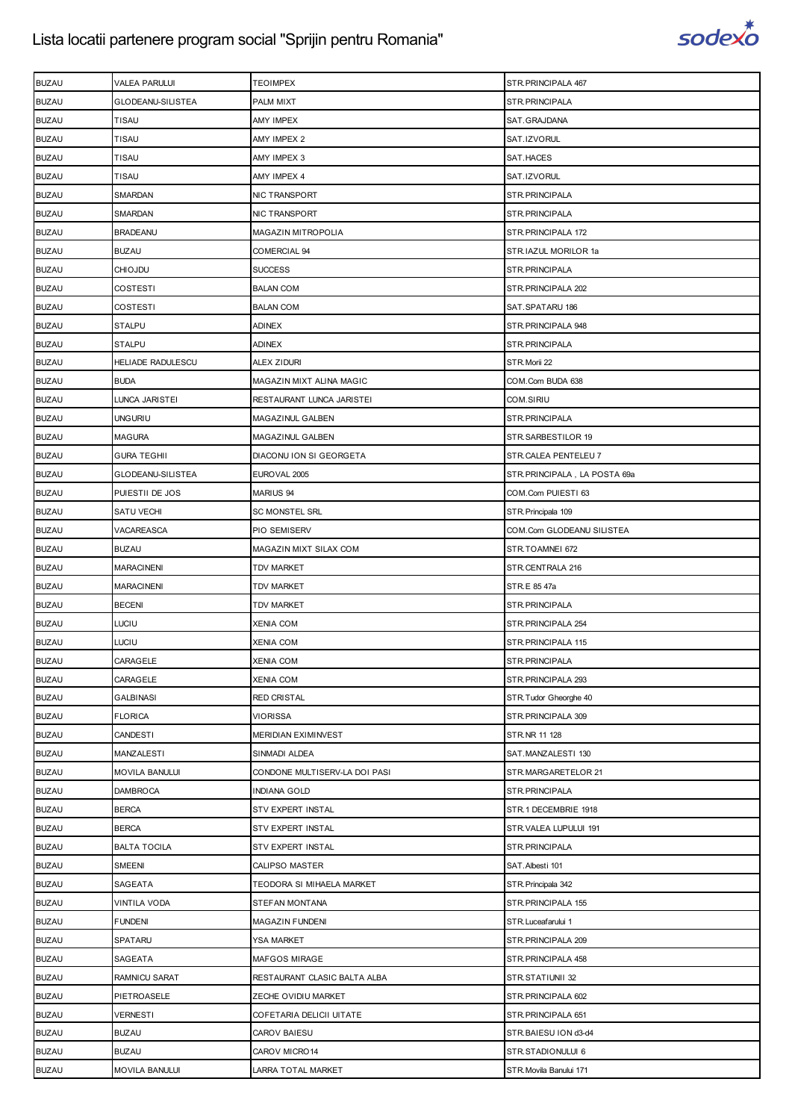

| <b>BUZAU</b> | VALEA PARULUI         | TEOIMPEX                      | STR. PRINCIPALA 467          |
|--------------|-----------------------|-------------------------------|------------------------------|
| <b>BUZAU</b> | GLODEANU-SILISTEA     | PALM MIXT                     | STR.PRINCIPALA               |
| <b>BUZAU</b> | TISAU                 | <b>AMY IMPEX</b>              | SAT.GRAJDANA                 |
| <b>BUZAU</b> | <b>TISAU</b>          | AMY IMPEX 2                   | SAT.IZVORUL                  |
| <b>BUZAU</b> | <b>TISAU</b>          | AMY IMPEX 3                   | SAT.HACES                    |
| <b>BUZAU</b> | <b>TISAU</b>          | AMY IMPEX 4                   | SAT.IZVORUL                  |
| <b>BUZAU</b> | SMARDAN               | NIC TRANSPORT                 | STR. PRINCIPALA              |
| <b>BUZAU</b> | SMARDAN               | NIC TRANSPORT                 | STR. PRINCIPALA              |
| <b>BUZAU</b> | <b>BRADEANU</b>       | <b>MAGAZIN MITROPOLIA</b>     | STR. PRINCIPALA 172          |
| <b>BUZAU</b> | <b>BUZAU</b>          | COMERCIAL 94                  | STR.IAZUL MORILOR 1a         |
| <b>BUZAU</b> | <b>CHIOJDU</b>        | <b>SUCCESS</b>                | STR. PRINCIPALA              |
| <b>BUZAU</b> | COSTESTI              | <b>BALAN COM</b>              | STR. PRINCIPALA 202          |
| <b>BUZAU</b> | COSTESTI              | <b>BALAN COM</b>              | SAT.SPATARU 186              |
| <b>BUZAU</b> | <b>STALPU</b>         | ADINEX                        | STR. PRINCIPALA 948          |
| <b>BUZAU</b> | <b>STALPU</b>         | <b>ADINEX</b>                 | STR. PRINCIPALA              |
| <b>BUZAU</b> | HELIADE RADULESCU     | ALEX ZIDURI                   | STR.Morii 22                 |
| <b>BUZAU</b> | <b>BUDA</b>           | MAGAZIN MIXT ALINA MAGIC      | COM.Com BUDA 638             |
| <b>BUZAU</b> | LUNCA JARISTEI        | RESTAURANT LUNCA JARISTEI     | COM.SIRIU                    |
| <b>BUZAU</b> | <b>UNGURIU</b>        | MAGAZINUL GALBEN              | STR.PRINCIPALA               |
| <b>BUZAU</b> | <b>MAGURA</b>         | MAGAZINUL GALBEN              | STR.SARBESTILOR 19           |
| <b>BUZAU</b> | <b>GURA TEGHII</b>    | DIACONU ION SI GEORGETA       | STR.CALEA PENTELEU 7         |
| <b>BUZAU</b> | GLODEANU-SILISTEA     | EUROVAL 2005                  | STR.PRINCIPALA, LA POSTA 69a |
| <b>BUZAU</b> | PUIESTII DE JOS       | MARIUS 94                     | COM.Com PUIESTI 63           |
| <b>BUZAU</b> | SATU VECHI            | <b>SC MONSTEL SRL</b>         | STR. Principala 109          |
| <b>BUZAU</b> | VACAREASCA            | PIO SEMISERV                  | COM.Com GLODEANU SILISTEA    |
| <b>BUZAU</b> | <b>BUZAU</b>          | MAGAZIN MIXT SILAX COM        | STR.TOAMNEI 672              |
| <b>BUZAU</b> | <b>MARACINENI</b>     | <b>TDV MARKET</b>             | STR.CENTRALA 216             |
| <b>BUZAU</b> | <b>MARACINENI</b>     | TDV MARKET                    | STR.E 85 47a                 |
| <b>BUZAU</b> | <b>BECENI</b>         | <b>TDV MARKET</b>             | STR.PRINCIPALA               |
| <b>BUZAU</b> | LUCIU                 | XENIA COM                     | STR. PRINCIPALA 254          |
| <b>BUZAU</b> | LUCIU                 | XENIA COM                     | STR.PRINCIPALA 115           |
| <b>BUZAU</b> | CARAGELE              | <b>XENIA COM</b>              | STR.PRINCIPALA               |
| <b>BUZAU</b> | CARAGELE              | <b>XENIA COM</b>              | STR.PRINCIPALA 293           |
| <b>BUZAU</b> | GALBINASI             | <b>RED CRISTAL</b>            | STR.Tudor Gheorghe 40        |
| <b>BUZAU</b> | <b>FLORICA</b>        | <b>VIORISSA</b>               | STR. PRINCIPALA 309          |
| <b>BUZAU</b> | CANDESTI              | MERIDIAN EXIMINVEST           | STR.NR 11 128                |
| <b>BUZAU</b> | MANZALESTI            | SINMADI ALDEA                 | SAT.MANZALESTI 130           |
| <b>BUZAU</b> | <b>MOVILA BANULUI</b> | CONDONE MULTISERV-LA DOI PASI | STR.MARGARETELOR 21          |
| <b>BUZAU</b> | <b>DAMBROCA</b>       | <b>INDIANA GOLD</b>           | STR.PRINCIPALA               |
| <b>BUZAU</b> | <b>BERCA</b>          | STV EXPERT INSTAL             | STR.1 DECEMBRIE 1918         |
| <b>BUZAU</b> | <b>BERCA</b>          | STV EXPERT INSTAL             | STR.VALEA LUPULUI 191        |
| <b>BUZAU</b> | <b>BALTA TOCILA</b>   | STV EXPERT INSTAL             | STR.PRINCIPALA               |
| <b>BUZAU</b> | SMEENI                | CALIPSO MASTER                | SAT. Albesti 101             |
| <b>BUZAU</b> | SAGEATA               | TEODORA SI MIHAELA MARKET     | STR. Principala 342          |
| <b>BUZAU</b> | VINTILA VODA          | STEFAN MONTANA                | STR. PRINCIPALA 155          |
| <b>BUZAU</b> | <b>FUNDENI</b>        | MAGAZIN FUNDENI               | STR. Luceafarului 1          |
| <b>BUZAU</b> | SPATARU               | YSA MARKET                    | STR. PRINCIPALA 209          |
| <b>BUZAU</b> | SAGEATA               | MAFGOS MIRAGE                 | STR. PRINCIPALA 458          |
| <b>BUZAU</b> | RAMNICU SARAT         | RESTAURANT CLASIC BALTA ALBA  | STR.STATIUNII 32             |
| <b>BUZAU</b> | PIETROASELE           | ZECHE OVIDIU MARKET           | STR. PRINCIPALA 602          |
| <b>BUZAU</b> | <b>VERNESTI</b>       | COFETARIA DELICII UITATE      | STR. PRINCIPALA 651          |
| <b>BUZAU</b> | <b>BUZAU</b>          | CAROV BAIESU                  | STR.BAIESU ION d3-d4         |
| <b>BUZAU</b> | <b>BUZAU</b>          | CAROV MICRO14                 | STR.STADIONULUI 6            |
| <b>BUZAU</b> | <b>MOVILA BANULUI</b> | LARRA TOTAL MARKET            | STR. Movila Banului 171      |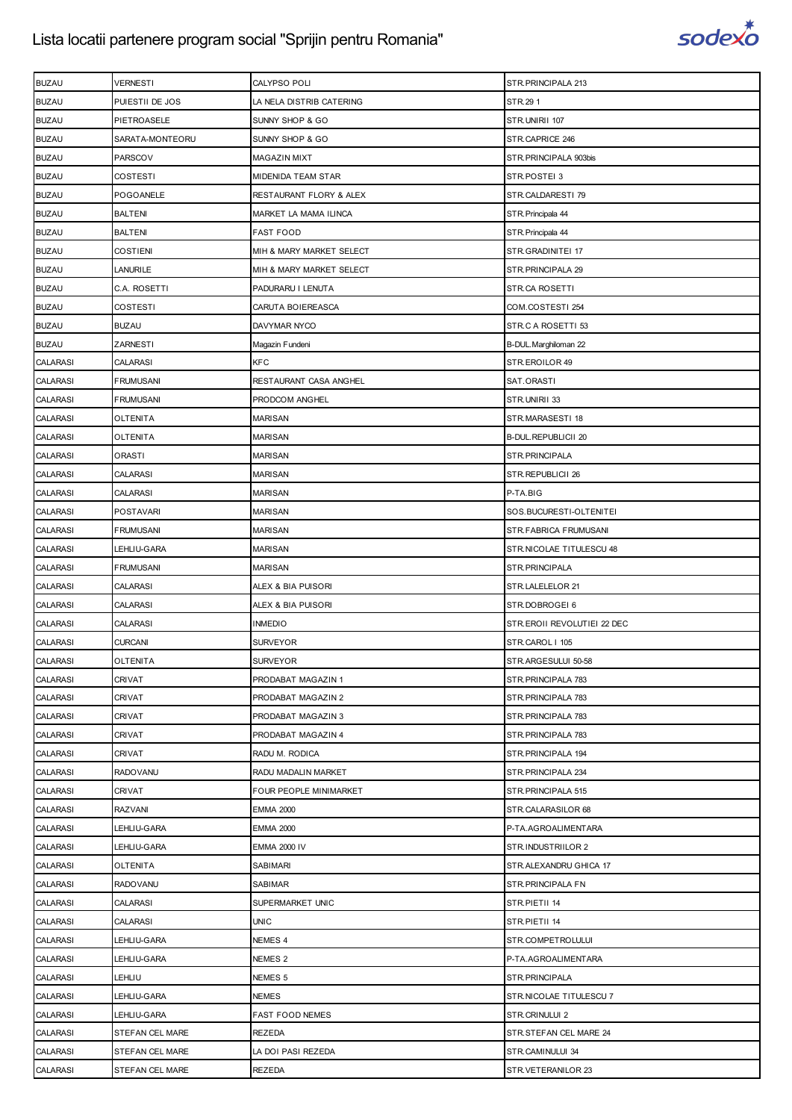

| <b>BUZAU</b>    | <b>VERNESTI</b>  | CALYPSO POLI             | STR. PRINCIPALA 213         |
|-----------------|------------------|--------------------------|-----------------------------|
| <b>BUZAU</b>    | PUIESTII DE JOS  | LA NELA DISTRIB CATERING | STR.291                     |
| <b>BUZAU</b>    | PIETROASELE      | SUNNY SHOP & GO          | STR.UNIRII 107              |
| <b>BUZAU</b>    | SARATA-MONTEORU  | SUNNY SHOP & GO          | STR.CAPRICE 246             |
| <b>BUZAU</b>    | PARSCOV          | <b>MAGAZIN MIXT</b>      | STR. PRINCIPALA 903bis      |
| <b>BUZAU</b>    | COSTESTI         | MIDENIDA TEAM STAR       | STR.POSTEI 3                |
| <b>BUZAU</b>    | POGOANELE        | RESTAURANT FLORY & ALEX  | STR.CALDARESTI 79           |
| <b>BUZAU</b>    | <b>BALTENI</b>   | MARKET LA MAMA ILINCA    | STR. Principala 44          |
| <b>BUZAU</b>    | <b>BALTENI</b>   | <b>FAST FOOD</b>         | STR. Principala 44          |
| <b>BUZAU</b>    | <b>COSTIENI</b>  | MIH & MARY MARKET SELECT | STR.GRADINITEI 17           |
| <b>BUZAU</b>    | <b>LANURILE</b>  | MIH & MARY MARKET SELECT | STR.PRINCIPALA 29           |
| <b>BUZAU</b>    | C.A. ROSETTI     | PADURARU I LENUTA        | STR.CA ROSETTI              |
| <b>BUZAU</b>    | <b>COSTESTI</b>  | CARUTA BOIEREASCA        | COM.COSTESTI 254            |
| <b>BUZAU</b>    | <b>BUZAU</b>     | DAVYMAR NYCO             | STR.C A ROSETTI 53          |
| <b>BUZAU</b>    | ZARNESTI         | Magazin Fundeni          | B-DUL. Marghiloman 22       |
| <b>CALARASI</b> | <b>CALARASI</b>  | <b>KFC</b>               | STR.EROILOR 49              |
| <b>CALARASI</b> | <b>FRUMUSANI</b> | RESTAURANT CASA ANGHEL   | SAT.ORASTI                  |
| <b>CALARASI</b> | <b>FRUMUSANI</b> | PRODCOM ANGHEL           | STR.UNIRII 33               |
| <b>CALARASI</b> | <b>OLTENITA</b>  | <b>MARISAN</b>           | STR.MARASESTI 18            |
| <b>CALARASI</b> | <b>OLTENITA</b>  | <b>MARISAN</b>           | B-DUL.REPUBLICII 20         |
| <b>CALARASI</b> | <b>ORASTI</b>    | <b>MARISAN</b>           | STR.PRINCIPALA              |
| <b>CALARASI</b> | <b>CALARASI</b>  | <b>MARISAN</b>           | STR.REPUBLICII 26           |
| <b>CALARASI</b> | CALARASI         | <b>MARISAN</b>           | P-TA.BIG                    |
| <b>CALARASI</b> | POSTAVARI        | <b>MARISAN</b>           | SOS.BUCURESTI-OLTENITEI     |
| <b>CALARASI</b> | <b>FRUMUSANI</b> | <b>MARISAN</b>           | STR.FABRICA FRUMUSANI       |
| <b>CALARASI</b> | LEHLIU-GARA      | <b>MARISAN</b>           | STR.NICOLAE TITULESCU 48    |
| <b>CALARASI</b> | <b>FRUMUSANI</b> | <b>MARISAN</b>           | STR.PRINCIPALA              |
| <b>CALARASI</b> | <b>CALARASI</b>  | ALEX & BIA PUISORI       | STR.LALELELOR 21            |
| <b>CALARASI</b> | <b>CALARASI</b>  | ALEX & BIA PUISORI       | STR.DOBROGEI 6              |
| <b>CALARASI</b> | CALARASI         | <b>INMEDIO</b>           | STR.EROII REVOLUTIEI 22 DEC |
| <b>CALARASI</b> | <b>CURCANI</b>   | <b>SURVEYOR</b>          | STR.CAROL   105             |
| <b>CALARASI</b> | <b>OLTENITA</b>  | <b>SURVEYOR</b>          | STR.ARGESULUI 50-58         |
| <b>CALARASI</b> | CRIVAT           | PRODABAT MAGAZIN 1       | STR. PRINCIPALA 783         |
| <b>CALARASI</b> | <b>CRIVAT</b>    | PRODABAT MAGAZIN 2       | STR. PRINCIPALA 783         |
| <b>CALARASI</b> | <b>CRIVAT</b>    | PRODABAT MAGAZIN 3       | STR. PRINCIPALA 783         |
| <b>CALARASI</b> | CRIVAT           | PRODABAT MAGAZIN 4       | STR. PRINCIPALA 783         |
| <b>CALARASI</b> | CRIVAT           | RADU M. RODICA           | STR. PRINCIPALA 194         |
| <b>CALARASI</b> | RADOVANU         | RADU MADALIN MARKET      | STR. PRINCIPALA 234         |
| <b>CALARASI</b> | CRIVAT           | FOUR PEOPLE MINIMARKET   | STR. PRINCIPALA 515         |
| <b>CALARASI</b> | <b>RAZVANI</b>   | <b>EMMA 2000</b>         | STR.CALARASILOR 68          |
| <b>CALARASI</b> | LEHLIU-GARA      | <b>EMMA 2000</b>         | P-TA.AGROALIMENTARA         |
| <b>CALARASI</b> | LEHLIU-GARA      | <b>EMMA 2000 IV</b>      | STR.INDUSTRIILOR 2          |
| <b>CALARASI</b> | <b>OLTENITA</b>  | <b>SABIMARI</b>          | STR.ALEXANDRU GHICA 17      |
| <b>CALARASI</b> | RADOVANU         | SABIMAR                  | STR. PRINCIPALA FN          |
| <b>CALARASI</b> | CALARASI         | SUPERMARKET UNIC         | STR.PIETII 14               |
| <b>CALARASI</b> | CALARASI         | <b>UNIC</b>              | STR.PIETII 14               |
| <b>CALARASI</b> | LEHLIU-GARA      | NEMES 4                  | STR.COMPETROLULUI           |
| <b>CALARASI</b> | LEHLIU-GARA      | NEMES <sub>2</sub>       | P-TA.AGROALIMENTARA         |
| <b>CALARASI</b> | LEHLIU           | NEMES <sub>5</sub>       | STR.PRINCIPALA              |
| <b>CALARASI</b> | LEHLIU-GARA      | <b>NEMES</b>             | STR. NICOLAE TITULESCU 7    |
| <b>CALARASI</b> | LEHLIU-GARA      | <b>FAST FOOD NEMES</b>   | STR.CRINULUI 2              |
| <b>CALARASI</b> | STEFAN CEL MARE  | <b>REZEDA</b>            | STR.STEFAN CEL MARE 24      |
| <b>CALARASI</b> | STEFAN CEL MARE  | LA DOI PASI REZEDA       | STR.CAMINULUI 34            |
| <b>CALARASI</b> | STEFAN CEL MARE  | REZEDA                   | STR. VETERANILOR 23         |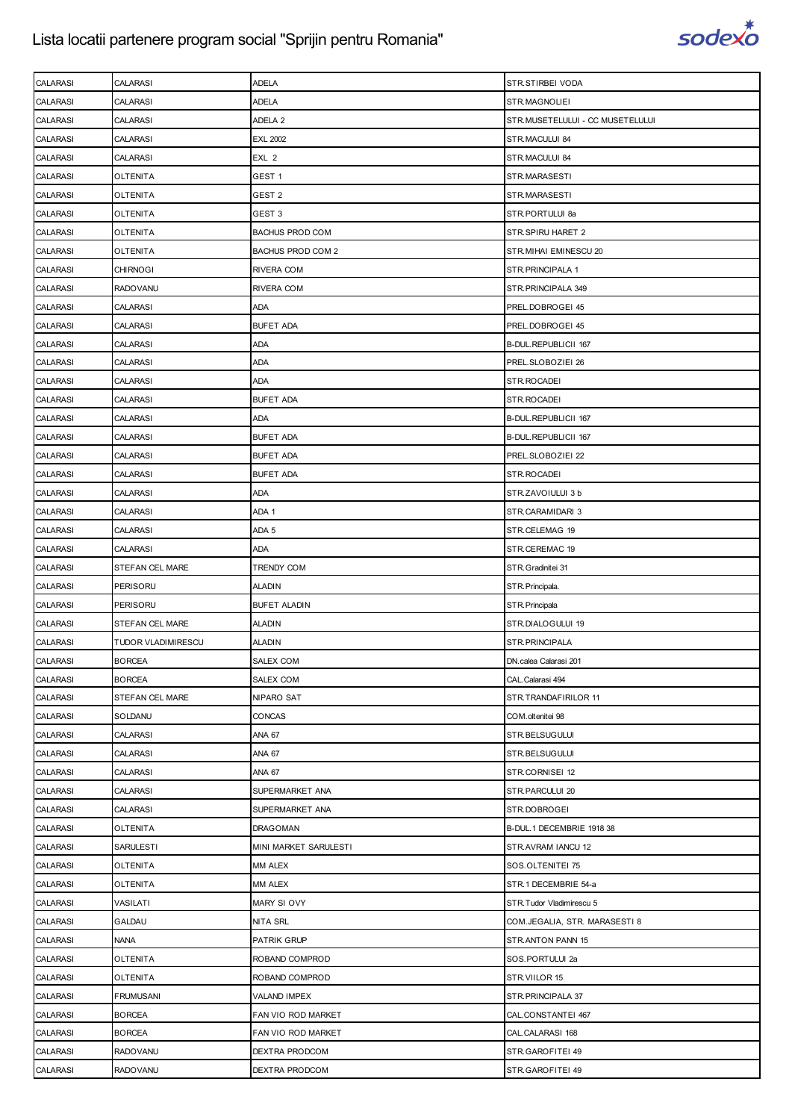

| <b>CALARASI</b> | CALARASI           | ADELA                  | STR.STIRBEI VODA                 |
|-----------------|--------------------|------------------------|----------------------------------|
| <b>CALARASI</b> | <b>CALARASI</b>    | ADELA                  | STR.MAGNOLIEI                    |
| <b>CALARASI</b> | <b>CALARASI</b>    | ADELA 2                | STR.MUSETELULUI - CC MUSETELULUI |
| <b>CALARASI</b> | CALARASI           | <b>EXL 2002</b>        | STR.MACULUI 84                   |
| <b>CALARASI</b> | <b>CALARASI</b>    | EXL 2                  | STR.MACULUI 84                   |
| <b>CALARASI</b> | OLTENITA           | GEST 1                 | STR.MARASESTI                    |
| <b>CALARASI</b> | OLTENITA           | GEST 2                 | STR.MARASESTI                    |
| <b>CALARASI</b> | <b>OLTENITA</b>    | GEST 3                 | STR.PORTULUI 8a                  |
| <b>CALARASI</b> | OLTENITA           | <b>BACHUS PROD COM</b> | STR.SPIRU HARET 2                |
| <b>CALARASI</b> | OLTENITA           | BACHUS PROD COM 2      | STR. MIHAI EMINESCU 20           |
| <b>CALARASI</b> | <b>CHIRNOGI</b>    | RIVERA COM             | STR. PRINCIPALA 1                |
| <b>CALARASI</b> | RADOVANU           | RIVERA COM             | STR. PRINCIPALA 349              |
| <b>CALARASI</b> | CALARASI           | ADA                    | PREL.DOBROGEI 45                 |
| <b>CALARASI</b> | CALARASI           | <b>BUFET ADA</b>       | PREL.DOBROGEI 45                 |
| <b>CALARASI</b> | CALARASI           | ADA                    | B-DUL.REPUBLICII 167             |
| <b>CALARASI</b> | <b>CALARASI</b>    | ADA                    | PREL.SLOBOZIEI 26                |
| <b>CALARASI</b> | CALARASI           | ADA                    | STR.ROCADEI                      |
| <b>CALARASI</b> | CALARASI           | <b>BUFET ADA</b>       | STR.ROCADEI                      |
| <b>CALARASI</b> | CALARASI           | ADA                    | B-DUL.REPUBLICII 167             |
| <b>CALARASI</b> | CALARASI           | <b>BUFET ADA</b>       | B-DUL.REPUBLICII 167             |
| <b>CALARASI</b> | <b>CALARASI</b>    | <b>BUFET ADA</b>       | PREL.SLOBOZIEI 22                |
| <b>CALARASI</b> | <b>CALARASI</b>    | <b>BUFET ADA</b>       | STR.ROCADEI                      |
| <b>CALARASI</b> | <b>CALARASI</b>    | ADA                    | STR.ZAVOIULUI 3 b                |
| <b>CALARASI</b> | CALARASI           | ADA 1                  | STR.CARAMIDARI 3                 |
| <b>CALARASI</b> | CALARASI           | ADA 5                  | STR.CELEMAG 19                   |
| <b>CALARASI</b> | <b>CALARASI</b>    | ADA                    | STR.CEREMAC 19                   |
| <b>CALARASI</b> | STEFAN CEL MARE    | TRENDY COM             | STR. Gradinitei 31               |
| <b>CALARASI</b> | PERISORU           | <b>ALADIN</b>          | STR. Principala.                 |
| <b>CALARASI</b> | PERISORU           | <b>BUFET ALADIN</b>    | STR. Principala                  |
| <b>CALARASI</b> | STEFAN CEL MARE    | <b>ALADIN</b>          | STR.DIALOGULUI 19                |
| <b>CALARASI</b> | TUDOR VLADIMIRESCU | <b>ALADIN</b>          | STR.PRINCIPALA                   |
| <b>CALARASI</b> | <b>BORCEA</b>      | SALEX COM              | DN.calea Calarasi 201            |
| <b>CALARASI</b> | <b>BORCEA</b>      | SALEX COM              | CAL. Calarasi 494                |
| <b>CALARASI</b> | STEFAN CEL MARE    | NIPARO SAT             | STR.TRANDAFIRILOR 11             |
| <b>CALARASI</b> | SOLDANU            | CONCAS                 | COM.oltenitei 98                 |
| <b>CALARASI</b> | CALARASI           | <b>ANA 67</b>          | STR.BELSUGULUI                   |
| <b>CALARASI</b> | CALARASI           | <b>ANA 67</b>          | STR.BELSUGULUI                   |
| <b>CALARASI</b> | <b>CALARASI</b>    | <b>ANA 67</b>          | STR.CORNISEI 12                  |
| <b>CALARASI</b> | CALARASI           | SUPERMARKET ANA        | STR.PARCULUI 20                  |
| <b>CALARASI</b> | CALARASI           | SUPERMARKET ANA        | STR.DOBROGEI                     |
| <b>CALARASI</b> | <b>OLTENITA</b>    | DRAGOMAN               | B-DUL.1 DECEMBRIE 1918 38        |
| <b>CALARASI</b> | <b>SARULESTI</b>   | MINI MARKET SARULESTI  | STR.AVRAM IANCU 12               |
| <b>CALARASI</b> | <b>OLTENITA</b>    | MM ALEX                | SOS.OLTENITEI 75                 |
| <b>CALARASI</b> | <b>OLTENITA</b>    | MM ALEX                | STR.1 DECEMBRIE 54-a             |
| <b>CALARASI</b> | VASILATI           | MARY SI OVY            | STR.Tudor Vladimirescu 5         |
| <b>CALARASI</b> | GALDAU             | NITA SRL               | COM.JEGALIA, STR. MARASESTI 8    |
| <b>CALARASI</b> | <b>NANA</b>        | PATRIK GRUP            | STR.ANTON PANN 15                |
| <b>CALARASI</b> | OLTENITA           | ROBAND COMPROD         | SOS.PORTULUI 2a                  |
| CALARASI        | <b>OLTENITA</b>    | ROBAND COMPROD         | STR.VIILOR 15                    |
| <b>CALARASI</b> | <b>FRUMUSANI</b>   | VALAND IMPEX           | STR.PRINCIPALA 37                |
| <b>CALARASI</b> | <b>BORCEA</b>      | FAN VIO ROD MARKET     | CAL.CONSTANTEI 467               |
| <b>CALARASI</b> | <b>BORCEA</b>      | FAN VIO ROD MARKET     | CAL.CALARASI 168                 |
| <b>CALARASI</b> | <b>RADOVANU</b>    | DEXTRA PRODCOM         | STR.GAROFITEI 49                 |
| <b>CALARASI</b> | RADOVANU           | DEXTRA PRODCOM         | STR.GAROFITEI 49                 |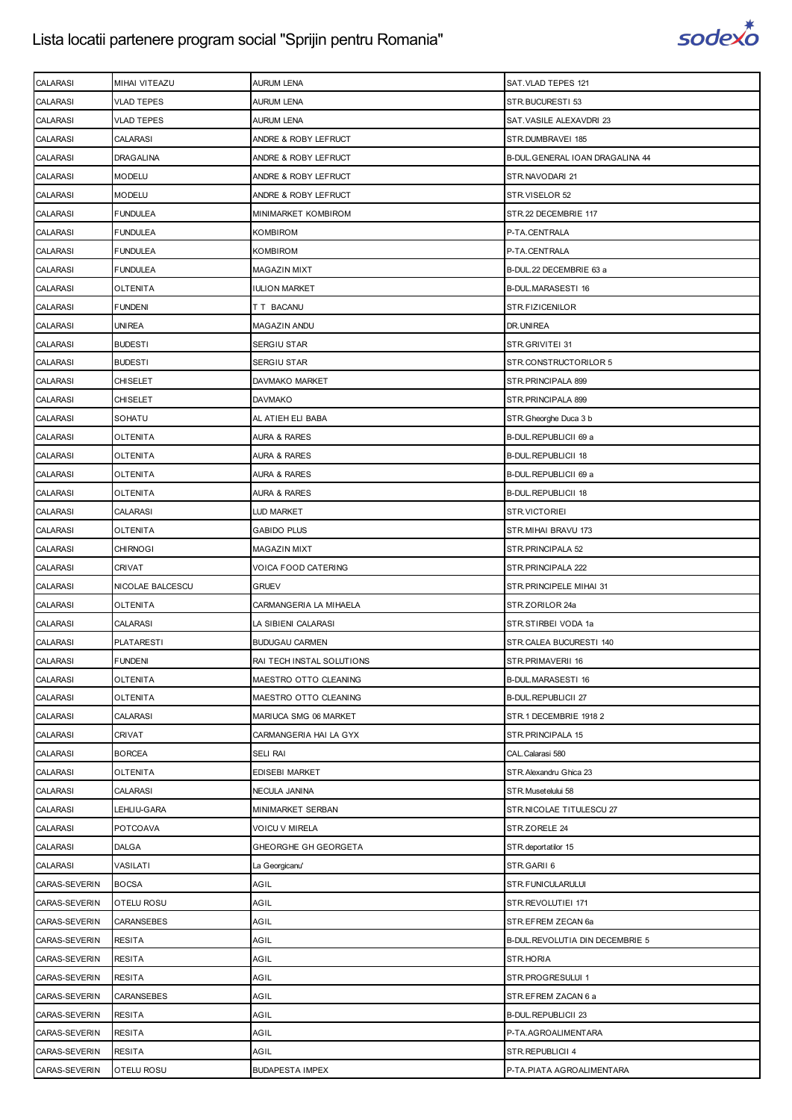

| <b>CALARASI</b> | MIHAI VITEAZU     | <b>AURUM LENA</b>         | SAT. VLAD TEPES 121              |
|-----------------|-------------------|---------------------------|----------------------------------|
| <b>CALARASI</b> | VLAD TEPES        | AURUM LENA                | STR.BUCURESTI 53                 |
| <b>CALARASI</b> | VLAD TEPES        | <b>AURUM LENA</b>         | SAT. VASILE ALEXAVDRI 23         |
| <b>CALARASI</b> | <b>CALARASI</b>   | ANDRE & ROBY LEFRUCT      | STR.DUMBRAVEI 185                |
| <b>CALARASI</b> | <b>DRAGALINA</b>  | ANDRE & ROBY LEFRUCT      | B-DUL. GENERAL IOAN DRAGALINA 44 |
| <b>CALARASI</b> | MODELU            | ANDRE & ROBY LEFRUCT      | STR.NAVODARI 21                  |
| <b>CALARASI</b> | MODELU            | ANDRE & ROBY LEFRUCT      | STR.VISELOR 52                   |
| <b>CALARASI</b> | <b>FUNDULEA</b>   | MINIMARKET KOMBIROM       | STR.22 DECEMBRIE 117             |
| <b>CALARASI</b> | FUNDULEA          | KOMBIROM                  | P-TA.CENTRALA                    |
| <b>CALARASI</b> | <b>FUNDULEA</b>   | <b>KOMBIROM</b>           | P-TA.CENTRALA                    |
| <b>CALARASI</b> | <b>FUNDULEA</b>   | MAGAZIN MIXT              | B-DUL.22 DECEMBRIE 63 a          |
| CALARASI        | OLTENITA          | <b>IULION MARKET</b>      | B-DUL.MARASESTI 16               |
| <b>CALARASI</b> | <b>FUNDENI</b>    | T T BACANU                | STR.FIZICENILOR                  |
| <b>CALARASI</b> | <b>UNIREA</b>     | MAGAZIN ANDU              | DR. UNIREA                       |
| <b>CALARASI</b> | <b>BUDESTI</b>    | SERGIU STAR               | STR.GRIVITEI 31                  |
| <b>CALARASI</b> | <b>BUDESTI</b>    | SERGIU STAR               | STR.CONSTRUCTORILOR 5            |
| <b>CALARASI</b> | CHISELET          | DAVMAKO MARKET            | STR.PRINCIPALA 899               |
| <b>CALARASI</b> | CHISELET          | DAVMAKO                   | STR.PRINCIPALA 899               |
| <b>CALARASI</b> | SOHATU            | AL ATIEH ELI BABA         | STR.Gheorghe Duca 3 b            |
| <b>CALARASI</b> | OLTENITA          | <b>AURA &amp; RARES</b>   | B-DUL.REPUBLICII 69 a            |
| <b>CALARASI</b> | OLTENITA          | <b>AURA &amp; RARES</b>   | B-DUL.REPUBLICII 18              |
| <b>CALARASI</b> | OLTENITA          | <b>AURA &amp; RARES</b>   | B-DUL.REPUBLICII 69 a            |
| <b>CALARASI</b> | OLTENITA          | AURA & RARES              | B-DUL.REPUBLICII 18              |
| CALARASI        | CALARASI          | LUD MARKET                | STR.VICTORIEI                    |
| <b>CALARASI</b> | OLTENITA          | <b>GABIDO PLUS</b>        | STR.MIHAI BRAVU 173              |
| <b>CALARASI</b> | <b>CHIRNOGI</b>   | MAGAZIN MIXT              | STR. PRINCIPALA 52               |
| <b>CALARASI</b> | CRIVAT            | VOICA FOOD CATERING       | STR.PRINCIPALA 222               |
|                 |                   |                           |                                  |
| <b>CALARASI</b> | NICOLAE BALCESCU  | <b>GRUEV</b>              | STR. PRINCIPELE MIHAI 31         |
| <b>CALARASI</b> | OLTENITA          | CARMANGERIA LA MIHAELA    | STR.ZORILOR 24a                  |
| <b>CALARASI</b> | CALARASI          | LA SIBIENI CALARASI       | STR.STIRBEI VODA 1a              |
| <b>CALARASI</b> | <b>PLATARESTI</b> | <b>BUDUGAU CARMEN</b>     | STR.CALEA BUCURESTI 140          |
| <b>CALARASI</b> | <b>FUNDENI</b>    | RAI TECH INSTAL SOLUTIONS | STR.PRIMAVERII 16                |
| <b>CALARASI</b> | OLTENITA          | MAESTRO OTTO CLEANING     | <b>B-DUL.MARASESTI 16</b>        |
| <b>CALARASI</b> | <b>OLTENITA</b>   | MAESTRO OTTO CLEANING     | <b>B-DUL.REPUBLICII 27</b>       |
| <b>CALARASI</b> | CALARASI          | MARIUCA SMG 06 MARKET     | STR.1 DECEMBRIE 1918 2           |
| <b>CALARASI</b> | CRIVAT            | CARMANGERIA HAI LA GYX    | STR.PRINCIPALA 15                |
| <b>CALARASI</b> | <b>BORCEA</b>     | <b>SELI RAI</b>           | CAL. Calarasi 580                |
| <b>CALARASI</b> | <b>OLTENITA</b>   | EDISEBI MARKET            | STR. Alexandru Ghica 23          |
| <b>CALARASI</b> | CALARASI          | NECULA JANINA             | STR. Musetelului 58              |
| <b>CALARASI</b> | LEHLIU-GARA       | MINIMARKET SERBAN         | STR.NICOLAE TITULESCU 27         |
| <b>CALARASI</b> | POTCOAVA          | <b>VOICU V MIRELA</b>     | STR.ZORELE 24                    |
| <b>CALARASI</b> | <b>DALGA</b>      | GHEORGHE GH GEORGETA      | STR.deportatilor 15              |
| <b>CALARASI</b> | VASILATI          | La Georgicanu'            | STR.GARII 6                      |
| CARAS-SEVERIN   | <b>BOCSA</b>      | AGIL                      | STR.FUNICULARULUI                |
| CARAS-SEVERIN   | OTELU ROSU        | AGIL                      | STR.REVOLUTIEI 171               |
| CARAS-SEVERIN   | CARANSEBES        | AGIL                      | STR.EFREM ZECAN 6a               |
| CARAS-SEVERIN   | RESITA            | AGIL                      | B-DUL. REVOLUTIA DIN DECEMBRIE 5 |
| CARAS-SEVERIN   | RESITA            | AGIL                      | STR.HORIA                        |
| CARAS-SEVERIN   | <b>RESITA</b>     | AGIL                      | STR.PROGRESULUI 1                |
| CARAS-SEVERIN   | CARANSEBES        | AGIL                      | STR.EFREM ZACAN 6 a              |
| CARAS-SEVERIN   | <b>RESITA</b>     | AGIL                      | B-DUL.REPUBLICII 23              |
| CARAS-SEVERIN   | <b>RESITA</b>     | AGIL                      | P-TA.AGROALIMENTARA              |
| CARAS-SEVERIN   | RESITA            | AGIL                      | STR.REPUBLICII 4                 |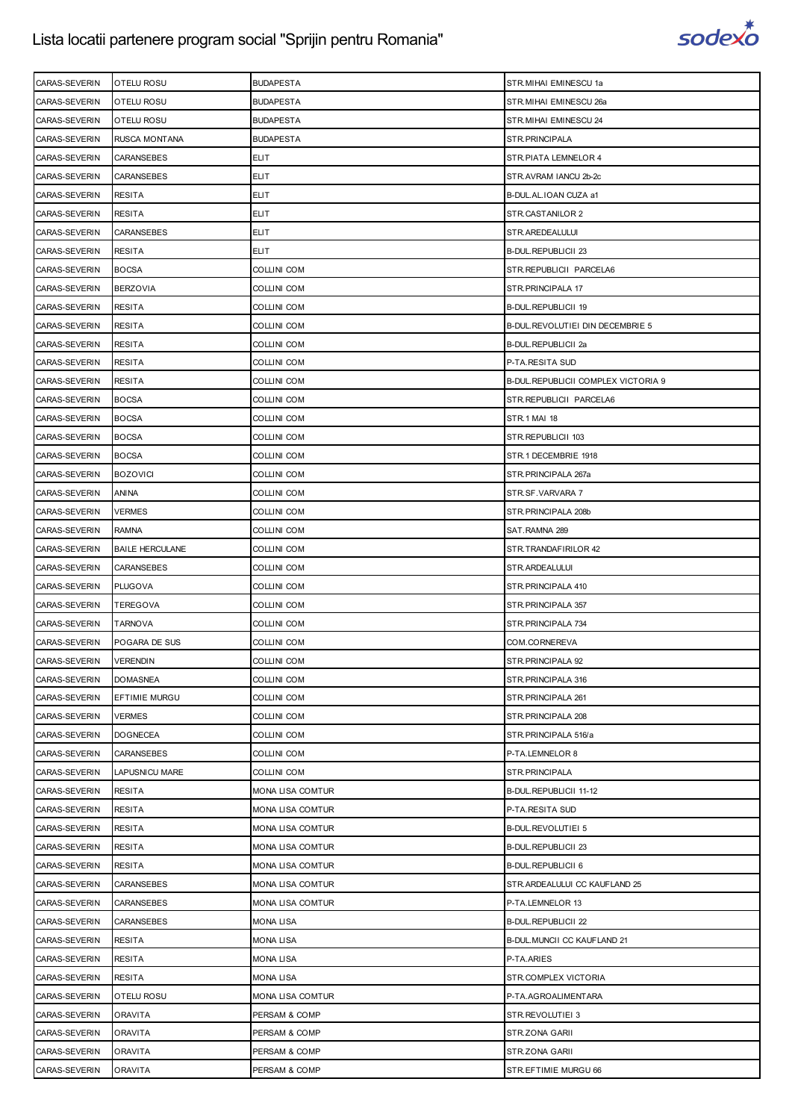

| CARAS-SEVERIN | <b>OTELU ROSU</b>      | <b>BUDAPESTA</b>        | STR.MIHAI EMINESCU 1a               |
|---------------|------------------------|-------------------------|-------------------------------------|
| CARAS-SEVERIN | <b>OTELU ROSU</b>      | <b>BUDAPESTA</b>        | STR.MIHAI EMINESCU 26a              |
| CARAS-SEVERIN | <b>OTELU ROSU</b>      | <b>BUDAPESTA</b>        | STR. MIHAI EMINESCU 24              |
| CARAS-SEVERIN | <b>RUSCA MONTANA</b>   | <b>BUDAPESTA</b>        | STR. PRINCIPALA                     |
| CARAS-SEVERIN | <b>CARANSEBES</b>      | <b>ELIT</b>             | STR. PIATA LEMNELOR 4               |
| CARAS-SEVERIN | CARANSEBES             | <b>ELIT</b>             | STR.AVRAM IANCU 2b-2c               |
| CARAS-SEVERIN | <b>RESITA</b>          | <b>ELIT</b>             | B-DUL.AL.IOAN CUZA a1               |
| CARAS-SEVERIN | <b>RESITA</b>          | <b>ELIT</b>             | STR.CASTANILOR 2                    |
| CARAS-SEVERIN | <b>CARANSEBES</b>      | <b>ELIT</b>             | STR.AREDEALULUI                     |
| CARAS-SEVERIN | <b>RESITA</b>          | ELIT                    | <b>B-DUL.REPUBLICII 23</b>          |
| CARAS-SEVERIN | <b>BOCSA</b>           | <b>COLLINI COM</b>      | STR. REPUBLICII PARCELA6            |
| CARAS-SEVERIN | <b>BERZOVIA</b>        | COLLINI COM             | STR. PRINCIPALA 17                  |
| CARAS-SEVERIN | <b>RESITA</b>          | <b>COLLINI COM</b>      | B-DUL.REPUBLICII 19                 |
| CARAS-SEVERIN | <b>RESITA</b>          | COLLINI COM             | B-DUL.REVOLUTIEI DIN DECEMBRIE 5    |
| CARAS-SEVERIN | <b>RESITA</b>          | COLLINI COM             | B-DUL.REPUBLICII 2a                 |
| CARAS-SEVERIN |                        |                         |                                     |
|               | <b>RESITA</b>          | <b>COLLINI COM</b>      | P-TA.RESITA SUD                     |
| CARAS-SEVERIN | <b>RESITA</b>          | <b>COLLINI COM</b>      | B-DUL REPUBLICII COMPLEX VICTORIA 9 |
| CARAS-SEVERIN | <b>BOCSA</b>           | COLLINI COM             | STR. REPUBLICII PARCELA6            |
| CARAS-SEVERIN | <b>BOCSA</b>           | <b>COLLINI COM</b>      | <b>STR.1 MAI 18</b>                 |
| CARAS-SEVERIN | <b>BOCSA</b>           | <b>COLLINI COM</b>      | STR.REPUBLICII 103                  |
| CARAS-SEVERIN | <b>BOCSA</b>           | COLLINI COM             | STR.1 DECEMBRIE 1918                |
| CARAS-SEVERIN | <b>BOZOVICI</b>        | <b>COLLINI COM</b>      | STR.PRINCIPALA 267a                 |
| CARAS-SEVERIN | ANINA                  | <b>COLLINI COM</b>      | STR.SF.VARVARA 7                    |
| CARAS-SEVERIN | VERMES                 | COLLINI COM             | STR. PRINCIPALA 208b                |
| CARAS-SEVERIN | <b>RAMNA</b>           | <b>COLLINI COM</b>      | SAT.RAMNA 289                       |
| CARAS-SEVERIN | <b>BAILE HERCULANE</b> | COLLINI COM             | STR.TRANDAFIRILOR 42                |
| CARAS-SEVERIN | CARANSEBES             | COLLINI COM             | STR.ARDEALULUI                      |
| CARAS-SEVERIN | <b>PLUGOVA</b>         | <b>COLLINI COM</b>      | STR. PRINCIPALA 410                 |
| CARAS-SEVERIN | <b>TEREGOVA</b>        | COLLINI COM             | STR. PRINCIPALA 357                 |
| CARAS-SEVERIN | TARNOVA                | COLLINI COM             | STR. PRINCIPALA 734                 |
| CARAS-SEVERIN | POGARA DE SUS          | <b>COLLINI COM</b>      | COM.CORNEREVA                       |
| CARAS-SEVERIN | <b>VERENDIN</b>        | <b>COLLINI COM</b>      | STR. PRINCIPALA 92                  |
| CARAS-SEVERIN | <b>DOMASNEA</b>        | COLLINI COM             | STR. PRINCIPALA 316                 |
| CARAS-SEVERIN | EFTIMIE MURGU          | <b>COLLINI COM</b>      | STR.PRINCIPALA 261                  |
| CARAS-SEVERIN | <b>VERMES</b>          | <b>COLLINI COM</b>      | STR. PRINCIPALA 208                 |
| CARAS-SEVERIN | <b>DOGNECEA</b>        | COLLINI COM             | STR.PRINCIPALA 516/a                |
| CARAS-SEVERIN | <b>CARANSEBES</b>      | <b>COLLINI COM</b>      | P-TA.LEMNELOR 8                     |
| CARAS-SEVERIN | <b>LAPUSNICU MARE</b>  | COLLINI COM             | STR.PRINCIPALA                      |
| CARAS-SEVERIN | RESITA                 | <b>MONA LISA COMTUR</b> | B-DUL.REPUBLICII 11-12              |
| CARAS-SEVERIN | <b>RESITA</b>          | <b>MONA LISA COMTUR</b> | P-TA.RESITA SUD                     |
| CARAS-SEVERIN | RESITA                 | MONA LISA COMTUR        | B-DUL.REVOLUTIEI 5                  |
| CARAS-SEVERIN | RESITA                 | MONA LISA COMTUR        | B-DUL.REPUBLICII 23                 |
| CARAS-SEVERIN | <b>RESITA</b>          | MONA LISA COMTUR        | <b>B-DUL.REPUBLICII 6</b>           |
| CARAS-SEVERIN | CARANSEBES             | MONA LISA COMTUR        | STR.ARDEALULUI CC KAUFLAND 25       |
| CARAS-SEVERIN | CARANSEBES             | MONA LISA COMTUR        | P-TA.LEMNELOR 13                    |
| CARAS-SEVERIN | CARANSEBES             | <b>MONA LISA</b>        | <b>B-DUL.REPUBLICII 22</b>          |
| CARAS-SEVERIN | <b>RESITA</b>          | <b>MONA LISA</b>        | B-DUL. MUNCII CC KAUFLAND 21        |
| CARAS-SEVERIN | RESITA                 | MONA LISA               | P-TA.ARIES                          |
| CARAS-SEVERIN | <b>RESITA</b>          | <b>MONA LISA</b>        | STR.COMPLEX VICTORIA                |
| CARAS-SEVERIN | OTELU ROSU             | MONA LISA COMTUR        | P-TA.AGROALIMENTARA                 |
| CARAS-SEVERIN | ORAVITA                | PERSAM & COMP           | STR.REVOLUTIEI 3                    |
| CARAS-SEVERIN | ORAVITA                | PERSAM & COMP           | STR.ZONA GARII                      |
| CARAS-SEVERIN | ORAVITA                | PERSAM & COMP           | STR.ZONA GARII                      |
| CARAS-SEVERIN | ORAVITA                | PERSAM & COMP           | STR.EFTIMIE MURGU 66                |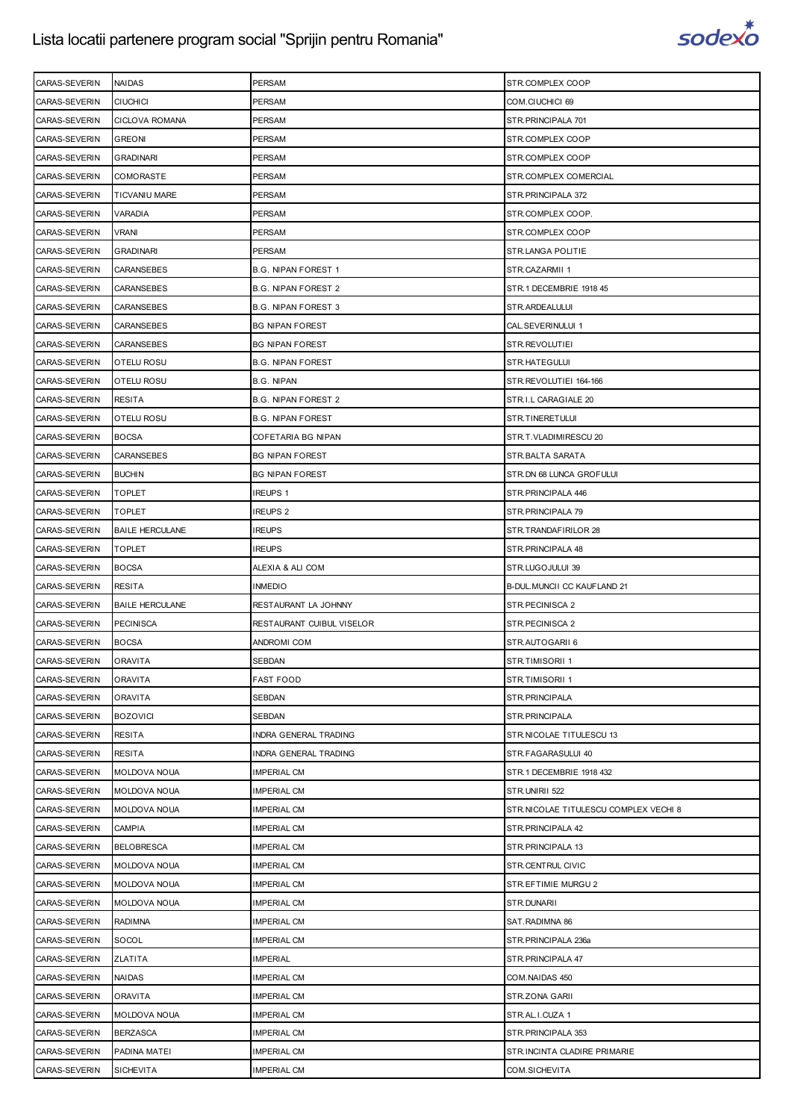

| CARAS-SEVERIN | <b>NAIDAS</b>          | PERSAM                     | STR.COMPLEX COOP                       |
|---------------|------------------------|----------------------------|----------------------------------------|
| CARAS-SEVERIN | <b>CIUCHICI</b>        | PERSAM                     | COM.CIUCHICI 69                        |
| CARAS-SEVERIN | <b>CICLOVA ROMANA</b>  | PERSAM                     | STR.PRINCIPALA 701                     |
| CARAS-SEVERIN | <b>GREONI</b>          | PERSAM                     | STR.COMPLEX COOP                       |
| CARAS-SEVERIN | <b>GRADINARI</b>       | PERSAM                     | STR.COMPLEX COOP                       |
| CARAS-SEVERIN | COMORASTE              | PERSAM                     | STR.COMPLEX COMERCIAL                  |
| CARAS-SEVERIN | TICVANIU MARE          | PERSAM                     | STR.PRINCIPALA 372                     |
| CARAS-SEVERIN | VARADIA                | PERSAM                     | STR.COMPLEX COOP.                      |
| CARAS-SEVERIN | VRANI                  | <b>PERSAM</b>              | STR.COMPLEX COOP                       |
| CARAS-SEVERIN | <b>GRADINARI</b>       | <b>PERSAM</b>              | STR.LANGA POLITIE                      |
| CARAS-SEVERIN | CARANSEBES             | <b>B.G. NIPAN FOREST 1</b> | STR.CAZARMII 1                         |
| CARAS-SEVERIN | CARANSEBES             | B.G. NIPAN FOREST 2        | STR.1 DECEMBRIE 1918 45                |
| CARAS-SEVERIN | CARANSEBES             | B.G. NIPAN FOREST 3        | STR.ARDEALULUI                         |
| CARAS-SEVERIN | CARANSEBES             | <b>BG NIPAN FOREST</b>     | CAL.SEVERINULUI 1                      |
| CARAS-SEVERIN | CARANSEBES             | <b>BG NIPAN FOREST</b>     | STR.REVOLUTIEI                         |
|               |                        | <b>B.G. NIPAN FOREST</b>   |                                        |
| CARAS-SEVERIN | <b>OTELU ROSU</b>      |                            | STR.HATEGULUI                          |
| CARAS-SEVERIN | OTELU ROSU             | <b>B.G. NIPAN</b>          | STR.REVOLUTIEI 164-166                 |
| CARAS-SEVERIN | RESITA                 | <b>B.G. NIPAN FOREST 2</b> | STR.I.L CARAGIALE 20                   |
| CARAS-SEVERIN | <b>OTELU ROSU</b>      | <b>B.G. NIPAN FOREST</b>   | STR.TINERETULUI                        |
| CARAS-SEVERIN | <b>BOCSA</b>           | COFETARIA BG NIPAN         | STR.T.VLADIMIRESCU 20                  |
| CARAS-SEVERIN | CARANSEBES             | <b>BG NIPAN FOREST</b>     | STR.BALTA SARATA                       |
| CARAS-SEVERIN | <b>BUCHIN</b>          | <b>BG NIPAN FOREST</b>     | STR.DN 68 LUNCA GROFULUI               |
| CARAS-SEVERIN | <b>TOPLET</b>          | IREUPS 1                   | STR.PRINCIPALA 446                     |
| CARAS-SEVERIN | TOPLET                 | IREUPS <sub>2</sub>        | STR.PRINCIPALA 79                      |
| CARAS-SEVERIN | <b>BAILE HERCULANE</b> | <b>IREUPS</b>              | STR.TRANDAFIRILOR 28                   |
| CARAS-SEVERIN | <b>TOPLET</b>          | <b>IREUPS</b>              | STR. PRINCIPALA 48                     |
| CARAS-SEVERIN | <b>BOCSA</b>           | ALEXIA & ALI COM           | STR.LUGOJULUI 39                       |
| CARAS-SEVERIN | <b>RESITA</b>          | <b>INMEDIO</b>             | B-DUL. MUNCII CC KAUFLAND 21           |
| CARAS-SEVERIN | <b>BAILE HERCULANE</b> | RESTAURANT LA JOHNNY       | STR.PECINISCA 2                        |
| CARAS-SEVERIN | <b>PECINISCA</b>       | RESTAURANT CUIBUL VISELOR  | STR. PECINISCA 2                       |
| CARAS-SEVERIN | <b>BOCSA</b>           | ANDROMI COM                | STR.AUTOGARII 6                        |
| CARAS-SEVERIN | <b>ORAVITA</b>         | SEBDAN                     | STR.TIMISORII 1                        |
| CARAS-SEVERIN | ORAVITA                | <b>FAST FOOD</b>           | STR.TIMISORII 1                        |
| CARAS-SEVERIN | ORAVITA                | SEBDAN                     | STR.PRINCIPALA                         |
| CARAS-SEVERIN | <b>BOZOVICI</b>        | SEBDAN                     | STR.PRINCIPALA                         |
| CARAS-SEVERIN | RESITA                 | INDRA GENERAL TRADING      | STR.NICOLAE TITULESCU 13               |
| CARAS-SEVERIN | <b>RESITA</b>          | INDRA GENERAL TRADING      | STR.FAGARASULUI 40                     |
| CARAS-SEVERIN | MOLDOVA NOUA           | <b>IMPERIAL CM</b>         | STR.1 DECEMBRIE 1918 432               |
| CARAS-SEVERIN | MOLDOVA NOUA           | IMPERIAL CM                | STR.UNIRII 522                         |
| CARAS-SEVERIN | MOLDOVA NOUA           | <b>IMPERIAL CM</b>         | STR. NICOLAE TITULESCU COMPLEX VECHI 8 |
| CARAS-SEVERIN | CAMPIA                 | <b>IMPERIAL CM</b>         | STR. PRINCIPALA 42                     |
| CARAS-SEVERIN | <b>BELOBRESCA</b>      | IMPERIAL CM                | STR.PRINCIPALA 13                      |
| CARAS-SEVERIN | MOLDOVA NOUA           | <b>IMPERIAL CM</b>         | STR.CENTRUL CIVIC                      |
| CARAS-SEVERIN | MOLDOVA NOUA           | <b>IMPERIAL CM</b>         | STR.EFTIMIE MURGU 2                    |
| CARAS-SEVERIN | MOLDOVA NOUA           | IMPERIAL CM                | STR.DUNARII                            |
| CARAS-SEVERIN | RADIMNA                | <b>IMPERIAL CM</b>         | SAT.RADIMNA 86                         |
| CARAS-SEVERIN | SOCOL                  | <b>IMPERIAL CM</b>         | STR.PRINCIPALA 236a                    |
| CARAS-SEVERIN | ZLATITA                | IMPERIAL                   | STR. PRINCIPALA 47                     |
| CARAS-SEVERIN | <b>NAIDAS</b>          | <b>IMPERIAL CM</b>         | COM.NAIDAS 450                         |
| CARAS-SEVERIN | ORAVITA                | <b>IMPERIAL CM</b>         | STR.ZONA GARII                         |
| CARAS-SEVERIN | MOLDOVA NOUA           | <b>IMPERIAL CM</b>         | STR.AL.I.CUZA 1                        |
| CARAS-SEVERIN | <b>BERZASCA</b>        | <b>IMPERIAL CM</b>         | STR.PRINCIPALA 353                     |
| CARAS-SEVERIN | PADINA MATEI           | <b>IMPERIAL CM</b>         | STR.INCINTA CLADIRE PRIMARIE           |
| CARAS-SEVERIN | SICHEVITA              | <b>IMPERIAL CM</b>         | COM.SICHEVITA                          |
|               |                        |                            |                                        |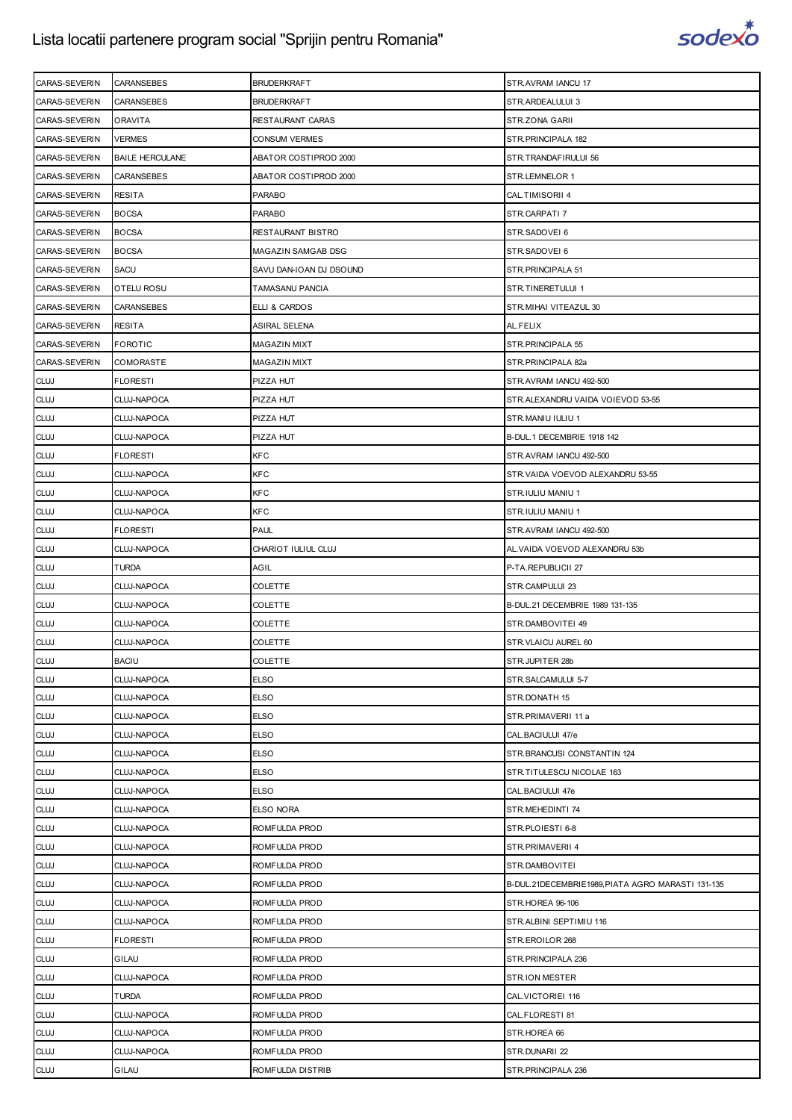

| CARAS-SEVERIN              | <b>CARANSEBES</b>          | <b>BRUDERKRAFT</b>                | STR.AVRAM IANCU 17                                       |
|----------------------------|----------------------------|-----------------------------------|----------------------------------------------------------|
| CARAS-SEVERIN              | <b>CARANSEBES</b>          | <b>BRUDERKRAFT</b>                | STR.ARDEALULUI 3                                         |
| CARAS-SEVERIN              | <b>ORAVITA</b>             | RESTAURANT CARAS                  | STR.ZONA GARII                                           |
| CARAS-SEVERIN              | <b>VERMES</b>              | <b>CONSUM VERMES</b>              | STR. PRINCIPALA 182                                      |
| <b>CARAS-SEVERIN</b>       | <b>BAILE HERCULANE</b>     | ABATOR COSTIPROD 2000             | STR.TRANDAFIRULUI 56                                     |
| CARAS-SEVERIN              | CARANSEBES                 | ABATOR COSTIPROD 2000             | STR.LEMNELOR 1                                           |
| CARAS-SEVERIN              | <b>RESITA</b>              | <b>PARABO</b>                     | CAL.TIMISORII 4                                          |
| CARAS-SEVERIN              | <b>BOCSA</b>               | <b>PARABO</b>                     | STR.CARPATI 7                                            |
| CARAS-SEVERIN              | <b>BOCSA</b>               | RESTAURANT BISTRO                 | STR.SADOVEI 6                                            |
| CARAS-SEVERIN              | <b>BOCSA</b>               | MAGAZIN SAMGAB DSG                | STR.SADOVEI 6                                            |
| CARAS-SEVERIN              | SACU                       | SAVU DAN-IOAN DJ DSOUND           | STR. PRINCIPALA 51                                       |
| CARAS-SEVERIN              | OTELU ROSU                 | TAMASANU PANCIA                   | STR.TINERETULUI 1                                        |
| CARAS-SEVERIN              | CARANSEBES                 | ELLI & CARDOS                     | STR. MIHAI VITEAZUL 30                                   |
| <b>CARAS-SEVERIN</b>       | <b>RESITA</b>              | ASIRAL SELENA                     | AL.FELIX                                                 |
| <b>CARAS-SEVERIN</b>       | <b>FOROTIC</b>             | <b>MAGAZIN MIXT</b>               | STR. PRINCIPALA 55                                       |
| CARAS-SEVERIN              | <b>COMORASTE</b>           | <b>MAGAZIN MIXT</b>               | STR.PRINCIPALA 82a                                       |
| <b>CLUJ</b>                | <b>FLORESTI</b>            | PIZZA HUT                         | STR.AVRAM IANCU 492-500                                  |
| <b>CLUJ</b>                | CLUJ-NAPOCA                | PIZZA HUT                         | STR. ALEXANDRU VAIDA VOIEVOD 53-55                       |
| <b>CLUJ</b>                | CLUJ-NAPOCA                | PIZZA HUT                         | STR.MANIU IULIU 1                                        |
| <b>CLUJ</b>                | CLUJ-NAPOCA                | PIZZA HUT                         | B-DUL.1 DECEMBRIE 1918 142                               |
| <b>CLUJ</b>                | <b>FLORESTI</b>            | <b>KFC</b>                        | STR.AVRAM IANCU 492-500                                  |
| <b>CLUJ</b>                | CLUJ-NAPOCA                | <b>KFC</b>                        | STR. VAIDA VOEVOD ALEXANDRU 53-55                        |
| <b>CLUJ</b>                | CLUJ-NAPOCA                | <b>KFC</b>                        | STR.IULIU MANIU 1                                        |
| <b>CLUJ</b>                | CLUJ-NAPOCA                | <b>KFC</b>                        | STR.IULIU MANIU 1                                        |
| <b>CLUJ</b>                | <b>FLORESTI</b>            | <b>PAUL</b>                       | STR.AVRAM IANCU 492-500                                  |
| <b>CLUJ</b>                | CLUJ-NAPOCA                | CHARIOT IULIUL CLUJ               | AL. VAIDA VOEVOD ALEXANDRU 53b                           |
|                            |                            |                                   |                                                          |
| <b>CLUJ</b>                | TURDA                      | AGIL                              | P-TA.REPUBLICII 27                                       |
| <b>CLUJ</b>                | CLUJ-NAPOCA                | <b>COLETTE</b>                    | STR.CAMPULUI 23                                          |
| <b>CLUJ</b>                | CLUJ-NAPOCA                | <b>COLETTE</b>                    | B-DUL.21 DECEMBRIE 1989 131-135                          |
| <b>CLUJ</b>                | CLUJ-NAPOCA                | <b>COLETTE</b>                    | STR.DAMBOVITEI 49                                        |
| <b>CLUJ</b>                | CLUJ-NAPOCA                | <b>COLETTE</b>                    | STR. VLAICU AUREL 60                                     |
| <b>CLUJ</b>                | <b>BACIU</b>               | <b>COLETTE</b>                    | STR.JUPITER 28b                                          |
| <b>CLUJ</b>                | CLUJ-NAPOCA                | <b>ELSO</b>                       | STR.SALCAMULUI 5-7                                       |
| <b>CLUJ</b>                | CLUJ-NAPOCA                | <b>ELSO</b>                       | STR.DONATH 15                                            |
| <b>CLUJ</b>                | CLUJ-NAPOCA                | <b>ELSO</b>                       | STR.PRIMAVERII 11 a                                      |
|                            |                            |                                   |                                                          |
| <b>CLUJ</b>                | CLUJ-NAPOCA                | <b>ELSO</b>                       | CAL.BACIULUI 47/e                                        |
| <b>CLUJ</b>                | CLUJ-NAPOCA<br>CLUJ-NAPOCA | <b>ELSO</b>                       | STR.BRANCUSI CONSTANTIN 124<br>STR.TITULESCU NICOLAE 163 |
| <b>CLUJ</b>                |                            | <b>ELSO</b>                       |                                                          |
| <b>CLUJ</b>                | CLUJ-NAPOCA                | <b>ELSO</b>                       | CAL. BACIULUI 47e                                        |
| <b>CLUJ</b>                | CLUJ-NAPOCA                | ELSO NORA                         | STR.MEHEDINTI 74                                         |
| <b>CLUJ</b>                | CLUJ-NAPOCA                | ROMFULDA PROD                     | STR.PLOIESTI 6-8                                         |
| <b>CLUJ</b>                | CLUJ-NAPOCA                | ROMFULDA PROD                     | STR.PRIMAVERII 4                                         |
| <b>CLUJ</b>                | CLUJ-NAPOCA                | ROMFULDA PROD                     | STR.DAMBOVITEI                                           |
| <b>CLUJ</b>                | CLUJ-NAPOCA                | ROMFULDA PROD                     | B-DUL.21DECEMBRIE1989, PIATA AGRO MARASTI 131-135        |
| <b>CLUJ</b>                | CLUJ-NAPOCA<br>CLUJ-NAPOCA | ROMFULDA PROD<br>ROMFULDA PROD    | STR.HOREA 96-106<br>STR.ALBINI SEPTIMIU 116              |
| <b>CLUJ</b>                |                            |                                   |                                                          |
| <b>CLUJ</b>                | <b>FLORESTI</b>            | ROMFULDA PROD                     | STR.EROILOR 268                                          |
| <b>CLUJ</b>                | GILAU                      | ROMFULDA PROD                     | STR. PRINCIPALA 236                                      |
| <b>CLUJ</b>                | CLUJ-NAPOCA                | ROMFULDA PROD                     | <b>STR.ION MESTER</b>                                    |
| <b>CLUJ</b>                | <b>TURDA</b>               | ROMFULDA PROD                     | CAL. VICTORIEI 116                                       |
| <b>CLUJ</b>                | CLUJ-NAPOCA                | ROMFULDA PROD                     | CAL.FLORESTI 81                                          |
| <b>CLUJ</b>                | CLUJ-NAPOCA                | ROMFULDA PROD                     | STR.HOREA 66                                             |
| <b>CLUJ</b><br><b>CLUJ</b> | CLUJ-NAPOCA<br>GILAU       | ROMFULDA PROD<br>ROMFULDA DISTRIB | STR.DUNARII 22<br>STR. PRINCIPALA 236                    |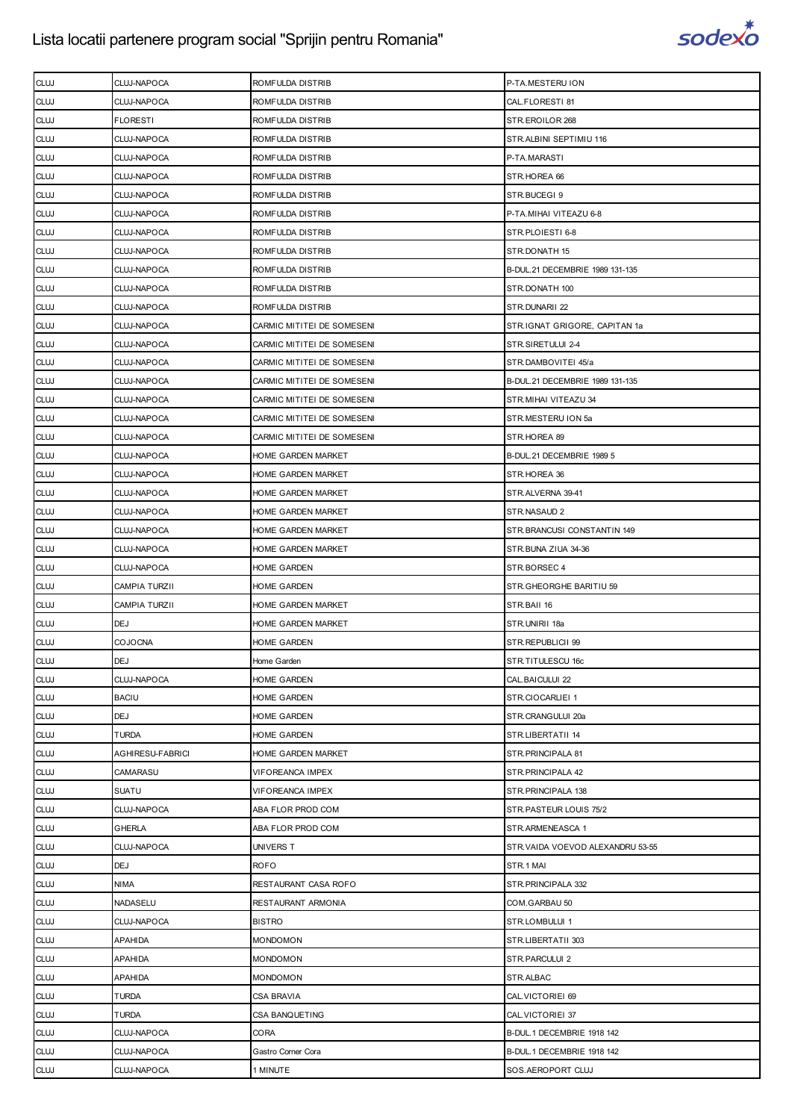

| <b>CLUJ</b> | CLUJ-NAPOCA             | ROMFULDA DISTRIB           | P-TA.MESTERU ION                  |
|-------------|-------------------------|----------------------------|-----------------------------------|
| <b>CLUJ</b> | CLUJ-NAPOCA             | ROMFULDA DISTRIB           | CAL.FLORESTI 81                   |
| <b>CLUJ</b> | <b>FLORESTI</b>         | ROMFULDA DISTRIB           | STR.EROILOR 268                   |
| <b>CLUJ</b> | CLUJ-NAPOCA             | ROMFULDA DISTRIB           | STR.ALBINI SEPTIMIU 116           |
| <b>CLUJ</b> | CLUJ-NAPOCA             | ROMFULDA DISTRIB           | P-TA.MARASTI                      |
| <b>CLUJ</b> | CLUJ-NAPOCA             | ROMFULDA DISTRIB           | STR.HOREA 66                      |
| <b>CLUJ</b> | CLUJ-NAPOCA             | ROMFULDA DISTRIB           | STR.BUCEGI9                       |
| <b>CLUJ</b> | CLUJ-NAPOCA             | ROMFULDA DISTRIB           | P-TA.MIHAI VITEAZU 6-8            |
| <b>CLUJ</b> | CLUJ-NAPOCA             | ROMFULDA DISTRIB           | STR.PLOIESTI 6-8                  |
| <b>CLUJ</b> | CLUJ-NAPOCA             | ROMFULDA DISTRIB           | STR.DONATH 15                     |
| <b>CLUJ</b> | CLUJ-NAPOCA             | ROMFULDA DISTRIB           | B-DUL.21 DECEMBRIE 1989 131-135   |
|             |                         |                            |                                   |
| <b>CLUJ</b> | CLUJ-NAPOCA             | ROMFULDA DISTRIB           | STR.DONATH 100                    |
| <b>CLUJ</b> | CLUJ-NAPOCA             | ROMFULDA DISTRIB           | STR.DUNARII 22                    |
| <b>CLUJ</b> | CLUJ-NAPOCA             | CARMIC MITITEI DE SOMESENI | STR.IGNAT GRIGORE, CAPITAN 1a     |
| <b>CLUJ</b> | CLUJ-NAPOCA             | CARMIC MITITEI DE SOMESENI | STR.SIRETULUI 2-4                 |
| <b>CLUJ</b> | CLUJ-NAPOCA             | CARMIC MITITEI DE SOMESENI | STR.DAMBOVITEI 45/a               |
| <b>CLUJ</b> | CLUJ-NAPOCA             | CARMIC MITITEI DE SOMESENI | B-DUL.21 DECEMBRIE 1989 131-135   |
| <b>CLUJ</b> | CLUJ-NAPOCA             | CARMIC MITITEI DE SOMESENI | STR.MIHAI VITEAZU 34              |
| <b>CLUJ</b> | CLUJ-NAPOCA             | CARMIC MITITEI DE SOMESENI | STR.MESTERU ION 5a                |
| <b>CLUJ</b> | CLUJ-NAPOCA             | CARMIC MITITEI DE SOMESENI | STR.HOREA 89                      |
| <b>CLUJ</b> | CLUJ-NAPOCA             | HOME GARDEN MARKET         | B-DUL.21 DECEMBRIE 1989 5         |
| <b>CLUJ</b> | CLUJ-NAPOCA             | HOME GARDEN MARKET         | STR.HOREA 36                      |
| <b>CLUJ</b> | CLUJ-NAPOCA             | HOME GARDEN MARKET         | STR.ALVERNA 39-41                 |
| <b>CLUJ</b> | CLUJ-NAPOCA             | HOME GARDEN MARKET         | STR.NASAUD 2                      |
| <b>CLUJ</b> | CLUJ-NAPOCA             | HOME GARDEN MARKET         | STR.BRANCUSI CONSTANTIN 149       |
| <b>CLUJ</b> | CLUJ-NAPOCA             | HOME GARDEN MARKET         | STR.BUNA ZIUA 34-36               |
| <b>CLUJ</b> | CLUJ-NAPOCA             | HOME GARDEN                | STR.BORSEC 4                      |
| <b>CLUJ</b> | <b>CAMPIA TURZII</b>    | HOME GARDEN                | STR.GHEORGHE BARITIU 59           |
| <b>CLUJ</b> | <b>CAMPIA TURZII</b>    | HOME GARDEN MARKET         | STR.BAII 16                       |
| <b>CLUJ</b> | DEJ                     | HOME GARDEN MARKET         | STR.UNIRII 18a                    |
| <b>CLUJ</b> | <b>COJOCNA</b>          | HOME GARDEN                | STR.REPUBLICII 99                 |
| <b>CLUJ</b> | <b>DEJ</b>              | Home Garden                | STR.TITULESCU 16c                 |
| <b>CLUJ</b> | CLUJ-NAPOCA             | HOME GARDEN                | CAL.BAICULUI 22                   |
| <b>CLUJ</b> | <b>BACIU</b>            | HOME GARDEN                | STR.CIOCARLIEI 1                  |
| <b>CLUJ</b> | <b>DEJ</b>              | HOME GARDEN                | STR.CRANGULUI 20a                 |
| <b>CLUJ</b> | <b>TURDA</b>            | HOME GARDEN                | STR.LIBERTATII 14                 |
| <b>CLUJ</b> | <b>AGHIRESU-FABRICI</b> | HOME GARDEN MARKET         | STR. PRINCIPALA 81                |
| <b>CLUJ</b> | CAMARASU                | VIFOREANCA IMPEX           | STR. PRINCIPALA 42                |
| <b>CLUJ</b> | <b>SUATU</b>            | VIFOREANCA IMPEX           | STR.PRINCIPALA 138                |
| <b>CLUJ</b> | CLUJ-NAPOCA             | ABA FLOR PROD COM          | STR.PASTEUR LOUIS 75/2            |
| <b>CLUJ</b> | <b>GHERLA</b>           | ABA FLOR PROD COM          | STR.ARMENEASCA 1                  |
| <b>CLUJ</b> | CLUJ-NAPOCA             | UNIVERS T                  | STR. VAIDA VOEVOD ALEXANDRU 53-55 |
| <b>CLUJ</b> | <b>DEJ</b>              | <b>ROFO</b>                | STR.1 MAI                         |
| <b>CLUJ</b> | <b>NIMA</b>             | RESTAURANT CASA ROFO       | STR. PRINCIPALA 332               |
| <b>CLUJ</b> | NADASELU                | RESTAURANT ARMONIA         | COM.GARBAU 50                     |
| <b>CLUJ</b> | CLUJ-NAPOCA             | <b>BISTRO</b>              | STR.LOMBULUI 1                    |
| <b>CLUJ</b> | <b>APAHIDA</b>          | <b>MONDOMON</b>            | STR.LIBERTATII 303                |
|             | <b>APAHIDA</b>          |                            |                                   |
| <b>CLUJ</b> | <b>APAHIDA</b>          | MONDOMON                   | STR.PARCULUI 2                    |
| <b>CLUJ</b> |                         | <b>MONDOMON</b>            | STR.ALBAC                         |
| <b>CLUJ</b> | <b>TURDA</b>            | CSA BRAVIA                 | CAL. VICTORIEI 69                 |
| <b>CLUJ</b> | TURDA                   | CSA BANQUETING             | CAL. VICTORIEI 37                 |
| <b>CLUJ</b> | CLUJ-NAPOCA             | CORA                       | B-DUL.1 DECEMBRIE 1918 142        |
| <b>CLUJ</b> | CLUJ-NAPOCA             | Gastro Corner Cora         | B-DUL.1 DECEMBRIE 1918 142        |
| <b>CLUJ</b> | CLUJ-NAPOCA             | 1 MINUTE                   | SOS.AEROPORT CLUJ                 |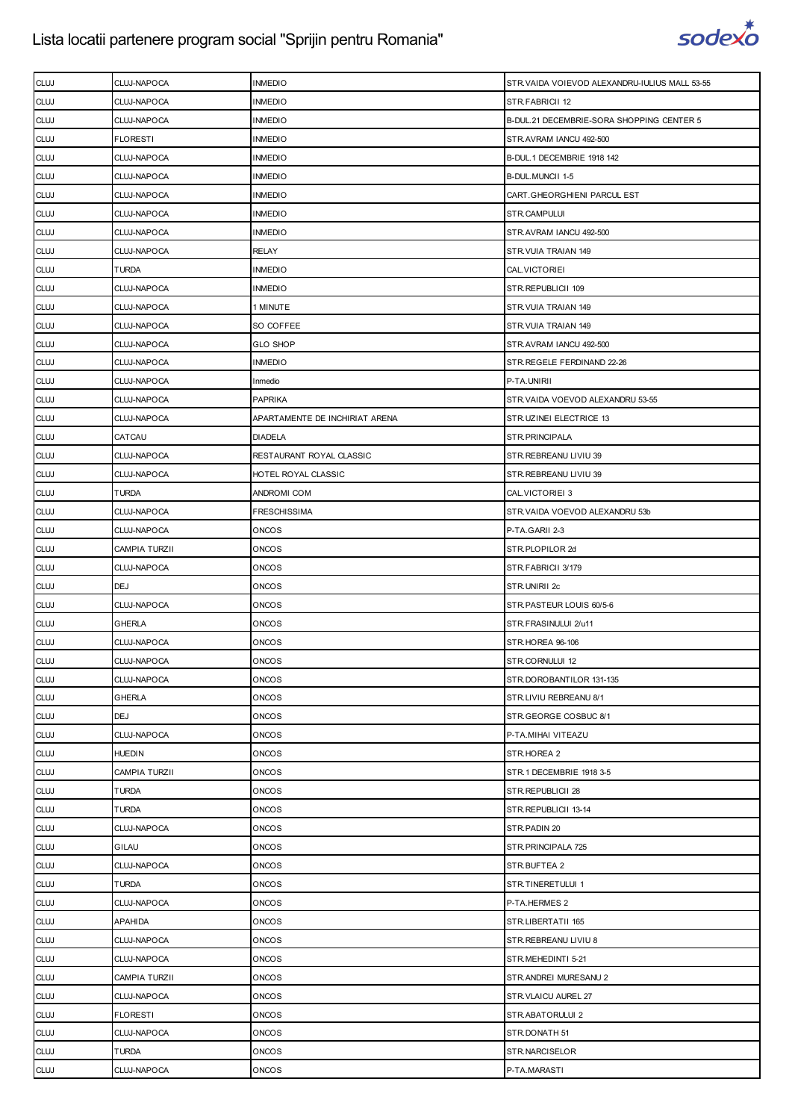

| <b>CLUJ</b> | CLUJ-NAPOCA          | <b>INMEDIO</b>                 | STR. VAIDA VOIEVOD ALEXANDRU-IULIUS MALL 53-55 |
|-------------|----------------------|--------------------------------|------------------------------------------------|
| <b>CLUJ</b> | CLUJ-NAPOCA          | <b>INMEDIO</b>                 | STR.FABRICII 12                                |
| <b>CLUJ</b> | CLUJ-NAPOCA          | <b>INMEDIO</b>                 | B-DUL.21 DECEMBRIE-SORA SHOPPING CENTER 5      |
| <b>CLUJ</b> | <b>FLORESTI</b>      | <b>INMEDIO</b>                 | STR.AVRAM IANCU 492-500                        |
| <b>CLUJ</b> | CLUJ-NAPOCA          | <b>INMEDIO</b>                 | B-DUL.1 DECEMBRIE 1918 142                     |
| <b>CLUJ</b> | CLUJ-NAPOCA          | <b>INMEDIO</b>                 | B-DUL.MUNCII 1-5                               |
| <b>CLUJ</b> | CLUJ-NAPOCA          | <b>INMEDIO</b>                 | CART.GHEORGHIENI PARCUL EST                    |
| <b>CLUJ</b> | CLUJ-NAPOCA          | <b>INMEDIO</b>                 | STR.CAMPULUI                                   |
| <b>CLUJ</b> | CLUJ-NAPOCA          | <b>INMEDIO</b>                 | STR.AVRAM IANCU 492-500                        |
| <b>CLUJ</b> | CLUJ-NAPOCA          | <b>RELAY</b>                   | STR. VUIA TRAIAN 149                           |
| <b>CLUJ</b> | <b>TURDA</b>         | <b>INMEDIO</b>                 | CAL. VICTORIEI                                 |
| <b>CLUJ</b> | CLUJ-NAPOCA          | <b>INMEDIO</b>                 | STR.REPUBLICII 109                             |
| <b>CLUJ</b> | CLUJ-NAPOCA          | 1 MINUTE                       | STR. VUIA TRAIAN 149                           |
| <b>CLUJ</b> | CLUJ-NAPOCA          | SO COFFEE                      | STR. VUIA TRAIAN 149                           |
| <b>CLUJ</b> | CLUJ-NAPOCA          | <b>GLO SHOP</b>                | STR.AVRAM IANCU 492-500                        |
| <b>CLUJ</b> | CLUJ-NAPOCA          | <b>INMEDIO</b>                 | STR.REGELE FERDINAND 22-26                     |
| <b>CLUJ</b> | CLUJ-NAPOCA          | Inmedio                        | P-TA.UNIRII                                    |
| <b>CLUJ</b> | CLUJ-NAPOCA          | <b>PAPRIKA</b>                 | STR. VAIDA VOEVOD ALEXANDRU 53-55              |
| <b>CLUJ</b> | CLUJ-NAPOCA          | APARTAMENTE DE INCHIRIAT ARENA | STR.UZINEI ELECTRICE 13                        |
| <b>CLUJ</b> | CATCAU               | <b>DIADELA</b>                 | STR.PRINCIPALA                                 |
| <b>CLUJ</b> | CLUJ-NAPOCA          | RESTAURANT ROYAL CLASSIC       | STR. REBREANU LIVIU 39                         |
| <b>CLUJ</b> | CLUJ-NAPOCA          | HOTEL ROYAL CLASSIC            | STR. REBREANU LIVIU 39                         |
| <b>CLUJ</b> | <b>TURDA</b>         | ANDROMI COM                    | CAL.VICTORIEI 3                                |
| <b>CLUJ</b> | CLUJ-NAPOCA          | FRESCHISSIMA                   | STR. VAIDA VOEVOD ALEXANDRU 53b                |
| <b>CLUJ</b> | CLUJ-NAPOCA          | <b>ONCOS</b>                   | P-TA.GARII 2-3                                 |
| <b>CLUJ</b> | <b>CAMPIA TURZII</b> | <b>ONCOS</b>                   | STR.PLOPILOR 2d                                |
| <b>CLUJ</b> | CLUJ-NAPOCA          | <b>ONCOS</b>                   | STR.FABRICII 3/179                             |
| <b>CLUJ</b> | <b>DEJ</b>           | <b>ONCOS</b>                   | STR.UNIRII 2c                                  |
| <b>CLUJ</b> | CLUJ-NAPOCA          | <b>ONCOS</b>                   | STR.PASTEUR LOUIS 60/5-6                       |
| <b>CLUJ</b> | GHERLA               | <b>ONCOS</b>                   | STR.FRASINULUI 2/u11                           |
| <b>CLUJ</b> | CLUJ-NAPOCA          | <b>ONCOS</b>                   | STR.HOREA 96-106                               |
| <b>CLUJ</b> | CLUJ-NAPOCA          | <b>ONCOS</b>                   | STR.CORNULUI 12                                |
| <b>CLUJ</b> | CLUJ-NAPOCA          | <b>ONCOS</b>                   | STR.DOROBANTILOR 131-135                       |
| <b>CLUJ</b> | <b>GHERLA</b>        | <b>ONCOS</b>                   | STR.LIVIU REBREANU 8/1                         |
| <b>CLUJ</b> | <b>DEJ</b>           | <b>ONCOS</b>                   | STR.GEORGE COSBUC 8/1                          |
| <b>CLUJ</b> | CLUJ-NAPOCA          | <b>ONCOS</b>                   | P-TA.MIHAI VITEAZU                             |
| <b>CLUJ</b> | <b>HUEDIN</b>        | ONCOS                          | STR.HOREA 2                                    |
| <b>CLUJ</b> | CAMPIA TURZII        | <b>ONCOS</b>                   | STR.1 DECEMBRIE 1918 3-5                       |
| <b>CLUJ</b> | <b>TURDA</b>         | <b>ONCOS</b>                   | STR.REPUBLICII 28                              |
| <b>CLUJ</b> | <b>TURDA</b>         | <b>ONCOS</b>                   | STR.REPUBLICII 13-14                           |
| <b>CLUJ</b> | CLUJ-NAPOCA          | <b>ONCOS</b>                   | STR.PADIN 20                                   |
| <b>CLUJ</b> | GILAU                | <b>ONCOS</b>                   | STR. PRINCIPALA 725                            |
| <b>CLUJ</b> | CLUJ-NAPOCA          | ONCOS                          | STR.BUFTEA 2                                   |
| <b>CLUJ</b> | <b>TURDA</b>         | <b>ONCOS</b>                   | STR.TINERETULUI 1                              |
| <b>CLUJ</b> | CLUJ-NAPOCA          | <b>ONCOS</b>                   | P-TA.HERMES 2                                  |
| <b>CLUJ</b> | <b>APAHIDA</b>       | <b>ONCOS</b>                   | STR.LIBERTATII 165                             |
| <b>CLUJ</b> | CLUJ-NAPOCA          | <b>ONCOS</b>                   | STR. REBREANU LIVIU 8                          |
| <b>CLUJ</b> | CLUJ-NAPOCA          | <b>ONCOS</b>                   | STR.MEHEDINTI 5-21                             |
| <b>CLUJ</b> | CAMPIA TURZII        | ONCOS                          | STR.ANDREI MURESANU 2                          |
| <b>CLUJ</b> | CLUJ-NAPOCA          | <b>ONCOS</b>                   | STR.VLAICU AUREL 27                            |
| <b>CLUJ</b> | <b>FLORESTI</b>      | <b>ONCOS</b>                   | STR.ABATORULUI 2                               |
| <b>CLUJ</b> | CLUJ-NAPOCA          | <b>ONCOS</b>                   | STR.DONATH 51                                  |
| <b>CLUJ</b> | <b>TURDA</b>         | <b>ONCOS</b>                   | STR.NARCISELOR                                 |
| <b>CLUJ</b> | CLUJ-NAPOCA          | <b>ONCOS</b>                   | P-TA.MARASTI                                   |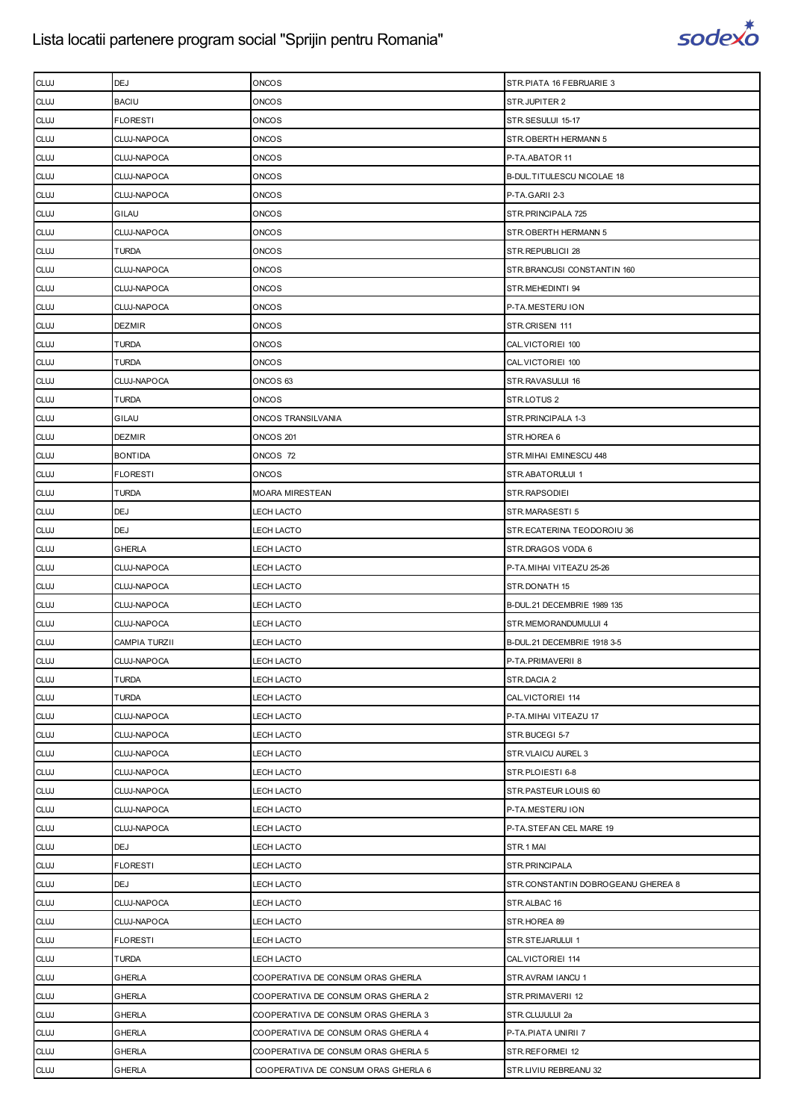

| <b>CLUJ</b> | <b>DEJ</b>           | <b>ONCOS</b>                        | STR.PIATA 16 FEBRUARIE 3           |
|-------------|----------------------|-------------------------------------|------------------------------------|
| <b>CLUJ</b> | <b>BACIU</b>         | <b>ONCOS</b>                        | STR.JUPITER 2                      |
| <b>CLUJ</b> | <b>FLORESTI</b>      | <b>ONCOS</b>                        | STR.SESULUI 15-17                  |
| <b>CLUJ</b> | <b>CLUJ-NAPOCA</b>   | <b>ONCOS</b>                        | STR.OBERTH HERMANN 5               |
| <b>CLUJ</b> | CLUJ-NAPOCA          | <b>ONCOS</b>                        | P-TA.ABATOR 11                     |
| <b>CLUJ</b> | CLUJ-NAPOCA          | <b>ONCOS</b>                        | B-DUL.TITULESCU NICOLAE 18         |
| <b>CLUJ</b> | <b>CLUJ-NAPOCA</b>   | <b>ONCOS</b>                        | P-TA.GARII 2-3                     |
| <b>CLUJ</b> | GILAU                | <b>ONCOS</b>                        | STR. PRINCIPALA 725                |
| <b>CLUJ</b> | CLUJ-NAPOCA          | <b>ONCOS</b>                        | STR.OBERTH HERMANN 5               |
| <b>CLUJ</b> | <b>TURDA</b>         | <b>ONCOS</b>                        | STR.REPUBLICII 28                  |
| <b>CLUJ</b> | CLUJ-NAPOCA          | <b>ONCOS</b>                        | STR.BRANCUSI CONSTANTIN 160        |
| <b>CLUJ</b> | CLUJ-NAPOCA          | <b>ONCOS</b>                        | STR.MEHEDINTI 94                   |
| <b>CLUJ</b> | <b>CLUJ-NAPOCA</b>   | <b>ONCOS</b>                        | P-TA.MESTERU ION                   |
| <b>CLUJ</b> | <b>DEZMIR</b>        | <b>ONCOS</b>                        | STR.CRISENI 111                    |
| <b>CLUJ</b> | <b>TURDA</b>         | <b>ONCOS</b>                        | CAL. VICTORIEI 100                 |
| <b>CLUJ</b> | <b>TURDA</b>         | <b>ONCOS</b>                        | CAL. VICTORIEI 100                 |
| <b>CLUJ</b> | CLUJ-NAPOCA          | ONCOS <sub>63</sub>                 | STR.RAVASULUI 16                   |
| <b>CLUJ</b> | <b>TURDA</b>         | <b>ONCOS</b>                        | STR.LOTUS 2                        |
| <b>CLUJ</b> | GILAU                | ONCOS TRANSILVANIA                  | STR. PRINCIPALA 1-3                |
| <b>CLUJ</b> | <b>DEZMIR</b>        | ONCOS <sub>201</sub>                | STR.HOREA 6                        |
| <b>CLUJ</b> | <b>BONTIDA</b>       | ONCOS 72                            | STR.MIHAI EMINESCU 448             |
| <b>CLUJ</b> | <b>FLORESTI</b>      | <b>ONCOS</b>                        | STR.ABATORULUI 1                   |
| <b>CLUJ</b> | <b>TURDA</b>         | <b>MOARA MIRESTEAN</b>              | STR.RAPSODIEI                      |
| <b>CLUJ</b> | <b>DEJ</b>           | LECH LACTO                          | STR.MARASESTI 5                    |
| <b>CLUJ</b> | <b>DEJ</b>           | LECH LACTO                          | STR.ECATERINA TEODOROIU 36         |
| <b>CLUJ</b> | <b>GHERLA</b>        | LECH LACTO                          | STR.DRAGOS VODA 6                  |
| <b>CLUJ</b> | CLUJ-NAPOCA          | <b>LECH LACTO</b>                   | P-TA.MIHAI VITEAZU 25-26           |
| <b>CLUJ</b> | <b>CLUJ-NAPOCA</b>   | LECH LACTO                          | STR.DONATH 15                      |
| <b>CLUJ</b> | <b>CLUJ-NAPOCA</b>   | <b>LECH LACTO</b>                   | B-DUL.21 DECEMBRIE 1989 135        |
| <b>CLUJ</b> | CLUJ-NAPOCA          | LECH LACTO                          | STR.MEMORANDUMULUI 4               |
| <b>CLUJ</b> | <b>CAMPIA TURZII</b> | LECH LACTO                          | B-DUL.21 DECEMBRIE 1918 3-5        |
| <b>CLUJ</b> | CLUJ-NAPOCA          | <b>LECH LACTO</b>                   | P-TA.PRIMAVERII 8                  |
| <b>CLUJ</b> | <b>TURDA</b>         | LECH LACTO                          | STR.DACIA 2                        |
| <b>CLUJ</b> | <b>TURDA</b>         | LECH LACTO                          | CAL.VICTORIEI 114                  |
| <b>CLUJ</b> | CLUJ-NAPOCA          | LECH LACTO                          | P-TA.MIHAI VITEAZU 17              |
| <b>CLUJ</b> | CLUJ-NAPOCA          | LECH LACTO                          | STR.BUCEGI 5-7                     |
| <b>CLUJ</b> | CLUJ-NAPOCA          | LECH LACTO                          | STR. VLAICU AUREL 3                |
| <b>CLUJ</b> | CLUJ-NAPOCA          | LECH LACTO                          | STR.PLOIESTI 6-8                   |
| <b>CLUJ</b> | CLUJ-NAPOCA          | LECH LACTO                          | STR.PASTEUR LOUIS 60               |
| <b>CLUJ</b> | CLUJ-NAPOCA          | LECH LACTO                          | P-TA.MESTERU ION                   |
| <b>CLUJ</b> | CLUJ-NAPOCA          | LECH LACTO                          | P-TA.STEFAN CEL MARE 19            |
| <b>CLUJ</b> | <b>DEJ</b>           | LECH LACTO                          | STR.1 MAI                          |
| <b>CLUJ</b> | <b>FLORESTI</b>      | LECH LACTO                          | STR.PRINCIPALA                     |
| <b>CLUJ</b> | <b>DEJ</b>           | LECH LACTO                          | STR.CONSTANTIN DOBROGEANU GHEREA 8 |
| <b>CLUJ</b> | CLUJ-NAPOCA          | LECH LACTO                          | STR.ALBAC 16                       |
| <b>CLUJ</b> | CLUJ-NAPOCA          | LECH LACTO                          | STR.HOREA 89                       |
| <b>CLUJ</b> | <b>FLORESTI</b>      | LECH LACTO                          | STR.STEJARULUI 1                   |
| <b>CLUJ</b> | <b>TURDA</b>         | LECH LACTO                          | CAL.VICTORIEI 114                  |
| <b>CLUJ</b> | <b>GHERLA</b>        | COOPERATIVA DE CONSUM ORAS GHERLA   | STR.AVRAM IANCU 1                  |
| <b>CLUJ</b> | <b>GHERLA</b>        | COOPERATIVA DE CONSUM ORAS GHERLA 2 | STR.PRIMAVERII 12                  |
| <b>CLUJ</b> | <b>GHERLA</b>        | COOPERATIVA DE CONSUM ORAS GHERLA 3 | STR.CLUJULUI 2a                    |
| <b>CLUJ</b> | <b>GHERLA</b>        | COOPERATIVA DE CONSUM ORAS GHERLA 4 | P-TA.PIATA UNIRII 7                |
| <b>CLUJ</b> | <b>GHERLA</b>        | COOPERATIVA DE CONSUM ORAS GHERLA 5 | STR.REFORMEI 12                    |
| <b>CLUJ</b> | <b>GHERLA</b>        | COOPERATIVA DE CONSUM ORAS GHERLA 6 | STR.LIVIU REBREANU 32              |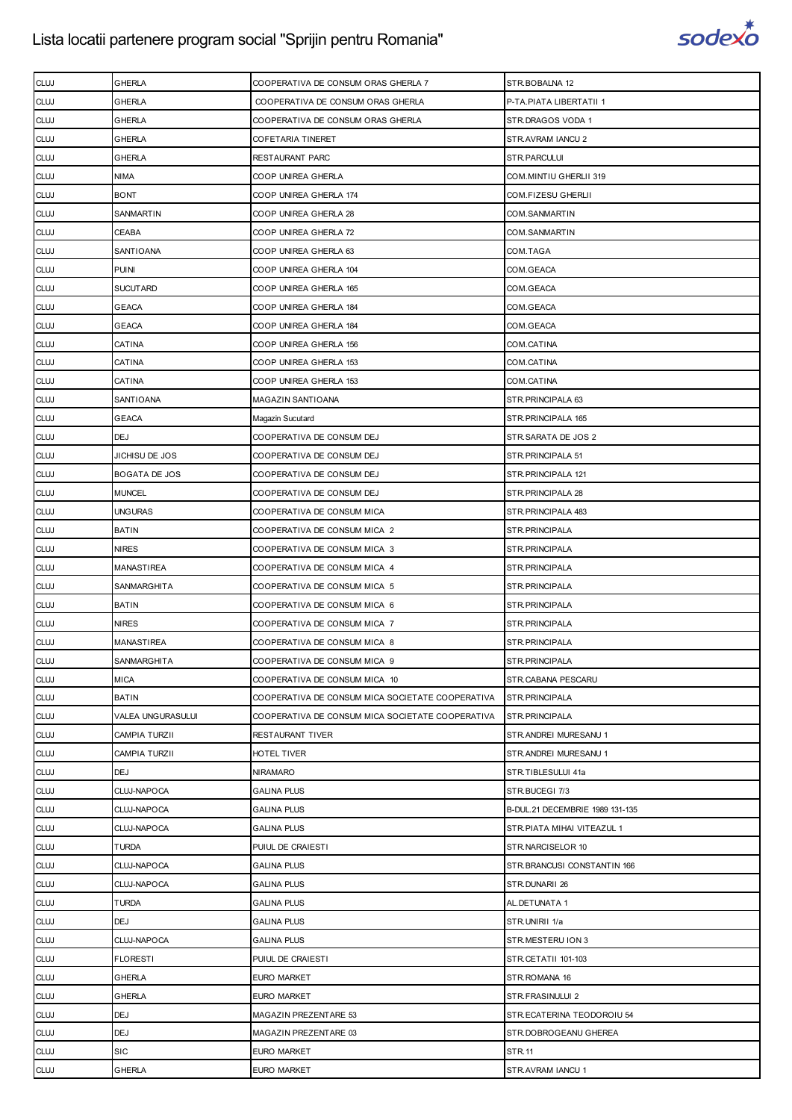

| <b>CLUJ</b> | GHERLA               | COOPERATIVA DE CONSUM ORAS GHERLA 7              | STR.BOBALNA 12                  |
|-------------|----------------------|--------------------------------------------------|---------------------------------|
| <b>CLUJ</b> | GHERLA               | COOPERATIVA DE CONSUM ORAS GHERLA                | P-TA.PIATA LIBERTATII 1         |
| <b>CLUJ</b> | GHERLA               | COOPERATIVA DE CONSUM ORAS GHERLA                | STR.DRAGOS VODA 1               |
| <b>CLUJ</b> | GHERLA               | COFETARIA TINERET                                | STR.AVRAM IANCU 2               |
| <b>CLUJ</b> | GHERLA               | RESTAURANT PARC                                  | STR.PARCULUI                    |
| <b>CLUJ</b> | <b>NIMA</b>          | COOP UNIREA GHERLA                               | COM.MINTIU GHERLII 319          |
| <b>CLUJ</b> | <b>BONT</b>          | COOP UNIREA GHERLA 174                           | COM.FIZESU GHERLII              |
| <b>CLUJ</b> | SANMARTIN            | COOP UNIREA GHERLA 28                            | COM.SANMARTIN                   |
| <b>CLUJ</b> | CEABA                | COOP UNIREA GHERLA 72                            | COM.SANMARTIN                   |
| <b>CLUJ</b> | SANTIOANA            | COOP UNIREA GHERLA 63                            | COM.TAGA                        |
| <b>CLUJ</b> | <b>PUINI</b>         | COOP UNIREA GHERLA 104                           | COM.GEACA                       |
| <b>CLUJ</b> | <b>SUCUTARD</b>      | COOP UNIREA GHERLA 165                           | COM.GEACA                       |
| <b>CLUJ</b> | <b>GEACA</b>         | COOP UNIREA GHERLA 184                           | COM.GEACA                       |
| <b>CLUJ</b> | GEACA                | COOP UNIREA GHERLA 184                           | COM.GEACA                       |
| <b>CLUJ</b> | CATINA               | COOP UNIREA GHERLA 156                           | COM.CATINA                      |
| <b>CLUJ</b> | CATINA               | COOP UNIREA GHERLA 153                           | COM.CATINA                      |
| <b>CLUJ</b> | CATINA               | COOP UNIREA GHERLA 153                           | COM.CATINA                      |
| <b>CLUJ</b> | SANTIOANA            | MAGAZIN SANTIOANA                                | STR. PRINCIPALA 63              |
| <b>CLUJ</b> | GEACA                | Magazin Sucutard                                 | STR.PRINCIPALA 165              |
| <b>CLUJ</b> | <b>DEJ</b>           | COOPERATIVA DE CONSUM DEJ                        | STR.SARATA DE JOS 2             |
| <b>CLUJ</b> | JICHISU DE JOS       | COOPERATIVA DE CONSUM DEJ                        | STR. PRINCIPALA 51              |
| <b>CLUJ</b> | BOGATA DE JOS        | COOPERATIVA DE CONSUM DEJ                        | STR. PRINCIPALA 121             |
| <b>CLUJ</b> | <b>MUNCEL</b>        | COOPERATIVA DE CONSUM DEJ                        | STR. PRINCIPALA 28              |
| <b>CLUJ</b> | UNGURAS              | COOPERATIVA DE CONSUM MICA                       | STR.PRINCIPALA 483              |
| <b>CLUJ</b> | <b>BATIN</b>         | COOPERATIVA DE CONSUM MICA 2                     | STR.PRINCIPALA                  |
| <b>CLUJ</b> | <b>NIRES</b>         | COOPERATIVA DE CONSUM MICA 3                     | STR.PRINCIPALA                  |
| <b>CLUJ</b> | MANASTIREA           | COOPERATIVA DE CONSUM MICA 4                     | STR.PRINCIPALA                  |
| <b>CLUJ</b> | SANMARGHITA          | COOPERATIVA DE CONSUM MICA 5                     | STR.PRINCIPALA                  |
| <b>CLUJ</b> | <b>BATIN</b>         | COOPERATIVA DE CONSUM MICA 6                     | STR.PRINCIPALA                  |
| <b>CLUJ</b> | <b>NIRES</b>         | COOPERATIVA DE CONSUM MICA 7                     | STR.PRINCIPALA                  |
| <b>CLUJ</b> | MANASTIREA           | COOPERATIVA DE CONSUM MICA 8                     | STR.PRINCIPALA                  |
| <b>CLUJ</b> | SANMARGHITA          | COOPERATIVA DE CONSUM MICA 9                     | STR.PRINCIPALA                  |
| <b>CLUJ</b> | <b>MICA</b>          | COOPERATIVA DE CONSUM MICA 10                    | STR.CABANA PESCARU              |
| <b>CLUJ</b> | <b>BATIN</b>         | COOPERATIVA DE CONSUM MICA SOCIETATE COOPERATIVA | STR.PRINCIPALA                  |
| <b>CLUJ</b> | VALEA UNGURASULUI    | COOPERATIVA DE CONSUM MICA SOCIETATE COOPERATIVA | STR.PRINCIPALA                  |
| <b>CLUJ</b> | CAMPIA TURZII        | RESTAURANT TIVER                                 | STR. ANDREI MURESANU 1          |
| <b>CLUJ</b> | <b>CAMPIA TURZII</b> | HOTEL TIVER                                      | STR.ANDREI MURESANU 1           |
| <b>CLUJ</b> | <b>DEJ</b>           | <b>NIRAMARO</b>                                  | STR.TIBLESULUI 41a              |
| <b>CLUJ</b> | CLUJ-NAPOCA          | <b>GALINA PLUS</b>                               | STR.BUCEGI 7/3                  |
| <b>CLUJ</b> | CLUJ-NAPOCA          | <b>GALINA PLUS</b>                               | B-DUL.21 DECEMBRIE 1989 131-135 |
| <b>CLUJ</b> | CLUJ-NAPOCA          | <b>GALINA PLUS</b>                               | STR. PIATA MIHAI VITEAZUL 1     |
| <b>CLUJ</b> | TURDA                | PUIUL DE CRAIESTI                                | STR.NARCISELOR 10               |
| <b>CLUJ</b> | CLUJ-NAPOCA          | <b>GALINA PLUS</b>                               | STR.BRANCUSI CONSTANTIN 166     |
| <b>CLUJ</b> | CLUJ-NAPOCA          | <b>GALINA PLUS</b>                               | STR.DUNARII 26                  |
| <b>CLUJ</b> | <b>TURDA</b>         | <b>GALINA PLUS</b>                               | AL.DETUNATA 1                   |
| <b>CLUJ</b> | <b>DEJ</b>           | <b>GALINA PLUS</b>                               | STR.UNIRII 1/a                  |
| <b>CLUJ</b> | CLUJ-NAPOCA          | <b>GALINA PLUS</b>                               | STR.MESTERU ION 3               |
| <b>CLUJ</b> | <b>FLORESTI</b>      | PUIUL DE CRAIESTI                                | STR.CETATII 101-103             |
| <b>CLUJ</b> | GHERLA               | EURO MARKET                                      | STR.ROMANA 16                   |
| <b>CLUJ</b> | GHERLA               | EURO MARKET                                      | STR.FRASINULUI 2                |
| <b>CLUJ</b> | DEJ                  | MAGAZIN PREZENTARE 53                            | STR.ECATERINA TEODOROIU 54      |
| <b>CLUJ</b> | <b>DEJ</b>           | MAGAZIN PREZENTARE 03                            | STR.DOBROGEANU GHEREA           |
| <b>CLUJ</b> | SIC                  | EURO MARKET                                      | <b>STR.11</b>                   |
| <b>CLUJ</b> | GHERLA               | EURO MARKET                                      | STR.AVRAM IANCU 1               |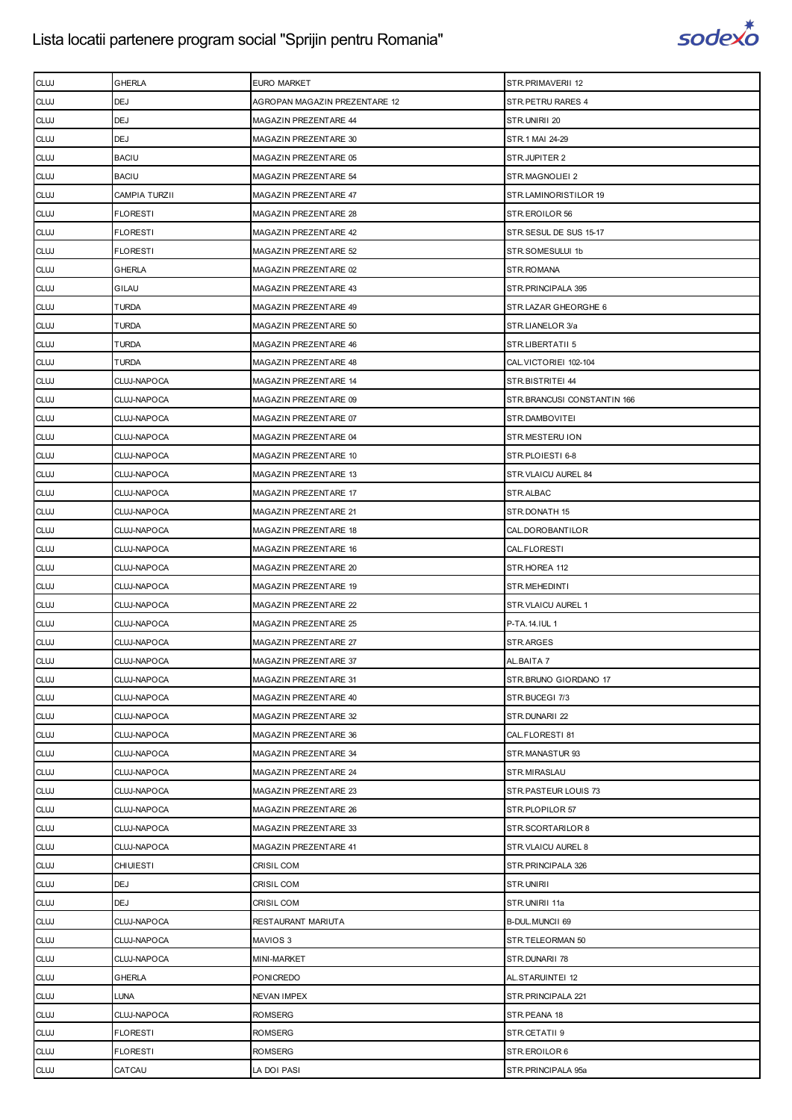

| <b>CLUJ</b> | <b>GHERLA</b>      | <b>EURO MARKET</b>            | STR.PRIMAVERII 12           |
|-------------|--------------------|-------------------------------|-----------------------------|
| <b>CLUJ</b> | <b>DEJ</b>         | AGROPAN MAGAZIN PREZENTARE 12 | STR. PETRU RARES 4          |
| <b>CLUJ</b> | <b>DEJ</b>         | MAGAZIN PREZENTARE 44         | STR.UNIRII 20               |
| <b>CLUJ</b> | <b>DEJ</b>         | MAGAZIN PREZENTARE 30         | STR.1 MAI 24-29             |
| <b>CLUJ</b> | <b>BACIU</b>       | MAGAZIN PREZENTARE 05         | STR.JUPITER 2               |
| <b>CLUJ</b> | <b>BACIU</b>       | MAGAZIN PREZENTARE 54         | STR.MAGNOLIEI 2             |
| <b>CLUJ</b> | CAMPIA TURZII      | MAGAZIN PREZENTARE 47         | STR.LAMINORISTILOR 19       |
| <b>CLUJ</b> | <b>FLORESTI</b>    | MAGAZIN PREZENTARE 28         | STR.EROILOR 56              |
| <b>CLUJ</b> | <b>FLORESTI</b>    | MAGAZIN PREZENTARE 42         | STR.SESUL DE SUS 15-17      |
| <b>CLUJ</b> | <b>FLORESTI</b>    | MAGAZIN PREZENTARE 52         | STR.SOMESULUI 1b            |
| <b>CLUJ</b> | <b>GHERLA</b>      | MAGAZIN PREZENTARE 02         | STR.ROMANA                  |
| <b>CLUJ</b> | GILAU              | MAGAZIN PREZENTARE 43         | STR. PRINCIPALA 395         |
| <b>CLUJ</b> | TURDA              | MAGAZIN PREZENTARE 49         | STR.LAZAR GHEORGHE 6        |
| <b>CLUJ</b> | TURDA              | MAGAZIN PREZENTARE 50         | STR.LIANELOR 3/a            |
| <b>CLUJ</b> | TURDA              | MAGAZIN PREZENTARE 46         | STR.LIBERTATII 5            |
| <b>CLUJ</b> | TURDA              | MAGAZIN PREZENTARE 48         | CAL. VICTORIEI 102-104      |
| <b>CLUJ</b> | CLUJ-NAPOCA        | MAGAZIN PREZENTARE 14         | STR.BISTRITEI 44            |
| <b>CLUJ</b> | CLUJ-NAPOCA        | MAGAZIN PREZENTARE 09         | STR.BRANCUSI CONSTANTIN 166 |
| <b>CLUJ</b> | CLUJ-NAPOCA        | MAGAZIN PREZENTARE 07         | STR.DAMBOVITEI              |
| <b>CLUJ</b> | <b>CLUJ-NAPOCA</b> | MAGAZIN PREZENTARE 04         | STR.MESTERU ION             |
| <b>CLUJ</b> | CLUJ-NAPOCA        | MAGAZIN PREZENTARE 10         | STR.PLOIESTI 6-8            |
| <b>CLUJ</b> | CLUJ-NAPOCA        | MAGAZIN PREZENTARE 13         | STR.VLAICU AUREL 84         |
| <b>CLUJ</b> | <b>CLUJ-NAPOCA</b> | MAGAZIN PREZENTARE 17         | STR.ALBAC                   |
| <b>CLUJ</b> | CLUJ-NAPOCA        | MAGAZIN PREZENTARE 21         | STR.DONATH 15               |
| <b>CLUJ</b> | CLUJ-NAPOCA        | MAGAZIN PREZENTARE 18         | CAL.DOROBANTILOR            |
| <b>CLUJ</b> | <b>CLUJ-NAPOCA</b> | MAGAZIN PREZENTARE 16         | CAL.FLORESTI                |
| <b>CLUJ</b> | <b>CLUJ-NAPOCA</b> | MAGAZIN PREZENTARE 20         | STR.HOREA 112               |
| <b>CLUJ</b> | <b>CLUJ-NAPOCA</b> | MAGAZIN PREZENTARE 19         | STR.MEHEDINTI               |
| <b>CLUJ</b> | <b>CLUJ-NAPOCA</b> | MAGAZIN PREZENTARE 22         | STR. VLAICU AUREL 1         |
| <b>CLUJ</b> | CLUJ-NAPOCA        | MAGAZIN PREZENTARE 25         | P-TA.14.IUL 1               |
| <b>CLUJ</b> | CLUJ-NAPOCA        | MAGAZIN PREZENTARE 27         | STR.ARGES                   |
| <b>CLUJ</b> | CLUJ-NAPOCA        | MAGAZIN PREZENTARE 37         | AL.BAITA 7                  |
| <b>CLUJ</b> | CLUJ-NAPOCA        | MAGAZIN PREZENTARE 31         | STR.BRUNO GIORDANO 17       |
| <b>CLUJ</b> | CLUJ-NAPOCA        | MAGAZIN PREZENTARE 40         | STR.BUCEGI 7/3              |
| <b>CLUJ</b> | CLUJ-NAPOCA        | MAGAZIN PREZENTARE 32         | STR.DUNARII 22              |
| <b>CLUJ</b> | <b>CLUJ-NAPOCA</b> | MAGAZIN PREZENTARE 36         | CAL.FLORESTI 81             |
| <b>CLUJ</b> | CLUJ-NAPOCA        | MAGAZIN PREZENTARE 34         | STR.MANASTUR 93             |
| <b>CLUJ</b> | CLUJ-NAPOCA        | MAGAZIN PREZENTARE 24         | STR.MIRASLAU                |
| <b>CLUJ</b> | CLUJ-NAPOCA        | MAGAZIN PREZENTARE 23         | STR.PASTEUR LOUIS 73        |
| <b>CLUJ</b> | CLUJ-NAPOCA        | MAGAZIN PREZENTARE 26         | STR.PLOPILOR 57             |
| <b>CLUJ</b> | CLUJ-NAPOCA        | MAGAZIN PREZENTARE 33         | STR.SCORTARILOR 8           |
| <b>CLUJ</b> | <b>CLUJ-NAPOCA</b> | MAGAZIN PREZENTARE 41         | STR. VLAICU AUREL 8         |
| <b>CLUJ</b> | <b>CHIUIESTI</b>   | <b>CRISIL COM</b>             | STR. PRINCIPALA 326         |
| <b>CLUJ</b> | <b>DEJ</b>         | CRISIL COM                    | STR.UNIRII                  |
| <b>CLUJ</b> | <b>DEJ</b>         | CRISIL COM                    | STR.UNIRII 11a              |
| <b>CLUJ</b> | CLUJ-NAPOCA        | RESTAURANT MARIUTA            | B-DUL.MUNCII 69             |
| <b>CLUJ</b> | CLUJ-NAPOCA        | MAVIOS 3                      | STR.TELEORMAN 50            |
| <b>CLUJ</b> | <b>CLUJ-NAPOCA</b> | MINI-MARKET                   | STR.DUNARII 78              |
| <b>CLUJ</b> | <b>GHERLA</b>      | <b>PONICREDO</b>              | AL.STARUINTEI 12            |
| <b>CLUJ</b> | LUNA               | <b>NEVAN IMPEX</b>            | STR. PRINCIPALA 221         |
| <b>CLUJ</b> | CLUJ-NAPOCA        | ROMSERG                       | STR.PEANA 18                |
| <b>CLUJ</b> | <b>FLORESTI</b>    | <b>ROMSERG</b>                | STR.CETATII 9               |
| <b>CLUJ</b> | <b>FLORESTI</b>    | <b>ROMSERG</b>                | STR.EROILOR 6               |
| <b>CLUJ</b> | CATCAU             | LA DOI PASI                   | STR.PRINCIPALA 95a          |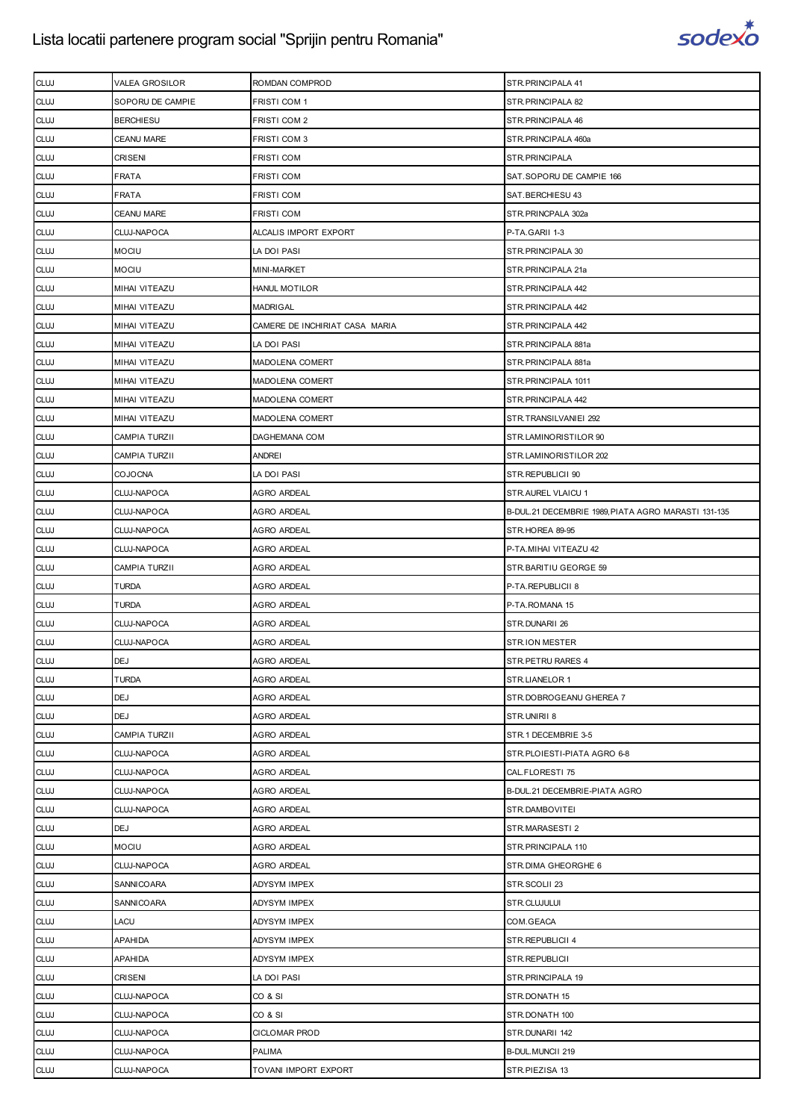

| <b>CLUJ</b> | VALEA GROSILOR       | ROMDAN COMPROD                 | STR. PRINCIPALA 41                                  |
|-------------|----------------------|--------------------------------|-----------------------------------------------------|
| <b>CLUJ</b> | SOPORU DE CAMPIE     | FRISTI COM 1                   | STR. PRINCIPALA 82                                  |
| <b>CLUJ</b> | <b>BERCHIESU</b>     | FRISTI COM 2                   | STR. PRINCIPALA 46                                  |
| <b>CLUJ</b> | <b>CEANU MARE</b>    | FRISTI COM 3                   | STR.PRINCIPALA 460a                                 |
| <b>CLUJ</b> | <b>CRISENI</b>       | <b>FRISTI COM</b>              | STR.PRINCIPALA                                      |
| <b>CLUJ</b> | FRATA                | <b>FRISTI COM</b>              | SAT.SOPORU DE CAMPIE 166                            |
| <b>CLUJ</b> | FRATA                | <b>FRISTI COM</b>              | SAT.BERCHIESU 43                                    |
| <b>CLUJ</b> | <b>CEANU MARE</b>    | <b>FRISTI COM</b>              | STR.PRINCPALA 302a                                  |
| <b>CLUJ</b> | CLUJ-NAPOCA          | ALCALIS IMPORT EXPORT          | P-TA.GARII 1-3                                      |
| <b>CLUJ</b> | <b>MOCIU</b>         | LA DOI PASI                    | STR.PRINCIPALA 30                                   |
| <b>CLUJ</b> | <b>MOCIU</b>         | MINI-MARKET                    | STR.PRINCIPALA 21a                                  |
| <b>CLUJ</b> | MIHAI VITEAZU        | <b>HANUL MOTILOR</b>           | STR. PRINCIPALA 442                                 |
| <b>CLUJ</b> | MIHAI VITEAZU        | <b>MADRIGAL</b>                | STR. PRINCIPALA 442                                 |
| <b>CLUJ</b> | MIHAI VITEAZU        | CAMERE DE INCHIRIAT CASA MARIA | STR. PRINCIPALA 442                                 |
| <b>CLUJ</b> | MIHAI VITEAZU        | LA DOI PASI                    | STR.PRINCIPALA 881a                                 |
| <b>CLUJ</b> | MIHAI VITEAZU        | MADOLENA COMERT                | STR.PRINCIPALA 881a                                 |
| <b>CLUJ</b> | MIHAI VITEAZU        | MADOLENA COMERT                | STR. PRINCIPALA 1011                                |
| <b>CLUJ</b> | MIHAI VITEAZU        | MADOLENA COMERT                | STR. PRINCIPALA 442                                 |
| <b>CLUJ</b> | MIHAI VITEAZU        | MADOLENA COMERT                | STR.TRANSILVANIEI 292                               |
| <b>CLUJ</b> | <b>CAMPIA TURZII</b> | DAGHEMANA COM                  | STR.LAMINORISTILOR 90                               |
| <b>CLUJ</b> | <b>CAMPIA TURZII</b> | <b>ANDREI</b>                  | STR.LAMINORISTILOR 202                              |
| <b>CLUJ</b> | <b>COJOCNA</b>       | LA DOI PASI                    | STR.REPUBLICII 90                                   |
| <b>CLUJ</b> | CLUJ-NAPOCA          | <b>AGRO ARDEAL</b>             | STR.AUREL VLAICU 1                                  |
| <b>CLUJ</b> | CLUJ-NAPOCA          | AGRO ARDEAL                    | B-DUL.21 DECEMBRIE 1989, PIATA AGRO MARASTI 131-135 |
| <b>CLUJ</b> | CLUJ-NAPOCA          | <b>AGRO ARDEAL</b>             | STR.HOREA 89-95                                     |
| <b>CLUJ</b> | CLUJ-NAPOCA          | AGRO ARDEAL                    | P-TA.MIHAI VITEAZU 42                               |
| <b>CLUJ</b> | <b>CAMPIA TURZII</b> | <b>AGRO ARDEAL</b>             | STR.BARITIU GEORGE 59                               |
| <b>CLUJ</b> | <b>TURDA</b>         | <b>AGRO ARDEAL</b>             | P-TA.REPUBLICII 8                                   |
| <b>CLUJ</b> | <b>TURDA</b>         | <b>AGRO ARDEAL</b>             | P-TA.ROMANA 15                                      |
| <b>CLUJ</b> | CLUJ-NAPOCA          | AGRO ARDEAL                    | STR.DUNARII 26                                      |
| <b>CLUJ</b> | CLUJ-NAPOCA          | <b>AGRO ARDEAL</b>             | <b>STR.ION MESTER</b>                               |
| <b>CLUJ</b> | <b>DEJ</b>           | <b>AGRO ARDEAL</b>             | STR. PETRU RARES 4                                  |
| <b>CLUJ</b> | <b>TURDA</b>         | <b>AGRO ARDEAL</b>             | STR.LIANELOR 1                                      |
| <b>CLUJ</b> | <b>DEJ</b>           | AGRO ARDEAL                    | STR.DOBROGEANU GHEREA 7                             |
| <b>CLUJ</b> | <b>DEJ</b>           | <b>AGRO ARDEAL</b>             | STR.UNIRII 8                                        |
| <b>CLUJ</b> | CAMPIA TURZII        | <b>AGRO ARDEAL</b>             | STR.1 DECEMBRIE 3-5                                 |
| <b>CLUJ</b> | CLUJ-NAPOCA          | AGRO ARDEAL                    | STR.PLOIESTI-PIATA AGRO 6-8                         |
| <b>CLUJ</b> | CLUJ-NAPOCA          | <b>AGRO ARDEAL</b>             | CAL.FLORESTI 75                                     |
| <b>CLUJ</b> | CLUJ-NAPOCA          | <b>AGRO ARDEAL</b>             | B-DUL.21 DECEMBRIE-PIATA AGRO                       |
| <b>CLUJ</b> | CLUJ-NAPOCA          | AGRO ARDEAL                    | STR.DAMBOVITEI                                      |
| <b>CLUJ</b> | <b>DEJ</b>           | <b>AGRO ARDEAL</b>             | STR.MARASESTI 2                                     |
| <b>CLUJ</b> | <b>MOCIU</b>         | <b>AGRO ARDEAL</b>             | STR. PRINCIPALA 110                                 |
| <b>CLUJ</b> | CLUJ-NAPOCA          | <b>AGRO ARDEAL</b>             | STR.DIMA GHEORGHE 6                                 |
| <b>CLUJ</b> | <b>SANNICOARA</b>    | <b>ADYSYM IMPEX</b>            | STR.SCOLII 23                                       |
| <b>CLUJ</b> | <b>SANNICOARA</b>    | ADYSYM IMPEX                   | STR.CLUJULUI                                        |
| <b>CLUJ</b> | LACU                 | ADYSYM IMPEX                   | COM.GEACA                                           |
| <b>CLUJ</b> | <b>APAHIDA</b>       | <b>ADYSYM IMPEX</b>            | STR.REPUBLICII 4                                    |
| <b>CLUJ</b> | <b>APAHIDA</b>       | ADYSYM IMPEX                   | STR.REPUBLICII                                      |
| <b>CLUJ</b> | <b>CRISENI</b>       | LA DOI PASI                    | STR. PRINCIPALA 19                                  |
| <b>CLUJ</b> | CLUJ-NAPOCA          | CO & SI                        | STR.DONATH 15                                       |
| <b>CLUJ</b> | CLUJ-NAPOCA          | CO & SI                        | STR.DONATH 100                                      |
| <b>CLUJ</b> | CLUJ-NAPOCA          | <b>CICLOMAR PROD</b>           | STR.DUNARII 142                                     |
| <b>CLUJ</b> | CLUJ-NAPOCA          | <b>PALIMA</b>                  | B-DUL. MUNCII 219                                   |
| <b>CLUJ</b> | CLUJ-NAPOCA          | TOVANI IMPORT EXPORT           | STR.PIEZISA 13                                      |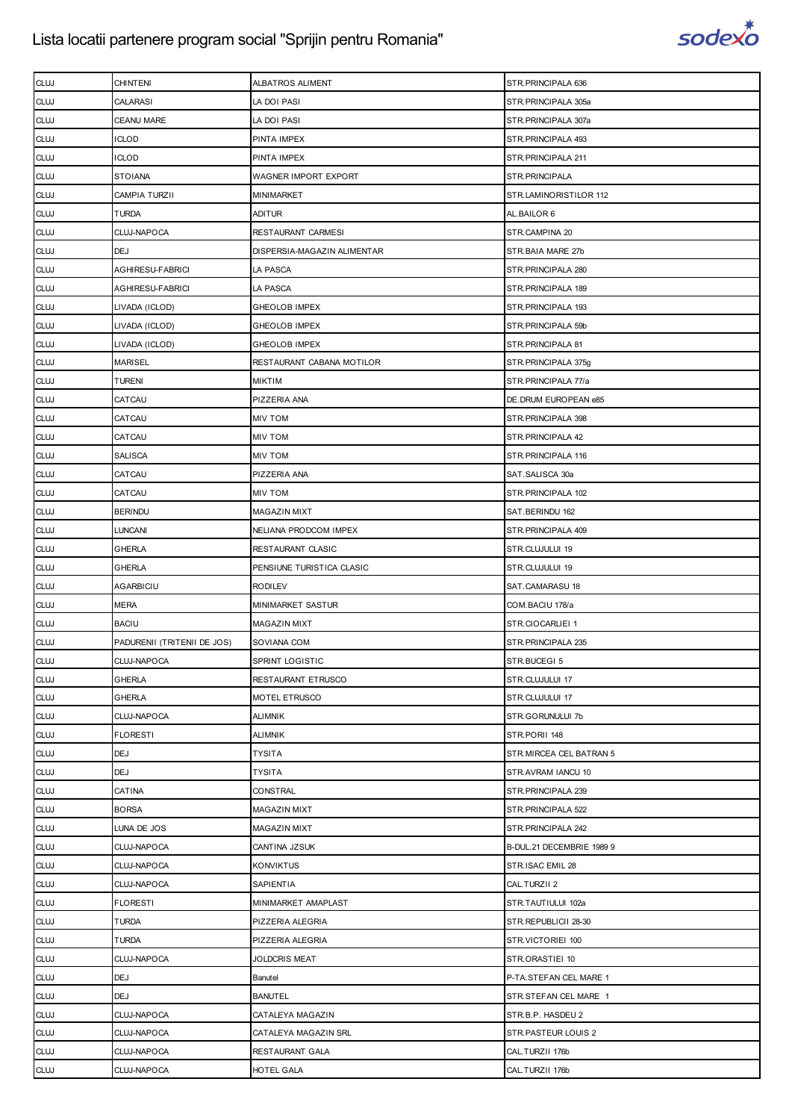

| <b>CLUJ</b> | <b>CHINTENI</b>             | ALBATROS ALIMENT            | STR.PRINCIPALA 636        |
|-------------|-----------------------------|-----------------------------|---------------------------|
| <b>CLUJ</b> | CALARASI                    | LA DOI PASI                 | STR.PRINCIPALA 305a       |
| <b>CLUJ</b> | <b>CEANU MARE</b>           | LA DOI PASI                 | STR.PRINCIPALA 307a       |
| <b>CLUJ</b> | ICLOD                       | PINTA IMPEX                 | STR. PRINCIPALA 493       |
| <b>CLUJ</b> | ICLOD                       | PINTA IMPEX                 | STR.PRINCIPALA 211        |
| <b>CLUJ</b> | <b>STOIANA</b>              | WAGNER IMPORT EXPORT        | STR.PRINCIPALA            |
| <b>CLUJ</b> | CAMPIA TURZII               | MINIMARKET                  | STR.LAMINORISTILOR 112    |
| <b>CLUJ</b> | <b>TURDA</b>                | <b>ADITUR</b>               | AL.BAILOR 6               |
| <b>CLUJ</b> | CLUJ-NAPOCA                 | <b>RESTAURANT CARMESI</b>   | STR.CAMPINA 20            |
| <b>CLUJ</b> | DEJ                         | DISPERSIA-MAGAZIN ALIMENTAR | STR.BAIA MARE 27b         |
| <b>CLUJ</b> | AGHIRESU-FABRICI            | LA PASCA                    | STR. PRINCIPALA 280       |
| <b>CLUJ</b> | <b>AGHIRESU-FABRICI</b>     | LA PASCA                    | STR. PRINCIPALA 189       |
| <b>CLUJ</b> | LIVADA (ICLOD)              | GHEOLOB IMPEX               | STR. PRINCIPALA 193       |
| <b>CLUJ</b> | LIVADA (ICLOD)              | GHEOLOB IMPEX               | STR. PRINCIPALA 59b       |
| <b>CLUJ</b> | LIVADA (ICLOD)              | GHEOLOB IMPEX               | STR. PRINCIPALA 81        |
| <b>CLUJ</b> | <b>MARISEL</b>              | RESTAURANT CABANA MOTILOR   | STR.PRINCIPALA 375g       |
| <b>CLUJ</b> | <b>TURENI</b>               | <b>MIKTIM</b>               | STR.PRINCIPALA 77/a       |
| <b>CLUJ</b> | CATCAU                      | PIZZERIA ANA                | DE. DRUM EUROPEAN e85     |
| <b>CLUJ</b> | CATCAU                      | <b>MIV TOM</b>              | STR. PRINCIPALA 398       |
| <b>CLUJ</b> | CATCAU                      | <b>MIV TOM</b>              | STR. PRINCIPALA 42        |
| <b>CLUJ</b> | <b>SALISCA</b>              | <b>MIV TOM</b>              | STR.PRINCIPALA 116        |
| <b>CLUJ</b> | CATCAU                      | PIZZERIA ANA                | SAT.SALISCA 30a           |
| <b>CLUJ</b> | CATCAU                      | <b>MIV TOM</b>              | STR. PRINCIPALA 102       |
| <b>CLUJ</b> | <b>BERINDU</b>              | <b>MAGAZIN MIXT</b>         | SAT.BERINDU 162           |
| <b>CLUJ</b> | LUNCANI                     | NELIANA PRODCOM IMPEX       | STR. PRINCIPALA 409       |
| <b>CLUJ</b> | <b>GHERLA</b>               | RESTAURANT CLASIC           | STR.CLUJULUI 19           |
| <b>CLUJ</b> | GHERLA                      | PENSIUNE TURISTICA CLASIC   | STR.CLUJULUI 19           |
| <b>CLUJ</b> | AGARBICIU                   | <b>RODILEV</b>              | SAT.CAMARASU 18           |
| <b>CLUJ</b> | MERA                        | MINIMARKET SASTUR           | COM.BACIU 178/a           |
| <b>CLUJ</b> | <b>BACIU</b>                | <b>MAGAZIN MIXT</b>         | STR.CIOCARLIEI 1          |
| <b>CLUJ</b> | PADURENII (TRITENII DE JOS) | SOVIANA COM                 | STR. PRINCIPALA 235       |
| <b>CLUJ</b> | CLUJ-NAPOCA                 | SPRINT LOGISTIC             | STR.BUCEGI 5              |
| <b>CLUJ</b> | <b>GHERLA</b>               | RESTAURANT ETRUSCO          | STR.CLUJULUI 17           |
| <b>CLUJ</b> | <b>GHERLA</b>               | <b>MOTEL ETRUSCO</b>        | STR.CLUJULUI 17           |
| <b>CLUJ</b> | CLUJ-NAPOCA                 | <b>ALIMNIK</b>              | STR.GORUNULUI 7b          |
| <b>CLUJ</b> | <b>FLORESTI</b>             | <b>ALIMNIK</b>              | STR.PORII 148             |
| <b>CLUJ</b> | DEJ                         | <b>TYSITA</b>               | STR. MIRCEA CEL BATRAN 5  |
| <b>CLUJ</b> | <b>DEJ</b>                  | <b>TYSITA</b>               | STR.AVRAM IANCU 10        |
| <b>CLUJ</b> | CATINA                      | CONSTRAL                    | STR. PRINCIPALA 239       |
| <b>CLUJ</b> | <b>BORSA</b>                | <b>MAGAZIN MIXT</b>         | STR. PRINCIPALA 522       |
| <b>CLUJ</b> | LUNA DE JOS                 | <b>MAGAZIN MIXT</b>         | STR. PRINCIPALA 242       |
| <b>CLUJ</b> | CLUJ-NAPOCA                 | CANTINA JZSUK               | B-DUL.21 DECEMBRIE 1989 9 |
| <b>CLUJ</b> | CLUJ-NAPOCA                 | <b>KONVIKTUS</b>            | STR.ISAC EMIL 28          |
| <b>CLUJ</b> | CLUJ-NAPOCA                 | SAPIENTIA                   | CAL.TURZII 2              |
| <b>CLUJ</b> | <b>FLORESTI</b>             | MINIMARKET AMAPLAST         | STR.TAUTIULUI 102a        |
| <b>CLUJ</b> | <b>TURDA</b>                | PIZZERIA ALEGRIA            | STR.REPUBLICII 28-30      |
| <b>CLUJ</b> | <b>TURDA</b>                | PIZZERIA ALEGRIA            | STR.VICTORIEI 100         |
| <b>CLUJ</b> | CLUJ-NAPOCA                 | <b>JOLDCRIS MEAT</b>        | STR.ORASTIEI 10           |
| <b>CLUJ</b> | <b>DEJ</b>                  | Banutel                     | P-TA.STEFAN CEL MARE 1    |
| <b>CLUJ</b> | <b>DEJ</b>                  | <b>BANUTEL</b>              | STR.STEFAN CEL MARE 1     |
| <b>CLUJ</b> | CLUJ-NAPOCA                 | CATALEYA MAGAZIN            | STR.B.P. HASDEU 2         |
| <b>CLUJ</b> | CLUJ-NAPOCA                 | CATALEYA MAGAZIN SRL        | STR.PASTEUR LOUIS 2       |
| <b>CLUJ</b> | CLUJ-NAPOCA                 | RESTAURANT GALA             | CAL.TURZII 176b           |
| <b>CLUJ</b> | CLUJ-NAPOCA                 | HOTEL GALA                  | CAL.TURZII 176b           |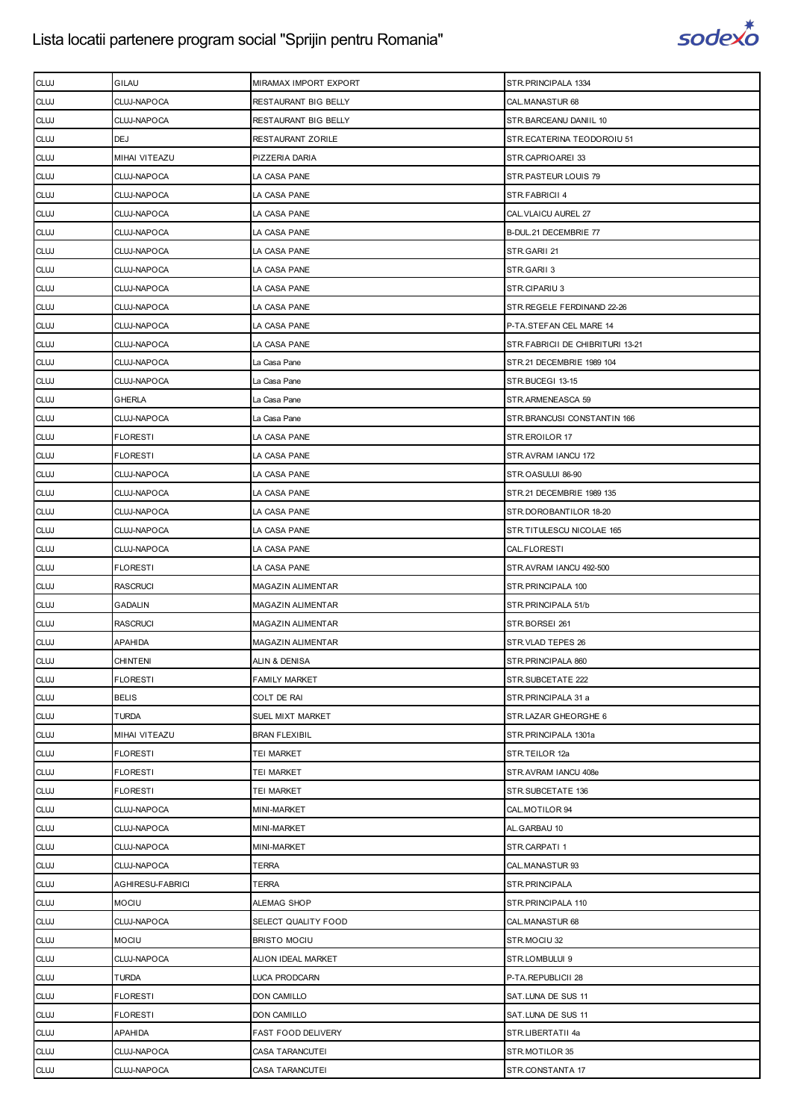

| <b>CLUJ</b> | GILAU            | MIRAMAX IMPORT EXPORT    | STR.PRINCIPALA 1334              |
|-------------|------------------|--------------------------|----------------------------------|
| <b>CLUJ</b> | CLUJ-NAPOCA      | RESTAURANT BIG BELLY     | CAL.MANASTUR 68                  |
| <b>CLUJ</b> | CLUJ-NAPOCA      | RESTAURANT BIG BELLY     | STR. BARCEANU DANIIL 10          |
| <b>CLUJ</b> | DEJ              | RESTAURANT ZORILE        | STR.ECATERINA TEODOROIU 51       |
| <b>CLUJ</b> | MIHAI VITEAZU    | PIZZERIA DARIA           | STR.CAPRIOAREI 33                |
| <b>CLUJ</b> | CLUJ-NAPOCA      | LA CASA PANE             | STR.PASTEUR LOUIS 79             |
| <b>CLUJ</b> | CLUJ-NAPOCA      | LA CASA PANE             | STR.FABRICII 4                   |
| <b>CLUJ</b> | CLUJ-NAPOCA      | LA CASA PANE             | CAL. VLAICU AUREL 27             |
| <b>CLUJ</b> | CLUJ-NAPOCA      | LA CASA PANE             | B-DUL.21 DECEMBRIE 77            |
| <b>CLUJ</b> | CLUJ-NAPOCA      | LA CASA PANE             | STR.GARII 21                     |
| <b>CLUJ</b> | CLUJ-NAPOCA      | LA CASA PANE             | STR.GARII 3                      |
| <b>CLUJ</b> | CLUJ-NAPOCA      | LA CASA PANE             | STR.CIPARIU 3                    |
| <b>CLUJ</b> | CLUJ-NAPOCA      | LA CASA PANE             | STR.REGELE FERDINAND 22-26       |
| <b>CLUJ</b> | CLUJ-NAPOCA      | LA CASA PANE             | P-TA.STEFAN CEL MARE 14          |
| <b>CLUJ</b> | CLUJ-NAPOCA      | LA CASA PANE             | STR.FABRICII DE CHIBRITURI 13-21 |
| <b>CLUJ</b> | CLUJ-NAPOCA      | La Casa Pane             | STR.21 DECEMBRIE 1989 104        |
| <b>CLUJ</b> | CLUJ-NAPOCA      | La Casa Pane             | STR.BUCEGI 13-15                 |
| <b>CLUJ</b> | GHERLA           | La Casa Pane             | STR.ARMENEASCA 59                |
| <b>CLUJ</b> | CLUJ-NAPOCA      | La Casa Pane             | STR.BRANCUSI CONSTANTIN 166      |
| <b>CLUJ</b> | <b>FLORESTI</b>  | LA CASA PANE             | STR.EROILOR 17                   |
| <b>CLUJ</b> | <b>FLORESTI</b>  | LA CASA PANE             | STR.AVRAM IANCU 172              |
| <b>CLUJ</b> | CLUJ-NAPOCA      | LA CASA PANE             | STR.OASULUI 86-90                |
| <b>CLUJ</b> | CLUJ-NAPOCA      | LA CASA PANE             | STR.21 DECEMBRIE 1989 135        |
| <b>CLUJ</b> | CLUJ-NAPOCA      | LA CASA PANE             | STR.DOROBANTILOR 18-20           |
| <b>CLUJ</b> | CLUJ-NAPOCA      | LA CASA PANE             | STR.TITULESCU NICOLAE 165        |
| <b>CLUJ</b> | CLUJ-NAPOCA      | LA CASA PANE             | CAL.FLORESTI                     |
| <b>CLUJ</b> | <b>FLORESTI</b>  | LA CASA PANE             | STR.AVRAM IANCU 492-500          |
| <b>CLUJ</b> | <b>RASCRUCI</b>  | MAGAZIN ALIMENTAR        | STR.PRINCIPALA 100               |
| <b>CLUJ</b> | <b>GADALIN</b>   | <b>MAGAZIN ALIMENTAR</b> | STR.PRINCIPALA 51/b              |
| <b>CLUJ</b> | <b>RASCRUCI</b>  | MAGAZIN ALIMENTAR        | STR.BORSEI 261                   |
| <b>CLUJ</b> | APAHIDA          | MAGAZIN ALIMENTAR        | STR.VLAD TEPES 26                |
| <b>CLUJ</b> | <b>CHINTENI</b>  | ALIN & DENISA            | STR.PRINCIPALA 860               |
| <b>CLUJ</b> | <b>FLORESTI</b>  | <b>FAMILY MARKET</b>     | STR.SUBCETATE 222                |
| <b>CLUJ</b> | <b>BELIS</b>     | COLT DE RAI              | STR.PRINCIPALA 31 a              |
| <b>CLUJ</b> | <b>TURDA</b>     | SUEL MIXT MARKET         | STR.LAZAR GHEORGHE 6             |
| <b>CLUJ</b> | MIHAI VITEAZU    | <b>BRAN FLEXIBIL</b>     | STR.PRINCIPALA 1301a             |
| <b>CLUJ</b> | <b>FLORESTI</b>  | tei Market               | STR.TEILOR 12a                   |
| <b>CLUJ</b> | <b>FLORESTI</b>  | TEI MARKET               | STR.AVRAM IANCU 408e             |
| <b>CLUJ</b> | <b>FLORESTI</b>  | TEI MARKET               | STR.SUBCETATE 136                |
| <b>CLUJ</b> | CLUJ-NAPOCA      | MINI-MARKET              | CAL.MOTILOR 94                   |
| <b>CLUJ</b> | CLUJ-NAPOCA      | MINI-MARKET              | AL.GARBAU 10                     |
| <b>CLUJ</b> | CLUJ-NAPOCA      | MINI-MARKET              | STR.CARPATI1                     |
| <b>CLUJ</b> | CLUJ-NAPOCA      | TERRA                    | CAL.MANASTUR 93                  |
| <b>CLUJ</b> | AGHIRESU-FABRICI | TERRA                    | STR.PRINCIPALA                   |
| <b>CLUJ</b> | <b>MOCIU</b>     | ALEMAG SHOP              | STR.PRINCIPALA 110               |
| <b>CLUJ</b> | CLUJ-NAPOCA      | SELECT QUALITY FOOD      | CAL.MANASTUR 68                  |
| <b>CLUJ</b> | <b>MOCIU</b>     | <b>BRISTO MOCIU</b>      | STR.MOCIU 32                     |
| <b>CLUJ</b> | CLUJ-NAPOCA      | ALION IDEAL MARKET       | STR.LOMBULUI 9                   |
| <b>CLUJ</b> | <b>TURDA</b>     | LUCA PRODCARN            | P-TA.REPUBLICII 28               |
| <b>CLUJ</b> | <b>FLORESTI</b>  | <b>DON CAMILLO</b>       | SAT.LUNA DE SUS 11               |
| <b>CLUJ</b> | <b>FLORESTI</b>  | DON CAMILLO              | SAT.LUNA DE SUS 11               |
| <b>CLUJ</b> | APAHIDA          | FAST FOOD DELIVERY       | STR.LIBERTATII 4a                |
| <b>CLUJ</b> | CLUJ-NAPOCA      | CASA TARANCUTEI          | STR.MOTILOR 35                   |
| <b>CLUJ</b> | CLUJ-NAPOCA      | CASA TARANCUTEI          | STR.CONSTANTA 17                 |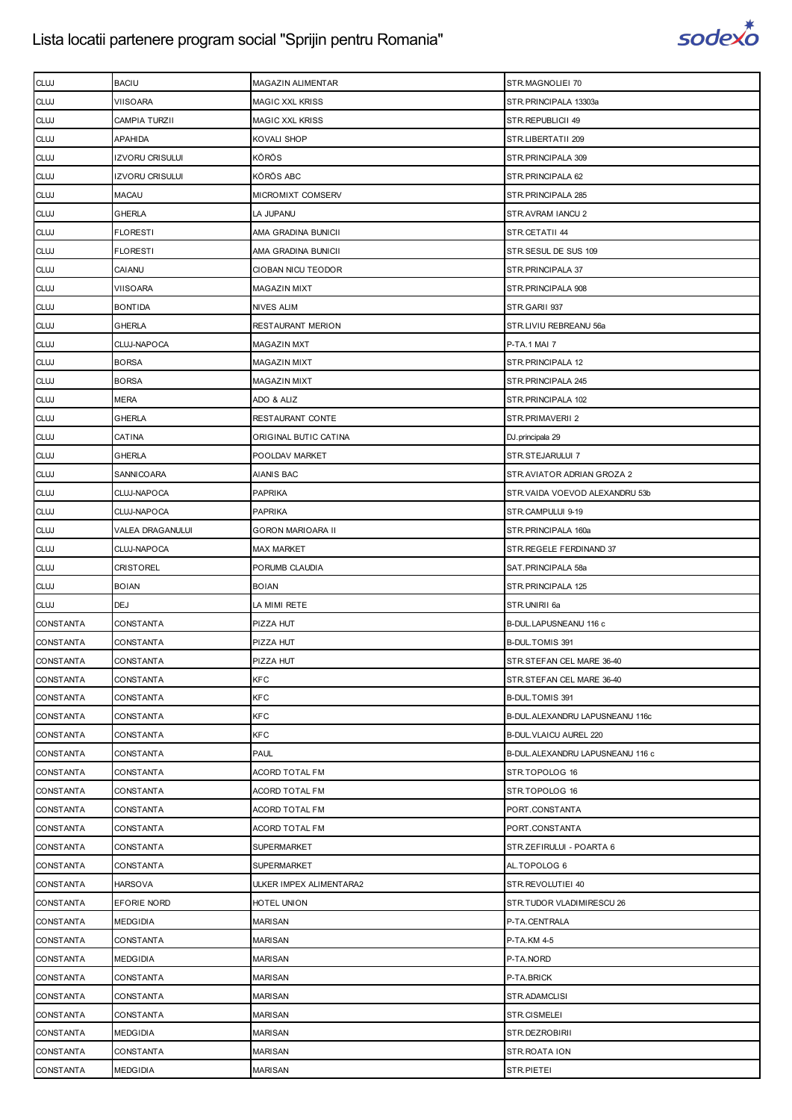

| <b>CLUJ</b>      | <b>BACIU</b>           | MAGAZIN ALIMENTAR         | STR.MAGNOLIEI 70                  |
|------------------|------------------------|---------------------------|-----------------------------------|
| <b>CLUJ</b>      | VIISOARA               | <b>MAGIC XXL KRISS</b>    | STR.PRINCIPALA 13303a             |
| <b>CLUJ</b>      | CAMPIA TURZII          | <b>MAGIC XXL KRISS</b>    | STR.REPUBLICII 49                 |
| <b>CLUJ</b>      | APAHIDA                | KOVALI SHOP               | STR.LIBERTATII 209                |
| <b>CLUJ</b>      | <b>IZVORU CRISULUI</b> | <b>KÖRÖS</b>              | STR.PRINCIPALA 309                |
| <b>CLUJ</b>      | <b>IZVORU CRISULUI</b> | KÖRÖS ABC                 | STR.PRINCIPALA 62                 |
| <b>CLUJ</b>      | MACAU                  | MICROMIXT COMSERV         | STR.PRINCIPALA 285                |
| <b>CLUJ</b>      | <b>GHERLA</b>          | LA JUPANU                 | STR.AVRAM IANCU 2                 |
| <b>CLUJ</b>      | <b>FLORESTI</b>        | AMA GRADINA BUNICII       | STR.CETATII 44                    |
| <b>CLUJ</b>      | <b>FLORESTI</b>        | AMA GRADINA BUNICII       | STR.SESUL DE SUS 109              |
| <b>CLUJ</b>      | CAIANU                 | <b>CIOBAN NICU TEODOR</b> | STR.PRINCIPALA 37                 |
| <b>CLUJ</b>      | VIISOARA               | <b>MAGAZIN MIXT</b>       | STR.PRINCIPALA 908                |
| <b>CLUJ</b>      | BONTIDA                | NIVES ALIM                | STR.GARII 937                     |
| <b>CLUJ</b>      | <b>GHERLA</b>          | RESTAURANT MERION         | STR.LIVIU REBREANU 56a            |
| <b>CLUJ</b>      | CLUJ-NAPOCA            | <b>MAGAZIN MXT</b>        | P-TA.1 MAI 7                      |
| <b>CLUJ</b>      | <b>BORSA</b>           | <b>MAGAZIN MIXT</b>       | STR. PRINCIPALA 12                |
| <b>CLUJ</b>      | <b>BORSA</b>           | <b>MAGAZIN MIXT</b>       | STR.PRINCIPALA 245                |
| <b>CLUJ</b>      | <b>MERA</b>            | ADO & ALIZ                | STR.PRINCIPALA 102                |
| <b>CLUJ</b>      | GHERLA                 | RESTAURANT CONTE          | STR.PRIMAVERII 2                  |
| <b>CLUJ</b>      | CATINA                 | ORIGINAL BUTIC CATINA     | DJ.principala 29                  |
| <b>CLUJ</b>      | GHERLA                 | POOLDAV MARKET            | STR.STEJARULUI 7                  |
| <b>CLUJ</b>      | SANNICOARA             | AIANIS BAC                | STR. AVIATOR ADRIAN GROZA 2       |
| <b>CLUJ</b>      | CLUJ-NAPOCA            | <b>PAPRIKA</b>            | STR. VAIDA VOEVOD ALEXANDRU 53b   |
| <b>CLUJ</b>      | CLUJ-NAPOCA            | <b>PAPRIKA</b>            | STR.CAMPULUI 9-19                 |
| <b>CLUJ</b>      | VALEA DRAGANULUI       | <b>GORON MARIOARA II</b>  | STR.PRINCIPALA 160a               |
| <b>CLUJ</b>      | CLUJ-NAPOCA            | <b>MAX MARKET</b>         | STR.REGELE FERDINAND 37           |
| <b>CLUJ</b>      | <b>CRISTOREL</b>       | PORUMB CLAUDIA            | SAT.PRINCIPALA 58a                |
|                  |                        |                           |                                   |
| <b>CLUJ</b>      | <b>BOIAN</b>           | <b>BOIAN</b>              | STR.PRINCIPALA 125                |
| <b>CLUJ</b>      | DEJ                    | LA MIMI RETE              | STR.UNIRII 6a                     |
| <b>CONSTANTA</b> | CONSTANTA              | PIZZA HUT                 | B-DUL.LAPUSNEANU 116 c            |
| CONSTANTA        | CONSTANTA              | PIZZA HUT                 | B-DUL.TOMIS 391                   |
| <b>CONSTANTA</b> | CONSTANTA              | PIZZA HUT                 | STR.STEFAN CEL MARE 36-40         |
| <b>CONSTANTA</b> | CONSTANTA              | <b>KFC</b>                | STR.STEFAN CEL MARE 36-40         |
| CONSTANTA        | CONSTANTA              | KFC                       | B-DUL.TOMIS 391                   |
| <b>CONSTANTA</b> | CONSTANTA              | KFC                       | B-DUL. ALEXANDRU LAPUSNEANU 116c  |
| CONSTANTA        | <b>CONSTANTA</b>       | <b>KFC</b>                | B-DUL. VLAICU AUREL 220           |
| <b>CONSTANTA</b> | CONSTANTA              | <b>PAUL</b>               | B-DUL. ALEXANDRU LAPUSNEANU 116 c |
| CONSTANTA        | CONSTANTA              | ACORD TOTAL FM            | STR.TOPOLOG 16                    |
| CONSTANTA        | CONSTANTA              | ACORD TOTAL FM            | STR.TOPOLOG 16                    |
| <b>CONSTANTA</b> | CONSTANTA              | ACORD TOTAL FM            | PORT.CONSTANTA                    |
| CONSTANTA        | CONSTANTA              | <b>ACORD TOTAL FM</b>     | PORT.CONSTANTA                    |
| CONSTANTA        | CONSTANTA              | <b>SUPERMARKET</b>        | STR.ZEFIRULUI - POARTA 6          |
| CONSTANTA        | CONSTANTA              | <b>SUPERMARKET</b>        | AL.TOPOLOG 6                      |
| CONSTANTA        | <b>HARSOVA</b>         | ULKER IMPEX ALIMENTARA2   | STR.REVOLUTIEI 40                 |
| CONSTANTA        | EFORIE NORD            | HOTEL UNION               | STR.TUDOR VLADIMIRESCU 26         |
| CONSTANTA        | MEDGIDIA               | <b>MARISAN</b>            | P-TA.CENTRALA                     |
| CONSTANTA        | CONSTANTA              | <b>MARISAN</b>            | P-TA.KM 4-5                       |
| CONSTANTA        | <b>MEDGIDIA</b>        | <b>MARISAN</b>            | P-TA.NORD                         |
| CONSTANTA        | CONSTANTA              | <b>MARISAN</b>            | P-TA.BRICK                        |
| CONSTANTA        | CONSTANTA              | <b>MARISAN</b>            | STR.ADAMCLISI                     |
| CONSTANTA        | CONSTANTA              | <b>MARISAN</b>            | STR.CISMELEI                      |
| CONSTANTA        | MEDGIDIA               | <b>MARISAN</b>            | STR.DEZROBIRII                    |
| CONSTANTA        | CONSTANTA              | <b>MARISAN</b>            | STR.ROATA ION                     |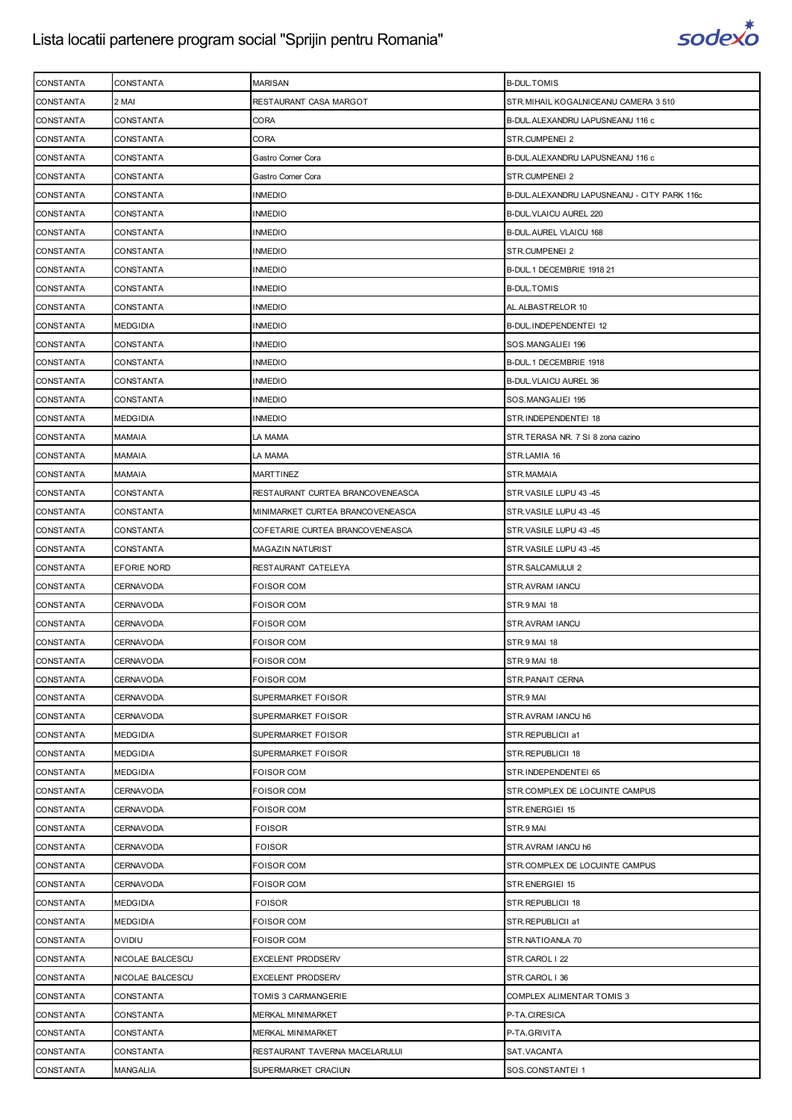

| <b>CONSTANTA</b> | CONSTANTA        | <b>MARISAN</b>                   | <b>B-DUL.TOMIS</b>                           |
|------------------|------------------|----------------------------------|----------------------------------------------|
| <b>CONSTANTA</b> | 2 MAI            | RESTAURANT CASA MARGOT           | STR. MIHAIL KOGALNICEANU CAMERA 3 510        |
| <b>CONSTANTA</b> | CONSTANTA        | CORA                             | B-DUL.ALEXANDRU LAPUSNEANU 116 c             |
| <b>CONSTANTA</b> | CONSTANTA        | CORA                             | STR.CUMPENEI 2                               |
| <b>CONSTANTA</b> | CONSTANTA        | Gastro Corner Cora               | B-DUL.ALEXANDRU LAPUSNEANU 116 c             |
| <b>CONSTANTA</b> | CONSTANTA        | Gastro Corner Cora               | STR.CUMPENEI 2                               |
| CONSTANTA        | CONSTANTA        | <b>INMEDIO</b>                   | B-DUL. ALEXANDRU LAPUSNEANU - CITY PARK 116c |
| <b>CONSTANTA</b> | CONSTANTA        | <b>INMEDIO</b>                   | B-DUL. VLAICU AUREL 220                      |
| <b>CONSTANTA</b> | CONSTANTA        | <b>INMEDIO</b>                   | B-DUL.AUREL VLAICU 168                       |
| CONSTANTA        | CONSTANTA        | <b>INMEDIO</b>                   | STR.CUMPENEI 2                               |
| <b>CONSTANTA</b> | CONSTANTA        | <b>INMEDIO</b>                   | B-DUL.1 DECEMBRIE 1918 21                    |
| <b>CONSTANTA</b> | CONSTANTA        | <b>INMEDIO</b>                   | <b>B-DUL.TOMIS</b>                           |
| CONSTANTA        | CONSTANTA        | <b>INMEDIO</b>                   | AL.ALBASTRELOR 10                            |
| <b>CONSTANTA</b> | <b>MEDGIDIA</b>  | <b>INMEDIO</b>                   | B-DUL.INDEPENDENTEI 12                       |
| <b>CONSTANTA</b> | CONSTANTA        | <b>INMEDIO</b>                   | SOS.MANGALIEI 196                            |
| CONSTANTA        | CONSTANTA        | <b>INMEDIO</b>                   | B-DUL.1 DECEMBRIE 1918                       |
| <b>CONSTANTA</b> | <b>CONSTANTA</b> | <b>INMEDIO</b>                   | <b>B-DUL VLAICU AUREL 36</b>                 |
| <b>CONSTANTA</b> | CONSTANTA        | <b>INMEDIO</b>                   | SOS.MANGALIEI 195                            |
| <b>CONSTANTA</b> | MEDGIDIA         | <b>INMEDIO</b>                   | STR.INDEPENDENTEI 18                         |
| <b>CONSTANTA</b> | <b>MAMAIA</b>    | LA MAMA                          | STR.TERASA NR. 7 SI 8 zona cazino            |
| <b>CONSTANTA</b> | MAMAIA           | LA MAMA                          | STR.LAMIA 16                                 |
| <b>CONSTANTA</b> | MAMAIA           | MARTTINEZ                        | STR.MAMAIA                                   |
| <b>CONSTANTA</b> | CONSTANTA        | RESTAURANT CURTEA BRANCOVENEASCA | STR.VASILE LUPU 43 -45                       |
| <b>CONSTANTA</b> | CONSTANTA        | MINIMARKET CURTEA BRANCOVENEASCA | STR.VASILE LUPU 43 -45                       |
| <b>CONSTANTA</b> | CONSTANTA        | COFETARIE CURTEA BRANCOVENEASCA  | STR.VASILE LUPU 43 -45                       |
| <b>CONSTANTA</b> | CONSTANTA        | MAGAZIN NATURIST                 | STR.VASILE LUPU 43 -45                       |
| <b>CONSTANTA</b> | EFORIE NORD      | RESTAURANT CATELEYA              | STR.SALCAMULUI 2                             |
| <b>CONSTANTA</b> | CERNAVODA        | <b>FOISOR COM</b>                | STR.AVRAM IANCU                              |
| <b>CONSTANTA</b> | CERNAVODA        | <b>FOISOR COM</b>                | STR.9 MAI 18                                 |
| <b>CONSTANTA</b> | <b>CERNAVODA</b> | <b>FOISOR COM</b>                | STR.AVRAM IANCU                              |
| <b>CONSTANTA</b> | CERNAVODA        | <b>FOISOR COM</b>                | <b>STR.9 MAI 18</b>                          |
| <b>CONSTANTA</b> | CERNAVODA        | <b>FOISOR COM</b>                | STR.9 MAI 18                                 |
| CONSTANTA        | CERNAVODA        | <b>FOISOR COM</b>                | STR. PANAIT CERNA                            |
| <b>CONSTANTA</b> | CERNAVODA        | SUPERMARKET FOISOR               | STR.9 MAI                                    |
| CONSTANTA        | CERNAVODA        | SUPERMARKET FOISOR               | STR.AVRAM IANCU h6                           |
| <b>CONSTANTA</b> | <b>MEDGIDIA</b>  | SUPERMARKET FOISOR               | STR.REPUBLICII a1                            |
| <b>CONSTANTA</b> | <b>MEDGIDIA</b>  | SUPERMARKET FOISOR               | STR.REPUBLICII 18                            |
| CONSTANTA        | <b>MEDGIDIA</b>  | <b>FOISOR COM</b>                | STR.INDEPENDENTEI 65                         |
| CONSTANTA        | CERNAVODA        | <b>FOISOR COM</b>                | STR.COMPLEX DE LOCUINTE CAMPUS               |
| <b>CONSTANTA</b> | CERNAVODA        | FOISOR COM                       | STR.ENERGIEI 15                              |
| CONSTANTA        | CERNAVODA        | <b>FOISOR</b>                    | STR.9 MAI                                    |
| <b>CONSTANTA</b> | CERNAVODA        | <b>FOISOR</b>                    | STR.AVRAM IANCU h6                           |
| <b>CONSTANTA</b> | CERNAVODA        | FOISOR COM                       | STR.COMPLEX DE LOCUINTE CAMPUS               |
| CONSTANTA        | CERNAVODA        | <b>FOISOR COM</b>                | STR.ENERGIEI 15                              |
| CONSTANTA        | <b>MEDGIDIA</b>  | <b>FOISOR</b>                    | STR.REPUBLICII 18                            |
| <b>CONSTANTA</b> | <b>MEDGIDIA</b>  | FOISOR COM                       | STR.REPUBLICII a1                            |
| CONSTANTA        | OVIDIU           | <b>FOISOR COM</b>                | STR.NATIOANLA 70                             |
| <b>CONSTANTA</b> | NICOLAE BALCESCU | <b>EXCELENT PRODSERV</b>         | STR.CAROL   22                               |
| <b>CONSTANTA</b> | NICOLAE BALCESCU | <b>EXCELENT PRODSERV</b>         | STR.CAROL   36                               |
| <b>CONSTANTA</b> | CONSTANTA        | TOMIS 3 CARMANGERIE              | COMPLEX ALIMENTAR TOMIS 3                    |
| <b>CONSTANTA</b> | <b>CONSTANTA</b> | MERKAL MINIMARKET                | P-TA.CIRESICA                                |
| <b>CONSTANTA</b> | CONSTANTA        | <b>MERKAL MINIMARKET</b>         | P-TA.GRIVITA                                 |
| <b>CONSTANTA</b> | CONSTANTA        | RESTAURANT TAVERNA MACELARULUI   | SAT.VACANTA                                  |
| <b>CONSTANTA</b> | MANGALIA         | SUPERMARKET CRACIUN              | SOS.CONSTANTEI 1                             |
|                  |                  |                                  |                                              |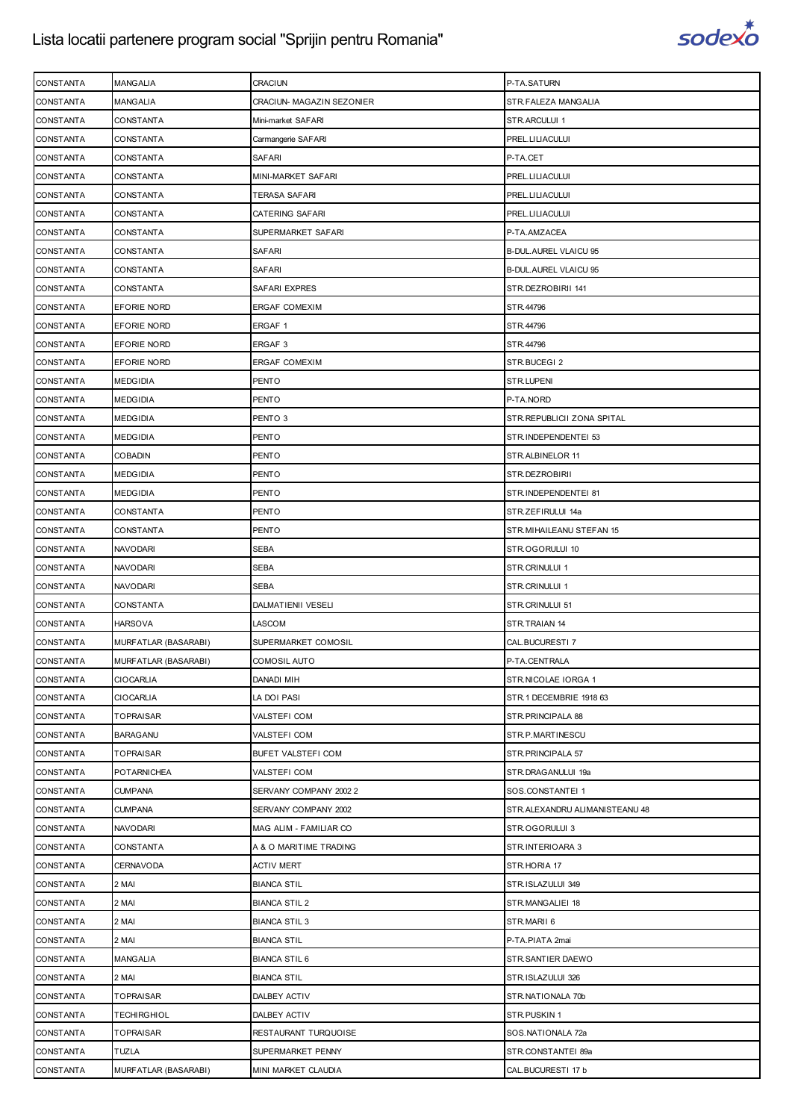

| <b>CONSTANTA</b>              | <b>MANGALIA</b>                      | CRACIUN                                  | P-TA.SATURN                              |
|-------------------------------|--------------------------------------|------------------------------------------|------------------------------------------|
| CONSTANTA                     | <b>MANGALIA</b>                      | CRACIUN- MAGAZIN SEZONIER                | STR.FALEZA MANGALIA                      |
| CONSTANTA                     | CONSTANTA                            | Mini-market SAFARI                       | STR.ARCULUI 1                            |
| <b>CONSTANTA</b>              | CONSTANTA                            | Carmangerie SAFARI                       | PREL.LILIACULUI                          |
| <b>CONSTANTA</b>              | CONSTANTA                            | SAFARI                                   | P-TA.CET                                 |
| CONSTANTA                     | CONSTANTA                            | MINI-MARKET SAFARI                       | PREL.LILIACULUI                          |
| <b>CONSTANTA</b>              | CONSTANTA                            | TERASA SAFARI                            | PREL.LILIACULUI                          |
| CONSTANTA                     | <b>CONSTANTA</b>                     | CATERING SAFARI                          | PREL.LILIACULUI                          |
| <b>CONSTANTA</b>              | CONSTANTA                            | SUPERMARKET SAFARI                       | P-TA.AMZACEA                             |
| <b>CONSTANTA</b>              | <b>CONSTANTA</b>                     | <b>SAFARI</b>                            | <b>B-DUL.AUREL VLAICU 95</b>             |
| CONSTANTA                     | CONSTANTA                            | SAFARI                                   | <b>B-DUL.AUREL VLAICU 95</b>             |
|                               |                                      |                                          |                                          |
| CONSTANTA                     | CONSTANTA                            | SAFARI EXPRES                            | STR.DEZROBIRII 141                       |
| <b>CONSTANTA</b>              | <b>EFORIE NORD</b>                   | ERGAF COMEXIM                            | STR.44796                                |
| CONSTANTA                     | EFORIE NORD                          | ERGAF 1                                  | STR.44796                                |
| CONSTANTA                     | <b>EFORIE NORD</b>                   | ERGAF <sub>3</sub>                       | STR.44796                                |
| CONSTANTA                     | <b>EFORIE NORD</b>                   | <b>ERGAF COMEXIM</b>                     | STR.BUCEGI 2                             |
| CONSTANTA                     | <b>MEDGIDIA</b>                      | PENTO                                    | STR.LUPENI                               |
| CONSTANTA                     | <b>MEDGIDIA</b>                      | PENTO                                    | P-TA.NORD                                |
| <b>CONSTANTA</b>              | <b>MEDGIDIA</b>                      | PENTO 3                                  | STR.REPUBLICII ZONA SPITAL               |
| <b>CONSTANTA</b>              | <b>MEDGIDIA</b>                      | PENTO                                    | STR.INDEPENDENTEI 53                     |
| CONSTANTA                     | <b>COBADIN</b>                       | PENTO                                    | STR.ALBINELOR 11                         |
| <b>CONSTANTA</b>              | <b>MEDGIDIA</b>                      | PENTO                                    | STR.DEZROBIRII                           |
| CONSTANTA                     | <b>MEDGIDIA</b>                      | PENTO                                    | STR.INDEPENDENTEI 81                     |
| CONSTANTA                     | CONSTANTA                            | PENTO                                    | STR.ZEFIRULUI 14a                        |
| <b>CONSTANTA</b>              | CONSTANTA                            | PENTO                                    | STR. MIHAILEANU STEFAN 15                |
| <b>CONSTANTA</b>              | <b>NAVODARI</b>                      | SEBA                                     | STR.OGORULUI 10                          |
| CONSTANTA                     | NAVODARI                             | SEBA                                     | STR.CRINULUI 1                           |
| <b>CONSTANTA</b>              | <b>NAVODARI</b>                      | <b>SEBA</b>                              | STR.CRINULUI 1                           |
| <b>CONSTANTA</b>              | CONSTANTA                            | DALMATIENII VESELI                       | STR.CRINULUI 51                          |
| CONSTANTA                     | <b>HARSOVA</b>                       | LASCOM                                   | STR.TRAIAN 14                            |
| <b>CONSTANTA</b>              | MURFATLAR (BASARABI)                 | SUPERMARKET COMOSIL                      | CAL.BUCURESTI 7                          |
| <b>CONSTANTA</b>              | MURFATLAR (BASARABI)                 | <b>COMOSIL AUTO</b>                      | P-TA.CENTRALA                            |
| CONSTANTA                     | <b>CIOCARLIA</b>                     | DANADI MIH                               | STR.NICOLAE IORGA 1                      |
| <b>CONSTANTA</b>              | <b>CIOCARLIA</b>                     | LA DOI PASI                              | STR.1 DECEMBRIE 1918 63                  |
| <b>CONSTANTA</b>              | <b>TOPRAISAR</b>                     | VALSTEFI COM                             |                                          |
| CONSTANTA                     |                                      |                                          | STR. PRINCIPALA 88                       |
|                               | <b>BARAGANU</b>                      | VALSTEFI COM                             | STR.P.MARTINESCU                         |
| <b>CONSTANTA</b>              | <b>TOPRAISAR</b>                     | BUFET VALSTEFI COM                       | STR.PRINCIPALA 57                        |
| <b>CONSTANTA</b>              | <b>POTARNICHEA</b>                   | VALSTEFI COM                             | STR.DRAGANULUI 19a                       |
| CONSTANTA                     | <b>CUMPANA</b>                       | SERVANY COMPANY 2002 2                   | SOS.CONSTANTEI 1                         |
| <b>CONSTANTA</b>              | <b>CUMPANA</b>                       | SERVANY COMPANY 2002                     | STR.ALEXANDRU ALIMANISTEANU 48           |
| <b>CONSTANTA</b>              | <b>NAVODARI</b>                      | MAG ALIM - FAMILIAR CO                   | STR.OGORULUI 3                           |
| CONSTANTA                     | CONSTANTA                            | A & O MARITIME TRADING                   | STR.INTERIOARA 3                         |
| <b>CONSTANTA</b>              | CERNAVODA                            | ACTIV MERT                               | STR.HORIA 17                             |
| <b>CONSTANTA</b>              | 2 MAI                                | <b>BIANCA STIL</b>                       | STR.ISLAZULUI 349                        |
| CONSTANTA                     | 2 MAI                                | <b>BIANCA STIL 2</b>                     | STR.MANGALIEI 18                         |
|                               |                                      |                                          |                                          |
| <b>CONSTANTA</b>              | 2 MAI                                | <b>BIANCA STIL 3</b>                     | STR.MARII 6                              |
| <b>CONSTANTA</b>              | 2 MAI                                | <b>BIANCA STIL</b>                       | P-TA.PIATA 2mai                          |
| CONSTANTA                     | <b>MANGALIA</b>                      | <b>BIANCA STIL 6</b>                     | STR.SANTIER DAEWO                        |
| <b>CONSTANTA</b>              | 2 MAI                                | <b>BIANCA STIL</b>                       | STR.ISLAZULUI 326                        |
| <b>CONSTANTA</b>              | <b>TOPRAISAR</b>                     | DALBEY ACTIV                             | STR.NATIONALA 70b                        |
| CONSTANTA                     | <b>TECHIRGHIOL</b>                   | DALBEY ACTIV                             | STR.PUSKIN1                              |
| <b>CONSTANTA</b>              | <b>TOPRAISAR</b>                     | RESTAURANT TURQUOISE                     | SOS.NATIONALA 72a                        |
| <b>CONSTANTA</b><br>CONSTANTA | <b>TUZLA</b><br>MURFATLAR (BASARABI) | SUPERMARKET PENNY<br>MINI MARKET CLAUDIA | STR.CONSTANTEI 89a<br>CAL.BUCURESTI 17 b |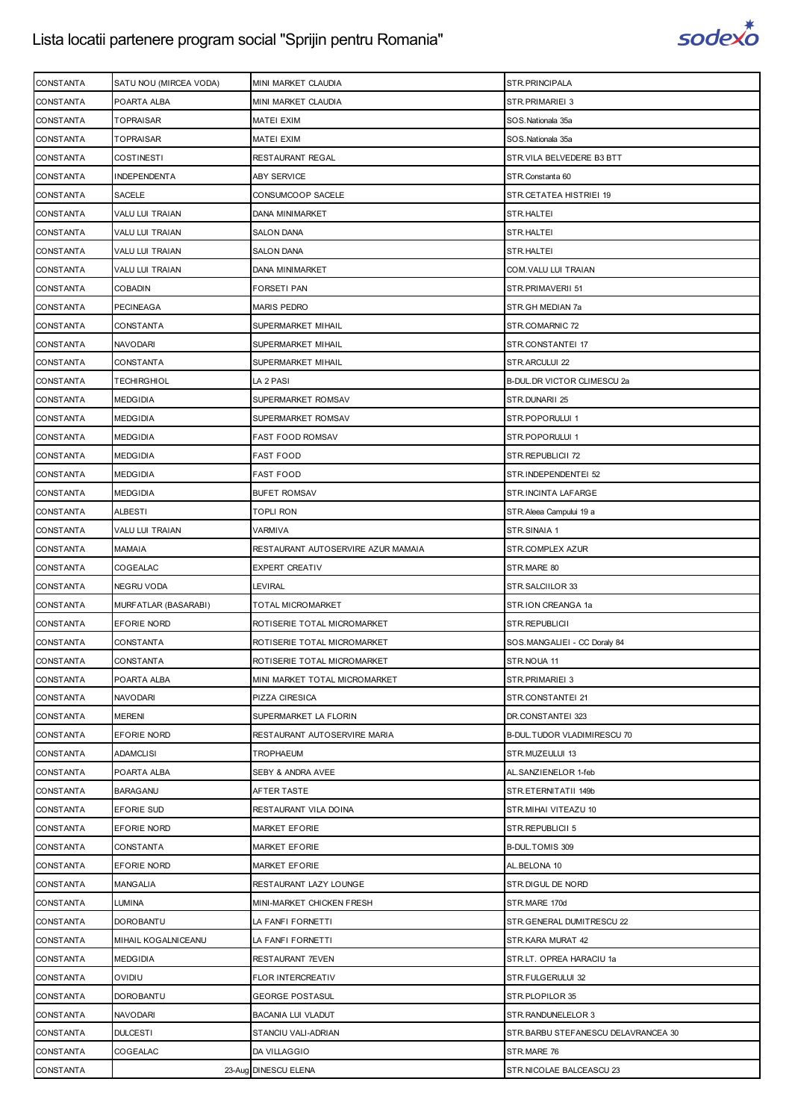

| <b>CONSTANTA</b> | SATU NOU (MIRCEA VODA) | MINI MARKET CLAUDIA                | STR.PRINCIPALA                      |
|------------------|------------------------|------------------------------------|-------------------------------------|
| <b>CONSTANTA</b> | POARTA ALBA            | MINI MARKET CLAUDIA                | STR.PRIMARIEI 3                     |
| <b>CONSTANTA</b> | <b>TOPRAISAR</b>       | MATEI EXIM                         | SOS.Nationala 35a                   |
| <b>CONSTANTA</b> | <b>TOPRAISAR</b>       | MATEI EXIM                         | SOS.Nationala 35a                   |
| <b>CONSTANTA</b> | <b>COSTINESTI</b>      | RESTAURANT REGAL                   | STR.VILA BELVEDERE B3 BTT           |
| <b>CONSTANTA</b> | INDEPENDENTA           | ABY SERVICE                        | STR.Constanta 60                    |
| <b>CONSTANTA</b> | SACELE                 | CONSUMCOOP SACELE                  | STR.CETATEA HISTRIEI 19             |
| <b>CONSTANTA</b> | <b>VALU LUI TRAIAN</b> | DANA MINIMARKET                    | STR.HALTEI                          |
| CONSTANTA        | VALU LUI TRAIAN        | SALON DANA                         | STR.HALTEI                          |
| <b>CONSTANTA</b> | <b>VALU LUI TRAIAN</b> | <b>SALON DANA</b>                  | STR.HALTEI                          |
| <b>CONSTANTA</b> | VALU LUI TRAIAN        | DANA MINIMARKET                    | COM.VALU LUI TRAIAN                 |
| CONSTANTA        | <b>COBADIN</b>         | FORSETI PAN                        | STR.PRIMAVERII 51                   |
| <b>CONSTANTA</b> | <b>PECINEAGA</b>       | <b>MARIS PEDRO</b>                 | STR.GH MEDIAN 7a                    |
| <b>CONSTANTA</b> | CONSTANTA              | SUPERMARKET MIHAIL                 | STR.COMARNIC 72                     |
| <b>CONSTANTA</b> | NAVODARI               | SUPERMARKET MIHAIL                 | STR.CONSTANTEI 17                   |
| <b>CONSTANTA</b> | CONSTANTA              | SUPERMARKET MIHAIL                 | STR.ARCULUI 22                      |
| <b>CONSTANTA</b> | <b>TECHIRGHIOL</b>     | LA 2 PASI                          | B-DUL.DR VICTOR CLIMESCU 2a         |
| <b>CONSTANTA</b> | <b>MEDGIDIA</b>        | SUPERMARKET ROMSAV                 | STR.DUNARII 25                      |
| <b>CONSTANTA</b> | <b>MEDGIDIA</b>        | SUPERMARKET ROMSAV                 | STR.POPORULUI 1                     |
| <b>CONSTANTA</b> | <b>MEDGIDIA</b>        | FAST FOOD ROMSAV                   | STR.POPORULUI 1                     |
| CONSTANTA        | <b>MEDGIDIA</b>        | FAST FOOD                          | STR.REPUBLICII 72                   |
| <b>CONSTANTA</b> | <b>MEDGIDIA</b>        | FAST FOOD                          | STR.INDEPENDENTEI 52                |
| <b>CONSTANTA</b> | <b>MEDGIDIA</b>        | <b>BUFET ROMSAV</b>                | STR.INCINTA LAFARGE                 |
| CONSTANTA        | <b>ALBESTI</b>         | topli ron                          | STR. Aleea Campului 19 a            |
| <b>CONSTANTA</b> | VALU LUI TRAIAN        | VARMIVA                            | STR.SINAIA 1                        |
| <b>CONSTANTA</b> | MAMAIA                 | RESTAURANT AUTOSERVIRE AZUR MAMAIA | STR.COMPLEX AZUR                    |
| CONSTANTA        | COGEALAC               | EXPERT CREATIV                     | STR.MARE 80                         |
| <b>CONSTANTA</b> | <b>NEGRU VODA</b>      | LEVIRAL                            | STR. SALCIILOR 33                   |
| <b>CONSTANTA</b> | MURFATLAR (BASARABI)   | TOTAL MICROMARKET                  | STR.ION CREANGA 1a                  |
| <b>CONSTANTA</b> | EFORIE NORD            | ROTISERIE TOTAL MICROMARKET        | STR.REPUBLICII                      |
| <b>CONSTANTA</b> | CONSTANTA              | ROTISERIE TOTAL MICROMARKET        | SOS.MANGALIEI - CC Doraly 84        |
| <b>CONSTANTA</b> | CONSTANTA              | ROTISERIE TOTAL MICROMARKET        | STR.NOUA 11                         |
| <b>CONSTANTA</b> | POARTA ALBA            | MINI MARKET TOTAL MICROMARKET      | STR.PRIMARIEI 3                     |
| <b>CONSTANTA</b> | NAVODARI               | PIZZA CIRESICA                     | STR.CONSTANTEI 21                   |
| <b>CONSTANTA</b> | <b>MERENI</b>          | SUPERMARKET LA FLORIN              | DR.CONSTANTEI 323                   |
| <b>CONSTANTA</b> | EFORIE NORD            | RESTAURANT AUTOSERVIRE MARIA       | B-DUL. TUDOR VLADIMIRESCU 70        |
| <b>CONSTANTA</b> | <b>ADAMCLISI</b>       | TROPHAEUM                          | STR.MUZEULUI 13                     |
| <b>CONSTANTA</b> | POARTA ALBA            | SEBY & ANDRA AVEE                  | AL.SANZIENELOR 1-feb                |
| <b>CONSTANTA</b> | <b>BARAGANU</b>        | AFTER TASTE                        | STR.ETERNITATII 149b                |
| CONSTANTA        | EFORIE SUD             | RESTAURANT VILA DOINA              | STR. MIHAI VITEAZU 10               |
| <b>CONSTANTA</b> | EFORIE NORD            | <b>MARKET EFORIE</b>               | STR.REPUBLICII 5                    |
| <b>CONSTANTA</b> | CONSTANTA              | <b>MARKET EFORIE</b>               | B-DUL.TOMIS 309                     |
| <b>CONSTANTA</b> | EFORIE NORD            | <b>MARKET EFORIE</b>               | AL.BELONA 10                        |
| <b>CONSTANTA</b> | <b>MANGALIA</b>        | RESTAURANT LAZY LOUNGE             | STR.DIGUL DE NORD                   |
| <b>CONSTANTA</b> | LUMINA                 | MINI-MARKET CHICKEN FRESH          | STR.MARE 170d                       |
| <b>CONSTANTA</b> | <b>DOROBANTU</b>       | LA FANFI FORNETTI                  | STR.GENERAL DUMITRESCU 22           |
| <b>CONSTANTA</b> | MIHAIL KOGALNICEANU    | LA FANFI FORNETTI                  | STR.KARA MURAT 42                   |
| <b>CONSTANTA</b> | <b>MEDGIDIA</b>        | RESTAURANT 7EVEN                   | STR.LT. OPREA HARACIU 1a            |
| <b>CONSTANTA</b> | OVIDIU                 | FLOR INTERCREATIV                  | STR.FULGERULUI 32                   |
| <b>CONSTANTA</b> | DOROBANTU              | <b>GEORGE POSTASUL</b>             | STR.PLOPILOR 35                     |
| <b>CONSTANTA</b> | NAVODARI               | BACANIA LUI VLADUT                 | STR. RANDUNELELOR 3                 |
| <b>CONSTANTA</b> | <b>DULCESTI</b>        | STANCIU VALI-ADRIAN                | STR.BARBU STEFANESCU DELAVRANCEA 30 |
| <b>CONSTANTA</b> | COGEALAC               | DA VILLAGGIO                       | STR.MARE 76                         |
| CONSTANTA        |                        | 23-Aug DINESCU ELENA               | STR.NICOLAE BALCEASCU 23            |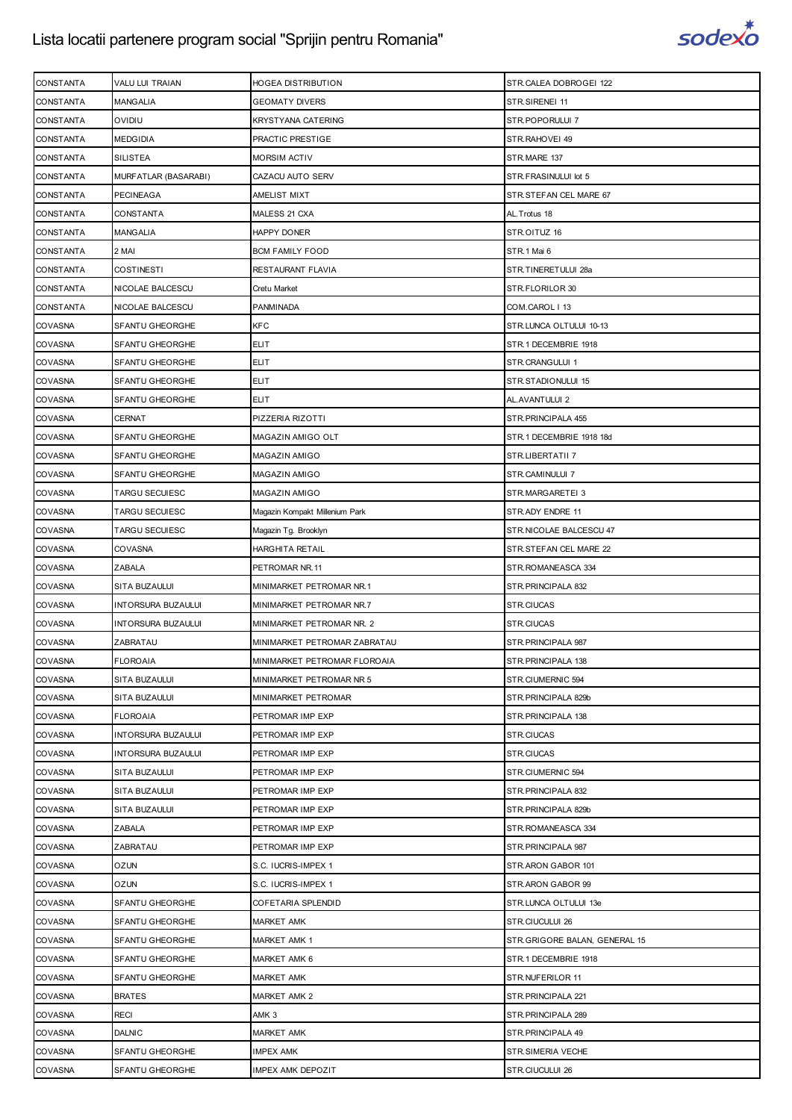

| <b>CONSTANTA</b> | VALU LUI TRAIAN           | HOGEA DISTRIBUTION             | STR.CALEA DOBROGEI 122        |
|------------------|---------------------------|--------------------------------|-------------------------------|
| <b>CONSTANTA</b> | <b>MANGALIA</b>           | <b>GEOMATY DIVERS</b>          | STR.SIRENEI 11                |
| <b>CONSTANTA</b> | OVIDIU                    | KRYSTYANA CATERING             | STR.POPORULUI 7               |
| <b>CONSTANTA</b> | <b>MEDGIDIA</b>           | PRACTIC PRESTIGE               | STR.RAHOVEI 49                |
| <b>CONSTANTA</b> | <b>SILISTEA</b>           | <b>MORSIM ACTIV</b>            | STR.MARE 137                  |
| <b>CONSTANTA</b> | MURFATLAR (BASARABI)      | CAZACU AUTO SERV               | STR.FRASINULUI lot 5          |
| <b>CONSTANTA</b> | <b>PECINEAGA</b>          | AMELIST MIXT                   | STR.STEFAN CEL MARE 67        |
| <b>CONSTANTA</b> | <b>CONSTANTA</b>          | MALESS 21 CXA                  | AL. Trotus 18                 |
| <b>CONSTANTA</b> | <b>MANGALIA</b>           | HAPPY DONER                    | STR.OITUZ 16                  |
| <b>CONSTANTA</b> | 2 MAI                     | <b>BCM FAMILY FOOD</b>         | STR.1 Mai 6                   |
| <b>CONSTANTA</b> | <b>COSTINESTI</b>         | RESTAURANT FLAVIA              | STR.TINERETULUI 28a           |
| <b>CONSTANTA</b> | NICOLAE BALCESCU          | Cretu Market                   | STR.FLORILOR 30               |
| <b>CONSTANTA</b> | NICOLAE BALCESCU          | PANMINADA                      | COM.CAROL   13                |
| <b>COVASNA</b>   | <b>SFANTU GHEORGHE</b>    | <b>KFC</b>                     | STR.LUNCA OLTULUI 10-13       |
| <b>COVASNA</b>   | SFANTU GHEORGHE           | <b>ELIT</b>                    | STR.1 DECEMBRIE 1918          |
| <b>COVASNA</b>   | <b>SFANTU GHEORGHE</b>    | <b>ELIT</b>                    | STR.CRANGULUI 1               |
| <b>COVASNA</b>   | <b>SFANTU GHEORGHE</b>    | <b>ELIT</b>                    | STR.STADIONULUI 15            |
| <b>COVASNA</b>   | SFANTU GHEORGHE           | ELIT                           | AL.AVANTULUI 2                |
| <b>COVASNA</b>   | CERNAT                    | PIZZERIA RIZOTTI               | STR. PRINCIPALA 455           |
| <b>COVASNA</b>   | <b>SFANTU GHEORGHE</b>    | MAGAZIN AMIGO OLT              | STR.1 DECEMBRIE 1918 18d      |
| <b>COVASNA</b>   | SFANTU GHEORGHE           | MAGAZIN AMIGO                  | STR.LIBERTATII 7              |
| <b>COVASNA</b>   | SFANTU GHEORGHE           | MAGAZIN AMIGO                  | STR.CAMINULUI 7               |
| <b>COVASNA</b>   | <b>TARGU SECUIESC</b>     | MAGAZIN AMIGO                  | STR.MARGARETEI 3              |
| <b>COVASNA</b>   | TARGU SECUIESC            | Magazin Kompakt Millenium Park | STR.ADY ENDRE 11              |
| <b>COVASNA</b>   | TARGU SECUIESC            | Magazin Tg. Brooklyn           | STR.NICOLAE BALCESCU 47       |
| <b>COVASNA</b>   | <b>COVASNA</b>            | HARGHITA RETAIL                | STR.STEFAN CEL MARE 22        |
| <b>COVASNA</b>   | ZABALA                    | PETROMAR NR.11                 | STR.ROMANEASCA 334            |
| <b>COVASNA</b>   | SITA BUZAULUI             | MINIMARKET PETROMAR NR.1       | STR. PRINCIPALA 832           |
| <b>COVASNA</b>   | <b>INTORSURA BUZAULUI</b> | MINIMARKET PETROMAR NR.7       | STR.CIUCAS                    |
| COVASNA          | INTORSURA BUZAULUI        | MINIMARKET PETROMAR NR. 2      | STR.CIUCAS                    |
| <b>COVASNA</b>   | ZABRATAU                  | MINIMARKET PETROMAR ZABRATAU   | STR.PRINCIPALA 987            |
| COVASNA          | <b>FLOROAIA</b>           | MINIMARKET PETROMAR FLOROAIA   | STR. PRINCIPALA 138           |
| <b>COVASNA</b>   | SITA BUZAULUI             | MINIMARKET PETROMAR NR 5       | STR.CIUMERNIC 594             |
| COVASNA          | SITA BUZAULUI             | MINIMARKET PETROMAR            | STR.PRINCIPALA 829b           |
| <b>COVASNA</b>   | <b>FLOROAIA</b>           | PETROMAR IMP EXP               | STR. PRINCIPALA 138           |
| <b>COVASNA</b>   | <b>INTORSURA BUZAULUI</b> | PETROMAR IMP EXP               | STR.CIUCAS                    |
| <b>COVASNA</b>   | <b>INTORSURA BUZAULUI</b> | PETROMAR IMP EXP               | STR.CIUCAS                    |
| <b>COVASNA</b>   | SITA BUZAULUI             | PETROMAR IMP EXP               | STR.CIUMERNIC 594             |
| <b>COVASNA</b>   | SITA BUZAULUI             | PETROMAR IMP EXP               | STR. PRINCIPALA 832           |
| <b>COVASNA</b>   | SITA BUZAULUI             | PETROMAR IMP EXP               | STR.PRINCIPALA 829b           |
| <b>COVASNA</b>   | <b>ZABALA</b>             | PETROMAR IMP EXP               | STR.ROMANEASCA 334            |
| <b>COVASNA</b>   | ZABRATAU                  | PETROMAR IMP EXP               | STR. PRINCIPALA 987           |
| <b>COVASNA</b>   | <b>OZUN</b>               | S.C. IUCRIS-IMPEX 1            | STR.ARON GABOR 101            |
| <b>COVASNA</b>   | <b>OZUN</b>               | S.C. IUCRIS-IMPEX 1            | STR.ARON GABOR 99             |
| <b>COVASNA</b>   | SFANTU GHEORGHE           | COFETARIA SPLENDID             | STR.LUNCA OLTULUI 13e         |
| <b>COVASNA</b>   | SFANTU GHEORGHE           | <b>MARKET AMK</b>              | STR.CIUCULUI 26               |
| <b>COVASNA</b>   | SFANTU GHEORGHE           | <b>MARKET AMK 1</b>            | STR.GRIGORE BALAN, GENERAL 15 |
| <b>COVASNA</b>   | SFANTU GHEORGHE           | MARKET AMK 6                   | STR.1 DECEMBRIE 1918          |
| <b>COVASNA</b>   | SFANTU GHEORGHE           | <b>MARKET AMK</b>              | STR.NUFERILOR 11              |
| <b>COVASNA</b>   | <b>BRATES</b>             | <b>MARKET AMK 2</b>            | STR. PRINCIPALA 221           |
| <b>COVASNA</b>   | <b>RECI</b>               | AMK 3                          | STR. PRINCIPALA 289           |
| <b>COVASNA</b>   | <b>DALNIC</b>             | <b>MARKET AMK</b>              | STR.PRINCIPALA 49             |
| <b>COVASNA</b>   | <b>SFANTU GHEORGHE</b>    | IMPEX AMK                      | STR.SIMERIA VECHE             |
| <b>COVASNA</b>   | SFANTU GHEORGHE           | IMPEX AMK DEPOZIT              | STR.CIUCULUI 26               |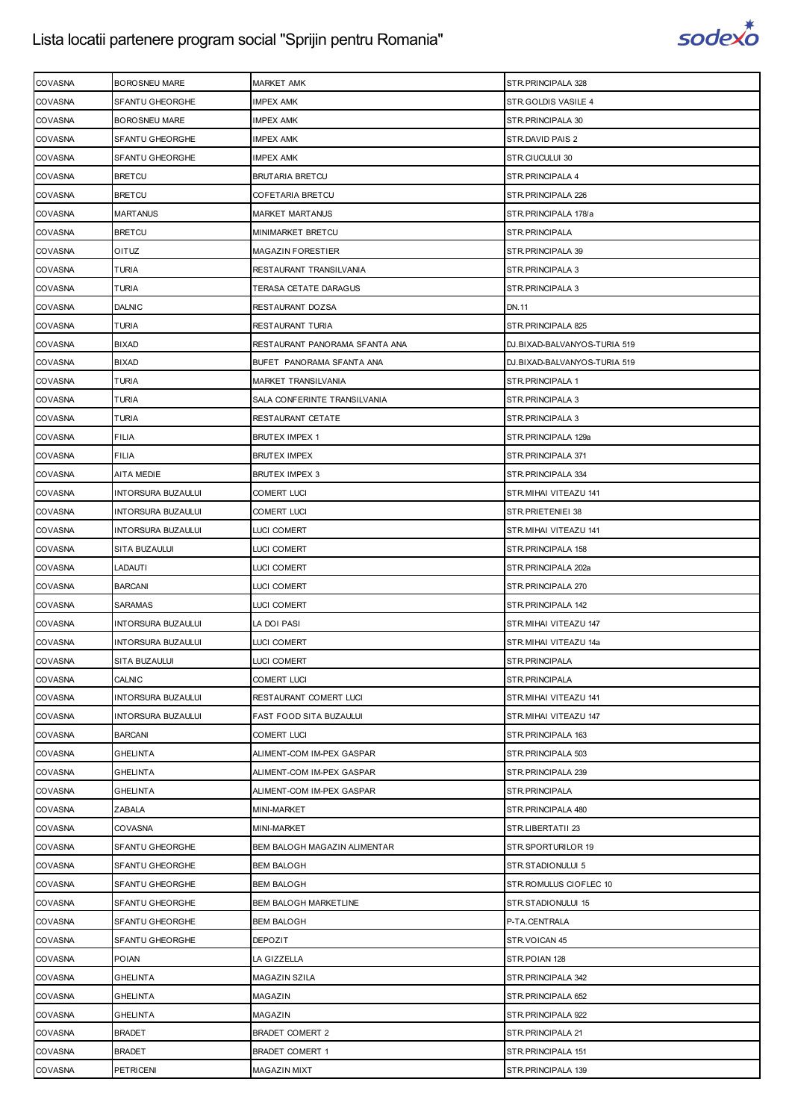

| COVASNA                   | BOROSNEU MARE             | <b>MARKET AMK</b>              | STR.PRINCIPALA 328           |
|---------------------------|---------------------------|--------------------------------|------------------------------|
| COVASNA                   | SFANTU GHEORGHE           | IMPEX AMK                      | STR.GOLDIS VASILE 4          |
| <b>COVASNA</b>            | <b>BOROSNEU MARE</b>      | IMPEX AMK                      | STR. PRINCIPALA 30           |
| COVASNA                   | SFANTU GHEORGHE           | <b>IMPEX AMK</b>               | STR.DAVID PAIS 2             |
| COVASNA                   | SFANTU GHEORGHE           | <b>IMPEX AMK</b>               | STR.CIUCULUI 30              |
| COVASNA                   | <b>BRETCU</b>             | <b>BRUTARIA BRETCU</b>         | STR. PRINCIPALA 4            |
| COVASNA                   | <b>BRETCU</b>             | COFETARIA BRETCU               | STR.PRINCIPALA 226           |
| COVASNA                   | <b>MARTANUS</b>           | <b>MARKET MARTANUS</b>         | STR.PRINCIPALA 178/a         |
| <b>COVASNA</b>            | <b>BRETCU</b>             | MINIMARKET BRETCU              | STR.PRINCIPALA               |
| <b>COVASNA</b>            | OITUZ                     | <b>MAGAZIN FORESTIER</b>       | STR. PRINCIPALA 39           |
| COVASNA                   | TURIA                     | RESTAURANT TRANSILVANIA        | STR. PRINCIPALA 3            |
| COVASNA                   | TURIA                     | TERASA CETATE DARAGUS          | STR. PRINCIPALA 3            |
| COVASNA                   | <b>DALNIC</b>             | RESTAURANT DOZSA               | DN.11                        |
| COVASNA                   | TURIA                     | RESTAURANT TURIA               | STR. PRINCIPALA 825          |
| COVASNA                   | BIXAD                     | RESTAURANT PANORAMA SFANTA ANA | DJ.BIXAD-BALVANYOS-TURIA 519 |
| <b>COVASNA</b>            | <b>BIXAD</b>              | BUFET PANORAMA SFANTA ANA      | DJ.BIXAD-BALVANYOS-TURIA 519 |
| COVASNA                   | TURIA                     | MARKET TRANSILVANIA            | STR. PRINCIPALA 1            |
| COVASNA                   | TURIA                     | SALA CONFERINTE TRANSILVANIA   | STR. PRINCIPALA 3            |
| <b>COVASNA</b>            | <b>TURIA</b>              | RESTAURANT CETATE              | STR. PRINCIPALA 3            |
| COVASNA                   | <b>FILIA</b>              | <b>BRUTEX IMPEX 1</b>          | STR.PRINCIPALA 129a          |
| COVASNA                   | FILIA                     | <b>BRUTEX IMPEX</b>            | STR.PRINCIPALA 371           |
| COVASNA                   | AITA MEDIE                | BRUTEX IMPEX 3                 | STR. PRINCIPALA 334          |
| COVASNA                   | INTORSURA BUZAULUI        | <b>COMERT LUCI</b>             | STR. MIHAI VITEAZU 141       |
| COVASNA                   | INTORSURA BUZAULUI        | <b>COMERT LUCI</b>             | STR.PRIETENIEI 38            |
| COVASNA                   | INTORSURA BUZAULUI        | LUCI COMERT                    | STR.MIHAI VITEAZU 141        |
| COVASNA                   | SITA BUZAULUI             | LUCI COMERT                    | STR. PRINCIPALA 158          |
| <b>COVASNA</b>            | LADAUTI                   | LUCI COMERT                    | STR.PRINCIPALA 202a          |
| <b>COVASNA</b>            | <b>BARCANI</b>            | LUCI COMERT                    | STR. PRINCIPALA 270          |
| <b>COVASNA</b>            | <b>SARAMAS</b>            | LUCI COMERT                    | STR. PRINCIPALA 142          |
| <b>COVASNA</b>            | INTORSURA BUZAULUI        | LA DOI PASI                    | STR.MIHAI VITEAZU 147        |
| <b>COVASNA</b>            | INTORSURA BUZAULUI        | LUCI COMERT                    | STR.MIHAI VITEAZU 14a        |
| COVASNA                   | SITA BUZAULUI             | LUCI COMERT                    | STR.PRINCIPALA               |
| <b>COVASNA</b>            | CALNIC                    | <b>COMERT LUCI</b>             | STR.PRINCIPALA               |
| COVASNA                   | INTORSURA BUZAULUI        | RESTAURANT COMERT LUCI         | STR.MIHAI VITEAZU 141        |
| COVASNA                   | INTORSURA BUZAULUI        | <b>FAST FOOD SITA BUZAULUI</b> | STR.MIHAI VITEAZU 147        |
| <b>COVASNA</b>            | <b>BARCANI</b>            | <b>COMERT LUCI</b>             | STR. PRINCIPALA 163          |
| <b>COVASNA</b>            | <b>GHELINTA</b>           | ALIMENT-COM IM-PEX GASPAR      | STR. PRINCIPALA 503          |
| COVASNA                   | GHELINTA                  | ALIMENT-COM IM-PEX GASPAR      | STR.PRINCIPALA 239           |
| <b>COVASNA</b>            | GHELINTA                  | ALIMENT-COM IM-PEX GASPAR      | STR.PRINCIPALA               |
| <b>COVASNA</b>            | ZABALA                    | MINI-MARKET                    | STR. PRINCIPALA 480          |
| <b>COVASNA</b>            | COVASNA                   | MINI-MARKET                    | STR.LIBERTATII 23            |
| COVASNA                   | SFANTU GHEORGHE           | BEM BALOGH MAGAZIN ALIMENTAR   | STR.SPORTURILOR 19           |
| COVASNA                   | SFANTU GHEORGHE           | <b>BEM BALOGH</b>              | STR.STADIONULUI 5            |
| COVASNA                   | SFANTU GHEORGHE           | <b>BEM BALOGH</b>              | STR. ROMULUS CIOFLEC 10      |
| <b>COVASNA</b>            | SFANTU GHEORGHE           | <b>BEM BALOGH MARKETLINE</b>   | STR.STADIONULUI 15           |
| COVASNA                   | SFANTU GHEORGHE           | <b>BEM BALOGH</b>              | P-TA.CENTRALA                |
| COVASNA                   | SFANTU GHEORGHE           | <b>DEPOZIT</b>                 | STR. VOICAN 45               |
| COVASNA                   | <b>POIAN</b>              | LA GIZZELLA                    | STR.POIAN 128                |
| <b>COVASNA</b>            | <b>GHELINTA</b>           | MAGAZIN SZILA                  | STR. PRINCIPALA 342          |
| <b>COVASNA</b>            | GHELINTA                  | MAGAZIN                        | STR.PRINCIPALA 652           |
| COVASNA<br>COVASNA        | GHELINTA<br><b>BRADET</b> | MAGAZIN                        | STR. PRINCIPALA 922          |
|                           |                           | <b>BRADET COMERT 2</b>         | STR. PRINCIPALA 21           |
| COVASNA<br><b>COVASNA</b> | <b>BRADET</b>             | BRADET COMERT 1                | STR.PRINCIPALA 151           |
|                           | <b>PETRICENI</b>          | MAGAZIN MIXT                   | STR. PRINCIPALA 139          |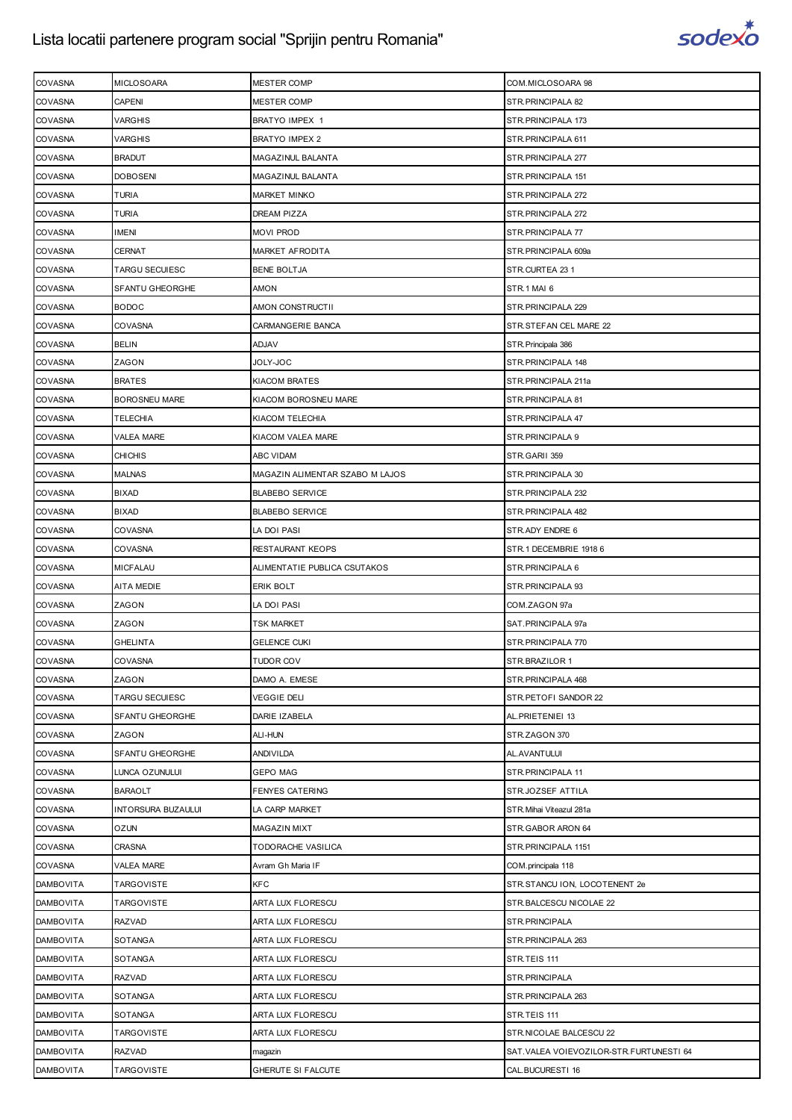

| <b>COVASNA</b>   | <b>MICLOSOARA</b>         | <b>MESTER COMP</b>              | COM.MICLOSOARA 98                         |
|------------------|---------------------------|---------------------------------|-------------------------------------------|
| <b>COVASNA</b>   | <b>CAPENI</b>             | <b>MESTER COMP</b>              | STR. PRINCIPALA 82                        |
| <b>COVASNA</b>   | VARGHIS                   | BRATYO IMPEX 1                  | STR. PRINCIPALA 173                       |
| <b>COVASNA</b>   | <b>VARGHIS</b>            | <b>BRATYO IMPEX 2</b>           | STR. PRINCIPALA 611                       |
| <b>COVASNA</b>   | <b>BRADUT</b>             | MAGAZINUL BALANTA               | STR. PRINCIPALA 277                       |
| <b>COVASNA</b>   | <b>DOBOSENI</b>           | MAGAZINUL BALANTA               | STR.PRINCIPALA 151                        |
| <b>COVASNA</b>   | <b>TURIA</b>              | <b>MARKET MINKO</b>             | STR. PRINCIPALA 272                       |
| <b>COVASNA</b>   | <b>TURIA</b>              | DREAM PIZZA                     | STR. PRINCIPALA 272                       |
| <b>COVASNA</b>   | <b>IMENI</b>              | <b>MOVI PROD</b>                | STR. PRINCIPALA 77                        |
| <b>COVASNA</b>   | <b>CERNAT</b>             | MARKET AFRODITA                 | STR.PRINCIPALA 609a                       |
| <b>COVASNA</b>   | TARGU SECUIESC            | <b>BENE BOLTJA</b>              | STR.CURTEA 23 1                           |
| <b>COVASNA</b>   | SFANTU GHEORGHE           | AMON                            | STR.1 MAI 6                               |
| <b>COVASNA</b>   | <b>BODOC</b>              | AMON CONSTRUCTII                | STR. PRINCIPALA 229                       |
| <b>COVASNA</b>   | <b>COVASNA</b>            | CARMANGERIE BANCA               | STR.STEFAN CEL MARE 22                    |
| <b>COVASNA</b>   | <b>BELIN</b>              | <b>ADJAV</b>                    | STR. Principala 386                       |
| <b>COVASNA</b>   | ZAGON                     | JOLY-JOC                        | STR. PRINCIPALA 148                       |
| <b>COVASNA</b>   | <b>BRATES</b>             | KIACOM BRATES                   | STR.PRINCIPALA 211a                       |
| <b>COVASNA</b>   | <b>BOROSNEU MARE</b>      | KIACOM BOROSNEU MARE            | STR. PRINCIPALA 81                        |
| <b>COVASNA</b>   | <b>TELECHIA</b>           | KIACOM TELECHIA                 | STR.PRINCIPALA 47                         |
| <b>COVASNA</b>   | <b>VALEA MARE</b>         | KIACOM VALEA MARE               | STR. PRINCIPALA 9                         |
| <b>COVASNA</b>   | <b>CHICHIS</b>            | ABC VIDAM                       | STR.GARII 359                             |
| <b>COVASNA</b>   | <b>MALNAS</b>             | MAGAZIN ALIMENTAR SZABO M LAJOS | STR. PRINCIPALA 30                        |
| COVASNA          | <b>BIXAD</b>              | <b>BLABEBO SERVICE</b>          | STR. PRINCIPALA 232                       |
| <b>COVASNA</b>   | BIXAD                     | <b>BLABEBO SERVICE</b>          | STR. PRINCIPALA 482                       |
| <b>COVASNA</b>   | COVASNA                   | LA DOI PASI                     | STR.ADY ENDRE 6                           |
| <b>COVASNA</b>   | COVASNA                   | <b>RESTAURANT KEOPS</b>         | STR.1 DECEMBRIE 1918 6                    |
| <b>COVASNA</b>   | <b>MICFALAU</b>           | ALIMENTATIE PUBLICA CSUTAKOS    | STR. PRINCIPALA 6                         |
| <b>COVASNA</b>   | AITA MEDIE                | ERIK BOLT                       | STR. PRINCIPALA 93                        |
| <b>COVASNA</b>   | ZAGON                     | LA DOI PASI                     | COM.ZAGON 97a                             |
| <b>COVASNA</b>   | ZAGON                     | TSK MARKET                      | SAT.PRINCIPALA 97a                        |
| <b>COVASNA</b>   | <b>GHELINTA</b>           | <b>GELENCE CUKI</b>             | STR. PRINCIPALA 770                       |
| COVASNA          | <b>COVASNA</b>            | <b>TUDOR COV</b>                | STR.BRAZILOR 1                            |
| <b>COVASNA</b>   | ZAGON                     | DAMO A. EMESE                   | STR. PRINCIPALA 468                       |
| <b>COVASNA</b>   | <b>TARGU SECUIESC</b>     | VEGGIE DELI                     | STR. PETOFI SANDOR 22                     |
| <b>COVASNA</b>   | SFANTU GHEORGHE           | DARIE IZABELA                   | AL.PRIETENIEI 13                          |
| COVASNA          | ZAGON                     | ALI-HUN                         | STR.ZAGON 370                             |
| <b>COVASNA</b>   | <b>SFANTU GHEORGHE</b>    | <b>ANDIVILDA</b>                | AL. AVANTULUI                             |
| <b>COVASNA</b>   | LUNCA OZUNULUI            | <b>GEPO MAG</b>                 | STR.PRINCIPALA 11                         |
| <b>COVASNA</b>   | <b>BARAOLT</b>            | <b>FENYES CATERING</b>          | STR.JOZSEF ATTILA                         |
| <b>COVASNA</b>   | <b>INTORSURA BUZAULUI</b> | LA CARP MARKET                  | STR. Mihai Viteazul 281a                  |
| <b>COVASNA</b>   | <b>OZUN</b>               | <b>MAGAZIN MIXT</b>             | STR.GABOR ARON 64                         |
| <b>COVASNA</b>   | CRASNA                    | TODORACHE VASILICA              | STR. PRINCIPALA 1151                      |
| <b>COVASNA</b>   | VALEA MARE                | Avram Gh Maria IF               | COM.principala 118                        |
| <b>DAMBOVITA</b> | TARGOVISTE                | <b>KFC</b>                      | STR.STANCU ION, LOCOTENENT 2e             |
| <b>DAMBOVITA</b> | TARGOVISTE                | ARTA LUX FLORESCU               | STR.BALCESCU NICOLAE 22                   |
| <b>DAMBOVITA</b> | <b>RAZVAD</b>             | ARTA LUX FLORESCU               | STR.PRINCIPALA                            |
| <b>DAMBOVITA</b> | SOTANGA                   | ARTA LUX FLORESCU               | STR. PRINCIPALA 263                       |
| <b>DAMBOVITA</b> | SOTANGA                   | ARTA LUX FLORESCU               | STR.TEIS 111                              |
| <b>DAMBOVITA</b> | <b>RAZVAD</b>             | ARTA LUX FLORESCU               | STR.PRINCIPALA                            |
| <b>DAMBOVITA</b> |                           |                                 |                                           |
|                  | SOTANGA                   | ARTA LUX FLORESCU               | STR. PRINCIPALA 263                       |
| <b>DAMBOVITA</b> | SOTANGA                   | ARTA LUX FLORESCU               | STR.TEIS 111                              |
| <b>DAMBOVITA</b> | <b>TARGOVISTE</b>         | ARTA LUX FLORESCU               | STR.NICOLAE BALCESCU 22                   |
| <b>DAMBOVITA</b> | RAZVAD                    | magazin                         | SAT. VALEA VOIEVOZILOR-STR. FURTUNESTI 64 |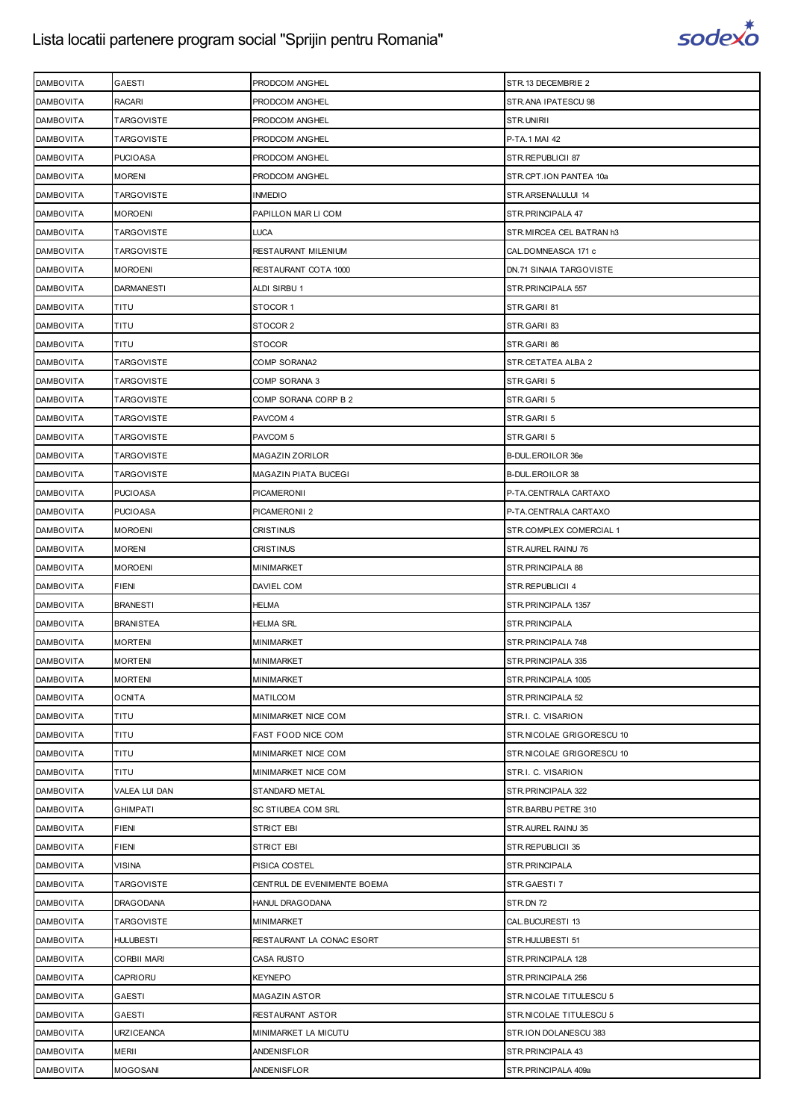

| <b>DAMBOVITA</b> | <b>GAESTI</b>        | PRODCOM ANGHEL              | STR.13 DECEMBRIE 2        |
|------------------|----------------------|-----------------------------|---------------------------|
| <b>DAMBOVITA</b> | <b>RACARI</b>        | PRODCOM ANGHEL              | STR.ANA IPATESCU 98       |
| <b>DAMBOVITA</b> | <b>TARGOVISTE</b>    | PRODCOM ANGHEL              | STR.UNIRII                |
| <b>DAMBOVITA</b> | <b>TARGOVISTE</b>    | PRODCOM ANGHEL              | P-TA.1 MAI 42             |
| <b>DAMBOVITA</b> | <b>PUCIOASA</b>      | PRODCOM ANGHEL              | STR.REPUBLICII 87         |
| <b>DAMBOVITA</b> | <b>MORENI</b>        | PRODCOM ANGHEL              | STR.CPT.ION PANTEA 10a    |
| <b>DAMBOVITA</b> | <b>TARGOVISTE</b>    | INMEDIO                     | STR.ARSENALULUI 14        |
| <b>DAMBOVITA</b> | <b>MOROENI</b>       | PAPILLON MAR LI COM         | STR. PRINCIPALA 47        |
| <b>DAMBOVITA</b> | <b>TARGOVISTE</b>    | LUCA                        | STR.MIRCEA CEL BATRAN h3  |
| <b>DAMBOVITA</b> | <b>TARGOVISTE</b>    | RESTAURANT MILENIUM         | CAL.DOMNEASCA 171 c       |
| <b>DAMBOVITA</b> | <b>MOROENI</b>       | RESTAURANT COTA 1000        | DN.71 SINAIA TARGOVISTE   |
| <b>DAMBOVITA</b> | <b>DARMANESTI</b>    | ALDI SIRBU 1                | STR.PRINCIPALA 557        |
| <b>DAMBOVITA</b> | TITU                 | STOCOR 1                    | STR.GARII 81              |
| <b>DAMBOVITA</b> | TITU                 | STOCOR 2                    | STR.GARII 83              |
| <b>DAMBOVITA</b> | <b>TITU</b>          | STOCOR                      | STR.GARII 86              |
| <b>DAMBOVITA</b> | <b>TARGOVISTE</b>    | COMP SORANA2                | STR.CETATEA ALBA 2        |
| <b>DAMBOVITA</b> | <b>TARGOVISTE</b>    | COMP SORANA 3               | STR.GARII 5               |
| <b>DAMBOVITA</b> | <b>TARGOVISTE</b>    | COMP SORANA CORP B 2        | STR.GARII 5               |
| <b>DAMBOVITA</b> | <b>TARGOVISTE</b>    | PAVCOM 4                    | STR.GARII 5               |
| <b>DAMBOVITA</b> | <b>TARGOVISTE</b>    | PAVCOM 5                    | STR.GARII 5               |
| <b>DAMBOVITA</b> | <b>TARGOVISTE</b>    | MAGAZIN ZORILOR             | B-DUL.EROILOR 36e         |
| <b>DAMBOVITA</b> | <b>TARGOVISTE</b>    | MAGAZIN PIATA BUCEGI        | <b>B-DUL.EROILOR 38</b>   |
| <b>DAMBOVITA</b> | <b>PUCIOASA</b>      | PICAMERONII                 | P-TA.CENTRALA CARTAXO     |
| <b>DAMBOVITA</b> | <b>PUCIOASA</b>      | PICAMERONII 2               | P-TA.CENTRALA CARTAXO     |
| <b>DAMBOVITA</b> | <b>MOROENI</b>       | CRISTINUS                   | STR.COMPLEX COMERCIAL 1   |
| <b>DAMBOVITA</b> | <b>MORENI</b>        | <b>CRISTINUS</b>            | STR.AUREL RAINU 76        |
| <b>DAMBOVITA</b> | <b>MOROENI</b>       | MINIMARKET                  | STR. PRINCIPALA 88        |
| <b>DAMBOVITA</b> | <b>FIENI</b>         | DAVIEL COM                  | STR.REPUBLICII 4          |
| <b>DAMBOVITA</b> | <b>BRANESTI</b>      | HELMA                       | STR. PRINCIPALA 1357      |
| <b>DAMBOVITA</b> | <b>BRANISTEA</b>     | HELMA SRL                   | STR.PRINCIPALA            |
| <b>DAMBOVITA</b> | <b>MORTENI</b>       | MINIMARKET                  | STR. PRINCIPALA 748       |
| <b>DAMBOVITA</b> | <b>MORTENI</b>       | MINIMARKET                  | STR. PRINCIPALA 335       |
| <b>DAMBOVITA</b> | <b>MORTENI</b>       | MINIMARKET                  | STR.PRINCIPALA 1005       |
| <b>DAMBOVITA</b> | <b>OCNITA</b>        | MATILCOM                    | STR.PRINCIPALA 52         |
| <b>DAMBOVITA</b> | TITU                 | MINIMARKET NICE COM         | STR.I. C. VISARION        |
| <b>DAMBOVITA</b> | TITU                 | FAST FOOD NICE COM          | STR.NICOLAE GRIGORESCU 10 |
| <b>DAMBOVITA</b> | TITU                 | MINIMARKET NICE COM         | STR.NICOLAE GRIGORESCU 10 |
| <b>DAMBOVITA</b> | TITU                 | MINIMARKET NICE COM         | STR.I. C. VISARION        |
| <b>DAMBOVITA</b> | <b>VALEA LUI DAN</b> | STANDARD METAL              | STR.PRINCIPALA 322        |
| <b>DAMBOVITA</b> | <b>GHIMPATI</b>      | SC STIUBEA COM SRL          | STR.BARBU PETRE 310       |
| <b>DAMBOVITA</b> | <b>FIENI</b>         | <b>STRICT EBI</b>           | STR. AUREL RAINU 35       |
| <b>DAMBOVITA</b> | <b>FIENI</b>         | <b>STRICT EBI</b>           | STR.REPUBLICII 35         |
| <b>DAMBOVITA</b> | <b>VISINA</b>        | PISICA COSTEL               | STR.PRINCIPALA            |
| <b>DAMBOVITA</b> | <b>TARGOVISTE</b>    | CENTRUL DE EVENIMENTE BOEMA | STR.GAESTI 7              |
| <b>DAMBOVITA</b> | <b>DRAGODANA</b>     | HANUL DRAGODANA             | STR.DN 72                 |
| <b>DAMBOVITA</b> | <b>TARGOVISTE</b>    | MINIMARKET                  | CAL.BUCURESTI 13          |
| <b>DAMBOVITA</b> | <b>HULUBESTI</b>     | RESTAURANT LA CONAC ESORT   | STR.HULUBESTI 51          |
| <b>DAMBOVITA</b> | <b>CORBII MARI</b>   | CASA RUSTO                  | STR. PRINCIPALA 128       |
| <b>DAMBOVITA</b> | CAPRIORU             | KEYNEPO                     | STR.PRINCIPALA 256        |
| <b>DAMBOVITA</b> | <b>GAESTI</b>        | <b>MAGAZIN ASTOR</b>        | STR.NICOLAE TITULESCU 5   |
| <b>DAMBOVITA</b> | <b>GAESTI</b>        | RESTAURANT ASTOR            | STR.NICOLAE TITULESCU 5   |
| <b>DAMBOVITA</b> | <b>URZICEANCA</b>    | MINIMARKET LA MICUTU        | STR.ION DOLANESCU 383     |
| <b>DAMBOVITA</b> | <b>MERII</b>         | ANDENISFLOR                 | STR. PRINCIPALA 43        |
| <b>DAMBOVITA</b> | <b>MOGOSANI</b>      | ANDENISFLOR                 | STR.PRINCIPALA 409a       |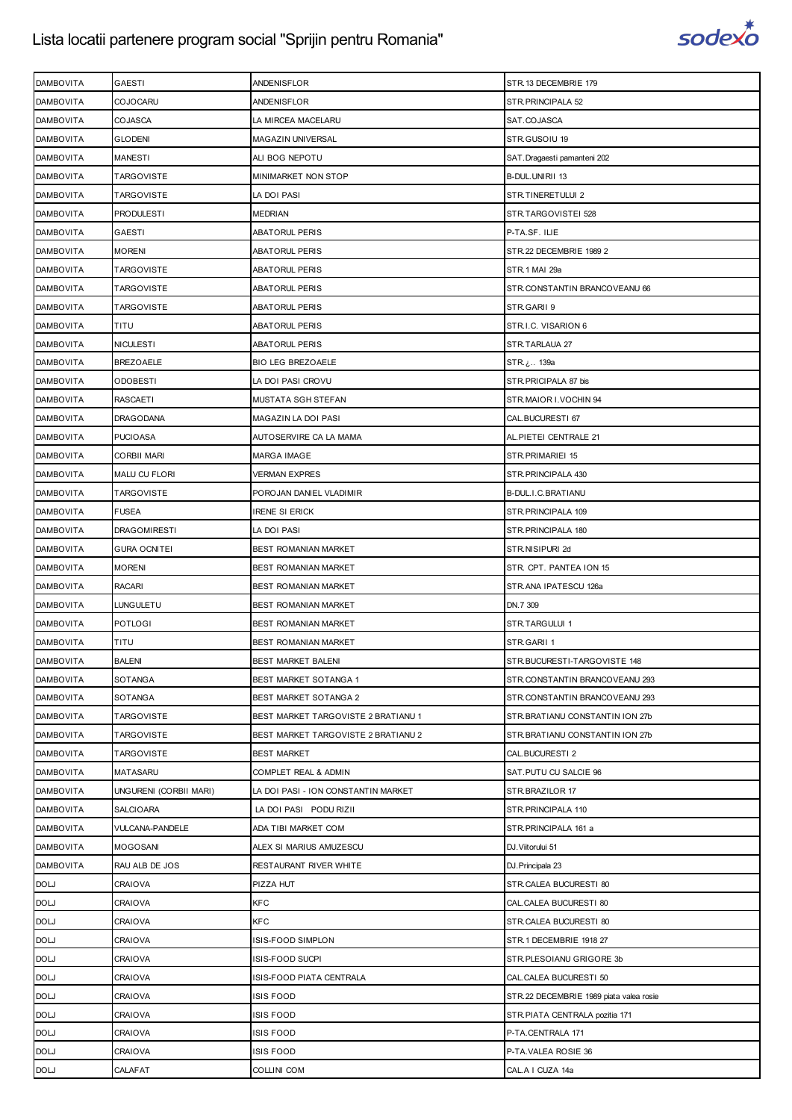

| <b>DAMBOVITA</b> | <b>GAESTI</b>          | ANDENISFLOR                         | STR.13 DECEMBRIE 179                    |
|------------------|------------------------|-------------------------------------|-----------------------------------------|
| <b>DAMBOVITA</b> | <b>COJOCARU</b>        | ANDENISFLOR                         | STR. PRINCIPALA 52                      |
| <b>DAMBOVITA</b> | COJASCA                | LA MIRCEA MACELARU                  | SAT.COJASCA                             |
| <b>DAMBOVITA</b> | <b>GLODENI</b>         | MAGAZIN UNIVERSAL                   | STR.GUSOIU 19                           |
| <b>DAMBOVITA</b> | <b>MANESTI</b>         | ALI BOG NEPOTU                      | SAT.Dragaesti pamanteni 202             |
| <b>DAMBOVITA</b> | <b>TARGOVISTE</b>      | MINIMARKET NON STOP                 | B-DUL.UNIRII 13                         |
| <b>DAMBOVITA</b> | <b>TARGOVISTE</b>      | LA DOI PASI                         | STR.TINERETULUI 2                       |
| <b>DAMBOVITA</b> | <b>PRODULESTI</b>      | <b>MEDRIAN</b>                      | STR.TARGOVISTEI 528                     |
| <b>DAMBOVITA</b> | GAESTI                 | ABATORUL PERIS                      | P-TA.SF. ILIE                           |
| <b>DAMBOVITA</b> | <b>MORENI</b>          | ABATORUL PERIS                      | STR.22 DECEMBRIE 1989 2                 |
| <b>DAMBOVITA</b> | <b>TARGOVISTE</b>      | ABATORUL PERIS                      | STR.1 MAI 29a                           |
| <b>DAMBOVITA</b> | <b>TARGOVISTE</b>      | ABATORUL PERIS                      | STR.CONSTANTIN BRANCOVEANU 66           |
| <b>DAMBOVITA</b> | <b>TARGOVISTE</b>      | ABATORUL PERIS                      | STR.GARII 9                             |
| <b>DAMBOVITA</b> | TITU                   | ABATORUL PERIS                      | STR.I.C. VISARION 6                     |
| <b>DAMBOVITA</b> | <b>NICULESTI</b>       | ABATORUL PERIS                      | STR.TARLAUA 27                          |
| <b>DAMBOVITA</b> | <b>BREZOAELE</b>       | <b>BIO LEG BREZOAELE</b>            | STR. ن  139a                            |
| <b>DAMBOVITA</b> | <b>ODOBESTI</b>        | LA DOI PASI CROVU                   | STR. PRICIPALA 87 bis                   |
| <b>DAMBOVITA</b> | <b>RASCAETI</b>        | MUSTATA SGH STEFAN                  | STR.MAIOR I.VOCHIN 94                   |
| <b>DAMBOVITA</b> | <b>DRAGODANA</b>       | MAGAZIN LA DOI PASI                 | CAL.BUCURESTI 67                        |
| <b>DAMBOVITA</b> | <b>PUCIOASA</b>        | AUTOSERVIRE CA LA MAMA              | AL. PIETEI CENTRALE 21                  |
| <b>DAMBOVITA</b> | <b>CORBII MARI</b>     | MARGA IMAGE                         | STR.PRIMARIEI 15                        |
| <b>DAMBOVITA</b> | <b>MALU CU FLORI</b>   | <b>VERMAN EXPRES</b>                | STR. PRINCIPALA 430                     |
| <b>DAMBOVITA</b> | <b>TARGOVISTE</b>      | POROJAN DANIEL VLADIMIR             | B-DUL.I.C.BRATIANU                      |
| <b>DAMBOVITA</b> | <b>FUSEA</b>           | irene si Erick                      | STR. PRINCIPALA 109                     |
| <b>DAMBOVITA</b> | <b>DRAGOMIRESTI</b>    | LA DOI PASI                         | STR. PRINCIPALA 180                     |
| <b>DAMBOVITA</b> | <b>GURA OCNITEI</b>    | BEST ROMANIAN MARKET                | STR.NISIPURI 2d                         |
| <b>DAMBOVITA</b> | <b>MORENI</b>          | BEST ROMANIAN MARKET                | STR. CPT. PANTEA ION 15                 |
| <b>DAMBOVITA</b> | <b>RACARI</b>          | BEST ROMANIAN MARKET                | STR.ANA IPATESCU 126a                   |
| <b>DAMBOVITA</b> | <b>LUNGULETU</b>       | BEST ROMANIAN MARKET                | DN.7 309                                |
| <b>DAMBOVITA</b> | <b>POTLOGI</b>         | BEST ROMANIAN MARKET                | STR.TARGULUI 1                          |
| <b>DAMBOVITA</b> | TITU                   | BEST ROMANIAN MARKET                | STR.GARII 1                             |
| <b>DAMBOVITA</b> | <b>BALENI</b>          | <b>BEST MARKET BALENI</b>           | STR.BUCURESTI-TARGOVISTE 148            |
| <b>DAMBOVITA</b> | SOTANGA                | BEST MARKET SOTANGA 1               | STR.CONSTANTIN BRANCOVEANU 293          |
| <b>DAMBOVITA</b> | SOTANGA                | BEST MARKET SOTANGA 2               | STR.CONSTANTIN BRANCOVEANU 293          |
| <b>DAMBOVITA</b> | <b>TARGOVISTE</b>      | BEST MARKET TARGOVISTE 2 BRATIANU 1 | STR. BRATIANU CONSTANTIN ION 27b        |
| <b>DAMBOVITA</b> | <b>TARGOVISTE</b>      | BEST MARKET TARGOVISTE 2 BRATIANU 2 | STR.BRATIANU CONSTANTIN ION 27b         |
| <b>DAMBOVITA</b> | <b>TARGOVISTE</b>      | <b>BEST MARKET</b>                  | CAL.BUCURESTI 2                         |
| <b>DAMBOVITA</b> | <b>MATASARU</b>        | COMPLET REAL & ADMIN                | SAT.PUTU CU SALCIE 96                   |
| <b>DAMBOVITA</b> | UNGURENI (CORBII MARI) | LA DOI PASI - ION CONSTANTIN MARKET | STR.BRAZILOR 17                         |
| <b>DAMBOVITA</b> | <b>SALCIOARA</b>       | LA DOI PASI PODU RIZII              | STR. PRINCIPALA 110                     |
| <b>DAMBOVITA</b> | VULCANA-PANDELE        | ADA TIBI MARKET COM                 | STR.PRINCIPALA 161 a                    |
| <b>DAMBOVITA</b> | <b>MOGOSANI</b>        | ALEX SI MARIUS AMUZESCU             | DJ. Viitorului 51                       |
| <b>DAMBOVITA</b> | RAU ALB DE JOS         | RESTAURANT RIVER WHITE              | DJ. Principala 23                       |
| <b>DOLJ</b>      | CRAIOVA                | PIZZA HUT                           | STR.CALEA BUCURESTI 80                  |
| <b>DOLJ</b>      | CRAIOVA                | KFC                                 | CAL.CALEA BUCURESTI 80                  |
| <b>DOLJ</b>      | CRAIOVA                | KFC                                 | STR.CALEA BUCURESTI 80                  |
| <b>DOLJ</b>      | CRAIOVA                | ISIS-FOOD SIMPLON                   | STR.1 DECEMBRIE 1918 27                 |
| <b>DOLJ</b>      | CRAIOVA                | ISIS-FOOD SUCPI                     | STR.PLESOIANU GRIGORE 3b                |
| <b>DOLJ</b>      | CRAIOVA                | ISIS-FOOD PIATA CENTRALA            | CAL.CALEA BUCURESTI 50                  |
| <b>DOLJ</b>      | CRAIOVA                | ISIS FOOD                           | STR.22 DECEMBRIE 1989 piata valea rosie |
| <b>DOLJ</b>      | CRAIOVA                | ISIS FOOD                           | STR.PIATA CENTRALA pozitia 171          |
| <b>DOLJ</b>      | CRAIOVA                | ISIS FOOD                           | P-TA.CENTRALA 171                       |
| <b>DOLJ</b>      | CRAIOVA                | ISIS FOOD                           | P-TA.VALEA ROSIE 36                     |
| <b>DOLJ</b>      | CALAFAT                | COLLINI COM                         | CAL.A I CUZA 14a                        |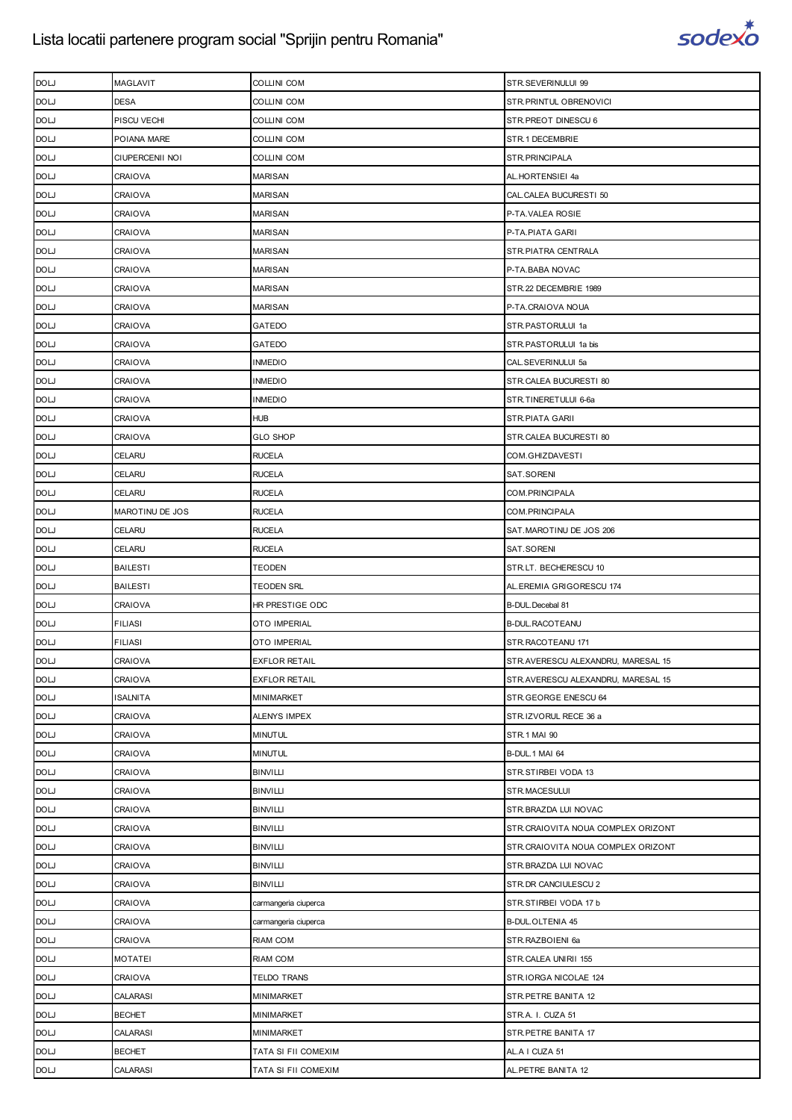

| <b>DOLJ</b> | MAGLAVIT               | COLLINI COM          | STR.SEVERINULUI 99                 |
|-------------|------------------------|----------------------|------------------------------------|
| <b>DOLJ</b> | <b>DESA</b>            | <b>COLLINI COM</b>   | STR.PRINTUL OBRENOVICI             |
| <b>DOLJ</b> | PISCU VECHI            | <b>COLLINI COM</b>   | STR.PREOT DINESCU 6                |
| <b>DOLJ</b> | POIANA MARE            | COLLINI COM          | STR.1 DECEMBRIE                    |
| <b>DOLJ</b> | <b>CIUPERCENII NOI</b> | COLLINI COM          | STR.PRINCIPALA                     |
| <b>DOLJ</b> | CRAIOVA                | <b>MARISAN</b>       | AL.HORTENSIEI 4a                   |
| <b>DOLJ</b> | CRAIOVA                | MARISAN              | CAL.CALEA BUCURESTI 50             |
| <b>DOLJ</b> | CRAIOVA                | <b>MARISAN</b>       | P-TA.VALEA ROSIE                   |
| <b>DOLJ</b> | CRAIOVA                | <b>MARISAN</b>       | P-TA.PIATA GARII                   |
| <b>DOLJ</b> | CRAIOVA                | <b>MARISAN</b>       | STR.PIATRA CENTRALA                |
| <b>DOLJ</b> | CRAIOVA                | <b>MARISAN</b>       | P-TA.BABA NOVAC                    |
| <b>DOLJ</b> | CRAIOVA                | MARISAN              | STR.22 DECEMBRIE 1989              |
| <b>DOLJ</b> | CRAIOVA                | <b>MARISAN</b>       | P-TA.CRAIOVA NOUA                  |
| <b>DOLJ</b> | <b>CRAIOVA</b>         | GATEDO               | STR.PASTORULUI 1a                  |
| <b>DOLJ</b> | CRAIOVA                | GATEDO               | STR.PASTORULUI 1a bis              |
| <b>DOLJ</b> | CRAIOVA                | <b>INMEDIO</b>       | CAL.SEVERINULUI 5a                 |
| <b>DOLJ</b> | CRAIOVA                | <b>INMEDIO</b>       | STR.CALEA BUCURESTI 80             |
| <b>DOLJ</b> | CRAIOVA                | <b>INMEDIO</b>       | STR.TINERETULUI 6-6a               |
| <b>DOLJ</b> | CRAIOVA                | <b>HUB</b>           | STR.PIATA GARII                    |
| <b>DOLJ</b> | CRAIOVA                | <b>GLO SHOP</b>      | STR.CALEA BUCURESTI 80             |
| <b>DOLJ</b> | CELARU                 | <b>RUCELA</b>        | COM.GHIZDAVESTI                    |
| <b>DOLJ</b> | CELARU                 | <b>RUCELA</b>        | SAT.SORENI                         |
| <b>DOLJ</b> | CELARU                 | <b>RUCELA</b>        | COM.PRINCIPALA                     |
| <b>DOLJ</b> | MAROTINU DE JOS        | <b>RUCELA</b>        | COM.PRINCIPALA                     |
| <b>DOLJ</b> | CELARU                 | <b>RUCELA</b>        | SAT.MAROTINU DE JOS 206            |
| <b>DOLJ</b> | CELARU                 | <b>RUCELA</b>        | SAT.SORENI                         |
| <b>DOLJ</b> | <b>BAILESTI</b>        | TEODEN               | STR.LT. BECHERESCU 10              |
| <b>DOLJ</b> | <b>BAILESTI</b>        | <b>TEODEN SRL</b>    | AL.EREMIA GRIGORESCU 174           |
| <b>DOLJ</b> | <b>CRAIOVA</b>         | HR PRESTIGE ODC      | B-DUL. Decebal 81                  |
| <b>DOLJ</b> | <b>FILIASI</b>         | OTO IMPERIAL         | <b>B-DUL.RACOTEANU</b>             |
| <b>DOLJ</b> | <b>FILIASI</b>         | <b>OTO IMPERIAL</b>  | STR.RACOTEANU 171                  |
| <b>DOLJ</b> | <b>CRAIOVA</b>         | <b>EXFLOR RETAIL</b> | STR.AVERESCU ALEXANDRU, MARESAL 15 |
| <b>DOLJ</b> | CRAIOVA                | <b>EXFLOR RETAIL</b> | STR.AVERESCU ALEXANDRU, MARESAL 15 |
| <b>DOLJ</b> | ISALNITA               | MINIMARKET           | STR.GEORGE ENESCU 64               |
| <b>DOLJ</b> | CRAIOVA                | ALENYS IMPEX         | STR.IZVORUL RECE 36 a              |
| <b>DOLJ</b> | CRAIOVA                | <b>MINUTUL</b>       | <b>STR.1 MAI 90</b>                |
| <b>DOLJ</b> | CRAIOVA                | <b>MINUTUL</b>       | B-DUL.1 MAI 64                     |
| <b>DOLJ</b> | CRAIOVA                | <b>BINVILLI</b>      | STR.STIRBEI VODA 13                |
| <b>DOLJ</b> | CRAIOVA                | <b>BINVILLI</b>      | STR.MACESULUI                      |
| <b>DOLJ</b> | CRAIOVA                | <b>BINVILLI</b>      | STR.BRAZDA LUI NOVAC               |
| <b>DOLJ</b> | CRAIOVA                | <b>BINVILLI</b>      | STR.CRAIOVITA NOUA COMPLEX ORIZONT |
| <b>DOLJ</b> | CRAIOVA                | <b>BINVILLI</b>      | STR.CRAIOVITA NOUA COMPLEX ORIZONT |
| <b>DOLJ</b> | CRAIOVA                | <b>BINVILLI</b>      | STR.BRAZDA LUI NOVAC               |
| <b>DOLJ</b> | CRAIOVA                | <b>BINVILLI</b>      | STR.DR CANCIULESCU 2               |
| <b>DOLJ</b> | CRAIOVA                | carmangeria ciuperca | STR.STIRBEI VODA 17 b              |
| <b>DOLJ</b> | CRAIOVA                | carmangeria ciuperca | <b>B-DUL.OLTENIA 45</b>            |
| <b>DOLJ</b> | <b>CRAIOVA</b>         | RIAM COM             | STR.RAZBOIENI 6a                   |
| <b>DOLJ</b> | <b>MOTATEI</b>         | RIAM COM             | STR.CALEA UNIRII 155               |
| <b>DOLJ</b> | CRAIOVA                | TELDO TRANS          | STR.IORGA NICOLAE 124              |
| <b>DOLJ</b> | CALARASI               | MINIMARKET           | STR.PETRE BANITA 12                |
| <b>DOLJ</b> | <b>BECHET</b>          | MINIMARKET           | STR.A. I. CUZA 51                  |
| <b>DOLJ</b> | CALARASI               | MINIMARKET           | STR.PETRE BANITA 17                |
| <b>DOLJ</b> | <b>BECHET</b>          | TATA SI FII COMEXIM  | AL.A I CUZA 51                     |
| <b>DOL'</b> | CALARASI               | TATA SI FII COMEXIM  | AL.PETRE BANITA 12                 |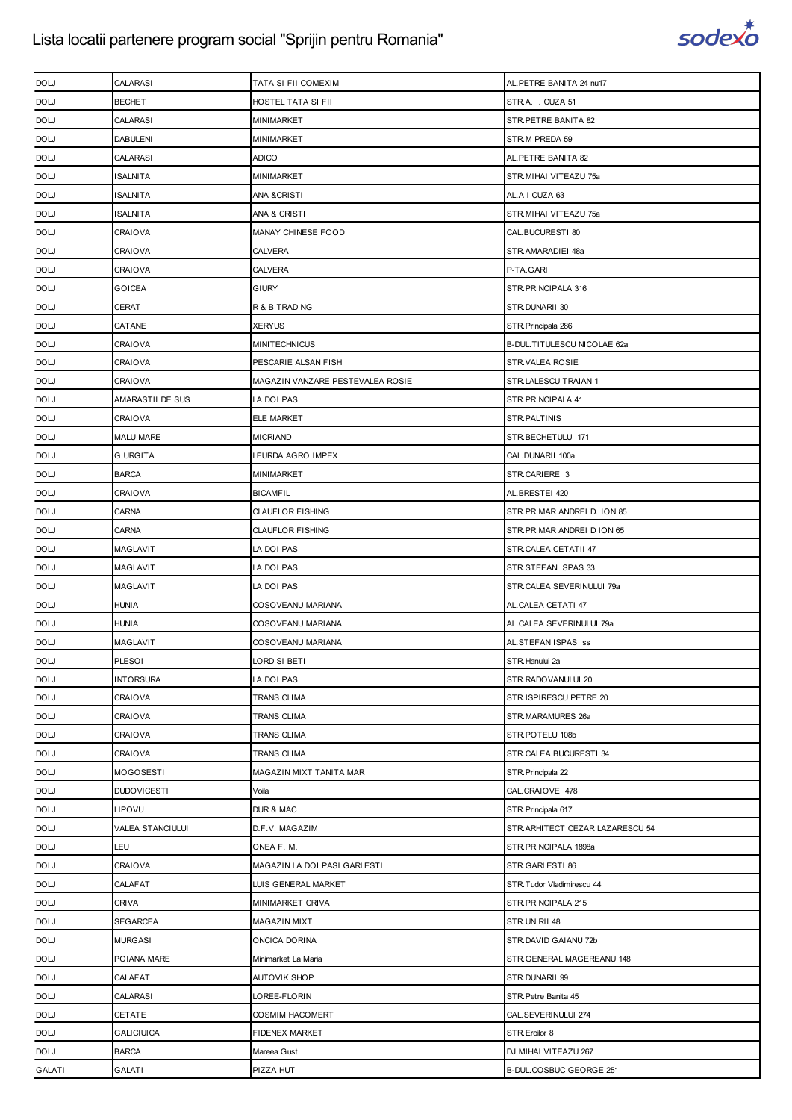

| <b>DOLJ</b>   | CALARASI           | TATA SI FII COMEXIM              | AL. PETRE BANITA 24 nu17        |
|---------------|--------------------|----------------------------------|---------------------------------|
| <b>DOLJ</b>   | <b>BECHET</b>      | HOSTEL TATA SI FII               | STR.A. I. CUZA 51               |
| <b>DOL'</b>   | CALARASI           | <b>MINIMARKET</b>                | STR.PETRE BANITA 82             |
| <b>DOLJ</b>   | <b>DABULENI</b>    | <b>MINIMARKET</b>                | STR.M PREDA 59                  |
| <b>DOLJ</b>   | <b>CALARASI</b>    | <b>ADICO</b>                     | AL.PETRE BANITA 82              |
| <b>DOLJ</b>   | ISALNITA           | <b>MINIMARKET</b>                | STR.MIHAI VITEAZU 75a           |
| <b>DOLJ</b>   | ISALNITA           | ANA & CRISTI                     | AL.A I CUZA 63                  |
| <b>DOLJ</b>   | <b>ISALNITA</b>    | ANA & CRISTI                     | STR.MIHAI VITEAZU 75a           |
| <b>DOL'</b>   | CRAIOVA            | MANAY CHINESE FOOD               | CAL.BUCURESTI 80                |
| <b>DOLJ</b>   | CRAIOVA            | <b>CALVERA</b>                   | STR.AMARADIEI 48a               |
| <b>DOL'</b>   | CRAIOVA            | <b>CALVERA</b>                   | P-TA.GARII                      |
| <b>DOLJ</b>   | GOICEA             | <b>GIURY</b>                     | STR.PRINCIPALA 316              |
| <b>DOLJ</b>   | CERAT              | R & B TRADING                    | STR.DUNARII 30                  |
| <b>DOLJ</b>   | CATANE             | <b>XERYUS</b>                    | STR. Principala 286             |
| <b>DOL'</b>   | CRAIOVA            | <b>MINITECHNICUS</b>             | B-DUL.TITULESCU NICOLAE 62a     |
| <b>DOLJ</b>   | CRAIOVA            | PESCARIE ALSAN FISH              | STR.VALEA ROSIE                 |
| <b>DOL'</b>   | CRAIOVA            | MAGAZIN VANZARE PESTEVALEA ROSIE | STR.LALESCU TRAIAN 1            |
| <b>DOLJ</b>   | AMARASTII DE SUS   | LA DOI PASI                      | STR. PRINCIPALA 41              |
| <b>DOLJ</b>   | CRAIOVA            | <b>ELE MARKET</b>                | STR.PALTINIS                    |
| <b>DOLJ</b>   | <b>MALU MARE</b>   | <b>MICRIAND</b>                  | STR.BECHETULUI 171              |
| <b>DOL'</b>   | <b>GIURGITA</b>    | LEURDA AGRO IMPEX                | CAL.DUNARII 100a                |
| <b>DOLJ</b>   | <b>BARCA</b>       | <b>MINIMARKET</b>                | STR.CARIEREI 3                  |
| <b>DOLJ</b>   | CRAIOVA            | <b>BICAMFIL</b>                  | AL.BRESTEI 420                  |
| <b>DOL'</b>   | CARNA              | <b>CLAUFLOR FISHING</b>          | STR. PRIMAR ANDREI D. ION 85    |
| <b>DOLJ</b>   | CARNA              | <b>CLAUFLOR FISHING</b>          | STR. PRIMAR ANDREI D ION 65     |
| <b>DOLJ</b>   | MAGLAVIT           | LA DOI PASI                      | STR.CALEA CETATII 47            |
| <b>DOL'</b>   | <b>MAGLAVIT</b>    | LA DOI PASI                      | STR.STEFAN ISPAS 33             |
| <b>DOLJ</b>   | <b>MAGLAVIT</b>    | LA DOI PASI                      | STR.CALEA SEVERINULUI 79a       |
| <b>DOLJ</b>   | <b>HUNIA</b>       | COSOVEANU MARIANA                | AL.CALEA CETATI 47              |
| <b>DOLJ</b>   | <b>HUNIA</b>       | COSOVEANU MARIANA                | AL.CALEA SEVERINULUI 79a        |
| <b>DOLJ</b>   | <b>MAGLAVIT</b>    | COSOVEANU MARIANA                | AL.STEFAN ISPAS ss              |
| <b>DOLJ</b>   | <b>PLESOI</b>      | LORD SI BETI                     | STR. Hanului 2a                 |
| <b>DOLJ</b>   | <b>INTORSURA</b>   | LA DOI PASI                      | STR.RADOVANULUI 20              |
| <b>DOLJ</b>   | CRAIOVA            | TRANS CLIMA                      | STR.ISPIRESCU PETRE 20          |
| <b>DOLJ</b>   | CRAIOVA            | <b>TRANS CLIMA</b>               | STR.MARAMURES 26a               |
| <b>DOLJ</b>   | CRAIOVA            | TRANS CLIMA                      | STR.POTELU 108b                 |
| <b>DOLJ</b>   | CRAIOVA            | TRANS CLIMA                      | STR.CALEA BUCURESTI 34          |
| <b>DOLJ</b>   | <b>MOGOSESTI</b>   | MAGAZIN MIXT TANITA MAR          | STR. Principala 22              |
| <b>DOLJ</b>   | <b>DUDOVICESTI</b> | Voila                            | CAL.CRAIOVEI 478                |
| <b>DOLJ</b>   | LIPOVU             | DUR & MAC                        | STR. Principala 617             |
| <b>DOLJ</b>   | VALEA STANCIULUI   | D.F.V. MAGAZIM                   | STR.ARHITECT CEZAR LAZARESCU 54 |
| <b>DOLJ</b>   | LEU                | ONEA F. M.                       | STR.PRINCIPALA 1898a            |
| <b>DOLJ</b>   | CRAIOVA            | MAGAZIN LA DOI PASI GARLESTI     | STR.GARLESTI 86                 |
| <b>DOLJ</b>   | CALAFAT            | LUIS GENERAL MARKET              | STR.Tudor Vladimirescu 44       |
| <b>DOLJ</b>   | CRIVA              | MINIMARKET CRIVA                 | STR.PRINCIPALA 215              |
| <b>DOLJ</b>   | <b>SEGARCEA</b>    | <b>MAGAZIN MIXT</b>              | STR.UNIRII 48                   |
| <b>DOLJ</b>   | <b>MURGASI</b>     | ONCICA DORINA                    | STR.DAVID GAIANU 72b            |
| <b>DOLJ</b>   | POIANA MARE        | Minimarket La Maria              | STR.GENERAL MAGEREANU 148       |
| <b>DOLJ</b>   | CALAFAT            | <b>AUTOVIK SHOP</b>              | STR.DUNARII 99                  |
| <b>DOLJ</b>   | CALARASI           | LOREE-FLORIN                     | STR. Petre Banita 45            |
| <b>DOLJ</b>   | CETATE             | COSMIMIHACOMERT                  | CAL.SEVERINULUI 274             |
| <b>DOLJ</b>   | <b>GALICIUICA</b>  | FIDENEX MARKET                   | STR. Eroilor 8                  |
| <b>DOLJ</b>   | <b>BARCA</b>       | Mareea Gust                      | DJ. MIHAI VITEAZU 267           |
| <b>GALATI</b> | <b>GALATI</b>      | PIZZA HUT                        | B-DUL.COSBUC GEORGE 251         |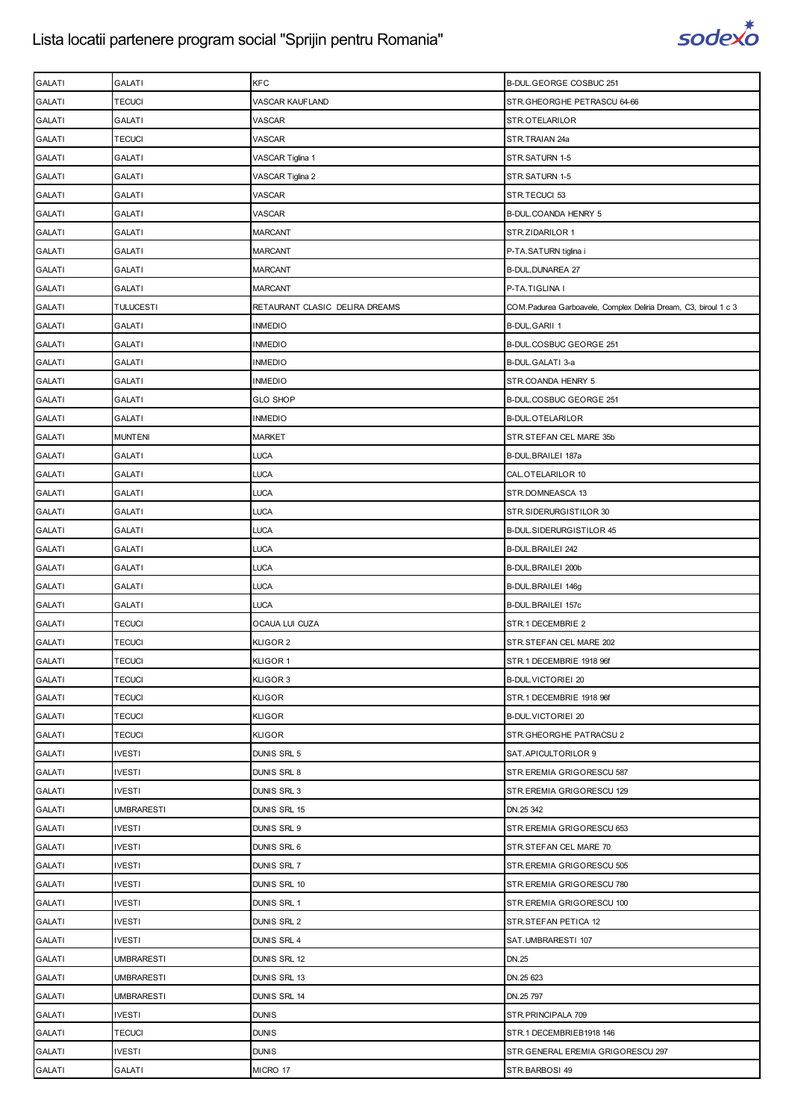

| <b>GALATI</b> | GALATI            | KFC                            | B-DUL.GEORGE COSBUC 251                                          |
|---------------|-------------------|--------------------------------|------------------------------------------------------------------|
| <b>GALATI</b> | <b>TECUCI</b>     | VASCAR KAUFLAND                | STR.GHEORGHE PETRASCU 64-66                                      |
| <b>GALATI</b> | GALATI            | VASCAR                         | STR.OTELARILOR                                                   |
| <b>GALATI</b> | TECUCI            | VASCAR                         | STR.TRAIAN 24a                                                   |
| <b>GALATI</b> | <b>GALATI</b>     | VASCAR Tiglina 1               | STR.SATURN 1-5                                                   |
| <b>GALATI</b> | <b>GALATI</b>     | VASCAR Tiglina 2               | STR.SATURN 1-5                                                   |
| <b>GALATI</b> | GALATI            | VASCAR                         | STR.TECUCI 53                                                    |
| <b>GALATI</b> | GALATI            | VASCAR                         | B-DUL.COANDA HENRY 5                                             |
| <b>GALATI</b> | GALATI            | <b>MARCANT</b>                 | STR.ZIDARILOR 1                                                  |
| <b>GALATI</b> | GALATI            | MARCANT                        | P-TA.SATURN tiglina i                                            |
| <b>GALATI</b> | <b>GALATI</b>     | <b>MARCANT</b>                 | B-DUL.DUNAREA 27                                                 |
| <b>GALATI</b> | <b>GALATI</b>     | <b>MARCANT</b>                 | P-TA.TIGLINA I                                                   |
| <b>GALATI</b> | TULUCESTI         | RETAURANT CLASIC DELIRA DREAMS | COM. Padurea Garboavele, Complex Deliria Dream, C3, biroul 1 c 3 |
| <b>GALATI</b> | GALATI            | <b>INMEDIO</b>                 | <b>B-DUL.GARII 1</b>                                             |
| <b>GALATI</b> | GALATI            | <b>INMEDIO</b>                 | B-DUL.COSBUC GEORGE 251                                          |
| <b>GALATI</b> | GALATI            | <b>INMEDIO</b>                 | B-DUL.GALATI 3-a                                                 |
| <b>GALATI</b> | <b>GALATI</b>     | <b>INMEDIO</b>                 | STR.COANDA HENRY 5                                               |
| <b>GALATI</b> | <b>GALATI</b>     | <b>GLO SHOP</b>                | B-DUL.COSBUC GEORGE 251                                          |
| <b>GALATI</b> | GALATI            | <b>INMEDIO</b>                 | <b>B-DUL.OTELARILOR</b>                                          |
| <b>GALATI</b> | <b>MUNTENI</b>    | <b>MARKET</b>                  | STR.STEFAN CEL MARE 35b                                          |
| <b>GALATI</b> | GALATI            | <b>LUCA</b>                    | B-DUL.BRAILEI 187a                                               |
| <b>GALATI</b> | GALATI            | LUCA                           | CAL.OTELARILOR 10                                                |
| <b>GALATI</b> | <b>GALATI</b>     | <b>LUCA</b>                    | STR.DOMNEASCA 13                                                 |
| <b>GALATI</b> | <b>GALATI</b>     | <b>LUCA</b>                    | STR.SIDERURGISTILOR 30                                           |
| <b>GALATI</b> | GALATI            | LUCA                           | B-DUL.SIDERURGISTILOR 45                                         |
| <b>GALATI</b> | GALATI            | <b>LUCA</b>                    | B-DUL.BRAILEI 242                                                |
| <b>GALATI</b> | <b>GALATI</b>     | <b>LUCA</b>                    | B-DUL.BRAILEI 200b                                               |
| <b>GALATI</b> | GALATI            | LUCA                           | B-DUL.BRAILEI 146g                                               |
| <b>GALATI</b> | <b>GALATI</b>     | <b>LUCA</b>                    | B-DUL.BRAILEI 157c                                               |
| <b>GALATI</b> | TECUCI            | OCAUA LUI CUZA                 | STR.1 DECEMBRIE 2                                                |
| <b>GALATI</b> | TECUCI            | KLIGOR 2                       | STR.STEFAN CEL MARE 202                                          |
| <b>GALATI</b> | <b>TECUCI</b>     | KLIGOR 1                       | STR.1 DECEMBRIE 1918 96f                                         |
| <b>GALATI</b> | <b>TECUCI</b>     | KLIGOR 3                       | <b>B-DUL.VICTORIEI 20</b>                                        |
| <b>GALATI</b> | <b>TECUCI</b>     | <b>KLIGOR</b>                  | STR.1 DECEMBRIE 1918 96f                                         |
| <b>GALATI</b> | <b>TECUCI</b>     | <b>KLIGOR</b>                  | <b>B-DUL VICTORIEI 20</b>                                        |
| <b>GALATI</b> | <b>TECUCI</b>     | <b>KLIGOR</b>                  | STR.GHEORGHE PATRACSU 2                                          |
| <b>GALATI</b> | IVESTI            | DUNIS SRL 5                    | SAT. APICULTORILOR 9                                             |
| <b>GALATI</b> | <b>IVESTI</b>     | DUNIS SRL 8                    | STR.EREMIA GRIGORESCU 587                                        |
| <b>GALATI</b> | <b>IVESTI</b>     | DUNIS SRL 3                    | STR.EREMIA GRIGORESCU 129                                        |
| <b>GALATI</b> | <b>UMBRARESTI</b> | DUNIS SRL 15                   | DN.25 342                                                        |
| <b>GALATI</b> | <b>IVESTI</b>     | DUNIS SRL 9                    | STR.EREMIA GRIGORESCU 653                                        |
| <b>GALATI</b> | <b>IVESTI</b>     | DUNIS SRL 6                    | STR.STEFAN CEL MARE 70                                           |
| <b>GALATI</b> | <b>IVESTI</b>     | DUNIS SRL 7                    | STR.EREMIA GRIGORESCU 505                                        |
| <b>GALATI</b> | <b>IVESTI</b>     | DUNIS SRL 10                   | STR.EREMIA GRIGORESCU 780                                        |
| <b>GALATI</b> | <b>IVESTI</b>     | DUNIS SRL 1                    | STR.EREMIA GRIGORESCU 100                                        |
| <b>GALATI</b> | <b>IVESTI</b>     | DUNIS SRL 2                    | STR.STEFAN PETICA 12                                             |
| <b>GALATI</b> | <b>IVESTI</b>     | DUNIS SRL 4                    | SAT.UMBRARESTI 107                                               |
| <b>GALATI</b> | <b>UMBRARESTI</b> | DUNIS SRL 12                   | DN.25                                                            |
| <b>GALATI</b> | <b>UMBRARESTI</b> | DUNIS SRL 13                   | DN.25 623                                                        |
| <b>GALATI</b> | <b>UMBRARESTI</b> | DUNIS SRL 14                   | DN.25 797                                                        |
| <b>GALATI</b> | <b>IVESTI</b>     | <b>DUNIS</b>                   | STR.PRINCIPALA 709                                               |
| <b>GALATI</b> | <b>TECUCI</b>     | <b>DUNIS</b>                   | STR.1 DECEMBRIEB1918 146                                         |
| <b>GALATI</b> | <b>IVESTI</b>     | <b>DUNIS</b>                   | STR. GENERAL EREMIA GRIGORESCU 297                               |
| <b>GALATI</b> | <b>GALATI</b>     | MICRO 17                       | STR.BARBOSI 49                                                   |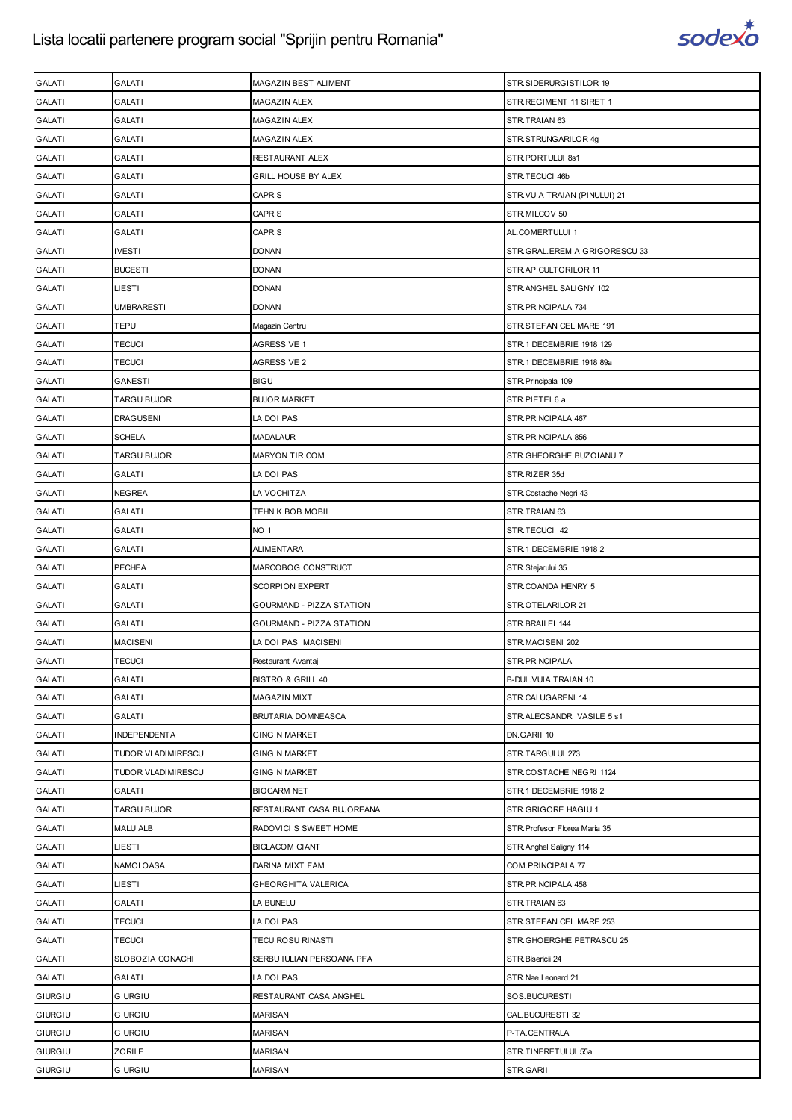

| <b>GALATI</b> | <b>GALATI</b>       | MAGAZIN BEST ALIMENT         | STR.SIDERURGISTILOR 19          |
|---------------|---------------------|------------------------------|---------------------------------|
| <b>GALATI</b> | <b>GALATI</b>       | <b>MAGAZIN ALEX</b>          | STR. REGIMENT 11 SIRET 1        |
| <b>GALATI</b> | <b>GALATI</b>       | MAGAZIN ALEX                 | STR.TRAIAN 63                   |
| <b>GALATI</b> | <b>GALATI</b>       | MAGAZIN ALEX                 | STR.STRUNGARILOR 4g             |
| <b>GALATI</b> | <b>GALATI</b>       | RESTAURANT ALEX              | STR.PORTULUI 8s1                |
| <b>GALATI</b> | GALATI              | <b>GRILL HOUSE BY ALEX</b>   | STR.TECUCI 46b                  |
| <b>GALATI</b> | <b>GALATI</b>       | <b>CAPRIS</b>                | STR. VUIA TRAIAN (PINULUI) 21   |
| <b>GALATI</b> | <b>GALATI</b>       | <b>CAPRIS</b>                | STR.MILCOV 50                   |
| <b>GALATI</b> | GALATI              | <b>CAPRIS</b>                | AL.COMERTULUI 1                 |
| <b>GALATI</b> | <b>IVESTI</b>       | <b>DONAN</b>                 | STR. GRAL. EREMIA GRIGORESCU 33 |
| <b>GALATI</b> | <b>BUCESTI</b>      | <b>DONAN</b>                 | STR.APICULTORILOR 11            |
| <b>GALATI</b> | LIESTI              | <b>DONAN</b>                 | STR.ANGHEL SALIGNY 102          |
| <b>GALATI</b> | <b>UMBRARESTI</b>   | <b>DONAN</b>                 | STR. PRINCIPALA 734             |
| <b>GALATI</b> | <b>TEPU</b>         | Magazin Centru               | STR.STEFAN CEL MARE 191         |
| <b>GALATI</b> | <b>TECUCI</b>       | AGRESSIVE 1                  | STR.1 DECEMBRIE 1918 129        |
| <b>GALATI</b> | <b>TECUCI</b>       | AGRESSIVE 2                  | STR.1 DECEMBRIE 1918 89a        |
| <b>GALATI</b> | <b>GANESTI</b>      | <b>BIGU</b>                  | STR. Principala 109             |
| <b>GALATI</b> | <b>TARGU BUJOR</b>  | <b>BUJOR MARKET</b>          | STR.PIETEI 6 a                  |
| <b>GALATI</b> | <b>DRAGUSENI</b>    | LA DOI PASI                  | STR. PRINCIPALA 467             |
| <b>GALATI</b> | <b>SCHELA</b>       | <b>MADALAUR</b>              | STR. PRINCIPALA 856             |
| <b>GALATI</b> | <b>TARGU BUJOR</b>  | <b>MARYON TIR COM</b>        | STR.GHEORGHE BUZOIANU 7         |
| <b>GALATI</b> | <b>GALATI</b>       | LA DOI PASI                  | STR.RIZER 35d                   |
| <b>GALATI</b> | <b>NEGREA</b>       | LA VOCHITZA                  | STR. Costache Negri 43          |
| <b>GALATI</b> | GALATI              | TEHNIK BOB MOBIL             | STR.TRAIAN 63                   |
| <b>GALATI</b> | <b>GALATI</b>       | NO <sub>1</sub>              | STR.TECUCI 42                   |
| <b>GALATI</b> | <b>GALATI</b>       | <b>ALIMENTARA</b>            | STR.1 DECEMBRIE 1918 2          |
| <b>GALATI</b> | <b>PECHEA</b>       | MARCOBOG CONSTRUCT           | STR. Stejarului 35              |
| <b>GALATI</b> | <b>GALATI</b>       | <b>SCORPION EXPERT</b>       | STR.COANDA HENRY 5              |
| GALATI        | <b>GALATI</b>       | GOURMAND - PIZZA STATION     | STR.OTELARILOR 21               |
| <b>GALATI</b> | GALATI              | GOURMAND - PIZZA STATION     | STR.BRAILEI 144                 |
| <b>GALATI</b> | <b>MACISENI</b>     | LA DOI PASI MACISENI         | STR.MACISENI 202                |
| <b>GALATI</b> | <b>TECUCI</b>       | Restaurant Avantaj           | STR.PRINCIPALA                  |
| <b>GALATI</b> | <b>GALATI</b>       | <b>BISTRO &amp; GRILL 40</b> | B-DUL. VUIA TRAIAN 10           |
| <b>GALATI</b> | GALATI              | <b>MAGAZIN MIXT</b>          | STR.CALUGARENI 14               |
| <b>GALATI</b> | <b>GALATI</b>       | BRUTARIA DOMNEASCA           | STR.ALECSANDRI VASILE 5 s1      |
| <b>GALATI</b> | <b>INDEPENDENTA</b> | <b>GINGIN MARKET</b>         | DN.GARII 10                     |
| <b>GALATI</b> | TUDOR VLADIMIRESCU  | <b>GINGIN MARKET</b>         | STR.TARGULUI 273                |
| <b>GALATI</b> | TUDOR VLADIMIRESCU  | <b>GINGIN MARKET</b>         | STR.COSTACHE NEGRI 1124         |
| <b>GALATI</b> | GALATI              | <b>BIOCARM NET</b>           | STR.1 DECEMBRIE 1918 2          |
| <b>GALATI</b> | TARGU BUJOR         | RESTAURANT CASA BUJOREANA    | STR.GRIGORE HAGIU 1             |
| <b>GALATI</b> | <b>MALU ALB</b>     | RADOVICI S SWEET HOME        | STR. Profesor Florea Maria 35   |
| <b>GALATI</b> | LIESTI              | <b>BICLACOM CIANT</b>        | STR. Anghel Saligny 114         |
| <b>GALATI</b> | NAMOLOASA           | DARINA MIXT FAM              | COM.PRINCIPALA 77               |
| <b>GALATI</b> | LIESTI              | GHEORGHITA VALERICA          | STR. PRINCIPALA 458             |
| <b>GALATI</b> | <b>GALATI</b>       | LA BUNELU                    | STR.TRAIAN 63                   |
| <b>GALATI</b> | <b>TECUCI</b>       | LA DOI PASI                  | STR.STEFAN CEL MARE 253         |
| <b>GALATI</b> | <b>TECUCI</b>       | <b>TECU ROSU RINASTI</b>     | STR.GHOERGHE PETRASCU 25        |
| <b>GALATI</b> | SLOBOZIA CONACHI    | SERBU IULIAN PERSOANA PFA    | STR. Bisericii 24               |
| <b>GALATI</b> | <b>GALATI</b>       | LA DOI PASI                  | STR. Nae Leonard 21             |
| GIURGIU       | GIURGIU             | RESTAURANT CASA ANGHEL       | SOS.BUCURESTI                   |
| GIURGIU       | GIURGIU             | <b>MARISAN</b>               | CAL.BUCURESTI 32                |
| GIURGIU       | GIURGIU             | <b>MARISAN</b>               | P-TA.CENTRALA                   |
| GIURGIU       | ZORILE              | <b>MARISAN</b>               | STR.TINERETULUI 55a             |
| GIURGIU       | GIURGIU             | <b>MARISAN</b>               | STR.GARII                       |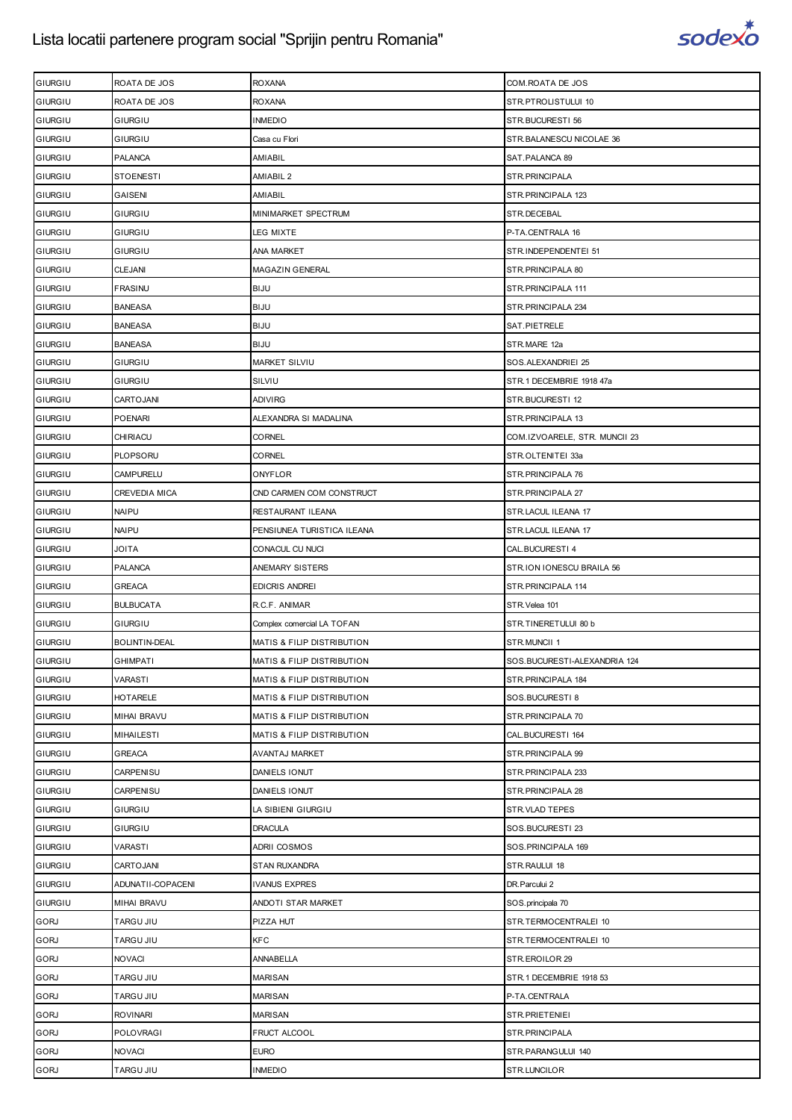

| GIURGIU        | ROATA DE JOS         | <b>ROXANA</b>                         | COM. ROATA DE JOS             |
|----------------|----------------------|---------------------------------------|-------------------------------|
| GIURGIU        | ROATA DE JOS         | <b>ROXANA</b>                         | STR.PTROLISTULUI 10           |
| GIURGIU        | GIURGIU              | <b>INMEDIO</b>                        | STR.BUCURESTI 56              |
| GIURGIU        | <b>GIURGIU</b>       | Casa cu Flori                         | STR.BALANESCU NICOLAE 36      |
| GIURGIU        | <b>PALANCA</b>       | AMIABIL                               | SAT.PALANCA 89                |
| GIURGIU        | STOENESTI            | AMIABIL 2                             | STR.PRINCIPALA                |
| GIURGIU        | GAISENI              | AMIABIL                               | STR. PRINCIPALA 123           |
| GIURGIU        | GIURGIU              | MINIMARKET SPECTRUM                   | STR.DECEBAL                   |
| GIURGIU        | GIURGIU              | LEG MIXTE                             | P-TA.CENTRALA 16              |
| GIURGIU        | GIURGIU              | <b>ANA MARKET</b>                     | STR.INDEPENDENTEI 51          |
| GIURGIU        | <b>CLEJANI</b>       | MAGAZIN GENERAL                       | STR. PRINCIPALA 80            |
| GIURGIU        | FRASINU              | <b>BIJU</b>                           | STR. PRINCIPALA 111           |
| GIURGIU        | <b>BANEASA</b>       | <b>BIJU</b>                           | STR. PRINCIPALA 234           |
| GIURGIU        | <b>BANEASA</b>       | <b>BIJU</b>                           | SAT.PIETRELE                  |
| GIURGIU        | <b>BANEASA</b>       | BIJU                                  | STR.MARE 12a                  |
| GIURGIU        | GIURGIU              | MARKET SILVIU                         | SOS.ALEXANDRIEI 25            |
| GIURGIU        | GIURGIU              | SILVIU                                | STR.1 DECEMBRIE 1918 47a      |
| <b>GIURGIU</b> | CARTOJANI            | ADIVIRG                               | STR.BUCURESTI 12              |
| GIURGIU        | <b>POENARI</b>       | ALEXANDRA SI MADALINA                 | STR. PRINCIPALA 13            |
| GIURGIU        | CHIRIACU             | CORNEL                                | COM.IZVOARELE, STR. MUNCII 23 |
| GIURGIU        | PLOPSORU             | CORNEL                                | STR.OLTENITEI 33a             |
| GIURGIU        | <b>CAMPURELU</b>     | ONYFLOR                               | STR. PRINCIPALA 76            |
| GIURGIU        | <b>CREVEDIA MICA</b> | CND CARMEN COM CONSTRUCT              | STR. PRINCIPALA 27            |
| GIURGIU        | NAIPU                | RESTAURANT ILEANA                     | STR.LACUL ILEANA 17           |
| GIURGIU        | <b>NAIPU</b>         | PENSIUNEA TURISTICA ILEANA            | STR.LACUL ILEANA 17           |
| GIURGIU        | <b>ATIOL</b>         | CONACUL CU NUCI                       | CAL.BUCURESTI 4               |
| GIURGIU        | <b>PALANCA</b>       | ANEMARY SISTERS                       | STR.ION IONESCU BRAILA 56     |
| GIURGIU        | <b>GREACA</b>        | <b>EDICRIS ANDREI</b>                 | STR. PRINCIPALA 114           |
| GIURGIU        | <b>BULBUCATA</b>     | R.C.F. ANIMAR                         | STR. Velea 101                |
| GIURGIU        | GIURGIU              | Complex comercial LA TOFAN            | STR.TINERETULUI 80 b          |
| GIURGIU        | BOLINTIN-DEAL        | MATIS & FILIP DISTRIBUTION            | STR.MUNCII 1                  |
| <b>GIURGIU</b> | <b>GHIMPATI</b>      | <b>MATIS &amp; FILIP DISTRIBUTION</b> | SOS.BUCURESTI-ALEXANDRIA 124  |
| GIURGIU        | VARASTI              | MATIS & FILIP DISTRIBUTION            | STR.PRINCIPALA 184            |
| GIURGIU        | <b>HOTARELE</b>      | MATIS & FILIP DISTRIBUTION            | SOS.BUCURESTI 8               |
| GIURGIU        | <b>MIHAI BRAVU</b>   | MATIS & FILIP DISTRIBUTION            | STR.PRINCIPALA 70             |
| GIURGIU        | <b>MIHAILESTI</b>    | MATIS & FILIP DISTRIBUTION            | CAL.BUCURESTI 164             |
| GIURGIU        | <b>GREACA</b>        | AVANTAJ MARKET                        | STR. PRINCIPALA 99            |
| GIURGIU        | CARPENISU            | DANIELS IONUT                         | STR. PRINCIPALA 233           |
| GIURGIU        | CARPENISU            | DANIELS IONUT                         | STR. PRINCIPALA 28            |
| GIURGIU        | GIURGIU              | LA SIBIENI GIURGIU                    | STR.VLAD TEPES                |
| GIURGIU        | GIURGIU              | <b>DRACULA</b>                        | SOS.BUCURESTI 23              |
| GIURGIU        | VARASTI              | ADRII COSMOS                          | SOS. PRINCIPALA 169           |
| GIURGIU        | CARTOJANI            | <b>STAN RUXANDRA</b>                  | STR.RAULUI 18                 |
| GIURGIU        | ADUNATII-COPACENI    | <b>IVANUS EXPRES</b>                  | DR. Parcului 2                |
| GIURGIU        | <b>MIHAI BRAVU</b>   | ANDOTI STAR MARKET                    | SOS.principala 70             |
| <b>GORJ</b>    | <b>TARGU JIU</b>     | PIZZA HUT                             | STR.TERMOCENTRALEI 10         |
| <b>GORJ</b>    | TARGU JIU            | <b>KFC</b>                            | STR.TERMOCENTRALEI 10         |
| <b>GORJ</b>    | <b>NOVACI</b>        | <b>ANNABELLA</b>                      | STR.EROILOR 29                |
| <b>GORJ</b>    | <b>TARGU JIU</b>     | <b>MARISAN</b>                        | STR.1 DECEMBRIE 1918 53       |
| <b>GORJ</b>    | TARGU JIU            | <b>MARISAN</b>                        | P-TA.CENTRALA                 |
| <b>GORJ</b>    | ROVINARI             | MARISAN                               | STR.PRIETENIEI                |
| <b>GORJ</b>    | <b>POLOVRAGI</b>     | FRUCT ALCOOL                          | STR.PRINCIPALA                |
| <b>GORJ</b>    | <b>NOVACI</b>        | <b>EURO</b>                           | STR.PARANGULUI 140            |
| <b>GORJ</b>    | TARGU JIU            | <b>INMEDIO</b>                        | STR.LUNCILOR                  |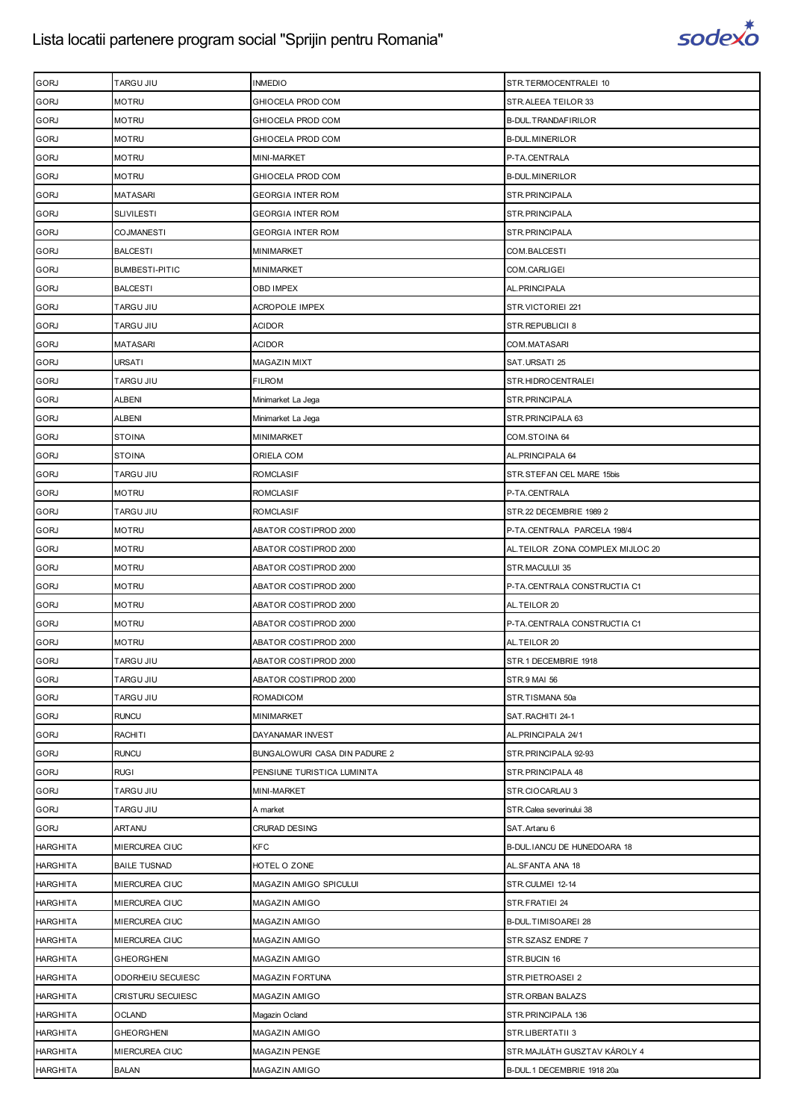

| <b>GORJ</b>     | TARGU JIU             | <b>INMEDIO</b>                | STR.TERMOCENTRALEI 10            |
|-----------------|-----------------------|-------------------------------|----------------------------------|
| <b>GORJ</b>     | <b>MOTRU</b>          | GHIOCELA PROD COM             | STR.ALEEA TEILOR 33              |
| <b>GORJ</b>     | MOTRU                 | GHIOCELA PROD COM             | B-DUL.TRANDAFIRILOR              |
| <b>GORJ</b>     | <b>MOTRU</b>          | GHIOCELA PROD COM             | <b>B-DUL.MINERILOR</b>           |
| <b>GORJ</b>     | <b>MOTRU</b>          | MINI-MARKET                   | P-TA.CENTRALA                    |
| <b>GORJ</b>     | MOTRU                 | GHIOCELA PROD COM             | <b>B-DUL.MINERILOR</b>           |
| <b>GORJ</b>     | <b>MATASARI</b>       | <b>GEORGIA INTER ROM</b>      | STR. PRINCIPALA                  |
| <b>GORJ</b>     | <b>SLIVILESTI</b>     | <b>GEORGIA INTER ROM</b>      | STR.PRINCIPALA                   |
| <b>GORJ</b>     | <b>COJMANESTI</b>     | <b>GEORGIA INTER ROM</b>      | STR.PRINCIPALA                   |
| <b>GORJ</b>     | <b>BALCESTI</b>       | MINIMARKET                    | COM.BALCESTI                     |
| <b>GORJ</b>     | <b>BUMBESTI-PITIC</b> | MINIMARKET                    | COM.CARLIGEI                     |
| <b>GORJ</b>     | <b>BALCESTI</b>       | OBD IMPEX                     | AL. PRINCIPALA                   |
| <b>GORJ</b>     | TARGU JIU             | <b>ACROPOLE IMPEX</b>         | STR.VICTORIEI 221                |
| <b>GORJ</b>     | TARGU JIU             | <b>ACIDOR</b>                 | STR.REPUBLICII 8                 |
| <b>GORJ</b>     | MATASARI              | <b>ACIDOR</b>                 | COM.MATASARI                     |
| <b>GORJ</b>     | URSATI                | <b>MAGAZIN MIXT</b>           | SAT.URSATI 25                    |
| <b>GORJ</b>     | TARGU JIU             | <b>FILROM</b>                 | STR.HIDROCENTRALEI               |
| <b>GORJ</b>     | ALBENI                | Minimarket La Jega            | STR.PRINCIPALA                   |
| <b>GORJ</b>     | ALBENI                | Minimarket La Jega            | STR. PRINCIPALA 63               |
| <b>GORJ</b>     | <b>STOINA</b>         | MINIMARKET                    | COM.STOINA 64                    |
| <b>GORJ</b>     | <b>STOINA</b>         | ORIELA COM                    | AL. PRINCIPALA 64                |
| <b>GORJ</b>     | TARGU JIU             | <b>ROMCLASIF</b>              | STR.STEFAN CEL MARE 15bis        |
| <b>GORJ</b>     | <b>MOTRU</b>          | <b>ROMCLASIF</b>              | P-TA.CENTRALA                    |
| <b>GORJ</b>     | TARGU JIU             | ROMCLASIF                     | STR.22 DECEMBRIE 1989 2          |
| <b>GORJ</b>     | <b>MOTRU</b>          | ABATOR COSTIPROD 2000         | P-TA.CENTRALA PARCELA 198/4      |
| <b>GORJ</b>     | <b>MOTRU</b>          | ABATOR COSTIPROD 2000         | AL.TEILOR ZONA COMPLEX MIJLOC 20 |
| <b>GORJ</b>     | <b>MOTRU</b>          | ABATOR COSTIPROD 2000         | STR.MACULUI 35                   |
| <b>GORJ</b>     | <b>MOTRU</b>          | ABATOR COSTIPROD 2000         | P-TA.CENTRALA CONSTRUCTIA C1     |
| <b>GORJ</b>     | <b>MOTRU</b>          | ABATOR COSTIPROD 2000         | AL.TEILOR 20                     |
| GORJ            | <b>MOTRU</b>          | ABATOR COSTIPROD 2000         | P-TA.CENTRALA CONSTRUCTIA C1     |
| <b>GORJ</b>     | <b>MOTRU</b>          | ABATOR COSTIPROD 2000         | AL.TEILOR 20                     |
| <b>GORJ</b>     | TARGU JIU             | ABATOR COSTIPROD 2000         | STR.1 DECEMBRIE 1918             |
| <b>GORJ</b>     | TARGU JIU             | ABATOR COSTIPROD 2000         | <b>STR.9 MAI 56</b>              |
| <b>GORJ</b>     | TARGU JIU             | <b>ROMADICOM</b>              | STR.TISMANA 50a                  |
| <b>GORJ</b>     | <b>RUNCU</b>          | MINIMARKET                    | SAT.RACHITI 24-1                 |
| GORJ            | RACHITI               | DAYANAMAR INVEST              | AL. PRINCIPALA 24/1              |
| <b>GORJ</b>     | <b>RUNCU</b>          | BUNGALOWURI CASA DIN PADURE 2 | STR.PRINCIPALA 92-93             |
| <b>GORJ</b>     | <b>RUGI</b>           | PENSIUNE TURISTICA LUMINITA   | STR.PRINCIPALA 48                |
| GORJ            | TARGU JIU             | MINI-MARKET                   | STR.CIOCARLAU 3                  |
| <b>GORJ</b>     | TARGU JIU             | A market                      | STR. Calea severinului 38        |
| <b>GORJ</b>     | ARTANU                | CRURAD DESING                 | SAT.Artanu 6                     |
| <b>HARGHITA</b> | MIERCUREA CIUC        | KFC                           | B-DUL.IANCU DE HUNEDOARA 18      |
| <b>HARGHITA</b> | <b>BAILE TUSNAD</b>   | HOTEL O ZONE                  | AL. SFANTA ANA 18                |
| <b>HARGHITA</b> | MIERCUREA CIUC        | MAGAZIN AMIGO SPICULUI        | STR.CULMEI 12-14                 |
| <b>HARGHITA</b> | MIERCUREA CIUC        | MAGAZIN AMIGO                 | STR.FRATIEI 24                   |
| <b>HARGHITA</b> | MIERCUREA CIUC        | MAGAZIN AMIGO                 | B-DUL.TIMISOAREI 28              |
| <b>HARGHITA</b> | MIERCUREA CIUC        | MAGAZIN AMIGO                 | STR.SZASZ ENDRE 7                |
| <b>HARGHITA</b> | GHEORGHENI            | MAGAZIN AMIGO                 | STR.BUCIN 16                     |
| <b>HARGHITA</b> | ODORHEIU SECUIESC     | MAGAZIN FORTUNA               | STR.PIETROASEI 2                 |
| <b>HARGHITA</b> | CRISTURU SECUIESC     | MAGAZIN AMIGO                 | STR.ORBAN BALAZS                 |
| <b>HARGHITA</b> | OCLAND                | Magazin Ocland                | STR.PRINCIPALA 136               |
| <b>HARGHITA</b> | <b>GHEORGHENI</b>     | MAGAZIN AMIGO                 | STR.LIBERTATII 3                 |
| <b>HARGHITA</b> | MIERCUREA CIUC        | MAGAZIN PENGE                 | STR.MAJLÁTH GUSZTAV KÁROLY 4     |
| <b>HARGHITA</b> | <b>BALAN</b>          | MAGAZIN AMIGO                 | B-DUL.1 DECEMBRIE 1918 20a       |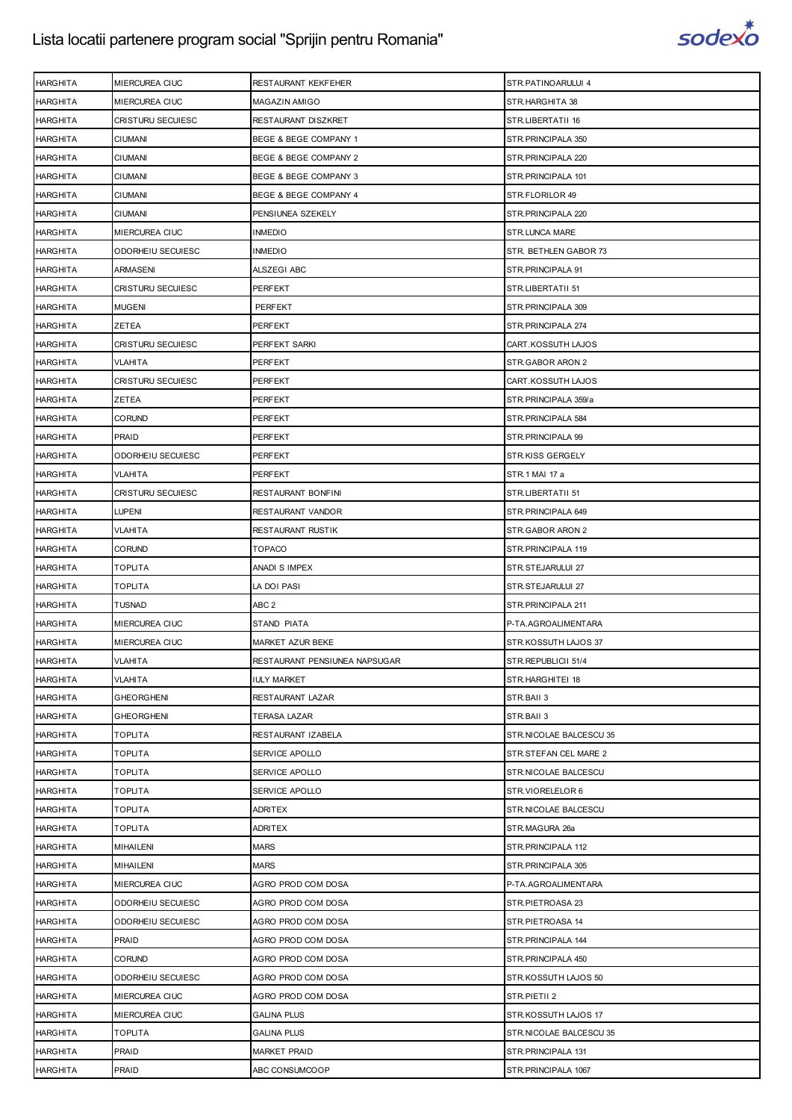

| <b>HARGHITA</b> | MIERCUREA CIUC    | RESTAURANT KEKFEHER           | STR.PATINOARULUI 4      |
|-----------------|-------------------|-------------------------------|-------------------------|
| <b>HARGHITA</b> | MIERCUREA CIUC    | <b>MAGAZIN AMIGO</b>          | STR.HARGHITA 38         |
| <b>HARGHITA</b> | CRISTURU SECUIESC | RESTAURANT DISZKRET           | STR.LIBERTATII 16       |
| <b>HARGHITA</b> | CIUMANI           | BEGE & BEGE COMPANY 1         | STR.PRINCIPALA 350      |
| <b>HARGHITA</b> | <b>CIUMANI</b>    | BEGE & BEGE COMPANY 2         | STR.PRINCIPALA 220      |
| <b>HARGHITA</b> | <b>CIUMANI</b>    | BEGE & BEGE COMPANY 3         | STR.PRINCIPALA 101      |
| HARGHITA        | CIUMANI           | BEGE & BEGE COMPANY 4         | STR.FLORILOR 49         |
| <b>HARGHITA</b> | <b>CIUMANI</b>    | PENSIUNEA SZEKELY             | STR.PRINCIPALA 220      |
| <b>HARGHITA</b> | MIERCUREA CIUC    | <b>INMEDIO</b>                | STR.LUNCA MARE          |
| HARGHITA        | ODORHEIU SECUIESC | INMEDIO                       | STR. BETHLEN GABOR 73   |
| <b>HARGHITA</b> | ARMASENI          | ALSZEGI ABC                   | STR.PRINCIPALA 91       |
| <b>HARGHITA</b> | CRISTURU SECUIESC | PERFEKT                       | STR.LIBERTATII 51       |
| <b>HARGHITA</b> | <b>MUGENI</b>     | PERFEKT                       | STR.PRINCIPALA 309      |
| <b>HARGHITA</b> | ZETEA             | PERFEKT                       | STR.PRINCIPALA 274      |
| <b>HARGHITA</b> | CRISTURU SECUIESC | PERFEKT SARKI                 | CART.KOSSUTH LAJOS      |
| <b>HARGHITA</b> | VLAHITA           | PERFEKT                       | STR.GABOR ARON 2        |
| <b>HARGHITA</b> | CRISTURU SECUIESC | PERFEKT                       | CART.KOSSUTH LAJOS      |
| <b>HARGHITA</b> | ZETEA             | PERFEKT                       | STR.PRINCIPALA 359/a    |
| <b>HARGHITA</b> | <b>CORUND</b>     | PERFEKT                       | STR.PRINCIPALA 584      |
| <b>HARGHITA</b> | PRAID             | PERFEKT                       | STR.PRINCIPALA 99       |
| <b>HARGHITA</b> | ODORHEIU SECUIESC | PERFEKT                       | STR.KISS GERGELY        |
| <b>HARGHITA</b> | VLAHITA           | PERFEKT                       | STR.1 MAI 17 a          |
| <b>HARGHITA</b> | CRISTURU SECUIESC | RESTAURANT BONFINI            | STR.LIBERTATII 51       |
| <b>HARGHITA</b> | LUPENI            | RESTAURANT VANDOR             | STR.PRINCIPALA 649      |
| <b>HARGHITA</b> | VLAHITA           | RESTAURANT RUSTIK             | STR.GABOR ARON 2        |
| <b>HARGHITA</b> | CORUND            | <b>TOPACO</b>                 | STR.PRINCIPALA 119      |
| <b>HARGHITA</b> | TOPLITA           | ANADI S IMPEX                 | STR.STEJARULUI 27       |
| <b>HARGHITA</b> | TOPLITA           | LA DOI PASI                   | STR.STEJARULUI 27       |
| <b>HARGHITA</b> | <b>TUSNAD</b>     | ABC <sub>2</sub>              | STR.PRINCIPALA 211      |
| <b>HARGHITA</b> | MIERCUREA CIUC    | STAND PIATA                   | P-TA.AGROALIMENTARA     |
| <b>HARGHITA</b> | MIERCUREA CIUC    | MARKET AZUR BEKE              | STR.KOSSUTH LAJOS 37    |
| <b>HARGHITA</b> | <b>VLAHITA</b>    | RESTAURANT PENSIUNEA NAPSUGAR | STR.REPUBLICII 51/4     |
| <b>HARGHITA</b> | <b>VLAHITA</b>    | <b>IULY MARKET</b>            | STR.HARGHITEI 18        |
| <b>HARGHITA</b> | GHEORGHENI        | RESTAURANT LAZAR              | STR.BAII 3              |
| <b>HARGHITA</b> | <b>GHEORGHENI</b> | <b>TERASA LAZAR</b>           | STR.BAII 3              |
| <b>HARGHITA</b> | TOPLITA           | RESTAURANT IZABELA            | STR.NICOLAE BALCESCU 35 |
| <b>HARGHITA</b> | TOPLITA           | SERVICE APOLLO                | STR.STEFAN CEL MARE 2   |
| <b>HARGHITA</b> | TOPLITA           | SERVICE APOLLO                | STR.NICOLAE BALCESCU    |
| <b>HARGHITA</b> | TOPLITA           | SERVICE APOLLO                | STR.VIORELELOR 6        |
| <b>HARGHITA</b> | TOPLITA           | <b>ADRITEX</b>                | STR.NICOLAE BALCESCU    |
| <b>HARGHITA</b> | TOPLITA           | <b>ADRITEX</b>                | STR.MAGURA 26a          |
| <b>HARGHITA</b> | <b>MIHAILENI</b>  | <b>MARS</b>                   | STR.PRINCIPALA 112      |
| HARGHITA        | MIHAILENI         | <b>MARS</b>                   | STR.PRINCIPALA 305      |
| <b>HARGHITA</b> | MIERCUREA CIUC    | AGRO PROD COM DOSA            | P-TA.AGROALIMENTARA     |
| <b>HARGHITA</b> | ODORHEIU SECUIESC | AGRO PROD COM DOSA            | STR.PIETROASA 23        |
| HARGHITA        | ODORHEIU SECUIESC | AGRO PROD COM DOSA            | STR.PIETROASA 14        |
| <b>HARGHITA</b> | PRAID             | AGRO PROD COM DOSA            | STR.PRINCIPALA 144      |
| <b>HARGHITA</b> | <b>CORUND</b>     | AGRO PROD COM DOSA            | STR.PRINCIPALA 450      |
| <b>HARGHITA</b> | ODORHEIU SECUIESC | AGRO PROD COM DOSA            | STR.KOSSUTH LAJOS 50    |
| <b>HARGHITA</b> | MIERCUREA CIUC    | AGRO PROD COM DOSA            | STR.PIETII 2            |
| <b>HARGHITA</b> | MIERCUREA CIUC    | <b>GALINA PLUS</b>            | STR.KOSSUTH LAJOS 17    |
| <b>HARGHITA</b> | TOPLITA           | <b>GALINA PLUS</b>            | STR.NICOLAE BALCESCU 35 |
| <b>HARGHITA</b> | PRAID             | <b>MARKET PRAID</b>           | STR.PRINCIPALA 131      |
| <b>HARGHITA</b> | PRAID             | ABC CONSUMCOOP                | STR.PRINCIPALA 1067     |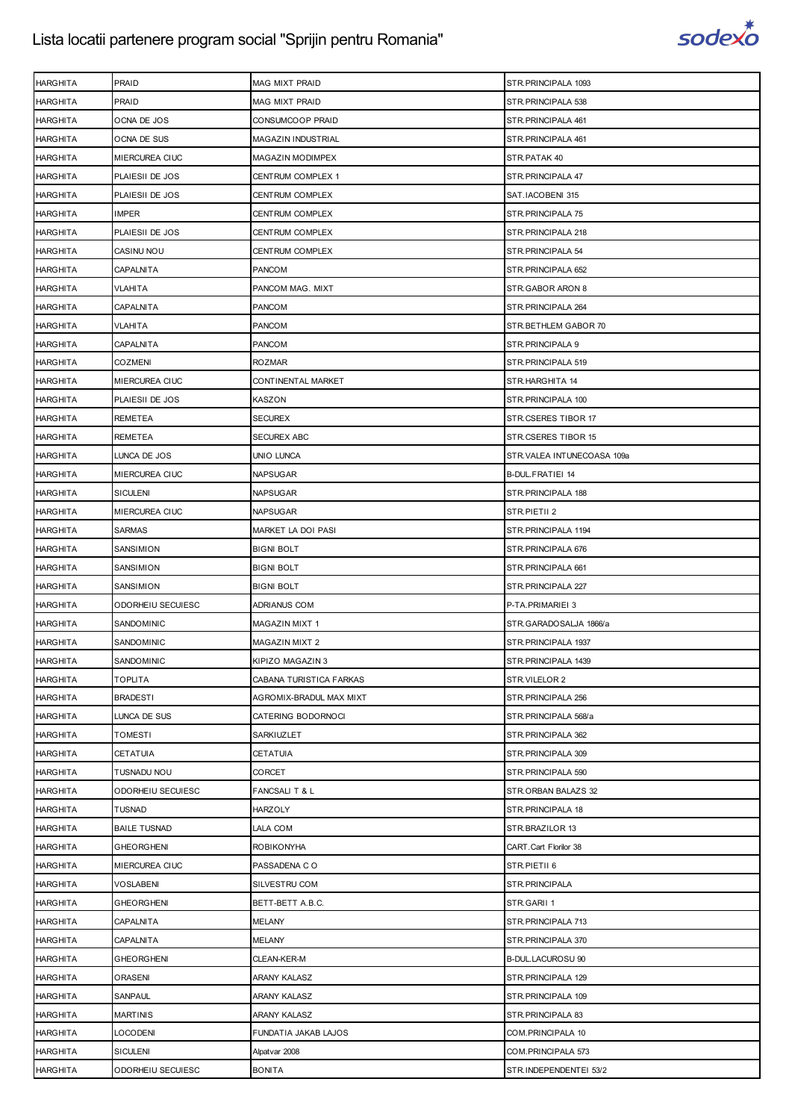

| <b>HARGHITA</b> | PRAID               | MAG MIXT PRAID            | STR. PRINCIPALA 1093       |
|-----------------|---------------------|---------------------------|----------------------------|
| <b>HARGHITA</b> | PRAID               | MAG MIXT PRAID            | STR. PRINCIPALA 538        |
| HARGHITA        | OCNA DE JOS         | CONSUMCOOP PRAID          | STR. PRINCIPALA 461        |
| <b>HARGHITA</b> | OCNA DE SUS         | <b>MAGAZIN INDUSTRIAL</b> | STR. PRINCIPALA 461        |
| <b>HARGHITA</b> | MIERCUREA CIUC      | MAGAZIN MODIMPEX          | STR.PATAK 40               |
| HARGHITA        | PLAIESII DE JOS     | CENTRUM COMPLEX 1         | STR. PRINCIPALA 47         |
| <b>HARGHITA</b> | PLAIESII DE JOS     | CENTRUM COMPLEX           | SAT.IACOBENI 315           |
| <b>HARGHITA</b> | <b>IMPER</b>        | CENTRUM COMPLEX           | STR.PRINCIPALA 75          |
| <b>HARGHITA</b> | PLAIESII DE JOS     | CENTRUM COMPLEX           | STR. PRINCIPALA 218        |
| <b>HARGHITA</b> | CASINU NOU          | CENTRUM COMPLEX           | STR.PRINCIPALA 54          |
| <b>HARGHITA</b> | CAPALNITA           | PANCOM                    | STR. PRINCIPALA 652        |
| HARGHITA        | VLAHITA             | PANCOM MAG. MIXT          | STR.GABOR ARON 8           |
| <b>HARGHITA</b> | CAPALNITA           | PANCOM                    | STR. PRINCIPALA 264        |
| <b>HARGHITA</b> | VLAHITA             | <b>PANCOM</b>             | STR.BETHLEM GABOR 70       |
| HARGHITA        | <b>CAPALNITA</b>    | <b>PANCOM</b>             | STR. PRINCIPALA 9          |
| <b>HARGHITA</b> | <b>COZMENI</b>      | <b>ROZMAR</b>             | STR. PRINCIPALA 519        |
| <b>HARGHITA</b> | MIERCUREA CIUC      | CONTINENTAL MARKET        | STR.HARGHITA 14            |
| <b>HARGHITA</b> | PLAIESII DE JOS     | KASZON                    | STR. PRINCIPALA 100        |
| <b>HARGHITA</b> | REMETEA             | <b>SECUREX</b>            | STR.CSERES TIBOR 17        |
| <b>HARGHITA</b> | REMETEA             | <b>SECUREX ABC</b>        | STR.CSERES TIBOR 15        |
| <b>HARGHITA</b> | LUNCA DE JOS        | UNIO LUNCA                | STR.VALEA INTUNECOASA 109a |
| <b>HARGHITA</b> | MIERCUREA CIUC      | <b>NAPSUGAR</b>           | <b>B-DUL FRATIEI 14</b>    |
| <b>HARGHITA</b> | <b>SICULENI</b>     | <b>NAPSUGAR</b>           | STR. PRINCIPALA 188        |
| HARGHITA        | MIERCUREA CIUC      | <b>NAPSUGAR</b>           | STR.PIETII 2               |
| <b>HARGHITA</b> | SARMAS              | MARKET LA DOI PASI        | STR. PRINCIPALA 1194       |
| <b>HARGHITA</b> | SANSIMION           | <b>BIGNI BOLT</b>         | STR. PRINCIPALA 676        |
| <b>HARGHITA</b> | SANSIMION           | <b>BIGNI BOLT</b>         | STR. PRINCIPALA 661        |
|                 |                     |                           |                            |
| <b>HARGHITA</b> | SANSIMION           | <b>BIGNI BOLT</b>         | STR. PRINCIPALA 227        |
| <b>HARGHITA</b> | ODORHEIU SECUIESC   | <b>ADRIANUS COM</b>       | P-TA.PRIMARIEI 3           |
| <b>HARGHITA</b> | SANDOMINIC          | <b>MAGAZIN MIXT 1</b>     | STR.GARADOSALJA 1866/a     |
| <b>HARGHITA</b> | SANDOMINIC          | <b>MAGAZIN MIXT 2</b>     | STR. PRINCIPALA 1937       |
| <b>HARGHITA</b> | SANDOMINIC          | KIPIZO MAGAZIN 3          | STR.PRINCIPALA 1439        |
| <b>HARGHITA</b> | TOPLITA             | CABANA TURISTICA FARKAS   | STR.VILELOR 2              |
| <b>HARGHITA</b> | <b>BRADESTI</b>     | AGROMIX-BRADUL MAX MIXT   | STR. PRINCIPALA 256        |
| <b>HARGHITA</b> | LUNCA DE SUS        | CATERING BODORNOCI        | STR.PRINCIPALA 568/a       |
| HARGHITA        | TOMESTI             | SARKIUZLET                | STR. PRINCIPALA 362        |
| <b>HARGHITA</b> | CETATUIA            | CETATUIA                  | STR. PRINCIPALA 309        |
| <b>HARGHITA</b> | TUSNADU NOU         | CORCET                    | STR.PRINCIPALA 590         |
| <b>HARGHITA</b> | ODORHEIU SECUIESC   | FANCSALIT& L              | STR.ORBAN BALAZS 32        |
| <b>HARGHITA</b> | TUSNAD              | <b>HARZOLY</b>            | STR.PRINCIPALA 18          |
| <b>HARGHITA</b> | <b>BAILE TUSNAD</b> | LALA COM                  | STR.BRAZILOR 13            |
| HARGHITA        | GHEORGHENI          | ROBIKONYHA                | CART.Cart Florilor 38      |
| <b>HARGHITA</b> | MIERCUREA CIUC      | PASSADENA CO              | STR.PIETII 6               |
| <b>HARGHITA</b> | VOSLABENI           | SILVESTRU COM             | STR.PRINCIPALA             |
| HARGHITA        | GHEORGHENI          | BETT-BETT A.B.C.          | STR.GARII 1                |
| <b>HARGHITA</b> | CAPALNITA           | <b>MELANY</b>             | STR. PRINCIPALA 713        |
| <b>HARGHITA</b> | CAPALNITA           | <b>MELANY</b>             | STR. PRINCIPALA 370        |
| HARGHITA        | GHEORGHENI          | CLEAN-KER-M               | B-DUL.LACUROSU 90          |
| <b>HARGHITA</b> | <b>ORASENI</b>      | ARANY KALASZ              | STR.PRINCIPALA 129         |
| <b>HARGHITA</b> | SANPAUL             | ARANY KALASZ              | STR.PRINCIPALA 109         |
| HARGHITA        | MARTINIS            | ARANY KALASZ              | STR. PRINCIPALA 83         |
| <b>HARGHITA</b> | <b>LOCODENI</b>     | FUNDATIA JAKAB LAJOS      | COM.PRINCIPALA 10          |
| <b>HARGHITA</b> | <b>SICULENI</b>     | Alpatvar 2008             | COM. PRINCIPALA 573        |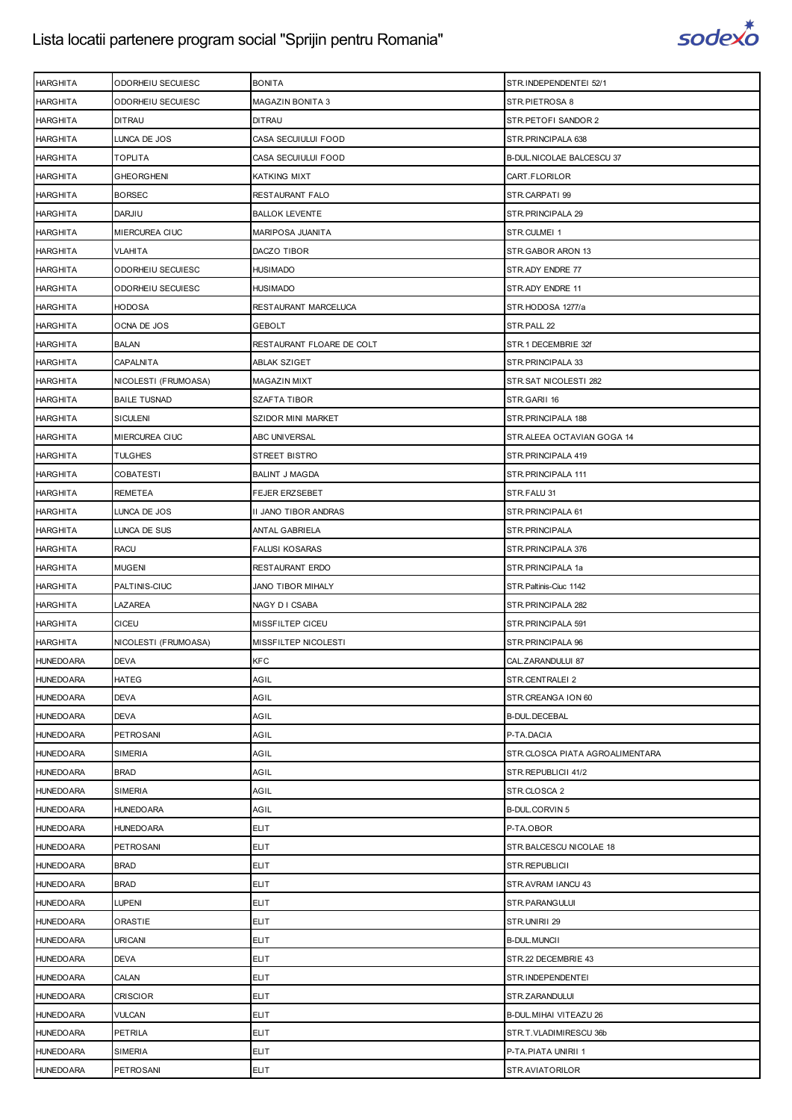

| <b>HARGHITA</b>  | ODORHEIU SECUIESC    | <b>BONITA</b>             | STR.INDEPENDENTEI 52/1          |
|------------------|----------------------|---------------------------|---------------------------------|
| <b>HARGHITA</b>  | ODORHEIU SECUIESC    | <b>MAGAZIN BONITA 3</b>   | STR.PIETROSA 8                  |
| HARGHITA         | <b>DITRAU</b>        | <b>DITRAU</b>             | STR.PETOFI SANDOR 2             |
| <b>HARGHITA</b>  | LUNCA DE JOS         | CASA SECUIULUI FOOD       | STR.PRINCIPALA 638              |
| <b>HARGHITA</b>  | <b>TOPLITA</b>       | CASA SECUIULUI FOOD       | B-DUL. NICOLAE BALCESCU 37      |
| HARGHITA         | <b>GHEORGHENI</b>    | KATKING MIXT              | CART.FLORILOR                   |
| <b>HARGHITA</b>  | <b>BORSEC</b>        | RESTAURANT FALO           | STR.CARPATI 99                  |
| <b>HARGHITA</b>  | <b>DARJIU</b>        | <b>BALLOK LEVENTE</b>     | STR.PRINCIPALA 29               |
| HARGHITA         | MIERCUREA CIUC       | MARIPOSA JUANITA          | STR.CULMEI 1                    |
| <b>HARGHITA</b>  | <b>VLAHITA</b>       | DACZO TIBOR               | STR.GABOR ARON 13               |
| <b>HARGHITA</b>  | ODORHEIU SECUIESC    | <b>HUSIMADO</b>           | STR.ADY ENDRE 77                |
| HARGHITA         | ODORHEIU SECUIESC    | HUSIMADO                  | STR.ADY ENDRE 11                |
| <b>HARGHITA</b>  | <b>HODOSA</b>        | RESTAURANT MARCELUCA      | STR.HODOSA 1277/a               |
| <b>HARGHITA</b>  | OCNA DE JOS          | <b>GEBOLT</b>             | STR.PALL 22                     |
| HARGHITA         | <b>BALAN</b>         | RESTAURANT FLOARE DE COLT | STR.1 DECEMBRIE 32f             |
| <b>HARGHITA</b>  | CAPALNITA            | <b>ABLAK SZIGET</b>       | STR. PRINCIPALA 33              |
| <b>HARGHITA</b>  | NICOLESTI (FRUMOASA) | <b>MAGAZIN MIXT</b>       | STR.SAT NICOLESTI 282           |
| HARGHITA         | <b>BAILE TUSNAD</b>  | SZAFTA TIBOR              | STR.GARII 16                    |
| <b>HARGHITA</b>  | <b>SICULENI</b>      | SZIDOR MINI MARKET        | STR.PRINCIPALA 188              |
| <b>HARGHITA</b>  | MIERCUREA CIUC       | ABC UNIVERSAL             | STR.ALEEA OCTAVIAN GOGA 14      |
| HARGHITA         | TULGHES              | STREET BISTRO             | STR.PRINCIPALA 419              |
| <b>HARGHITA</b>  | <b>COBATESTI</b>     | <b>BALINT J MAGDA</b>     | STR.PRINCIPALA 111              |
| <b>HARGHITA</b>  | <b>REMETEA</b>       | <b>FEJER ERZSEBET</b>     | STR.FALU 31                     |
| HARGHITA         | LUNCA DE JOS         | II JANO TIBOR ANDRAS      | STR. PRINCIPALA 61              |
| <b>HARGHITA</b>  | LUNCA DE SUS         | ANTAL GABRIELA            | STR.PRINCIPALA                  |
| <b>HARGHITA</b>  | <b>RACU</b>          | <b>FALUSI KOSARAS</b>     | STR.PRINCIPALA 376              |
| HARGHITA         | <b>MUGENI</b>        | RESTAURANT ERDO           | STR.PRINCIPALA 1a               |
| <b>HARGHITA</b>  | PALTINIS-CIUC        | <b>JANO TIBOR MIHALY</b>  | STR. Paltinis-Ciuc 1142         |
| <b>HARGHITA</b>  | LAZAREA              | NAGY D I CSABA            | STR.PRINCIPALA 282              |
| <b>HARGHITA</b>  | CICEU                | MISSFILTEP CICEU          | STR.PRINCIPALA 591              |
| <b>HARGHITA</b>  | NICOLESTI (FRUMOASA) | MISSFILTEP NICOLESTI      | STR.PRINCIPALA 96               |
| <b>HUNEDOARA</b> | <b>DEVA</b>          | <b>KFC</b>                | CAL.ZARANDULUI 87               |
| <b>HUNEDOARA</b> | HATEG                | AGIL                      | STR.CENTRALEI 2                 |
| <b>HUNEDOARA</b> | <b>DEVA</b>          | AGIL                      | STR.CREANGA ION 60              |
| <b>HUNEDOARA</b> | DEVA                 | AGIL                      | <b>B-DUL.DECEBAL</b>            |
| <b>HUNEDOARA</b> | PETROSANI            | AGIL                      | P-TA.DACIA                      |
| <b>HUNEDOARA</b> | SIMERIA              | AGIL                      | STR.CLOSCA PIATA AGROALIMENTARA |
| <b>HUNEDOARA</b> | <b>BRAD</b>          | AGIL                      | STR.REPUBLICII 41/2             |
| <b>HUNEDOARA</b> | SIMERIA              | AGIL                      | STR.CLOSCA 2                    |
| <b>HUNEDOARA</b> | <b>HUNEDOARA</b>     | AGIL                      | <b>B-DUL.CORVIN 5</b>           |
| <b>HUNEDOARA</b> | <b>HUNEDOARA</b>     | <b>ELIT</b>               | P-TA.OBOR                       |
| <b>HUNEDOARA</b> | PETROSANI            | <b>ELIT</b>               | STR.BALCESCU NICOLAE 18         |
| <b>HUNEDOARA</b> | <b>BRAD</b>          | <b>ELIT</b>               | STR.REPUBLICII                  |
|                  | <b>BRAD</b>          | <b>ELIT</b>               | STR.AVRAM IANCU 43              |
| <b>HUNEDOARA</b> |                      |                           |                                 |
| <b>HUNEDOARA</b> | LUPENI               | <b>ELIT</b>               | STR.PARANGULUI                  |
| <b>HUNEDOARA</b> | ORASTIE              | <b>ELIT</b>               | STR.UNIRII 29                   |
| <b>HUNEDOARA</b> | <b>URICANI</b>       | <b>ELIT</b>               | <b>B-DUL.MUNCII</b>             |
| <b>HUNEDOARA</b> | <b>DEVA</b>          | <b>ELIT</b>               | STR.22 DECEMBRIE 43             |
| <b>HUNEDOARA</b> | CALAN                | <b>ELIT</b>               | STR.INDEPENDENTEI               |
| <b>HUNEDOARA</b> | <b>CRISCIOR</b>      | <b>ELIT</b>               | STR.ZARANDULUI                  |
| <b>HUNEDOARA</b> | VULCAN               | <b>ELIT</b>               | B-DUL. MIHAI VITEAZU 26         |
| <b>HUNEDOARA</b> | <b>PETRILA</b>       | <b>ELIT</b>               | STR.T.VLADIMIRESCU 36b          |
| <b>HUNEDOARA</b> | SIMERIA              | <b>ELIT</b>               | P-TA.PIATA UNIRII 1             |
| <b>HUNEDOARA</b> | PETROSANI            | <b>ELIT</b>               | STR.AVIATORILOR                 |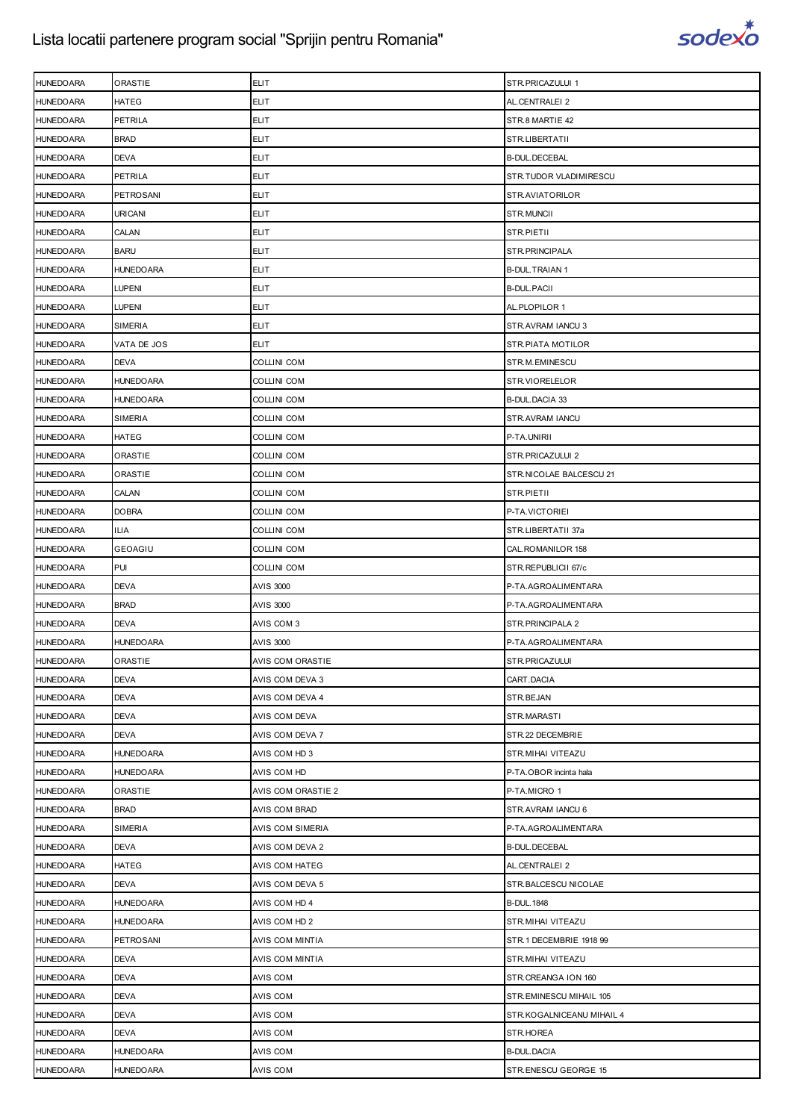

| HATEG<br><b>ELIT</b><br><b>HUNEDOARA</b><br>AL.CENTRALEI 2<br>PETRILA<br><b>ELIT</b><br><b>HUNEDOARA</b><br>STR.8 MARTIE 42<br><b>HUNEDOARA</b><br><b>BRAD</b><br><b>ELIT</b><br>STR.LIBERTATII<br><b>ELIT</b><br><b>HUNEDOARA</b><br><b>DEVA</b><br><b>B-DUL.DECEBAL</b><br><b>ELIT</b><br>STR.TUDOR VLADIMIRESCU<br><b>HUNEDOARA</b><br>PETRILA<br>PETROSANI<br><b>ELIT</b><br>STR.AVIATORILOR<br><b>HUNEDOARA</b><br><b>ELIT</b><br><b>HUNEDOARA</b><br>URICANI<br>STR.MUNCII<br><b>ELIT</b><br><b>HUNEDOARA</b><br>CALAN<br>STR.PIETII<br><b>BARU</b><br><b>ELIT</b><br>STR.PRINCIPALA<br><b>HUNEDOARA</b><br><b>ELIT</b><br><b>HUNEDOARA</b><br><b>HUNEDOARA</b><br><b>B-DUL.TRAIAN 1</b><br>LUPENI<br><b>ELIT</b><br><b>B-DUL.PACII</b><br><b>HUNEDOARA</b><br>LUPENI<br><b>HUNEDOARA</b><br><b>ELIT</b><br>AL.PLOPILOR 1<br><b>ELIT</b><br><b>HUNEDOARA</b><br>SIMERIA<br>STR.AVRAM IANCU 3<br><b>ELIT</b><br><b>HUNEDOARA</b><br>VATA DE JOS<br>STR.PIATA MOTILOR<br><b>DEVA</b><br>COLLINI COM<br><b>HUNEDOARA</b><br>STR.M.EMINESCU<br><b>HUNEDOARA</b><br>HUNEDOARA<br>COLLINI COM<br>STR.VIORELELOR<br><b>HUNEDOARA</b><br><b>HUNEDOARA</b><br>COLLINI COM<br><b>B-DUL.DACIA 33</b><br>SIMERIA<br>STR.AVRAM IANCU<br><b>HUNEDOARA</b><br>COLLINI COM<br><b>HUNEDOARA</b><br>HATEG<br>COLLINI COM<br>P-TA.UNIRII<br>ORASTIE<br>STR.PRICAZULUI 2<br><b>HUNEDOARA</b><br>COLLINI COM<br><b>HUNEDOARA</b><br>ORASTIE<br>STR.NICOLAE BALCESCU 21<br>COLLINI COM |
|------------------------------------------------------------------------------------------------------------------------------------------------------------------------------------------------------------------------------------------------------------------------------------------------------------------------------------------------------------------------------------------------------------------------------------------------------------------------------------------------------------------------------------------------------------------------------------------------------------------------------------------------------------------------------------------------------------------------------------------------------------------------------------------------------------------------------------------------------------------------------------------------------------------------------------------------------------------------------------------------------------------------------------------------------------------------------------------------------------------------------------------------------------------------------------------------------------------------------------------------------------------------------------------------------------------------------------------------------------------------------------------------------------------------------------------------------------------------|
|                                                                                                                                                                                                                                                                                                                                                                                                                                                                                                                                                                                                                                                                                                                                                                                                                                                                                                                                                                                                                                                                                                                                                                                                                                                                                                                                                                                                                                                                        |
|                                                                                                                                                                                                                                                                                                                                                                                                                                                                                                                                                                                                                                                                                                                                                                                                                                                                                                                                                                                                                                                                                                                                                                                                                                                                                                                                                                                                                                                                        |
|                                                                                                                                                                                                                                                                                                                                                                                                                                                                                                                                                                                                                                                                                                                                                                                                                                                                                                                                                                                                                                                                                                                                                                                                                                                                                                                                                                                                                                                                        |
|                                                                                                                                                                                                                                                                                                                                                                                                                                                                                                                                                                                                                                                                                                                                                                                                                                                                                                                                                                                                                                                                                                                                                                                                                                                                                                                                                                                                                                                                        |
|                                                                                                                                                                                                                                                                                                                                                                                                                                                                                                                                                                                                                                                                                                                                                                                                                                                                                                                                                                                                                                                                                                                                                                                                                                                                                                                                                                                                                                                                        |
|                                                                                                                                                                                                                                                                                                                                                                                                                                                                                                                                                                                                                                                                                                                                                                                                                                                                                                                                                                                                                                                                                                                                                                                                                                                                                                                                                                                                                                                                        |
|                                                                                                                                                                                                                                                                                                                                                                                                                                                                                                                                                                                                                                                                                                                                                                                                                                                                                                                                                                                                                                                                                                                                                                                                                                                                                                                                                                                                                                                                        |
|                                                                                                                                                                                                                                                                                                                                                                                                                                                                                                                                                                                                                                                                                                                                                                                                                                                                                                                                                                                                                                                                                                                                                                                                                                                                                                                                                                                                                                                                        |
|                                                                                                                                                                                                                                                                                                                                                                                                                                                                                                                                                                                                                                                                                                                                                                                                                                                                                                                                                                                                                                                                                                                                                                                                                                                                                                                                                                                                                                                                        |
|                                                                                                                                                                                                                                                                                                                                                                                                                                                                                                                                                                                                                                                                                                                                                                                                                                                                                                                                                                                                                                                                                                                                                                                                                                                                                                                                                                                                                                                                        |
|                                                                                                                                                                                                                                                                                                                                                                                                                                                                                                                                                                                                                                                                                                                                                                                                                                                                                                                                                                                                                                                                                                                                                                                                                                                                                                                                                                                                                                                                        |
|                                                                                                                                                                                                                                                                                                                                                                                                                                                                                                                                                                                                                                                                                                                                                                                                                                                                                                                                                                                                                                                                                                                                                                                                                                                                                                                                                                                                                                                                        |
|                                                                                                                                                                                                                                                                                                                                                                                                                                                                                                                                                                                                                                                                                                                                                                                                                                                                                                                                                                                                                                                                                                                                                                                                                                                                                                                                                                                                                                                                        |
|                                                                                                                                                                                                                                                                                                                                                                                                                                                                                                                                                                                                                                                                                                                                                                                                                                                                                                                                                                                                                                                                                                                                                                                                                                                                                                                                                                                                                                                                        |
|                                                                                                                                                                                                                                                                                                                                                                                                                                                                                                                                                                                                                                                                                                                                                                                                                                                                                                                                                                                                                                                                                                                                                                                                                                                                                                                                                                                                                                                                        |
|                                                                                                                                                                                                                                                                                                                                                                                                                                                                                                                                                                                                                                                                                                                                                                                                                                                                                                                                                                                                                                                                                                                                                                                                                                                                                                                                                                                                                                                                        |
|                                                                                                                                                                                                                                                                                                                                                                                                                                                                                                                                                                                                                                                                                                                                                                                                                                                                                                                                                                                                                                                                                                                                                                                                                                                                                                                                                                                                                                                                        |
|                                                                                                                                                                                                                                                                                                                                                                                                                                                                                                                                                                                                                                                                                                                                                                                                                                                                                                                                                                                                                                                                                                                                                                                                                                                                                                                                                                                                                                                                        |
|                                                                                                                                                                                                                                                                                                                                                                                                                                                                                                                                                                                                                                                                                                                                                                                                                                                                                                                                                                                                                                                                                                                                                                                                                                                                                                                                                                                                                                                                        |
|                                                                                                                                                                                                                                                                                                                                                                                                                                                                                                                                                                                                                                                                                                                                                                                                                                                                                                                                                                                                                                                                                                                                                                                                                                                                                                                                                                                                                                                                        |
|                                                                                                                                                                                                                                                                                                                                                                                                                                                                                                                                                                                                                                                                                                                                                                                                                                                                                                                                                                                                                                                                                                                                                                                                                                                                                                                                                                                                                                                                        |
| CALAN<br><b>HUNEDOARA</b><br>COLLINI COM<br>STR.PIETII                                                                                                                                                                                                                                                                                                                                                                                                                                                                                                                                                                                                                                                                                                                                                                                                                                                                                                                                                                                                                                                                                                                                                                                                                                                                                                                                                                                                                 |
| <b>DOBRA</b><br><b>HUNEDOARA</b><br>COLLINI COM<br>P-TA.VICTORIEI                                                                                                                                                                                                                                                                                                                                                                                                                                                                                                                                                                                                                                                                                                                                                                                                                                                                                                                                                                                                                                                                                                                                                                                                                                                                                                                                                                                                      |
| ILIA<br>STR.LIBERTATII 37a<br><b>HUNEDOARA</b><br>COLLINI COM                                                                                                                                                                                                                                                                                                                                                                                                                                                                                                                                                                                                                                                                                                                                                                                                                                                                                                                                                                                                                                                                                                                                                                                                                                                                                                                                                                                                          |
| GEOAGIU<br><b>HUNEDOARA</b><br>COLLINI COM<br>CAL. ROMANILOR 158                                                                                                                                                                                                                                                                                                                                                                                                                                                                                                                                                                                                                                                                                                                                                                                                                                                                                                                                                                                                                                                                                                                                                                                                                                                                                                                                                                                                       |
| PUI<br><b>HUNEDOARA</b><br>COLLINI COM<br>STR.REPUBLICII 67/c                                                                                                                                                                                                                                                                                                                                                                                                                                                                                                                                                                                                                                                                                                                                                                                                                                                                                                                                                                                                                                                                                                                                                                                                                                                                                                                                                                                                          |
| <b>DEVA</b><br><b>AVIS 3000</b><br><b>HUNEDOARA</b><br>P-TA.AGROALIMENTARA                                                                                                                                                                                                                                                                                                                                                                                                                                                                                                                                                                                                                                                                                                                                                                                                                                                                                                                                                                                                                                                                                                                                                                                                                                                                                                                                                                                             |
| <b>HUNEDOARA</b><br><b>BRAD</b><br>AVIS 3000<br>P-TA.AGROALIMENTARA                                                                                                                                                                                                                                                                                                                                                                                                                                                                                                                                                                                                                                                                                                                                                                                                                                                                                                                                                                                                                                                                                                                                                                                                                                                                                                                                                                                                    |
| <b>HUNEDOARA</b><br><b>DEVA</b><br>AVIS COM 3<br>STR. PRINCIPALA 2                                                                                                                                                                                                                                                                                                                                                                                                                                                                                                                                                                                                                                                                                                                                                                                                                                                                                                                                                                                                                                                                                                                                                                                                                                                                                                                                                                                                     |
| <b>HUNEDOARA</b><br><b>HUNEDOARA</b><br><b>AVIS 3000</b><br>P-TA.AGROALIMENTARA                                                                                                                                                                                                                                                                                                                                                                                                                                                                                                                                                                                                                                                                                                                                                                                                                                                                                                                                                                                                                                                                                                                                                                                                                                                                                                                                                                                        |
| <b>HUNEDOARA</b><br>ORASTIE<br>STR.PRICAZULUI<br>AVIS COM ORASTIE                                                                                                                                                                                                                                                                                                                                                                                                                                                                                                                                                                                                                                                                                                                                                                                                                                                                                                                                                                                                                                                                                                                                                                                                                                                                                                                                                                                                      |
| <b>HUNEDOARA</b><br><b>DEVA</b><br>AVIS COM DEVA 3<br>CART.DACIA                                                                                                                                                                                                                                                                                                                                                                                                                                                                                                                                                                                                                                                                                                                                                                                                                                                                                                                                                                                                                                                                                                                                                                                                                                                                                                                                                                                                       |
| <b>HUNEDOARA</b><br><b>DEVA</b><br>AVIS COM DEVA 4<br>STR.BEJAN                                                                                                                                                                                                                                                                                                                                                                                                                                                                                                                                                                                                                                                                                                                                                                                                                                                                                                                                                                                                                                                                                                                                                                                                                                                                                                                                                                                                        |
| <b>DEVA</b><br><b>HUNEDOARA</b><br>AVIS COM DEVA<br>STR.MARASTI                                                                                                                                                                                                                                                                                                                                                                                                                                                                                                                                                                                                                                                                                                                                                                                                                                                                                                                                                                                                                                                                                                                                                                                                                                                                                                                                                                                                        |
| <b>DEVA</b><br>AVIS COM DEVA 7<br>STR.22 DECEMBRIE<br><b>HUNEDOARA</b>                                                                                                                                                                                                                                                                                                                                                                                                                                                                                                                                                                                                                                                                                                                                                                                                                                                                                                                                                                                                                                                                                                                                                                                                                                                                                                                                                                                                 |
| <b>HUNEDOARA</b><br>AVIS COM HD 3<br>STR.MIHAI VITEAZU<br><b>HUNEDOARA</b>                                                                                                                                                                                                                                                                                                                                                                                                                                                                                                                                                                                                                                                                                                                                                                                                                                                                                                                                                                                                                                                                                                                                                                                                                                                                                                                                                                                             |
| <b>HUNEDOARA</b><br>HUNEDOARA<br>AVIS COM HD<br>P-TA.OBOR incinta hala                                                                                                                                                                                                                                                                                                                                                                                                                                                                                                                                                                                                                                                                                                                                                                                                                                                                                                                                                                                                                                                                                                                                                                                                                                                                                                                                                                                                 |
| ORASTIE<br>AVIS COM ORASTIE 2<br><b>HUNEDOARA</b><br>P-TA.MICRO 1                                                                                                                                                                                                                                                                                                                                                                                                                                                                                                                                                                                                                                                                                                                                                                                                                                                                                                                                                                                                                                                                                                                                                                                                                                                                                                                                                                                                      |
| <b>BRAD</b><br><b>HUNEDOARA</b><br>AVIS COM BRAD<br>STR.AVRAM IANCU 6                                                                                                                                                                                                                                                                                                                                                                                                                                                                                                                                                                                                                                                                                                                                                                                                                                                                                                                                                                                                                                                                                                                                                                                                                                                                                                                                                                                                  |
| <b>HUNEDOARA</b><br>SIMERIA<br>AVIS COM SIMERIA<br>P-TA.AGROALIMENTARA                                                                                                                                                                                                                                                                                                                                                                                                                                                                                                                                                                                                                                                                                                                                                                                                                                                                                                                                                                                                                                                                                                                                                                                                                                                                                                                                                                                                 |
| <b>HUNEDOARA</b><br>DEVA<br>AVIS COM DEVA 2<br><b>B-DUL.DECEBAL</b>                                                                                                                                                                                                                                                                                                                                                                                                                                                                                                                                                                                                                                                                                                                                                                                                                                                                                                                                                                                                                                                                                                                                                                                                                                                                                                                                                                                                    |
| HATEG<br>AL.CENTRALEI 2<br><b>HUNEDOARA</b><br>AVIS COM HATEG                                                                                                                                                                                                                                                                                                                                                                                                                                                                                                                                                                                                                                                                                                                                                                                                                                                                                                                                                                                                                                                                                                                                                                                                                                                                                                                                                                                                          |
| <b>DEVA</b><br>STR.BALCESCU NICOLAE<br><b>HUNEDOARA</b><br>AVIS COM DEVA 5                                                                                                                                                                                                                                                                                                                                                                                                                                                                                                                                                                                                                                                                                                                                                                                                                                                                                                                                                                                                                                                                                                                                                                                                                                                                                                                                                                                             |
| <b>HUNEDOARA</b><br><b>HUNEDOARA</b><br>AVIS COM HD 4<br><b>B-DUL.1848</b>                                                                                                                                                                                                                                                                                                                                                                                                                                                                                                                                                                                                                                                                                                                                                                                                                                                                                                                                                                                                                                                                                                                                                                                                                                                                                                                                                                                             |
| STR.MIHAI VITEAZU<br><b>HUNEDOARA</b><br>HUNEDOARA<br>AVIS COM HD 2                                                                                                                                                                                                                                                                                                                                                                                                                                                                                                                                                                                                                                                                                                                                                                                                                                                                                                                                                                                                                                                                                                                                                                                                                                                                                                                                                                                                    |
| <b>HUNEDOARA</b><br>PETROSANI<br>AVIS COM MINTIA<br>STR.1 DECEMBRIE 1918 99                                                                                                                                                                                                                                                                                                                                                                                                                                                                                                                                                                                                                                                                                                                                                                                                                                                                                                                                                                                                                                                                                                                                                                                                                                                                                                                                                                                            |
| <b>HUNEDOARA</b><br>DEVA<br>AVIS COM MINTIA<br>STR.MIHAI VITEAZU                                                                                                                                                                                                                                                                                                                                                                                                                                                                                                                                                                                                                                                                                                                                                                                                                                                                                                                                                                                                                                                                                                                                                                                                                                                                                                                                                                                                       |
| <b>DEVA</b><br>AVIS COM<br><b>HUNEDOARA</b><br>STR.CREANGA ION 160                                                                                                                                                                                                                                                                                                                                                                                                                                                                                                                                                                                                                                                                                                                                                                                                                                                                                                                                                                                                                                                                                                                                                                                                                                                                                                                                                                                                     |
| DEVA<br>AVIS COM<br>STR.EMINESCU MIHAIL 105<br><b>HUNEDOARA</b><br>STR.KOGALNICEANU MIHAIL 4<br><b>HUNEDOARA</b><br>DEVA<br>AVIS COM                                                                                                                                                                                                                                                                                                                                                                                                                                                                                                                                                                                                                                                                                                                                                                                                                                                                                                                                                                                                                                                                                                                                                                                                                                                                                                                                   |
| AVIS COM<br><b>HUNEDOARA</b><br>DEVA<br>STR.HOREA                                                                                                                                                                                                                                                                                                                                                                                                                                                                                                                                                                                                                                                                                                                                                                                                                                                                                                                                                                                                                                                                                                                                                                                                                                                                                                                                                                                                                      |
| AVIS COM<br><b>HUNEDOARA</b><br>HUNEDOARA<br><b>B-DUL.DACIA</b>                                                                                                                                                                                                                                                                                                                                                                                                                                                                                                                                                                                                                                                                                                                                                                                                                                                                                                                                                                                                                                                                                                                                                                                                                                                                                                                                                                                                        |
| <b>HUNEDOARA</b><br>AVIS COM<br>STR.ENESCU GEORGE 15<br>HUNEDOARA                                                                                                                                                                                                                                                                                                                                                                                                                                                                                                                                                                                                                                                                                                                                                                                                                                                                                                                                                                                                                                                                                                                                                                                                                                                                                                                                                                                                      |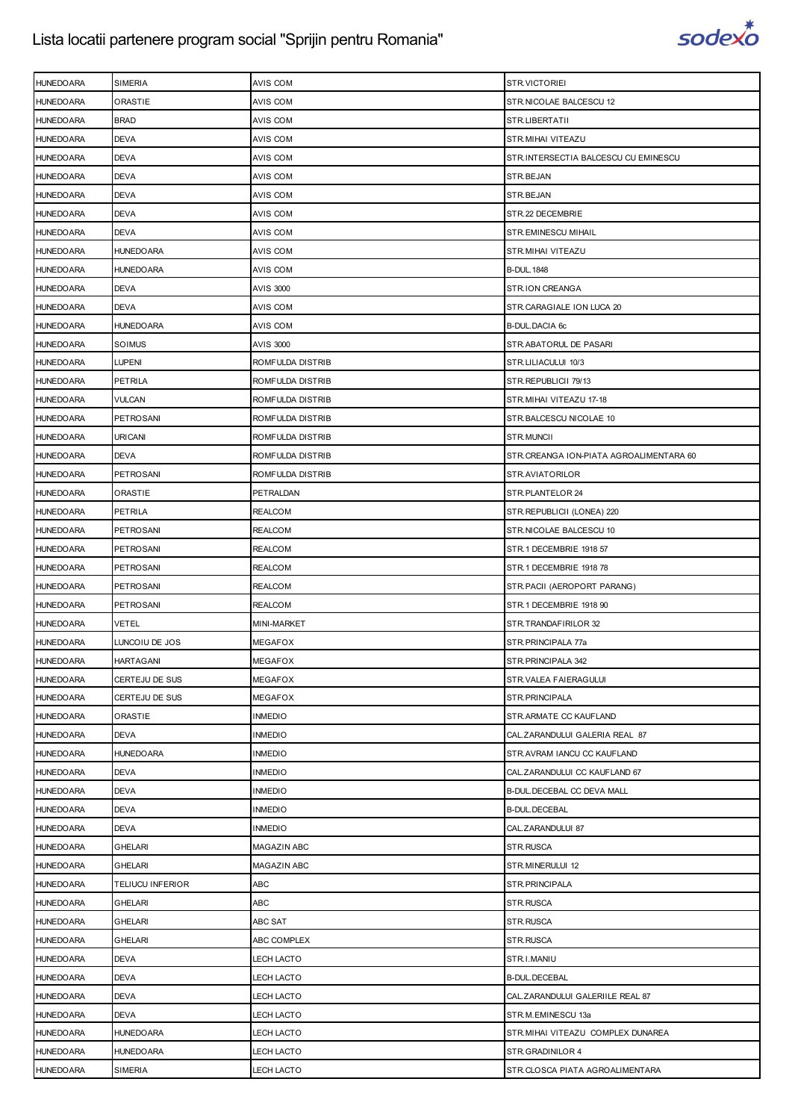

| <b>HUNEDOARA</b> | SIMERIA          | AVIS COM          | STR.VICTORIEI                           |
|------------------|------------------|-------------------|-----------------------------------------|
| <b>HUNEDOARA</b> | ORASTIE          | AVIS COM          | STR.NICOLAE BALCESCU 12                 |
| <b>HUNEDOARA</b> | <b>BRAD</b>      | AVIS COM          | STR.LIBERTATII                          |
| <b>HUNEDOARA</b> | <b>DEVA</b>      | AVIS COM          | STR.MIHAI VITEAZU                       |
| <b>HUNEDOARA</b> | <b>DEVA</b>      | AVIS COM          | STR.INTERSECTIA BALCESCU CU EMINESCU    |
| <b>HUNEDOARA</b> | <b>DEVA</b>      | AVIS COM          | STR.BEJAN                               |
| <b>HUNEDOARA</b> | DEVA             | AVIS COM          | STR.BEJAN                               |
| <b>HUNEDOARA</b> | <b>DEVA</b>      | AVIS COM          | STR.22 DECEMBRIE                        |
| <b>HUNEDOARA</b> | <b>DEVA</b>      | AVIS COM          | STR.EMINESCU MIHAIL                     |
| <b>HUNEDOARA</b> | HUNEDOARA        | AVIS COM          | STR.MIHAI VITEAZU                       |
| <b>HUNEDOARA</b> | <b>HUNEDOARA</b> | AVIS COM          | <b>B-DUL. 1848</b>                      |
| <b>HUNEDOARA</b> | <b>DEVA</b>      | <b>AVIS 3000</b>  | STR.ION CREANGA                         |
| <b>HUNEDOARA</b> | <b>DEVA</b>      | AVIS COM          | STR.CARAGIALE ION LUCA 20               |
| <b>HUNEDOARA</b> | <b>HUNEDOARA</b> | AVIS COM          | <b>B-DUL.DACIA 6c</b>                   |
| <b>HUNEDOARA</b> | SOIMUS           | AVIS 3000         | STR.ABATORUL DE PASARI                  |
| <b>HUNEDOARA</b> | LUPENI           | ROMFULDA DISTRIB  | STR.LILIACULUI 10/3                     |
| <b>HUNEDOARA</b> | PETRILA          | ROMFULDA DISTRIB  | STR.REPUBLICII 79/13                    |
| <b>HUNEDOARA</b> | <b>VULCAN</b>    | ROMFULDA DISTRIB  | STR. MIHAI VITEAZU 17-18                |
| <b>HUNEDOARA</b> | PETROSANI        | ROMFULDA DISTRIB  | STR.BALCESCU NICOLAE 10                 |
| <b>HUNEDOARA</b> | URICANI          | ROMFULDA DISTRIB  | STR.MUNCII                              |
| <b>HUNEDOARA</b> | <b>DEVA</b>      | ROMFULDA DISTRIB  | STR.CREANGA ION-PIATA AGROALIMENTARA 60 |
| <b>HUNEDOARA</b> | PETROSANI        | ROMFULDA DISTRIB  | STR.AVIATORILOR                         |
| <b>HUNEDOARA</b> | <b>ORASTIE</b>   | PETRALDAN         | STR.PLANTELOR 24                        |
| <b>HUNEDOARA</b> | PETRILA          | <b>REALCOM</b>    | STR. REPUBLICII (LONEA) 220             |
| <b>HUNEDOARA</b> | PETROSANI        | REALCOM           | STR.NICOLAE BALCESCU 10                 |
| <b>HUNEDOARA</b> | <b>PETROSANI</b> | <b>REALCOM</b>    | STR.1 DECEMBRIE 1918 57                 |
| <b>HUNEDOARA</b> | PETROSANI        | <b>REALCOM</b>    | STR.1 DECEMBRIE 1918 78                 |
| <b>HUNEDOARA</b> | PETROSANI        | REALCOM           | STR. PACII (AEROPORT PARANG)            |
| <b>HUNEDOARA</b> | <b>PETROSANI</b> | <b>REALCOM</b>    | STR.1 DECEMBRIE 1918 90                 |
| <b>HUNEDOARA</b> | <b>VETEL</b>     | MINI-MARKET       | STR.TRANDAFIRILOR 32                    |
| <b>HUNEDOARA</b> | LUNCOIU DE JOS   | <b>MEGAFOX</b>    | STR.PRINCIPALA 77a                      |
| <b>HUNEDOARA</b> | <b>HARTAGANI</b> | <b>MEGAFOX</b>    | STR. PRINCIPALA 342                     |
| <b>HUNEDOARA</b> | CERTEJU DE SUS   | <b>MEGAFOX</b>    | STR.VALEA FAIERAGULUI                   |
| <b>HUNEDOARA</b> | CERTEJU DE SUS   | <b>MEGAFOX</b>    | STR. PRINCIPALA                         |
| <b>HUNEDOARA</b> | ORASTIE          | <b>INMEDIO</b>    | STR.ARMATE CC KAUFLAND                  |
| <b>HUNEDOARA</b> | DEVA             | <b>INMEDIO</b>    | CAL.ZARANDULUI GALERIA REAL 87          |
| <b>HUNEDOARA</b> | <b>HUNEDOARA</b> | <b>INMEDIO</b>    | STR.AVRAM IANCU CC KAUFLAND             |
| <b>HUNEDOARA</b> | <b>DEVA</b>      | <b>INMEDIO</b>    | CAL.ZARANDULUI CC KAUFLAND 67           |
| <b>HUNEDOARA</b> | <b>DEVA</b>      | <b>INMEDIO</b>    | B-DUL. DECEBAL CC DEVA MALL             |
| <b>HUNEDOARA</b> | DEVA             | <b>INMEDIO</b>    | <b>B-DUL.DECEBAL</b>                    |
| <b>HUNEDOARA</b> | <b>DEVA</b>      | <b>INMEDIO</b>    | CAL.ZARANDULUI 87                       |
| <b>HUNEDOARA</b> | <b>GHELARI</b>   | MAGAZIN ABC       | STR.RUSCA                               |
| <b>HUNEDOARA</b> | <b>GHELARI</b>   | MAGAZIN ABC       | STR.MINERULUI 12                        |
| <b>HUNEDOARA</b> | TELIUCU INFERIOR | ABC               | STR.PRINCIPALA                          |
| <b>HUNEDOARA</b> | <b>GHELARI</b>   | ABC               | STR.RUSCA                               |
| <b>HUNEDOARA</b> | GHELARI          | ABC SAT           | STR.RUSCA                               |
| <b>HUNEDOARA</b> | <b>GHELARI</b>   | ABC COMPLEX       | STR.RUSCA                               |
| <b>HUNEDOARA</b> | <b>DEVA</b>      | LECH LACTO        | STR.I.MANIU                             |
| <b>HUNEDOARA</b> | DEVA             | LECH LACTO        | <b>B-DUL.DECEBAL</b>                    |
| <b>HUNEDOARA</b> | <b>DEVA</b>      | <b>LECH LACTO</b> | CAL.ZARANDULUI GALERIILE REAL 87        |
| <b>HUNEDOARA</b> | <b>DEVA</b>      | LECH LACTO        | STR.M.EMINESCU 13a                      |
| <b>HUNEDOARA</b> | HUNEDOARA        | LECH LACTO        | STR. MIHAI VITEAZU COMPLEX DUNAREA      |
| <b>HUNEDOARA</b> | <b>HUNEDOARA</b> | LECH LACTO        | STR.GRADINILOR 4                        |
| <b>HUNEDOARA</b> | SIMERIA          | LECH LACTO        | STR.CLOSCA PIATA AGROALIMENTARA         |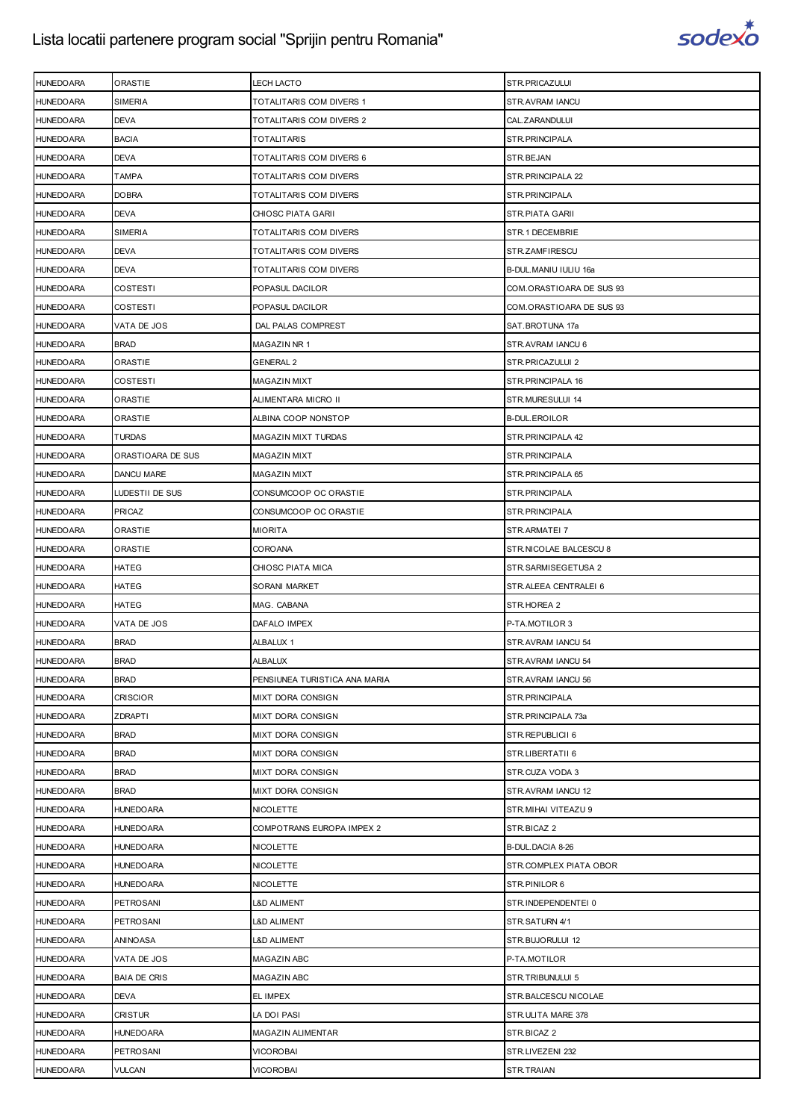

| <b>HUNEDOARA</b> | ORASTIE             | LECH LACTO                      | STR.PRICAZULUI           |
|------------------|---------------------|---------------------------------|--------------------------|
| <b>HUNEDOARA</b> | SIMERIA             | <b>TOTALITARIS COM DIVERS 1</b> | STR.AVRAM IANCU          |
| <b>HUNEDOARA</b> | <b>DEVA</b>         | TOTALITARIS COM DIVERS 2        | CAL.ZARANDULUI           |
| <b>HUNEDOARA</b> | <b>BACIA</b>        | <b>TOTALITARIS</b>              | STR.PRINCIPALA           |
| <b>HUNEDOARA</b> | <b>DEVA</b>         | TOTALITARIS COM DIVERS 6        | STR.BEJAN                |
| <b>HUNEDOARA</b> | TAMPA               | TOTALITARIS COM DIVERS          | STR.PRINCIPALA 22        |
| <b>HUNEDOARA</b> | <b>DOBRA</b>        | TOTALITARIS COM DIVERS          | STR.PRINCIPALA           |
| <b>HUNEDOARA</b> | <b>DEVA</b>         | <b>CHIOSC PIATA GARII</b>       | STR.PIATA GARII          |
| <b>HUNEDOARA</b> | SIMERIA             | TOTALITARIS COM DIVERS          | STR.1 DECEMBRIE          |
| <b>HUNEDOARA</b> | <b>DEVA</b>         | TOTALITARIS COM DIVERS          | STR.ZAMFIRESCU           |
| <b>HUNEDOARA</b> | <b>DEVA</b>         | TOTALITARIS COM DIVERS          | B-DUL. MANIU IULIU 16a   |
| <b>HUNEDOARA</b> | COSTESTI            | POPASUL DACILOR                 | COM.ORASTIOARA DE SUS 93 |
| <b>HUNEDOARA</b> | COSTESTI            | POPASUL DACILOR                 | COM.ORASTIOARA DE SUS 93 |
| <b>HUNEDOARA</b> | VATA DE JOS         | DAL PALAS COMPREST              | SAT.BROTUNA 17a          |
| <b>HUNEDOARA</b> | <b>BRAD</b>         | MAGAZIN NR 1                    | STR.AVRAM IANCU 6        |
| <b>HUNEDOARA</b> | ORASTIE             | <b>GENERAL 2</b>                | STR.PRICAZULUI 2         |
| <b>HUNEDOARA</b> | COSTESTI            | <b>MAGAZIN MIXT</b>             | STR. PRINCIPALA 16       |
| <b>HUNEDOARA</b> | ORASTIE             | ALIMENTARA MICRO II             | STR.MURESULUI 14         |
| <b>HUNEDOARA</b> | ORASTIE             | ALBINA COOP NONSTOP             | <b>B-DUL.EROILOR</b>     |
| <b>HUNEDOARA</b> | <b>TURDAS</b>       | MAGAZIN MIXT TURDAS             | STR. PRINCIPALA 42       |
| <b>HUNEDOARA</b> | ORASTIOARA DE SUS   | <b>MAGAZIN MIXT</b>             | STR.PRINCIPALA           |
| <b>HUNEDOARA</b> | DANCU MARE          | <b>MAGAZIN MIXT</b>             | STR.PRINCIPALA 65        |
| <b>HUNEDOARA</b> | LUDESTII DE SUS     | CONSUMCOOP OC ORASTIE           | STR.PRINCIPALA           |
| <b>HUNEDOARA</b> | PRICAZ              | CONSUMCOOP OC ORASTIE           | STR.PRINCIPALA           |
| <b>HUNEDOARA</b> | ORASTIE             | <b>MIORITA</b>                  | STR.ARMATEI 7            |
| <b>HUNEDOARA</b> | ORASTIE             | COROANA                         | STR.NICOLAE BALCESCU 8   |
| <b>HUNEDOARA</b> | HATEG               | <b>CHIOSC PIATA MICA</b>        | STR.SARMISEGETUSA 2      |
| <b>HUNEDOARA</b> | HATEG               | <b>SORANI MARKET</b>            | STR. ALEEA CENTRALEI 6   |
| <b>HUNEDOARA</b> | HATEG               | MAG. CABANA                     | STR.HOREA 2              |
| <b>HUNEDOARA</b> | VATA DE JOS         | DAFALO IMPEX                    | P-TA.MOTILOR 3           |
| <b>HUNEDOARA</b> | <b>BRAD</b>         | ALBALUX 1                       | STR.AVRAM IANCU 54       |
| <b>HUNEDOARA</b> | <b>BRAD</b>         | <b>ALBALUX</b>                  | STR.AVRAM IANCU 54       |
| <b>HUNEDOARA</b> | <b>BRAD</b>         | PENSIUNEA TURISTICA ANA MARIA   | STR.AVRAM IANCU 56       |
| <b>HUNEDOARA</b> | <b>CRISCIOR</b>     | <b>MIXT DORA CONSIGN</b>        | STR.PRINCIPALA           |
| <b>HUNEDOARA</b> | <b>ZDRAPTI</b>      | MIXT DORA CONSIGN               | STR.PRINCIPALA 73a       |
| <b>HUNEDOARA</b> | <b>BRAD</b>         | MIXT DORA CONSIGN               | STR.REPUBLICII 6         |
| <b>HUNEDOARA</b> | <b>BRAD</b>         | MIXT DORA CONSIGN               | STR.LIBERTATII 6         |
| <b>HUNEDOARA</b> | <b>BRAD</b>         | <b>MIXT DORA CONSIGN</b>        | STR.CUZA VODA 3          |
| <b>HUNEDOARA</b> | <b>BRAD</b>         | MIXT DORA CONSIGN               | STR.AVRAM IANCU 12       |
| <b>HUNEDOARA</b> | <b>HUNEDOARA</b>    | <b>NICOLETTE</b>                | STR.MIHAI VITEAZU 9      |
| <b>HUNEDOARA</b> | HUNEDOARA           | COMPOTRANS EUROPA IMPEX 2       | STR.BICAZ 2              |
| <b>HUNEDOARA</b> | HUNEDOARA           | <b>NICOLETTE</b>                | B-DUL.DACIA 8-26         |
| <b>HUNEDOARA</b> | <b>HUNEDOARA</b>    | <b>NICOLETTE</b>                | STR.COMPLEX PIATA OBOR   |
| <b>HUNEDOARA</b> | <b>HUNEDOARA</b>    | <b>NICOLETTE</b>                | STR.PINILOR 6            |
| <b>HUNEDOARA</b> | PETROSANI           | <b>L&amp;D ALIMENT</b>          | STR.INDEPENDENTEI 0      |
| <b>HUNEDOARA</b> | PETROSANI           | <b>L&amp;D ALIMENT</b>          | STR.SATURN 4/1           |
| <b>HUNEDOARA</b> | ANINOASA            | L&D ALIMENT                     | STR.BUJORULUI 12         |
| <b>HUNEDOARA</b> | VATA DE JOS         | MAGAZIN ABC                     | P-TA.MOTILOR             |
| <b>HUNEDOARA</b> | <b>BAIA DE CRIS</b> | <b>MAGAZIN ABC</b>              | STR.TRIBUNULUI 5         |
| <b>HUNEDOARA</b> | DEVA                | EL IMPEX                        | STR.BALCESCU NICOLAE     |
| <b>HUNEDOARA</b> | CRISTUR             | LA DOI PASI                     | STR.ULITA MARE 378       |
| <b>HUNEDOARA</b> | HUNEDOARA           | MAGAZIN ALIMENTAR               | STR.BICAZ 2              |
| <b>HUNEDOARA</b> | PETROSANI           | <b>VICOROBAI</b>                | STR.LIVEZENI 232         |
| <b>HUNEDOARA</b> | VULCAN              | <b>VICOROBAI</b>                | STR.TRAIAN               |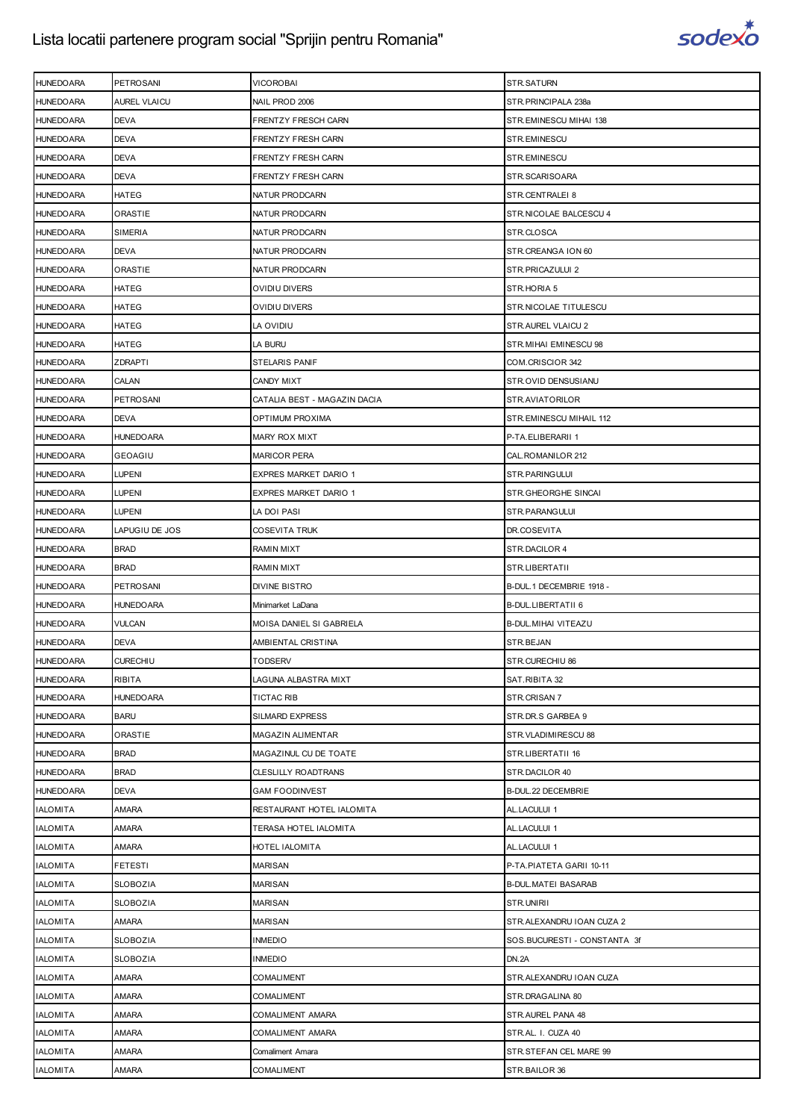

| <b>HUNEDOARA</b>                     | <b>PETROSANI</b>                | <b>VICOROBAI</b>                               | STR.SATURN                              |
|--------------------------------------|---------------------------------|------------------------------------------------|-----------------------------------------|
| <b>HUNEDOARA</b>                     | <b>AUREL VLAICU</b>             | NAIL PROD 2006                                 | STR.PRINCIPALA 238a                     |
| <b>HUNEDOARA</b>                     | <b>DEVA</b>                     | FRENTZY FRESCH CARN                            | STR.EMINESCU MIHAI 138                  |
| <b>HUNEDOARA</b>                     | <b>DEVA</b>                     | FRENTZY FRESH CARN                             | STR.EMINESCU                            |
| <b>HUNEDOARA</b>                     | <b>DEVA</b>                     | FRENTZY FRESH CARN                             | STR.EMINESCU                            |
| <b>HUNEDOARA</b>                     | <b>DEVA</b>                     | FRENTZY FRESH CARN                             | STR.SCARISOARA                          |
| <b>HUNEDOARA</b>                     | <b>HATEG</b>                    | NATUR PRODCARN                                 | STR.CENTRALEI 8                         |
| <b>HUNEDOARA</b>                     | <b>ORASTIE</b>                  | NATUR PRODCARN                                 | STR. NICOLAE BALCESCU 4                 |
| <b>HUNEDOARA</b>                     | <b>SIMERIA</b>                  | NATUR PRODCARN                                 | STR.CLOSCA                              |
| <b>HUNEDOARA</b>                     | <b>DEVA</b>                     | NATUR PRODCARN                                 | STR.CREANGA ION 60                      |
| <b>HUNEDOARA</b>                     | ORASTIE                         | NATUR PRODCARN                                 | STR.PRICAZULUI 2                        |
| <b>HUNEDOARA</b>                     | <b>HATEG</b>                    | OVIDIU DIVERS                                  | STR.HORIA 5                             |
| <b>HUNEDOARA</b>                     | <b>HATEG</b>                    | OVIDIU DIVERS                                  | STR.NICOLAE TITULESCU                   |
| <b>HUNEDOARA</b>                     | <b>HATEG</b>                    | LA OVIDIU                                      | STR.AUREL VLAICU 2                      |
| <b>HUNEDOARA</b>                     | <b>HATEG</b>                    | LA BURU                                        | STR. MIHAI EMINESCU 98                  |
| <b>HUNEDOARA</b>                     | <b>ZDRAPTI</b>                  | <b>STELARIS PANIF</b>                          | COM.CRISCIOR 342                        |
| <b>HUNEDOARA</b>                     | CALAN                           | <b>CANDY MIXT</b>                              | STR.OVID DENSUSIANU                     |
| <b>HUNEDOARA</b>                     | PETROSANI                       | CATALIA BEST - MAGAZIN DACIA                   | STR.AVIATORILOR                         |
| <b>HUNEDOARA</b>                     | <b>DEVA</b>                     | OPTIMUM PROXIMA                                | STR.EMINESCU MIHAIL 112                 |
| <b>HUNEDOARA</b>                     | <b>HUNEDOARA</b>                | <b>MARY ROX MIXT</b>                           | P-TA.ELIBERARII 1                       |
| <b>HUNEDOARA</b>                     | <b>GEOAGIU</b>                  | <b>MARICOR PERA</b>                            | CAL. ROMANILOR 212                      |
| <b>HUNEDOARA</b>                     | <b>LUPENI</b>                   | EXPRES MARKET DARIO 1                          | STR.PARINGULUI                          |
| <b>HUNEDOARA</b>                     | <b>LUPENI</b>                   | EXPRES MARKET DARIO 1                          | STR.GHEORGHE SINCAI                     |
| <b>HUNEDOARA</b>                     | <b>LUPENI</b>                   | LA DOI PASI                                    | STR.PARANGULUI                          |
| <b>HUNEDOARA</b>                     | LAPUGIU DE JOS                  | <b>COSEVITA TRUK</b>                           | DR.COSEVITA                             |
| <b>HUNEDOARA</b>                     | <b>BRAD</b>                     | RAMIN MIXT                                     | STR.DACILOR 4                           |
| <b>HUNEDOARA</b>                     | <b>BRAD</b>                     | RAMIN MIXT                                     | STR.LIBERTATII                          |
|                                      |                                 |                                                |                                         |
| <b>HUNEDOARA</b>                     | <b>PETROSANI</b>                | DIVINE BISTRO                                  | B-DUL.1 DECEMBRIE 1918 -                |
| <b>HUNEDOARA</b>                     | <b>HUNEDOARA</b>                | Minimarket LaDana                              | B-DUL.LIBERTATII 6                      |
|                                      |                                 |                                                |                                         |
| <b>HUNEDOARA</b><br><b>HUNEDOARA</b> | <b>VULCAN</b><br><b>DEVA</b>    | MOISA DANIEL SI GABRIELA<br>AMBIENTAL CRISTINA | B-DUL. MIHAI VITEAZU<br>STR.BEJAN       |
| <b>HUNEDOARA</b>                     | <b>CURECHIU</b>                 | <b>TODSERV</b>                                 | STR.CURECHIU 86                         |
|                                      |                                 |                                                |                                         |
| <b>HUNEDOARA</b>                     | <b>RIBITA</b>                   | LAGUNA ALBASTRA MIXT                           | SAT.RIBITA 32                           |
| <b>HUNEDOARA</b><br><b>HUNEDOARA</b> | <b>HUNEDOARA</b><br><b>BARU</b> | <b>TICTAC RIB</b><br><b>SILMARD EXPRESS</b>    | STR.CRISAN 7<br>STR.DR.S GARBEA 9       |
|                                      |                                 |                                                |                                         |
| <b>HUNEDOARA</b>                     | ORASTIE                         | MAGAZIN ALIMENTAR                              | STR.VLADIMIRESCU 88                     |
| <b>HUNEDOARA</b>                     | <b>BRAD</b>                     | MAGAZINUL CU DE TOATE                          | STR.LIBERTATII 16                       |
| <b>HUNEDOARA</b>                     | <b>BRAD</b>                     | CLESLILLY ROADTRANS                            | STR.DACILOR 40                          |
| <b>HUNEDOARA</b>                     | <b>DEVA</b>                     | <b>GAM FOODINVEST</b>                          | B-DUL.22 DECEMBRIE                      |
| <b>IALOMITA</b>                      | <b>AMARA</b>                    | RESTAURANT HOTEL IALOMITA                      | AL.LACULUI 1                            |
| <b>IALOMITA</b>                      | <b>AMARA</b>                    | TERASA HOTEL IALOMITA                          | AL.LACULUI 1                            |
| <b>IALOMITA</b>                      | AMARA                           | HOTEL IALOMITA                                 | AL.LACULUI 1                            |
| <b>IALOMITA</b>                      | <b>FETESTI</b>                  | <b>MARISAN</b>                                 | P-TA.PIATETA GARII 10-11                |
| <b>IALOMITA</b>                      | <b>SLOBOZIA</b>                 | MARISAN                                        | <b>B-DUL MATEI BASARAB</b>              |
| <b>IALOMITA</b>                      | <b>SLOBOZIA</b>                 | <b>MARISAN</b>                                 | STR.UNIRII                              |
| <b>IALOMITA</b>                      | <b>AMARA</b>                    | <b>MARISAN</b>                                 | STR.ALEXANDRU IOAN CUZA 2               |
| <b>IALOMITA</b>                      | <b>SLOBOZIA</b>                 | INMEDIO                                        | SOS.BUCURESTI - CONSTANTA 3f            |
| <b>IALOMITA</b>                      | <b>SLOBOZIA</b>                 | <b>INMEDIO</b>                                 | <b>DN.2A</b>                            |
| <b>IALOMITA</b>                      | <b>AMARA</b>                    | COMALIMENT                                     | STR.ALEXANDRU IOAN CUZA                 |
| <b>IALOMITA</b>                      | AMARA                           | COMALIMENT                                     | STR.DRAGALINA 80                        |
| <b>IALOMITA</b>                      | <b>AMARA</b>                    | COMALIMENT AMARA                               | STR.AUREL PANA 48                       |
| <b>IALOMITA</b>                      | <b>AMARA</b>                    | COMALIMENT AMARA                               | STR.AL. I. CUZA 40                      |
| <b>IALOMITA</b><br><b>IALOMITA</b>   | <b>AMARA</b><br><b>AMARA</b>    | Comaliment Amara<br>COMALIMENT                 | STR.STEFAN CEL MARE 99<br>STR.BAILOR 36 |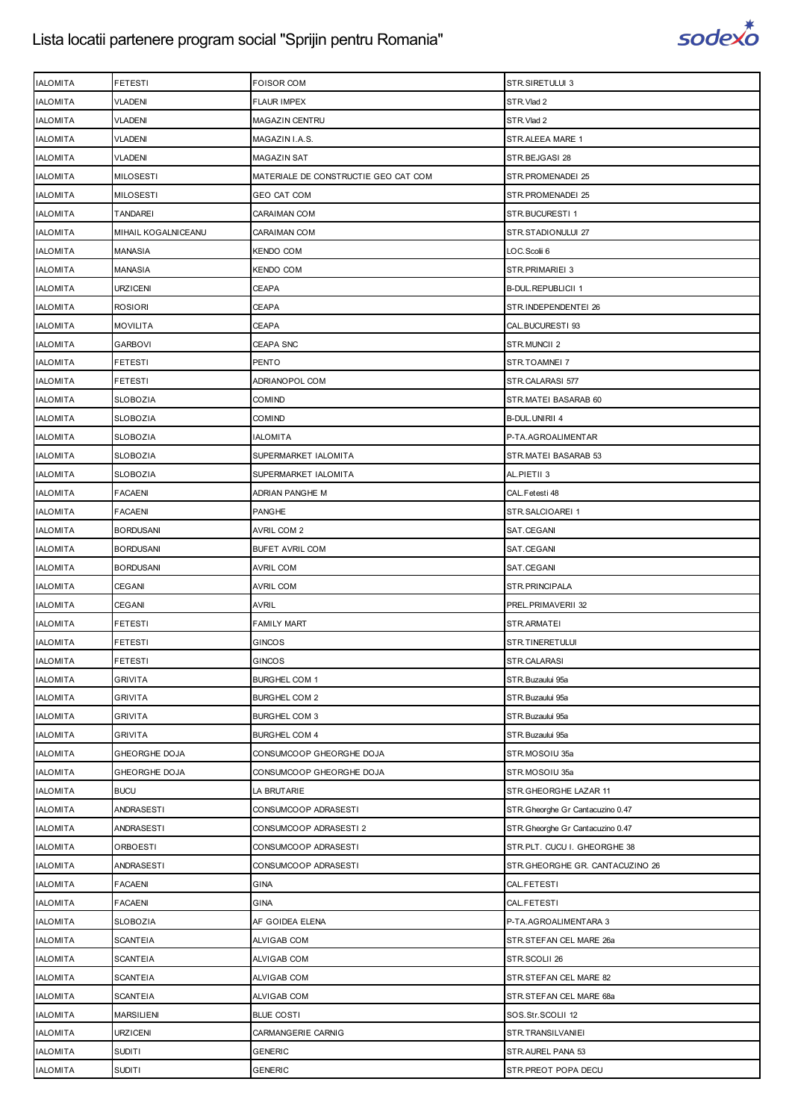

| <b>IALOMITA</b> | FETESTI             | <b>FOISOR COM</b>                    | STR.SIRETULUI 3                   |
|-----------------|---------------------|--------------------------------------|-----------------------------------|
| <b>IALOMITA</b> | <b>VLADENI</b>      | <b>FLAUR IMPEX</b>                   | STR.Vlad 2                        |
| <b>IALOMITA</b> | <b>VLADENI</b>      | MAGAZIN CENTRU                       | STR.Vlad 2                        |
| <b>IALOMITA</b> | <b>VLADENI</b>      | MAGAZIN I.A.S.                       | STR.ALEEA MARE 1                  |
| <b>IALOMITA</b> | <b>VLADENI</b>      | <b>MAGAZIN SAT</b>                   | STR.BEJGASI 28                    |
| <b>IALOMITA</b> | <b>MILOSESTI</b>    | MATERIALE DE CONSTRUCTIE GEO CAT COM | STR.PROMENADEI 25                 |
| <b>IALOMITA</b> | <b>MILOSESTI</b>    | <b>GEO CAT COM</b>                   | STR. PROMENADEI 25                |
| <b>IALOMITA</b> | <b>TANDAREI</b>     | <b>CARAIMAN COM</b>                  | STR.BUCURESTI1                    |
| <b>IALOMITA</b> | MIHAIL KOGALNICEANU | CARAIMAN COM                         | STR.STADIONULUI 27                |
| <b>IALOMITA</b> | <b>MANASIA</b>      | <b>KENDO COM</b>                     | LOC. Scolii 6                     |
| <b>IALOMITA</b> | MANASIA             | KENDO COM                            | STR. PRIMARIEI 3                  |
| <b>IALOMITA</b> | <b>URZICENI</b>     | <b>CEAPA</b>                         | <b>B-DUL.REPUBLICII 1</b>         |
| <b>IALOMITA</b> | <b>ROSIORI</b>      | CEAPA                                | STR.INDEPENDENTEI 26              |
| <b>IALOMITA</b> | <b>MOVILITA</b>     | <b>CEAPA</b>                         | CAL.BUCURESTI 93                  |
| <b>IALOMITA</b> | <b>GARBOVI</b>      | <b>CEAPA SNC</b>                     | STR.MUNCII 2                      |
| <b>IALOMITA</b> | FETESTI             | PENTO                                | STR.TOAMNEI 7                     |
| <b>IALOMITA</b> | <b>FETESTI</b>      | ADRIANOPOL COM                       | STR.CALARASI 577                  |
| <b>IALOMITA</b> | <b>SLOBOZIA</b>     | COMIND                               | STR.MATEI BASARAB 60              |
| <b>IALOMITA</b> | <b>SLOBOZIA</b>     | <b>COMIND</b>                        | <b>B-DUL.UNIRII 4</b>             |
| <b>IALOMITA</b> | <b>SLOBOZIA</b>     | <b>IALOMITA</b>                      | P-TA.AGROALIMENTAR                |
| <b>IALOMITA</b> | <b>SLOBOZIA</b>     | SUPERMARKET IALOMITA                 | STR.MATEI BASARAB 53              |
| <b>IALOMITA</b> | SLOBOZIA            | SUPERMARKET IALOMITA                 | AL.PIETII 3                       |
| <b>IALOMITA</b> | <b>FACAENI</b>      | ADRIAN PANGHE M                      | CAL. Fetesti 48                   |
| <b>IALOMITA</b> | <b>FACAENI</b>      | PANGHE                               | STR.SALCIOAREI 1                  |
| <b>IALOMITA</b> | <b>BORDUSANI</b>    | AVRIL COM 2                          | SAT.CEGANI                        |
| <b>IALOMITA</b> | <b>BORDUSANI</b>    | BUFET AVRIL COM                      | SAT.CEGANI                        |
| <b>IALOMITA</b> | <b>BORDUSANI</b>    | <b>AVRIL COM</b>                     | SAT.CEGANI                        |
| <b>IALOMITA</b> | <b>CEGANI</b>       | <b>AVRIL COM</b>                     | STR.PRINCIPALA                    |
| <b>IALOMITA</b> | <b>CEGANI</b>       | AVRIL                                | PREL.PRIMAVERII 32                |
| <b>IALOMITA</b> | FETESTI             | <b>FAMILY MART</b>                   | STR.ARMATEI                       |
| <b>IALOMITA</b> | FETESTI             | GINCOS                               | STR.TINERETULUI                   |
| <b>IALOMITA</b> | <b>FETESTI</b>      | <b>GINCOS</b>                        | STR.CALARASI                      |
| <b>IALOMITA</b> | GRIVITA             | BURGHEL COM 1                        | STR. Buzaului 95a                 |
| <b>IALOMITA</b> | <b>GRIVITA</b>      | <b>BURGHEL COM 2</b>                 | STR. Buzaului 95a                 |
| <b>IALOMITA</b> | <b>GRIVITA</b>      | <b>BURGHEL COM 3</b>                 | STR.Buzaului 95a                  |
| <b>IALOMITA</b> | GRIVITA             | <b>BURGHEL COM 4</b>                 | STR. Buzaului 95a                 |
| <b>IALOMITA</b> | GHEORGHE DOJA       | CONSUMCOOP GHEORGHE DOJA             | STR.MOSOIU 35a                    |
| <b>IALOMITA</b> | GHEORGHE DOJA       | CONSUMCOOP GHEORGHE DOJA             | STR.MOSOIU 35a                    |
| <b>IALOMITA</b> | <b>BUCU</b>         | LA BRUTARIE                          | STR.GHEORGHE LAZAR 11             |
| <b>IALOMITA</b> | ANDRASESTI          | CONSUMCOOP ADRASESTI                 | STR. Gheorghe Gr Cantacuzino 0.47 |
| <b>IALOMITA</b> | ANDRASESTI          | CONSUMCOOP ADRASESTI 2               | STR. Gheorghe Gr Cantacuzino 0.47 |
| <b>IALOMITA</b> | ORBOESTI            | CONSUMCOOP ADRASESTI                 | STR.PLT. CUCU I. GHEORGHE 38      |
| <b>IALOMITA</b> | ANDRASESTI          | CONSUMCOOP ADRASESTI                 | STR.GHEORGHE GR. CANTACUZINO 26   |
| <b>IALOMITA</b> | <b>FACAENI</b>      | <b>GINA</b>                          | CAL.FETESTI                       |
| <b>IALOMITA</b> | <b>FACAENI</b>      | <b>GINA</b>                          | CAL.FETESTI                       |
| <b>IALOMITA</b> | <b>SLOBOZIA</b>     | AF GOIDEA ELENA                      | P-TA.AGROALIMENTARA 3             |
| <b>IALOMITA</b> | <b>SCANTEIA</b>     | ALVIGAB COM                          | STR.STEFAN CEL MARE 26a           |
| <b>IALOMITA</b> | <b>SCANTEIA</b>     | ALVIGAB COM                          | STR.SCOLII 26                     |
| <b>IALOMITA</b> | <b>SCANTEIA</b>     | ALVIGAB COM                          | STR.STEFAN CEL MARE 82            |
| <b>IALOMITA</b> | <b>SCANTEIA</b>     | ALVIGAB COM                          | STR.STEFAN CEL MARE 68a           |
| <b>IALOMITA</b> | <b>MARSILIENI</b>   | <b>BLUE COSTI</b>                    | SOS.Str.SCOLII 12                 |
| <b>IALOMITA</b> | <b>URZICENI</b>     | CARMANGERIE CARNIG                   | STR.TRANSILVANIEI                 |
| <b>IALOMITA</b> | <b>SUDITI</b>       | <b>GENERIC</b>                       | STR.AUREL PANA 53                 |
| <b>IALOMITA</b> | <b>SUDITI</b>       | <b>GENERIC</b>                       | STR.PREOT POPA DECU               |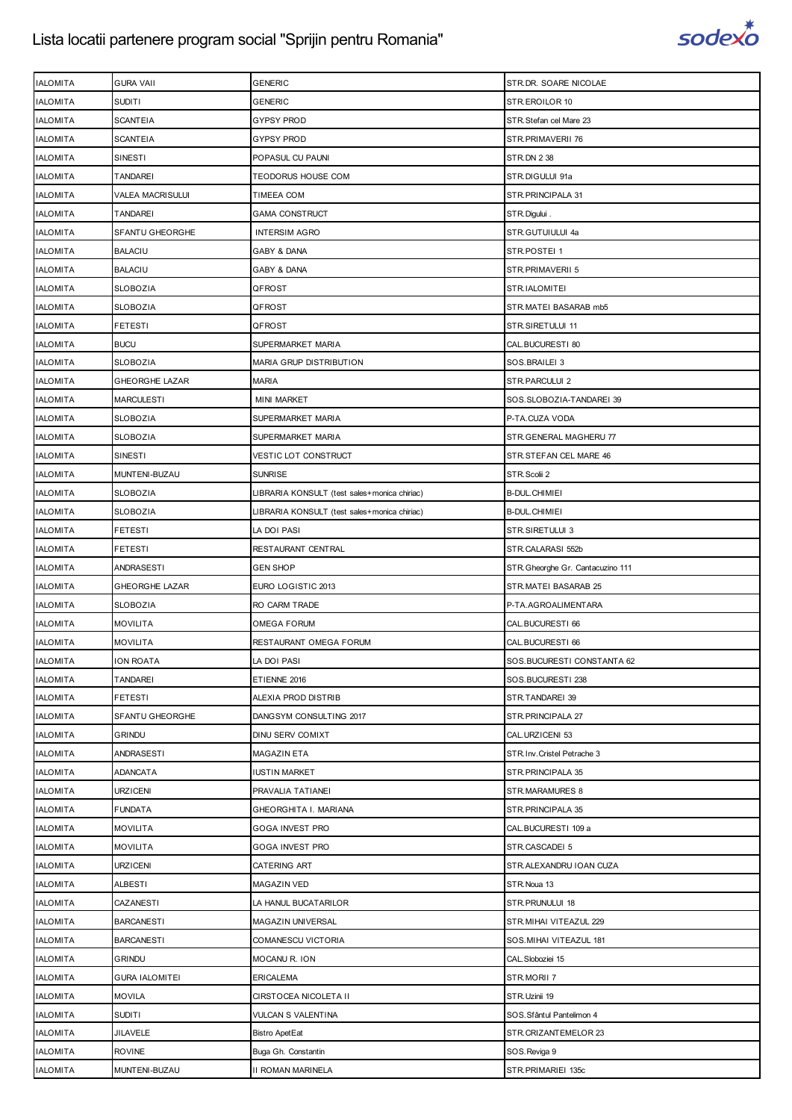

| <b>IALOMITA</b>                    | <b>GURA VAII</b>                   | <b>GENERIC</b>                               | STR.DR. SOARE NICOLAE             |
|------------------------------------|------------------------------------|----------------------------------------------|-----------------------------------|
| <b>IALOMITA</b>                    | <b>SUDITI</b>                      | GENERIC                                      | STR.EROILOR 10                    |
| <b>IALOMITA</b>                    | <b>SCANTEIA</b>                    | GYPSY PROD                                   | STR. Stefan cel Mare 23           |
| <b>IALOMITA</b>                    | <b>SCANTEIA</b>                    | <b>GYPSY PROD</b>                            | STR.PRIMAVERII 76                 |
| <b>IALOMITA</b>                    | SINESTI                            | POPASUL CU PAUNI                             | <b>STR.DN 2 38</b>                |
| <b>IALOMITA</b>                    | TANDAREI                           | TEODORUS HOUSE COM                           | STR.DIGULUI 91a                   |
|                                    |                                    |                                              |                                   |
| <b>IALOMITA</b>                    | VALEA MACRISULUI                   | TIMEEA COM                                   | STR. PRINCIPALA 31                |
| <b>IALOMITA</b><br><b>IALOMITA</b> | TANDAREI<br><b>SFANTU GHEORGHE</b> | <b>GAMA CONSTRUCT</b>                        | STR.Digului.                      |
|                                    |                                    | <b>INTERSIM AGRO</b>                         | STR.GUTUIULUI 4a                  |
| <b>IALOMITA</b>                    | <b>BALACIU</b>                     | GABY & DANA                                  | STR.POSTEI 1                      |
| <b>IALOMITA</b>                    | <b>BALACIU</b>                     | GABY & DANA                                  | STR.PRIMAVERII 5                  |
| <b>IALOMITA</b>                    | <b>SLOBOZIA</b>                    | QFROST                                       | STR.IALOMITEI                     |
| <b>IALOMITA</b>                    | SLOBOZIA                           | QFROST                                       | STR.MATEI BASARAB mb5             |
| <b>IALOMITA</b>                    | <b>FETESTI</b>                     | QFROST                                       | STR.SIRETULUI 11                  |
| <b>IALOMITA</b>                    | <b>BUCU</b>                        | SUPERMARKET MARIA                            | CAL.BUCURESTI 80                  |
| <b>IALOMITA</b>                    | <b>SLOBOZIA</b>                    | MARIA GRUP DISTRIBUTION                      | SOS.BRAILEI 3                     |
| <b>IALOMITA</b>                    | <b>GHEORGHE LAZAR</b>              | MARIA                                        | STR.PARCULUI 2                    |
| <b>IALOMITA</b>                    | <b>MARCULESTI</b>                  | <b>MINI MARKET</b>                           | SOS.SLOBOZIA-TANDAREI 39          |
| <b>IALOMITA</b>                    | <b>SLOBOZIA</b>                    | SUPERMARKET MARIA                            | P-TA.CUZA VODA                    |
| <b>IALOMITA</b>                    | <b>SLOBOZIA</b>                    | SUPERMARKET MARIA                            | STR. GENERAL MAGHERU 77           |
| <b>IALOMITA</b>                    | SINESTI                            | VESTIC LOT CONSTRUCT                         | STR.STEFAN CEL MARE 46            |
| <b>IALOMITA</b>                    | MUNTENI-BUZAU                      | <b>SUNRISE</b>                               | STR.Scolii 2                      |
| <b>IALOMITA</b>                    | SLOBOZIA                           | LIBRARIA KONSULT (test sales+monica chiriac) | <b>B-DUL.CHIMIEI</b>              |
| <b>IALOMITA</b>                    | <b>SLOBOZIA</b>                    | LIBRARIA KONSULT (test sales+monica chiriac) | B-DUL.CHIMIEI                     |
| <b>IALOMITA</b>                    | <b>FETESTI</b>                     | LA DOI PASI                                  | STR.SIRETULUI 3                   |
| <b>IALOMITA</b>                    | <b>FETESTI</b>                     | RESTAURANT CENTRAL                           | STR.CALARASI 552b                 |
| <b>IALOMITA</b>                    | ANDRASESTI                         | <b>GEN SHOP</b>                              | STR. Gheorghe Gr. Cantacuzino 111 |
| <b>IALOMITA</b>                    | GHEORGHE LAZAR                     | EURO LOGISTIC 2013                           | STR.MATEI BASARAB 25              |
| <b>IALOMITA</b>                    | <b>SLOBOZIA</b>                    | RO CARM TRADE                                | P-TA.AGROALIMENTARA               |
| <b>IALOMITA</b>                    | <b>MOVILITA</b>                    | OMEGA FORUM                                  | CAL.BUCURESTI 66                  |
| <b>IALOMITA</b>                    | <b>MOVILITA</b>                    | RESTAURANT OMEGA FORUM                       | CAL.BUCURESTI 66                  |
| <b>IALOMITA</b>                    | <b>ION ROATA</b>                   | LA DOI PASI                                  | SOS.BUCURESTI CONSTANTA 62        |
| <b>IALOMITA</b>                    | <b>TANDAREI</b>                    | ETIENNE 2016                                 | SOS.BUCURESTI 238                 |
| <b>IALOMITA</b>                    | <b>FETESTI</b>                     | ALEXIA PROD DISTRIB                          | STR.TANDAREI 39                   |
| <b>IALOMITA</b>                    | SFANTU GHEORGHE                    | DANGSYM CONSULTING 2017                      | STR.PRINCIPALA 27                 |
| <b>IALOMITA</b>                    | GRINDU                             | DINU SERV COMIXT                             | CAL.URZICENI 53                   |
| <b>IALOMITA</b>                    | ANDRASESTI                         | MAGAZIN ETA                                  | STR. Inv. Cristel Petrache 3      |
| <b>IALOMITA</b>                    | <b>ADANCATA</b>                    | <b>IUSTIN MARKET</b>                         | STR.PRINCIPALA 35                 |
| <b>IALOMITA</b>                    | <b>URZICENI</b>                    | PRAVALIA TATIANEI                            | STR.MARAMURES 8                   |
| <b>IALOMITA</b>                    | <b>FUNDATA</b>                     | GHEORGHITA I. MARIANA                        | STR. PRINCIPALA 35                |
| <b>IALOMITA</b>                    | MOVILITA                           | GOGA INVEST PRO                              | CAL.BUCURESTI 109 a               |
| <b>IALOMITA</b>                    | <b>MOVILITA</b>                    | GOGA INVEST PRO                              | STR.CASCADEI 5                    |
| <b>IALOMITA</b>                    | <b>URZICENI</b>                    | CATERING ART                                 | STR.ALEXANDRU IOAN CUZA           |
| <b>IALOMITA</b>                    | ALBESTI                            | MAGAZIN VED                                  | STR. Noua 13                      |
| <b>IALOMITA</b>                    | CAZANESTI                          | LA HANUL BUCATARILOR                         | STR.PRUNULUI 18                   |
| <b>IALOMITA</b>                    | <b>BARCANESTI</b>                  | MAGAZIN UNIVERSAL                            | STR. MIHAI VITEAZUL 229           |
| <b>IALOMITA</b>                    | <b>BARCANESTI</b>                  | COMANESCU VICTORIA                           | SOS. MIHAI VITEAZUL 181           |
| <b>IALOMITA</b>                    | <b>GRINDU</b>                      | MOCANU R. ION                                | CAL. Sloboziei 15                 |
|                                    |                                    |                                              |                                   |
| <b>IALOMITA</b>                    | <b>GURA IALOMITEI</b>              | <b>ERICALEMA</b>                             | STR.MORII 7                       |
| <b>IALOMITA</b>                    | <b>MOVILA</b>                      | CIRSTOCEA NICOLETA II                        | STR.Uzinii 19                     |
| <b>IALOMITA</b>                    | <b>SUDITI</b>                      | VULCAN S VALENTINA                           | SOS. Sfântul Pantelimon 4         |
| <b>IALOMITA</b>                    | <b>JILAVELE</b>                    | <b>Bistro ApetEat</b>                        | STR.CRIZANTEMELOR 23              |
| <b>IALOMITA</b>                    | <b>ROVINE</b>                      | Buga Gh. Constantin                          | SOS.Reviga 9                      |
| <b>IALOMITA</b>                    | MUNTENI-BUZAU                      | II ROMAN MARINELA                            | STR.PRIMARIEI 135c                |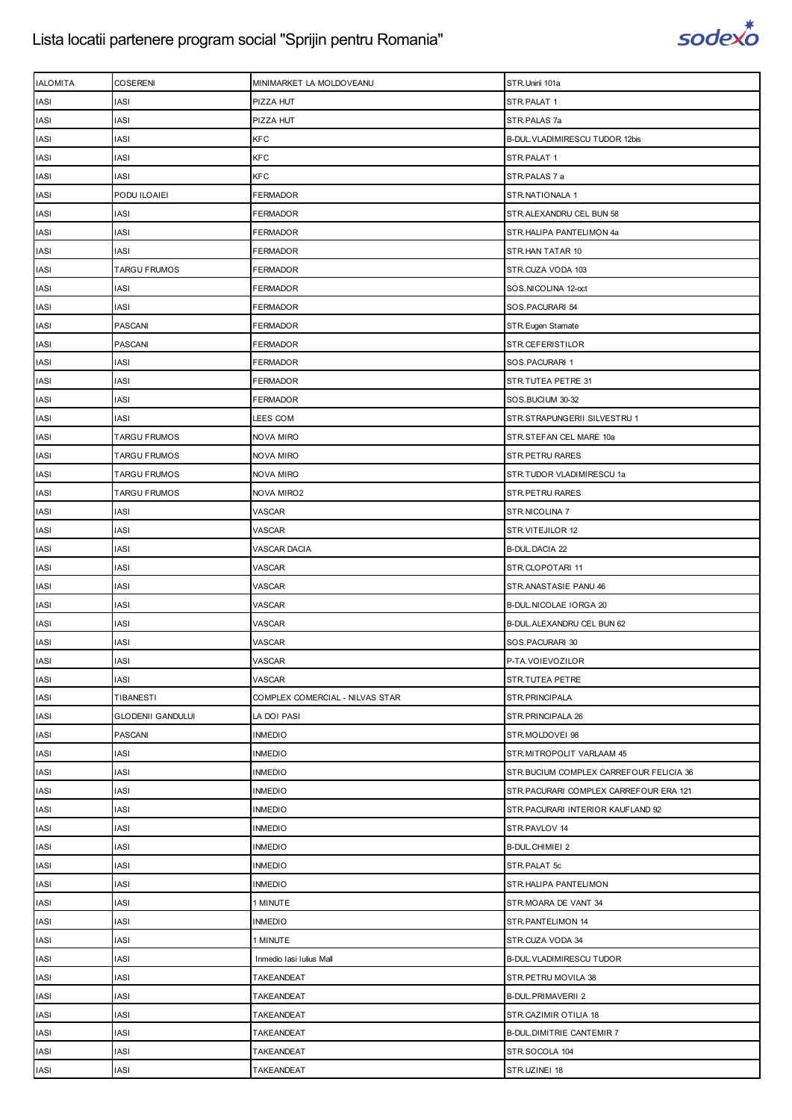

| <b>IALOMITA</b> | <b>COSERENI</b>          | MINIMARKET LA MOLDOVEANU        | STR.Unirii 101a                          |
|-----------------|--------------------------|---------------------------------|------------------------------------------|
| <b>IASI</b>     | IASI                     | PIZZA HUT                       | STR.PALAT 1                              |
| <b>IASI</b>     | IASI                     | PIZZA HUT                       | STR.PALAS 7a                             |
| <b>IASI</b>     | IASI                     | KFC                             | B-DUL. VLADIMIRESCU TUDOR 12bis          |
| <b>IASI</b>     | IASI                     | <b>KFC</b>                      | STR.PALAT 1                              |
| <b>IASI</b>     | IASI                     | <b>KFC</b>                      | STR.PALAS 7 a                            |
| <b>IASI</b>     | PODU ILOAIEI             | <b>FERMADOR</b>                 | STR.NATIONALA 1                          |
| <b>IASI</b>     | <b>IASI</b>              | <b>FERMADOR</b>                 | STR.ALEXANDRU CEL BUN 58                 |
| <b>IASI</b>     | IASI                     | <b>FERMADOR</b>                 | STR.HALIPA PANTELIMON 4a                 |
| <b>IASI</b>     | <b>IASI</b>              | <b>FERMADOR</b>                 | STR.HAN TATAR 10                         |
| <b>IASI</b>     | <b>TARGU FRUMOS</b>      | <b>FERMADOR</b>                 | STR.CUZA VODA 103                        |
| <b>IASI</b>     | <b>IASI</b>              | <b>FERMADOR</b>                 | SOS.NICOLINA 12-oct                      |
| <b>IASI</b>     | <b>IASI</b>              | FERMADOR                        | SOS.PACURARI 54                          |
| <b>IASI</b>     | <b>PASCANI</b>           | <b>FERMADOR</b>                 | STR. Eugen Stamate                       |
| <b>IASI</b>     | <b>PASCANI</b>           | <b>FERMADOR</b>                 | STR.CEFERISTILOR                         |
| <b>IASI</b>     | <b>IASI</b>              | <b>FERMADOR</b>                 | SOS.PACURARI 1                           |
| <b>IASI</b>     | <b>IASI</b>              | <b>FERMADOR</b>                 | STR.TUTEA PETRE 31                       |
| <b>IASI</b>     | IASI                     | <b>FERMADOR</b>                 | SOS.BUCIUM 30-32                         |
| <b>IASI</b>     | IASI                     | LEES COM                        | STR.STRAPUNGERII SILVESTRU 1             |
| IASI            | <b>TARGU FRUMOS</b>      | <b>NOVA MIRO</b>                | STR.STEFAN CEL MARE 10a                  |
| <b>IASI</b>     | <b>TARGU FRUMOS</b>      | NOVA MIRO                       | <b>STR.PETRU RARES</b>                   |
| <b>IASI</b>     | TARGU FRUMOS             | <b>NOVA MIRO</b>                | STR.TUDOR VLADIMIRESCU 1a                |
| <b>IASI</b>     | <b>TARGU FRUMOS</b>      | <b>NOVA MIRO2</b>               | STR.PETRU RARES                          |
| <b>IASI</b>     | IASI                     | VASCAR                          | STR.NICOLINA 7                           |
| IASI            | IASI                     | VASCAR                          | STR.VITEJILOR 12                         |
| IASI            | IASI                     | VASCAR DACIA                    | <b>B-DUL.DACIA 22</b>                    |
| <b>IASI</b>     | IASI                     | VASCAR                          | STR.CLOPOTARI 11                         |
| <b>IASI</b>     | <b>IASI</b>              | VASCAR                          | STR.ANASTASIE PANU 46                    |
| <b>IASI</b>     | IASI                     | VASCAR                          | B-DUL.NICOLAE IORGA 20                   |
| <b>IASI</b>     | IASI                     | VASCAR                          | B-DUL.ALEXANDRU CEL BUN 62               |
| IASI            | IASI                     | VASCAR                          | SOS.PACURARI 30                          |
| <b>IASI</b>     | <b>IASI</b>              | VASCAR                          | P-TA.VOIEVOZILOR                         |
| <b>IASI</b>     | <b>IASI</b>              | VASCAR                          | STR.TUTEA PETRE                          |
| IASI            | TIBANESTI                | COMPLEX COMERCIAL - NILVAS STAR | STR.PRINCIPALA                           |
| <b>IASI</b>     | <b>GLODENII GANDULUI</b> | LA DOI PASI                     | STR. PRINCIPALA 26                       |
| <b>IASI</b>     | <b>PASCANI</b>           | <b>INMEDIO</b>                  | STR.MOLDOVEI 98                          |
| <b>IASI</b>     | <b>IASI</b>              | <b>INMEDIO</b>                  | STR.MITROPOLIT VARLAAM 45                |
| <b>IASI</b>     | <b>IASI</b>              | <b>INMEDIO</b>                  | STR. BUCIUM COMPLEX CARREFOUR FELICIA 36 |
| <b>IASI</b>     | IASI                     | <b>INMEDIO</b>                  | STR. PACURARI COMPLEX CARREFOUR ERA 121  |
| IASI            | IASI                     | <b>INMEDIO</b>                  | STR. PACURARI INTERIOR KAUFLAND 92       |
| <b>IASI</b>     | <b>IASI</b>              | <b>INMEDIO</b>                  | STR.PAVLOV 14                            |
| <b>IASI</b>     | IASI                     | <b>INMEDIO</b>                  | <b>B-DUL.CHIMIEI 2</b>                   |
| IASI            | <b>IASI</b>              | <b>INMEDIO</b>                  | STR.PALAT 5c                             |
| <b>IASI</b>     | <b>IASI</b>              | <b>INMEDIO</b>                  | STR.HALIPA PANTELIMON                    |
| <b>IASI</b>     | IASI                     | 1 MINUTE                        | STR.MOARA DE VANT 34                     |
| <b>IASI</b>     | IASI                     | <b>INMEDIO</b>                  | STR.PANTELIMON 14                        |
| <b>IASI</b>     | <b>IASI</b>              | 1 MINUTE                        | STR.CUZA VODA 34                         |
| <b>IASI</b>     | IASI                     | Inmedio Iasi Iulius Mall        | <b>B-DUL. VLADIMIRESCU TUDOR</b>         |
| IASI            | <b>IASI</b>              | TAKEANDEAT                      | STR. PETRU MOVILA 38                     |
| <b>IASI</b>     | IASI                     | <b>TAKEANDEAT</b>               | <b>B-DUL.PRIMAVERII 2</b>                |
| IASI            | IASI                     | <b>TAKEANDEAT</b>               | STR.CAZIMIR OTILIA 18                    |
| IASI            | IASI                     | TAKEANDEAT                      | <b>B-DUL.DIMITRIE CANTEMIR 7</b>         |
| IASI            | IASI                     | <b>TAKEANDEAT</b>               | STR.SOCOLA 104                           |
| <b>IASI</b>     | IASI                     | TAKEANDEAT                      | STR.UZINEI 18                            |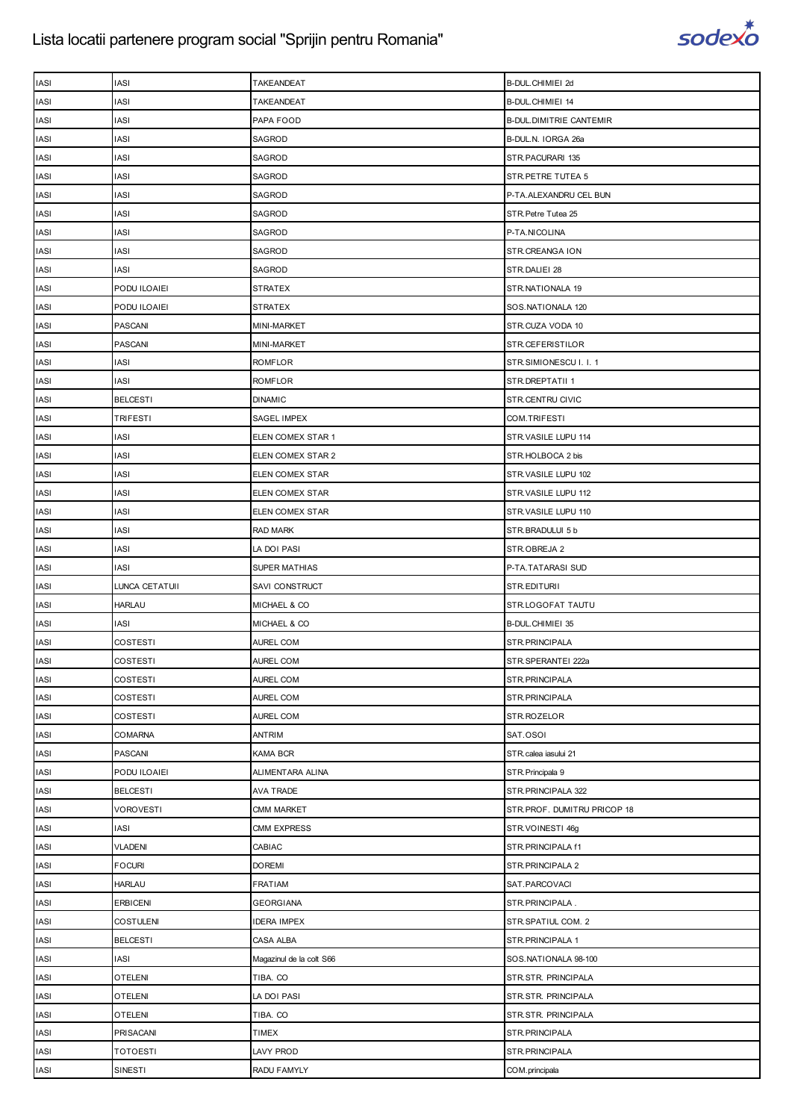

| <b>IASI</b> | <b>IASI</b>      | TAKEANDEAT               | B-DUL.CHIMIEI 2d               |
|-------------|------------------|--------------------------|--------------------------------|
| <b>IASI</b> | <b>IASI</b>      | <b>TAKEANDEAT</b>        | B-DUL.CHIMIEI 14               |
| <b>IASI</b> | <b>IASI</b>      | PAPA FOOD                | <b>B-DUL.DIMITRIE CANTEMIR</b> |
| <b>IASI</b> | <b>IASI</b>      | SAGROD                   | B-DUL.N. IORGA 26a             |
| <b>IASI</b> | <b>IASI</b>      | SAGROD                   | STR.PACURARI 135               |
| <b>IASI</b> | <b>IASI</b>      | SAGROD                   | STR.PETRE TUTEA 5              |
| <b>IASI</b> | <b>IASI</b>      | SAGROD                   | P-TA.ALEXANDRU CEL BUN         |
| <b>IASI</b> | <b>IASI</b>      | SAGROD                   | STR. Petre Tutea 25            |
| <b>IASI</b> | <b>IASI</b>      | SAGROD                   | P-TA.NICOLINA                  |
| <b>IASI</b> | <b>IASI</b>      | SAGROD                   | STR.CREANGA ION                |
| <b>IASI</b> | <b>IASI</b>      | SAGROD                   | STR.DALIEI 28                  |
| <b>IASI</b> | PODU ILOAIEI     | <b>STRATEX</b>           | STR.NATIONALA 19               |
| <b>IASI</b> | PODU ILOAIEI     | <b>STRATEX</b>           | SOS.NATIONALA 120              |
| <b>IASI</b> | <b>PASCANI</b>   | MINI-MARKET              | STR.CUZA VODA 10               |
| <b>IASI</b> | <b>PASCANI</b>   | MINI-MARKET              | STR.CEFERISTILOR               |
| <b>IASI</b> | IASI             | ROMFLOR                  | STR.SIMIONESCU I. I. 1         |
| <b>IASI</b> | <b>IASI</b>      | <b>ROMFLOR</b>           | STR.DREPTATII 1                |
| <b>IASI</b> | <b>BELCESTI</b>  | <b>DINAMIC</b>           | STR.CENTRU CIVIC               |
| <b>IASI</b> | TRIFESTI         | SAGEL IMPEX              | COM.TRIFESTI                   |
| <b>IASI</b> | <b>IASI</b>      | ELEN COMEX STAR 1        | STR.VASILE LUPU 114            |
| <b>IASI</b> | <b>IASI</b>      | ELEN COMEX STAR 2        | STR.HOLBOCA 2 bis              |
| <b>IASI</b> | <b>IASI</b>      | ELEN COMEX STAR          | STR.VASILE LUPU 102            |
| <b>IASI</b> | <b>IASI</b>      | ELEN COMEX STAR          | STR. VASILE LUPU 112           |
| <b>IASI</b> | <b>IASI</b>      | ELEN COMEX STAR          | STR.VASILE LUPU 110            |
| <b>IASI</b> | <b>IASI</b>      | RAD MARK                 | STR.BRADULUI 5 b               |
| <b>IASI</b> | <b>IASI</b>      | LA DOI PASI              | STR.OBREJA 2                   |
| <b>IASI</b> | <b>IASI</b>      | <b>SUPER MATHIAS</b>     | P-TA.TATARASI SUD              |
| <b>IASI</b> | LUNCA CETATUII   | SAVI CONSTRUCT           | STR.EDITURII                   |
| <b>IASI</b> | <b>HARLAU</b>    | MICHAEL & CO             | STR.LOGOFAT TAUTU              |
| <b>IASI</b> | IASI             | MICHAEL & CO             | B-DUL.CHIMIEI 35               |
| <b>IASI</b> | COSTESTI         | AUREL COM                | STR.PRINCIPALA                 |
| <b>IASI</b> | <b>COSTESTI</b>  | AUREL COM                | STR.SPERANTEI 222a             |
| <b>IASI</b> | <b>COSTESTI</b>  | AUREL COM                | STR.PRINCIPALA                 |
| <b>IASI</b> | COSTESTI         | AUREL COM                | STR.PRINCIPALA                 |
| <b>IASI</b> | COSTESTI         | <b>AUREL COM</b>         | STR.ROZELOR                    |
| <b>IASI</b> | COMARNA          | ANTRIM                   | SAT.OSOI                       |
| <b>IASI</b> | PASCANI          | KAMA BCR                 | STR.calea iasului 21           |
| <b>IASI</b> | PODU ILOAIEI     | ALIMENTARA ALINA         | STR. Principala 9              |
| <b>IASI</b> | <b>BELCESTI</b>  | AVA TRADE                | STR.PRINCIPALA 322             |
| <b>IASI</b> | <b>VOROVESTI</b> | <b>CMM MARKET</b>        | STR.PROF. DUMITRU PRICOP 18    |
| <b>IASI</b> | <b>IASI</b>      | <b>CMM EXPRESS</b>       | STR.VOINESTI 46g               |
| <b>IASI</b> | <b>VLADENI</b>   | CABIAC                   | STR.PRINCIPALA f1              |
| <b>IASI</b> | <b>FOCURI</b>    | <b>DOREMI</b>            | STR.PRINCIPALA 2               |
| <b>IASI</b> | <b>HARLAU</b>    | FRATIAM                  | SAT.PARCOVACI                  |
| <b>IASI</b> | <b>ERBICENI</b>  | <b>GEORGIANA</b>         | STR.PRINCIPALA.                |
| <b>IASI</b> | <b>COSTULENI</b> | <b>IDERA IMPEX</b>       | STR.SPATIUL COM. 2             |
| <b>IASI</b> | <b>BELCESTI</b>  | CASA ALBA                | STR.PRINCIPALA 1               |
| <b>IASI</b> | <b>IASI</b>      | Magazinul de la colt S66 | SOS.NATIONALA 98-100           |
| <b>IASI</b> | OTELENI          | TIBA. CO                 | STR.STR. PRINCIPALA            |
| <b>IASI</b> | <b>OTELENI</b>   | LA DOI PASI              | STR.STR. PRINCIPALA            |
| <b>IASI</b> | <b>OTELENI</b>   | TIBA. CO                 | STR.STR. PRINCIPALA            |
| <b>IASI</b> | PRISACANI        | <b>TIMEX</b>             | STR.PRINCIPALA                 |
| <b>IASI</b> | <b>TOTOESTI</b>  | LAVY PROD                | STR.PRINCIPALA                 |
|             | SINESTI          | RADU FAMYLY              | COM.principala                 |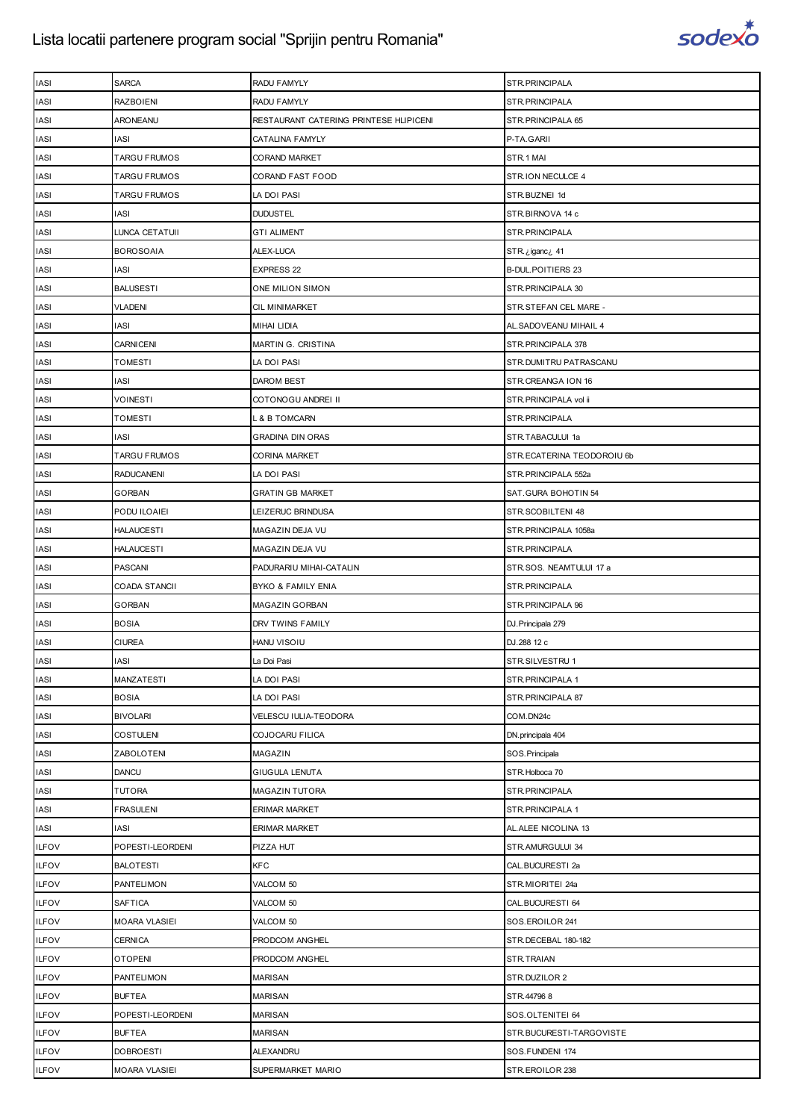

| <b>IASI</b>  | <b>SARCA</b>         | RADU FAMYLY                            | STR.PRINCIPALA             |
|--------------|----------------------|----------------------------------------|----------------------------|
| IASI         | <b>RAZBOIENI</b>     | RADU FAMYLY                            | STR.PRINCIPALA             |
| <b>IASI</b>  | ARONEANU             | RESTAURANT CATERING PRINTESE HLIPICENI | STR. PRINCIPALA 65         |
| <b>IASI</b>  | <b>IASI</b>          | CATALINA FAMYLY                        | P-TA.GARII                 |
| <b>IASI</b>  | <b>TARGU FRUMOS</b>  | <b>CORAND MARKET</b>                   | STR.1 MAI                  |
| <b>IASI</b>  | TARGU FRUMOS         | CORAND FAST FOOD                       | STR.ION NECULCE 4          |
| <b>IASI</b>  | <b>TARGU FRUMOS</b>  | LA DOI PASI                            | STR.BUZNEI 1d              |
| <b>IASI</b>  | IASI                 | <b>DUDUSTEL</b>                        | STR.BIRNOVA 14 c           |
| <b>IASI</b>  | LUNCA CETATUII       | <b>GTI ALIMENT</b>                     | STR. PRINCIPALA            |
| <b>IASI</b>  | <b>BOROSOAIA</b>     | ALEX-LUCA                              | STR. ¿iganc ¿ 41           |
| <b>IASI</b>  | <b>IASI</b>          | EXPRESS 22                             | <b>B-DUL.POITIERS 23</b>   |
| <b>IASI</b>  | <b>BALUSESTI</b>     | ONE MILION SIMON                       | STR. PRINCIPALA 30         |
| <b>IASI</b>  | VLADENI              | CIL MINIMARKET                         | STR.STEFAN CEL MARE -      |
| IASI         | IASI                 | <b>MIHAI LIDIA</b>                     | AL. SADOVEANU MIHAIL 4     |
| <b>IASI</b>  | <b>CARNICENI</b>     | MARTIN G. CRISTINA                     | STR.PRINCIPALA 378         |
| <b>IASI</b>  | <b>TOMESTI</b>       | LA DOI PASI                            | STR.DUMITRU PATRASCANU     |
| <b>IASI</b>  | IASI                 | DAROM BEST                             | STR.CREANGA ION 16         |
| <b>IASI</b>  | VOINESTI             | COTONOGU ANDREI II                     | STR.PRINCIPALA vol ii      |
| <b>IASI</b>  | <b>TOMESTI</b>       | L & B TOMCARN                          | STR.PRINCIPALA             |
| <b>IASI</b>  | IASI                 | <b>GRADINA DIN ORAS</b>                | STR.TABACULUI 1a           |
| <b>IASI</b>  | <b>TARGU FRUMOS</b>  | CORINA MARKET                          | STR.ECATERINA TEODOROIU 6b |
| <b>IASI</b>  | <b>RADUCANENI</b>    | LA DOI PASI                            | STR.PRINCIPALA 552a        |
| <b>IASI</b>  | <b>GORBAN</b>        | <b>GRATIN GB MARKET</b>                | SAT.GURA BOHOTIN 54        |
| <b>IASI</b>  | PODU ILOAIEI         | LEIZERUC BRINDUSA                      | STR.SCOBILTENI 48          |
| <b>IASI</b>  | <b>HALAUCESTI</b>    | MAGAZIN DEJA VU                        | STR.PRINCIPALA 1058a       |
| <b>IASI</b>  | <b>HALAUCESTI</b>    | MAGAZIN DEJA VU                        | STR.PRINCIPALA             |
| <b>IASI</b>  | <b>PASCANI</b>       | PADURARIU MIHAI-CATALIN                | STR.SOS. NEAMTULUI 17 a    |
| <b>IASI</b>  | COADA STANCII        | <b>BYKO &amp; FAMILY ENIA</b>          | STR.PRINCIPALA             |
| <b>IASI</b>  | <b>GORBAN</b>        | MAGAZIN GORBAN                         | STR. PRINCIPALA 96         |
| <b>IASI</b>  | <b>BOSIA</b>         | DRV TWINS FAMILY                       | DJ. Principala 279         |
| <b>IASI</b>  | <b>CIUREA</b>        | HANU VISOIU                            | DJ.288 12 c                |
| <b>IASI</b>  | <b>IASI</b>          | La Doi Pasi                            | STR.SILVESTRU 1            |
| <b>IASI</b>  | <b>MANZATESTI</b>    | LA DOI PASI                            | STR.PRINCIPALA 1           |
| <b>IASI</b>  | <b>BOSIA</b>         | LA DOI PASI                            | STR.PRINCIPALA 87          |
| <b>IASI</b>  | <b>BIVOLARI</b>      | VELESCU IULIA-TEODORA                  | COM.DN24c                  |
| <b>IASI</b>  | <b>COSTULENI</b>     | COJOCARU FILICA                        | DN. principala 404         |
| <b>IASI</b>  | <b>ZABOLOTENI</b>    | MAGAZIN                                | SOS.Principala             |
| <b>IASI</b>  | <b>DANCU</b>         | GIUGULA LENUTA                         | STR.Holboca 70             |
| <b>IASI</b>  | <b>TUTORA</b>        | <b>MAGAZIN TUTORA</b>                  | STR.PRINCIPALA             |
| <b>IASI</b>  | <b>FRASULENI</b>     | ERIMAR MARKET                          | STR.PRINCIPALA 1           |
| <b>IASI</b>  | <b>IASI</b>          | <b>ERIMAR MARKET</b>                   | AL. ALEE NICOLINA 13       |
| <b>ILFOV</b> | POPESTI-LEORDENI     | PIZZA HUT                              | STR.AMURGULUI 34           |
| <b>ILFOV</b> | <b>BALOTESTI</b>     | KFC                                    | CAL.BUCURESTI 2a           |
| <b>ILFOV</b> | PANTELIMON           | VALCOM 50                              | STR.MIORITEI 24a           |
| <b>ILFOV</b> | SAFTICA              | VALCOM 50                              | CAL.BUCURESTI 64           |
| <b>ILFOV</b> | <b>MOARA VLASIEI</b> | VALCOM 50                              | SOS.EROILOR 241            |
| <b>ILFOV</b> | <b>CERNICA</b>       | PRODCOM ANGHEL                         | STR.DECEBAL 180-182        |
| <b>ILFOV</b> | <b>OTOPENI</b>       | PRODCOM ANGHEL                         | STR.TRAIAN                 |
| <b>ILFOV</b> | PANTELIMON           | <b>MARISAN</b>                         | STR.DUZILOR 2              |
| <b>ILFOV</b> | <b>BUFTEA</b>        | MARISAN                                | STR.447968                 |
| <b>ILFOV</b> | POPESTI-LEORDENI     | MARISAN                                | SOS.OLTENITEI 64           |
| <b>ILFOV</b> | <b>BUFTEA</b>        | <b>MARISAN</b>                         | STR.BUCURESTI-TARGOVISTE   |
| <b>ILFOV</b> | <b>DOBROESTI</b>     | <b>ALEXANDRU</b>                       | SOS.FUNDENI 174            |
| <b>ILFOV</b> | MOARA VLASIEI        | SUPERMARKET MARIO                      | STR.EROILOR 238            |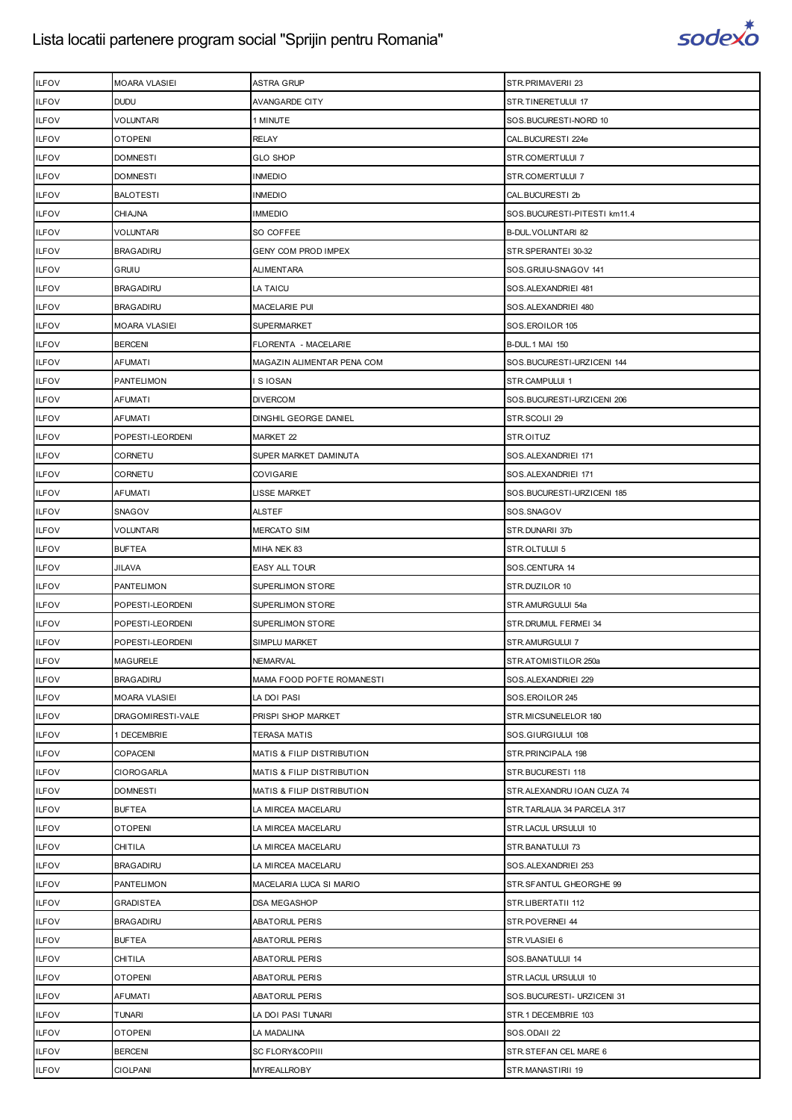

| <b>ILFOV</b> | <b>MOARA VLASIEI</b> | <b>ASTRA GRUP</b>          | STR.PRIMAVERII 23            |
|--------------|----------------------|----------------------------|------------------------------|
| <b>ILFOV</b> | <b>DUDU</b>          | <b>AVANGARDE CITY</b>      | STR.TINERETULUI 17           |
| <b>ILFOV</b> | VOLUNTARI            | 1 MINUTE                   | SOS.BUCURESTI-NORD 10        |
| <b>ILFOV</b> | <b>OTOPENI</b>       | <b>RELAY</b>               | CAL.BUCURESTI 224e           |
| <b>ILFOV</b> | <b>DOMNESTI</b>      | <b>GLO SHOP</b>            | STR.COMERTULUI 7             |
| <b>ILFOV</b> | DOMNESTI             | INMEDIO                    | STR.COMERTULUI 7             |
| <b>ILFOV</b> | <b>BALOTESTI</b>     | INMEDIO                    | CAL.BUCURESTI 2b             |
| <b>ILFOV</b> | <b>CHIAJNA</b>       | <b>IMMEDIO</b>             | SOS.BUCURESTI-PITESTI km11.4 |
| <b>ILFOV</b> | VOLUNTARI            | SO COFFEE                  | B-DUL. VOLUNTARI 82          |
| <b>ILFOV</b> | <b>BRAGADIRU</b>     | <b>GENY COM PROD IMPEX</b> | STR.SPERANTEI 30-32          |
| <b>ILFOV</b> | <b>GRUIU</b>         | ALIMENTARA                 | SOS.GRUIU-SNAGOV 141         |
| <b>ILFOV</b> | <b>BRAGADIRU</b>     | LA TAICU                   | SOS.ALEXANDRIEI 481          |
| <b>ILFOV</b> | <b>BRAGADIRU</b>     | MACELARIE PUI              | SOS.ALEXANDRIEI 480          |
| <b>ILFOV</b> | <b>MOARA VLASIEI</b> | SUPERMARKET                | SOS.EROILOR 105              |
| <b>ILFOV</b> | <b>BERCENI</b>       | FLORENTA - MACELARIE       | <b>B-DUL.1 MAI 150</b>       |
| <b>ILFOV</b> | <b>AFUMATI</b>       | MAGAZIN ALIMENTAR PENA COM | SOS.BUCURESTI-URZICENI 144   |
| <b>ILFOV</b> | PANTELIMON           | I S IOSAN                  | STR.CAMPULUI 1               |
| <b>ILFOV</b> | AFUMATI              | DIVERCOM                   | SOS.BUCURESTI-URZICENI 206   |
| <b>ILFOV</b> | AFUMATI              | DINGHIL GEORGE DANIEL      | STR.SCOLII 29                |
| <b>ILFOV</b> | POPESTI-LEORDENI     | MARKET 22                  | STR.OITUZ                    |
| <b>ILFOV</b> | CORNETU              | SUPER MARKET DAMINUTA      | SOS.ALEXANDRIEI 171          |
| <b>ILFOV</b> | CORNETU              | COVIGARIE                  | SOS.ALEXANDRIEI 171          |
| <b>ILFOV</b> | <b>AFUMATI</b>       | LISSE MARKET               | SOS.BUCURESTI-URZICENI 185   |
| <b>ILFOV</b> | SNAGOV               | ALSTEF                     | SOS.SNAGOV                   |
| <b>ILFOV</b> | VOLUNTARI            | <b>MERCATO SIM</b>         | STR.DUNARII 37b              |
| <b>ILFOV</b> | <b>BUFTEA</b>        | MIHA NEK 83                | STR.OLTULUI 5                |
| <b>ILFOV</b> | JILAVA               | EASY ALL TOUR              | SOS.CENTURA 14               |
| <b>ILFOV</b> | <b>PANTELIMON</b>    | SUPERLIMON STORE           | STR.DUZILOR 10               |
| <b>ILFOV</b> | POPESTI-LEORDENI     | SUPERLIMON STORE           | STR.AMURGULUI 54a            |
| <b>ILFOV</b> | POPESTI-LEORDENI     | SUPERLIMON STORE           | STR. DRUMUL FERMEI 34        |
| <b>ILFOV</b> | POPESTI-LEORDENI     | SIMPLU MARKET              | STR.AMURGULUI 7              |
| <b>ILFOV</b> | <b>MAGURELE</b>      | <b>NEMARVAL</b>            | STR.ATOMISTILOR 250a         |
| <b>ILFOV</b> | <b>BRAGADIRU</b>     | MAMA FOOD POFTE ROMANESTI  | SOS.ALEXANDRIEI 229          |
| <b>ILFOV</b> | <b>MOARA VLASIEI</b> | LA DOI PASI                | SOS.EROILOR 245              |
| <b>ILFOV</b> | DRAGOMIRESTI-VALE    | PRISPI SHOP MARKET         | STR.MICSUNELELOR 180         |
| <b>ILFOV</b> | 1 DECEMBRIE          | TERASA MATIS               | SOS.GIURGIULUI 108           |
| <b>ILFOV</b> | COPACENI             | MATIS & FILIP DISTRIBUTION | STR. PRINCIPALA 198          |
| <b>ILFOV</b> | <b>CIOROGARLA</b>    | MATIS & FILIP DISTRIBUTION | STR.BUCURESTI 118            |
| <b>ILFOV</b> | <b>DOMNESTI</b>      | MATIS & FILIP DISTRIBUTION | STR.ALEXANDRU IOAN CUZA 74   |
| <b>ILFOV</b> | <b>BUFTEA</b>        | LA MIRCEA MACELARU         | STR.TARLAUA 34 PARCELA 317   |
| <b>ILFOV</b> | <b>OTOPENI</b>       | LA MIRCEA MACELARU         | STR.LACUL URSULUI 10         |
| <b>ILFOV</b> | CHITILA              | LA MIRCEA MACELARU         | STR.BANATULUI 73             |
| <b>ILFOV</b> | <b>BRAGADIRU</b>     | LA MIRCEA MACELARU         | SOS.ALEXANDRIEI 253          |
| <b>ILFOV</b> | PANTELIMON           | MACELARIA LUCA SI MARIO    | STR.SFANTUL GHEORGHE 99      |
| <b>ILFOV</b> | GRADISTEA            | DSA MEGASHOP               | STR.LIBERTATII 112           |
| <b>ILFOV</b> | <b>BRAGADIRU</b>     | ABATORUL PERIS             | STR.POVERNEI 44              |
| <b>ILFOV</b> | <b>BUFTEA</b>        | ABATORUL PERIS             | STR.VLASIEI 6                |
| <b>ILFOV</b> | CHITILA              | ABATORUL PERIS             | SOS.BANATULUI 14             |
| <b>ILFOV</b> | <b>OTOPENI</b>       | ABATORUL PERIS             | STR.LACUL URSULUI 10         |
| <b>ILFOV</b> | <b>AFUMATI</b>       | <b>ABATORUL PERIS</b>      | SOS.BUCURESTI- URZICENI 31   |
| <b>ILFOV</b> | TUNARI               | LA DOI PASI TUNARI         | STR.1 DECEMBRIE 103          |
| <b>ILFOV</b> | <b>OTOPENI</b>       | LA MADALINA                | SOS.ODAII 22                 |
| <b>ILFOV</b> | <b>BERCENI</b>       | SC FLORY&COPIII            | STR.STEFAN CEL MARE 6        |
| <b>ILFOV</b> | <b>CIOLPANI</b>      | MYREALLROBY                | STR.MANASTIRII 19            |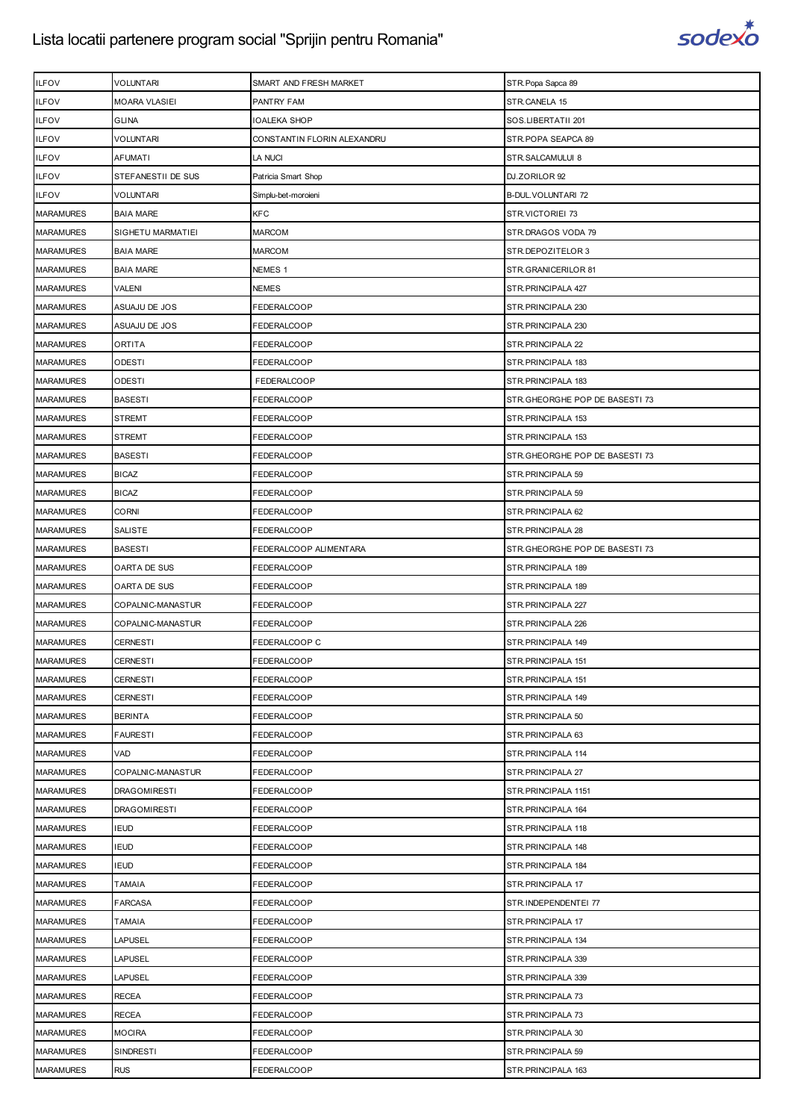

| <b>ILFOV</b>     | VOLUNTARI            | SMART AND FRESH MARKET      | STR. Popa Sapca 89              |
|------------------|----------------------|-----------------------------|---------------------------------|
| <b>ILFOV</b>     | <b>MOARA VLASIEI</b> | PANTRY FAM                  | STR.CANELA 15                   |
| <b>ILFOV</b>     | <b>GLINA</b>         | IOALEKA SHOP                | SOS.LIBERTATII 201              |
| <b>ILFOV</b>     | VOLUNTARI            | CONSTANTIN FLORIN ALEXANDRU | STR.POPA SEAPCA 89              |
| <b>ILFOV</b>     | <b>AFUMATI</b>       | LA NUCI                     | STR.SALCAMULUI 8                |
| <b>ILFOV</b>     | STEFANESTII DE SUS   | Patricia Smart Shop         | DJ.ZORILOR 92                   |
| <b>ILFOV</b>     | VOLUNTARI            | Simplu-bet-moroieni         | B-DUL. VOLUNTARI 72             |
| <b>MARAMURES</b> | <b>BAIA MARE</b>     | <b>KFC</b>                  | STR.VICTORIEI 73                |
| <b>MARAMURES</b> | SIGHETU MARMATIEI    | <b>MARCOM</b>               | STR.DRAGOS VODA 79              |
| <b>MARAMURES</b> | <b>BAIA MARE</b>     | MARCOM                      | STR.DEPOZITELOR 3               |
| <b>MARAMURES</b> | <b>BAIA MARE</b>     | NEMES 1                     | STR.GRANICERILOR 81             |
| <b>MARAMURES</b> | <b>VALENI</b>        | NEMES                       | STR. PRINCIPALA 427             |
| <b>MARAMURES</b> | ASUAJU DE JOS        | FEDERALCOOP                 | STR. PRINCIPALA 230             |
| <b>MARAMURES</b> | ASUAJU DE JOS        | FEDERALCOOP                 | STR. PRINCIPALA 230             |
| <b>MARAMURES</b> | <b>ORTITA</b>        | FEDERALCOOP                 | STR. PRINCIPALA 22              |
| <b>MARAMURES</b> | ODESTI               | FEDERALCOOP                 | STR. PRINCIPALA 183             |
| <b>MARAMURES</b> | <b>ODESTI</b>        | FEDERALCOOP                 | STR. PRINCIPALA 183             |
| <b>MARAMURES</b> | <b>BASESTI</b>       | FEDERALCOOP                 | STR. GHEORGHE POP DE BASESTI 73 |
| <b>MARAMURES</b> | <b>STREMT</b>        | FEDERALCOOP                 | STR. PRINCIPALA 153             |
| <b>MARAMURES</b> | <b>STREMT</b>        | FEDERALCOOP                 | STR. PRINCIPALA 153             |
| <b>MARAMURES</b> | <b>BASESTI</b>       | FEDERALCOOP                 | STR.GHEORGHE POP DE BASESTI 73  |
| <b>MARAMURES</b> | <b>BICAZ</b>         | FEDERALCOOP                 | STR. PRINCIPALA 59              |
| <b>MARAMURES</b> | <b>BICAZ</b>         | FEDERALCOOP                 | STR. PRINCIPALA 59              |
| <b>MARAMURES</b> | <b>CORNI</b>         | FEDERALCOOP                 | STR. PRINCIPALA 62              |
| <b>MARAMURES</b> | SALISTE              | FEDERALCOOP                 | STR. PRINCIPALA 28              |
| <b>MARAMURES</b> | <b>BASESTI</b>       | FEDERALCOOP ALIMENTARA      | STR.GHEORGHE POP DE BASESTI 73  |
| <b>MARAMURES</b> | OARTA DE SUS         | FEDERALCOOP                 | STR. PRINCIPALA 189             |
| <b>MARAMURES</b> | OARTA DE SUS         | FEDERALCOOP                 | STR. PRINCIPALA 189             |
| <b>MARAMURES</b> | COPALNIC-MANASTUR    | FEDERALCOOP                 | STR. PRINCIPALA 227             |
| <b>MARAMURES</b> | COPALNIC-MANASTUR    | FEDERALCOOP                 | STR. PRINCIPALA 226             |
| <b>MARAMURES</b> | <b>CERNESTI</b>      | FEDERALCOOP C               | STR. PRINCIPALA 149             |
| <b>MARAMURES</b> | <b>CERNESTI</b>      | <b>FEDERALCOOP</b>          | STR.PRINCIPALA 151              |
| <b>MARAMURES</b> | <b>CERNESTI</b>      | FEDERALCOOP                 | STR. PRINCIPALA 151             |
| <b>MARAMURES</b> | <b>CERNESTI</b>      | FEDERALCOOP                 | STR.PRINCIPALA 149              |
| <b>MARAMURES</b> | <b>BERINTA</b>       | FEDERALCOOP                 | STR. PRINCIPALA 50              |
| <b>MARAMURES</b> | <b>FAURESTI</b>      | FEDERALCOOP                 | STR. PRINCIPALA 63              |
| <b>MARAMURES</b> | VAD                  | FEDERALCOOP                 | STR. PRINCIPALA 114             |
| <b>MARAMURES</b> | COPALNIC-MANASTUR    | FEDERALCOOP                 | STR.PRINCIPALA 27               |
| <b>MARAMURES</b> | <b>DRAGOMIRESTI</b>  | FEDERALCOOP                 | STR. PRINCIPALA 1151            |
| <b>MARAMURES</b> | <b>DRAGOMIRESTI</b>  | FEDERALCOOP                 | STR. PRINCIPALA 164             |
| <b>MARAMURES</b> | <b>IEUD</b>          | FEDERALCOOP                 | STR. PRINCIPALA 118             |
| <b>MARAMURES</b> | <b>IEUD</b>          | FEDERALCOOP                 | STR. PRINCIPALA 148             |
| <b>MARAMURES</b> | <b>IEUD</b>          | FEDERALCOOP                 | STR. PRINCIPALA 184             |
| <b>MARAMURES</b> | <b>TAMAIA</b>        | FEDERALCOOP                 | STR.PRINCIPALA 17               |
| <b>MARAMURES</b> | <b>FARCASA</b>       | FEDERALCOOP                 | STR.INDEPENDENTEI 77            |
| <b>MARAMURES</b> | TAMAIA               | FEDERALCOOP                 | STR.PRINCIPALA 17               |
| <b>MARAMURES</b> | <b>LAPUSEL</b>       | FEDERALCOOP                 | STR. PRINCIPALA 134             |
| <b>MARAMURES</b> | <b>LAPUSEL</b>       | FEDERALCOOP                 | STR. PRINCIPALA 339             |
| <b>MARAMURES</b> | <b>LAPUSEL</b>       | FEDERALCOOP                 | STR. PRINCIPALA 339             |
| <b>MARAMURES</b> | <b>RECEA</b>         | FEDERALCOOP                 | STR.PRINCIPALA 73               |
| <b>MARAMURES</b> | <b>RECEA</b>         | FEDERALCOOP                 | STR.PRINCIPALA 73               |
| <b>MARAMURES</b> | <b>MOCIRA</b>        | FEDERALCOOP                 | STR. PRINCIPALA 30              |
| <b>MARAMURES</b> | <b>SINDRESTI</b>     | FEDERALCOOP                 | STR. PRINCIPALA 59              |
| <b>MARAMURES</b> | <b>RUS</b>           | FEDERALCOOP                 | STR. PRINCIPALA 163             |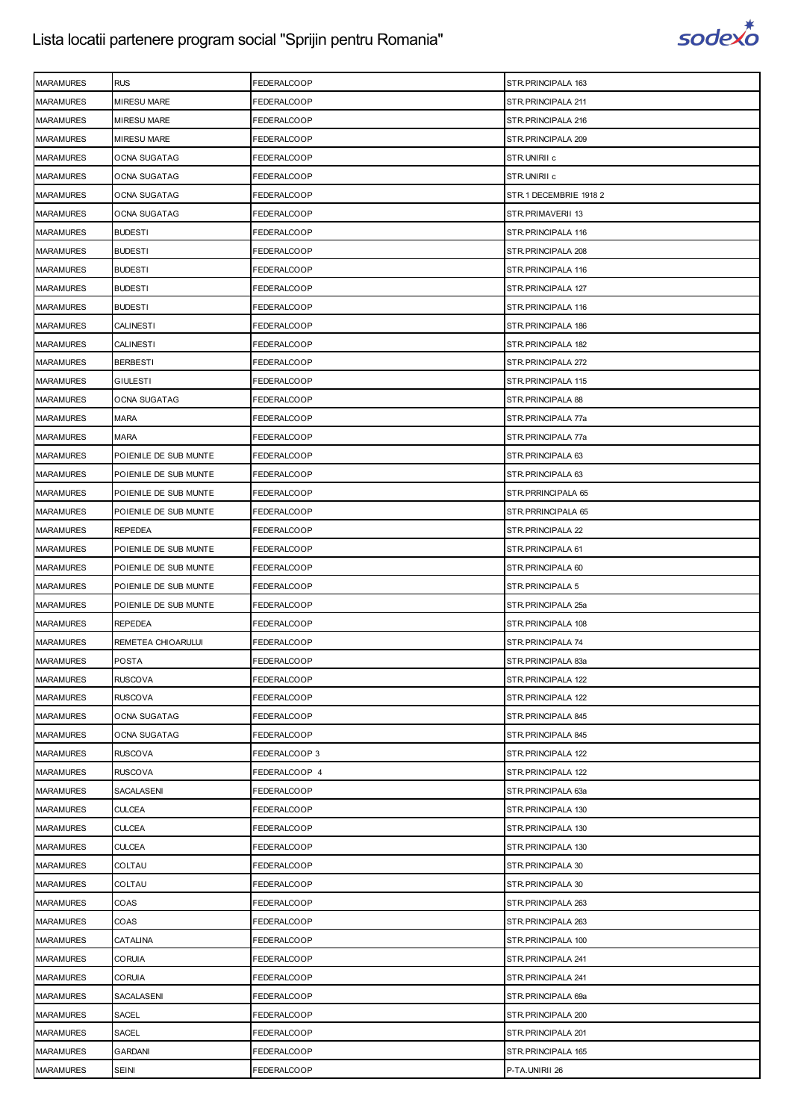

| <b>MARAMURES</b> | <b>RUS</b>            | FEDERALCOOP   | STR.PRINCIPALA 163     |
|------------------|-----------------------|---------------|------------------------|
| <b>MARAMURES</b> | <b>MIRESU MARE</b>    | FEDERALCOOP   | STR.PRINCIPALA 211     |
| <b>MARAMURES</b> | <b>MIRESU MARE</b>    | FEDERALCOOP   | STR.PRINCIPALA 216     |
| <b>MARAMURES</b> | MIRESU MARE           | FEDERALCOOP   | STR. PRINCIPALA 209    |
| <b>MARAMURES</b> | <b>OCNA SUGATAG</b>   | FEDERALCOOP   | STR.UNIRII c           |
| <b>MARAMURES</b> | OCNA SUGATAG          | FEDERALCOOP   | STR.UNIRII c           |
| <b>MARAMURES</b> | OCNA SUGATAG          | FEDERALCOOP   | STR.1 DECEMBRIE 1918 2 |
| <b>MARAMURES</b> | OCNA SUGATAG          | FEDERALCOOP   | STR.PRIMAVERII 13      |
| <b>MARAMURES</b> | <b>BUDESTI</b>        | FEDERALCOOP   | STR.PRINCIPALA 116     |
| <b>MARAMURES</b> | <b>BUDESTI</b>        | FEDERALCOOP   | STR. PRINCIPALA 208    |
| <b>MARAMURES</b> | <b>BUDESTI</b>        | FEDERALCOOP   | STR.PRINCIPALA 116     |
| <b>MARAMURES</b> | <b>BUDESTI</b>        | FEDERALCOOP   | STR.PRINCIPALA 127     |
| <b>MARAMURES</b> | <b>BUDESTI</b>        | FEDERALCOOP   | STR.PRINCIPALA 116     |
| <b>MARAMURES</b> | <b>CALINESTI</b>      | FEDERALCOOP   | STR.PRINCIPALA 186     |
| <b>MARAMURES</b> | CALINESTI             | FEDERALCOOP   | STR.PRINCIPALA 182     |
| <b>MARAMURES</b> | <b>BERBESTI</b>       | FEDERALCOOP   | STR. PRINCIPALA 272    |
| <b>MARAMURES</b> | <b>GIULESTI</b>       | FEDERALCOOP   | STR.PRINCIPALA 115     |
| <b>MARAMURES</b> | OCNA SUGATAG          | FEDERALCOOP   | STR.PRINCIPALA 88      |
| <b>MARAMURES</b> | <b>MARA</b>           | FEDERALCOOP   | STR.PRINCIPALA 77a     |
| <b>MARAMURES</b> | <b>MARA</b>           | FEDERALCOOP   | STR.PRINCIPALA 77a     |
| <b>MARAMURES</b> | POIENILE DE SUB MUNTE | FEDERALCOOP   | STR.PRINCIPALA 63      |
| <b>MARAMURES</b> | POIENILE DE SUB MUNTE | FEDERALCOOP   | STR. PRINCIPALA 63     |
| <b>MARAMURES</b> | POIENILE DE SUB MUNTE | FEDERALCOOP   | STR. PRRINCIPALA 65    |
| <b>MARAMURES</b> | POIENILE DE SUB MUNTE | FEDERALCOOP   | STR. PRRINCIPALA 65    |
| <b>MARAMURES</b> | <b>REPEDEA</b>        | FEDERALCOOP   | STR. PRINCIPALA 22     |
| <b>MARAMURES</b> | POIENILE DE SUB MUNTE | FEDERALCOOP   | STR. PRINCIPALA 61     |
| <b>MARAMURES</b> | POIENILE DE SUB MUNTE | FEDERALCOOP   | STR.PRINCIPALA 60      |
| <b>MARAMURES</b> | POIENILE DE SUB MUNTE | FEDERALCOOP   | STR. PRINCIPALA 5      |
| <b>MARAMURES</b> | POIENILE DE SUB MUNTE | FEDERALCOOP   | STR.PRINCIPALA 25a     |
| <b>MARAMURES</b> | <b>REPEDEA</b>        | FEDERALCOOP   | STR.PRINCIPALA 108     |
| <b>MARAMURES</b> | REMETEA CHIOARULUI    | FEDERALCOOP   | STR.PRINCIPALA 74      |
| <b>MARAMURES</b> | <b>POSTA</b>          | FEDERALCOOP   | STR.PRINCIPALA 83a     |
| <b>MARAMURES</b> | <b>RUSCOVA</b>        | FEDERALCOOP   | STR.PRINCIPALA 122     |
| <b>MARAMURES</b> | RUSCOVA               | FEDERALCOOP   | STR. PRINCIPALA 122    |
| <b>MARAMURES</b> | OCNA SUGATAG          | FEDERALCOOP   | STR.PRINCIPALA 845     |
| <b>MARAMURES</b> | OCNA SUGATAG          | FEDERALCOOP   | STR.PRINCIPALA 845     |
| <b>MARAMURES</b> | <b>RUSCOVA</b>        | FEDERALCOOP 3 | STR. PRINCIPALA 122    |
| <b>MARAMURES</b> | <b>RUSCOVA</b>        | FEDERALCOOP 4 | STR.PRINCIPALA 122     |
| <b>MARAMURES</b> | SACALASENI            | FEDERALCOOP   | STR.PRINCIPALA 63a     |
| <b>MARAMURES</b> | <b>CULCEA</b>         | FEDERALCOOP   | STR. PRINCIPALA 130    |
| <b>MARAMURES</b> | <b>CULCEA</b>         | FEDERALCOOP   | STR.PRINCIPALA 130     |
| <b>MARAMURES</b> | CULCEA                | FEDERALCOOP   | STR.PRINCIPALA 130     |
| <b>MARAMURES</b> | COLTAU                | FEDERALCOOP   | STR. PRINCIPALA 30     |
| <b>MARAMURES</b> | COLTAU                | FEDERALCOOP   | STR.PRINCIPALA 30      |
| <b>MARAMURES</b> | COAS                  | FEDERALCOOP   | STR.PRINCIPALA 263     |
| <b>MARAMURES</b> | COAS                  | FEDERALCOOP   | STR. PRINCIPALA 263    |
| <b>MARAMURES</b> | CATALINA              | FEDERALCOOP   | STR.PRINCIPALA 100     |
| <b>MARAMURES</b> | CORUIA                | FEDERALCOOP   | STR.PRINCIPALA 241     |
| <b>MARAMURES</b> | <b>CORUIA</b>         | FEDERALCOOP   | STR. PRINCIPALA 241    |
| <b>MARAMURES</b> | SACALASENI            | FEDERALCOOP   | STR.PRINCIPALA 69a     |
| <b>MARAMURES</b> | SACEL                 | FEDERALCOOP   | STR.PRINCIPALA 200     |
| <b>MARAMURES</b> | SACEL                 | FEDERALCOOP   | STR. PRINCIPALA 201    |
| <b>MARAMURES</b> | GARDANI               | FEDERALCOOP   | STR.PRINCIPALA 165     |
| <b>MARAMURES</b> | <b>SEINI</b>          | FEDERALCOOP   | P-TA.UNIRII 26         |
|                  |                       |               |                        |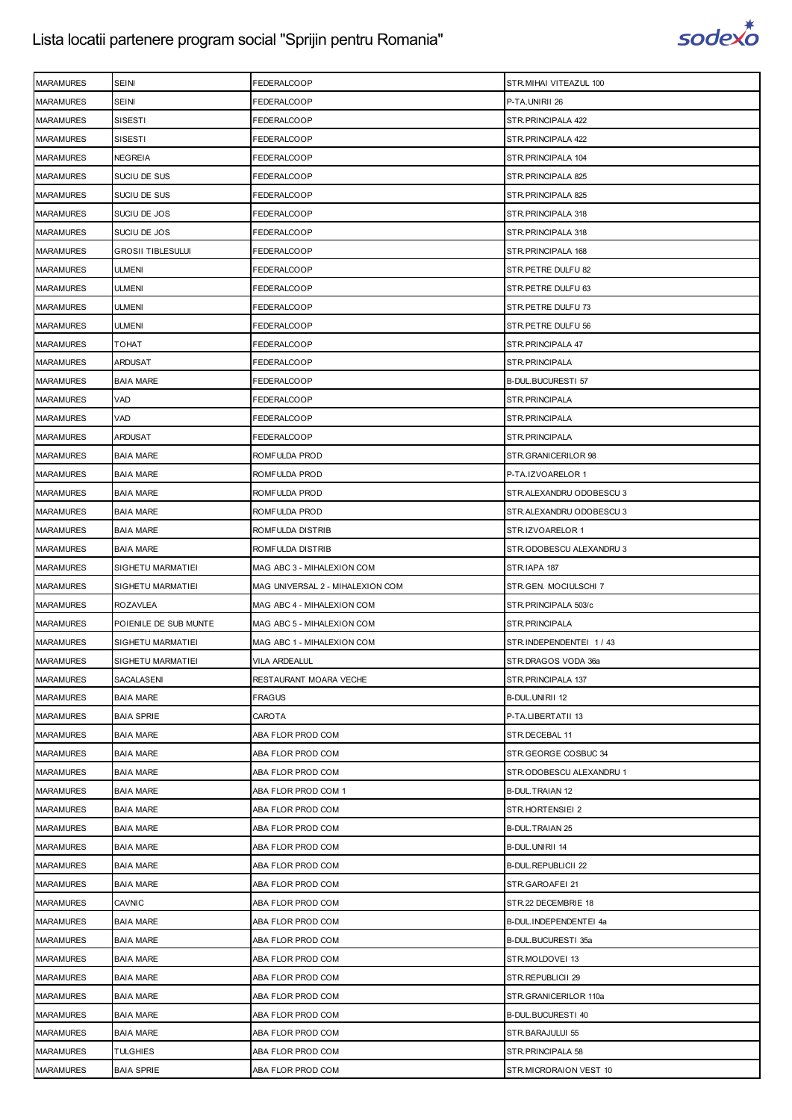

| <b>MARAMURES</b> | SEINI                    | FEDERALCOOP                      | STR. MIHAI VITEAZUL 100    |
|------------------|--------------------------|----------------------------------|----------------------------|
| <b>MARAMURES</b> | <b>SEINI</b>             | FEDERALCOOP                      | P-TA.UNIRII 26             |
| <b>MARAMURES</b> | <b>SISESTI</b>           | FEDERALCOOP                      | STR.PRINCIPALA 422         |
| <b>MARAMURES</b> | SISESTI                  | FEDERALCOOP                      | STR.PRINCIPALA 422         |
| <b>MARAMURES</b> | <b>NEGREIA</b>           | FEDERALCOOP                      | STR. PRINCIPALA 104        |
| <b>MARAMURES</b> | SUCIU DE SUS             | FEDERALCOOP                      | STR.PRINCIPALA 825         |
| <b>MARAMURES</b> | SUCIU DE SUS             | FEDERALCOOP                      | STR.PRINCIPALA 825         |
| <b>MARAMURES</b> | SUCIU DE JOS             | FEDERALCOOP                      | STR. PRINCIPALA 318        |
| <b>MARAMURES</b> | SUCIU DE JOS             | FEDERALCOOP                      | STR. PRINCIPALA 318        |
| <b>MARAMURES</b> | <b>GROSII TIBLESULUI</b> | FEDERALCOOP                      | STR.PRINCIPALA 168         |
| <b>MARAMURES</b> | <b>ULMENI</b>            | FEDERALCOOP                      | STR.PETRE DULFU 82         |
| <b>MARAMURES</b> | ULMENI                   | FEDERALCOOP                      | STR.PETRE DULFU 63         |
| <b>MARAMURES</b> | ULMENI                   | FEDERALCOOP                      | STR.PETRE DULFU 73         |
| <b>MARAMURES</b> | <b>ULMENI</b>            | FEDERALCOOP                      | STR.PETRE DULFU 56         |
| <b>MARAMURES</b> | ТОНАТ                    | FEDERALCOOP                      | STR.PRINCIPALA 47          |
| <b>MARAMURES</b> | <b>ARDUSAT</b>           | FEDERALCOOP                      | STR.PRINCIPALA             |
| <b>MARAMURES</b> | <b>BAIA MARE</b>         | FEDERALCOOP                      | B-DUL.BUCURESTI 57         |
| <b>MARAMURES</b> | VAD                      | FEDERALCOOP                      | STR. PRINCIPALA            |
| <b>MARAMURES</b> | VAD                      | FEDERALCOOP                      | STR.PRINCIPALA             |
| <b>MARAMURES</b> | <b>ARDUSAT</b>           | FEDERALCOOP                      | STR.PRINCIPALA             |
| <b>MARAMURES</b> | <b>BAIA MARE</b>         | ROMFULDA PROD                    | STR.GRANICERILOR 98        |
| <b>MARAMURES</b> | <b>BAIA MARE</b>         | ROMFULDA PROD                    | P-TA.IZVOARELOR 1          |
| <b>MARAMURES</b> | <b>BAIA MARE</b>         | ROMFULDA PROD                    | STR.ALEXANDRU ODOBESCU 3   |
| <b>MARAMURES</b> | <b>BAIA MARE</b>         | ROMFULDA PROD                    | STR.ALEXANDRU ODOBESCU 3   |
| <b>MARAMURES</b> | <b>BAIA MARE</b>         | ROMFULDA DISTRIB                 | STR.IZVOARELOR 1           |
| <b>MARAMURES</b> | <b>BAIA MARE</b>         | ROMFULDA DISTRIB                 | STR.ODOBESCU ALEXANDRU 3   |
| <b>MARAMURES</b> | SIGHETU MARMATIEI        | MAG ABC 3 - MIHALEXION COM       | STR.IAPA 187               |
| <b>MARAMURES</b> | SIGHETU MARMATIEI        | MAG UNIVERSAL 2 - MIHALEXION COM | STR.GEN. MOCIULSCHI 7      |
| <b>MARAMURES</b> | <b>ROZAVLEA</b>          | MAG ABC 4 - MIHALEXION COM       | STR.PRINCIPALA 503/c       |
| <b>MARAMURES</b> | POIENILE DE SUB MUNTE    | MAG ABC 5 - MIHALEXION COM       | STR. PRINCIPALA            |
| <b>MARAMURES</b> | SIGHETU MARMATIEI        | MAG ABC 1 - MIHALEXION COM       | STR.INDEPENDENTEI 1/43     |
| <b>MARAMURES</b> | SIGHETU MARMATIEI        | <b>VILA ARDEALUL</b>             | STR.DRAGOS VODA 36a        |
| <b>MARAMURES</b> | SACALASENI               | RESTAURANT MOARA VECHE           | STR. PRINCIPALA 137        |
| <b>MARAMURES</b> | <b>BAIA MARE</b>         | <b>FRAGUS</b>                    | B-DUL.UNIRII 12            |
| <b>MARAMURES</b> | <b>BAIA SPRIE</b>        | CAROTA                           | P-TA.LIBERTATII 13         |
| <b>MARAMURES</b> | <b>BAIA MARE</b>         | ABA FLOR PROD COM                | STR.DECEBAL 11             |
| <b>MARAMURES</b> | <b>BAIA MARE</b>         | ABA FLOR PROD COM                | STR.GEORGE COSBUC 34       |
| <b>MARAMURES</b> | <b>BAIA MARE</b>         | ABA FLOR PROD COM                | STR.ODOBESCU ALEXANDRU 1   |
| <b>MARAMURES</b> | <b>BAIA MARE</b>         | ABA FLOR PROD COM 1              | <b>B-DUL.TRAIAN 12</b>     |
| <b>MARAMURES</b> | <b>BAIA MARE</b>         | ABA FLOR PROD COM                | STR.HORTENSIEI 2           |
| <b>MARAMURES</b> | <b>BAIA MARE</b>         | ABA FLOR PROD COM                | <b>B-DUL.TRAIAN 25</b>     |
| <b>MARAMURES</b> | <b>BAIA MARE</b>         | ABA FLOR PROD COM                | B-DUL.UNIRII 14            |
| <b>MARAMURES</b> | <b>BAIA MARE</b>         | ABA FLOR PROD COM                | <b>B-DUL.REPUBLICII 22</b> |
| <b>MARAMURES</b> | <b>BAIA MARE</b>         | ABA FLOR PROD COM                | STR.GAROAFEI 21            |
| <b>MARAMURES</b> | CAVNIC                   | ABA FLOR PROD COM                | STR.22 DECEMBRIE 18        |
| <b>MARAMURES</b> | <b>BAIA MARE</b>         | ABA FLOR PROD COM                | B-DUL.INDEPENDENTEI 4a     |
| <b>MARAMURES</b> | <b>BAIA MARE</b>         | ABA FLOR PROD COM                | B-DUL.BUCURESTI 35a        |
| <b>MARAMURES</b> | <b>BAIA MARE</b>         | ABA FLOR PROD COM                | STR.MOLDOVEI 13            |
| <b>MARAMURES</b> | <b>BAIA MARE</b>         | ABA FLOR PROD COM                | STR. REPUBLICII 29         |
| <b>MARAMURES</b> | <b>BAIA MARE</b>         | ABA FLOR PROD COM                | STR.GRANICERILOR 110a      |
| <b>MARAMURES</b> | <b>BAIA MARE</b>         | ABA FLOR PROD COM                | B-DUL.BUCURESTI 40         |
| <b>MARAMURES</b> | <b>BAIA MARE</b>         | ABA FLOR PROD COM                | STR.BARAJULUI 55           |
| <b>MARAMURES</b> | <b>TULGHIES</b>          | ABA FLOR PROD COM                | STR. PRINCIPALA 58         |
| <b>MARAMURES</b> | <b>BAIA SPRIE</b>        | ABA FLOR PROD COM                | STR.MICRORAION VEST 10     |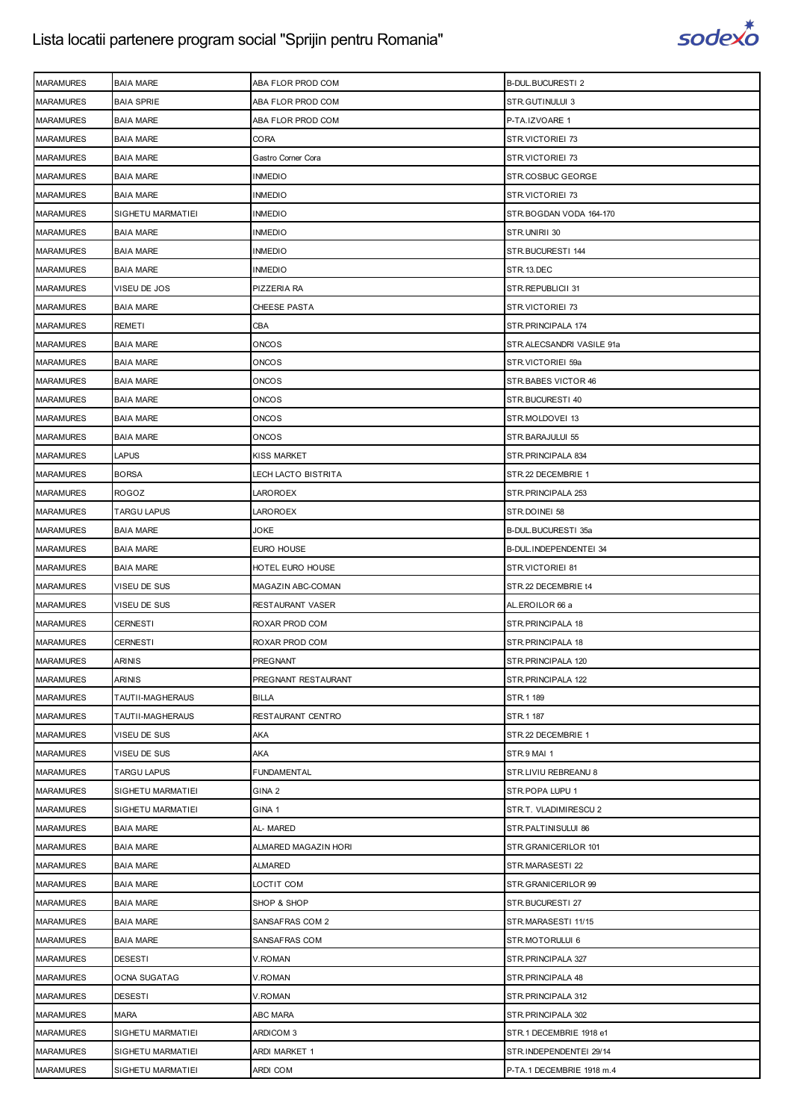

| <b>MARAMURES</b> | <b>BAIA MARE</b>        | ABA FLOR PROD COM    | <b>B-DUL.BUCURESTI 2</b>  |
|------------------|-------------------------|----------------------|---------------------------|
| <b>MARAMURES</b> | <b>BAIA SPRIE</b>       | ABA FLOR PROD COM    | STR.GUTINULUI 3           |
| <b>MARAMURES</b> | <b>BAIA MARE</b>        | ABA FLOR PROD COM    | P-TA.IZVOARE 1            |
| <b>MARAMURES</b> | <b>BAIA MARE</b>        | CORA                 | STR.VICTORIEI 73          |
| <b>MARAMURES</b> | <b>BAIA MARE</b>        | Gastro Corner Cora   | STR.VICTORIEI 73          |
| <b>MARAMURES</b> | <b>BAIA MARE</b>        | <b>INMEDIO</b>       | STR.COSBUC GEORGE         |
| <b>MARAMURES</b> | <b>BAIA MARE</b>        | <b>INMEDIO</b>       | STR.VICTORIEI 73          |
| <b>MARAMURES</b> | SIGHETU MARMATIEI       | <b>INMEDIO</b>       | STR.BOGDAN VODA 164-170   |
| <b>MARAMURES</b> | <b>BAIA MARE</b>        | INMEDIO              | STR.UNIRII 30             |
| <b>MARAMURES</b> | <b>BAIA MARE</b>        | INMEDIO              | STR.BUCURESTI 144         |
| <b>MARAMURES</b> | <b>BAIA MARE</b>        | <b>INMEDIO</b>       | STR.13.DEC                |
| <b>MARAMURES</b> | VISEU DE JOS            | PIZZERIA RA          | STR.REPUBLICII 31         |
| <b>MARAMURES</b> | <b>BAIA MARE</b>        | CHEESE PASTA         | STR.VICTORIEI 73          |
| <b>MARAMURES</b> | <b>REMETI</b>           | CBA                  | STR. PRINCIPALA 174       |
| <b>MARAMURES</b> | <b>BAIA MARE</b>        | ONCOS                | STR.ALECSANDRI VASILE 91a |
| <b>MARAMURES</b> | <b>BAIA MARE</b>        | ONCOS                | STR.VICTORIEI 59a         |
| <b>MARAMURES</b> | <b>BAIA MARE</b>        | ONCOS                | STR.BABES VICTOR 46       |
| <b>MARAMURES</b> | <b>BAIA MARE</b>        | ONCOS                | STR.BUCURESTI 40          |
| <b>MARAMURES</b> | <b>BAIA MARE</b>        | ONCOS                | STR.MOLDOVEI 13           |
| <b>MARAMURES</b> | <b>BAIA MARE</b>        | ONCOS                | STR.BARAJULUI 55          |
| <b>MARAMURES</b> | <b>LAPUS</b>            | KISS MARKET          | STR.PRINCIPALA 834        |
| <b>MARAMURES</b> | <b>BORSA</b>            | LECH LACTO BISTRITA  | STR.22 DECEMBRIE 1        |
| <b>MARAMURES</b> | <b>ROGOZ</b>            | LAROROEX             | STR.PRINCIPALA 253        |
| <b>MARAMURES</b> | <b>TARGU LAPUS</b>      | LAROROEX             | STR.DOINEI 58             |
| <b>MARAMURES</b> | <b>BAIA MARE</b>        | JOKE                 | B-DUL.BUCURESTI 35a       |
| <b>MARAMURES</b> | <b>BAIA MARE</b>        | EURO HOUSE           | B-DUL.INDEPENDENTEI 34    |
| <b>MARAMURES</b> | <b>BAIA MARE</b>        | HOTEL EURO HOUSE     | STR.VICTORIEI 81          |
| <b>MARAMURES</b> | VISEU DE SUS            | MAGAZIN ABC-COMAN    | STR.22 DECEMBRIE t4       |
| <b>MARAMURES</b> | VISEU DE SUS            | RESTAURANT VASER     | AL.EROILOR 66 a           |
| <b>MARAMURES</b> | <b>CERNESTI</b>         | ROXAR PROD COM       | STR.PRINCIPALA 18         |
| <b>MARAMURES</b> | <b>CERNESTI</b>         | ROXAR PROD COM       | STR. PRINCIPALA 18        |
| <b>MARAMURES</b> | <b>ARINIS</b>           | PREGNANT             | STR. PRINCIPALA 120       |
| <b>MARAMURES</b> | ARINIS                  | PREGNANT RESTAURANT  | STR.PRINCIPALA 122        |
| <b>MARAMURES</b> | <b>TAUTII-MAGHERAUS</b> | <b>BILLA</b>         | STR.1 189                 |
| <b>MARAMURES</b> | <b>TAUTII-MAGHERAUS</b> | RESTAURANT CENTRO    | STR.1 187                 |
| <b>MARAMURES</b> | VISEU DE SUS            | AKA                  | STR.22 DECEMBRIE 1        |
| <b>MARAMURES</b> | VISEU DE SUS            | AKA                  | STR.9 MAI 1               |
| <b>MARAMURES</b> | <b>TARGU LAPUS</b>      | <b>FUNDAMENTAL</b>   | STR.LIVIU REBREANU 8      |
| <b>MARAMURES</b> | SIGHETU MARMATIEI       | GINA <sub>2</sub>    | STR.POPA LUPU 1           |
| <b>MARAMURES</b> | SIGHETU MARMATIEI       | GINA <sub>1</sub>    | STR.T. VLADIMIRESCU 2     |
| <b>MARAMURES</b> | <b>BAIA MARE</b>        | AL- MARED            | STR.PALTINISULUI 86       |
| <b>MARAMURES</b> | <b>BAIA MARE</b>        | ALMARED MAGAZIN HORI | STR.GRANICERILOR 101      |
| <b>MARAMURES</b> | <b>BAIA MARE</b>        | ALMARED              | STR.MARASESTI 22          |
| <b>MARAMURES</b> | <b>BAIA MARE</b>        | LOCTIT COM           | STR.GRANICERILOR 99       |
| <b>MARAMURES</b> | <b>BAIA MARE</b>        | SHOP & SHOP          | STR.BUCURESTI 27          |
| <b>MARAMURES</b> | <b>BAIA MARE</b>        | SANSAFRAS COM 2      | STR.MARASESTI 11/15       |
| <b>MARAMURES</b> | <b>BAIA MARE</b>        | SANSAFRAS COM        | STR.MOTORULUI 6           |
| <b>MARAMURES</b> | <b>DESESTI</b>          | V.ROMAN              | STR. PRINCIPALA 327       |
| <b>MARAMURES</b> | <b>OCNA SUGATAG</b>     | V.ROMAN              | STR. PRINCIPALA 48        |
| <b>MARAMURES</b> | <b>DESESTI</b>          | V.ROMAN              | STR.PRINCIPALA 312        |
| <b>MARAMURES</b> | <b>MARA</b>             | ABC MARA             | STR. PRINCIPALA 302       |
| <b>MARAMURES</b> | SIGHETU MARMATIEI       | ARDICOM 3            | STR.1 DECEMBRIE 1918 e1   |
| <b>MARAMURES</b> | SIGHETU MARMATIEI       | ARDI MARKET 1        | STR.INDEPENDENTEI 29/14   |
| <b>MARAMURES</b> | SIGHETU MARMATIEI       | ARDI COM             | P-TA.1 DECEMBRIE 1918 m.4 |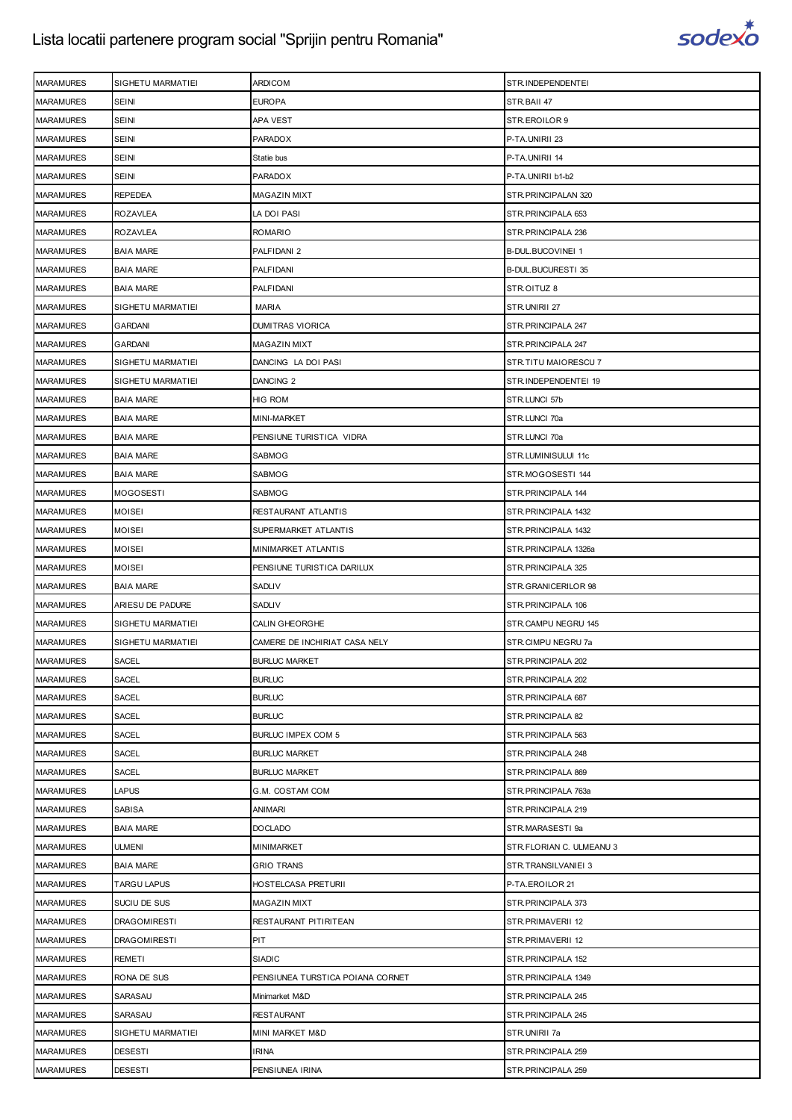

| <b>MARAMURES</b> | SIGHETU MARMATIEI   | <b>ARDICOM</b>                   | STR.INDEPENDENTEI        |
|------------------|---------------------|----------------------------------|--------------------------|
| <b>MARAMURES</b> | <b>SEINI</b>        | <b>EUROPA</b>                    | STR.BAII 47              |
| <b>MARAMURES</b> | SEINI               | APA VEST                         | STR.EROILOR 9            |
| <b>MARAMURES</b> | SEINI               | PARADOX                          | P-TA.UNIRII 23           |
| <b>MARAMURES</b> | <b>SEINI</b>        | Statie bus                       | P-TA.UNIRII 14           |
| <b>MARAMURES</b> | SEINI               | <b>PARADOX</b>                   | P-TA.UNIRII b1-b2        |
| <b>MARAMURES</b> | <b>REPEDEA</b>      | <b>MAGAZIN MIXT</b>              | STR.PRINCIPALAN 320      |
| <b>MARAMURES</b> | <b>ROZAVLEA</b>     | LA DOI PASI                      | STR. PRINCIPALA 653      |
| <b>MARAMURES</b> | <b>ROZAVLEA</b>     | <b>ROMARIO</b>                   | STR. PRINCIPALA 236      |
| <b>MARAMURES</b> | <b>BAIA MARE</b>    | PALFIDANI 2                      | B-DUL.BUCOVINEI 1        |
| <b>MARAMURES</b> | <b>BAIA MARE</b>    | <b>PALFIDANI</b>                 | B-DUL.BUCURESTI 35       |
| <b>MARAMURES</b> | <b>BAIA MARE</b>    | <b>PALFIDANI</b>                 | STR.OITUZ 8              |
| <b>MARAMURES</b> | SIGHETU MARMATIEI   | MARIA                            | STR.UNIRII 27            |
| <b>MARAMURES</b> | GARDANI             | <b>DUMITRAS VIORICA</b>          | STR. PRINCIPALA 247      |
| <b>MARAMURES</b> | GARDANI             | <b>MAGAZIN MIXT</b>              | STR.PRINCIPALA 247       |
| <b>MARAMURES</b> | SIGHETU MARMATIEI   | DANCING LA DOI PASI              | STR.TITU MAIORESCU 7     |
| <b>MARAMURES</b> | SIGHETU MARMATIEI   | DANCING <sub>2</sub>             | STR.INDEPENDENTEI 19     |
| <b>MARAMURES</b> | <b>BAIA MARE</b>    | HIG ROM                          | STR.LUNCI 57b            |
| <b>MARAMURES</b> | <b>BAIA MARE</b>    | MINI-MARKET                      | STR.LUNCI 70a            |
| <b>MARAMURES</b> | <b>BAIA MARE</b>    | PENSIUNE TURISTICA VIDRA         | STR.LUNCI 70a            |
| <b>MARAMURES</b> | <b>BAIA MARE</b>    | SABMOG                           | STR.LUMINISULUI 11c      |
| <b>MARAMURES</b> | <b>BAIA MARE</b>    | SABMOG                           | STR.MOGOSESTI 144        |
| <b>MARAMURES</b> | <b>MOGOSESTI</b>    | SABMOG                           | STR.PRINCIPALA 144       |
| <b>MARAMURES</b> | <b>MOISEI</b>       | RESTAURANT ATLANTIS              | STR.PRINCIPALA 1432      |
| <b>MARAMURES</b> | MOISEI              | SUPERMARKET ATLANTIS             | STR. PRINCIPALA 1432     |
| <b>MARAMURES</b> | <b>MOISEI</b>       | MINIMARKET ATLANTIS              | STR.PRINCIPALA 1326a     |
| <b>MARAMURES</b> | <b>MOISEI</b>       | PENSIUNE TURISTICA DARILUX       | STR.PRINCIPALA 325       |
| <b>MARAMURES</b> | <b>BAIA MARE</b>    | SADLIV                           | STR.GRANICERILOR 98      |
| <b>MARAMURES</b> | ARIESU DE PADURE    | SADLIV                           | STR.PRINCIPALA 106       |
| <b>MARAMURES</b> | SIGHETU MARMATIEI   | <b>CALIN GHEORGHE</b>            | STR.CAMPU NEGRU 145      |
| <b>MARAMURES</b> | SIGHETU MARMATIEI   | CAMERE DE INCHIRIAT CASA NELY    | STR.CIMPU NEGRU 7a       |
| <b>MARAMURES</b> | <b>SACEL</b>        | <b>BURLUC MARKET</b>             | STR. PRINCIPALA 202      |
| <b>MARAMURES</b> | SACEL               | <b>BURLUC</b>                    | STR. PRINCIPALA 202      |
| <b>MARAMURES</b> | SACEL               | <b>BURLUC</b>                    | STR. PRINCIPALA 687      |
| <b>MARAMURES</b> | <b>SACEL</b>        | <b>BURLUC</b>                    | STR. PRINCIPALA 82       |
| <b>MARAMURES</b> | SACEL               | BURLUC IMPEX COM 5               | STR. PRINCIPALA 563      |
| <b>MARAMURES</b> | <b>SACEL</b>        | <b>BURLUC MARKET</b>             | STR. PRINCIPALA 248      |
| <b>MARAMURES</b> | <b>SACEL</b>        | <b>BURLUC MARKET</b>             | STR. PRINCIPALA 869      |
| <b>MARAMURES</b> | LAPUS               | G.M. COSTAM COM                  | STR.PRINCIPALA 763a      |
| <b>MARAMURES</b> | SABISA              | ANIMARI                          | STR.PRINCIPALA 219       |
| <b>MARAMURES</b> | <b>BAIA MARE</b>    | <b>DOCLADO</b>                   | STR.MARASESTI 9a         |
| <b>MARAMURES</b> | ULMENI              | <b>MINIMARKET</b>                | STR.FLORIAN C. ULMEANU 3 |
| <b>MARAMURES</b> | <b>BAIA MARE</b>    | <b>GRIO TRANS</b>                | STR.TRANSILVANIEI 3      |
| <b>MARAMURES</b> | <b>TARGU LAPUS</b>  | HOSTELCASA PRETURII              | P-TA.EROILOR 21          |
| <b>MARAMURES</b> | SUCIU DE SUS        | <b>MAGAZIN MIXT</b>              | STR. PRINCIPALA 373      |
| <b>MARAMURES</b> | DRAGOMIRESTI        | RESTAURANT PITIRITEAN            | STR.PRIMAVERII 12        |
| <b>MARAMURES</b> | <b>DRAGOMIRESTI</b> | PIT                              | STR.PRIMAVERII 12        |
| <b>MARAMURES</b> | REMETI              | SIADIC                           | STR. PRINCIPALA 152      |
| <b>MARAMURES</b> | RONA DE SUS         | PENSIUNEA TURSTICA POIANA CORNET | STR. PRINCIPALA 1349     |
| <b>MARAMURES</b> | SARASAU             | Minimarket M&D                   | STR. PRINCIPALA 245      |
| <b>MARAMURES</b> | SARASAU             | <b>RESTAURANT</b>                | STR. PRINCIPALA 245      |
| <b>MARAMURES</b> | SIGHETU MARMATIEI   | MINI MARKET M&D                  | STR.UNIRII 7a            |
| <b>MARAMURES</b> | <b>DESESTI</b>      | <b>IRINA</b>                     | STR. PRINCIPALA 259      |
| <b>MARAMURES</b> | DESESTI             | PENSIUNEA IRINA                  | STR. PRINCIPALA 259      |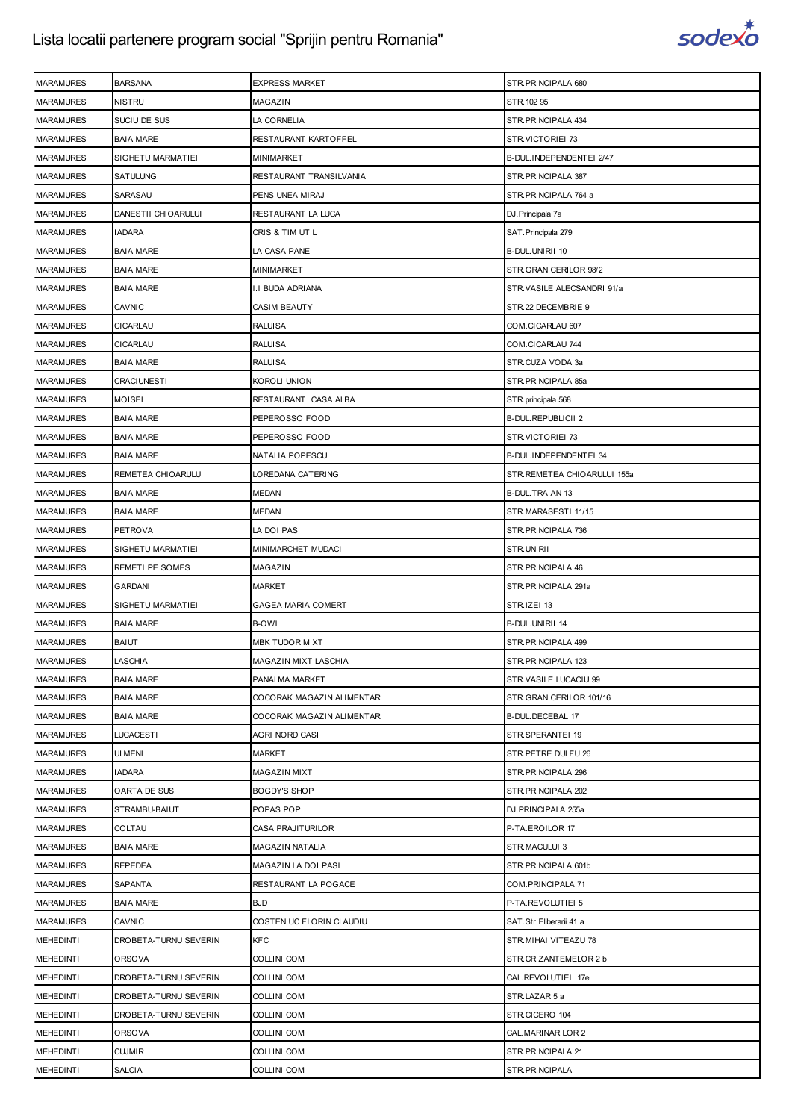

| <b>MARAMURES</b> | <b>BARSANA</b>        | EXPRESS MARKET            | STR.PRINCIPALA 680          |
|------------------|-----------------------|---------------------------|-----------------------------|
| <b>MARAMURES</b> | <b>NISTRU</b>         | MAGAZIN                   | STR. 102 95                 |
| <b>MARAMURES</b> | SUCIU DE SUS          | LA CORNELIA               | STR.PRINCIPALA 434          |
| <b>MARAMURES</b> | <b>BAIA MARE</b>      | RESTAURANT KARTOFFEL      | STR.VICTORIEI 73            |
| <b>MARAMURES</b> | SIGHETU MARMATIEI     | MINIMARKET                | B-DUL.INDEPENDENTEI 2/47    |
| <b>MARAMURES</b> | SATULUNG              | RESTAURANT TRANSILVANIA   | STR.PRINCIPALA 387          |
| <b>MARAMURES</b> | SARASAU               | PENSIUNEA MIRAJ           | STR.PRINCIPALA 764 a        |
| <b>MARAMURES</b> | DANESTII CHIOARULUI   | RESTAURANT LA LUCA        | DJ.Principala 7a            |
| <b>MARAMURES</b> | <b>IADARA</b>         | CRIS & TIM UTIL           | SAT. Principala 279         |
| <b>MARAMURES</b> | <b>BAIA MARE</b>      | LA CASA PANE              | B-DUL.UNIRII 10             |
| <b>MARAMURES</b> | <b>BAIA MARE</b>      | MINIMARKET                | STR.GRANICERILOR 98/2       |
| <b>MARAMURES</b> | <b>BAIA MARE</b>      | I.I BUDA ADRIANA          | STR.VASILE ALECSANDRI 91/a  |
| <b>MARAMURES</b> | CAVNIC                | CASIM BEAUTY              | STR.22 DECEMBRIE 9          |
| <b>MARAMURES</b> | CICARLAU              | <b>RALUISA</b>            | COM.CICARLAU 607            |
| <b>MARAMURES</b> | CICARLAU              | <b>RALUISA</b>            | COM.CICARLAU 744            |
| <b>MARAMURES</b> | <b>BAIA MARE</b>      | RALUISA                   | STR.CUZA VODA 3a            |
| <b>MARAMURES</b> | <b>CRACIUNESTI</b>    | KOROLI UNION              | STR.PRINCIPALA 85a          |
| <b>MARAMURES</b> | <b>MOISEI</b>         | RESTAURANT CASA ALBA      | STR.principala 568          |
| <b>MARAMURES</b> | <b>BAIA MARE</b>      | PEPEROSSO FOOD            | <b>B-DUL.REPUBLICII 2</b>   |
| <b>MARAMURES</b> | <b>BAIA MARE</b>      | PEPEROSSO FOOD            | STR.VICTORIEI 73            |
| <b>MARAMURES</b> | <b>BAIA MARE</b>      | NATALIA POPESCU           | B-DUL.INDEPENDENTEI 34      |
| <b>MARAMURES</b> | REMETEA CHIOARULUI    | LOREDANA CATERING         | STR.REMETEA CHIOARULUI 155a |
| <b>MARAMURES</b> | <b>BAIA MARE</b>      | MEDAN                     | <b>B-DUL.TRAIAN 13</b>      |
| <b>MARAMURES</b> | <b>BAIA MARE</b>      | MEDAN                     | STR.MARASESTI 11/15         |
| <b>MARAMURES</b> | <b>PETROVA</b>        | LA DOI PASI               | STR.PRINCIPALA 736          |
| <b>MARAMURES</b> | SIGHETU MARMATIEI     | MINIMARCHET MUDACI        | STR.UNIRII                  |
| <b>MARAMURES</b> | REMETI PE SOMES       | MAGAZIN                   | STR.PRINCIPALA 46           |
| <b>MARAMURES</b> | <b>GARDANI</b>        | <b>MARKET</b>             | STR.PRINCIPALA 291a         |
| <b>MARAMURES</b> | SIGHETU MARMATIEI     | GAGEA MARIA COMERT        | STR.IZEI 13                 |
|                  |                       |                           |                             |
| <b>MARAMURES</b> | <b>BAIA MARE</b>      | <b>B-OWL</b>              | <b>B-DUL.UNIRII 14</b>      |
| <b>MARAMURES</b> | BAIUT                 | MBK TUDOR MIXT            | STR.PRINCIPALA 499          |
| <b>MARAMURES</b> | <b>LASCHIA</b>        | MAGAZIN MIXT LASCHIA      | STR.PRINCIPALA 123          |
| <b>MARAMURES</b> | <b>BAIA MARE</b>      | PANALMA MARKET            | STR.VASILE LUCACIU 99       |
| <b>MARAMURES</b> | <b>BAIA MARE</b>      | COCORAK MAGAZIN ALIMENTAR | STR.GRANICERILOR 101/16     |
| <b>MARAMURES</b> | <b>BAIA MARE</b>      | COCORAK MAGAZIN ALIMENTAR | B-DUL.DECEBAL 17            |
| <b>MARAMURES</b> | <b>LUCACESTI</b>      | AGRI NORD CASI            | STR.SPERANTEI 19            |
| <b>MARAMURES</b> | <b>ULMENI</b>         | MARKET                    | STR.PETRE DULFU 26          |
| <b>MARAMURES</b> | <b>IADARA</b>         | MAGAZIN MIXT              | STR.PRINCIPALA 296          |
| <b>MARAMURES</b> | OARTA DE SUS          | <b>BOGDY'S SHOP</b>       | STR.PRINCIPALA 202          |
| <b>MARAMURES</b> | STRAMBU-BAIUT         | POPAS POP                 | DJ.PRINCIPALA 255a          |
| <b>MARAMURES</b> | COLTAU                | <b>CASA PRAJITURILOR</b>  | P-TA.EROILOR 17             |
| <b>MARAMURES</b> | <b>BAIA MARE</b>      | MAGAZIN NATALIA           | STR.MACULUI 3               |
| <b>MARAMURES</b> | REPEDEA               | MAGAZIN LA DOI PASI       | STR.PRINCIPALA 601b         |
| <b>MARAMURES</b> | SAPANTA               | RESTAURANT LA POGACE      | COM.PRINCIPALA 71           |
| <b>MARAMURES</b> | <b>BAIA MARE</b>      | <b>BJD</b>                | P-TA.REVOLUTIEI 5           |
| <b>MARAMURES</b> | <b>CAVNIC</b>         | COSTENIUC FLORIN CLAUDIU  | SAT.Str Eliberarii 41 a     |
| <b>MEHEDINTI</b> | DROBETA-TURNU SEVERIN | <b>KFC</b>                | STR.MIHAI VITEAZU 78        |
| <b>MEHEDINTI</b> | <b>ORSOVA</b>         | COLLINI COM               | STR.CRIZANTEMELOR 2 b       |
| <b>MEHEDINTI</b> | DROBETA-TURNU SEVERIN | COLLINI COM               | CAL.REVOLUTIEI 17e          |
| <b>MEHEDINTI</b> | DROBETA-TURNU SEVERIN | COLLINI COM               | STR.LAZAR 5 a               |
| <b>MEHEDINTI</b> | DROBETA-TURNU SEVERIN | COLLINI COM               | STR.CICERO 104              |
| <b>MEHEDINTI</b> | ORSOVA                | COLLINI COM               | CAL.MARINARILOR 2           |
| <b>MEHEDINTI</b> | <b>CUJMIR</b>         | COLLINI COM               | STR. PRINCIPALA 21          |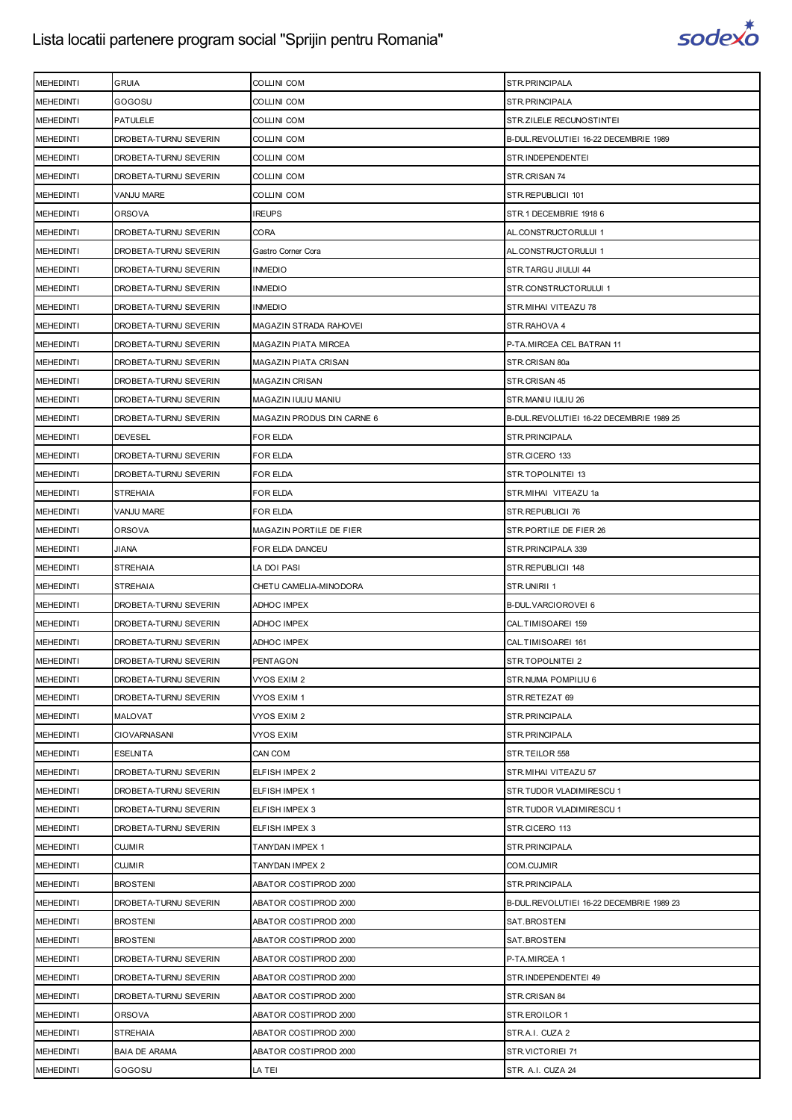

| <b>MEHEDINTI</b> | <b>GRUIA</b>          | <b>COLLINI COM</b>          | STR.PRINCIPALA                           |
|------------------|-----------------------|-----------------------------|------------------------------------------|
| <b>MEHEDINTI</b> | GOGOSU                | <b>COLLINI COM</b>          | STR.PRINCIPALA                           |
| <b>MEHEDINTI</b> | <b>PATULELE</b>       | <b>COLLINI COM</b>          | STR.ZILELE RECUNOSTINTEI                 |
| <b>MEHEDINTI</b> | DROBETA-TURNU SEVERIN | <b>COLLINI COM</b>          | B-DUL.REVOLUTIEI 16-22 DECEMBRIE 1989    |
| <b>MEHEDINTI</b> | DROBETA-TURNU SEVERIN | <b>COLLINI COM</b>          | STR.INDEPENDENTEI                        |
| <b>MEHEDINTI</b> | DROBETA-TURNU SEVERIN | <b>COLLINI COM</b>          | STR.CRISAN 74                            |
| <b>MEHEDINTI</b> | VANJU MARE            | <b>COLLINI COM</b>          | STR.REPUBLICII 101                       |
| <b>MEHEDINTI</b> | ORSOVA                | <b>IREUPS</b>               | STR.1 DECEMBRIE 1918 6                   |
| <b>MEHEDINTI</b> | DROBETA-TURNU SEVERIN | <b>CORA</b>                 | AL.CONSTRUCTORULUI 1                     |
| <b>MEHEDINTI</b> | DROBETA-TURNU SEVERIN | Gastro Corner Cora          | AL.CONSTRUCTORULUI 1                     |
| <b>MEHEDINTI</b> | DROBETA-TURNU SEVERIN | <b>INMEDIO</b>              | STR.TARGU JIULUI 44                      |
| <b>MEHEDINTI</b> | DROBETA-TURNU SEVERIN | <b>INMEDIO</b>              | STR.CONSTRUCTORULUI 1                    |
| <b>MEHEDINTI</b> | DROBETA-TURNU SEVERIN | <b>INMEDIO</b>              | STR.MIHAI VITEAZU 78                     |
| <b>MEHEDINTI</b> | DROBETA-TURNU SEVERIN | MAGAZIN STRADA RAHOVEI      | STR.RAHOVA 4                             |
| <b>MEHEDINTI</b> | DROBETA-TURNU SEVERIN | <b>MAGAZIN PIATA MIRCEA</b> | P-TA.MIRCEA CEL BATRAN 11                |
| <b>MEHEDINTI</b> | DROBETA-TURNU SEVERIN | <b>MAGAZIN PIATA CRISAN</b> | STR.CRISAN 80a                           |
| <b>MEHEDINTI</b> | DROBETA-TURNU SEVERIN | <b>MAGAZIN CRISAN</b>       | STR.CRISAN 45                            |
| <b>MEHEDINTI</b> | DROBETA-TURNU SEVERIN | MAGAZIN IULIU MANIU         | STR.MANIU IULIU 26                       |
| <b>MEHEDINTI</b> | DROBETA-TURNU SEVERIN | MAGAZIN PRODUS DIN CARNE 6  | B-DUL.REVOLUTIEI 16-22 DECEMBRIE 1989 25 |
| <b>MEHEDINTI</b> | <b>DEVESEL</b>        | <b>FOR ELDA</b>             | STR.PRINCIPALA                           |
| <b>MEHEDINTI</b> | DROBETA-TURNU SEVERIN | FOR ELDA                    | STR.CICERO 133                           |
| <b>MEHEDINTI</b> | DROBETA-TURNU SEVERIN | FOR ELDA                    | STR.TOPOLNITEI 13                        |
| <b>MEHEDINTI</b> | <b>STREHAIA</b>       | FOR ELDA                    | STR.MIHAI VITEAZU 1a                     |
| <b>MEHEDINTI</b> | VANJU MARE            | FOR ELDA                    | STR.REPUBLICII 76                        |
| <b>MEHEDINTI</b> | ORSOVA                | MAGAZIN PORTILE DE FIER     | STR.PORTILE DE FIER 26                   |
| <b>MEHEDINTI</b> | JIANA                 | FOR ELDA DANCEU             | STR. PRINCIPALA 339                      |
| <b>MEHEDINTI</b> | <b>STREHAIA</b>       | LA DOI PASI                 | STR.REPUBLICII 148                       |
| <b>MEHEDINTI</b> | <b>STREHAIA</b>       | CHETU CAMELIA-MINODORA      | STR.UNIRII 1                             |
| <b>MEHEDINTI</b> | DROBETA-TURNU SEVERIN | ADHOC IMPEX                 | B-DUL.VARCIOROVEI 6                      |
| <b>MEHEDINTI</b> | DROBETA-TURNU SEVERIN | ADHOC IMPEX                 | CAL.TIMISOAREI 159                       |
| <b>MEHEDINTI</b> | DROBETA-TURNU SEVERIN | ADHOC IMPEX                 | CAL.TIMISOAREI 161                       |
| <b>MEHEDINTI</b> | DROBETA-TURNU SEVERIN | <b>PENTAGON</b>             | STR.TOPOLNITEI 2                         |
| <b>MEHEDINTI</b> | DROBETA-TURNU SEVERIN | VYOS EXIM 2                 | STR.NUMA POMPILIU 6                      |
| <b>MEHEDINTI</b> | DROBETA-TURNU SEVERIN | VYOS EXIM 1                 | STR.RETEZAT 69                           |
| <b>MEHEDINTI</b> | MALOVAT               | VYOS EXIM 2                 | STR.PRINCIPALA                           |
| <b>MEHEDINTI</b> | CIOVARNASANI          | <b>VYOS EXIM</b>            | STR.PRINCIPALA                           |
| <b>MEHEDINTI</b> | <b>ESELNITA</b>       | CAN COM                     | STR.TEILOR 558                           |
| <b>MEHEDINTI</b> | DROBETA-TURNU SEVERIN | ELFISH IMPEX 2              | STR.MIHAI VITEAZU 57                     |
| <b>MEHEDINTI</b> | DROBETA-TURNU SEVERIN | ELFISH IMPEX 1              | STR.TUDOR VLADIMIRESCU 1                 |
| <b>MEHEDINTI</b> | DROBETA-TURNU SEVERIN | ELFISH IMPEX 3              | STR.TUDOR VLADIMIRESCU 1                 |
| <b>MEHEDINTI</b> | DROBETA-TURNU SEVERIN | ELFISH IMPEX 3              | STR.CICERO 113                           |
| <b>MEHEDINTI</b> | <b>CUJMIR</b>         | TANYDAN IMPEX 1             | STR.PRINCIPALA                           |
| <b>MEHEDINTI</b> | <b>CUJMIR</b>         | TANYDAN IMPEX 2             | COM.CUJMIR                               |
| <b>MEHEDINTI</b> | <b>BROSTENI</b>       | ABATOR COSTIPROD 2000       | STR. PRINCIPALA                          |
| <b>MEHEDINTI</b> | DROBETA-TURNU SEVERIN | ABATOR COSTIPROD 2000       | B-DUL.REVOLUTIEI 16-22 DECEMBRIE 1989 23 |
| <b>MEHEDINTI</b> | <b>BROSTENI</b>       | ABATOR COSTIPROD 2000       | SAT.BROSTENI                             |
| <b>MEHEDINTI</b> | <b>BROSTENI</b>       | ABATOR COSTIPROD 2000       | SAT.BROSTENI                             |
| <b>MEHEDINTI</b> | DROBETA-TURNU SEVERIN | ABATOR COSTIPROD 2000       | P-TA.MIRCEA 1                            |
| <b>MEHEDINTI</b> | DROBETA-TURNU SEVERIN | ABATOR COSTIPROD 2000       | STR.INDEPENDENTEI 49                     |
| <b>MEHEDINTI</b> | DROBETA-TURNU SEVERIN | ABATOR COSTIPROD 2000       | STR.CRISAN 84                            |
| <b>MEHEDINTI</b> | <b>ORSOVA</b>         | ABATOR COSTIPROD 2000       | STR.EROILOR 1                            |
| <b>MEHEDINTI</b> | <b>STREHAIA</b>       | ABATOR COSTIPROD 2000       | STR.A.I. CUZA 2                          |
| <b>MEHEDINTI</b> | <b>BAIA DE ARAMA</b>  | ABATOR COSTIPROD 2000       | STR.VICTORIEI 71                         |
| <b>MEHEDINTI</b> | GOGOSU                | LA TEI                      | STR. A.I. CUZA 24                        |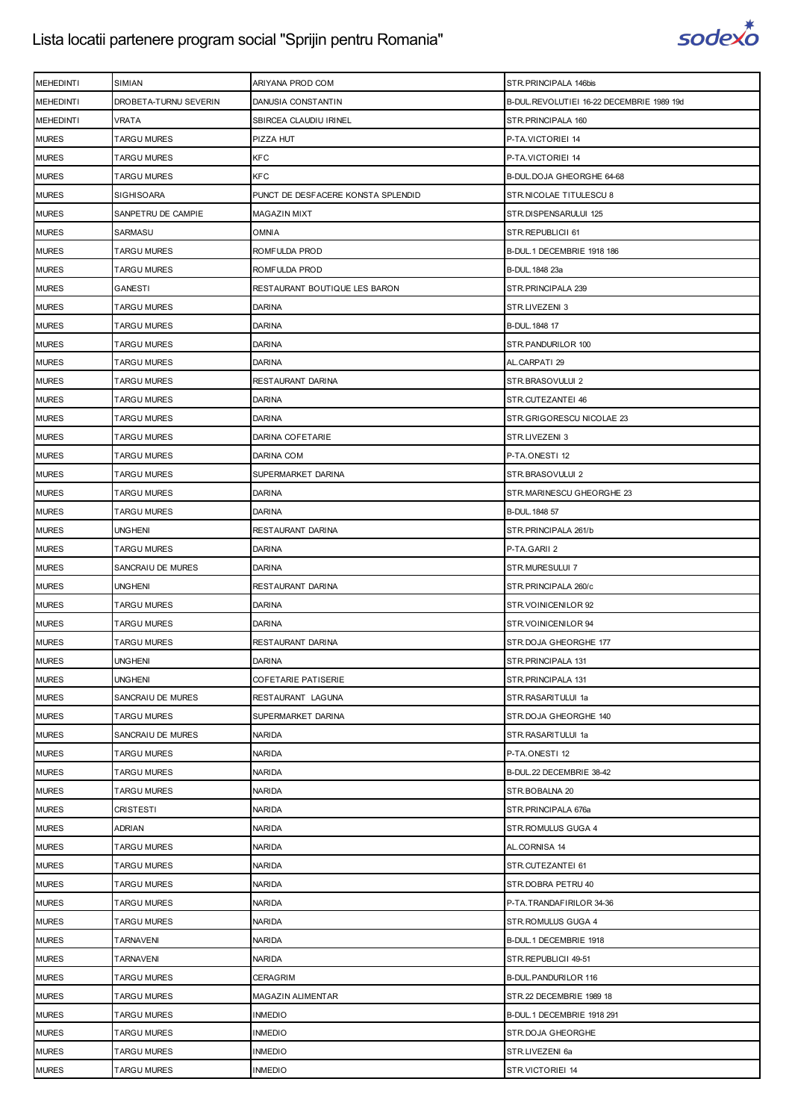

| <b>MEHEDINTI</b> | SIMIAN                | ARIYANA PROD COM                   | STR.PRINCIPALA 146bis                     |
|------------------|-----------------------|------------------------------------|-------------------------------------------|
| <b>MEHEDINTI</b> | DROBETA-TURNU SEVERIN | DANUSIA CONSTANTIN                 | B-DUL.REVOLUTIEI 16-22 DECEMBRIE 1989 19d |
| <b>MEHEDINTI</b> | <b>VRATA</b>          | SBIRCEA CLAUDIU IRINEL             | STR. PRINCIPALA 160                       |
| <b>MURES</b>     | <b>TARGU MURES</b>    | PIZZA HUT                          | P-TA.VICTORIEI 14                         |
| <b>MURES</b>     | <b>TARGU MURES</b>    | <b>KFC</b>                         | P-TA.VICTORIEI 14                         |
| <b>MURES</b>     | <b>TARGU MURES</b>    | <b>KFC</b>                         | B-DUL. DOJA GHEORGHE 64-68                |
| <b>MURES</b>     | SIGHISOARA            | PUNCT DE DESFACERE KONSTA SPLENDID | STR. NICOLAE TITULESCU 8                  |
| <b>MURES</b>     | SANPETRU DE CAMPIE    | <b>MAGAZIN MIXT</b>                | STR.DISPENSARULUI 125                     |
| <b>MURES</b>     | SARMASU               | <b>OMNIA</b>                       | STR.REPUBLICII 61                         |
| <b>MURES</b>     | <b>TARGU MURES</b>    | ROMFULDA PROD                      | B-DUL.1 DECEMBRIE 1918 186                |
| <b>MURES</b>     | <b>TARGU MURES</b>    | ROMFULDA PROD                      | B-DUL. 1848 23a                           |
| <b>MURES</b>     | GANESTI               | RESTAURANT BOUTIQUE LES BARON      | STR. PRINCIPALA 239                       |
| <b>MURES</b>     | TARGU MURES           | <b>DARINA</b>                      | STR.LIVEZENI 3                            |
| <b>MURES</b>     | <b>TARGU MURES</b>    | <b>DARINA</b>                      | B-DUL. 1848 17                            |
| <b>MURES</b>     | <b>TARGU MURES</b>    | <b>DARINA</b>                      | STR.PANDURILOR 100                        |
| <b>MURES</b>     | <b>TARGU MURES</b>    | <b>DARINA</b>                      | AL.CARPATI 29                             |
| <b>MURES</b>     | <b>TARGU MURES</b>    | RESTAURANT DARINA                  | STR.BRASOVULUI 2                          |
| <b>MURES</b>     | TARGU MURES           | <b>DARINA</b>                      | STR.CUTEZANTEI 46                         |
| <b>MURES</b>     | TARGU MURES           | <b>DARINA</b>                      | STR.GRIGORESCU NICOLAE 23                 |
| <b>MURES</b>     | <b>TARGU MURES</b>    | DARINA COFETARIE                   | STR.LIVEZENI 3                            |
| <b>MURES</b>     | TARGU MURES           | DARINA COM                         | P-TA.ONESTI 12                            |
| <b>MURES</b>     | <b>TARGU MURES</b>    | SUPERMARKET DARINA                 | STR.BRASOVULUI 2                          |
| <b>MURES</b>     | <b>TARGU MURES</b>    | <b>DARINA</b>                      | STR.MARINESCU GHEORGHE 23                 |
| <b>MURES</b>     | <b>TARGU MURES</b>    | <b>DARINA</b>                      | B-DUL. 1848 57                            |
| <b>MURES</b>     | UNGHENI               | RESTAURANT DARINA                  | STR.PRINCIPALA 261/b                      |
| <b>MURES</b>     | <b>TARGU MURES</b>    | <b>DARINA</b>                      | P-TA.GARII 2                              |
| <b>MURES</b>     | SANCRAIU DE MURES     | <b>DARINA</b>                      | STR.MURESULUI 7                           |
| <b>MURES</b>     | <b>UNGHENI</b>        | RESTAURANT DARINA                  | STR.PRINCIPALA 260/c                      |
| <b>MURES</b>     | <b>TARGU MURES</b>    | <b>DARINA</b>                      | STR. VOINICENILOR 92                      |
| <b>MURES</b>     | <b>TARGU MURES</b>    | <b>DARINA</b>                      | STR. VOINICENILOR 94                      |
| <b>MURES</b>     | TARGU MURES           | RESTAURANT DARINA                  | STR.DOJA GHEORGHE 177                     |
| <b>MURES</b>     | <b>UNGHENI</b>        | <b>DARINA</b>                      | STR.PRINCIPALA 131                        |
| <b>MURES</b>     | <b>UNGHENI</b>        | <b>COFETARIE PATISERIE</b>         | STR.PRINCIPALA 131                        |
| <b>MURES</b>     | SANCRAIU DE MURES     | RESTAURANT LAGUNA                  | STR.RASARITULUI 1a                        |
| <b>MURES</b>     | <b>TARGU MURES</b>    | SUPERMARKET DARINA                 | STR.DOJA GHEORGHE 140                     |
| <b>MURES</b>     | SANCRAIU DE MURES     | <b>NARIDA</b>                      | STR.RASARITULUI 1a                        |
| <b>MURES</b>     | <b>TARGU MURES</b>    | <b>NARIDA</b>                      | P-TA.ONESTI 12                            |
| <b>MURES</b>     | <b>TARGU MURES</b>    | <b>NARIDA</b>                      | B-DUL.22 DECEMBRIE 38-42                  |
| <b>MURES</b>     | <b>TARGU MURES</b>    | <b>NARIDA</b>                      | STR.BOBALNA 20                            |
| <b>MURES</b>     | CRISTESTI             | <b>NARIDA</b>                      | STR.PRINCIPALA 676a                       |
| <b>MURES</b>     | <b>ADRIAN</b>         | <b>NARIDA</b>                      | STR.ROMULUS GUGA 4                        |
| <b>MURES</b>     | <b>TARGU MURES</b>    | <b>NARIDA</b>                      | AL.CORNISA 14                             |
| <b>MURES</b>     | <b>TARGU MURES</b>    | <b>NARIDA</b>                      | STR.CUTEZANTEI 61                         |
| <b>MURES</b>     | <b>TARGU MURES</b>    | <b>NARIDA</b>                      | STR.DOBRA PETRU 40                        |
| <b>MURES</b>     | <b>TARGU MURES</b>    | <b>NARIDA</b>                      | P-TA.TRANDAFIRILOR 34-36                  |
| <b>MURES</b>     | TARGU MURES           | <b>NARIDA</b>                      | STR.ROMULUS GUGA 4                        |
| <b>MURES</b>     | <b>TARNAVENI</b>      | <b>NARIDA</b>                      | B-DUL.1 DECEMBRIE 1918                    |
| <b>MURES</b>     | <b>TARNAVENI</b>      | <b>NARIDA</b>                      | STR.REPUBLICII 49-51                      |
| <b>MURES</b>     | <b>TARGU MURES</b>    | <b>CERAGRIM</b>                    | B-DUL.PANDURILOR 116                      |
| <b>MURES</b>     | <b>TARGU MURES</b>    | <b>MAGAZIN ALIMENTAR</b>           | STR.22 DECEMBRIE 1989 18                  |
| <b>MURES</b>     | <b>TARGU MURES</b>    | <b>INMEDIO</b>                     | B-DUL. 1 DECEMBRIE 1918 291               |
| <b>MURES</b>     | <b>TARGU MURES</b>    | <b>INMEDIO</b>                     | STR.DOJA GHEORGHE                         |
| <b>MURES</b>     | <b>TARGU MURES</b>    | <b>INMEDIO</b>                     | STR.LIVEZENI 6a                           |
| <b>MURES</b>     | <b>TARGU MURES</b>    | <b>INMEDIO</b>                     | STR.VICTORIEI 14                          |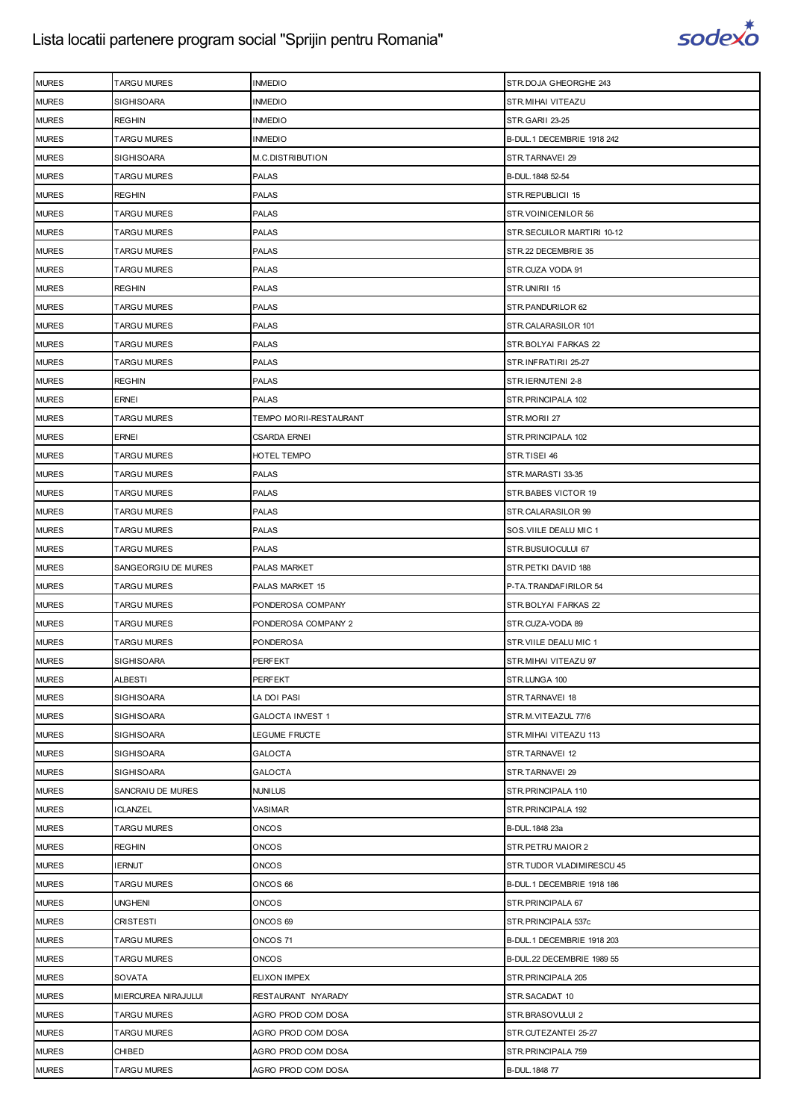

| <b>MURES</b> | <b>TARGU MURES</b>  | <b>INMEDIO</b>          | STR.DOJA GHEORGHE 243      |
|--------------|---------------------|-------------------------|----------------------------|
| <b>MURES</b> | <b>SIGHISOARA</b>   | <b>INMEDIO</b>          | STR.MIHAI VITEAZU          |
| <b>MURES</b> | <b>REGHIN</b>       | <b>INMEDIO</b>          | STR.GARII 23-25            |
| <b>MURES</b> | <b>TARGU MURES</b>  | <b>INMEDIO</b>          | B-DUL.1 DECEMBRIE 1918 242 |
| <b>MURES</b> | <b>SIGHISOARA</b>   | M.C.DISTRIBUTION        | STR.TARNAVEI 29            |
| <b>MURES</b> | <b>TARGU MURES</b>  | <b>PALAS</b>            | B-DUL. 1848 52-54          |
| <b>MURES</b> | <b>REGHIN</b>       | <b>PALAS</b>            | STR.REPUBLICII 15          |
| <b>MURES</b> | <b>TARGU MURES</b>  | <b>PALAS</b>            | STR.VOINICENILOR 56        |
| <b>MURES</b> | <b>TARGU MURES</b>  | <b>PALAS</b>            | STR.SECUILOR MARTIRI 10-12 |
| <b>MURES</b> | <b>TARGU MURES</b>  | <b>PALAS</b>            | STR.22 DECEMBRIE 35        |
| <b>MURES</b> | <b>TARGU MURES</b>  | <b>PALAS</b>            | STR.CUZA VODA 91           |
| <b>MURES</b> | <b>REGHIN</b>       | <b>PALAS</b>            | STR.UNIRII 15              |
| <b>MURES</b> | TARGU MURES         | <b>PALAS</b>            | STR.PANDURILOR 62          |
| <b>MURES</b> | <b>TARGU MURES</b>  | <b>PALAS</b>            | STR.CALARASILOR 101        |
| <b>MURES</b> | <b>TARGU MURES</b>  | <b>PALAS</b>            | STR.BOLYAI FARKAS 22       |
| <b>MURES</b> | <b>TARGU MURES</b>  | <b>PALAS</b>            | STR.INFRATIRII 25-27       |
| <b>MURES</b> | <b>REGHIN</b>       | <b>PALAS</b>            | STR.IERNUTENI 2-8          |
| <b>MURES</b> | <b>ERNEI</b>        | <b>PALAS</b>            | STR.PRINCIPALA 102         |
| <b>MURES</b> | <b>TARGU MURES</b>  | TEMPO MORII-RESTAURANT  | STR.MORII 27               |
| <b>MURES</b> | <b>ERNEI</b>        | <b>CSARDA ERNEI</b>     | STR. PRINCIPALA 102        |
| <b>MURES</b> | <b>TARGU MURES</b>  | HOTEL TEMPO             | STR.TISEI 46               |
| <b>MURES</b> | <b>TARGU MURES</b>  | PALAS                   | STR.MARASTI 33-35          |
| <b>MURES</b> | <b>TARGU MURES</b>  | <b>PALAS</b>            | STR.BABES VICTOR 19        |
| <b>MURES</b> | <b>TARGU MURES</b>  | <b>PALAS</b>            | STR.CALARASILOR 99         |
| <b>MURES</b> | TARGU MURES         | <b>PALAS</b>            | SOS. VIILE DEALU MIC 1     |
| <b>MURES</b> | <b>TARGU MURES</b>  | <b>PALAS</b>            | STR.BUSUIOCULUI 67         |
| <b>MURES</b> | SANGEORGIU DE MURES | PALAS MARKET            | STR. PETKI DAVID 188       |
| <b>MURES</b> | <b>TARGU MURES</b>  | PALAS MARKET 15         | P-TA.TRANDAFIRILOR 54      |
| <b>MURES</b> | <b>TARGU MURES</b>  | PONDEROSA COMPANY       | STR.BOLYAI FARKAS 22       |
| <b>MURES</b> | TARGU MURES         | PONDEROSA COMPANY 2     | STR.CUZA-VODA 89           |
| <b>MURES</b> | TARGU MURES         | PONDEROSA               | STR.VIILE DEALU MIC 1      |
| <b>MURES</b> | <b>SIGHISOARA</b>   | <b>PERFEKT</b>          | STR.MIHAI VITEAZU 97       |
| <b>MURES</b> | <b>ALBESTI</b>      | PERFEKT                 | STR.LUNGA 100              |
| <b>MURES</b> | <b>SIGHISOARA</b>   | LA DOI PASI             | STR.TARNAVEI 18            |
| <b>MURES</b> | <b>SIGHISOARA</b>   | <b>GALOCTA INVEST 1</b> | STR.M.VITEAZUL 77/6        |
| <b>MURES</b> | <b>SIGHISOARA</b>   | LEGUME FRUCTE           | STR. MIHAI VITEAZU 113     |
| <b>MURES</b> | <b>SIGHISOARA</b>   | <b>GALOCTA</b>          | STR.TARNAVEI 12            |
| <b>MURES</b> | <b>SIGHISOARA</b>   | <b>GALOCTA</b>          | STR.TARNAVEI 29            |
| <b>MURES</b> | SANCRAIU DE MURES   | <b>NUNILUS</b>          | STR. PRINCIPALA 110        |
| <b>MURES</b> | ICLANZEL            | VASIMAR                 | STR. PRINCIPALA 192        |
| <b>MURES</b> | <b>TARGU MURES</b>  | <b>ONCOS</b>            | B-DUL. 1848 23a            |
| <b>MURES</b> | <b>REGHIN</b>       | <b>ONCOS</b>            | STR. PETRU MAIOR 2         |
| <b>MURES</b> | <b>IERNUT</b>       | <b>ONCOS</b>            | STR.TUDOR VLADIMIRESCU 45  |
| <b>MURES</b> | <b>TARGU MURES</b>  | ONCOS 66                | B-DUL.1 DECEMBRIE 1918 186 |
| <b>MURES</b> | <b>UNGHENI</b>      | <b>ONCOS</b>            | STR.PRINCIPALA 67          |
| <b>MURES</b> | CRISTESTI           | ONCOS 69                | STR.PRINCIPALA 537c        |
| <b>MURES</b> | <b>TARGU MURES</b>  | ONCOS 71                | B-DUL.1 DECEMBRIE 1918 203 |
| <b>MURES</b> | <b>TARGU MURES</b>  | <b>ONCOS</b>            | B-DUL.22 DECEMBRIE 1989 55 |
| <b>MURES</b> | SOVATA              | ELIXON IMPEX            | STR. PRINCIPALA 205        |
| <b>MURES</b> | MIERCUREA NIRAJULUI | RESTAURANT NYARADY      | STR.SACADAT 10             |
| <b>MURES</b> | <b>TARGU MURES</b>  | AGRO PROD COM DOSA      | STR.BRASOVULUI 2           |
| <b>MURES</b> | <b>TARGU MURES</b>  | AGRO PROD COM DOSA      | STR.CUTEZANTEI 25-27       |
| <b>MURES</b> | CHIBED              | AGRO PROD COM DOSA      | STR.PRINCIPALA 759         |
| <b>MURES</b> | <b>TARGU MURES</b>  | AGRO PROD COM DOSA      | B-DUL. 1848 77             |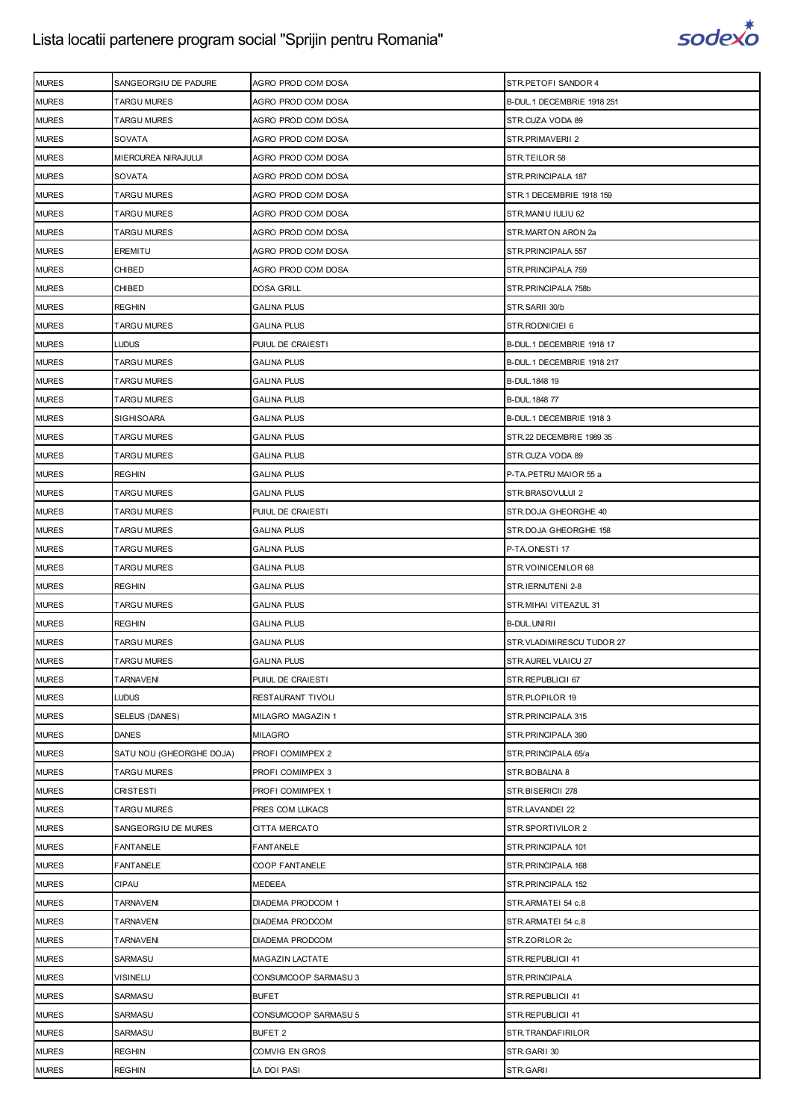

| <b>MURES</b> | SANGEORGIU DE PADURE     | AGRO PROD COM DOSA     | STR.PETOFI SANDOR 4         |
|--------------|--------------------------|------------------------|-----------------------------|
| <b>MURES</b> | <b>TARGU MURES</b>       | AGRO PROD COM DOSA     | B-DUL. 1 DECEMBRIE 1918 251 |
| <b>MURES</b> | <b>TARGU MURES</b>       | AGRO PROD COM DOSA     | STR.CUZA VODA 89            |
| <b>MURES</b> | SOVATA                   | AGRO PROD COM DOSA     | STR.PRIMAVERII 2            |
| <b>MURES</b> | MIERCUREA NIRAJULUI      | AGRO PROD COM DOSA     | STR.TEILOR 58               |
| <b>MURES</b> | SOVATA                   | AGRO PROD COM DOSA     | STR. PRINCIPALA 187         |
| <b>MURES</b> | TARGU MURES              | AGRO PROD COM DOSA     | STR.1 DECEMBRIE 1918 159    |
| <b>MURES</b> | <b>TARGU MURES</b>       | AGRO PROD COM DOSA     | STR.MANIU IULIU 62          |
| <b>MURES</b> | <b>TARGU MURES</b>       | AGRO PROD COM DOSA     | STR.MARTON ARON 2a          |
| <b>MURES</b> | <b>EREMITU</b>           | AGRO PROD COM DOSA     | STR.PRINCIPALA 557          |
| <b>MURES</b> | CHIBED                   | AGRO PROD COM DOSA     | STR. PRINCIPALA 759         |
| <b>MURES</b> | CHIBED                   | <b>DOSA GRILL</b>      | STR. PRINCIPALA 758b        |
| <b>MURES</b> | <b>REGHIN</b>            | <b>GALINA PLUS</b>     | STR.SARII 30/b              |
| <b>MURES</b> | <b>TARGU MURES</b>       | <b>GALINA PLUS</b>     | STR.RODNICIEI 6             |
| <b>MURES</b> | LUDUS                    | PUIUL DE CRAIESTI      | B-DUL.1 DECEMBRIE 1918 17   |
| <b>MURES</b> | <b>TARGU MURES</b>       | <b>GALINA PLUS</b>     | B-DUL.1 DECEMBRIE 1918 217  |
| <b>MURES</b> | <b>TARGU MURES</b>       | <b>GALINA PLUS</b>     | B-DUL. 1848 19              |
| <b>MURES</b> | <b>TARGU MURES</b>       | <b>GALINA PLUS</b>     | B-DUL. 1848 77              |
| <b>MURES</b> | <b>SIGHISOARA</b>        | <b>GALINA PLUS</b>     | B-DUL.1 DECEMBRIE 1918 3    |
| <b>MURES</b> | <b>TARGU MURES</b>       | <b>GALINA PLUS</b>     | STR.22 DECEMBRIE 1989 35    |
| <b>MURES</b> | <b>TARGU MURES</b>       | <b>GALINA PLUS</b>     | STR.CUZA VODA 89            |
| <b>MURES</b> | <b>REGHIN</b>            | <b>GALINA PLUS</b>     | P-TA.PETRU MAIOR 55 a       |
| <b>MURES</b> | <b>TARGU MURES</b>       | <b>GALINA PLUS</b>     | STR.BRASOVULUI 2            |
| <b>MURES</b> | <b>TARGU MURES</b>       | PUIUL DE CRAIESTI      | STR.DOJA GHEORGHE 40        |
| <b>MURES</b> | <b>TARGU MURES</b>       | <b>GALINA PLUS</b>     | STR. DOJA GHEORGHE 158      |
| <b>MURES</b> | <b>TARGU MURES</b>       | <b>GALINA PLUS</b>     | P-TA.ONESTI 17              |
| <b>MURES</b> | <b>TARGU MURES</b>       | <b>GALINA PLUS</b>     | STR.VOINICENILOR 68         |
| <b>MURES</b> | <b>REGHIN</b>            | <b>GALINA PLUS</b>     | STR.IERNUTENI 2-8           |
| <b>MURES</b> | <b>TARGU MURES</b>       | <b>GALINA PLUS</b>     | STR.MIHAI VITEAZUL 31       |
| <b>MURES</b> | <b>REGHIN</b>            | <b>GALINA PLUS</b>     | B-DUL.UNIRII                |
| <b>MURES</b> | TARGU MURES              | <b>GALINA PLUS</b>     | STR.VLADIMIRESCU TUDOR 27   |
| <b>MURES</b> | <b>TARGU MURES</b>       | <b>GALINA PLUS</b>     | STR.AUREL VLAICU 27         |
| <b>MURES</b> | <b>TARNAVENI</b>         | PUIUL DE CRAIESTI      | STR.REPUBLICII 67           |
| <b>MURES</b> | LUDUS                    | RESTAURANT TIVOLI      | STR.PLOPILOR 19             |
| <b>MURES</b> | <b>SELEUS (DANES)</b>    | MILAGRO MAGAZIN 1      | STR. PRINCIPALA 315         |
| <b>MURES</b> | <b>DANES</b>             | <b>MILAGRO</b>         | STR. PRINCIPALA 390         |
| <b>MURES</b> | SATU NOU (GHEORGHE DOJA) | PROFI COMIMPEX 2       | STR.PRINCIPALA 65/a         |
| <b>MURES</b> | <b>TARGU MURES</b>       | PROFI COMIMPEX 3       | STR.BOBALNA 8               |
| <b>MURES</b> | CRISTESTI                | PROFI COMIMPEX 1       | STR.BISERICII 278           |
| <b>MURES</b> | TARGU MURES              | PRES COM LUKACS        | STR.LAVANDEI 22             |
| <b>MURES</b> | SANGEORGIU DE MURES      | CITTA MERCATO          | STR.SPORTIVILOR 2           |
| <b>MURES</b> | <b>FANTANELE</b>         | <b>FANTANELE</b>       | STR. PRINCIPALA 101         |
| <b>MURES</b> | <b>FANTANELE</b>         | COOP FANTANELE         | STR. PRINCIPALA 168         |
| <b>MURES</b> | <b>CIPAU</b>             | <b>MEDEEA</b>          | STR. PRINCIPALA 152         |
| <b>MURES</b> | <b>TARNAVENI</b>         | DIADEMA PRODCOM 1      | STR.ARMATEI 54 c.8          |
| <b>MURES</b> | <b>TARNAVENI</b>         | DIADEMA PRODCOM        | STR.ARMATEI 54 c.8          |
| <b>MURES</b> | <b>TARNAVENI</b>         | DIADEMA PRODCOM        | STR.ZORILOR 2c              |
| <b>MURES</b> | SARMASU                  | <b>MAGAZIN LACTATE</b> | STR.REPUBLICII 41           |
| <b>MURES</b> | <b>VISINELU</b>          | CONSUMCOOP SARMASU 3   | STR.PRINCIPALA              |
| <b>MURES</b> | SARMASU                  | <b>BUFET</b>           | STR.REPUBLICII 41           |
| <b>MURES</b> | SARMASU                  | CONSUMCOOP SARMASU 5   | STR.REPUBLICII 41           |
| <b>MURES</b> | SARMASU                  | BUFET 2                | STR.TRANDAFIRILOR           |
| <b>MURES</b> | <b>REGHIN</b>            | COMVIG EN GROS         | STR.GARII 30                |
| <b>MURES</b> | <b>REGHIN</b>            | LA DOI PASI            | STR.GARII                   |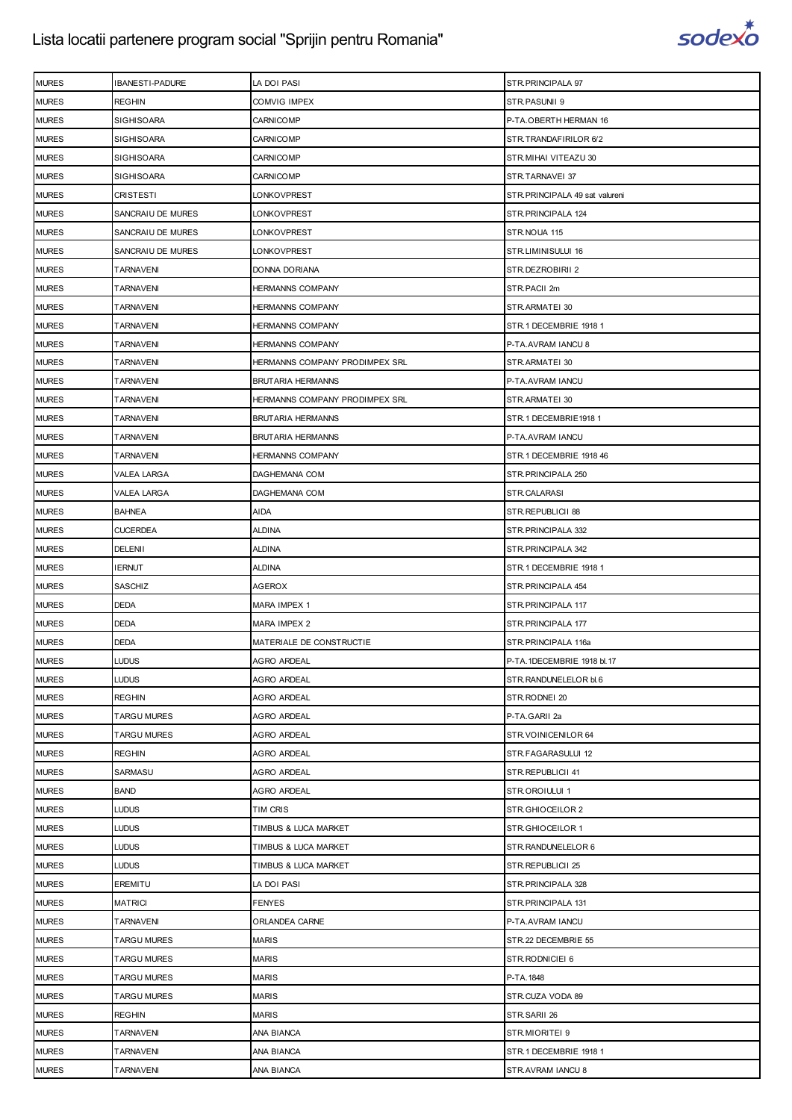

| <b>MURES</b> | IBANESTI-PADURE    | LA DOI PASI                    | STR.PRINCIPALA 97              |
|--------------|--------------------|--------------------------------|--------------------------------|
| <b>MURES</b> | <b>REGHIN</b>      | COMVIG IMPEX                   | STR.PASUNII 9                  |
| <b>MURES</b> | <b>SIGHISOARA</b>  | <b>CARNICOMP</b>               | P-TA.OBERTH HERMAN 16          |
| <b>MURES</b> | <b>SIGHISOARA</b>  | <b>CARNICOMP</b>               | STR.TRANDAFIRILOR 6/2          |
| <b>MURES</b> | <b>SIGHISOARA</b>  | <b>CARNICOMP</b>               | STR.MIHAI VITEAZU 30           |
| <b>MURES</b> | SIGHISOARA         | <b>CARNICOMP</b>               | STR.TARNAVEI 37                |
| <b>MURES</b> | CRISTESTI          | LONKOVPREST                    | STR.PRINCIPALA 49 sat valureni |
| <b>MURES</b> | SANCRAIU DE MURES  | LONKOVPREST                    | STR.PRINCIPALA 124             |
| <b>MURES</b> | SANCRAIU DE MURES  | LONKOVPREST                    | STR.NOUA 115                   |
| <b>MURES</b> | SANCRAIU DE MURES  | LONKOVPREST                    | STR.LIMINISULUI 16             |
| <b>MURES</b> | <b>TARNAVENI</b>   | DONNA DORIANA                  | STR.DEZROBIRII 2               |
| <b>MURES</b> | TARNAVENI          | HERMANNS COMPANY               | STR.PACII 2m                   |
| <b>MURES</b> | TARNAVENI          | <b>HERMANNS COMPANY</b>        | STR.ARMATEI 30                 |
| <b>MURES</b> | TARNAVENI          | HERMANNS COMPANY               | STR.1 DECEMBRIE 1918 1         |
| <b>MURES</b> | TARNAVENI          | <b>HERMANNS COMPANY</b>        | P-TA.AVRAM IANCU 8             |
| <b>MURES</b> | <b>TARNAVENI</b>   | HERMANNS COMPANY PRODIMPEX SRL | STR.ARMATEI 30                 |
| <b>MURES</b> | TARNAVENI          | <b>BRUTARIA HERMANNS</b>       | P-TA.AVRAM IANCU               |
| <b>MURES</b> | TARNAVENI          | HERMANNS COMPANY PRODIMPEX SRL | STR.ARMATEI 30                 |
| <b>MURES</b> | <b>TARNAVENI</b>   | <b>BRUTARIA HERMANNS</b>       | STR.1 DECEMBRIE1918 1          |
| <b>MURES</b> | TARNAVENI          | <b>BRUTARIA HERMANNS</b>       | P-TA.AVRAM IANCU               |
| <b>MURES</b> | <b>TARNAVENI</b>   | <b>HERMANNS COMPANY</b>        | STR.1 DECEMBRIE 1918 46        |
| <b>MURES</b> | VALEA LARGA        | DAGHEMANA COM                  | STR.PRINCIPALA 250             |
| <b>MURES</b> | VALEA LARGA        | DAGHEMANA COM                  | STR.CALARASI                   |
| <b>MURES</b> | <b>BAHNEA</b>      | AIDA                           | STR.REPUBLICII 88              |
| <b>MURES</b> | <b>CUCERDEA</b>    | <b>ALDINA</b>                  | STR.PRINCIPALA 332             |
| <b>MURES</b> | DELENII            | aldina                         | STR.PRINCIPALA 342             |
| <b>MURES</b> | <b>IERNUT</b>      | aldina                         | STR.1 DECEMBRIE 1918 1         |
| <b>MURES</b> | SASCHIZ            | <b>AGEROX</b>                  | STR.PRINCIPALA 454             |
| <b>MURES</b> | <b>DEDA</b>        | MARA IMPEX 1                   | STR.PRINCIPALA 117             |
| <b>MURES</b> | <b>DEDA</b>        | <b>MARA IMPEX 2</b>            | STR.PRINCIPALA 177             |
| <b>MURES</b> | DEDA               | MATERIALE DE CONSTRUCTIE       | STR.PRINCIPALA 116a            |
| <b>MURES</b> | <b>LUDUS</b>       | <b>AGRO ARDEAL</b>             | P-TA.1DECEMBRIE 1918 bl.17     |
| <b>MURES</b> | <b>LUDUS</b>       | AGRO ARDEAL                    | STR.RANDUNELELOR bl.6          |
| <b>MURES</b> | <b>REGHIN</b>      | AGRO ARDEAL                    | STR.RODNEI 20                  |
| <b>MURES</b> | <b>TARGU MURES</b> | AGRO ARDEAL                    | P-TA.GARII 2a                  |
| <b>MURES</b> | <b>TARGU MURES</b> | AGRO ARDEAL                    | STR.VOINICENILOR 64            |
| <b>MURES</b> | <b>REGHIN</b>      | <b>AGRO ARDEAL</b>             | STR.FAGARASULUI 12             |
| <b>MURES</b> | SARMASU            | AGRO ARDEAL                    | STR.REPUBLICII 41              |
| <b>MURES</b> | <b>BAND</b>        | AGRO ARDEAL                    | STR.OROIULUI 1                 |
| <b>MURES</b> | <b>LUDUS</b>       | TIM CRIS                       | STR.GHIOCEILOR 2               |
| <b>MURES</b> | <b>LUDUS</b>       | TIMBUS & LUCA MARKET           | STR.GHIOCEILOR 1               |
| <b>MURES</b> | LUDUS              | TIMBUS & LUCA MARKET           | STR.RANDUNELELOR 6             |
| <b>MURES</b> | LUDUS              | TIMBUS & LUCA MARKET           | STR.REPUBLICII 25              |
| <b>MURES</b> | EREMITU            | LA DOI PASI                    | STR.PRINCIPALA 328             |
| <b>MURES</b> | MATRICI            | FENYES                         | STR.PRINCIPALA 131             |
| <b>MURES</b> | <b>TARNAVENI</b>   | ORLANDEA CARNE                 | P-TA.AVRAM IANCU               |
| <b>MURES</b> | <b>TARGU MURES</b> | <b>MARIS</b>                   | STR.22 DECEMBRIE 55            |
| <b>MURES</b> | <b>TARGU MURES</b> | <b>MARIS</b>                   | STR.RODNICIEI 6                |
| <b>MURES</b> | <b>TARGU MURES</b> | <b>MARIS</b>                   | P-TA.1848                      |
| <b>MURES</b> | <b>TARGU MURES</b> | <b>MARIS</b>                   | STR.CUZA VODA 89               |
| <b>MURES</b> | <b>REGHIN</b>      | MARIS                          | STR.SARII 26                   |
| <b>MURES</b> | <b>TARNAVENI</b>   | ANA BIANCA                     | STR.MIORITEI 9                 |
| <b>MURES</b> | <b>TARNAVENI</b>   | ANA BIANCA                     | STR.1 DECEMBRIE 1918 1         |
| <b>MURES</b> | <b>TARNAVENI</b>   | ANA BIANCA                     | STR.AVRAM IANCU 8              |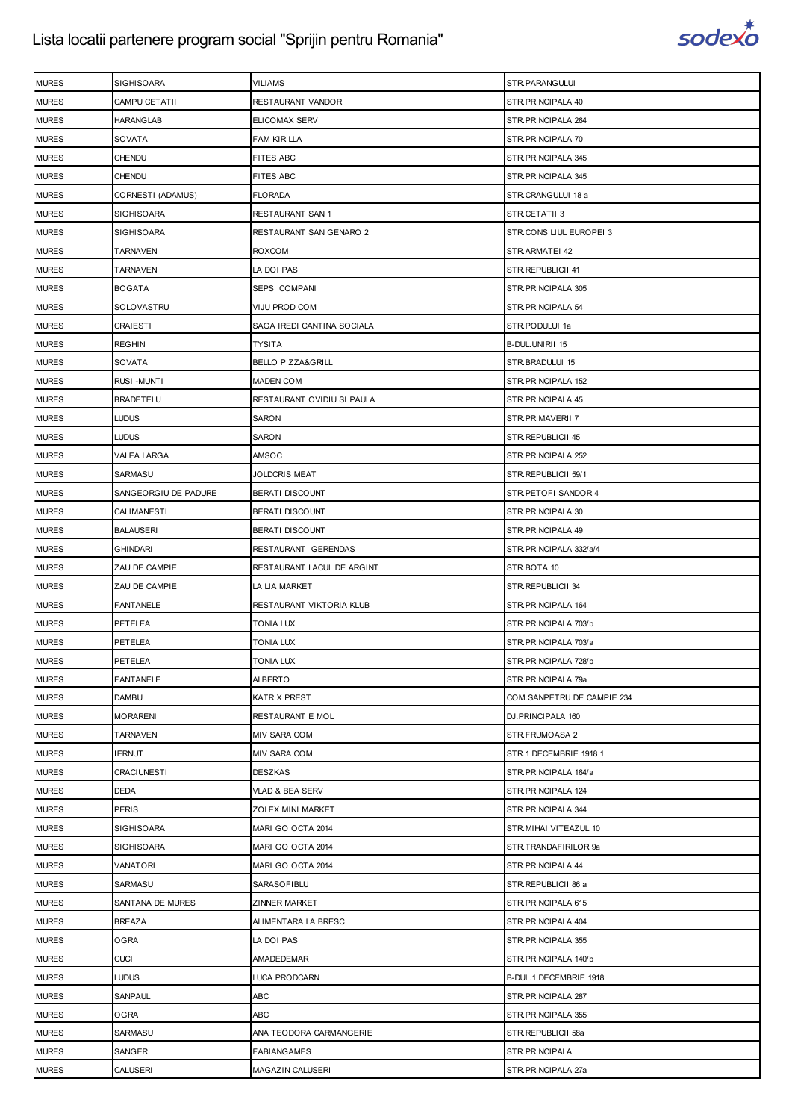

| <b>MURES</b> | <b>SIGHISOARA</b>    | <b>VILIAMS</b>               | STR.PARANGULUI             |
|--------------|----------------------|------------------------------|----------------------------|
| <b>MURES</b> | CAMPU CETATII        | RESTAURANT VANDOR            | STR. PRINCIPALA 40         |
| <b>MURES</b> | <b>HARANGLAB</b>     | ELICOMAX SERV                | STR. PRINCIPALA 264        |
| <b>MURES</b> | SOVATA               | FAM KIRILLA                  | STR.PRINCIPALA 70          |
| <b>MURES</b> | <b>CHENDU</b>        | <b>FITES ABC</b>             | STR. PRINCIPALA 345        |
| <b>MURES</b> | CHENDU               | FITES ABC                    | STR. PRINCIPALA 345        |
| <b>MURES</b> | CORNESTI (ADAMUS)    | FLORADA                      | STR.CRANGULUI 18 a         |
| <b>MURES</b> | <b>SIGHISOARA</b>    | RESTAURANT SAN 1             | STR.CETATII 3              |
| <b>MURES</b> | SIGHISOARA           | RESTAURANT SAN GENARO 2      | STR.CONSILIUL EUROPEI 3    |
| <b>MURES</b> | <b>TARNAVENI</b>     | ROXCOM                       | STR.ARMATEI 42             |
| <b>MURES</b> | <b>TARNAVENI</b>     | LA DOI PASI                  | STR.REPUBLICII 41          |
| <b>MURES</b> | <b>BOGATA</b>        | SEPSI COMPANI                | STR. PRINCIPALA 305        |
| <b>MURES</b> | SOLOVASTRU           | VIJU PROD COM                | STR. PRINCIPALA 54         |
| <b>MURES</b> | <b>CRAIESTI</b>      | SAGA IREDI CANTINA SOCIALA   | STR.PODULUI 1a             |
| <b>MURES</b> | <b>REGHIN</b>        | <b>TYSITA</b>                | B-DUL.UNIRII 15            |
| <b>MURES</b> | SOVATA               | <b>BELLO PIZZA&amp;GRILL</b> | STR.BRADULUI 15            |
| <b>MURES</b> | RUSII-MUNTI          | <b>MADEN COM</b>             | STR. PRINCIPALA 152        |
| <b>MURES</b> | <b>BRADETELU</b>     | RESTAURANT OVIDIU SI PAULA   | STR. PRINCIPALA 45         |
| <b>MURES</b> | <b>LUDUS</b>         | SARON                        | STR.PRIMAVERII 7           |
| <b>MURES</b> | <b>LUDUS</b>         | SARON                        | STR.REPUBLICII 45          |
| <b>MURES</b> | VALEA LARGA          | AMSOC                        | STR. PRINCIPALA 252        |
| <b>MURES</b> | SARMASU              | JOLDCRIS MEAT                | STR.REPUBLICII 59/1        |
| <b>MURES</b> | SANGEORGIU DE PADURE | <b>BERATI DISCOUNT</b>       | STR. PETOFI SANDOR 4       |
| <b>MURES</b> | CALIMANESTI          | <b>BERATI DISCOUNT</b>       | STR. PRINCIPALA 30         |
| <b>MURES</b> | <b>BALAUSERI</b>     | <b>BERATI DISCOUNT</b>       | STR. PRINCIPALA 49         |
| <b>MURES</b> | <b>GHINDARI</b>      | RESTAURANT GERENDAS          | STR.PRINCIPALA 332/a/4     |
| <b>MURES</b> | ZAU DE CAMPIE        | RESTAURANT LACUL DE ARGINT   | STR.BOTA 10                |
| <b>MURES</b> | ZAU DE CAMPIE        | LA LIA MARKET                | STR.REPUBLICII 34          |
| <b>MURES</b> | FANTANELE            | RESTAURANT VIKTORIA KLUB     | STR. PRINCIPALA 164        |
| <b>MURES</b> | PETELEA              | TONIA LUX                    | STR.PRINCIPALA 703/b       |
| <b>MURES</b> | PETELEA              | TONIA LUX                    | STR.PRINCIPALA 703/a       |
| <b>MURES</b> | PETELEA              | <b>TONIA LUX</b>             | STR.PRINCIPALA 728/b       |
| <b>MURES</b> | <b>FANTANELE</b>     | ALBERTO                      | STR.PRINCIPALA 79a         |
| <b>MURES</b> | <b>DAMBU</b>         | KATRIX PREST                 | COM.SANPETRU DE CAMPIE 234 |
| <b>MURES</b> | <b>MORARENI</b>      | RESTAURANT E MOL             | DJ.PRINCIPALA 160          |
| <b>MURES</b> | <b>TARNAVENI</b>     | MIV SARA COM                 | STR.FRUMOASA 2             |
| <b>MURES</b> | <b>IERNUT</b>        | <b>MIV SARA COM</b>          | STR.1 DECEMBRIE 1918 1     |
| <b>MURES</b> | <b>CRACIUNESTI</b>   | DESZKAS                      | STR.PRINCIPALA 164/a       |
| <b>MURES</b> | DEDA                 | VLAD & BEA SERV              | STR. PRINCIPALA 124        |
| <b>MURES</b> | <b>PERIS</b>         | ZOLEX MINI MARKET            | STR. PRINCIPALA 344        |
| <b>MURES</b> | <b>SIGHISOARA</b>    | MARI GO OCTA 2014            | STR. MIHAI VITEAZUL 10     |
| <b>MURES</b> | <b>SIGHISOARA</b>    | MARI GO OCTA 2014            | STR.TRANDAFIRILOR 9a       |
| <b>MURES</b> | VANATORI             | MARI GO OCTA 2014            | STR. PRINCIPALA 44         |
| <b>MURES</b> | SARMASU              | SARASOFIBLU                  | STR.REPUBLICII 86 a        |
| <b>MURES</b> | SANTANA DE MURES     | ZINNER MARKET                | STR. PRINCIPALA 615        |
| <b>MURES</b> | <b>BREAZA</b>        | ALIMENTARA LA BRESC          | STR. PRINCIPALA 404        |
| <b>MURES</b> | <b>OGRA</b>          | LA DOI PASI                  | STR. PRINCIPALA 355        |
| <b>MURES</b> | <b>CUCI</b>          | AMADEDEMAR                   | STR.PRINCIPALA 140/b       |
| <b>MURES</b> | <b>LUDUS</b>         | LUCA PRODCARN                | B-DUL.1 DECEMBRIE 1918     |
| <b>MURES</b> | SANPAUL              | ABC                          | STR. PRINCIPALA 287        |
| <b>MURES</b> | OGRA                 | ABC                          | STR. PRINCIPALA 355        |
| <b>MURES</b> | SARMASU              | ANA TEODORA CARMANGERIE      | STR.REPUBLICII 58a         |
| <b>MURES</b> | SANGER               | <b>FABIANGAMES</b>           | STR.PRINCIPALA             |
| <b>MURES</b> | CALUSERI             | MAGAZIN CALUSERI             | STR.PRINCIPALA 27a         |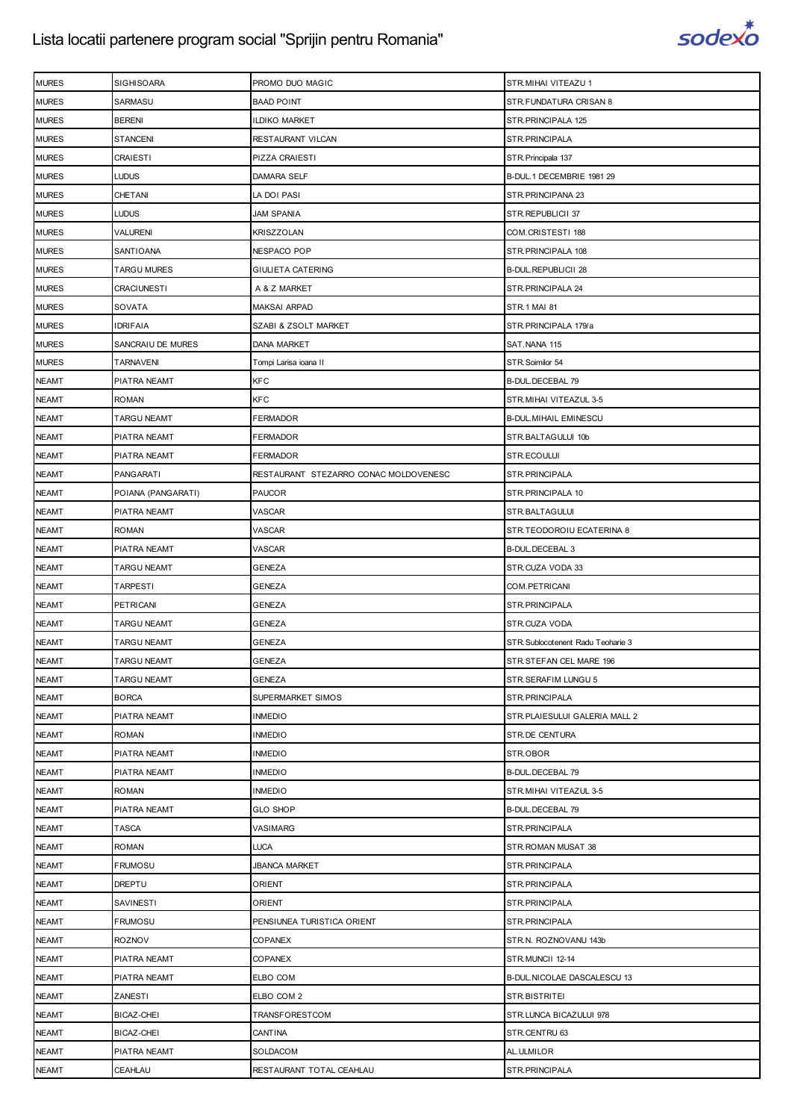

| <b>MURES</b> | SIGHISOARA         | PROMO DUO MAGIC                       | STR.MIHAI VITEAZU 1               |
|--------------|--------------------|---------------------------------------|-----------------------------------|
| <b>MURES</b> | SARMASU            | <b>BAAD POINT</b>                     | STR.FUNDATURA CRISAN 8            |
| <b>MURES</b> | <b>BERENI</b>      | ildiko market                         | STR.PRINCIPALA 125                |
| <b>MURES</b> | <b>STANCENI</b>    | RESTAURANT VILCAN                     | STR.PRINCIPALA                    |
| <b>MURES</b> | <b>CRAIESTI</b>    | PIZZA CRAIESTI                        | STR. Principala 137               |
| <b>MURES</b> | LUDUS              | DAMARA SELF                           | B-DUL.1 DECEMBRIE 1981 29         |
| <b>MURES</b> | CHETANI            | LA DOI PASI                           | STR.PRINCIPANA 23                 |
| <b>MURES</b> | LUDUS              | <b>JAM SPANIA</b>                     | STR.REPUBLICII 37                 |
| <b>MURES</b> | VALURENI           | KRISZZOLAN                            | COM.CRISTESTI 188                 |
| <b>MURES</b> | SANTIOANA          | NESPACO POP                           | STR.PRINCIPALA 108                |
| <b>MURES</b> | <b>TARGU MURES</b> | GIULIETA CATERING                     | <b>B-DUL.REPUBLICII 28</b>        |
| <b>MURES</b> | CRACIUNESTI        | A & Z MARKET                          | STR.PRINCIPALA 24                 |
| <b>MURES</b> | SOVATA             | <b>MAKSAI ARPAD</b>                   | STR.1 MAI 81                      |
| <b>MURES</b> | <b>IDRIFAIA</b>    | SZABI & ZSOLT MARKET                  | STR.PRINCIPALA 179/a              |
| <b>MURES</b> | SANCRAIU DE MURES  | DANA MARKET                           | SAT.NANA 115                      |
| <b>MURES</b> | <b>TARNAVENI</b>   | Tompi Larisa ioana II                 | STR.Soimilor 54                   |
| <b>NEAMT</b> | PIATRA NEAMT       | KFC                                   | B-DUL.DECEBAL 79                  |
| <b>NEAMT</b> | ROMAN              | KFC                                   | STR.MIHAI VITEAZUL 3-5            |
| <b>NEAMT</b> | TARGU NEAMT        | <b>FERMADOR</b>                       | <b>B-DUL MIHAIL EMINESCU</b>      |
| <b>NEAMT</b> | PIATRA NEAMT       | FERMADOR                              | STR.BALTAGULUI 10b                |
| <b>NEAMT</b> | PIATRA NEAMT       | FERMADOR                              | STR.ECOULUI                       |
| <b>NEAMT</b> | PANGARATI          | RESTAURANT STEZARRO CONAC MOLDOVENESC | STR.PRINCIPALA                    |
| <b>NEAMT</b> | POIANA (PANGARATI) | PAUCOR                                | STR.PRINCIPALA 10                 |
| <b>NEAMT</b> | PIATRA NEAMT       | VASCAR                                | STR.BALTAGULUI                    |
| <b>NEAMT</b> | <b>ROMAN</b>       | VASCAR                                | STR.TEODOROIU ECATERINA 8         |
| <b>NEAMT</b> | PIATRA NEAMT       | VASCAR                                | B-DUL.DECEBAL 3                   |
| <b>NEAMT</b> | TARGU NEAMT        | GENEZA                                | STR.CUZA VODA 33                  |
| <b>NEAMT</b> | <b>TARPESTI</b>    | GENEZA                                | COM.PETRICANI                     |
| <b>NEAMT</b> | <b>PETRICANI</b>   | GENEZA                                | STR.PRINCIPALA                    |
| <b>NEAMT</b> | TARGU NEAMT        | GENEZA                                | STR.CUZA VODA                     |
| <b>NEAMT</b> | TARGU NEAMT        | GENEZA                                | STR.Sublocotenent Radu Teoharie 3 |
| <b>NEAMT</b> | <b>TARGU NEAMT</b> | GENEZA                                | STR.STEFAN CEL MARE 196           |
| <b>NEAMT</b> | <b>TARGU NEAMT</b> | GENEZA                                | STR.SERAFIM LUNGU 5               |
| <b>NEAMT</b> | <b>BORCA</b>       | SUPERMARKET SIMOS                     | STR.PRINCIPALA                    |
| <b>NEAMT</b> | PIATRA NEAMT       | <b>INMEDIO</b>                        | STR.PLAIESULUI GALERIA MALL 2     |
| <b>NEAMT</b> | <b>ROMAN</b>       | <b>INMEDIO</b>                        | STR.DE CENTURA                    |
| <b>NEAMT</b> | PIATRA NEAMT       | <b>INMEDIO</b>                        | STR.OBOR                          |
| <b>NEAMT</b> | PIATRA NEAMT       | <b>INMEDIO</b>                        | <b>B-DUL.DECEBAL 79</b>           |
| <b>NEAMT</b> | <b>ROMAN</b>       | <b>INMEDIO</b>                        | STR. MIHAI VITEAZUL 3-5           |
| <b>NEAMT</b> | PIATRA NEAMT       | <b>GLO SHOP</b>                       | B-DUL.DECEBAL 79                  |
| <b>NEAMT</b> | <b>TASCA</b>       | VASIMARG                              | STR.PRINCIPALA                    |
| <b>NEAMT</b> | <b>ROMAN</b>       | <b>LUCA</b>                           | STR.ROMAN MUSAT 38                |
| <b>NEAMT</b> | <b>FRUMOSU</b>     | <b>JBANCA MARKET</b>                  | STR.PRINCIPALA                    |
| <b>NEAMT</b> | <b>DREPTU</b>      | ORIENT                                | STR.PRINCIPALA                    |
| <b>NEAMT</b> | SAVINESTI          | ORIENT                                | STR.PRINCIPALA                    |
| <b>NEAMT</b> | <b>FRUMOSU</b>     | PENSIUNEA TURISTICA ORIENT            | STR.PRINCIPALA                    |
| <b>NEAMT</b> | <b>ROZNOV</b>      | COPANEX                               | STR.N. ROZNOVANU 143b             |
| <b>NEAMT</b> | PIATRA NEAMT       | COPANEX                               | STR.MUNCII 12-14                  |
| <b>NEAMT</b> | PIATRA NEAMT       | ELBO COM                              | B-DUL. NICOLAE DASCALESCU 13      |
| <b>NEAMT</b> | <b>ZANESTI</b>     | ELBO COM 2                            | STR.BISTRITEI                     |
| <b>NEAMT</b> | BICAZ-CHEI         | TRANSFORESTCOM                        | STR.LUNCA BICAZULUI 978           |
| <b>NEAMT</b> | BICAZ-CHEI         | CANTINA                               | STR.CENTRU 63                     |
| <b>NEAMT</b> | PIATRA NEAMT       | SOLDACOM                              | AL.ULMILOR                        |
| <b>NEAMT</b> | CEAHLAU            | RESTAURANT TOTAL CEAHLAU              | STR.PRINCIPALA                    |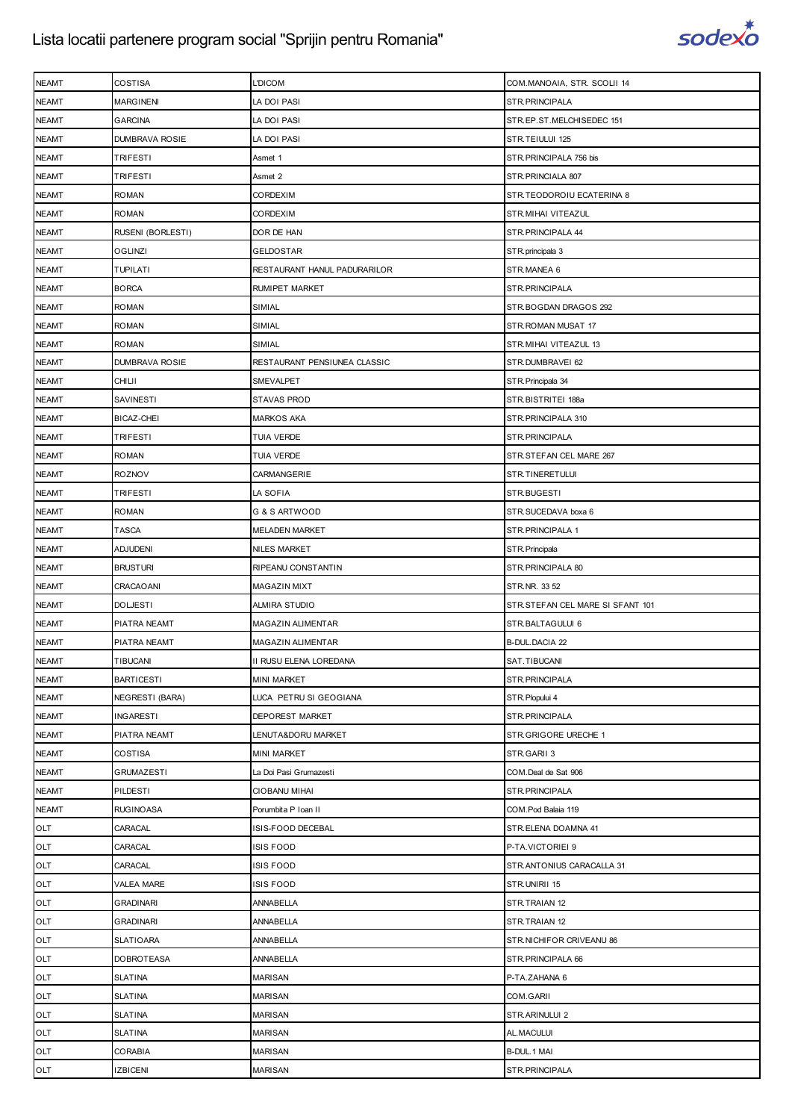

| <b>NEAMT</b> | COSTISA                | <b>L'DICOM</b>               | COM.MANOAIA, STR. SCOLII 14      |
|--------------|------------------------|------------------------------|----------------------------------|
| <b>NEAMT</b> | <b>MARGINENI</b>       | LA DOI PASI                  | STR.PRINCIPALA                   |
| <b>NEAMT</b> | <b>GARCINA</b>         | LA DOI PASI                  | STR.EP.ST.MELCHISEDEC 151        |
| <b>NEAMT</b> | DUMBRAVA ROSIE         | LA DOI PASI                  | STR.TEIULUI 125                  |
| <b>NEAMT</b> | <b>TRIFESTI</b>        | Asmet 1                      | STR.PRINCIPALA 756 bis           |
| <b>NEAMT</b> | TRIFESTI               | Asmet 2                      | STR.PRINCIALA 807                |
| <b>NEAMT</b> | <b>ROMAN</b>           | <b>CORDEXIM</b>              | STR.TEODOROIU ECATERINA 8        |
| <b>NEAMT</b> | <b>ROMAN</b>           | <b>CORDEXIM</b>              | STR.MIHAI VITEAZUL               |
| <b>NEAMT</b> | RUSENI (BORLESTI)      | DOR DE HAN                   | STR.PRINCIPALA 44                |
| <b>NEAMT</b> | <b>OGLINZI</b>         | <b>GELDOSTAR</b>             | STR.principala 3                 |
| <b>NEAMT</b> | <b>TUPILATI</b>        | RESTAURANT HANUL PADURARILOR | STR.MANEA 6                      |
| <b>NEAMT</b> | <b>BORCA</b>           | RUMIPET MARKET               | STR.PRINCIPALA                   |
| <b>NEAMT</b> | <b>ROMAN</b>           | SIMIAL                       | STR.BOGDAN DRAGOS 292            |
| <b>NEAMT</b> | <b>ROMAN</b>           | SIMIAL                       | STR.ROMAN MUSAT 17               |
| <b>NEAMT</b> | <b>ROMAN</b>           | SIMIAL                       | STR. MIHAI VITEAZUL 13           |
| <b>NEAMT</b> | DUMBRAVA ROSIE         | RESTAURANT PENSIUNEA CLASSIC | STR.DUMBRAVEI 62                 |
| <b>NEAMT</b> | <b>CHILII</b>          | SMEVALPET                    | STR. Principala 34               |
| <b>NEAMT</b> | <b>SAVINESTI</b>       | STAVAS PROD                  | STR.BISTRITEI 188a               |
| <b>NEAMT</b> | <b>BICAZ-CHEI</b>      | <b>MARKOS AKA</b>            | STR.PRINCIPALA 310               |
| <b>NEAMT</b> | TRIFESTI               | TUIA VERDE                   | STR.PRINCIPALA                   |
| <b>NEAMT</b> | <b>ROMAN</b>           | TUIA VERDE                   | STR.STEFAN CEL MARE 267          |
| <b>NEAMT</b> | <b>ROZNOV</b>          | CARMANGERIE                  | STR.TINERETULUI                  |
| <b>NEAMT</b> | TRIFESTI               | LA SOFIA                     | STR.BUGESTI                      |
| <b>NEAMT</b> | <b>ROMAN</b>           | G & S ARTWOOD                | STR.SUCEDAVA boxa 6              |
| <b>NEAMT</b> | <b>TASCA</b>           | <b>MELADEN MARKET</b>        | STR.PRINCIPALA 1                 |
| <b>NEAMT</b> | <b>ADJUDENI</b>        | <b>NILES MARKET</b>          | STR.Principala                   |
| <b>NEAMT</b> | <b>BRUSTURI</b>        | RIPEANU CONSTANTIN           | STR.PRINCIPALA 80                |
| <b>NEAMT</b> | CRACAOANI              | <b>MAGAZIN MIXT</b>          | STR.NR. 33 52                    |
| <b>NEAMT</b> | <b>DOLJESTI</b>        | ALMIRA STUDIO                | STR.STEFAN CEL MARE SI SFANT 101 |
| <b>NEAMT</b> | PIATRA NEAMT           | <b>MAGAZIN ALIMENTAR</b>     | STR.BALTAGULUI 6                 |
| <b>NEAMT</b> | PIATRA NEAMT           | MAGAZIN ALIMENTAR            | <b>B-DUL.DACIA 22</b>            |
| <b>NEAMT</b> | TIBUCANI               | II RUSU ELENA LOREDANA       | SAT.TIBUCANI                     |
| <b>NEAMT</b> | <b>BARTICESTI</b>      | <b>MINI MARKET</b>           | STR.PRINCIPALA                   |
| <b>NEAMT</b> | <b>NEGRESTI (BARA)</b> | LUCA PETRU SI GEOGIANA       | STR. Plopului 4                  |
| <b>NEAMT</b> | <b>INGARESTI</b>       | DEPOREST MARKET              | STR.PRINCIPALA                   |
| <b>NEAMT</b> | PIATRA NEAMT           | LENUTA&DORU MARKET           | STR.GRIGORE URECHE 1             |
| <b>NEAMT</b> | COSTISA                | <b>MINI MARKET</b>           | STR.GARII 3                      |
| <b>NEAMT</b> | <b>GRUMAZESTI</b>      | La Doi Pasi Grumazesti       | COM.Deal de Sat 906              |
| <b>NEAMT</b> | PILDESTI               | CIOBANU MIHAI                | STR.PRINCIPALA                   |
| <b>NEAMT</b> | <b>RUGINOASA</b>       | Porumbita P Ioan II          | COM.Pod Balaia 119               |
| OLT          | CARACAL                | ISIS-FOOD DECEBAL            | STR.ELENA DOAMNA 41              |
| OLT          | CARACAL                | ISIS FOOD                    | P-TA.VICTORIEI 9                 |
| OLT          | CARACAL                | ISIS FOOD                    | STR.ANTONIUS CARACALLA 31        |
| OLT          | VALEA MARE             | ISIS FOOD                    | STR.UNIRII 15                    |
| OLT          | <b>GRADINARI</b>       | ANNABELLA                    | STR.TRAIAN 12                    |
| OLT          | <b>GRADINARI</b>       | <b>ANNABELLA</b>             | STR.TRAIAN 12                    |
| OLT          | <b>SLATIOARA</b>       | ANNABELLA                    | STR. NICHIFOR CRIVEANU 86        |
| OLT          | <b>DOBROTEASA</b>      | ANNABELLA                    | STR.PRINCIPALA 66                |
| OLT          | <b>SLATINA</b>         | <b>MARISAN</b>               | P-TA.ZAHANA 6                    |
| OLT          | <b>SLATINA</b>         | <b>MARISAN</b>               | COM.GARII                        |
| OLT          | <b>SLATINA</b>         | MARISAN                      | STR.ARINULUI 2                   |
| OLT          | <b>SLATINA</b>         | <b>MARISAN</b>               | AL.MACULUI                       |
| OLT          | CORABIA                | <b>MARISAN</b>               | B-DUL.1 MAI                      |
| OLT          | <b>IZBICENI</b>        | <b>MARISAN</b>               | STR.PRINCIPALA                   |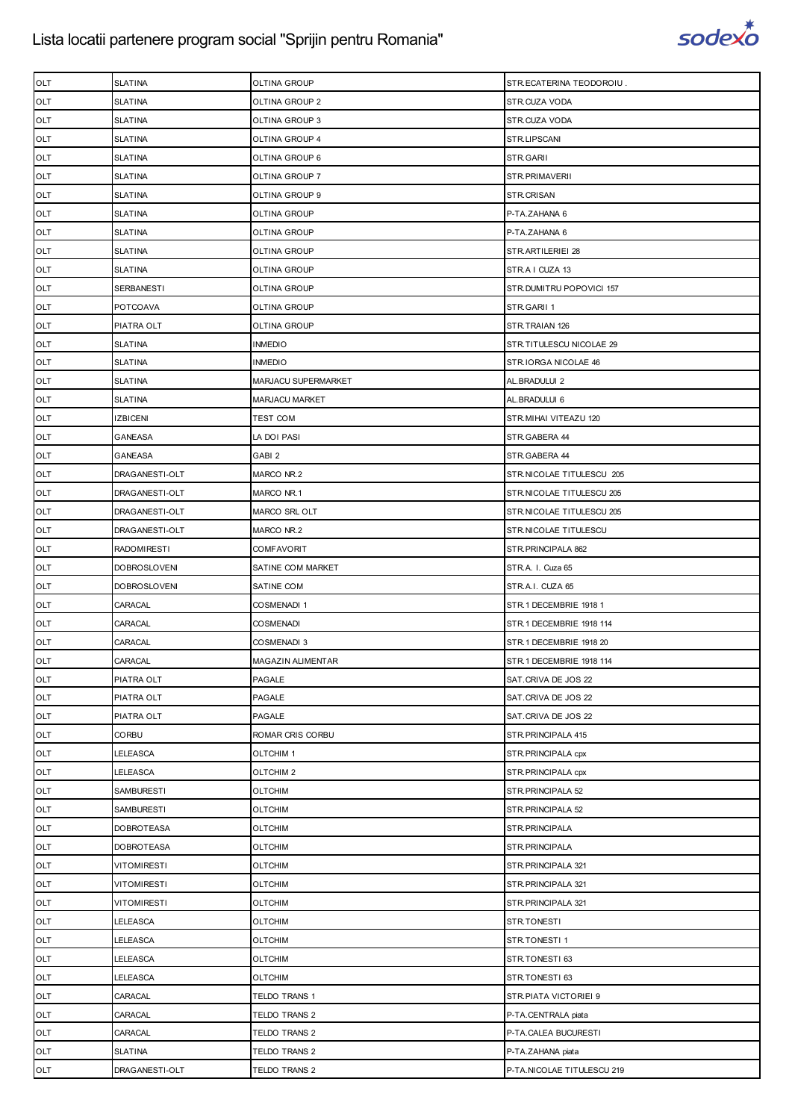

| <b>OLT</b> | <b>SLATINA</b>      | OLTINA GROUP          | STR.ECATERINA TEODOROIU.   |
|------------|---------------------|-----------------------|----------------------------|
| OLT        | <b>SLATINA</b>      | OLTINA GROUP 2        | STR.CUZA VODA              |
| OLT        | <b>SLATINA</b>      | OLTINA GROUP 3        | STR.CUZA VODA              |
| OLT        | <b>SLATINA</b>      | OLTINA GROUP 4        | STR.LIPSCANI               |
| OLT        | <b>SLATINA</b>      | OLTINA GROUP 6        | STR.GARII                  |
| OLT        | <b>SLATINA</b>      | OLTINA GROUP 7        | STR.PRIMAVERII             |
| OLT        | <b>SLATINA</b>      | OLTINA GROUP 9        | STR.CRISAN                 |
| OLT        | <b>SLATINA</b>      | OLTINA GROUP          | P-TA.ZAHANA 6              |
| OLT        | <b>SLATINA</b>      | OLTINA GROUP          | P-TA.ZAHANA 6              |
| OLT        | <b>SLATINA</b>      | OLTINA GROUP          | STR. ARTILERIEI 28         |
| OLT        | <b>SLATINA</b>      | OLTINA GROUP          | STR.A I CUZA 13            |
| OLT        | <b>SERBANESTI</b>   | OLTINA GROUP          | STR.DUMITRU POPOVICI 157   |
| OLT        | POTCOAVA            | OLTINA GROUP          | STR.GARII 1                |
| OLT        | PIATRA OLT          | OLTINA GROUP          | STR.TRAIAN 126             |
| OLT        | <b>SLATINA</b>      | INMEDIO               | STR.TITULESCU NICOLAE 29   |
| OLT        | <b>SLATINA</b>      | <b>INMEDIO</b>        | STR.IORGA NICOLAE 46       |
| OLT        | <b>SLATINA</b>      | MARJACU SUPERMARKET   | AL.BRADULUI 2              |
| OLT        | <b>SLATINA</b>      | <b>MARJACU MARKET</b> | AL.BRADULUI 6              |
| OLT        | <b>IZBICENI</b>     | <b>TEST COM</b>       | STR.MIHAI VITEAZU 120      |
| OLT        | <b>GANEASA</b>      | LA DOI PASI           | STR.GABERA 44              |
| OLT        | GANEASA             | GABI 2                | STR.GABERA 44              |
| OLT        | DRAGANESTI-OLT      | MARCO NR.2            | STR.NICOLAE TITULESCU 205  |
| OLT        | DRAGANESTI-OLT      | MARCO NR.1            | STR.NICOLAE TITULESCU 205  |
| OLT        | DRAGANESTI-OLT      | MARCO SRL OLT         | STR.NICOLAE TITULESCU 205  |
| OLT        | DRAGANESTI-OLT      | MARCO NR.2            | STR.NICOLAE TITULESCU      |
| OLT        | <b>RADOMIRESTI</b>  | COMFAVORIT            | STR.PRINCIPALA 862         |
| OLT        | <b>DOBROSLOVENI</b> | SATINE COM MARKET     | STR.A. I. Cuza 65          |
| OLT        | <b>DOBROSLOVENI</b> | SATINE COM            | STR.A.I. CUZA 65           |
| OLT        | CARACAL             | COSMENADI 1           | STR.1 DECEMBRIE 1918 1     |
| OLT        | CARACAL             | <b>COSMENADI</b>      | STR.1 DECEMBRIE 1918 114   |
| OLT        | CARACAL             | COSMENADI 3           | STR.1 DECEMBRIE 1918 20    |
| OLT        | CARACAL             | MAGAZIN ALIMENTAR     | STR.1 DECEMBRIE 1918 114   |
| OLT        | PIATRA OLT          | PAGALE                | SAT.CRIVA DE JOS 22        |
| OLT        | PIATRA OLT          | PAGALE                | SAT.CRIVA DE JOS 22        |
| OLT        | PIATRA OLT          | PAGALE                | SAT.CRIVA DE JOS 22        |
| OLT        | CORBU               | ROMAR CRIS CORBU      | STR.PRINCIPALA 415         |
| OLT        | LELEASCA            | OLTCHIM 1             | STR.PRINCIPALA cpx         |
| OLT        | LELEASCA            | OLTCHIM <sub>2</sub>  | STR.PRINCIPALA cpx         |
| OLT        | <b>SAMBURESTI</b>   | OLTCHIM               | STR.PRINCIPALA 52          |
| OLT        | SAMBURESTI          | OLTCHIM               | STR.PRINCIPALA 52          |
| OLT        | <b>DOBROTEASA</b>   | <b>OLTCHIM</b>        | STR.PRINCIPALA             |
| OLT        | <b>DOBROTEASA</b>   | <b>OLTCHIM</b>        | STR.PRINCIPALA             |
| OLT        | <b>VITOMIRESTI</b>  | OLTCHIM               | STR.PRINCIPALA 321         |
| OLT        | <b>VITOMIRESTI</b>  | <b>OLTCHIM</b>        | STR.PRINCIPALA 321         |
| OLT        | <b>VITOMIRESTI</b>  | OLTCHIM               | STR.PRINCIPALA 321         |
| OLT        | LELEASCA            | OLTCHIM               | STR.TONESTI                |
| OLT        | LELEASCA            | <b>OLTCHIM</b>        | STR.TONESTI 1              |
| OLT        | LELEASCA            | <b>OLTCHIM</b>        | STR.TONESTI 63             |
| OLT        | LELEASCA            | OLTCHIM               | STR.TONESTI 63             |
| OLT        | CARACAL             | TELDO TRANS 1         | STR.PIATA VICTORIEI 9      |
| OLT        | CARACAL             | TELDO TRANS 2         | P-TA.CENTRALA piata        |
| OLT        | CARACAL             | TELDO TRANS 2         | P-TA.CALEA BUCURESTI       |
| OLT        | <b>SLATINA</b>      | TELDO TRANS 2         | P-TA.ZAHANA piata          |
| OLT        | DRAGANESTI-OLT      | TELDO TRANS 2         | P-TA.NICOLAE TITULESCU 219 |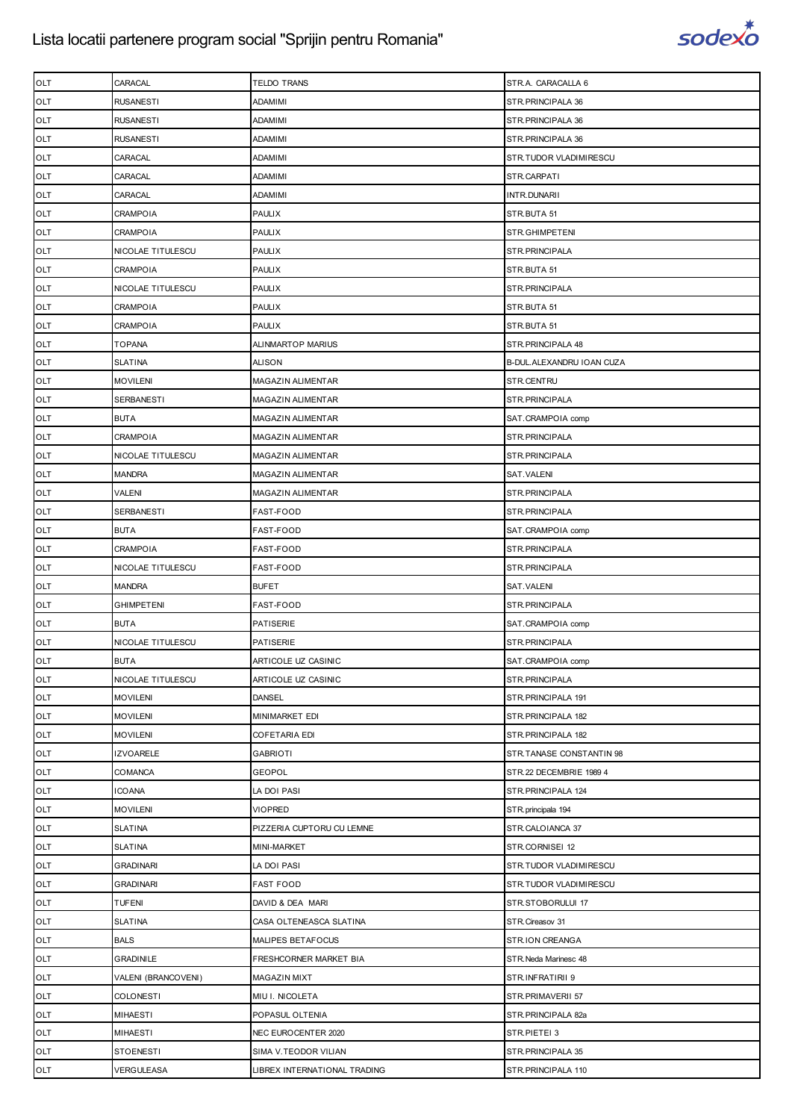

| OLT        | CARACAL             | TELDO TRANS                  | STR.A. CARACALLA 6         |
|------------|---------------------|------------------------------|----------------------------|
| OLT        | <b>RUSANESTI</b>    | ADAMIMI                      | STR. PRINCIPALA 36         |
| OLT        | <b>RUSANESTI</b>    | ADAMIMI                      | STR. PRINCIPALA 36         |
| OLT        | <b>RUSANESTI</b>    | ADAMIMI                      | STR.PRINCIPALA 36          |
| OLT        | CARACAL             | ADAMIMI                      | STR.TUDOR VLADIMIRESCU     |
| OLT        | CARACAL             | ADAMIMI                      | STR.CARPATI                |
| OLT        | CARACAL             | ADAMIMI                      | INTR.DUNARII               |
| OLT        | <b>CRAMPOIA</b>     | <b>PAULIX</b>                | STR.BUTA 51                |
| OLT        | <b>CRAMPOIA</b>     | <b>PAULIX</b>                | STR.GHIMPETENI             |
| OLT        | NICOLAE TITULESCU   | <b>PAULIX</b>                | STR.PRINCIPALA             |
| OLT        | <b>CRAMPOIA</b>     | <b>PAULIX</b>                | STR.BUTA 51                |
| OLT        | NICOLAE TITULESCU   | <b>PAULIX</b>                | STR.PRINCIPALA             |
| OLT        | <b>CRAMPOIA</b>     | <b>PAULIX</b>                | STR.BUTA 51                |
| OLT        | <b>CRAMPOIA</b>     | <b>PAULIX</b>                | STR.BUTA 51                |
| OLT        | <b>TOPANA</b>       | ALINMARTOP MARIUS            | STR. PRINCIPALA 48         |
| OLT        | <b>SLATINA</b>      | <b>ALISON</b>                | B-DUL. ALEXANDRU IOAN CUZA |
| OLT        | <b>MOVILENI</b>     | <b>MAGAZIN ALIMENTAR</b>     | STR.CENTRU                 |
| OLT        | <b>SERBANESTI</b>   | <b>MAGAZIN ALIMENTAR</b>     | STR.PRINCIPALA             |
| OLT        | <b>BUTA</b>         | <b>MAGAZIN ALIMENTAR</b>     | SAT.CRAMPOIA comp          |
| OLT        | <b>CRAMPOIA</b>     | <b>MAGAZIN ALIMENTAR</b>     | STR.PRINCIPALA             |
| OLT        | NICOLAE TITULESCU   | <b>MAGAZIN ALIMENTAR</b>     | STR.PRINCIPALA             |
| OLT        | <b>MANDRA</b>       | <b>MAGAZIN ALIMENTAR</b>     | SAT.VALENI                 |
| OLT        | <b>VALENI</b>       | <b>MAGAZIN ALIMENTAR</b>     | STR.PRINCIPALA             |
| OLT        | <b>SERBANESTI</b>   | FAST-FOOD                    | STR.PRINCIPALA             |
| OLT        | <b>BUTA</b>         | FAST-FOOD                    | SAT.CRAMPOIA comp          |
| OLT        | <b>CRAMPOIA</b>     | FAST-FOOD                    | STR.PRINCIPALA             |
| OLT        | NICOLAE TITULESCU   | FAST-FOOD                    | STR.PRINCIPALA             |
| OLT        | <b>MANDRA</b>       | <b>BUFET</b>                 | SAT.VALENI                 |
| OLT        | <b>GHIMPETENI</b>   | FAST-FOOD                    | STR.PRINCIPALA             |
| OLT        | <b>BUTA</b>         | <b>PATISERIE</b>             | SAT.CRAMPOIA comp          |
| OLT        | NICOLAE TITULESCU   | <b>PATISERIE</b>             | STR.PRINCIPALA             |
| OLT        | <b>BUTA</b>         | ARTICOLE UZ CASINIC          | SAT.CRAMPOIA comp          |
| <b>OLT</b> | NICOLAE TITULESCU   | ARTICOLE UZ CASINIC          | STR.PRINCIPALA             |
| <b>OLT</b> | <b>MOVILENI</b>     | <b>DANSEL</b>                | STR.PRINCIPALA 191         |
| OLT        | <b>MOVILENI</b>     | MINIMARKET EDI               | STR.PRINCIPALA 182         |
| OLT        | <b>MOVILENI</b>     | COFETARIA EDI                | STR.PRINCIPALA 182         |
| OLT        | <b>IZVOARELE</b>    | <b>GABRIOTI</b>              | STR.TANASE CONSTANTIN 98   |
| <b>OLT</b> | <b>COMANCA</b>      | <b>GEOPOL</b>                | STR.22 DECEMBRIE 1989 4    |
| OLT        | <b>ICOANA</b>       | LA DOI PASI                  | STR.PRINCIPALA 124         |
| OLT        | <b>MOVILENI</b>     | <b>VIOPRED</b>               | STR.principala 194         |
| OLT        | <b>SLATINA</b>      | PIZZERIA CUPTORU CU LEMNE    | STR.CALOIANCA 37           |
| OLT        | <b>SLATINA</b>      | <b>MINI-MARKET</b>           | STR.CORNISEI 12            |
| OLT        | <b>GRADINARI</b>    | LA DOI PASI                  | STR.TUDOR VLADIMIRESCU     |
| OLT        | <b>GRADINARI</b>    | <b>FAST FOOD</b>             | STR.TUDOR VLADIMIRESCU     |
| OLT        | <b>TUFENI</b>       | DAVID & DEA MARI             | STR.STOBORULUI 17          |
| OLT        | <b>SLATINA</b>      | CASA OLTENEASCA SLATINA      | STR.Cireasov 31            |
| OLT        | <b>BALS</b>         | MALIPES BETAFOCUS            | STR.ION CREANGA            |
| OLT        | <b>GRADINILE</b>    | FRESHCORNER MARKET BIA       | STR. Neda Marinesc 48      |
| OLT        | VALENI (BRANCOVENI) | <b>MAGAZIN MIXT</b>          | STR.INFRATIRII 9           |
| OLT        | <b>COLONESTI</b>    | MIU I. NICOLETA              | STR.PRIMAVERII 57          |
| OLT        | <b>MIHAESTI</b>     | POPASUL OLTENIA              | STR.PRINCIPALA 82a         |
| OLT        | <b>MIHAESTI</b>     | NEC EUROCENTER 2020          | STR.PIETEI 3               |
| OLT        | <b>STOENESTI</b>    | SIMA V.TEODOR VILIAN         | STR.PRINCIPALA 35          |
| OLT        | VERGULEASA          | LIBREX INTERNATIONAL TRADING | STR.PRINCIPALA 110         |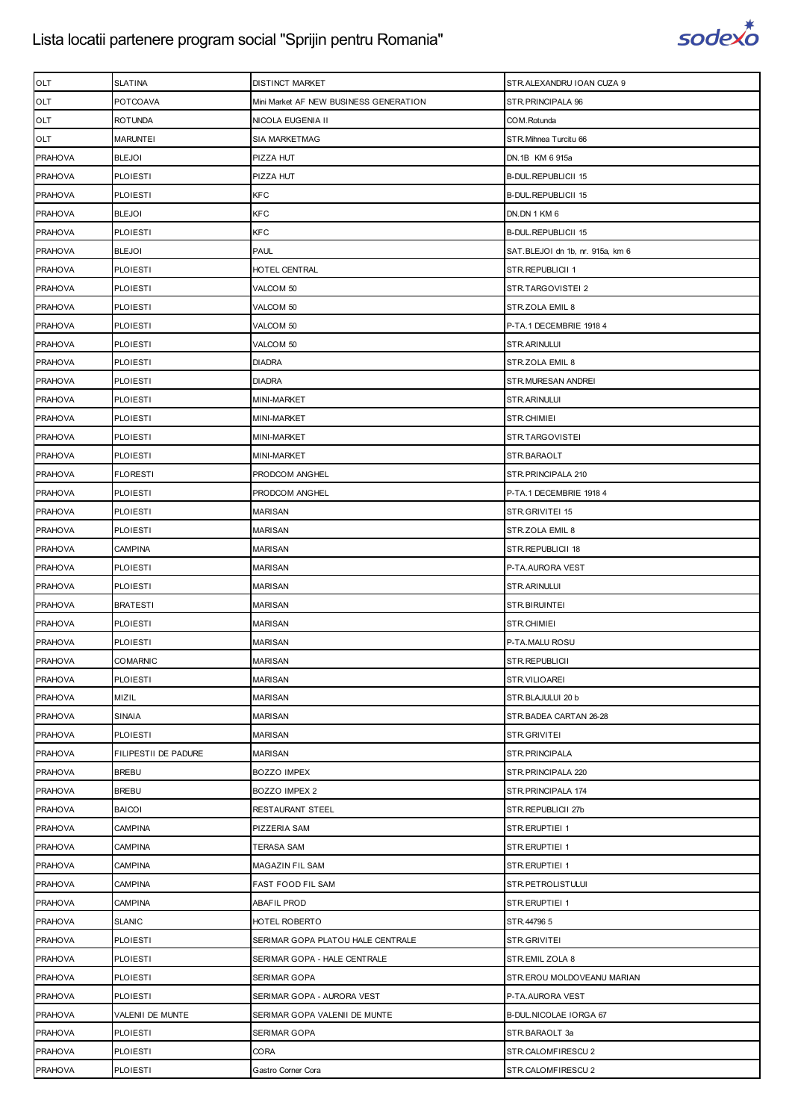

| <b>OLT</b>     | <b>SLATINA</b>       | DISTINCT MARKET                        | STR.ALEXANDRU IOAN CUZA 9        |
|----------------|----------------------|----------------------------------------|----------------------------------|
| <b>OLT</b>     | <b>POTCOAVA</b>      | Mini Market AF NEW BUSINESS GENERATION | STR. PRINCIPALA 96               |
| OLT            | <b>ROTUNDA</b>       | NICOLA EUGENIA II                      | COM.Rotunda                      |
| OLT            | <b>MARUNTEI</b>      | <b>SIA MARKETMAG</b>                   | STR. Mihnea Turcitu 66           |
| <b>PRAHOVA</b> | <b>BLEJOI</b>        | PIZZA HUT                              | DN.1B KM 6 915a                  |
| <b>PRAHOVA</b> | <b>PLOIESTI</b>      | PIZZA HUT                              | <b>B-DUL.REPUBLICII 15</b>       |
| <b>PRAHOVA</b> | PLOIESTI             | <b>KFC</b>                             | <b>B-DUL.REPUBLICII 15</b>       |
| <b>PRAHOVA</b> | <b>BLEJOI</b>        | <b>KFC</b>                             | DN.DN 1 KM 6                     |
| <b>PRAHOVA</b> | <b>PLOIESTI</b>      | <b>KFC</b>                             | <b>B-DUL.REPUBLICII 15</b>       |
| <b>PRAHOVA</b> | <b>BLEJOI</b>        | <b>PAUL</b>                            | SAT.BLEJOI dn 1b, nr. 915a, km 6 |
| <b>PRAHOVA</b> | <b>PLOIESTI</b>      | HOTEL CENTRAL                          | STR.REPUBLICII 1                 |
| <b>PRAHOVA</b> | <b>PLOIESTI</b>      | VALCOM 50                              | STR.TARGOVISTEI 2                |
| <b>PRAHOVA</b> | PLOIESTI             | VALCOM 50                              | STR.ZOLA EMIL 8                  |
| <b>PRAHOVA</b> | <b>PLOIESTI</b>      | VALCOM 50                              | P-TA.1 DECEMBRIE 1918 4          |
| <b>PRAHOVA</b> | <b>PLOIESTI</b>      | VALCOM 50                              | STR.ARINULUI                     |
| <b>PRAHOVA</b> | <b>PLOIESTI</b>      | <b>DIADRA</b>                          | STR.ZOLA EMIL 8                  |
| <b>PRAHOVA</b> | <b>PLOIESTI</b>      | <b>DIADRA</b>                          | STR.MURESAN ANDREI               |
| <b>PRAHOVA</b> | <b>PLOIESTI</b>      | MINI-MARKET                            | STR.ARINULUI                     |
| <b>PRAHOVA</b> | <b>PLOIESTI</b>      | MINI-MARKET                            | STR.CHIMIEI                      |
| <b>PRAHOVA</b> | <b>PLOIESTI</b>      | MINI-MARKET                            | STR.TARGOVISTEI                  |
| <b>PRAHOVA</b> | <b>PLOIESTI</b>      | MINI-MARKET                            | STR.BARAOLT                      |
| <b>PRAHOVA</b> | <b>FLORESTI</b>      | PRODCOM ANGHEL                         | STR. PRINCIPALA 210              |
| <b>PRAHOVA</b> | <b>PLOIESTI</b>      | PRODCOM ANGHEL                         | P-TA.1 DECEMBRIE 1918 4          |
| <b>PRAHOVA</b> | <b>PLOIESTI</b>      | <b>MARISAN</b>                         | STR.GRIVITEI 15                  |
| <b>PRAHOVA</b> | <b>PLOIESTI</b>      | MARISAN                                | STR.ZOLA EMIL 8                  |
| <b>PRAHOVA</b> | <b>CAMPINA</b>       | <b>MARISAN</b>                         | STR.REPUBLICII 18                |
| <b>PRAHOVA</b> | <b>PLOIESTI</b>      | <b>MARISAN</b>                         | P-TA.AURORA VEST                 |
| <b>PRAHOVA</b> | <b>PLOIESTI</b>      | MARISAN                                | STR.ARINULUI                     |
| <b>PRAHOVA</b> | <b>BRATESTI</b>      | <b>MARISAN</b>                         | STR.BIRUINTEI                    |
| <b>PRAHOVA</b> | <b>PLOIESTI</b>      | <b>MARISAN</b>                         | STR.CHIMIEI                      |
| <b>PRAHOVA</b> | <b>PLOIESTI</b>      | MARISAN                                | P-TA.MALU ROSU                   |
| <b>PRAHOVA</b> | <b>COMARNIC</b>      | <b>MARISAN</b>                         | STR.REPUBLICII                   |
| <b>PRAHOVA</b> | <b>PLOIESTI</b>      | <b>MARISAN</b>                         | STR.VILIOAREI                    |
| <b>PRAHOVA</b> | MIZIL                | <b>MARISAN</b>                         | STR.BLAJULUI 20 b                |
| <b>PRAHOVA</b> | <b>SINAIA</b>        | <b>MARISAN</b>                         | STR. BADEA CARTAN 26-28          |
| <b>PRAHOVA</b> | <b>PLOIESTI</b>      | <b>MARISAN</b>                         | STR.GRIVITEI                     |
| <b>PRAHOVA</b> | FILIPESTII DE PADURE | <b>MARISAN</b>                         | STR. PRINCIPALA                  |
| <b>PRAHOVA</b> | <b>BREBU</b>         | <b>BOZZO IMPEX</b>                     | STR. PRINCIPALA 220              |
| <b>PRAHOVA</b> | <b>BREBU</b>         | BOZZO IMPEX 2                          | STR.PRINCIPALA 174               |
| <b>PRAHOVA</b> | <b>BAICOI</b>        | RESTAURANT STEEL                       | STR.REPUBLICII 27b               |
| <b>PRAHOVA</b> | <b>CAMPINA</b>       | PIZZERIA SAM                           | STR.ERUPTIEI 1                   |
| <b>PRAHOVA</b> | <b>CAMPINA</b>       | TERASA SAM                             | STR.ERUPTIEI 1                   |
| <b>PRAHOVA</b> | <b>CAMPINA</b>       | MAGAZIN FIL SAM                        | STR.ERUPTIEI 1                   |
| <b>PRAHOVA</b> | <b>CAMPINA</b>       | FAST FOOD FIL SAM                      | STR.PETROLISTULUI                |
| <b>PRAHOVA</b> | <b>CAMPINA</b>       | <b>ABAFIL PROD</b>                     | STR.ERUPTIEI 1                   |
| <b>PRAHOVA</b> | <b>SLANIC</b>        | HOTEL ROBERTO                          | STR.447965                       |
| <b>PRAHOVA</b> | <b>PLOIESTI</b>      | SERIMAR GOPA PLATOU HALE CENTRALE      | STR.GRIVITEI                     |
| <b>PRAHOVA</b> | <b>PLOIESTI</b>      | SERIMAR GOPA - HALE CENTRALE           | STR.EMIL ZOLA 8                  |
| <b>PRAHOVA</b> | <b>PLOIESTI</b>      | SERIMAR GOPA                           | STR.EROU MOLDOVEANU MARIAN       |
| <b>PRAHOVA</b> | <b>PLOIESTI</b>      | SERIMAR GOPA - AURORA VEST             | P-TA.AURORA VEST                 |
| <b>PRAHOVA</b> | VALENII DE MUNTE     | SERIMAR GOPA VALENII DE MUNTE          | B-DUL.NICOLAE IORGA 67           |
| <b>PRAHOVA</b> | <b>PLOIESTI</b>      | SERIMAR GOPA                           | STR.BARAOLT 3a                   |
| <b>PRAHOVA</b> | <b>PLOIESTI</b>      | <b>CORA</b>                            | STR.CALOMFIRESCU 2               |
| <b>PRAHOVA</b> | <b>PLOIESTI</b>      | Gastro Corner Cora                     | STR.CALOMFIRESCU 2               |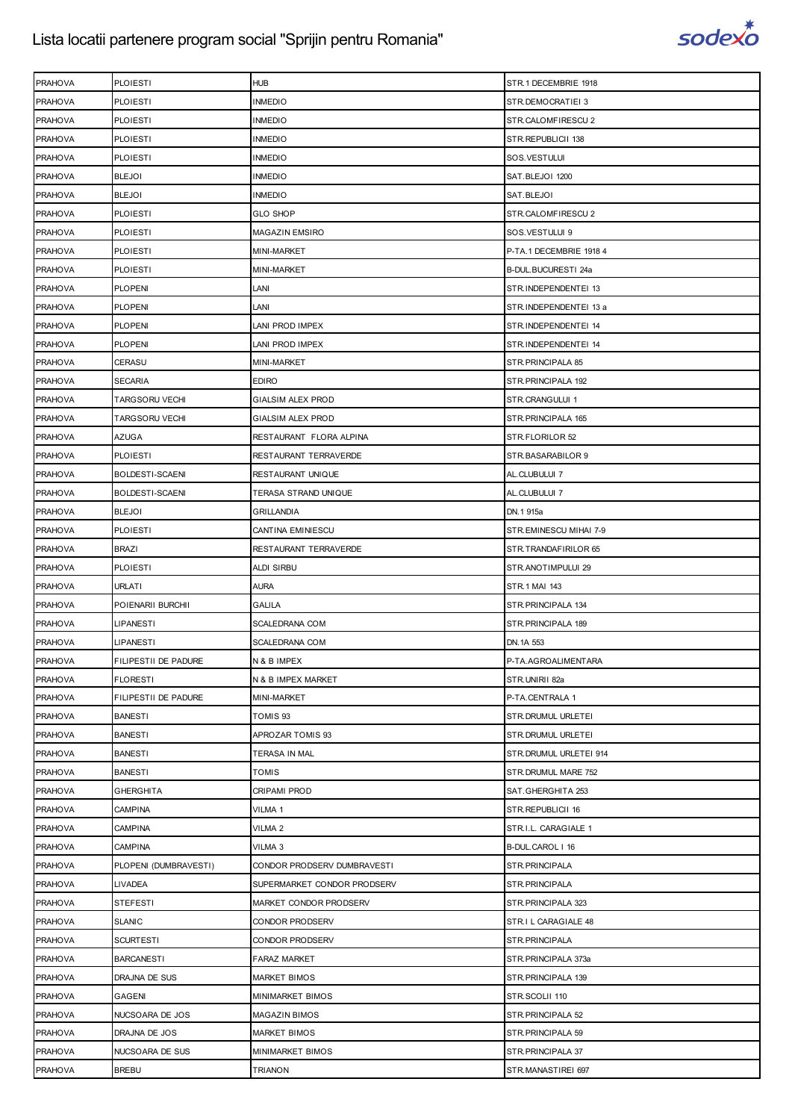

| <b>PRAHOVA</b> | <b>PLOIESTI</b>        | <b>HUB</b>                  | STR.1 DECEMBRIE 1918    |
|----------------|------------------------|-----------------------------|-------------------------|
| <b>PRAHOVA</b> | <b>PLOIESTI</b>        | <b>INMEDIO</b>              | STR.DEMOCRATIEI 3       |
| <b>PRAHOVA</b> | <b>PLOIESTI</b>        | <b>INMEDIO</b>              | STR.CALOMFIRESCU 2      |
| <b>PRAHOVA</b> | <b>PLOIESTI</b>        | <b>INMEDIO</b>              | STR.REPUBLICII 138      |
| <b>PRAHOVA</b> | <b>PLOIESTI</b>        | <b>INMEDIO</b>              | SOS.VESTULUI            |
| <b>PRAHOVA</b> | <b>BLEJOI</b>          | <b>INMEDIO</b>              | SAT.BLEJOI 1200         |
| <b>PRAHOVA</b> | <b>BLEJOI</b>          | <b>INMEDIO</b>              | SAT.BLEJOI              |
| <b>PRAHOVA</b> | <b>PLOIESTI</b>        | <b>GLO SHOP</b>             | STR.CALOMFIRESCU 2      |
| <b>PRAHOVA</b> | <b>PLOIESTI</b>        | MAGAZIN EMSIRO              | SOS.VESTULUI 9          |
| <b>PRAHOVA</b> | <b>PLOIESTI</b>        | MINI-MARKET                 | P-TA.1 DECEMBRIE 1918 4 |
| <b>PRAHOVA</b> | <b>PLOIESTI</b>        | <b>MINI-MARKET</b>          | B-DUL.BUCURESTI 24a     |
| <b>PRAHOVA</b> | <b>PLOPENI</b>         | LANI                        | STR.INDEPENDENTEI 13    |
| <b>PRAHOVA</b> | <b>PLOPENI</b>         | LANI                        | STR.INDEPENDENTEI 13 a  |
| <b>PRAHOVA</b> | <b>PLOPENI</b>         | LANI PROD IMPEX             | STR.INDEPENDENTEI 14    |
| <b>PRAHOVA</b> | <b>PLOPENI</b>         | LANI PROD IMPEX             | STR.INDEPENDENTEI 14    |
| <b>PRAHOVA</b> | <b>CERASU</b>          | MINI-MARKET                 | STR. PRINCIPALA 85      |
| <b>PRAHOVA</b> | <b>SECARIA</b>         | EDIRO                       | STR. PRINCIPALA 192     |
| <b>PRAHOVA</b> | <b>TARGSORU VECHI</b>  | <b>GIALSIM ALEX PROD</b>    | STR.CRANGULUI 1         |
| <b>PRAHOVA</b> | <b>TARGSORU VECHI</b>  | GIALSIM ALEX PROD           | STR. PRINCIPALA 165     |
| <b>PRAHOVA</b> | <b>AZUGA</b>           | RESTAURANT FLORA ALPINA     | STR.FLORILOR 52         |
| <b>PRAHOVA</b> | <b>PLOIESTI</b>        | RESTAURANT TERRAVERDE       | STR.BASARABILOR 9       |
| <b>PRAHOVA</b> | BOLDESTI-SCAENI        | RESTAURANT UNIQUE           | AL.CLUBULUI 7           |
| <b>PRAHOVA</b> | <b>BOLDESTI-SCAENI</b> | TERASA STRAND UNIQUE        | AL.CLUBULUI 7           |
| <b>PRAHOVA</b> | <b>BLEJOI</b>          | GRILLANDIA                  | DN.1 915a               |
| <b>PRAHOVA</b> | <b>PLOIESTI</b>        | CANTINA EMINIESCU           | STR.EMINESCU MIHAI 7-9  |
| <b>PRAHOVA</b> | <b>BRAZI</b>           | RESTAURANT TERRAVERDE       | STR.TRANDAFIRILOR 65    |
| <b>PRAHOVA</b> | <b>PLOIESTI</b>        | ALDI SIRBU                  | STR.ANOTIMPULUI 29      |
| <b>PRAHOVA</b> | <b>URLATI</b>          | AURA                        | STR.1 MAI 143           |
| <b>PRAHOVA</b> | POIENARII BURCHII      | GALILA                      | STR. PRINCIPALA 134     |
| <b>PRAHOVA</b> | <b>LIPANESTI</b>       | SCALEDRANA COM              | STR.PRINCIPALA 189      |
| <b>PRAHOVA</b> | <b>LIPANESTI</b>       | SCALEDRANA COM              | DN. 1A 553              |
| <b>PRAHOVA</b> | FILIPESTII DE PADURE   | N & B IMPEX                 | P-TA.AGROALIMENTARA     |
| <b>PRAHOVA</b> | <b>FLORESTI</b>        | N & B IMPEX MARKET          | STR.UNIRII 82a          |
| <b>PRAHOVA</b> | FILIPESTII DE PADURE   | MINI-MARKET                 | P-TA.CENTRALA 1         |
| <b>PRAHOVA</b> | <b>BANESTI</b>         | TOMIS 93                    | STR. DRUMUL URLETEI     |
| <b>PRAHOVA</b> | <b>BANESTI</b>         | APROZAR TOMIS 93            | STR.DRUMUL URLETEI      |
| <b>PRAHOVA</b> | <b>BANESTI</b>         | TERASA IN MAL               | STR. DRUMUL URLETEI 914 |
| <b>PRAHOVA</b> | <b>BANESTI</b>         | <b>TOMIS</b>                | STR.DRUMUL MARE 752     |
| <b>PRAHOVA</b> | <b>GHERGHITA</b>       | CRIPAMI PROD                | SAT.GHERGHITA 253       |
| <b>PRAHOVA</b> | CAMPINA                | VILMA 1                     | STR.REPUBLICII 16       |
| <b>PRAHOVA</b> | <b>CAMPINA</b>         | VILMA <sub>2</sub>          | STR.I.L. CARAGIALE 1    |
| <b>PRAHOVA</b> | <b>CAMPINA</b>         | VILMA 3                     | B-DUL.CAROL   16        |
| <b>PRAHOVA</b> | PLOPENI (DUMBRAVESTI)  | CONDOR PRODSERV DUMBRAVESTI | STR. PRINCIPALA         |
| <b>PRAHOVA</b> | <b>LIVADEA</b>         | SUPERMARKET CONDOR PRODSERV | STR.PRINCIPALA          |
| <b>PRAHOVA</b> | <b>STEFESTI</b>        | MARKET CONDOR PRODSERV      | STR.PRINCIPALA 323      |
| <b>PRAHOVA</b> | <b>SLANIC</b>          | CONDOR PRODSERV             | STR.I L CARAGIALE 48    |
| <b>PRAHOVA</b> | <b>SCURTESTI</b>       | CONDOR PRODSERV             | STR.PRINCIPALA          |
| <b>PRAHOVA</b> | <b>BARCANESTI</b>      | FARAZ MARKET                | STR.PRINCIPALA 373a     |
| <b>PRAHOVA</b> | DRAJNA DE SUS          | MARKET BIMOS                | STR. PRINCIPALA 139     |
| <b>PRAHOVA</b> | <b>GAGENI</b>          | MINIMARKET BIMOS            | STR.SCOLII 110          |
| <b>PRAHOVA</b> | NUCSOARA DE JOS        | MAGAZIN BIMOS               | STR.PRINCIPALA 52       |
| <b>PRAHOVA</b> | DRAJNA DE JOS          | MARKET BIMOS                | STR. PRINCIPALA 59      |
| <b>PRAHOVA</b> | NUCSOARA DE SUS        | MINIMARKET BIMOS            | STR. PRINCIPALA 37      |
| <b>PRAHOVA</b> | <b>BREBU</b>           | TRIANON                     | STR.MANASTIREI 697      |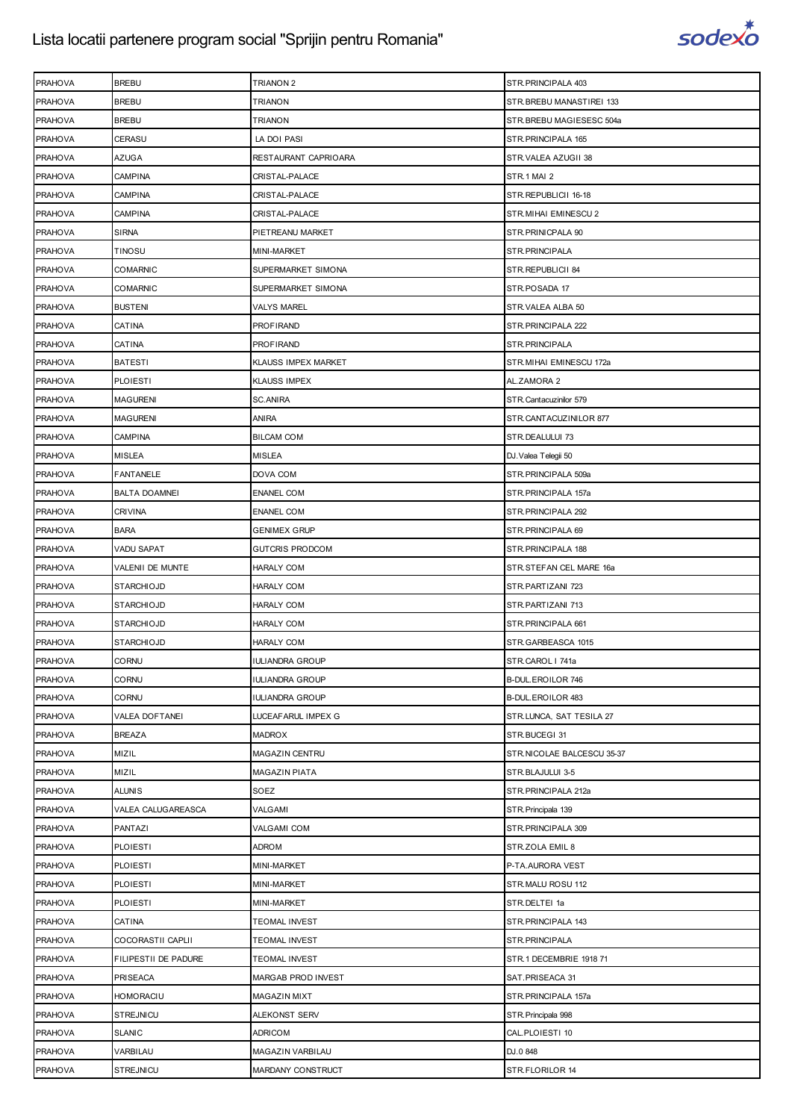

| <b>PRAHOVA</b> | <b>BREBU</b>         | TRIANON <sub>2</sub>   | STR.PRINCIPALA 403         |
|----------------|----------------------|------------------------|----------------------------|
| <b>PRAHOVA</b> | <b>BREBU</b>         | <b>TRIANON</b>         | STR.BREBU MANASTIREI 133   |
| <b>PRAHOVA</b> | <b>BREBU</b>         | TRIANON                | STR.BREBU MAGIESESC 504a   |
| <b>PRAHOVA</b> | CERASU               | LA DOI PASI            | STR.PRINCIPALA 165         |
| <b>PRAHOVA</b> | AZUGA                | RESTAURANT CAPRIOARA   | STR.VALEA AZUGII 38        |
| <b>PRAHOVA</b> | CAMPINA              | CRISTAL-PALACE         | STR.1 MAI 2                |
| <b>PRAHOVA</b> | CAMPINA              | CRISTAL-PALACE         | STR.REPUBLICII 16-18       |
| <b>PRAHOVA</b> | CAMPINA              | CRISTAL-PALACE         | STR. MIHAI EMINESCU 2      |
| <b>PRAHOVA</b> | SIRNA                | PIETREANU MARKET       | STR.PRINICPALA 90          |
| <b>PRAHOVA</b> | TINOSU               | MINI-MARKET            | STR.PRINCIPALA             |
| <b>PRAHOVA</b> | COMARNIC             | SUPERMARKET SIMONA     | STR.REPUBLICII 84          |
| <b>PRAHOVA</b> | COMARNIC             | SUPERMARKET SIMONA     | STR.POSADA 17              |
| <b>PRAHOVA</b> | <b>BUSTENI</b>       | VALYS MAREL            | STR.VALEA ALBA 50          |
| <b>PRAHOVA</b> | CATINA               | PROFIRAND              | STR.PRINCIPALA 222         |
| <b>PRAHOVA</b> | CATINA               | PROFIRAND              | STR.PRINCIPALA             |
| <b>PRAHOVA</b> | <b>BATESTI</b>       | KLAUSS IMPEX MARKET    | STR.MIHAI EMINESCU 172a    |
| <b>PRAHOVA</b> | <b>PLOIESTI</b>      | <b>KLAUSS IMPEX</b>    | AL.ZAMORA 2                |
| <b>PRAHOVA</b> | <b>MAGURENI</b>      | SC.ANIRA               | STR. Cantacuzinilor 579    |
| <b>PRAHOVA</b> | <b>MAGURENI</b>      | <b>ANIRA</b>           | STR.CANTACUZINILOR 877     |
| <b>PRAHOVA</b> | CAMPINA              | <b>BILCAM COM</b>      | STR.DEALULUI 73            |
| <b>PRAHOVA</b> | MISLEA               | MISLEA                 | DJ. Valea Telegii 50       |
| <b>PRAHOVA</b> | FANTANELE            | DOVA COM               | STR.PRINCIPALA 509a        |
| <b>PRAHOVA</b> | <b>BALTA DOAMNEI</b> | ENANEL COM             | STR.PRINCIPALA 157a        |
| <b>PRAHOVA</b> | CRIVINA              | ENANEL COM             | STR.PRINCIPALA 292         |
| <b>PRAHOVA</b> | <b>BARA</b>          | <b>GENIMEX GRUP</b>    | STR.PRINCIPALA 69          |
| <b>PRAHOVA</b> | VADU SAPAT           | <b>GUTCRIS PRODCOM</b> | STR.PRINCIPALA 188         |
| <b>PRAHOVA</b> | VALENII DE MUNTE     | HARALY COM             | STR.STEFAN CEL MARE 16a    |
| <b>PRAHOVA</b> | <b>STARCHIOJD</b>    | <b>HARALY COM</b>      | STR.PARTIZANI 723          |
|                | <b>STARCHIOJD</b>    |                        |                            |
| <b>PRAHOVA</b> |                      | <b>HARALY COM</b>      | STR.PARTIZANI 713          |
| <b>PRAHOVA</b> | STARCHIOJD           | <b>HARALY COM</b>      | STR.PRINCIPALA 661         |
| <b>PRAHOVA</b> | STARCHIOJD           | <b>HARALY COM</b>      | STR.GARBEASCA 1015         |
| <b>PRAHOVA</b> | <b>CORNU</b>         | <b>IULIANDRA GROUP</b> | STR.CAROL   741a           |
| <b>PRAHOVA</b> | CORNU                | <b>IULIANDRA GROUP</b> | B-DUL.EROILOR 746          |
| <b>PRAHOVA</b> | CORNU                | <b>IULIANDRA GROUP</b> | B-DUL.EROILOR 483          |
| <b>PRAHOVA</b> | VALEA DOFTANEI       | LUCEAFARUL IMPEX G     | STR.LUNCA, SAT TESILA 27   |
| <b>PRAHOVA</b> | <b>BREAZA</b>        | <b>MADROX</b>          | STR.BUCEGI 31              |
| <b>PRAHOVA</b> | MIZIL                | MAGAZIN CENTRU         | STR.NICOLAE BALCESCU 35-37 |
| <b>PRAHOVA</b> | MIZIL                | <b>MAGAZIN PIATA</b>   | STR.BLAJULUI 3-5           |
| <b>PRAHOVA</b> | <b>ALUNIS</b>        | SOEZ                   | STR.PRINCIPALA 212a        |
| <b>PRAHOVA</b> | VALEA CALUGAREASCA   | VALGAMI                | STR. Principala 139        |
| <b>PRAHOVA</b> | PANTAZI              | <b>VALGAMI COM</b>     | STR.PRINCIPALA 309         |
| <b>PRAHOVA</b> | <b>PLOIESTI</b>      | <b>ADROM</b>           | STR.ZOLA EMIL 8            |
| <b>PRAHOVA</b> | <b>PLOIESTI</b>      | MINI-MARKET            | P-TA.AURORA VEST           |
| <b>PRAHOVA</b> | <b>PLOIESTI</b>      | MINI-MARKET            | STR.MALU ROSU 112          |
| <b>PRAHOVA</b> | <b>PLOIESTI</b>      | MINI-MARKET            | STR.DELTEI 1a              |
| <b>PRAHOVA</b> | CATINA               | <b>TEOMAL INVEST</b>   | STR.PRINCIPALA 143         |
| <b>PRAHOVA</b> | COCORASTII CAPLII    | <b>TEOMAL INVEST</b>   | STR.PRINCIPALA             |
| <b>PRAHOVA</b> | FILIPESTII DE PADURE | <b>TEOMAL INVEST</b>   | STR.1 DECEMBRIE 1918 71    |
| <b>PRAHOVA</b> | <b>PRISEACA</b>      | MARGAB PROD INVEST     | SAT.PRISEACA 31            |
| <b>PRAHOVA</b> | HOMORACIU            | <b>MAGAZIN MIXT</b>    | STR.PRINCIPALA 157a        |
| <b>PRAHOVA</b> | <b>STREJNICU</b>     | ALEKONST SERV          | STR. Principala 998        |
| <b>PRAHOVA</b> | <b>SLANIC</b>        | <b>ADRICOM</b>         | CAL.PLOIESTI 10            |
| <b>PRAHOVA</b> | VARBILAU             | MAGAZIN VARBILAU       | DJ.0 848                   |
| <b>PRAHOVA</b> | <b>STREJNICU</b>     | MARDANY CONSTRUCT      | STR.FLORILOR 14            |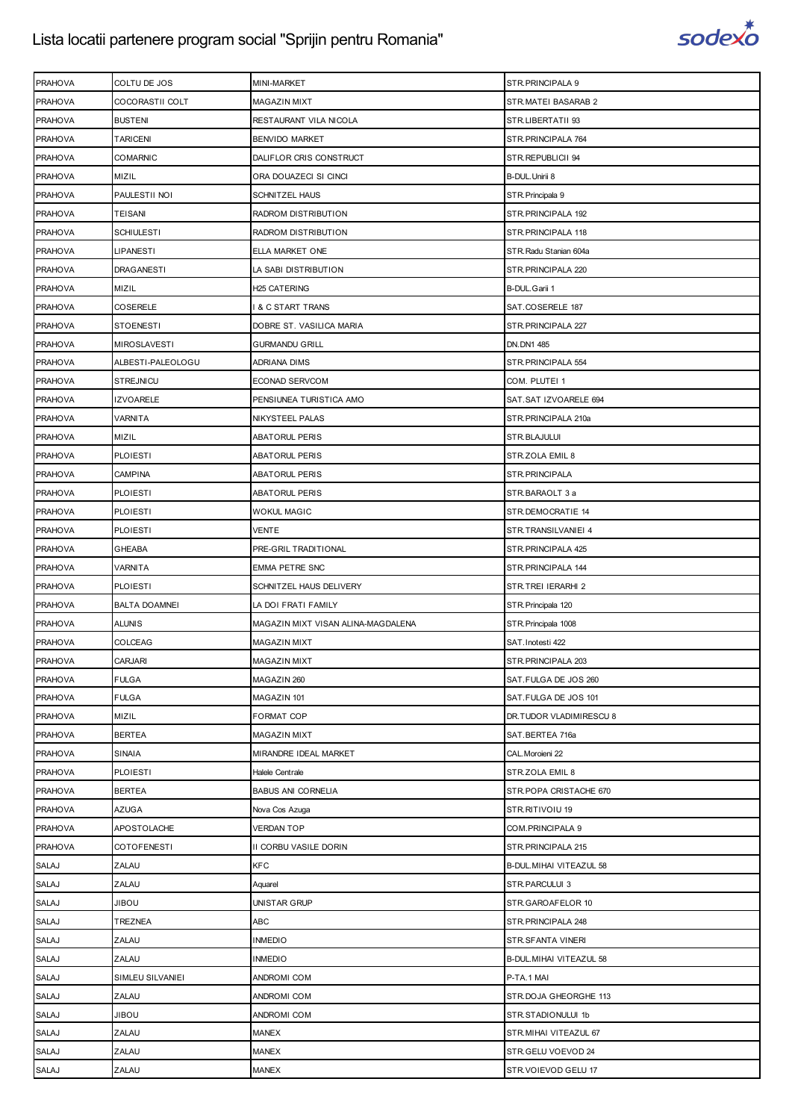

| <b>PRAHOVA</b> | COLTU DE JOS         | MINI-MARKET                        | STR.PRINCIPALA 9         |
|----------------|----------------------|------------------------------------|--------------------------|
| <b>PRAHOVA</b> | COCORASTII COLT      | <b>MAGAZIN MIXT</b>                | STR.MATEI BASARAB 2      |
| <b>PRAHOVA</b> | <b>BUSTENI</b>       | RESTAURANT VILA NICOLA             | STR.LIBERTATII 93        |
| <b>PRAHOVA</b> | TARICENI             | BENVIDO MARKET                     | STR.PRINCIPALA 764       |
| <b>PRAHOVA</b> | <b>COMARNIC</b>      | DALIFLOR CRIS CONSTRUCT            | STR.REPUBLICII 94        |
| <b>PRAHOVA</b> | MIZIL                | ORA DOUAZECI SI CINCI              | B-DUL. Unirii 8          |
| <b>PRAHOVA</b> | PAULESTII NOI        | SCHNITZEL HAUS                     | STR.Principala 9         |
| <b>PRAHOVA</b> | TEISANI              | RADROM DISTRIBUTION                | STR.PRINCIPALA 192       |
| <b>PRAHOVA</b> | SCHIULESTI           | RADROM DISTRIBUTION                | STR.PRINCIPALA 118       |
| <b>PRAHOVA</b> | <b>LIPANESTI</b>     | ELLA MARKET ONE                    | STR. Radu Stanian 604a   |
| <b>PRAHOVA</b> | <b>DRAGANESTI</b>    | LA SABI DISTRIBUTION               | STR. PRINCIPALA 220      |
| <b>PRAHOVA</b> | MIZIL                | H <sub>25</sub> CATERING           | B-DUL.Garii 1            |
| <b>PRAHOVA</b> | COSERELE             | & C START TRANS                    | SAT.COSERELE 187         |
| <b>PRAHOVA</b> | <b>STOENESTI</b>     | DOBRE ST. VASILICA MARIA           | STR.PRINCIPALA 227       |
| <b>PRAHOVA</b> | <b>MIROSLAVESTI</b>  | <b>GURMANDU GRILL</b>              | DN.DN1 485               |
| <b>PRAHOVA</b> | ALBESTI-PALEOLOGU    | ADRIANA DIMS                       | STR.PRINCIPALA 554       |
| <b>PRAHOVA</b> | <b>STREJNICU</b>     | ECONAD SERVCOM                     | COM. PLUTEI 1            |
| <b>PRAHOVA</b> | IZVOARELE            | PENSIUNEA TURISTICA AMO            | SAT.SAT IZVOARELE 694    |
| <b>PRAHOVA</b> | VARNITA              | NIKYSTEEL PALAS                    | STR.PRINCIPALA 210a      |
| <b>PRAHOVA</b> | MIZIL                | <b>ABATORUL PERIS</b>              | STR.BLAJULUI             |
| <b>PRAHOVA</b> | <b>PLOIESTI</b>      | <b>ABATORUL PERIS</b>              | STR.ZOLA EMIL 8          |
| <b>PRAHOVA</b> | CAMPINA              | <b>ABATORUL PERIS</b>              | STR.PRINCIPALA           |
| <b>PRAHOVA</b> | <b>PLOIESTI</b>      | <b>ABATORUL PERIS</b>              | STR.BARAOLT 3 a          |
| <b>PRAHOVA</b> | <b>PLOIESTI</b>      | <b>WOKUL MAGIC</b>                 | STR.DEMOCRATIE 14        |
| <b>PRAHOVA</b> | <b>PLOIESTI</b>      | <b>VENTE</b>                       | STR.TRANSILVANIEI 4      |
| <b>PRAHOVA</b> | <b>GHEABA</b>        | PRE-GRIL TRADITIONAL               | STR. PRINCIPALA 425      |
| <b>PRAHOVA</b> | VARNITA              | <b>EMMA PETRE SNC</b>              | STR.PRINCIPALA 144       |
| <b>PRAHOVA</b> | <b>PLOIESTI</b>      | SCHNITZEL HAUS DELIVERY            | STR.TREI IERARHI 2       |
| <b>PRAHOVA</b> | <b>BALTA DOAMNEI</b> | LA DOI FRATI FAMILY                | STR. Principala 120      |
| <b>PRAHOVA</b> | <b>ALUNIS</b>        | MAGAZIN MIXT VISAN ALINA-MAGDALENA | STR. Principala 1008     |
| <b>PRAHOVA</b> | COLCEAG              | MAGAZIN MIXT                       | SAT. Inotesti 422        |
| <b>PRAHOVA</b> | CARJARI              | <b>MAGAZIN MIXT</b>                | STR. PRINCIPALA 203      |
| <b>PRAHOVA</b> | <b>FULGA</b>         | MAGAZIN 260                        | SAT.FULGA DE JOS 260     |
| <b>PRAHOVA</b> | <b>FULGA</b>         | MAGAZIN 101                        | SAT.FULGA DE JOS 101     |
| <b>PRAHOVA</b> | MIZIL                | FORMAT COP                         | DR.TUDOR VLADIMIRESCU 8  |
| <b>PRAHOVA</b> | <b>BERTEA</b>        | <b>MAGAZIN MIXT</b>                | SAT.BERTEA 716a          |
| <b>PRAHOVA</b> | <b>SINAIA</b>        | MIRANDRE IDEAL MARKET              | CAL. Moroieni 22         |
| <b>PRAHOVA</b> | <b>PLOIESTI</b>      | Halele Centrale                    | STR.ZOLA EMIL 8          |
| <b>PRAHOVA</b> | <b>BERTEA</b>        | <b>BABUS ANI CORNELIA</b>          | STR.POPA CRISTACHE 670   |
| <b>PRAHOVA</b> | AZUGA                | Nova Cos Azuga                     | STR.RITIVOIU 19          |
| <b>PRAHOVA</b> | APOSTOLACHE          | <b>VERDAN TOP</b>                  | COM. PRINCIPALA 9        |
| <b>PRAHOVA</b> | <b>COTOFENESTI</b>   | II CORBU VASILE DORIN              | STR. PRINCIPALA 215      |
| <b>SALAJ</b>   | ZALAU                | <b>KFC</b>                         | B-DUL. MIHAI VITEAZUL 58 |
| SALAJ          | ZALAU                | Aquarel                            | STR.PARCULUI 3           |
| SALAJ          | UOBIL                | UNISTAR GRUP                       | STR.GAROAFELOR 10        |
| SALAJ          | TREZNEA              | ABC                                | STR. PRINCIPALA 248      |
| <b>SALAJ</b>   | ZALAU                | <b>INMEDIO</b>                     | STR.SFANTA VINERI        |
| <b>SALAJ</b>   | ZALAU                | <b>INMEDIO</b>                     | B-DUL. MIHAI VITEAZUL 58 |
| <b>SALAJ</b>   | SIMLEU SILVANIEI     | ANDROMI COM                        | P-TA.1 MAI               |
| SALAJ          | ZALAU                | ANDROMI COM                        | STR.DOJA GHEORGHE 113    |
| SALAJ          | UOBIL                | ANDROMI COM                        | STR.STADIONULUI 1b       |
| <b>SALAJ</b>   | ZALAU                | <b>MANEX</b>                       | STR.MIHAI VITEAZUL 67    |
| SALAJ          | ZALAU                | <b>MANEX</b>                       | STR.GELU VOEVOD 24       |
| SALAJ          | ZALAU                | <b>MANEX</b>                       | STR.VOIEVOD GELU 17      |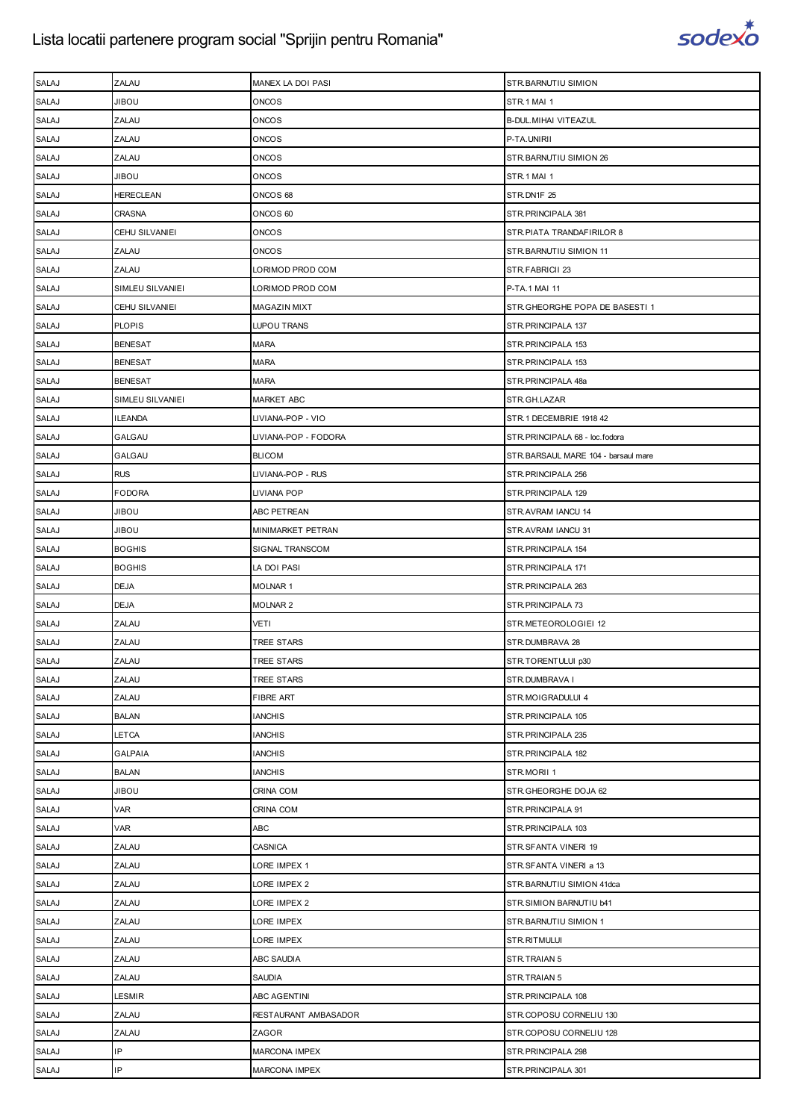

| <b>SALAJ</b> | ZALAU            | MANEX LA DOI PASI    | STR.BARNUTIU SIMION                 |
|--------------|------------------|----------------------|-------------------------------------|
| <b>SALAJ</b> | <b>JIBOU</b>     | <b>ONCOS</b>         | STR.1 MAI 1                         |
| SALAJ        | ZALAU            | <b>ONCOS</b>         | B-DUL. MIHAI VITEAZUL               |
| <b>SALAJ</b> | ZALAU            | <b>ONCOS</b>         | P-TA.UNIRII                         |
| <b>SALAJ</b> | ZALAU            | <b>ONCOS</b>         | STR.BARNUTIU SIMION 26              |
| SALAJ        | <b>JIBOU</b>     | <b>ONCOS</b>         | STR.1 MAI 1                         |
| SALAJ        | HERECLEAN        | ONCOS 68             | STR.DN1F 25                         |
| <b>SALAJ</b> | <b>CRASNA</b>    | ONCOS 60             | STR.PRINCIPALA 381                  |
| SALAJ        | CEHU SILVANIEI   | <b>ONCOS</b>         | STR.PIATA TRANDAFIRILOR 8           |
| SALAJ        | ZALAU            | <b>ONCOS</b>         | STR. BARNUTIU SIMION 11             |
| <b>SALAJ</b> | ZALAU            | LORIMOD PROD COM     | STR.FABRICII 23                     |
| SALAJ        | SIMLEU SILVANIEI | LORIMOD PROD COM     | P-TA.1 MAI 11                       |
| SALAJ        | CEHU SILVANIEI   | MAGAZIN MIXT         | STR.GHEORGHE POPA DE BASESTI 1      |
| SALAJ        | <b>PLOPIS</b>    | LUPOU TRANS          | STR.PRINCIPALA 137                  |
| SALAJ        | <b>BENESAT</b>   | <b>MARA</b>          | STR.PRINCIPALA 153                  |
| SALAJ        | <b>BENESAT</b>   | <b>MARA</b>          | STR.PRINCIPALA 153                  |
| <b>SALAJ</b> | <b>BENESAT</b>   | <b>MARA</b>          | STR.PRINCIPALA 48a                  |
| SALAJ        | SIMLEU SILVANIEI | <b>MARKET ABC</b>    | STR.GH.LAZAR                        |
| SALAJ        | <b>ILEANDA</b>   | LIVIANA-POP - VIO    | STR.1 DECEMBRIE 1918 42             |
| SALAJ        | GALGAU           | LIVIANA-POP - FODORA | STR.PRINCIPALA 68 - loc.fodora      |
| SALAJ        | GALGAU           | <b>BLICOM</b>        | STR.BARSAUL MARE 104 - barsaul mare |
| <b>SALAJ</b> | <b>RUS</b>       | LIVIANA-POP - RUS    | STR.PRINCIPALA 256                  |
| <b>SALAJ</b> | <b>FODORA</b>    | LIVIANA POP          | STR. PRINCIPALA 129                 |
| SALAJ        | <b>JIBOU</b>     | ABC PETREAN          | STR.AVRAM IANCU 14                  |
| SALAJ        | <b>JIBOU</b>     | MINIMARKET PETRAN    | STR.AVRAM IANCU 31                  |
| SALAJ        | <b>BOGHIS</b>    | SIGNAL TRANSCOM      | STR.PRINCIPALA 154                  |
| SALAJ        | <b>BOGHIS</b>    | LA DOI PASI          | STR.PRINCIPALA 171                  |
| SALAJ        | <b>DEJA</b>      | <b>MOLNAR1</b>       | STR. PRINCIPALA 263                 |
| <b>SALAJ</b> | <b>DEJA</b>      | <b>MOLNAR2</b>       | STR. PRINCIPALA 73                  |
| <b>SALAJ</b> | ZALAU            | <b>VETI</b>          | STR.METEOROLOGIEI 12                |
| SALAJ        | ZALAU            | TREE STARS           | STR.DUMBRAVA 28                     |
| <b>SALAJ</b> | ZALAU            | TREE STARS           | STR.TORENTULUI p30                  |
| <b>SALAJ</b> | ZALAU            | <b>TREE STARS</b>    | STR.DUMBRAVA I                      |
| SALAJ        | ZALAU            | <b>FIBRE ART</b>     | STR.MOIGRADULUI 4                   |
| <b>SALAJ</b> | <b>BALAN</b>     | <b>IANCHIS</b>       | STR.PRINCIPALA 105                  |
| <b>SALAJ</b> | LETCA            | <b>IANCHIS</b>       | STR.PRINCIPALA 235                  |
| <b>SALAJ</b> | <b>GALPAIA</b>   | <b>IANCHIS</b>       | STR.PRINCIPALA 182                  |
| <b>SALAJ</b> | <b>BALAN</b>     | <b>IANCHIS</b>       | STR.MORII 1                         |
| SALAJ        | <b>JIBOU</b>     | CRINA COM            | STR.GHEORGHE DOJA 62                |
| SALAJ        | VAR              | CRINA COM            | STR.PRINCIPALA 91                   |
| <b>SALAJ</b> | VAR              | <b>ABC</b>           | STR.PRINCIPALA 103                  |
| <b>SALAJ</b> | ZALAU            | <b>CASNICA</b>       | STR.SFANTA VINERI 19                |
| <b>SALAJ</b> | ZALAU            | LORE IMPEX 1         | STR.SFANTA VINERI a 13              |
| SALAJ        | ZALAU            | LORE IMPEX 2         | STR.BARNUTIU SIMION 41dca           |
| SALAJ        | ZALAU            | LORE IMPEX 2         | STR.SIMION BARNUTIU b41             |
| SALAJ        | ZALAU            | LORE IMPEX           | STR.BARNUTIU SIMION 1               |
| <b>SALAJ</b> | ZALAU            | LORE IMPEX           | STR.RITMULUI                        |
| <b>SALAJ</b> | ZALAU            | <b>ABC SAUDIA</b>    | STR.TRAIAN 5                        |
| <b>SALAJ</b> | ZALAU            | SAUDIA               | STR.TRAIAN 5                        |
| SALAJ        | LESMIR           | ABC AGENTINI         | STR.PRINCIPALA 108                  |
| SALAJ        | ZALAU            | RESTAURANT AMBASADOR | STR.COPOSU CORNELIU 130             |
| SALAJ        | ZALAU            | ZAGOR                | STR.COPOSU CORNELIU 128             |
| SALAJ        | IP               | <b>MARCONA IMPEX</b> | STR.PRINCIPALA 298                  |
| SALAJ        | IP               | <b>MARCONA IMPEX</b> | STR.PRINCIPALA 301                  |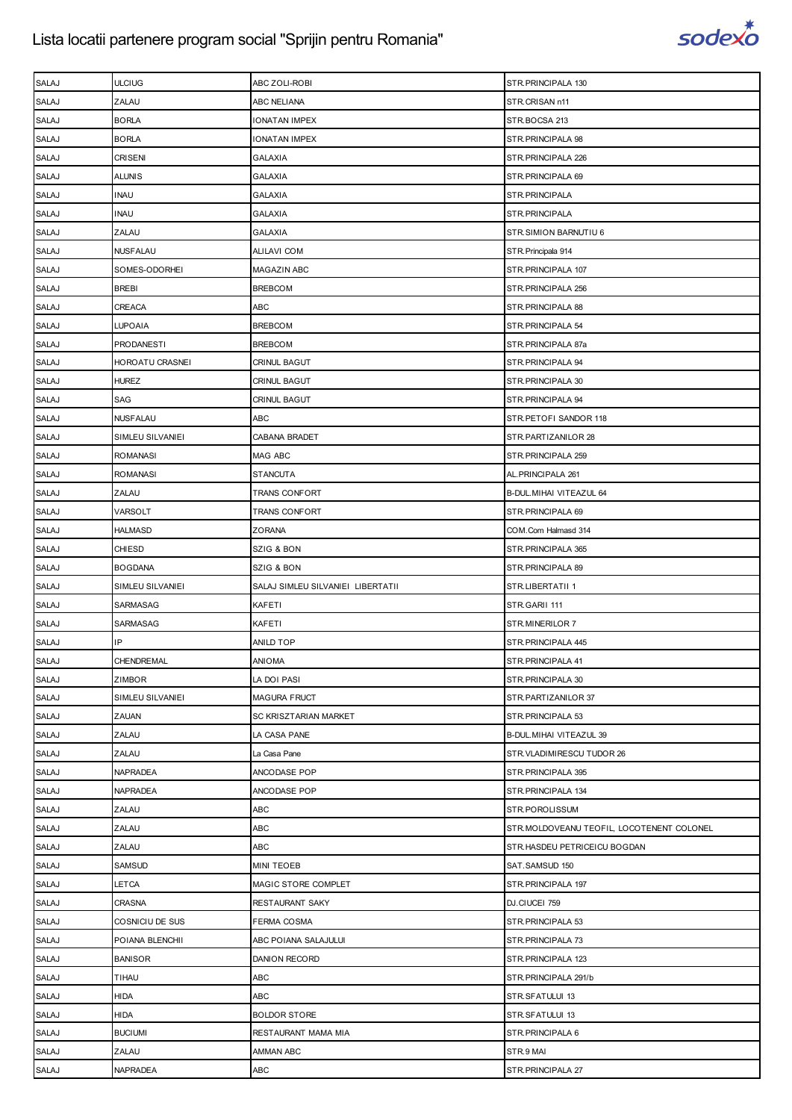

| <b>SALAJ</b> | <b>ULCIUG</b>     | ABC ZOLI-ROBI                     | STR.PRINCIPALA 130                        |
|--------------|-------------------|-----------------------------------|-------------------------------------------|
| <b>SALAJ</b> | ZALAU             | ABC NELIANA                       | STR.CRISAN n11                            |
| <b>SALAJ</b> | <b>BORLA</b>      | IONATAN IMPEX                     | STR.BOCSA 213                             |
| <b>SALAJ</b> | <b>BORLA</b>      | IONATAN IMPEX                     | STR. PRINCIPALA 98                        |
| <b>SALAJ</b> | <b>CRISENI</b>    | <b>GALAXIA</b>                    | STR. PRINCIPALA 226                       |
| <b>SALAJ</b> | <b>ALUNIS</b>     | <b>GALAXIA</b>                    | STR.PRINCIPALA 69                         |
| <b>SALAJ</b> | INAU              | GALAXIA                           | STR.PRINCIPALA                            |
| <b>SALAJ</b> | <b>INAU</b>       | <b>GALAXIA</b>                    | STR.PRINCIPALA                            |
| <b>SALAJ</b> | ZALAU             | <b>GALAXIA</b>                    | STR.SIMION BARNUTIU 6                     |
| SALAJ        | <b>NUSFALAU</b>   | <b>ALILAVI COM</b>                | STR. Principala 914                       |
| <b>SALAJ</b> | SOMES-ODORHEI     | MAGAZIN ABC                       | STR. PRINCIPALA 107                       |
| <b>SALAJ</b> | <b>BREBI</b>      | <b>BREBCOM</b>                    | STR. PRINCIPALA 256                       |
| <b>SALAJ</b> | CREACA            | ABC                               | STR. PRINCIPALA 88                        |
| <b>SALAJ</b> | LUPOAIA           | <b>BREBCOM</b>                    | STR. PRINCIPALA 54                        |
| <b>SALAJ</b> | <b>PRODANESTI</b> | <b>BREBCOM</b>                    | STR.PRINCIPALA 87a                        |
| <b>SALAJ</b> | HOROATU CRASNEI   | CRINUL BAGUT                      | STR. PRINCIPALA 94                        |
| <b>SALAJ</b> | <b>HUREZ</b>      | <b>CRINUL BAGUT</b>               | STR.PRINCIPALA 30                         |
| SALAJ        | SAG               | CRINUL BAGUT                      | STR. PRINCIPALA 94                        |
| SALAJ        | <b>NUSFALAU</b>   | ABC                               | STR.PETOFI SANDOR 118                     |
| <b>SALAJ</b> | SIMLEU SILVANIEI  | CABANA BRADET                     | STR.PARTIZANILOR 28                       |
| <b>SALAJ</b> | <b>ROMANASI</b>   | MAG ABC                           | STR.PRINCIPALA 259                        |
| SALAJ        | <b>ROMANASI</b>   | <b>STANCUTA</b>                   | AL. PRINCIPALA 261                        |
| <b>SALAJ</b> | ZALAU             | TRANS CONFORT                     | B-DUL. MIHAI VITEAZUL 64                  |
| <b>SALAJ</b> | VARSOLT           | <b>TRANS CONFORT</b>              | STR.PRINCIPALA 69                         |
| SALAJ        | HALMASD           | ZORANA                            | COM.Com Halmasd 314                       |
| <b>SALAJ</b> | <b>CHIESD</b>     | SZIG & BON                        | STR. PRINCIPALA 365                       |
| <b>SALAJ</b> | <b>BOGDANA</b>    | SZIG & BON                        | STR. PRINCIPALA 89                        |
| SALAJ        | SIMLEU SILVANIEI  | SALAJ SIMLEU SILVANIEI LIBERTATII | STR.LIBERTATII 1                          |
| <b>SALAJ</b> | SARMASAG          | KAFETI                            | STR.GARII 111                             |
|              |                   |                                   |                                           |
| <b>SALAJ</b> | SARMASAG          | KAFETI                            | STR.MINERILOR 7                           |
| <b>SALAJ</b> | IP                | ANILD TOP                         | STR. PRINCIPALA 445                       |
| <b>SALAJ</b> | CHENDREMAL        | ANIOMA                            | STR. PRINCIPALA 41                        |
| <b>SALAJ</b> | <b>ZIMBOR</b>     | LA DOI PASI                       | STR.PRINCIPALA 30                         |
| SALAJ        | SIMLEU SILVANIEI  | MAGURA FRUCT                      | STR.PARTIZANILOR 37                       |
| SALAJ        | ZAUAN             | SC KRISZTARIAN MARKET             | STR. PRINCIPALA 53                        |
| SALAJ        | ZALAU             | LA CASA PANE                      | B-DUL. MIHAI VITEAZUL 39                  |
| SALAJ        | ZALAU             | La Casa Pane                      | STR.VLADIMIRESCU TUDOR 26                 |
| <b>SALAJ</b> | <b>NAPRADEA</b>   | ANCODASE POP                      | STR.PRINCIPALA 395                        |
| SALAJ        | NAPRADEA          | ANCODASE POP                      | STR. PRINCIPALA 134                       |
| SALAJ        | ZALAU             | ABC                               | STR.POROLISSUM                            |
| <b>SALAJ</b> | ZALAU             | ABC                               | STR.MOLDOVEANU TEOFIL, LOCOTENENT COLONEL |
| SALAJ        | ZALAU             | <b>ABC</b>                        | STR.HASDEU PETRICEICU BOGDAN              |
| SALAJ        | SAMSUD            | <b>MINI TEOEB</b>                 | SAT.SAMSUD 150                            |
| SALAJ        | LETCA             | MAGIC STORE COMPLET               | STR.PRINCIPALA 197                        |
| <b>SALAJ</b> | CRASNA            | RESTAURANT SAKY                   | DJ.CIUCEI 759                             |
| SALAJ        | COSNICIU DE SUS   | FERMA COSMA                       | STR. PRINCIPALA 53                        |
| <b>SALAJ</b> | POIANA BLENCHII   | ABC POIANA SALAJULUI              | STR. PRINCIPALA 73                        |
| SALAJ        | <b>BANISOR</b>    | DANION RECORD                     | STR. PRINCIPALA 123                       |
| SALAJ        | TIHAU             | ABC                               | STR.PRINCIPALA 291/b                      |
| <b>SALAJ</b> | <b>HIDA</b>       | <b>ABC</b>                        | STR.SFATULUI 13                           |
| SALAJ        | <b>HIDA</b>       | <b>BOLDOR STORE</b>               | STR.SFATULUI 13                           |
| SALAJ        | <b>BUCIUMI</b>    | RESTAURANT MAMA MIA               | STR. PRINCIPALA 6                         |
| <b>SALAJ</b> | ZALAU             | AMMAN ABC                         | STR.9 MAI                                 |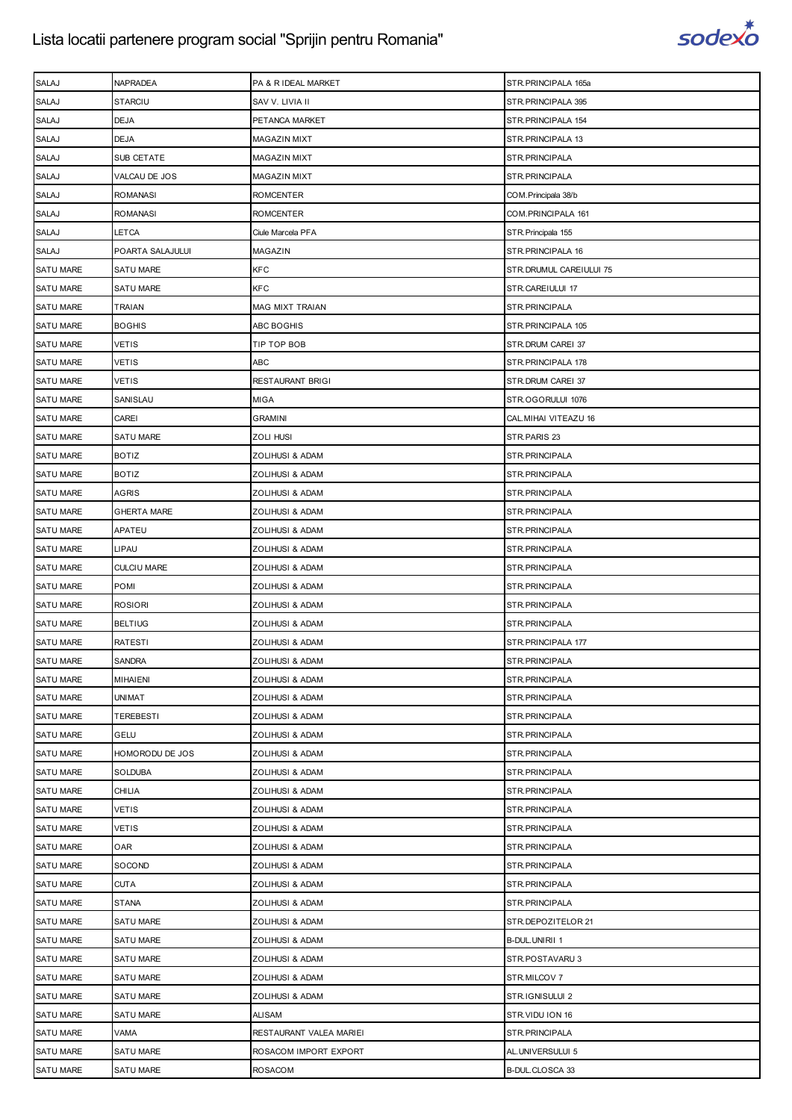

| <b>SALAJ</b>     | NAPRADEA           | PA & R IDEAL MARKET     | STR.PRINCIPALA 165a      |
|------------------|--------------------|-------------------------|--------------------------|
| <b>SALAJ</b>     | <b>STARCIU</b>     | SAV V. LIVIA II         | STR. PRINCIPALA 395      |
| SALAJ            | <b>DEJA</b>        | PETANCA MARKET          | STR. PRINCIPALA 154      |
| SALAJ            | <b>DEJA</b>        | MAGAZIN MIXT            | STR. PRINCIPALA 13       |
| <b>SALAJ</b>     | SUB CETATE         | <b>MAGAZIN MIXT</b>     | STR. PRINCIPALA          |
| <b>SALAJ</b>     | VALCAU DE JOS      | <b>MAGAZIN MIXT</b>     | STR.PRINCIPALA           |
| SALAJ            | ROMANASI           | ROMCENTER               | COM. Principala 38/b     |
| SALAJ            | <b>ROMANASI</b>    | <b>ROMCENTER</b>        | COM.PRINCIPALA 161       |
| SALAJ            | LETCA              | Ciule Marcela PFA       | STR. Principala 155      |
| SALAJ            | POARTA SALAJULUI   | MAGAZIN                 | STR. PRINCIPALA 16       |
| <b>SATU MARE</b> | <b>SATU MARE</b>   | <b>KFC</b>              | STR. DRUMUL CAREIULUI 75 |
| <b>SATU MARE</b> | SATU MARE          | <b>KFC</b>              | STR.CAREIULUI 17         |
| <b>SATU MARE</b> | TRAIAN             | MAG MIXT TRAIAN         | STR. PRINCIPALA          |
| <b>SATU MARE</b> | <b>BOGHIS</b>      | ABC BOGHIS              | STR. PRINCIPALA 105      |
| <b>SATU MARE</b> | <b>VETIS</b>       | TIP TOP BOB             | STR.DRUM CAREI 37        |
| <b>SATU MARE</b> | VETIS              | ABC                     | STR.PRINCIPALA 178       |
| <b>SATU MARE</b> | <b>VETIS</b>       | RESTAURANT BRIGI        | STR.DRUM CAREI 37        |
| <b>SATU MARE</b> | SANISLAU           | <b>MIGA</b>             | STR.OGORULUI 1076        |
| <b>SATU MARE</b> | CAREI              | <b>GRAMINI</b>          | CAL.MIHAI VITEAZU 16     |
| <b>SATU MARE</b> | <b>SATU MARE</b>   | <b>ZOLI HUSI</b>        | STR.PARIS 23             |
| <b>SATU MARE</b> | <b>BOTIZ</b>       | ZOLIHUSI & ADAM         | STR.PRINCIPALA           |
| <b>SATU MARE</b> | <b>BOTIZ</b>       | ZOLIHUSI & ADAM         | STR. PRINCIPALA          |
| <b>SATU MARE</b> | <b>AGRIS</b>       | ZOLIHUSI & ADAM         | STR.PRINCIPALA           |
| <b>SATU MARE</b> | <b>GHERTA MARE</b> | ZOLIHUSI & ADAM         | STR.PRINCIPALA           |
| <b>SATU MARE</b> | APATEU             | ZOLIHUSI & ADAM         | STR.PRINCIPALA           |
| <b>SATU MARE</b> | LIPAU              | ZOLIHUSI & ADAM         | STR.PRINCIPALA           |
| <b>SATU MARE</b> | <b>CULCIU MARE</b> | ZOLIHUSI & ADAM         | STR.PRINCIPALA           |
| <b>SATU MARE</b> | POMI               | ZOLIHUSI & ADAM         | STR.PRINCIPALA           |
| <b>SATU MARE</b> | <b>ROSIORI</b>     | ZOLIHUSI & ADAM         | STR.PRINCIPALA           |
| <b>SATU MARE</b> | <b>BELTIUG</b>     | ZOLIHUSI & ADAM         | STR.PRINCIPALA           |
| <b>SATU MARE</b> | RATESTI            | ZOLIHUSI & ADAM         | STR.PRINCIPALA 177       |
| <b>SATU MARE</b> | <b>SANDRA</b>      | ZOLIHUSI & ADAM         | STR.PRINCIPALA           |
| <b>SATU MARE</b> | <b>MIHAIENI</b>    | ZOLIHUSI & ADAM         | STR.PRINCIPALA           |
| <b>SATU MARE</b> | UNIMAT             | ZOLIHUSI & ADAM         | STR.PRINCIPALA           |
| <b>SATU MARE</b> | <b>TEREBESTI</b>   | ZOLIHUSI & ADAM         | STR.PRINCIPALA           |
| <b>SATU MARE</b> | <b>GELU</b>        | ZOLIHUSI & ADAM         | STR.PRINCIPALA           |
| <b>SATU MARE</b> | HOMORODU DE JOS    | ZOLIHUSI & ADAM         | STR. PRINCIPALA          |
| <b>SATU MARE</b> | <b>SOLDUBA</b>     | ZOLIHUSI & ADAM         | STR.PRINCIPALA           |
| <b>SATU MARE</b> | CHILIA             | ZOLIHUSI & ADAM         | STR.PRINCIPALA           |
| <b>SATU MARE</b> | VETIS              | ZOLIHUSI & ADAM         | STR. PRINCIPALA          |
| SATU MARE        | <b>VETIS</b>       | ZOLIHUSI & ADAM         | STR.PRINCIPALA           |
| <b>SATU MARE</b> | OAR                | ZOLIHUSI & ADAM         | STR.PRINCIPALA           |
| <b>SATU MARE</b> | SOCOND             | ZOLIHUSI & ADAM         | STR.PRINCIPALA           |
| <b>SATU MARE</b> | <b>CUTA</b>        | ZOLIHUSI & ADAM         | STR.PRINCIPALA           |
| <b>SATU MARE</b> | <b>STANA</b>       | ZOLIHUSI & ADAM         | STR.PRINCIPALA           |
| <b>SATU MARE</b> | SATU MARE          | ZOLIHUSI & ADAM         | STR.DEPOZITELOR 21       |
| <b>SATU MARE</b> | <b>SATU MARE</b>   | ZOLIHUSI & ADAM         | <b>B-DUL.UNIRII 1</b>    |
| <b>SATU MARE</b> | <b>SATU MARE</b>   | ZOLIHUSI & ADAM         | STR.POSTAVARU 3          |
| <b>SATU MARE</b> | <b>SATU MARE</b>   | ZOLIHUSI & ADAM         | STR.MILCOV 7             |
| <b>SATU MARE</b> | <b>SATU MARE</b>   | ZOLIHUSI & ADAM         | STR.IGNISULUI 2          |
| <b>SATU MARE</b> | <b>SATU MARE</b>   | <b>ALISAM</b>           | STR.VIDU ION 16          |
| <b>SATU MARE</b> | VAMA               | RESTAURANT VALEA MARIEI | STR.PRINCIPALA           |
| <b>SATU MARE</b> | <b>SATU MARE</b>   | ROSACOM IMPORT EXPORT   | AL.UNIVERSULUI 5         |
| <b>SATU MARE</b> | <b>SATU MARE</b>   | <b>ROSACOM</b>          | B-DUL.CLOSCA 33          |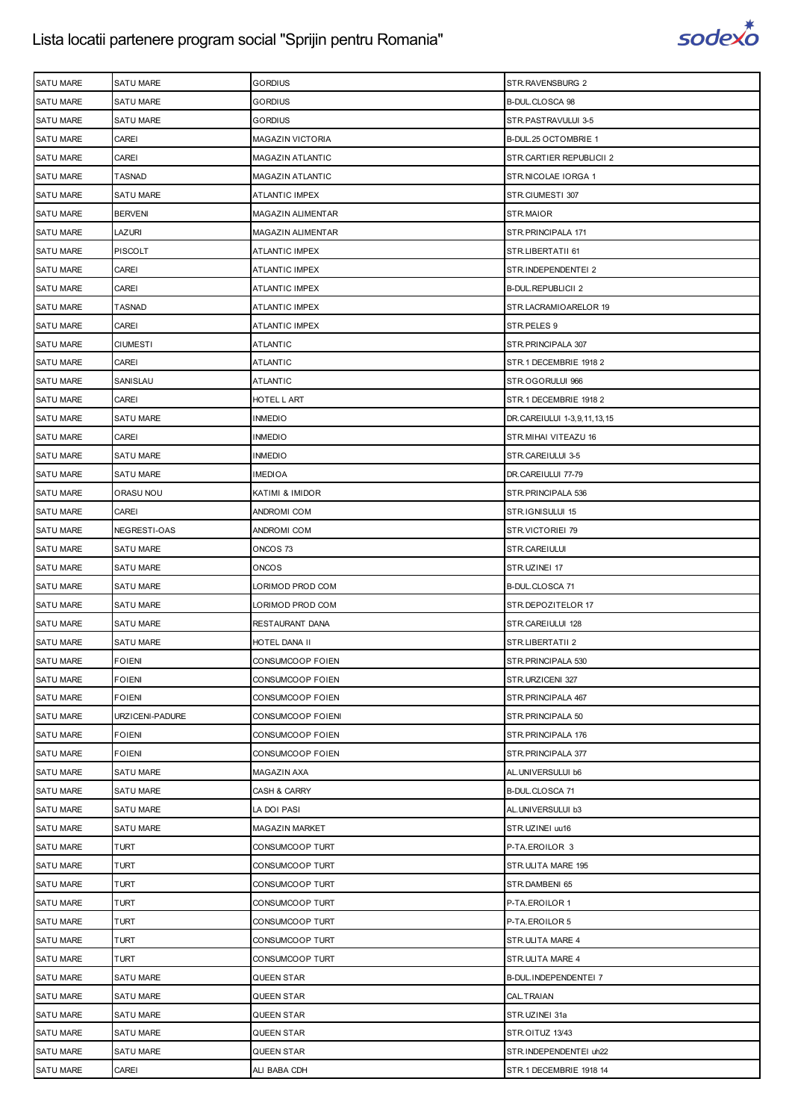

| <b>SATU MARE</b> | <b>SATU MARE</b> | <b>GORDIUS</b>          | STR.RAVENSBURG 2            |
|------------------|------------------|-------------------------|-----------------------------|
|                  |                  |                         |                             |
| <b>SATU MARE</b> | <b>SATU MARE</b> | GORDIUS                 | B-DUL.CLOSCA 98             |
| <b>SATU MARE</b> | <b>SATU MARE</b> | GORDIUS                 | STR.PASTRAVULUI 3-5         |
| <b>SATU MARE</b> | CAREI            | <b>MAGAZIN VICTORIA</b> | B-DUL.25 OCTOMBRIE 1        |
| <b>SATU MARE</b> | CAREI            | MAGAZIN ATLANTIC        | STR.CARTIER REPUBLICII 2    |
| <b>SATU MARE</b> | TASNAD           | MAGAZIN ATLANTIC        | STR.NICOLAE IORGA 1         |
| <b>SATU MARE</b> | <b>SATU MARE</b> | <b>ATLANTIC IMPEX</b>   | STR.CIUMESTI 307            |
| <b>SATU MARE</b> | <b>BERVENI</b>   | MAGAZIN ALIMENTAR       | STR.MAIOR                   |
| SATU MARE        | LAZURI           | MAGAZIN ALIMENTAR       | STR.PRINCIPALA 171          |
| <b>SATU MARE</b> | <b>PISCOLT</b>   | <b>ATLANTIC IMPEX</b>   | STR.LIBERTATII 61           |
| <b>SATU MARE</b> | CAREI            | <b>ATLANTIC IMPEX</b>   | STR.INDEPENDENTEI 2         |
| <b>SATU MARE</b> | CAREI            | ATLANTIC IMPEX          | <b>B-DUL.REPUBLICII 2</b>   |
| <b>SATU MARE</b> | <b>TASNAD</b>    | <b>ATLANTIC IMPEX</b>   | STR.LACRAMIOARELOR 19       |
| <b>SATU MARE</b> | CAREI            | ATLANTIC IMPEX          | STR.PELES 9                 |
| <b>SATU MARE</b> | <b>CIUMESTI</b>  | <b>ATLANTIC</b>         | STR.PRINCIPALA 307          |
| <b>SATU MARE</b> | CAREI            | ATLANTIC                | STR.1 DECEMBRIE 1918 2      |
| <b>SATU MARE</b> | SANISLAU         | <b>ATLANTIC</b>         | STR.OGORULUI 966            |
| <b>SATU MARE</b> | CAREI            | HOTEL L ART             | STR.1 DECEMBRIE 1918 2      |
| <b>SATU MARE</b> | <b>SATU MARE</b> | <b>INMEDIO</b>          | DR.CAREIULUI 1-3,9,11,13,15 |
| <b>SATU MARE</b> | CAREI            | INMEDIO                 | STR.MIHAI VITEAZU 16        |
| <b>SATU MARE</b> | <b>SATU MARE</b> | INMEDIO                 | STR.CAREIULUI 3-5           |
| <b>SATU MARE</b> | <b>SATU MARE</b> | <b>IMEDIOA</b>          | DR.CAREIULUI 77-79          |
| <b>SATU MARE</b> | ORASU NOU        | KATIMI & IMIDOR         | STR. PRINCIPALA 536         |
| <b>SATU MARE</b> | CAREI            | ANDROMI COM             | STR.IGNISULUI 15            |
| <b>SATU MARE</b> | NEGRESTI-OAS     | ANDROMI COM             | STR.VICTORIEI 79            |
| <b>SATU MARE</b> | <b>SATU MARE</b> | ONCOS 73                | STR.CAREIULUI               |
| <b>SATU MARE</b> | <b>SATU MARE</b> | ONCOS                   | STR.UZINEI 17               |
| <b>SATU MARE</b> | <b>SATU MARE</b> | LORIMOD PROD COM        | B-DUL.CLOSCA 71             |
| <b>SATU MARE</b> | <b>SATU MARE</b> | LORIMOD PROD COM        | STR.DEPOZITELOR 17          |
| <b>SATU MARE</b> | <b>SATU MARE</b> | RESTAURANT DANA         | STR.CAREIULUI 128           |
| <b>SATU MARE</b> | <b>SATU MARE</b> | HOTEL DANA II           | STR.LIBERTATII 2            |
| <b>SATU MARE</b> | <b>FOIENI</b>    | CONSUMCOOP FOIEN        | STR. PRINCIPALA 530         |
| SATU MARE        | <b>FOIENI</b>    | CONSUMCOOP FOIEN        | STR.URZICENI 327            |
| <b>SATU MARE</b> | <b>FOIENI</b>    | CONSUMCOOP FOIEN        | STR. PRINCIPALA 467         |
| <b>SATU MARE</b> | URZICENI-PADURE  | CONSUMCOOP FOIENI       | STR. PRINCIPALA 50          |
| <b>SATU MARE</b> | <b>FOIENI</b>    | CONSUMCOOP FOIEN        | STR.PRINCIPALA 176          |
| <b>SATU MARE</b> | <b>FOIENI</b>    | CONSUMCOOP FOIEN        | STR. PRINCIPALA 377         |
| <b>SATU MARE</b> | SATU MARE        | MAGAZIN AXA             | AL.UNIVERSULUI b6           |
| <b>SATU MARE</b> | SATU MARE        | CASH & CARRY            | B-DUL.CLOSCA 71             |
| <b>SATU MARE</b> | <b>SATU MARE</b> | LA DOI PASI             | AL.UNIVERSULUI b3           |
| <b>SATU MARE</b> | <b>SATU MARE</b> | MAGAZIN MARKET          | STR.UZINEI uu16             |
| <b>SATU MARE</b> | <b>TURT</b>      | CONSUMCOOP TURT         | P-TA.EROILOR 3              |
| <b>SATU MARE</b> | <b>TURT</b>      | CONSUMCOOP TURT         | STR.ULITA MARE 195          |
| <b>SATU MARE</b> | <b>TURT</b>      | CONSUMCOOP TURT         | STR.DAMBENI 65              |
| <b>SATU MARE</b> | <b>TURT</b>      | CONSUMCOOP TURT         | P-TA.EROILOR 1              |
| <b>SATU MARE</b> | <b>TURT</b>      | CONSUMCOOP TURT         | P-TA.EROILOR 5              |
| <b>SATU MARE</b> | <b>TURT</b>      | CONSUMCOOP TURT         | STR.ULITA MARE 4            |
| <b>SATU MARE</b> | <b>TURT</b>      | CONSUMCOOP TURT         | STR.ULITA MARE 4            |
| <b>SATU MARE</b> | <b>SATU MARE</b> | QUEEN STAR              | B-DUL.INDEPENDENTEI 7       |
|                  |                  |                         |                             |
| <b>SATU MARE</b> | <b>SATU MARE</b> | QUEEN STAR              | CAL.TRAIAN                  |
| <b>SATU MARE</b> | SATU MARE        | QUEEN STAR              | STR.UZINEI 31a              |
| <b>SATU MARE</b> | <b>SATU MARE</b> | QUEEN STAR              | STR.OITUZ 13/43             |
| <b>SATU MARE</b> | <b>SATU MARE</b> | QUEEN STAR              | STR.INDEPENDENTEI uh22      |
| SATU MARE        | CAREI            | ALI BABA CDH            | STR.1 DECEMBRIE 1918 14     |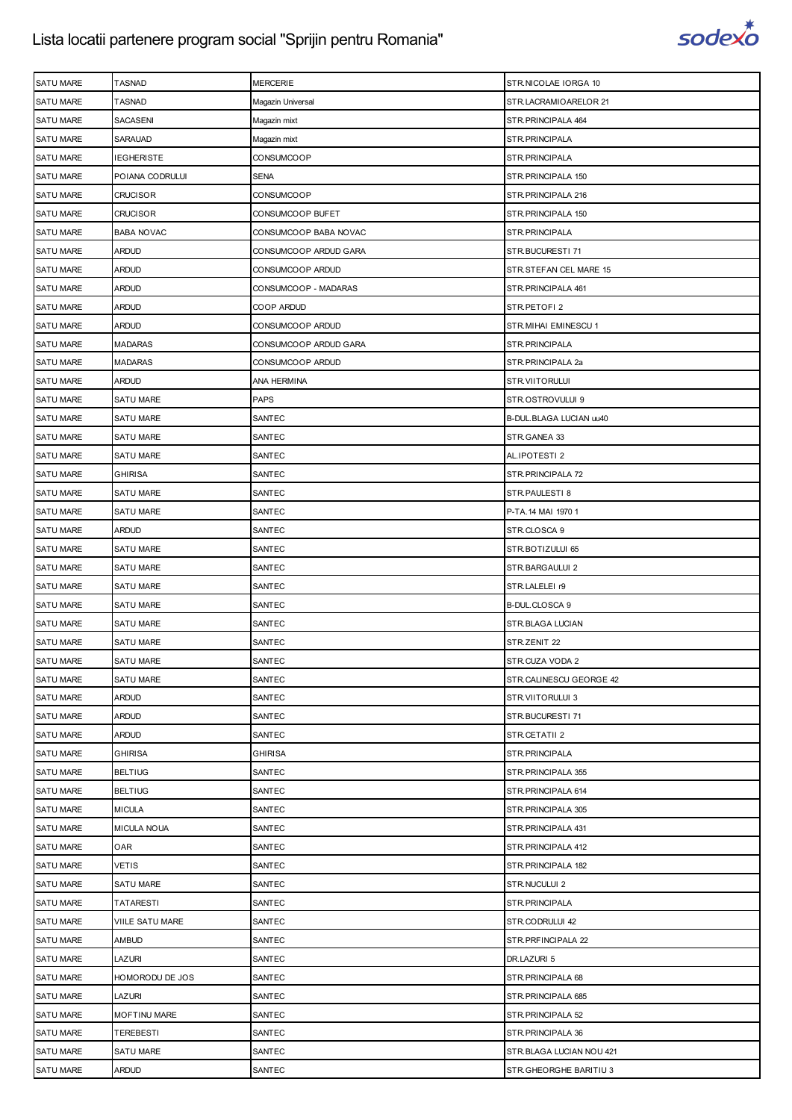

| SATU MARE        | <b>TASNAD</b>       | <b>MERCERIE</b>       | STR.NICOLAE IORGA 10     |
|------------------|---------------------|-----------------------|--------------------------|
| <b>SATU MARE</b> | <b>TASNAD</b>       | Magazin Universal     | STR.LACRAMIOARELOR 21    |
| SATU MARE        | SACASENI            | Magazin mixt          | STR. PRINCIPALA 464      |
| SATU MARE        | SARAUAD             | Magazin mixt          | STR.PRINCIPALA           |
| <b>SATU MARE</b> | <b>IEGHERISTE</b>   | CONSUMCOOP            | STR.PRINCIPALA           |
| <b>SATU MARE</b> | POIANA CODRULUI     | SENA                  | STR. PRINCIPALA 150      |
| SATU MARE        | <b>CRUCISOR</b>     | CONSUMCOOP            | STR. PRINCIPALA 216      |
| <b>SATU MARE</b> | <b>CRUCISOR</b>     | CONSUMCOOP BUFET      | STR. PRINCIPALA 150      |
| <b>SATU MARE</b> | <b>BABA NOVAC</b>   | CONSUMCOOP BABA NOVAC | STR.PRINCIPALA           |
| <b>SATU MARE</b> | <b>ARDUD</b>        | CONSUMCOOP ARDUD GARA | STR.BUCURESTI 71         |
| <b>SATU MARE</b> | <b>ARDUD</b>        | CONSUMCOOP ARDUD      | STR.STEFAN CEL MARE 15   |
| <b>SATU MARE</b> | <b>ARDUD</b>        | CONSUMCOOP - MADARAS  | STR. PRINCIPALA 461      |
| <b>SATU MARE</b> | <b>ARDUD</b>        | COOP ARDUD            | STR.PETOFI2              |
| <b>SATU MARE</b> | <b>ARDUD</b>        | CONSUMCOOP ARDUD      | STR.MIHAI EMINESCU 1     |
| <b>SATU MARE</b> | <b>MADARAS</b>      | CONSUMCOOP ARDUD GARA | STR.PRINCIPALA           |
| <b>SATU MARE</b> | <b>MADARAS</b>      | CONSUMCOOP ARDUD      | STR.PRINCIPALA 2a        |
| <b>SATU MARE</b> | <b>ARDUD</b>        | ANA HERMINA           | STR.VIITORULUI           |
| <b>SATU MARE</b> | SATU MARE           | <b>PAPS</b>           | STR.OSTROVULUI 9         |
| SATU MARE        | SATU MARE           | SANTEC                | B-DUL.BLAGA LUCIAN uu40  |
| <b>SATU MARE</b> | <b>SATU MARE</b>    | SANTEC                | STR.GANEA 33             |
| <b>SATU MARE</b> | <b>SATU MARE</b>    | SANTEC                | AL.IPOTESTI 2            |
| SATU MARE        | <b>GHIRISA</b>      | SANTEC                | STR.PRINCIPALA 72        |
| <b>SATU MARE</b> | <b>SATU MARE</b>    | SANTEC                | STR.PAULESTI 8           |
| <b>SATU MARE</b> | <b>SATU MARE</b>    | SANTEC                | P-TA.14 MAI 1970 1       |
| SATU MARE        | <b>ARDUD</b>        | SANTEC                | STR.CLOSCA 9             |
| <b>SATU MARE</b> | <b>SATU MARE</b>    | SANTEC                | STR.BOTIZULUI 65         |
| <b>SATU MARE</b> | <b>SATU MARE</b>    | SANTEC                | STR.BARGAULUI 2          |
| <b>SATU MARE</b> | <b>SATU MARE</b>    | SANTEC                | STR.LALELEI r9           |
| <b>SATU MARE</b> | <b>SATU MARE</b>    | SANTEC                | B-DUL.CLOSCA 9           |
| <b>SATU MARE</b> | <b>SATU MARE</b>    | SANTEC                | STR.BLAGA LUCIAN         |
| SATU MARE        | SATU MARE           | SANTEC                | STR.ZENIT 22             |
| <b>SATU MARE</b> | <b>SATU MARE</b>    | SANTEC                | STR.CUZA VODA 2          |
| <b>SATU MARE</b> | SATU MARE           | SANTEC                | STR.CALINESCU GEORGE 42  |
| <b>SATU MARE</b> | <b>ARDUD</b>        | SANTEC                | STR.VIITORULUI 3         |
| <b>SATU MARE</b> | <b>ARDUD</b>        | SANTEC                | STR.BUCURESTI 71         |
| SATU MARE        | <b>ARDUD</b>        | SANTEC                | STR.CETATII 2            |
| <b>SATU MARE</b> | <b>GHIRISA</b>      | <b>GHIRISA</b>        | STR. PRINCIPALA          |
| <b>SATU MARE</b> | <b>BELTIUG</b>      | SANTEC                | STR. PRINCIPALA 355      |
| <b>SATU MARE</b> | <b>BELTIUG</b>      | SANTEC                | STR. PRINCIPALA 614      |
| <b>SATU MARE</b> | <b>MICULA</b>       | SANTEC                | STR. PRINCIPALA 305      |
| <b>SATU MARE</b> | <b>MICULA NOUA</b>  | SANTEC                | STR. PRINCIPALA 431      |
| <b>SATU MARE</b> | <b>OAR</b>          | SANTEC                | STR. PRINCIPALA 412      |
| <b>SATU MARE</b> | <b>VETIS</b>        | SANTEC                | STR. PRINCIPALA 182      |
| <b>SATU MARE</b> | <b>SATU MARE</b>    | SANTEC                | STR.NUCULUI 2            |
| <b>SATU MARE</b> | <b>TATARESTI</b>    | SANTEC                | STR. PRINCIPALA          |
| <b>SATU MARE</b> | VIILE SATU MARE     | SANTEC                | STR.CODRULUI 42          |
| <b>SATU MARE</b> | <b>AMBUD</b>        | SANTEC                | STR. PRFINCIPALA 22      |
| <b>SATU MARE</b> | <b>LAZURI</b>       | SANTEC                | DR.LAZURI 5              |
| <b>SATU MARE</b> | HOMORODU DE JOS     | SANTEC                | STR. PRINCIPALA 68       |
| <b>SATU MARE</b> | LAZURI              | SANTEC                | STR. PRINCIPALA 685      |
| <b>SATU MARE</b> | <b>MOFTINU MARE</b> | SANTEC                | STR. PRINCIPALA 52       |
| <b>SATU MARE</b> | <b>TEREBESTI</b>    | SANTEC                | STR.PRINCIPALA 36        |
| <b>SATU MARE</b> | <b>SATU MARE</b>    | SANTEC                | STR.BLAGA LUCIAN NOU 421 |
| <b>SATU MARE</b> | <b>ARDUD</b>        | SANTEC                | STR.GHEORGHE BARITIU 3   |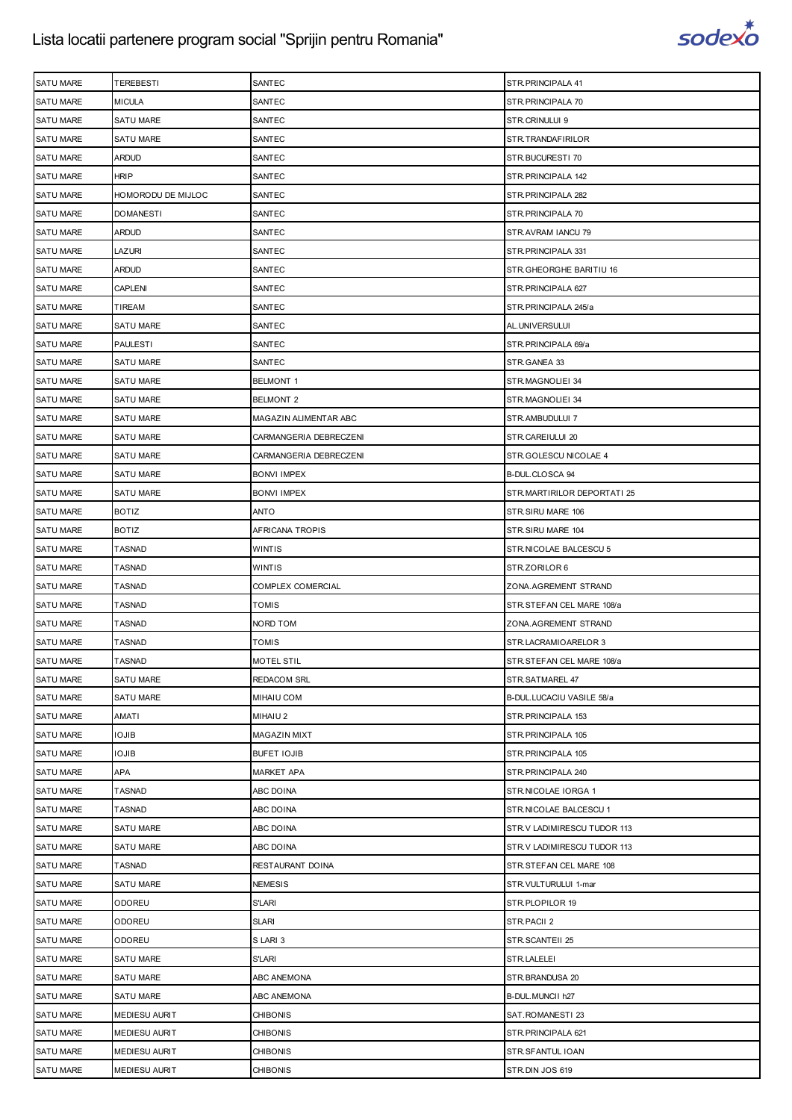

| <b>SATU MARE</b> | TEREBESTI            | SANTEC                 | STR.PRINCIPALA 41           |
|------------------|----------------------|------------------------|-----------------------------|
| <b>SATU MARE</b> | <b>MICULA</b>        | SANTEC                 | STR. PRINCIPALA 70          |
| <b>SATU MARE</b> | <b>SATU MARE</b>     | SANTEC                 | STR.CRINULUI 9              |
| <b>SATU MARE</b> | <b>SATU MARE</b>     | SANTEC                 | STR.TRANDAFIRILOR           |
| <b>SATU MARE</b> | <b>ARDUD</b>         | SANTEC                 | STR.BUCURESTI 70            |
| <b>SATU MARE</b> | <b>HRIP</b>          | SANTEC                 | STR.PRINCIPALA 142          |
| <b>SATU MARE</b> | HOMORODU DE MIJLOC   | SANTEC                 | STR.PRINCIPALA 282          |
| <b>SATU MARE</b> | <b>DOMANESTI</b>     | SANTEC                 | STR. PRINCIPALA 70          |
| <b>SATU MARE</b> | <b>ARDUD</b>         | SANTEC                 | STR.AVRAM IANCU 79          |
| <b>SATU MARE</b> | LAZURI               | SANTEC                 | STR.PRINCIPALA 331          |
| <b>SATU MARE</b> | <b>ARDUD</b>         | SANTEC                 | STR.GHEORGHE BARITIU 16     |
| <b>SATU MARE</b> | <b>CAPLENI</b>       | SANTEC                 | STR. PRINCIPALA 627         |
| <b>SATU MARE</b> | TIREAM               | SANTEC                 | STR.PRINCIPALA 245/a        |
| <b>SATU MARE</b> | SATU MARE            | SANTEC                 | AL.UNIVERSULUI              |
| <b>SATU MARE</b> | <b>PAULESTI</b>      | SANTEC                 | STR.PRINCIPALA 69/a         |
| <b>SATU MARE</b> | SATU MARE            | SANTEC                 | STR.GANEA 33                |
| <b>SATU MARE</b> | <b>SATU MARE</b>     | <b>BELMONT 1</b>       | STR.MAGNOLIEI 34            |
| <b>SATU MARE</b> | <b>SATU MARE</b>     | <b>BELMONT 2</b>       | STR.MAGNOLIEI 34            |
| <b>SATU MARE</b> | SATU MARE            | MAGAZIN ALIMENTAR ABC  | STR.AMBUDULUI 7             |
| <b>SATU MARE</b> | <b>SATU MARE</b>     | CARMANGERIA DEBRECZENI | STR.CAREIULUI 20            |
| <b>SATU MARE</b> | SATU MARE            | CARMANGERIA DEBRECZENI | STR.GOLESCU NICOLAE 4       |
| <b>SATU MARE</b> | <b>SATU MARE</b>     | <b>BONVI IMPEX</b>     | B-DUL.CLOSCA 94             |
| <b>SATU MARE</b> | <b>SATU MARE</b>     | <b>BONVI IMPEX</b>     | STR.MARTIRILOR DEPORTATI 25 |
| <b>SATU MARE</b> | <b>BOTIZ</b>         | ANTO                   | STR.SIRU MARE 106           |
| <b>SATU MARE</b> | <b>BOTIZ</b>         | AFRICANA TROPIS        | STR.SIRU MARE 104           |
| <b>SATU MARE</b> | <b>TASNAD</b>        | WINTIS                 | STR.NICOLAE BALCESCU 5      |
| <b>SATU MARE</b> | <b>TASNAD</b>        | WINTIS                 | STR.ZORILOR 6               |
| <b>SATU MARE</b> | <b>TASNAD</b>        | COMPLEX COMERCIAL      | ZONA.AGREMENT STRAND        |
| <b>SATU MARE</b> | <b>TASNAD</b>        | <b>TOMIS</b>           | STR.STEFAN CEL MARE 108/a   |
| <b>SATU MARE</b> | <b>TASNAD</b>        | NORD TOM               | ZONA.AGREMENT STRAND        |
| <b>SATU MARE</b> | <b>TASNAD</b>        | TOMIS                  | STR.LACRAMIOARELOR 3        |
| <b>SATU MARE</b> | <b>TASNAD</b>        | <b>MOTEL STIL</b>      | STR.STEFAN CEL MARE 108/a   |
| <b>SATU MARE</b> | SATU MARE            | <b>REDACOM SRL</b>     | STR.SATMAREL 47             |
| SATU MARE        | SATU MARE            | MIHAIU COM             | B-DUL.LUCACIU VASILE 58/a   |
| <b>SATU MARE</b> | <b>AMATI</b>         | MIHAIU 2               | STR. PRINCIPALA 153         |
| <b>SATU MARE</b> | <b>IOJIB</b>         | <b>MAGAZIN MIXT</b>    | STR. PRINCIPALA 105         |
| SATU MARE        | <b>IOJIB</b>         | <b>BUFET IOJIB</b>     | STR. PRINCIPALA 105         |
| <b>SATU MARE</b> | APA                  | <b>MARKET APA</b>      | STR. PRINCIPALA 240         |
| <b>SATU MARE</b> | <b>TASNAD</b>        | ABC DOINA              | STR.NICOLAE IORGA 1         |
| <b>SATU MARE</b> | <b>TASNAD</b>        | ABC DOINA              | STR.NICOLAE BALCESCU 1      |
| <b>SATU MARE</b> | SATU MARE            | ABC DOINA              | STR.V LADIMIRESCU TUDOR 113 |
| <b>SATU MARE</b> | <b>SATU MARE</b>     | ABC DOINA              | STR.V LADIMIRESCU TUDOR 113 |
| SATU MARE        | <b>TASNAD</b>        | RESTAURANT DOINA       | STR.STEFAN CEL MARE 108     |
| <b>SATU MARE</b> | SATU MARE            | <b>NEMESIS</b>         | STR.VULTURULUI 1-mar        |
| <b>SATU MARE</b> | <b>ODOREU</b>        | <b>S'LARI</b>          | STR.PLOPILOR 19             |
| SATU MARE        | <b>ODOREU</b>        | <b>SLARI</b>           | STR.PACII 2                 |
| <b>SATU MARE</b> | <b>ODOREU</b>        | SLARI 3                | STR.SCANTEII 25             |
| <b>SATU MARE</b> | <b>SATU MARE</b>     | S'LARI                 | STR.LALELEI                 |
| SATU MARE        | SATU MARE            | ABC ANEMONA            | STR.BRANDUSA 20             |
| <b>SATU MARE</b> | <b>SATU MARE</b>     | ABC ANEMONA            | B-DUL. MUNCII h27           |
| <b>SATU MARE</b> | <b>MEDIESU AURIT</b> | <b>CHIBONIS</b>        | SAT.ROMANESTI 23            |
| SATU MARE        | <b>MEDIESU AURIT</b> | <b>CHIBONIS</b>        | STR. PRINCIPALA 621         |
| <b>SATU MARE</b> | <b>MEDIESU AURIT</b> | <b>CHIBONIS</b>        | STR.SFANTUL IOAN            |
| SATU MARE        | <b>MEDIESU AURIT</b> | CHIBONIS               | STR.DIN JOS 619             |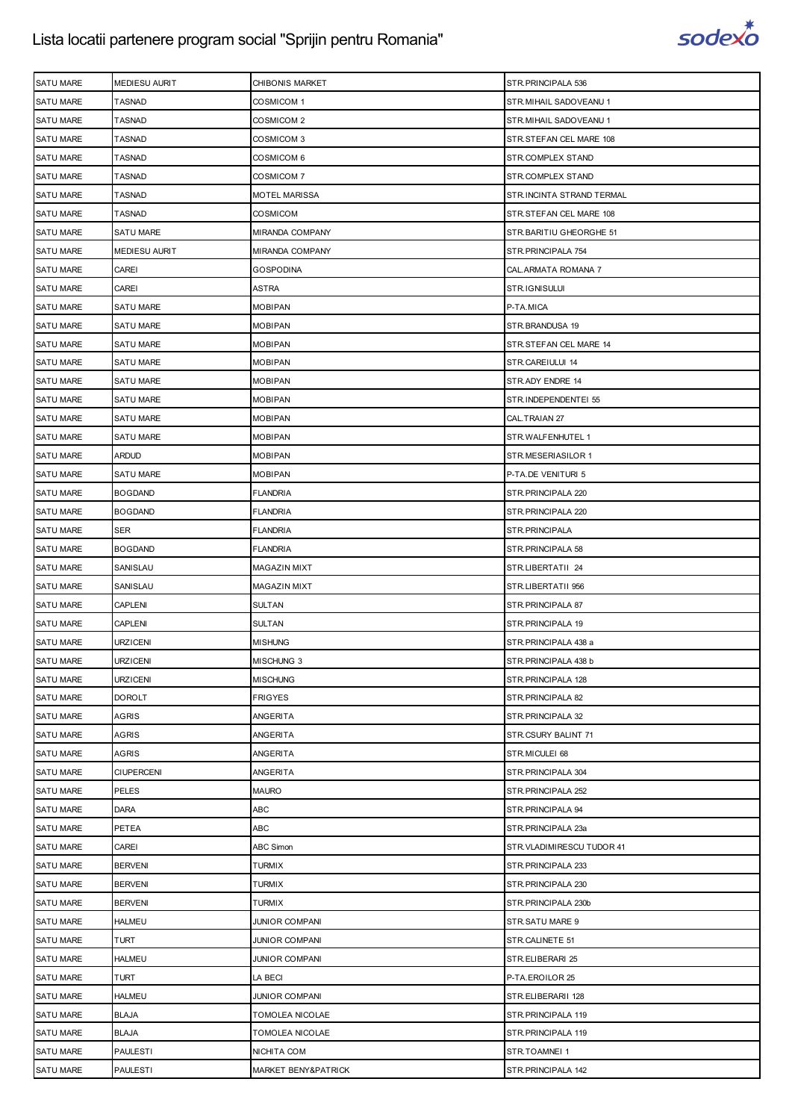

| <b>SATU MARE</b> | <b>MEDIESU AURIT</b> | CHIBONIS MARKET       | STR.PRINCIPALA 536        |
|------------------|----------------------|-----------------------|---------------------------|
| <b>SATU MARE</b> | <b>TASNAD</b>        | COSMICOM 1            | STR. MIHAIL SADOVEANU 1   |
| <b>SATU MARE</b> | <b>TASNAD</b>        | COSMICOM 2            | STR. MIHAIL SADOVEANU 1   |
| <b>SATU MARE</b> | TASNAD               | COSMICOM 3            | STR.STEFAN CEL MARE 108   |
| <b>SATU MARE</b> | <b>TASNAD</b>        | COSMICOM 6            | STR.COMPLEX STAND         |
| <b>SATU MARE</b> | <b>TASNAD</b>        | COSMICOM 7            | STR.COMPLEX STAND         |
| <b>SATU MARE</b> | <b>TASNAD</b>        | MOTEL MARISSA         | STR.INCINTA STRAND TERMAL |
| <b>SATU MARE</b> | <b>TASNAD</b>        | <b>COSMICOM</b>       | STR.STEFAN CEL MARE 108   |
| <b>SATU MARE</b> | <b>SATU MARE</b>     | MIRANDA COMPANY       | STR. BARITIU GHEORGHE 51  |
| <b>SATU MARE</b> | <b>MEDIESU AURIT</b> | MIRANDA COMPANY       | STR.PRINCIPALA 754        |
| <b>SATU MARE</b> | CAREI                | <b>GOSPODINA</b>      | CAL. ARMATA ROMANA 7      |
| <b>SATU MARE</b> | CAREI                | ASTRA                 | STR.IGNISULUI             |
| <b>SATU MARE</b> | <b>SATU MARE</b>     | MOBIPAN               | P-TA.MICA                 |
| <b>SATU MARE</b> | <b>SATU MARE</b>     | MOBIPAN               | STR.BRANDUSA 19           |
| <b>SATU MARE</b> | <b>SATU MARE</b>     | MOBIPAN               | STR.STEFAN CEL MARE 14    |
| <b>SATU MARE</b> | <b>SATU MARE</b>     | <b>MOBIPAN</b>        | STR.CAREIULUI 14          |
| <b>SATU MARE</b> | <b>SATU MARE</b>     | MOBIPAN               | STR.ADY ENDRE 14          |
| <b>SATU MARE</b> | <b>SATU MARE</b>     | MOBIPAN               | STR.INDEPENDENTEI 55      |
| <b>SATU MARE</b> | SATU MARE            | <b>MOBIPAN</b>        | CAL.TRAIAN 27             |
| <b>SATU MARE</b> | <b>SATU MARE</b>     | MOBIPAN               | STR. WALFENHUTEL 1        |
| <b>SATU MARE</b> | <b>ARDUD</b>         | MOBIPAN               | STR.MESERIASILOR 1        |
| <b>SATU MARE</b> | <b>SATU MARE</b>     | <b>MOBIPAN</b>        | P-TA.DE VENITURI 5        |
| <b>SATU MARE</b> | <b>BOGDAND</b>       | <b>FLANDRIA</b>       | STR. PRINCIPALA 220       |
| <b>SATU MARE</b> | <b>BOGDAND</b>       | FLANDRIA              | STR. PRINCIPALA 220       |
| <b>SATU MARE</b> | SER                  | FLANDRIA              | STR.PRINCIPALA            |
| <b>SATU MARE</b> | <b>BOGDAND</b>       | <b>FLANDRIA</b>       | STR. PRINCIPALA 58        |
| <b>SATU MARE</b> | SANISLAU             | MAGAZIN MIXT          | STR.LIBERTATII 24         |
| <b>SATU MARE</b> | SANISLAU             | MAGAZIN MIXT          | STR.LIBERTATII 956        |
| <b>SATU MARE</b> | CAPLENI              | SULTAN                | STR.PRINCIPALA 87         |
| <b>SATU MARE</b> | CAPLENI              | <b>SULTAN</b>         | STR.PRINCIPALA 19         |
| <b>SATU MARE</b> | <b>URZICENI</b>      | <b>MISHUNG</b>        | STR.PRINCIPALA 438 a      |
| <b>SATU MARE</b> | <b>URZICENI</b>      | MISCHUNG 3            | STR.PRINCIPALA 438 b      |
| <b>SATU MARE</b> | <b>URZICENI</b>      | <b>MISCHUNG</b>       | STR. PRINCIPALA 128       |
| <b>SATU MARE</b> | <b>DOROLT</b>        | FRIGYES               | STR.PRINCIPALA 82         |
| <b>SATU MARE</b> | <b>AGRIS</b>         | ANGERITA              | STR.PRINCIPALA 32         |
| <b>SATU MARE</b> | <b>AGRIS</b>         | ANGERITA              | STR.CSURY BALINT 71       |
| <b>SATU MARE</b> | <b>AGRIS</b>         | ANGERITA              | STR.MICULEI 68            |
| <b>SATU MARE</b> | <b>CIUPERCENI</b>    | ANGERITA              | STR.PRINCIPALA 304        |
| <b>SATU MARE</b> | <b>PELES</b>         | <b>MAURO</b>          | STR. PRINCIPALA 252       |
| <b>SATU MARE</b> | DARA                 | ABC                   | STR.PRINCIPALA 94         |
| <b>SATU MARE</b> | PETEA                | ABC                   | STR.PRINCIPALA 23a        |
| <b>SATU MARE</b> | CAREI                | ABC Simon             | STR.VLADIMIRESCU TUDOR 41 |
| <b>SATU MARE</b> | <b>BERVENI</b>       | TURMIX                | STR. PRINCIPALA 233       |
| <b>SATU MARE</b> | <b>BERVENI</b>       | <b>TURMIX</b>         | STR. PRINCIPALA 230       |
| <b>SATU MARE</b> | <b>BERVENI</b>       | <b>TURMIX</b>         | STR. PRINCIPALA 230b      |
| <b>SATU MARE</b> | <b>HALMEU</b>        | <b>JUNIOR COMPANI</b> | STR.SATU MARE 9           |
| <b>SATU MARE</b> | <b>TURT</b>          | <b>JUNIOR COMPANI</b> | STR.CALINETE 51           |
| <b>SATU MARE</b> | <b>HALMEU</b>        | JUNIOR COMPANI        | STR.ELIBERARI 25          |
| <b>SATU MARE</b> | <b>TURT</b>          | LA BECI               | P-TA.EROILOR 25           |
| <b>SATU MARE</b> | <b>HALMEU</b>        | <b>JUNIOR COMPANI</b> | STR.ELIBERARII 128        |
| <b>SATU MARE</b> | <b>BLAJA</b>         | TOMOLEA NICOLAE       | STR. PRINCIPALA 119       |
| <b>SATU MARE</b> | <b>BLAJA</b>         | TOMOLEA NICOLAE       | STR.PRINCIPALA 119        |
| <b>SATU MARE</b> | <b>PAULESTI</b>      | NICHITA COM           | STR.TOAMNEI 1             |
| <b>SATU MARE</b> | <b>PAULESTI</b>      | MARKET BENY&PATRICK   | STR.PRINCIPALA 142        |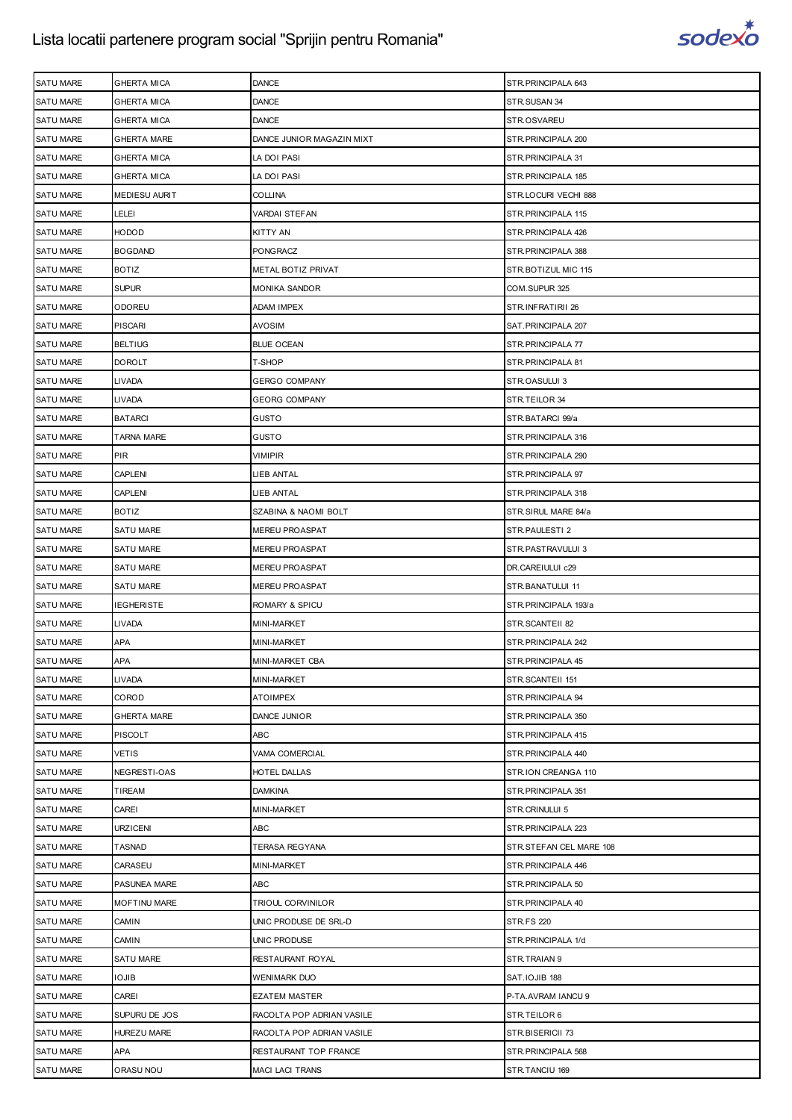

| <b>SATU MARE</b> | <b>GHERTA MICA</b>   | <b>DANCE</b>              | STR.PRINCIPALA 643      |
|------------------|----------------------|---------------------------|-------------------------|
| <b>SATU MARE</b> | <b>GHERTA MICA</b>   | <b>DANCE</b>              | STR.SUSAN 34            |
| <b>SATU MARE</b> | <b>GHERTA MICA</b>   | DANCE                     | STR.OSVAREU             |
| <b>SATU MARE</b> | <b>GHERTA MARE</b>   | DANCE JUNIOR MAGAZIN MIXT | STR.PRINCIPALA 200      |
| <b>SATU MARE</b> | <b>GHERTA MICA</b>   | LA DOI PASI               | STR. PRINCIPALA 31      |
| <b>SATU MARE</b> | <b>GHERTA MICA</b>   | LA DOI PASI               | STR.PRINCIPALA 185      |
| <b>SATU MARE</b> | <b>MEDIESU AURIT</b> | COLLINA                   | STR.LOCURI VECHI 888    |
| <b>SATU MARE</b> | <b>LELEI</b>         | VARDAI STEFAN             | STR.PRINCIPALA 115      |
| <b>SATU MARE</b> | <b>HODOD</b>         | KITTY AN                  | STR. PRINCIPALA 426     |
| <b>SATU MARE</b> | <b>BOGDAND</b>       | PONGRACZ                  | STR.PRINCIPALA 388      |
| <b>SATU MARE</b> | <b>BOTIZ</b>         | METAL BOTIZ PRIVAT        | STR.BOTIZUL MIC 115     |
| <b>SATU MARE</b> | <b>SUPUR</b>         | MONIKA SANDOR             | COM.SUPUR 325           |
| <b>SATU MARE</b> | ODOREU               | ADAM IMPEX                | STR.INFRATIRII 26       |
| <b>SATU MARE</b> | <b>PISCARI</b>       | <b>AVOSIM</b>             | SAT.PRINCIPALA 207      |
| <b>SATU MARE</b> | <b>BELTIUG</b>       | <b>BLUE OCEAN</b>         | STR. PRINCIPALA 77      |
| <b>SATU MARE</b> | <b>DOROLT</b>        | T-SHOP                    | STR. PRINCIPALA 81      |
| <b>SATU MARE</b> | <b>LIVADA</b>        | GERGO COMPANY             | STR.OASULUI 3           |
| <b>SATU MARE</b> | LIVADA               | GEORG COMPANY             | STR.TEILOR 34           |
| <b>SATU MARE</b> | <b>BATARCI</b>       | GUSTO                     | STR.BATARCI 99/a        |
| <b>SATU MARE</b> | <b>TARNA MARE</b>    | GUSTO                     | STR. PRINCIPALA 316     |
| <b>SATU MARE</b> | <b>PIR</b>           | VIMIPIR                   | STR. PRINCIPALA 290     |
| <b>SATU MARE</b> | <b>CAPLENI</b>       | LIEB ANTAL                | STR. PRINCIPALA 97      |
| <b>SATU MARE</b> | <b>CAPLENI</b>       | LIEB ANTAL                | STR. PRINCIPALA 318     |
| <b>SATU MARE</b> | <b>BOTIZ</b>         | SZABINA & NAOMI BOLT      | STR.SIRUL MARE 84/a     |
| <b>SATU MARE</b> | <b>SATU MARE</b>     | MEREU PROASPAT            | STR.PAULESTI 2          |
| <b>SATU MARE</b> | <b>SATU MARE</b>     | MEREU PROASPAT            | STR.PASTRAVULUI 3       |
| <b>SATU MARE</b> | <b>SATU MARE</b>     | MEREU PROASPAT            | DR.CAREIULUI c29        |
| <b>SATU MARE</b> | <b>SATU MARE</b>     | <b>MEREU PROASPAT</b>     | STR.BANATULUI 11        |
| <b>SATU MARE</b> | <b>IEGHERISTE</b>    | ROMARY & SPICU            | STR.PRINCIPALA 193/a    |
| <b>SATU MARE</b> | LIVADA               | MINI-MARKET               | STR.SCANTEII 82         |
| <b>SATU MARE</b> | APA                  | MINI-MARKET               | STR.PRINCIPALA 242      |
| <b>SATU MARE</b> | APA                  | MINI-MARKET CBA           | STR. PRINCIPALA 45      |
| SATU MARE        | <b>LIVADA</b>        | MINI-MARKET               | STR.SCANTEII 151        |
| <b>SATU MARE</b> | COROD                | <b>ATOIMPEX</b>           | STR.PRINCIPALA 94       |
| <b>SATU MARE</b> | <b>GHERTA MARE</b>   | DANCE JUNIOR              | STR. PRINCIPALA 350     |
| SATU MARE        | <b>PISCOLT</b>       | ABC                       | STR. PRINCIPALA 415     |
| <b>SATU MARE</b> | <b>VETIS</b>         | VAMA COMERCIAL            | STR. PRINCIPALA 440     |
| <b>SATU MARE</b> | NEGRESTI-OAS         | HOTEL DALLAS              | STR.ION CREANGA 110     |
| <b>SATU MARE</b> | TIREAM               | <b>DAMKINA</b>            | STR. PRINCIPALA 351     |
| <b>SATU MARE</b> | CAREI                | MINI-MARKET               | STR.CRINULUI 5          |
| <b>SATU MARE</b> | <b>URZICENI</b>      | ABC                       | STR. PRINCIPALA 223     |
| <b>SATU MARE</b> | <b>TASNAD</b>        | TERASA REGYANA            | STR.STEFAN CEL MARE 108 |
| <b>SATU MARE</b> | CARASEU              | MINI-MARKET               | STR. PRINCIPALA 446     |
| <b>SATU MARE</b> | PASUNEA MARE         | ABC                       | STR. PRINCIPALA 50      |
| SATU MARE        | <b>MOFTINU MARE</b>  | TRIOUL CORVINILOR         | STR. PRINCIPALA 40      |
| <b>SATU MARE</b> | CAMIN                | UNIC PRODUSE DE SRL-D     | <b>STR.FS 220</b>       |
| <b>SATU MARE</b> | CAMIN                | UNIC PRODUSE              | STR.PRINCIPALA 1/d      |
| SATU MARE        | SATU MARE            | RESTAURANT ROYAL          | STR.TRAIAN 9            |
| <b>SATU MARE</b> | <b>IOJIB</b>         | WENIMARK DUO              | SAT.IOJIB 188           |
| <b>SATU MARE</b> | CAREI                | <b>EZATEM MASTER</b>      | P-TA.AVRAM IANCU 9      |
| <b>SATU MARE</b> | SUPURU DE JOS        | RACOLTA POP ADRIAN VASILE | STR.TEILOR 6            |
| <b>SATU MARE</b> | <b>HUREZU MARE</b>   | RACOLTA POP ADRIAN VASILE | STR.BISERICII 73        |
| <b>SATU MARE</b> | APA                  | RESTAURANT TOP FRANCE     | STR.PRINCIPALA 568      |
| SATU MARE        | ORASU NOU            | MACI LACI TRANS           | STR.TANCIU 169          |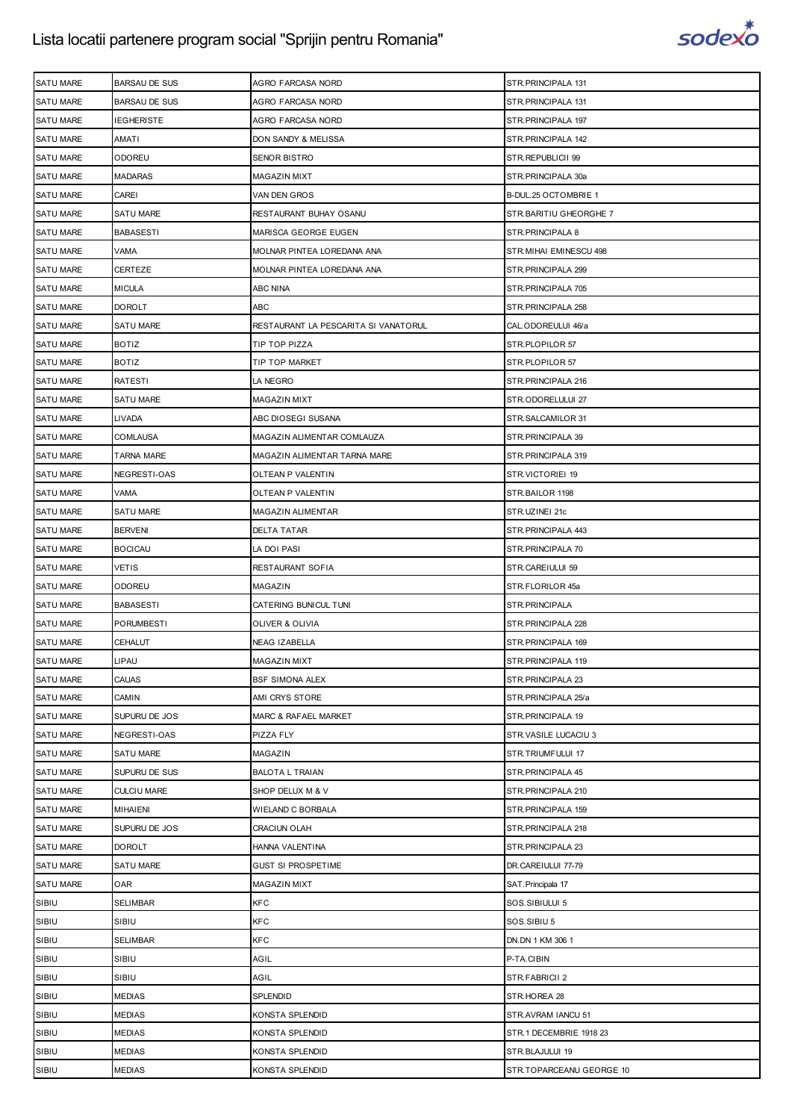

| <b>SATU MARE</b> | <b>BARSAU DE SUS</b> | AGRO FARCASA NORD                    | STR. PRINCIPALA 131     |
|------------------|----------------------|--------------------------------------|-------------------------|
| <b>SATU MARE</b> | <b>BARSAU DE SUS</b> | AGRO FARCASA NORD                    | STR. PRINCIPALA 131     |
| <b>SATU MARE</b> | IEGHERISTE           | AGRO FARCASA NORD                    | STR.PRINCIPALA 197      |
| <b>SATU MARE</b> | AMATI                | DON SANDY & MELISSA                  | STR. PRINCIPALA 142     |
| <b>SATU MARE</b> | <b>ODOREU</b>        | <b>SENOR BISTRO</b>                  | STR.REPUBLICII 99       |
| <b>SATU MARE</b> | MADARAS              | MAGAZIN MIXT                         | STR.PRINCIPALA 30a      |
| <b>SATU MARE</b> | CAREI                | VAN DEN GROS                         | B-DUL.25 OCTOMBRIE 1    |
| <b>SATU MARE</b> | <b>SATU MARE</b>     | RESTAURANT BUHAY OSANU               | STR. BARITIU GHEORGHE 7 |
| <b>SATU MARE</b> | <b>BABASESTI</b>     | MARISCA GEORGE EUGEN                 | STR. PRINCIPALA 8       |
| <b>SATU MARE</b> | VAMA                 |                                      | STR. MIHAI EMINESCU 498 |
|                  |                      | MOLNAR PINTEA LOREDANA ANA           |                         |
| <b>SATU MARE</b> | CERTEZE              | MOLNAR PINTEA LOREDANA ANA           | STR. PRINCIPALA 299     |
| <b>SATU MARE</b> | <b>MICULA</b>        | ABC NINA                             | STR. PRINCIPALA 705     |
| <b>SATU MARE</b> | DOROLT               | <b>ABC</b>                           | STR. PRINCIPALA 258     |
| <b>SATU MARE</b> | <b>SATU MARE</b>     | RESTAURANT LA PESCARITA SI VANATORUL | CAL.ODOREULUI 46/a      |
| <b>SATU MARE</b> | <b>BOTIZ</b>         | TIP TOP PIZZA                        | STR.PLOPILOR 57         |
| <b>SATU MARE</b> | <b>BOTIZ</b>         | TIP TOP MARKET                       | STR.PLOPILOR 57         |
| <b>SATU MARE</b> | RATESTI              | LA NEGRO                             | STR. PRINCIPALA 216     |
| <b>SATU MARE</b> | SATU MARE            | MAGAZIN MIXT                         | STR.ODORELULUI 27       |
| <b>SATU MARE</b> | LIVADA               | ABC DIOSEGI SUSANA                   | STR.SALCAMILOR 31       |
| <b>SATU MARE</b> | <b>COMLAUSA</b>      | MAGAZIN ALIMENTAR COMLAUZA           | STR. PRINCIPALA 39      |
| SATU MARE        | TARNA MARE           | MAGAZIN ALIMENTAR TARNA MARE         | STR. PRINCIPALA 319     |
| <b>SATU MARE</b> | NEGRESTI-OAS         | OLTEAN P VALENTIN                    | STR.VICTORIEI 19        |
| <b>SATU MARE</b> | VAMA                 | OLTEAN P VALENTIN                    | STR.BAILOR 1198         |
| <b>SATU MARE</b> | SATU MARE            | MAGAZIN ALIMENTAR                    | STR.UZINEI 21c          |
| <b>SATU MARE</b> | <b>BERVENI</b>       | <b>DELTA TATAR</b>                   | STR. PRINCIPALA 443     |
| <b>SATU MARE</b> | <b>BOCICAU</b>       | LA DOI PASI                          | STR. PRINCIPALA 70      |
| <b>SATU MARE</b> | VETIS                | RESTAURANT SOFIA                     | STR.CAREIULUI 59        |
| <b>SATU MARE</b> | <b>ODOREU</b>        | MAGAZIN                              | STR.FLORILOR 45a        |
|                  |                      |                                      |                         |
| <b>SATU MARE</b> | <b>BABASESTI</b>     | CATERING BUNICUL TUNI                | STR.PRINCIPALA          |
| <b>SATU MARE</b> | PORUMBESTI           | OLIVER & OLIVIA                      | STR. PRINCIPALA 228     |
| <b>SATU MARE</b> | CEHALUT              | NEAG IZABELLA                        | STR. PRINCIPALA 169     |
| <b>SATU MARE</b> | LIPAU                | <b>MAGAZIN MIXT</b>                  | STR.PRINCIPALA 119      |
| SATU MARE        | CAUAS                | <b>BSF SIMONA ALEX</b>               | STR.PRINCIPALA 23       |
| SATU MARE        | CAMIN                | AMI CRYS STORE                       | STR.PRINCIPALA 25/a     |
| <b>SATU MARE</b> | SUPURU DE JOS        | MARC & RAFAEL MARKET                 | STR.PRINCIPALA 19       |
| <b>SATU MARE</b> | NEGRESTI-OAS         | PIZZA FLY                            | STR.VASILE LUCACIU 3    |
| <b>SATU MARE</b> | <b>SATU MARE</b>     | MAGAZIN                              | STR.TRIUMFULUI 17       |
| <b>SATU MARE</b> | SUPURU DE SUS        | <b>BALOTA L TRAIAN</b>               | STR.PRINCIPALA 45       |
| SATU MARE        | <b>CULCIU MARE</b>   | SHOP DELUX M & V                     | STR. PRINCIPALA 210     |
| <b>SATU MARE</b> | <b>MIHAIENI</b>      | WIELAND C BORBALA                    | STR.PRINCIPALA 159      |
| <b>SATU MARE</b> | SUPURU DE JOS        | CRACIUN OLAH                         | STR. PRINCIPALA 218     |
| <b>SATU MARE</b> | DOROLT               | HANNA VALENTINA                      | STR. PRINCIPALA 23      |
| <b>SATU MARE</b> | <b>SATU MARE</b>     | <b>GUST SI PROSPETIME</b>            | DR.CAREIULUI 77-79      |
| <b>SATU MARE</b> | OAR                  | MAGAZIN MIXT                         | SAT. Principala 17      |
| SIBIU            | SELIMBAR             | <b>KFC</b>                           | SOS.SIBIULUI 5          |
| SIBIU            | SIBIU                | <b>KFC</b>                           | SOS.SIBIU 5             |
| SIBIU            | SELIMBAR             | <b>KFC</b>                           | DN.DN 1 KM 306 1        |
| SIBIU            | SIBIU                | AGIL                                 | P-TA.CIBIN              |
| SIBIU            | SIBIU                | AGIL                                 | STR.FABRICII 2          |
| SIBIU            | <b>MEDIAS</b>        | SPLENDID                             | STR.HOREA 28            |
| SIBIU            | MEDIAS               | KONSTA SPLENDID                      | STR.AVRAM IANCU 51      |
| SIBIU            | <b>MEDIAS</b>        | KONSTA SPLENDID                      | STR.1 DECEMBRIE 1918 23 |
| SIBIU            | <b>MEDIAS</b>        | KONSTA SPLENDID                      | STR.BLAJULUI 19         |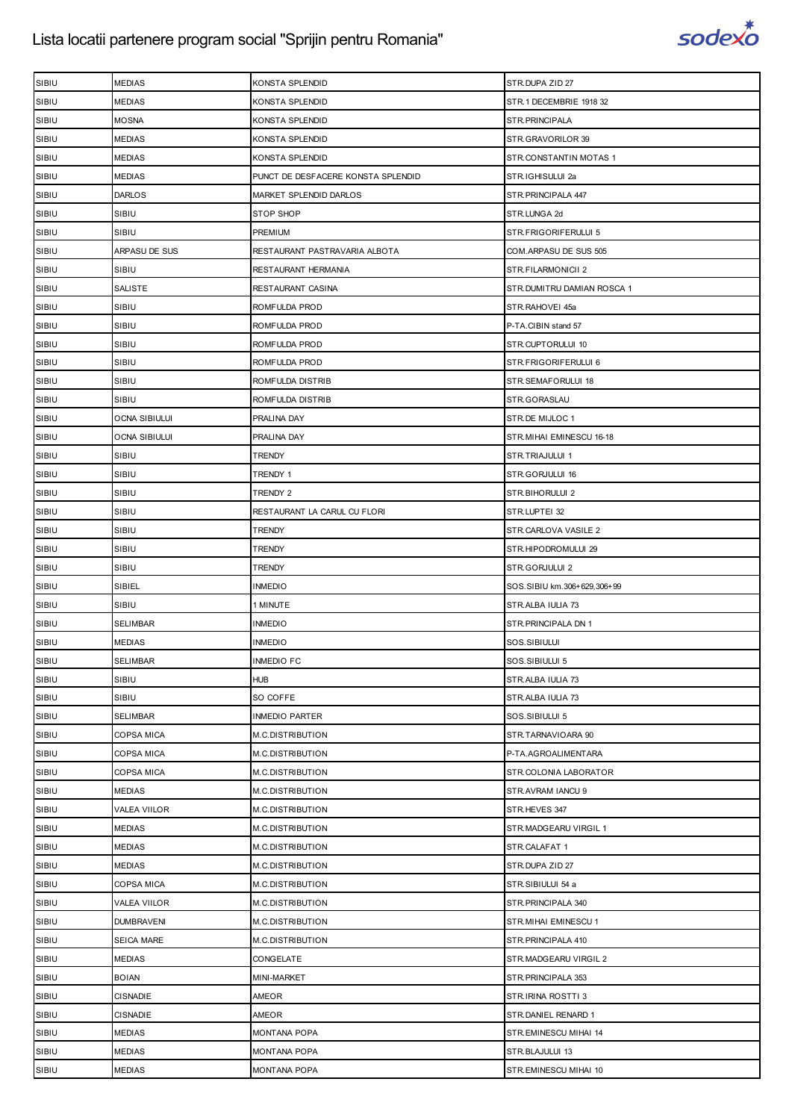

| SIBIU | <b>MEDIAS</b>        | KONSTA SPLENDID                    | STR.DUPA ZID 27             |
|-------|----------------------|------------------------------------|-----------------------------|
| SIBIU | <b>MEDIAS</b>        | KONSTA SPLENDID                    | STR.1 DECEMBRIE 1918 32     |
| SIBIU | <b>MOSNA</b>         | KONSTA SPLENDID                    | STR.PRINCIPALA              |
| SIBIU | MEDIAS               | KONSTA SPLENDID                    | STR.GRAVORILOR 39           |
| SIBIU | <b>MEDIAS</b>        | KONSTA SPLENDID                    | STR.CONSTANTIN MOTAS 1      |
| SIBIU | <b>MEDIAS</b>        | PUNCT DE DESFACERE KONSTA SPLENDID | STR.IGHISULUI 2a            |
| SIBIU | <b>DARLOS</b>        | MARKET SPLENDID DARLOS             | STR. PRINCIPALA 447         |
| SIBIU | SIBIU                | <b>STOP SHOP</b>                   | STR.LUNGA 2d                |
| SIBIU | SIBIU                | PREMIUM                            | STR.FRIGORIFERULUI 5        |
| SIBIU | ARPASU DE SUS        | RESTAURANT PASTRAVARIA ALBOTA      | COM.ARPASU DE SUS 505       |
| SIBIU | SIBIU                | RESTAURANT HERMANIA                | STR.FILARMONICII 2          |
| SIBIU | SALISTE              | RESTAURANT CASINA                  | STR.DUMITRU DAMIAN ROSCA 1  |
| SIBIU | SIBIU                | ROMFULDA PROD                      | STR.RAHOVEI 45a             |
| SIBIU | SIBIU                | ROMFULDA PROD                      | P-TA.CIBIN stand 57         |
| SIBIU | SIBIU                | ROMFULDA PROD                      | STR.CUPTORULUI 10           |
| SIBIU | SIBIU                | ROMFULDA PROD                      | STR.FRIGORIFERULUI 6        |
| SIBIU | SIBIU                | ROMFULDA DISTRIB                   | STR.SEMAFORULUI 18          |
| SIBIU | SIBIU                | ROMFULDA DISTRIB                   | STR.GORASLAU                |
| SIBIU | OCNA SIBIULUI        | PRALINA DAY                        | STR.DE MIJLOC 1             |
| SIBIU | <b>OCNA SIBIULUI</b> | PRALINA DAY                        | STR.MIHAI EMINESCU 16-18    |
| SIBIU | SIBIU                | <b>TRENDY</b>                      | STR.TRIAJULUI 1             |
| SIBIU | SIBIU                | TRENDY 1                           | STR.GORJULUI 16             |
| SIBIU | SIBIU                | TRENDY 2                           | STR.BIHORULUI 2             |
| SIBIU | SIBIU                | RESTAURANT LA CARUL CU FLORI       | STR.LUPTEI 32               |
| SIBIU | SIBIU                | TRENDY                             | STR.CARLOVA VASILE 2        |
| SIBIU | SIBIU                | <b>TRENDY</b>                      | STR.HIPODROMULUI 29         |
| SIBIU | SIBIU                | TRENDY                             | STR.GORJULUI 2              |
| SIBIU | SIBIEL               | <b>INMEDIO</b>                     | SOS.SIBIU km.306+629,306+99 |
| SIBIU | SIBIU                | 1 MINUTE                           | STR.ALBA IULIA 73           |
| SIBIU | <b>SELIMBAR</b>      | <b>INMEDIO</b>                     | STR. PRINCIPALA DN 1        |
| SIBIU | <b>MEDIAS</b>        | <b>INMEDIO</b>                     | SOS.SIBIULUI                |
| SIBIU | <b>SELIMBAR</b>      | <b>INMEDIO FC</b>                  | SOS.SIBIULUI 5              |
| SIBIU | SIBIU                | <b>HUB</b>                         | STR.ALBA IULIA 73           |
| SIBIU | SIBIU                | SO COFFE                           | STR.ALBA IULIA 73           |
| SIBIU | <b>SELIMBAR</b>      | <b>INMEDIO PARTER</b>              | SOS.SIBIULUI 5              |
| SIBIU | COPSA MICA           | M.C.DISTRIBUTION                   | STR.TARNAVIOARA 90          |
| SIBIU | COPSA MICA           | M.C.DISTRIBUTION                   | P-TA.AGROALIMENTARA         |
| SIBIU | COPSA MICA           | M.C.DISTRIBUTION                   | STR.COLONIA LABORATOR       |
| SIBIU | <b>MEDIAS</b>        | M.C.DISTRIBUTION                   | STR.AVRAM IANCU 9           |
| SIBIU | VALEA VIILOR         | M.C.DISTRIBUTION                   | STR.HEVES 347               |
| SIBIU | <b>MEDIAS</b>        | M.C.DISTRIBUTION                   | STR.MADGEARU VIRGIL 1       |
| SIBIU | <b>MEDIAS</b>        | M.C.DISTRIBUTION                   | STR.CALAFAT 1               |
| SIBIU | <b>MEDIAS</b>        | M.C.DISTRIBUTION                   | STR.DUPA ZID 27             |
| SIBIU | COPSA MICA           | M.C.DISTRIBUTION                   | STR.SIBIULUI 54 a           |
| SIBIU | VALEA VIILOR         | M.C.DISTRIBUTION                   | STR. PRINCIPALA 340         |
| SIBIU | <b>DUMBRAVENI</b>    | M.C.DISTRIBUTION                   | STR. MIHAI EMINESCU 1       |
| SIBIU | <b>SEICA MARE</b>    | M.C.DISTRIBUTION                   | STR. PRINCIPALA 410         |
| SIBIU | <b>MEDIAS</b>        | CONGELATE                          | STR.MADGEARU VIRGIL 2       |
| SIBIU | <b>BOIAN</b>         | MINI-MARKET                        | STR. PRINCIPALA 353         |
| SIBIU | <b>CISNADIE</b>      | AMEOR                              | STR.IRINA ROSTTI 3          |
| SIBIU | <b>CISNADIE</b>      | AMEOR                              | STR.DANIEL RENARD 1         |
| SIBIU | <b>MEDIAS</b>        | MONTANA POPA                       | STR.EMINESCU MIHAI 14       |
| SIBIU | <b>MEDIAS</b>        | MONTANA POPA                       | STR.BLAJULUI 13             |
| SIBIU | <b>MEDIAS</b>        | MONTANA POPA                       | STR.EMINESCU MIHAI 10       |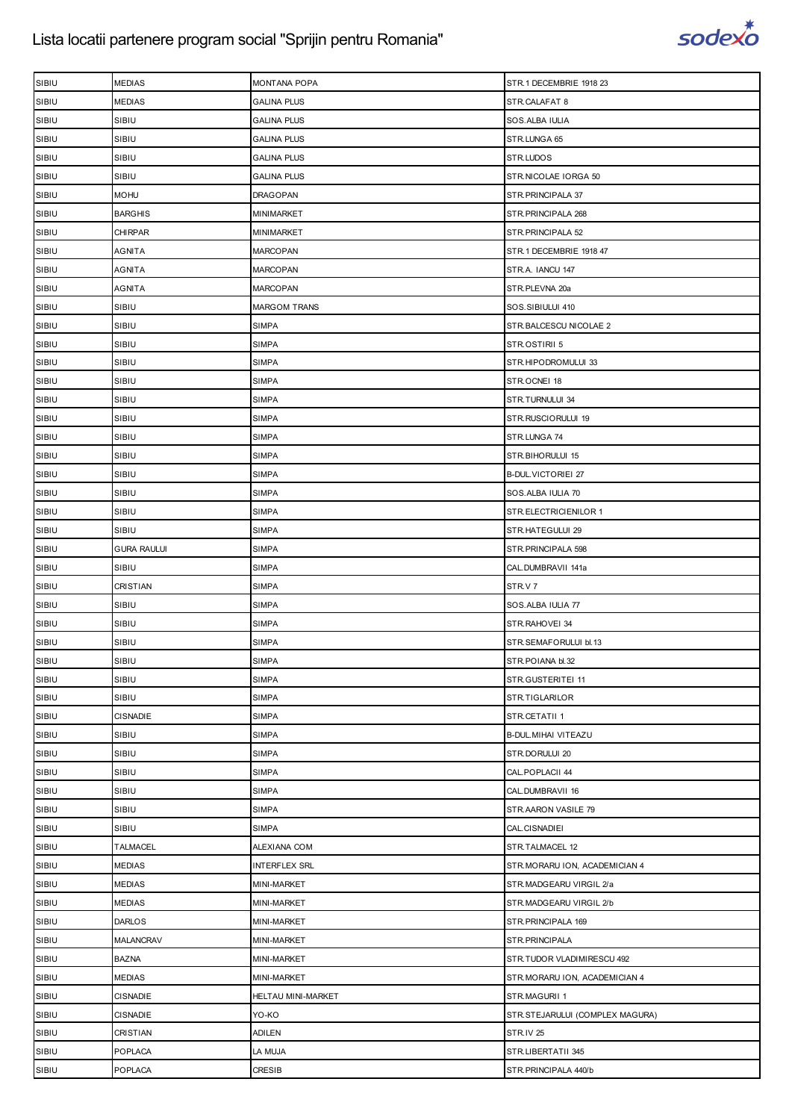

| SIBIU | <b>MEDIAS</b>      | <b>MONTANA POPA</b>  | STR.1 DECEMBRIE 1918 23         |
|-------|--------------------|----------------------|---------------------------------|
| SIBIU | <b>MEDIAS</b>      | <b>GALINA PLUS</b>   | STR.CALAFAT 8                   |
| SIBIU | SIBIU              | <b>GALINA PLUS</b>   | SOS.ALBA IULIA                  |
| SIBIU | SIBIU              | <b>GALINA PLUS</b>   | STR.LUNGA 65                    |
| SIBIU | SIBIU              | <b>GALINA PLUS</b>   | STR.LUDOS                       |
| SIBIU | SIBIU              | <b>GALINA PLUS</b>   | STR.NICOLAE IORGA 50            |
| SIBIU | MOHU               | DRAGOPAN             | STR. PRINCIPALA 37              |
| SIBIU | <b>BARGHIS</b>     | MINIMARKET           | STR. PRINCIPALA 268             |
| SIBIU | <b>CHIRPAR</b>     | MINIMARKET           | STR. PRINCIPALA 52              |
| SIBIU | AGNITA             | <b>MARCOPAN</b>      | STR.1 DECEMBRIE 1918 47         |
| SIBIU | AGNITA             | <b>MARCOPAN</b>      | STR.A. IANCU 147                |
| SIBIU | AGNITA             | <b>MARCOPAN</b>      | STR.PLEVNA 20a                  |
| SIBIU | SIBIU              | <b>MARGOM TRANS</b>  | SOS.SIBIULUI 410                |
| SIBIU | SIBIU              | <b>SIMPA</b>         | STR. BALCESCU NICOLAE 2         |
| SIBIU | SIBIU              | <b>SIMPA</b>         | STR.OSTIRII 5                   |
| SIBIU | SIBIU              | <b>SIMPA</b>         | STR.HIPODROMULUI 33             |
| SIBIU | SIBIU              | <b>SIMPA</b>         | STR.OCNEI 18                    |
| SIBIU | SIBIU              | <b>SIMPA</b>         | STR.TURNULUI 34                 |
| SIBIU | SIBIU              | <b>SIMPA</b>         | STR.RUSCIORULUI 19              |
| SIBIU | SIBIU              | <b>SIMPA</b>         | STR.LUNGA 74                    |
| SIBIU | SIBIU              | <b>SIMPA</b>         | STR.BIHORULUI 15                |
| SIBIU | SIBIU              | <b>SIMPA</b>         | <b>B-DUL.VICTORIEI 27</b>       |
| SIBIU | SIBIU              | <b>SIMPA</b>         | SOS.ALBA IULIA 70               |
| SIBIU | SIBIU              | <b>SIMPA</b>         | STR.ELECTRICIENILOR 1           |
| SIBIU | SIBIU              | <b>SIMPA</b>         | STR.HATEGULUI 29                |
| SIBIU | <b>GURA RAULUI</b> | <b>SIMPA</b>         | STR. PRINCIPALA 598             |
| SIBIU | SIBIU              | <b>SIMPA</b>         | CAL.DUMBRAVII 141a              |
| SIBIU | CRISTIAN           | <b>SIMPA</b>         | STR.V 7                         |
| SIBIU | SIBIU              | <b>SIMPA</b>         | SOS.ALBA IULIA 77               |
| SIBIU | SIBIU              | <b>SIMPA</b>         | STR.RAHOVEI 34                  |
| SIBIU | SIBIU              | SIMPA                | STR.SEMAFORULUI bl.13           |
| SIBIU | SIBIU              | <b>SIMPA</b>         | STR.POIANA bl.32                |
| SIBIU | SIBIU              | <b>SIMPA</b>         | STR.GUSTERITEI 11               |
| SIBIU | SIBIU              | <b>SIMPA</b>         | STR.TIGLARILOR                  |
| SIBIU | <b>CISNADIE</b>    | <b>SIMPA</b>         | STR.CETATII 1                   |
| SIBIU | SIBIU              | <b>SIMPA</b>         | B-DUL. MIHAI VITEAZU            |
| SIBIU | SIBIU              | <b>SIMPA</b>         | STR.DORULUI 20                  |
| SIBIU | SIBIU              | <b>SIMPA</b>         | CAL.POPLACII 44                 |
| SIBIU | SIBIU              | <b>SIMPA</b>         | CAL.DUMBRAVII 16                |
| SIBIU | SIBIU              | <b>SIMPA</b>         | STR.AARON VASILE 79             |
| SIBIU | SIBIU              | <b>SIMPA</b>         | CAL.CISNADIEI                   |
| SIBIU | <b>TALMACEL</b>    | ALEXIANA COM         | STR.TALMACEL 12                 |
| SIBIU | <b>MEDIAS</b>      | <b>INTERFLEX SRL</b> | STR.MORARU ION, ACADEMICIAN 4   |
| SIBIU | <b>MEDIAS</b>      | MINI-MARKET          | STR.MADGEARU VIRGIL 2/a         |
| SIBIU | <b>MEDIAS</b>      | MINI-MARKET          | STR.MADGEARU VIRGIL 2/b         |
| SIBIU | <b>DARLOS</b>      | MINI-MARKET          | STR. PRINCIPALA 169             |
| SIBIU | MALANCRAV          | MINI-MARKET          | STR.PRINCIPALA                  |
| SIBIU | <b>BAZNA</b>       | MINI-MARKET          | STR.TUDOR VLADIMIRESCU 492      |
| SIBIU | <b>MEDIAS</b>      | MINI-MARKET          | STR.MORARU ION, ACADEMICIAN 4   |
| SIBIU | <b>CISNADIE</b>    | HELTAU MINI-MARKET   | STR.MAGURII 1                   |
| SIBIU | <b>CISNADIE</b>    | YO-KO                | STR.STEJARULUI (COMPLEX MAGURA) |
| SIBIU | CRISTIAN           | <b>ADILEN</b>        | <b>STR.IV 25</b>                |
| SIBIU | POPLACA            | LA MUJA              | STR.LIBERTATII 345              |
| SIBIU | POPLACA            | CRESIB               | STR.PRINCIPALA 440/b            |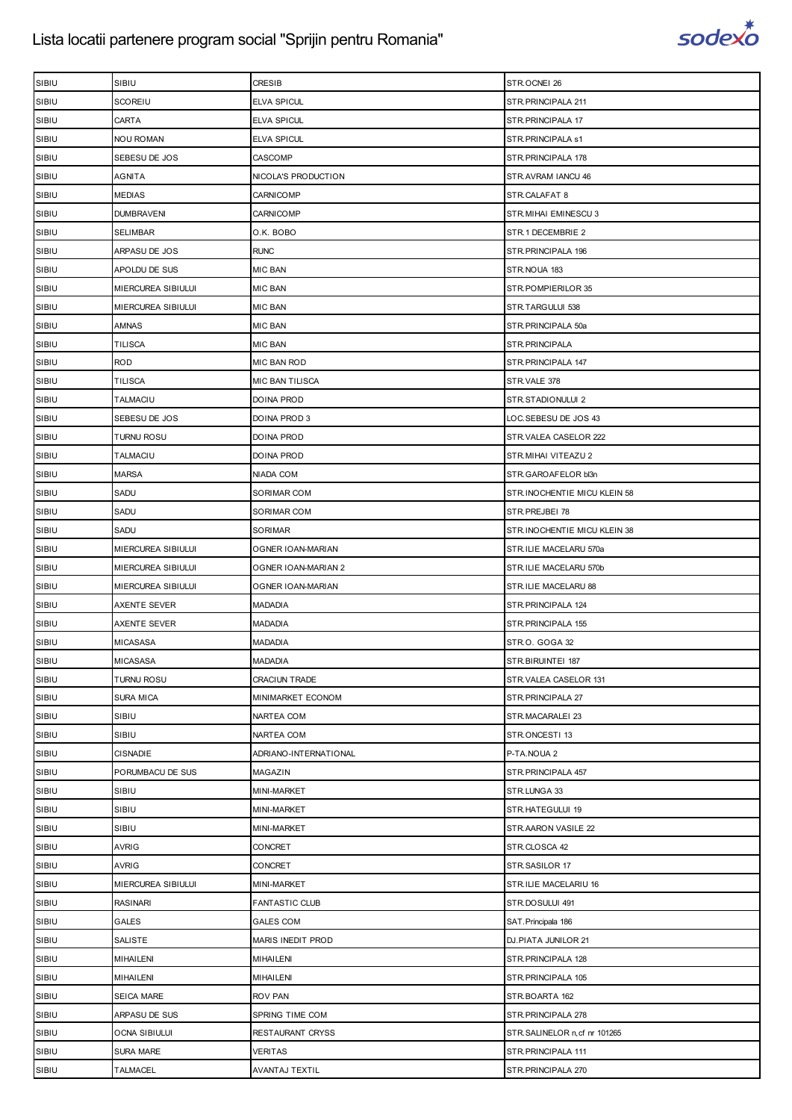

| SIBIU | SIBIU              | <b>CRESIB</b>         | STR.OCNEI 26                  |
|-------|--------------------|-----------------------|-------------------------------|
| SIBIU | SCOREIU            | <b>ELVA SPICUL</b>    | STR. PRINCIPALA 211           |
| SIBIU | CARTA              | <b>ELVA SPICUL</b>    | STR.PRINCIPALA 17             |
| SIBIU | NOU ROMAN          | ELVA SPICUL           | STR. PRINCIPALA s1            |
| SIBIU | SEBESU DE JOS      | CASCOMP               | STR.PRINCIPALA 178            |
| SIBIU | AGNITA             | NICOLA'S PRODUCTION   | STR.AVRAM IANCU 46            |
| SIBIU | MEDIAS             | <b>CARNICOMP</b>      | STR.CALAFAT 8                 |
| SIBIU | <b>DUMBRAVENI</b>  | CARNICOMP             | STR. MIHAI EMINESCU 3         |
| SIBIU | SELIMBAR           | O.K. BOBO             | STR.1 DECEMBRIE 2             |
| SIBIU | ARPASU DE JOS      | <b>RUNC</b>           | STR. PRINCIPALA 196           |
| SIBIU | APOLDU DE SUS      | <b>MIC BAN</b>        | STR.NOUA 183                  |
| SIBIU | MIERCUREA SIBIULUI | MIC BAN               | STR.POMPIERILOR 35            |
| SIBIU | MIERCUREA SIBIULUI | <b>MIC BAN</b>        | STR.TARGULUI 538              |
| SIBIU | AMNAS              | <b>MIC BAN</b>        | STR.PRINCIPALA 50a            |
| SIBIU | TILISCA            | <b>MIC BAN</b>        | STR.PRINCIPALA                |
| SIBIU | <b>ROD</b>         | MIC BAN ROD           | STR. PRINCIPALA 147           |
| SIBIU | <b>TILISCA</b>     | MIC BAN TILISCA       | STR.VALE 378                  |
| SIBIU | TALMACIU           | DOINA PROD            | STR.STADIONULUI 2             |
| SIBIU | SEBESU DE JOS      | DOINA PROD 3          | LOC.SEBESU DE JOS 43          |
| SIBIU | <b>TURNU ROSU</b>  | DOINA PROD            | STR.VALEA CASELOR 222         |
| SIBIU | TALMACIU           | <b>DOINA PROD</b>     | STR. MIHAI VITEAZU 2          |
| SIBIU | <b>MARSA</b>       | NIADA COM             | STR.GAROAFELOR bl3n           |
| SIBIU | SADU               | SORIMAR COM           | STR.INOCHENTIE MICU KLEIN 58  |
| SIBIU | SADU               | SORIMAR COM           | STR.PREJBEI 78                |
| SIBIU | SADU               | SORIMAR               | STR.INOCHENTIE MICU KLEIN 38  |
| SIBIU | MIERCUREA SIBIULUI | OGNER IOAN-MARIAN     | STR.ILIE MACELARU 570a        |
| SIBIU | MIERCUREA SIBIULUI | OGNER IOAN-MARIAN 2   | STR.ILIE MACELARU 570b        |
| SIBIU | MIERCUREA SIBIULUI | OGNER IOAN-MARIAN     | STR.ILIE MACELARU 88          |
| SIBIU | AXENTE SEVER       | MADADIA               | STR.PRINCIPALA 124            |
| SIBIU | AXENTE SEVER       | MADADIA               | STR. PRINCIPALA 155           |
| SIBIU | MICASASA           | MADADIA               | STR.O. GOGA 32                |
| SIBIU | <b>MICASASA</b>    | <b>MADADIA</b>        | STR.BIRUINTEI 187             |
| SIBIU | <b>TURNU ROSU</b>  | <b>CRACIUN TRADE</b>  | STR.VALEA CASELOR 131         |
| SIBIU | SURA MICA          | MINIMARKET ECONOM     | STR.PRINCIPALA 27             |
| SIBIU | SIBIU              | NARTEA COM            | STR.MACARALEI 23              |
| SIBIU | SIBIU              | NARTEA COM            | STR.ONCESTI 13                |
| SIBIU | CISNADIE           | ADRIANO-INTERNATIONAL | P-TA.NOUA 2                   |
| SIBIU | PORUMBACU DE SUS   | MAGAZIN               | STR. PRINCIPALA 457           |
| SIBIU | SIBIU              | MINI-MARKET           | STR.LUNGA 33                  |
| SIBIU | SIBIU              | MINI-MARKET           | STR.HATEGULUI 19              |
| SIBIU | SIBIU              | MINI-MARKET           | STR.AARON VASILE 22           |
| SIBIU | AVRIG              | CONCRET               | STR.CLOSCA 42                 |
| SIBIU | AVRIG              | CONCRET               | STR.SASILOR 17                |
| SIBIU | MIERCUREA SIBIULUI | MINI-MARKET           | STR.ILIE MACELARIU 16         |
| SIBIU | <b>RASINARI</b>    | <b>FANTASTIC CLUB</b> | STR.DOSULUI 491               |
| SIBIU | GALES              | <b>GALES COM</b>      | SAT. Principala 186           |
| SIBIU | SALISTE            | MARIS INEDIT PROD     | DJ.PIATA JUNILOR 21           |
| SIBIU | MIHAILENI          | MIHAILENI             | STR. PRINCIPALA 128           |
| SIBIU | MIHAILENI          | MIHAILENI             | STR.PRINCIPALA 105            |
| SIBIU | SEICA MARE         | ROV PAN               | STR.BOARTA 162                |
| SIBIU | ARPASU DE SUS      | SPRING TIME COM       | STR. PRINCIPALA 278           |
| SIBIU | OCNA SIBIULUI      | RESTAURANT CRYSS      | STR.SALINELOR n, cf nr 101265 |
| SIBIU | SURA MARE          | <b>VERITAS</b>        | STR.PRINCIPALA 111            |
| SIBIU | <b>TALMACEL</b>    | AVANTAJ TEXTIL        | STR.PRINCIPALA 270            |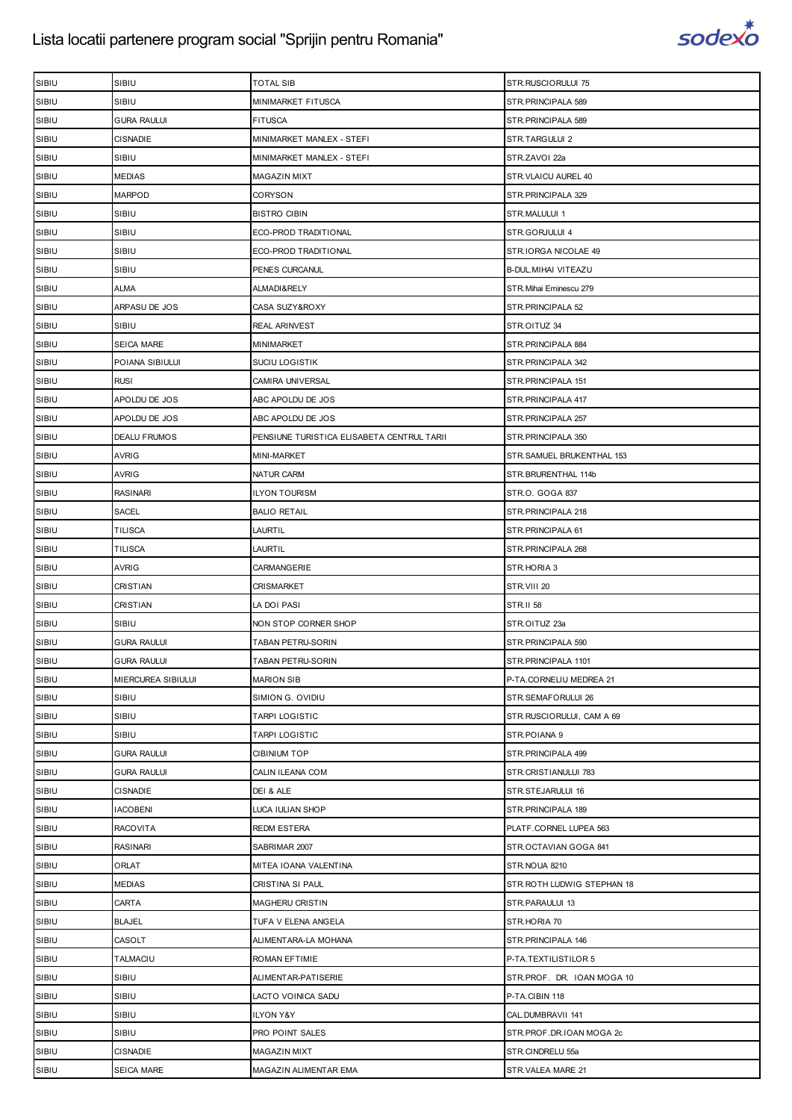

| SIBIU<br>SIBIU<br>MINIMARKET FITUSCA<br>STR. PRINCIPALA 589<br>SIBIU<br>GURA RAULUI<br><b>FITUSCA</b><br>STR. PRINCIPALA 589<br>SIBIU<br><b>CISNADIE</b><br>STR.TARGULUI 2<br>MINIMARKET MANLEX - STEFI<br>SIBIU<br>SIBIU<br>STR.ZAVOI 22a<br>MINIMARKET MANLEX - STEFI<br>SIBIU<br><b>MEDIAS</b><br>MAGAZIN MIXT<br>STR.VLAICU AUREL 40<br><b>MARPOD</b><br>SIBIU<br>CORYSON<br>STR.PRINCIPALA 329<br>SIBIU<br>SIBIU<br><b>BISTRO CIBIN</b><br>STR.MALULUI 1<br>SIBIU<br>SIBIU<br>ECO-PROD TRADITIONAL<br>STR.GORJULUI 4<br>SIBIU<br>SIBIU<br>ECO-PROD TRADITIONAL<br>STR.IORGA NICOLAE 49<br>SIBIU<br>SIBIU<br>PENES CURCANUL<br>B-DUL. MIHAI VITEAZU<br>SIBIU<br>ALMA<br>ALMADI&RELY<br>STR. Mihai Eminescu 279<br>SIBIU<br>ARPASU DE JOS<br>CASA SUZY&ROXY<br>STR.PRINCIPALA 52<br>SIBIU<br>SIBIU<br><b>REAL ARINVEST</b><br>STR.OITUZ 34<br>SIBIU<br>SEICA MARE<br>MINIMARKET<br>STR. PRINCIPALA 884<br>SIBIU<br>POIANA SIBIULUI<br><b>SUCIU LOGISTIK</b><br>STR. PRINCIPALA 342<br>SIBIU<br><b>RUSI</b><br>CAMIRA UNIVERSAL<br>STR. PRINCIPALA 151<br>SIBIU<br>APOLDU DE JOS<br>ABC APOLDU DE JOS<br>STR.PRINCIPALA 417<br>SIBIU<br>APOLDU DE JOS<br>ABC APOLDU DE JOS<br>STR.PRINCIPALA 257<br>SIBIU<br><b>DEALU FRUMOS</b><br>PENSIUNE TURISTICA ELISABETA CENTRUL TARII<br>STR. PRINCIPALA 350<br>SIBIU<br>AVRIG<br><b>MINI-MARKET</b><br>STR.SAMUEL BRUKENTHAL 153<br>SIBIU<br><b>AVRIG</b><br>NATUR CARM<br>STR.BRURENTHAL 114b<br>SIBIU<br><b>RASINARI</b><br><b>ILYON TOURISM</b><br>STR.O. GOGA 837<br>SIBIU<br>SACEL<br><b>BALIO RETAIL</b><br>STR. PRINCIPALA 218<br>SIBIU<br>TILISCA<br>LAURTIL<br>STR. PRINCIPALA 61<br>SIBIU<br>TILISCA<br><b>LAURTIL</b><br>STR. PRINCIPALA 268<br>SIBIU<br>AVRIG<br>CARMANGERIE<br>STR.HORIA 3<br>SIBIU<br>CRISTIAN<br><b>CRISMARKET</b><br>STR.VIII 20<br>SIBIU<br>CRISTIAN<br><b>STR.II 58</b><br>LA DOI PASI<br>SIBIU<br>SIBIU<br>NON STOP CORNER SHOP<br>STR.OITUZ 23a<br>SIBIU<br><b>GURA RAULUI</b><br>TABAN PETRU-SORIN<br>STR.PRINCIPALA 590<br>SIBIU<br><b>GURA RAULUI</b><br>TABAN PETRU-SORIN<br>STR.PRINCIPALA 1101<br>SIBIU<br>MIERCUREA SIBIULUI<br><b>MARION SIB</b><br>P-TA.CORNELIU MEDREA 21<br>SIBIU<br>SIBIU<br>SIMION G. OVIDIU<br>STR.SEMAFORULUI 26<br>SIBIU<br>SIBIU<br>STR.RUSCIORULUI, CAM A 69<br><b>TARPI LOGISTIC</b><br>SIBIU<br>SIBIU<br><b>TARPI LOGISTIC</b><br>STR.POIANA 9<br>SIBIU<br><b>GURA RAULUI</b><br><b>CIBINIUM TOP</b><br>STR. PRINCIPALA 499<br>SIBIU<br>CALIN ILEANA COM<br>STR.CRISTIANULUI 783<br><b>GURA RAULUI</b><br>SIBIU<br><b>CISNADIE</b><br>DEI & ALE<br>STR.STEJARULUI 16<br>SIBIU<br><b>IACOBENI</b><br>LUCA IULIAN SHOP<br>STR.PRINCIPALA 189<br>SIBIU<br><b>RACOVITA</b><br><b>REDM ESTERA</b><br>PLATF.CORNEL LUPEA 563<br>SIBIU<br>RASINARI<br>STR.OCTAVIAN GOGA 841<br>SABRIMAR 2007<br>SIBIU<br>ORLAT<br>MITEA IOANA VALENTINA<br>STR.NOUA 8210<br>SIBIU<br><b>MEDIAS</b><br>STR. ROTH LUDWIG STEPHAN 18<br>CRISTINA SI PAUL<br>SIBIU<br>CARTA<br>MAGHERU CRISTIN<br>STR.PARAULUI 13<br>SIBIU<br><b>BLAJEL</b><br>TUFA V ELENA ANGELA<br>STR.HORIA 70<br>SIBIU<br>CASOLT<br>ALIMENTARA-LA MOHANA<br>STR.PRINCIPALA 146<br>SIBIU<br>TALMACIU<br>ROMAN EFTIMIE<br>P-TA.TEXTILISTILOR 5<br>SIBIU<br>SIBIU<br>ALIMENTAR-PATISERIE<br>STR.PROF. DR. IOAN MOGA 10<br>SIBIU<br>SIBIU<br>P-TA.CIBIN 118<br>LACTO VOINICA SADU<br>SIBIU<br>SIBIU<br>ILYON Y&Y<br>CAL.DUMBRAVII 141<br>SIBIU<br>SIBIU<br>PRO POINT SALES<br>STR.PROF.DR.IOAN MOGA 2c<br>SIBIU<br><b>CISNADIE</b><br>STR.CINDRELU 55a<br>MAGAZIN MIXT | SIBIU | SIBIU      | <b>TOTAL SIB</b>      | STR.RUSCIORULUI 75 |
|----------------------------------------------------------------------------------------------------------------------------------------------------------------------------------------------------------------------------------------------------------------------------------------------------------------------------------------------------------------------------------------------------------------------------------------------------------------------------------------------------------------------------------------------------------------------------------------------------------------------------------------------------------------------------------------------------------------------------------------------------------------------------------------------------------------------------------------------------------------------------------------------------------------------------------------------------------------------------------------------------------------------------------------------------------------------------------------------------------------------------------------------------------------------------------------------------------------------------------------------------------------------------------------------------------------------------------------------------------------------------------------------------------------------------------------------------------------------------------------------------------------------------------------------------------------------------------------------------------------------------------------------------------------------------------------------------------------------------------------------------------------------------------------------------------------------------------------------------------------------------------------------------------------------------------------------------------------------------------------------------------------------------------------------------------------------------------------------------------------------------------------------------------------------------------------------------------------------------------------------------------------------------------------------------------------------------------------------------------------------------------------------------------------------------------------------------------------------------------------------------------------------------------------------------------------------------------------------------------------------------------------------------------------------------------------------------------------------------------------------------------------------------------------------------------------------------------------------------------------------------------------------------------------------------------------------------------------------------------------------------------------------------------------------------------------------------------------------------------------------------------------------------------------------------------------------------------------------------------------------------------------------------------------------------------------------------------------------------------------------------------------------------------------------------------------------------------------------------------------------------------------------------------|-------|------------|-----------------------|--------------------|
|                                                                                                                                                                                                                                                                                                                                                                                                                                                                                                                                                                                                                                                                                                                                                                                                                                                                                                                                                                                                                                                                                                                                                                                                                                                                                                                                                                                                                                                                                                                                                                                                                                                                                                                                                                                                                                                                                                                                                                                                                                                                                                                                                                                                                                                                                                                                                                                                                                                                                                                                                                                                                                                                                                                                                                                                                                                                                                                                                                                                                                                                                                                                                                                                                                                                                                                                                                                                                                                                                                                                  |       |            |                       |                    |
|                                                                                                                                                                                                                                                                                                                                                                                                                                                                                                                                                                                                                                                                                                                                                                                                                                                                                                                                                                                                                                                                                                                                                                                                                                                                                                                                                                                                                                                                                                                                                                                                                                                                                                                                                                                                                                                                                                                                                                                                                                                                                                                                                                                                                                                                                                                                                                                                                                                                                                                                                                                                                                                                                                                                                                                                                                                                                                                                                                                                                                                                                                                                                                                                                                                                                                                                                                                                                                                                                                                                  |       |            |                       |                    |
|                                                                                                                                                                                                                                                                                                                                                                                                                                                                                                                                                                                                                                                                                                                                                                                                                                                                                                                                                                                                                                                                                                                                                                                                                                                                                                                                                                                                                                                                                                                                                                                                                                                                                                                                                                                                                                                                                                                                                                                                                                                                                                                                                                                                                                                                                                                                                                                                                                                                                                                                                                                                                                                                                                                                                                                                                                                                                                                                                                                                                                                                                                                                                                                                                                                                                                                                                                                                                                                                                                                                  |       |            |                       |                    |
|                                                                                                                                                                                                                                                                                                                                                                                                                                                                                                                                                                                                                                                                                                                                                                                                                                                                                                                                                                                                                                                                                                                                                                                                                                                                                                                                                                                                                                                                                                                                                                                                                                                                                                                                                                                                                                                                                                                                                                                                                                                                                                                                                                                                                                                                                                                                                                                                                                                                                                                                                                                                                                                                                                                                                                                                                                                                                                                                                                                                                                                                                                                                                                                                                                                                                                                                                                                                                                                                                                                                  |       |            |                       |                    |
|                                                                                                                                                                                                                                                                                                                                                                                                                                                                                                                                                                                                                                                                                                                                                                                                                                                                                                                                                                                                                                                                                                                                                                                                                                                                                                                                                                                                                                                                                                                                                                                                                                                                                                                                                                                                                                                                                                                                                                                                                                                                                                                                                                                                                                                                                                                                                                                                                                                                                                                                                                                                                                                                                                                                                                                                                                                                                                                                                                                                                                                                                                                                                                                                                                                                                                                                                                                                                                                                                                                                  |       |            |                       |                    |
|                                                                                                                                                                                                                                                                                                                                                                                                                                                                                                                                                                                                                                                                                                                                                                                                                                                                                                                                                                                                                                                                                                                                                                                                                                                                                                                                                                                                                                                                                                                                                                                                                                                                                                                                                                                                                                                                                                                                                                                                                                                                                                                                                                                                                                                                                                                                                                                                                                                                                                                                                                                                                                                                                                                                                                                                                                                                                                                                                                                                                                                                                                                                                                                                                                                                                                                                                                                                                                                                                                                                  |       |            |                       |                    |
|                                                                                                                                                                                                                                                                                                                                                                                                                                                                                                                                                                                                                                                                                                                                                                                                                                                                                                                                                                                                                                                                                                                                                                                                                                                                                                                                                                                                                                                                                                                                                                                                                                                                                                                                                                                                                                                                                                                                                                                                                                                                                                                                                                                                                                                                                                                                                                                                                                                                                                                                                                                                                                                                                                                                                                                                                                                                                                                                                                                                                                                                                                                                                                                                                                                                                                                                                                                                                                                                                                                                  |       |            |                       |                    |
|                                                                                                                                                                                                                                                                                                                                                                                                                                                                                                                                                                                                                                                                                                                                                                                                                                                                                                                                                                                                                                                                                                                                                                                                                                                                                                                                                                                                                                                                                                                                                                                                                                                                                                                                                                                                                                                                                                                                                                                                                                                                                                                                                                                                                                                                                                                                                                                                                                                                                                                                                                                                                                                                                                                                                                                                                                                                                                                                                                                                                                                                                                                                                                                                                                                                                                                                                                                                                                                                                                                                  |       |            |                       |                    |
|                                                                                                                                                                                                                                                                                                                                                                                                                                                                                                                                                                                                                                                                                                                                                                                                                                                                                                                                                                                                                                                                                                                                                                                                                                                                                                                                                                                                                                                                                                                                                                                                                                                                                                                                                                                                                                                                                                                                                                                                                                                                                                                                                                                                                                                                                                                                                                                                                                                                                                                                                                                                                                                                                                                                                                                                                                                                                                                                                                                                                                                                                                                                                                                                                                                                                                                                                                                                                                                                                                                                  |       |            |                       |                    |
|                                                                                                                                                                                                                                                                                                                                                                                                                                                                                                                                                                                                                                                                                                                                                                                                                                                                                                                                                                                                                                                                                                                                                                                                                                                                                                                                                                                                                                                                                                                                                                                                                                                                                                                                                                                                                                                                                                                                                                                                                                                                                                                                                                                                                                                                                                                                                                                                                                                                                                                                                                                                                                                                                                                                                                                                                                                                                                                                                                                                                                                                                                                                                                                                                                                                                                                                                                                                                                                                                                                                  |       |            |                       |                    |
|                                                                                                                                                                                                                                                                                                                                                                                                                                                                                                                                                                                                                                                                                                                                                                                                                                                                                                                                                                                                                                                                                                                                                                                                                                                                                                                                                                                                                                                                                                                                                                                                                                                                                                                                                                                                                                                                                                                                                                                                                                                                                                                                                                                                                                                                                                                                                                                                                                                                                                                                                                                                                                                                                                                                                                                                                                                                                                                                                                                                                                                                                                                                                                                                                                                                                                                                                                                                                                                                                                                                  |       |            |                       |                    |
|                                                                                                                                                                                                                                                                                                                                                                                                                                                                                                                                                                                                                                                                                                                                                                                                                                                                                                                                                                                                                                                                                                                                                                                                                                                                                                                                                                                                                                                                                                                                                                                                                                                                                                                                                                                                                                                                                                                                                                                                                                                                                                                                                                                                                                                                                                                                                                                                                                                                                                                                                                                                                                                                                                                                                                                                                                                                                                                                                                                                                                                                                                                                                                                                                                                                                                                                                                                                                                                                                                                                  |       |            |                       |                    |
|                                                                                                                                                                                                                                                                                                                                                                                                                                                                                                                                                                                                                                                                                                                                                                                                                                                                                                                                                                                                                                                                                                                                                                                                                                                                                                                                                                                                                                                                                                                                                                                                                                                                                                                                                                                                                                                                                                                                                                                                                                                                                                                                                                                                                                                                                                                                                                                                                                                                                                                                                                                                                                                                                                                                                                                                                                                                                                                                                                                                                                                                                                                                                                                                                                                                                                                                                                                                                                                                                                                                  |       |            |                       |                    |
|                                                                                                                                                                                                                                                                                                                                                                                                                                                                                                                                                                                                                                                                                                                                                                                                                                                                                                                                                                                                                                                                                                                                                                                                                                                                                                                                                                                                                                                                                                                                                                                                                                                                                                                                                                                                                                                                                                                                                                                                                                                                                                                                                                                                                                                                                                                                                                                                                                                                                                                                                                                                                                                                                                                                                                                                                                                                                                                                                                                                                                                                                                                                                                                                                                                                                                                                                                                                                                                                                                                                  |       |            |                       |                    |
|                                                                                                                                                                                                                                                                                                                                                                                                                                                                                                                                                                                                                                                                                                                                                                                                                                                                                                                                                                                                                                                                                                                                                                                                                                                                                                                                                                                                                                                                                                                                                                                                                                                                                                                                                                                                                                                                                                                                                                                                                                                                                                                                                                                                                                                                                                                                                                                                                                                                                                                                                                                                                                                                                                                                                                                                                                                                                                                                                                                                                                                                                                                                                                                                                                                                                                                                                                                                                                                                                                                                  |       |            |                       |                    |
|                                                                                                                                                                                                                                                                                                                                                                                                                                                                                                                                                                                                                                                                                                                                                                                                                                                                                                                                                                                                                                                                                                                                                                                                                                                                                                                                                                                                                                                                                                                                                                                                                                                                                                                                                                                                                                                                                                                                                                                                                                                                                                                                                                                                                                                                                                                                                                                                                                                                                                                                                                                                                                                                                                                                                                                                                                                                                                                                                                                                                                                                                                                                                                                                                                                                                                                                                                                                                                                                                                                                  |       |            |                       |                    |
|                                                                                                                                                                                                                                                                                                                                                                                                                                                                                                                                                                                                                                                                                                                                                                                                                                                                                                                                                                                                                                                                                                                                                                                                                                                                                                                                                                                                                                                                                                                                                                                                                                                                                                                                                                                                                                                                                                                                                                                                                                                                                                                                                                                                                                                                                                                                                                                                                                                                                                                                                                                                                                                                                                                                                                                                                                                                                                                                                                                                                                                                                                                                                                                                                                                                                                                                                                                                                                                                                                                                  |       |            |                       |                    |
|                                                                                                                                                                                                                                                                                                                                                                                                                                                                                                                                                                                                                                                                                                                                                                                                                                                                                                                                                                                                                                                                                                                                                                                                                                                                                                                                                                                                                                                                                                                                                                                                                                                                                                                                                                                                                                                                                                                                                                                                                                                                                                                                                                                                                                                                                                                                                                                                                                                                                                                                                                                                                                                                                                                                                                                                                                                                                                                                                                                                                                                                                                                                                                                                                                                                                                                                                                                                                                                                                                                                  |       |            |                       |                    |
|                                                                                                                                                                                                                                                                                                                                                                                                                                                                                                                                                                                                                                                                                                                                                                                                                                                                                                                                                                                                                                                                                                                                                                                                                                                                                                                                                                                                                                                                                                                                                                                                                                                                                                                                                                                                                                                                                                                                                                                                                                                                                                                                                                                                                                                                                                                                                                                                                                                                                                                                                                                                                                                                                                                                                                                                                                                                                                                                                                                                                                                                                                                                                                                                                                                                                                                                                                                                                                                                                                                                  |       |            |                       |                    |
|                                                                                                                                                                                                                                                                                                                                                                                                                                                                                                                                                                                                                                                                                                                                                                                                                                                                                                                                                                                                                                                                                                                                                                                                                                                                                                                                                                                                                                                                                                                                                                                                                                                                                                                                                                                                                                                                                                                                                                                                                                                                                                                                                                                                                                                                                                                                                                                                                                                                                                                                                                                                                                                                                                                                                                                                                                                                                                                                                                                                                                                                                                                                                                                                                                                                                                                                                                                                                                                                                                                                  |       |            |                       |                    |
|                                                                                                                                                                                                                                                                                                                                                                                                                                                                                                                                                                                                                                                                                                                                                                                                                                                                                                                                                                                                                                                                                                                                                                                                                                                                                                                                                                                                                                                                                                                                                                                                                                                                                                                                                                                                                                                                                                                                                                                                                                                                                                                                                                                                                                                                                                                                                                                                                                                                                                                                                                                                                                                                                                                                                                                                                                                                                                                                                                                                                                                                                                                                                                                                                                                                                                                                                                                                                                                                                                                                  |       |            |                       |                    |
|                                                                                                                                                                                                                                                                                                                                                                                                                                                                                                                                                                                                                                                                                                                                                                                                                                                                                                                                                                                                                                                                                                                                                                                                                                                                                                                                                                                                                                                                                                                                                                                                                                                                                                                                                                                                                                                                                                                                                                                                                                                                                                                                                                                                                                                                                                                                                                                                                                                                                                                                                                                                                                                                                                                                                                                                                                                                                                                                                                                                                                                                                                                                                                                                                                                                                                                                                                                                                                                                                                                                  |       |            |                       |                    |
|                                                                                                                                                                                                                                                                                                                                                                                                                                                                                                                                                                                                                                                                                                                                                                                                                                                                                                                                                                                                                                                                                                                                                                                                                                                                                                                                                                                                                                                                                                                                                                                                                                                                                                                                                                                                                                                                                                                                                                                                                                                                                                                                                                                                                                                                                                                                                                                                                                                                                                                                                                                                                                                                                                                                                                                                                                                                                                                                                                                                                                                                                                                                                                                                                                                                                                                                                                                                                                                                                                                                  |       |            |                       |                    |
|                                                                                                                                                                                                                                                                                                                                                                                                                                                                                                                                                                                                                                                                                                                                                                                                                                                                                                                                                                                                                                                                                                                                                                                                                                                                                                                                                                                                                                                                                                                                                                                                                                                                                                                                                                                                                                                                                                                                                                                                                                                                                                                                                                                                                                                                                                                                                                                                                                                                                                                                                                                                                                                                                                                                                                                                                                                                                                                                                                                                                                                                                                                                                                                                                                                                                                                                                                                                                                                                                                                                  |       |            |                       |                    |
|                                                                                                                                                                                                                                                                                                                                                                                                                                                                                                                                                                                                                                                                                                                                                                                                                                                                                                                                                                                                                                                                                                                                                                                                                                                                                                                                                                                                                                                                                                                                                                                                                                                                                                                                                                                                                                                                                                                                                                                                                                                                                                                                                                                                                                                                                                                                                                                                                                                                                                                                                                                                                                                                                                                                                                                                                                                                                                                                                                                                                                                                                                                                                                                                                                                                                                                                                                                                                                                                                                                                  |       |            |                       |                    |
|                                                                                                                                                                                                                                                                                                                                                                                                                                                                                                                                                                                                                                                                                                                                                                                                                                                                                                                                                                                                                                                                                                                                                                                                                                                                                                                                                                                                                                                                                                                                                                                                                                                                                                                                                                                                                                                                                                                                                                                                                                                                                                                                                                                                                                                                                                                                                                                                                                                                                                                                                                                                                                                                                                                                                                                                                                                                                                                                                                                                                                                                                                                                                                                                                                                                                                                                                                                                                                                                                                                                  |       |            |                       |                    |
|                                                                                                                                                                                                                                                                                                                                                                                                                                                                                                                                                                                                                                                                                                                                                                                                                                                                                                                                                                                                                                                                                                                                                                                                                                                                                                                                                                                                                                                                                                                                                                                                                                                                                                                                                                                                                                                                                                                                                                                                                                                                                                                                                                                                                                                                                                                                                                                                                                                                                                                                                                                                                                                                                                                                                                                                                                                                                                                                                                                                                                                                                                                                                                                                                                                                                                                                                                                                                                                                                                                                  |       |            |                       |                    |
|                                                                                                                                                                                                                                                                                                                                                                                                                                                                                                                                                                                                                                                                                                                                                                                                                                                                                                                                                                                                                                                                                                                                                                                                                                                                                                                                                                                                                                                                                                                                                                                                                                                                                                                                                                                                                                                                                                                                                                                                                                                                                                                                                                                                                                                                                                                                                                                                                                                                                                                                                                                                                                                                                                                                                                                                                                                                                                                                                                                                                                                                                                                                                                                                                                                                                                                                                                                                                                                                                                                                  |       |            |                       |                    |
|                                                                                                                                                                                                                                                                                                                                                                                                                                                                                                                                                                                                                                                                                                                                                                                                                                                                                                                                                                                                                                                                                                                                                                                                                                                                                                                                                                                                                                                                                                                                                                                                                                                                                                                                                                                                                                                                                                                                                                                                                                                                                                                                                                                                                                                                                                                                                                                                                                                                                                                                                                                                                                                                                                                                                                                                                                                                                                                                                                                                                                                                                                                                                                                                                                                                                                                                                                                                                                                                                                                                  |       |            |                       |                    |
|                                                                                                                                                                                                                                                                                                                                                                                                                                                                                                                                                                                                                                                                                                                                                                                                                                                                                                                                                                                                                                                                                                                                                                                                                                                                                                                                                                                                                                                                                                                                                                                                                                                                                                                                                                                                                                                                                                                                                                                                                                                                                                                                                                                                                                                                                                                                                                                                                                                                                                                                                                                                                                                                                                                                                                                                                                                                                                                                                                                                                                                                                                                                                                                                                                                                                                                                                                                                                                                                                                                                  |       |            |                       |                    |
|                                                                                                                                                                                                                                                                                                                                                                                                                                                                                                                                                                                                                                                                                                                                                                                                                                                                                                                                                                                                                                                                                                                                                                                                                                                                                                                                                                                                                                                                                                                                                                                                                                                                                                                                                                                                                                                                                                                                                                                                                                                                                                                                                                                                                                                                                                                                                                                                                                                                                                                                                                                                                                                                                                                                                                                                                                                                                                                                                                                                                                                                                                                                                                                                                                                                                                                                                                                                                                                                                                                                  |       |            |                       |                    |
|                                                                                                                                                                                                                                                                                                                                                                                                                                                                                                                                                                                                                                                                                                                                                                                                                                                                                                                                                                                                                                                                                                                                                                                                                                                                                                                                                                                                                                                                                                                                                                                                                                                                                                                                                                                                                                                                                                                                                                                                                                                                                                                                                                                                                                                                                                                                                                                                                                                                                                                                                                                                                                                                                                                                                                                                                                                                                                                                                                                                                                                                                                                                                                                                                                                                                                                                                                                                                                                                                                                                  |       |            |                       |                    |
|                                                                                                                                                                                                                                                                                                                                                                                                                                                                                                                                                                                                                                                                                                                                                                                                                                                                                                                                                                                                                                                                                                                                                                                                                                                                                                                                                                                                                                                                                                                                                                                                                                                                                                                                                                                                                                                                                                                                                                                                                                                                                                                                                                                                                                                                                                                                                                                                                                                                                                                                                                                                                                                                                                                                                                                                                                                                                                                                                                                                                                                                                                                                                                                                                                                                                                                                                                                                                                                                                                                                  |       |            |                       |                    |
|                                                                                                                                                                                                                                                                                                                                                                                                                                                                                                                                                                                                                                                                                                                                                                                                                                                                                                                                                                                                                                                                                                                                                                                                                                                                                                                                                                                                                                                                                                                                                                                                                                                                                                                                                                                                                                                                                                                                                                                                                                                                                                                                                                                                                                                                                                                                                                                                                                                                                                                                                                                                                                                                                                                                                                                                                                                                                                                                                                                                                                                                                                                                                                                                                                                                                                                                                                                                                                                                                                                                  |       |            |                       |                    |
|                                                                                                                                                                                                                                                                                                                                                                                                                                                                                                                                                                                                                                                                                                                                                                                                                                                                                                                                                                                                                                                                                                                                                                                                                                                                                                                                                                                                                                                                                                                                                                                                                                                                                                                                                                                                                                                                                                                                                                                                                                                                                                                                                                                                                                                                                                                                                                                                                                                                                                                                                                                                                                                                                                                                                                                                                                                                                                                                                                                                                                                                                                                                                                                                                                                                                                                                                                                                                                                                                                                                  |       |            |                       |                    |
|                                                                                                                                                                                                                                                                                                                                                                                                                                                                                                                                                                                                                                                                                                                                                                                                                                                                                                                                                                                                                                                                                                                                                                                                                                                                                                                                                                                                                                                                                                                                                                                                                                                                                                                                                                                                                                                                                                                                                                                                                                                                                                                                                                                                                                                                                                                                                                                                                                                                                                                                                                                                                                                                                                                                                                                                                                                                                                                                                                                                                                                                                                                                                                                                                                                                                                                                                                                                                                                                                                                                  |       |            |                       |                    |
|                                                                                                                                                                                                                                                                                                                                                                                                                                                                                                                                                                                                                                                                                                                                                                                                                                                                                                                                                                                                                                                                                                                                                                                                                                                                                                                                                                                                                                                                                                                                                                                                                                                                                                                                                                                                                                                                                                                                                                                                                                                                                                                                                                                                                                                                                                                                                                                                                                                                                                                                                                                                                                                                                                                                                                                                                                                                                                                                                                                                                                                                                                                                                                                                                                                                                                                                                                                                                                                                                                                                  |       |            |                       |                    |
|                                                                                                                                                                                                                                                                                                                                                                                                                                                                                                                                                                                                                                                                                                                                                                                                                                                                                                                                                                                                                                                                                                                                                                                                                                                                                                                                                                                                                                                                                                                                                                                                                                                                                                                                                                                                                                                                                                                                                                                                                                                                                                                                                                                                                                                                                                                                                                                                                                                                                                                                                                                                                                                                                                                                                                                                                                                                                                                                                                                                                                                                                                                                                                                                                                                                                                                                                                                                                                                                                                                                  |       |            |                       |                    |
|                                                                                                                                                                                                                                                                                                                                                                                                                                                                                                                                                                                                                                                                                                                                                                                                                                                                                                                                                                                                                                                                                                                                                                                                                                                                                                                                                                                                                                                                                                                                                                                                                                                                                                                                                                                                                                                                                                                                                                                                                                                                                                                                                                                                                                                                                                                                                                                                                                                                                                                                                                                                                                                                                                                                                                                                                                                                                                                                                                                                                                                                                                                                                                                                                                                                                                                                                                                                                                                                                                                                  |       |            |                       |                    |
|                                                                                                                                                                                                                                                                                                                                                                                                                                                                                                                                                                                                                                                                                                                                                                                                                                                                                                                                                                                                                                                                                                                                                                                                                                                                                                                                                                                                                                                                                                                                                                                                                                                                                                                                                                                                                                                                                                                                                                                                                                                                                                                                                                                                                                                                                                                                                                                                                                                                                                                                                                                                                                                                                                                                                                                                                                                                                                                                                                                                                                                                                                                                                                                                                                                                                                                                                                                                                                                                                                                                  |       |            |                       |                    |
|                                                                                                                                                                                                                                                                                                                                                                                                                                                                                                                                                                                                                                                                                                                                                                                                                                                                                                                                                                                                                                                                                                                                                                                                                                                                                                                                                                                                                                                                                                                                                                                                                                                                                                                                                                                                                                                                                                                                                                                                                                                                                                                                                                                                                                                                                                                                                                                                                                                                                                                                                                                                                                                                                                                                                                                                                                                                                                                                                                                                                                                                                                                                                                                                                                                                                                                                                                                                                                                                                                                                  |       |            |                       |                    |
|                                                                                                                                                                                                                                                                                                                                                                                                                                                                                                                                                                                                                                                                                                                                                                                                                                                                                                                                                                                                                                                                                                                                                                                                                                                                                                                                                                                                                                                                                                                                                                                                                                                                                                                                                                                                                                                                                                                                                                                                                                                                                                                                                                                                                                                                                                                                                                                                                                                                                                                                                                                                                                                                                                                                                                                                                                                                                                                                                                                                                                                                                                                                                                                                                                                                                                                                                                                                                                                                                                                                  |       |            |                       |                    |
|                                                                                                                                                                                                                                                                                                                                                                                                                                                                                                                                                                                                                                                                                                                                                                                                                                                                                                                                                                                                                                                                                                                                                                                                                                                                                                                                                                                                                                                                                                                                                                                                                                                                                                                                                                                                                                                                                                                                                                                                                                                                                                                                                                                                                                                                                                                                                                                                                                                                                                                                                                                                                                                                                                                                                                                                                                                                                                                                                                                                                                                                                                                                                                                                                                                                                                                                                                                                                                                                                                                                  |       |            |                       |                    |
|                                                                                                                                                                                                                                                                                                                                                                                                                                                                                                                                                                                                                                                                                                                                                                                                                                                                                                                                                                                                                                                                                                                                                                                                                                                                                                                                                                                                                                                                                                                                                                                                                                                                                                                                                                                                                                                                                                                                                                                                                                                                                                                                                                                                                                                                                                                                                                                                                                                                                                                                                                                                                                                                                                                                                                                                                                                                                                                                                                                                                                                                                                                                                                                                                                                                                                                                                                                                                                                                                                                                  |       |            |                       |                    |
|                                                                                                                                                                                                                                                                                                                                                                                                                                                                                                                                                                                                                                                                                                                                                                                                                                                                                                                                                                                                                                                                                                                                                                                                                                                                                                                                                                                                                                                                                                                                                                                                                                                                                                                                                                                                                                                                                                                                                                                                                                                                                                                                                                                                                                                                                                                                                                                                                                                                                                                                                                                                                                                                                                                                                                                                                                                                                                                                                                                                                                                                                                                                                                                                                                                                                                                                                                                                                                                                                                                                  |       |            |                       |                    |
|                                                                                                                                                                                                                                                                                                                                                                                                                                                                                                                                                                                                                                                                                                                                                                                                                                                                                                                                                                                                                                                                                                                                                                                                                                                                                                                                                                                                                                                                                                                                                                                                                                                                                                                                                                                                                                                                                                                                                                                                                                                                                                                                                                                                                                                                                                                                                                                                                                                                                                                                                                                                                                                                                                                                                                                                                                                                                                                                                                                                                                                                                                                                                                                                                                                                                                                                                                                                                                                                                                                                  |       |            |                       |                    |
|                                                                                                                                                                                                                                                                                                                                                                                                                                                                                                                                                                                                                                                                                                                                                                                                                                                                                                                                                                                                                                                                                                                                                                                                                                                                                                                                                                                                                                                                                                                                                                                                                                                                                                                                                                                                                                                                                                                                                                                                                                                                                                                                                                                                                                                                                                                                                                                                                                                                                                                                                                                                                                                                                                                                                                                                                                                                                                                                                                                                                                                                                                                                                                                                                                                                                                                                                                                                                                                                                                                                  |       |            |                       |                    |
|                                                                                                                                                                                                                                                                                                                                                                                                                                                                                                                                                                                                                                                                                                                                                                                                                                                                                                                                                                                                                                                                                                                                                                                                                                                                                                                                                                                                                                                                                                                                                                                                                                                                                                                                                                                                                                                                                                                                                                                                                                                                                                                                                                                                                                                                                                                                                                                                                                                                                                                                                                                                                                                                                                                                                                                                                                                                                                                                                                                                                                                                                                                                                                                                                                                                                                                                                                                                                                                                                                                                  |       |            |                       |                    |
|                                                                                                                                                                                                                                                                                                                                                                                                                                                                                                                                                                                                                                                                                                                                                                                                                                                                                                                                                                                                                                                                                                                                                                                                                                                                                                                                                                                                                                                                                                                                                                                                                                                                                                                                                                                                                                                                                                                                                                                                                                                                                                                                                                                                                                                                                                                                                                                                                                                                                                                                                                                                                                                                                                                                                                                                                                                                                                                                                                                                                                                                                                                                                                                                                                                                                                                                                                                                                                                                                                                                  |       |            |                       |                    |
|                                                                                                                                                                                                                                                                                                                                                                                                                                                                                                                                                                                                                                                                                                                                                                                                                                                                                                                                                                                                                                                                                                                                                                                                                                                                                                                                                                                                                                                                                                                                                                                                                                                                                                                                                                                                                                                                                                                                                                                                                                                                                                                                                                                                                                                                                                                                                                                                                                                                                                                                                                                                                                                                                                                                                                                                                                                                                                                                                                                                                                                                                                                                                                                                                                                                                                                                                                                                                                                                                                                                  |       |            |                       |                    |
|                                                                                                                                                                                                                                                                                                                                                                                                                                                                                                                                                                                                                                                                                                                                                                                                                                                                                                                                                                                                                                                                                                                                                                                                                                                                                                                                                                                                                                                                                                                                                                                                                                                                                                                                                                                                                                                                                                                                                                                                                                                                                                                                                                                                                                                                                                                                                                                                                                                                                                                                                                                                                                                                                                                                                                                                                                                                                                                                                                                                                                                                                                                                                                                                                                                                                                                                                                                                                                                                                                                                  |       |            |                       |                    |
|                                                                                                                                                                                                                                                                                                                                                                                                                                                                                                                                                                                                                                                                                                                                                                                                                                                                                                                                                                                                                                                                                                                                                                                                                                                                                                                                                                                                                                                                                                                                                                                                                                                                                                                                                                                                                                                                                                                                                                                                                                                                                                                                                                                                                                                                                                                                                                                                                                                                                                                                                                                                                                                                                                                                                                                                                                                                                                                                                                                                                                                                                                                                                                                                                                                                                                                                                                                                                                                                                                                                  |       |            |                       |                    |
|                                                                                                                                                                                                                                                                                                                                                                                                                                                                                                                                                                                                                                                                                                                                                                                                                                                                                                                                                                                                                                                                                                                                                                                                                                                                                                                                                                                                                                                                                                                                                                                                                                                                                                                                                                                                                                                                                                                                                                                                                                                                                                                                                                                                                                                                                                                                                                                                                                                                                                                                                                                                                                                                                                                                                                                                                                                                                                                                                                                                                                                                                                                                                                                                                                                                                                                                                                                                                                                                                                                                  | SIBIU | SEICA MARE | MAGAZIN ALIMENTAR EMA | STR. VALEA MARE 21 |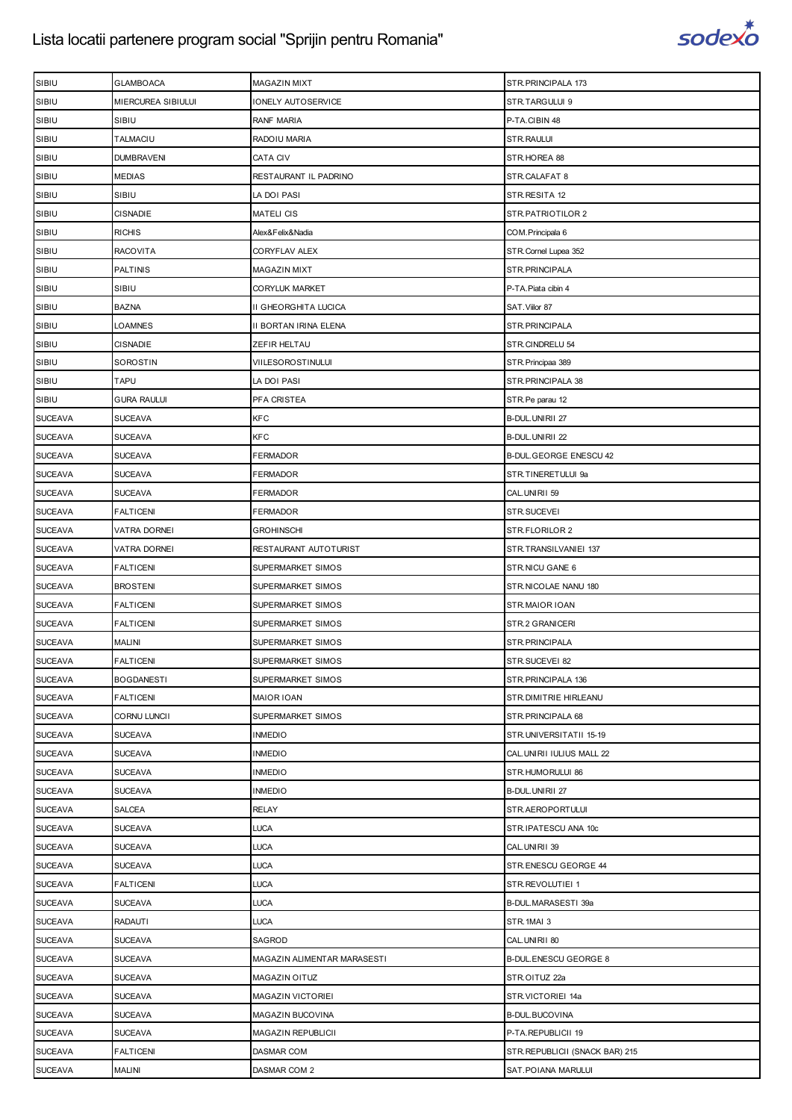

| SIBIU          | GLAMBOACA           | <b>MAGAZIN MIXT</b>         | STR.PRINCIPALA 173              |
|----------------|---------------------|-----------------------------|---------------------------------|
| SIBIU          | MIERCUREA SIBIULUI  | IONELY AUTOSERVICE          | STR.TARGULUI 9                  |
| SIBIU          | SIBIU               | <b>RANF MARIA</b>           | P-TA.CIBIN 48                   |
| SIBIU          | <b>TALMACIU</b>     | RADOIU MARIA                | STR.RAULUI                      |
| SIBIU          | <b>DUMBRAVENI</b>   | CATA CIV                    | STR.HOREA 88                    |
| SIBIU          | MEDIAS              | RESTAURANT IL PADRINO       | STR.CALAFAT 8                   |
| SIBIU          | SIBIU               | LA DOI PASI                 | STR.RESITA 12                   |
| SIBIU          | <b>CISNADIE</b>     | <b>MATELI CIS</b>           | STR.PATRIOTILOR 2               |
| SIBIU          | <b>RICHIS</b>       | Alex&Felix&Nadia            | COM.Principala 6                |
| SIBIU          | <b>RACOVITA</b>     | CORYFLAV ALEX               | STR. Cornel Lupea 352           |
| SIBIU          | <b>PALTINIS</b>     | <b>MAGAZIN MIXT</b>         | STR.PRINCIPALA                  |
| SIBIU          | SIBIU               | <b>CORYLUK MARKET</b>       | P-TA. Piata cibin 4             |
| SIBIU          | <b>BAZNA</b>        | II GHEORGHITA LUCICA        | SAT. Viilor 87                  |
| SIBIU          | LOAMNES             | II BORTAN IRINA ELENA       | STR.PRINCIPALA                  |
| SIBIU          | <b>CISNADIE</b>     | ZEFIR HELTAU                | STR.CINDRELU 54                 |
| SIBIU          | SOROSTIN            | VIILESOROSTINULUI           | STR. Principaa 389              |
| SIBIU          | TAPU                | LA DOI PASI                 | STR.PRINCIPALA 38               |
| SIBIU          | <b>GURA RAULUI</b>  | PFA CRISTEA                 | STR.Pe parau 12                 |
| <b>SUCEAVA</b> | <b>SUCEAVA</b>      | <b>KFC</b>                  | B-DUL.UNIRII 27                 |
| <b>SUCEAVA</b> | <b>SUCEAVA</b>      | KFC                         | B-DUL.UNIRII 22                 |
| <b>SUCEAVA</b> | <b>SUCEAVA</b>      | <b>FERMADOR</b>             | <b>B-DUL GEORGE ENESCU 42</b>   |
| <b>SUCEAVA</b> | <b>SUCEAVA</b>      | FERMADOR                    | STR.TINERETULUI 9a              |
| <b>SUCEAVA</b> | <b>SUCEAVA</b>      | <b>FERMADOR</b>             | CAL.UNIRII 59                   |
| <b>SUCEAVA</b> | FALTICENI           | FERMADOR                    | STR.SUCEVEI                     |
| <b>SUCEAVA</b> | VATRA DORNEI        | <b>GROHINSCHI</b>           | STR.FLORILOR 2                  |
| <b>SUCEAVA</b> | <b>VATRA DORNEI</b> | RESTAURANT AUTOTURIST       | STR.TRANSILVANIEI 137           |
| <b>SUCEAVA</b> | <b>FALTICENI</b>    | SUPERMARKET SIMOS           | STR.NICU GANE 6                 |
| <b>SUCEAVA</b> | <b>BROSTENI</b>     | SUPERMARKET SIMOS           | STR.NICOLAE NANU 180            |
| <b>SUCEAVA</b> | <b>FALTICENI</b>    | SUPERMARKET SIMOS           | STR.MAIOR IOAN                  |
| <b>SUCEAVA</b> | <b>FALTICENI</b>    | SUPERMARKET SIMOS           | STR.2 GRANICERI                 |
| <b>SUCEAVA</b> | <b>MALINI</b>       | SUPERMARKET SIMOS           | STR.PRINCIPALA                  |
| <b>SUCEAVA</b> | <b>FALTICENI</b>    | SUPERMARKET SIMOS           | STR.SUCEVEI 82                  |
| <b>SUCEAVA</b> | <b>BOGDANESTI</b>   | SUPERMARKET SIMOS           | STR.PRINCIPALA 136              |
| <b>SUCEAVA</b> | <b>FALTICENI</b>    | <b>MAIOR IOAN</b>           | STR. DIMITRIE HIRLEANU          |
| <b>SUCEAVA</b> | <b>CORNU LUNCII</b> | SUPERMARKET SIMOS           | STR.PRINCIPALA 68               |
| <b>SUCEAVA</b> | <b>SUCEAVA</b>      | <b>INMEDIO</b>              | STR.UNIVERSITATII 15-19         |
| <b>SUCEAVA</b> | <b>SUCEAVA</b>      | <b>INMEDIO</b>              | CAL.UNIRII IULIUS MALL 22       |
| <b>SUCEAVA</b> | <b>SUCEAVA</b>      | <b>INMEDIO</b>              | STR.HUMORULUI 86                |
| <b>SUCEAVA</b> | <b>SUCEAVA</b>      | <b>INMEDIO</b>              | B-DUL.UNIRII 27                 |
| <b>SUCEAVA</b> | SALCEA              | <b>RELAY</b>                | STR.AEROPORTULUI                |
| <b>SUCEAVA</b> | <b>SUCEAVA</b>      | <b>LUCA</b>                 | STR.IPATESCU ANA 10c            |
| <b>SUCEAVA</b> | <b>SUCEAVA</b>      | LUCA                        | CAL.UNIRII 39                   |
| <b>SUCEAVA</b> | <b>SUCEAVA</b>      | LUCA                        | STR.ENESCU GEORGE 44            |
| <b>SUCEAVA</b> | <b>FALTICENI</b>    | LUCA                        | STR.REVOLUTIEI 1                |
| <b>SUCEAVA</b> | SUCEAVA             | LUCA                        | B-DUL.MARASESTI 39a             |
| <b>SUCEAVA</b> | <b>RADAUTI</b>      | LUCA                        | STR.1MAI 3                      |
| <b>SUCEAVA</b> | <b>SUCEAVA</b>      | SAGROD                      | CAL.UNIRII 80                   |
| <b>SUCEAVA</b> | <b>SUCEAVA</b>      | MAGAZIN ALIMENTAR MARASESTI | B-DUL.ENESCU GEORGE 8           |
| <b>SUCEAVA</b> | <b>SUCEAVA</b>      | MAGAZIN OITUZ               | STR.OITUZ 22a                   |
| <b>SUCEAVA</b> | <b>SUCEAVA</b>      | MAGAZIN VICTORIEI           | STR.VICTORIEI 14a               |
| <b>SUCEAVA</b> | <b>SUCEAVA</b>      | MAGAZIN BUCOVINA            | B-DUL.BUCOVINA                  |
| <b>SUCEAVA</b> | <b>SUCEAVA</b>      | MAGAZIN REPUBLICII          | P-TA.REPUBLICII 19              |
| <b>SUCEAVA</b> | <b>FALTICENI</b>    | DASMAR COM                  | STR. REPUBLICII (SNACK BAR) 215 |
| <b>SUCEAVA</b> | <b>MALINI</b>       | DASMAR COM 2                | SAT. POIANA MARULUI             |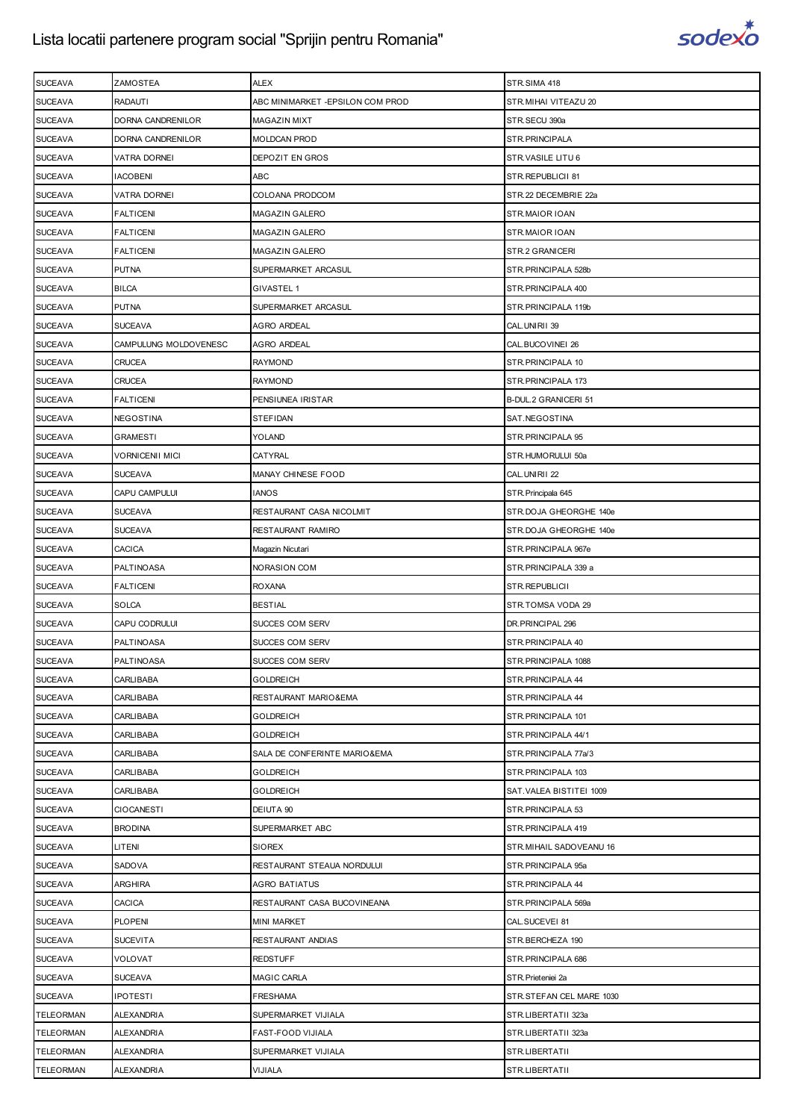

| <b>SUCEAVA</b>   | ZAMOSTEA              | <b>ALEX</b>                      | STR.SIMA 418             |
|------------------|-----------------------|----------------------------------|--------------------------|
| <b>SUCEAVA</b>   | <b>RADAUTI</b>        | ABC MINIMARKET -EPSILON COM PROD | STR. MIHAI VITEAZU 20    |
| <b>SUCEAVA</b>   | DORNA CANDRENILOR     | MAGAZIN MIXT                     | STR.SECU 390a            |
| <b>SUCEAVA</b>   | DORNA CANDRENILOR     | MOLDCAN PROD                     | STR.PRINCIPALA           |
| <b>SUCEAVA</b>   | VATRA DORNEI          | DEPOZIT EN GROS                  | STR.VASILE LITU 6        |
| <b>SUCEAVA</b>   | <b>IACOBENI</b>       | ABC                              | STR.REPUBLICII 81        |
| <b>SUCEAVA</b>   | VATRA DORNEI          | COLOANA PRODCOM                  | STR.22 DECEMBRIE 22a     |
| <b>SUCEAVA</b>   | <b>FALTICENI</b>      | MAGAZIN GALERO                   | STR.MAIOR IOAN           |
| <b>SUCEAVA</b>   | FALTICENI             | MAGAZIN GALERO                   | STR.MAIOR IOAN           |
| <b>SUCEAVA</b>   | <b>FALTICENI</b>      | <b>MAGAZIN GALERO</b>            | STR.2 GRANICERI          |
| <b>SUCEAVA</b>   | <b>PUTNA</b>          | SUPERMARKET ARCASUL              | STR. PRINCIPALA 528b     |
| <b>SUCEAVA</b>   | <b>BILCA</b>          | <b>GIVASTEL 1</b>                | STR. PRINCIPALA 400      |
| <b>SUCEAVA</b>   | <b>PUTNA</b>          | SUPERMARKET ARCASUL              | STR. PRINCIPALA 119b     |
| <b>SUCEAVA</b>   | <b>SUCEAVA</b>        | AGRO ARDEAL                      | CAL.UNIRII 39            |
| <b>SUCEAVA</b>   | CAMPULUNG MOLDOVENESC | AGRO ARDEAL                      | CAL.BUCOVINEI 26         |
| <b>SUCEAVA</b>   | <b>CRUCEA</b>         | <b>RAYMOND</b>                   | STR.PRINCIPALA 10        |
| <b>SUCEAVA</b>   | <b>CRUCEA</b>         | RAYMOND                          | STR. PRINCIPALA 173      |
| <b>SUCEAVA</b>   | FALTICENI             | PENSIUNEA IRISTAR                | B-DUL.2 GRANICERI 51     |
| <b>SUCEAVA</b>   | NEGOSTINA             | <b>STEFIDAN</b>                  | SAT.NEGOSTINA            |
| <b>SUCEAVA</b>   | GRAMESTI              | YOLAND                           | STR. PRINCIPALA 95       |
| <b>SUCEAVA</b>   | VORNICENII MICI       | CATYRAL                          | STR.HUMORULUI 50a        |
| <b>SUCEAVA</b>   | <b>SUCEAVA</b>        | MANAY CHINESE FOOD               | CAL.UNIRII 22            |
| <b>SUCEAVA</b>   | CAPU CAMPULUI         | <b>IANOS</b>                     | STR. Principala 645      |
| <b>SUCEAVA</b>   | SUCEAVA               | RESTAURANT CASA NICOLMIT         | STR.DOJA GHEORGHE 140e   |
| <b>SUCEAVA</b>   | <b>SUCEAVA</b>        | RESTAURANT RAMIRO                | STR.DOJA GHEORGHE 140e   |
| <b>SUCEAVA</b>   | CACICA                | Magazin Nicutari                 | STR.PRINCIPALA 967e      |
| <b>SUCEAVA</b>   | PALTINOASA            | <b>NORASION COM</b>              | STR.PRINCIPALA 339 a     |
| <b>SUCEAVA</b>   | <b>FALTICENI</b>      | <b>ROXANA</b>                    | STR.REPUBLICII           |
| <b>SUCEAVA</b>   | <b>SOLCA</b>          | <b>BESTIAL</b>                   | STR.TOMSA VODA 29        |
| <b>SUCEAVA</b>   | CAPU CODRULUI         | SUCCES COM SERV                  | DR.PRINCIPAL 296         |
| <b>SUCEAVA</b>   | PALTINOASA            | SUCCES COM SERV                  | STR. PRINCIPALA 40       |
| <b>SUCEAVA</b>   | PALTINOASA            | SUCCES COM SERV                  | STR. PRINCIPALA 1088     |
| <b>SUCEAVA</b>   | <b>CARLIBABA</b>      | <b>GOLDREICH</b>                 | STR.PRINCIPALA 44        |
| <b>SUCEAVA</b>   | CARLIBABA             | RESTAURANT MARIO&EMA             | STR. PRINCIPALA 44       |
| <b>SUCEAVA</b>   | <b>CARLIBABA</b>      | <b>GOLDREICH</b>                 | STR. PRINCIPALA 101      |
| <b>SUCEAVA</b>   | CARLIBABA             | <b>GOLDREICH</b>                 | STR. PRINCIPALA 44/1     |
| <b>SUCEAVA</b>   | <b>CARLIBABA</b>      | SALA DE CONFERINTE MARIO&EMA     | STR.PRINCIPALA 77a/3     |
| <b>SUCEAVA</b>   | CARLIBABA             | <b>GOLDREICH</b>                 | STR. PRINCIPALA 103      |
| <b>SUCEAVA</b>   | CARLIBABA             | <b>GOLDREICH</b>                 | SAT.VALEA BISTITEI 1009  |
| <b>SUCEAVA</b>   | <b>CIOCANESTI</b>     | DEIUTA 90                        | STR.PRINCIPALA 53        |
| <b>SUCEAVA</b>   | <b>BRODINA</b>        | SUPERMARKET ABC                  | STR.PRINCIPALA 419       |
| <b>SUCEAVA</b>   | LITENI                | <b>SIOREX</b>                    | STR. MIHAIL SADOVEANU 16 |
| <b>SUCEAVA</b>   | SADOVA                | RESTAURANT STEAUA NORDULUI       | STR.PRINCIPALA 95a       |
| <b>SUCEAVA</b>   | <b>ARGHIRA</b>        | <b>AGRO BATIATUS</b>             | STR. PRINCIPALA 44       |
| <b>SUCEAVA</b>   | CACICA                | RESTAURANT CASA BUCOVINEANA      | STR.PRINCIPALA 569a      |
| <b>SUCEAVA</b>   | <b>PLOPENI</b>        | <b>MINI MARKET</b>               | CAL.SUCEVEI 81           |
| <b>SUCEAVA</b>   | <b>SUCEVITA</b>       | RESTAURANT ANDIAS                | STR.BERCHEZA 190         |
| <b>SUCEAVA</b>   | VOLOVAT               | <b>REDSTUFF</b>                  | STR. PRINCIPALA 686      |
| <b>SUCEAVA</b>   | <b>SUCEAVA</b>        | <b>MAGIC CARLA</b>               | STR. Prieteniei 2a       |
| <b>SUCEAVA</b>   | <b>IPOTESTI</b>       | <b>FRESHAMA</b>                  | STR.STEFAN CEL MARE 1030 |
| <b>TELEORMAN</b> | ALEXANDRIA            | SUPERMARKET VIJIALA              | STR.LIBERTATII 323a      |
| <b>TELEORMAN</b> | <b>ALEXANDRIA</b>     | FAST-FOOD VIJIALA                | STR.LIBERTATII 323a      |
| <b>TELEORMAN</b> | <b>ALEXANDRIA</b>     | SUPERMARKET VIJIALA              | STR.LIBERTATII           |
| <b>TELEORMAN</b> | <b>ALEXANDRIA</b>     | VIJIALA                          | STR.LIBERTATII           |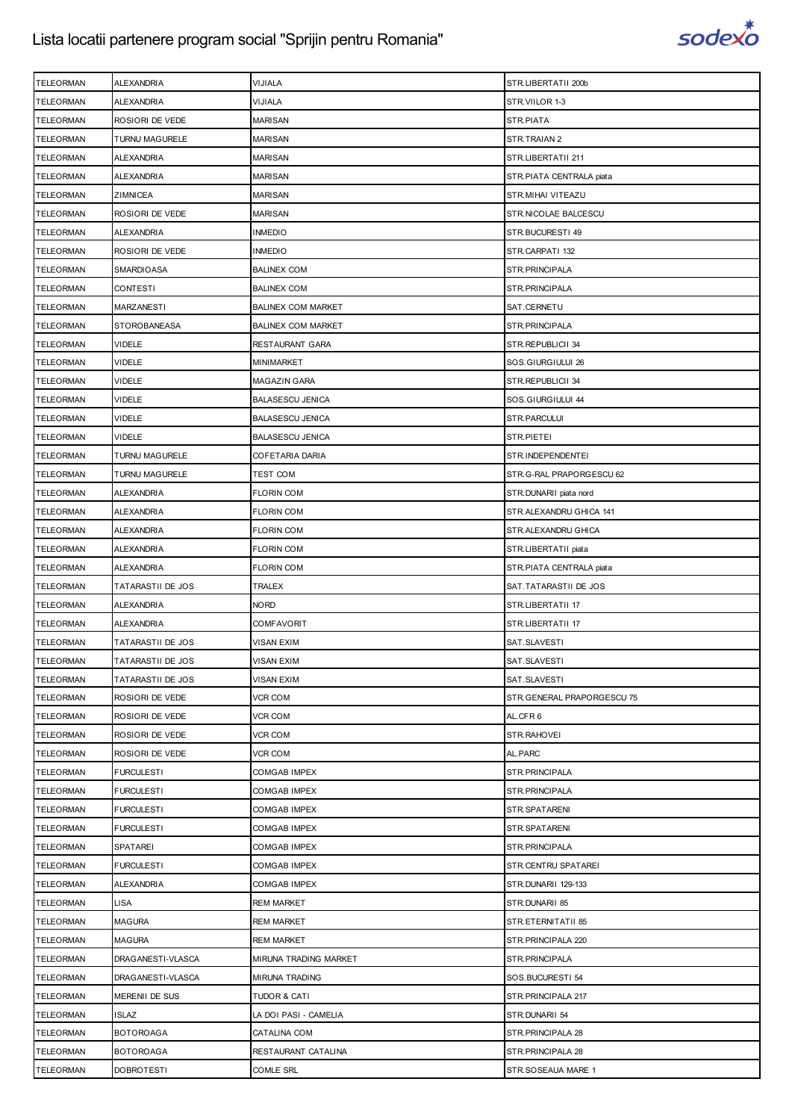

| <b>TELEORMAN</b> | <b>ALEXANDRIA</b>        | VIJIALA                   | STR.LIBERTATII 200b         |
|------------------|--------------------------|---------------------------|-----------------------------|
| <b>TELEORMAN</b> | <b>ALEXANDRIA</b>        | VIJIALA                   | STR.VIILOR 1-3              |
| <b>TELEORMAN</b> | ROSIORI DE VEDE          | <b>MARISAN</b>            | STR.PIATA                   |
| <b>TELEORMAN</b> | TURNU MAGURELE           | <b>MARISAN</b>            | STR.TRAIAN 2                |
| <b>TELEORMAN</b> | <b>ALEXANDRIA</b>        | <b>MARISAN</b>            | STR.LIBERTATII 211          |
| <b>TELEORMAN</b> | ALEXANDRIA               | <b>MARISAN</b>            | STR.PIATA CENTRALA piata    |
| <b>TELEORMAN</b> | ZIMNICEA                 | <b>MARISAN</b>            | STR.MIHAI VITEAZU           |
| <b>TELEORMAN</b> | ROSIORI DE VEDE          | MARISAN                   | STR.NICOLAE BALCESCU        |
| <b>TELEORMAN</b> | <b>ALEXANDRIA</b>        | INMEDIO                   | STR.BUCURESTI 49            |
| <b>TELEORMAN</b> | ROSIORI DE VEDE          | <b>INMEDIO</b>            | STR.CARPATI 132             |
| <b>TELEORMAN</b> | <b>SMARDIOASA</b>        | <b>BALINEX COM</b>        | STR. PRINCIPALA             |
| <b>TELEORMAN</b> | <b>CONTESTI</b>          | <b>BALINEX COM</b>        | STR.PRINCIPALA              |
| <b>TELEORMAN</b> | <b>MARZANESTI</b>        | <b>BALINEX COM MARKET</b> | SAT.CERNETU                 |
| <b>TELEORMAN</b> | <b>STOROBANEASA</b>      | <b>BALINEX COM MARKET</b> | STR.PRINCIPALA              |
| <b>TELEORMAN</b> | VIDELE                   | RESTAURANT GARA           | STR.REPUBLICII 34           |
| <b>TELEORMAN</b> | VIDELE                   | MINIMARKET                | SOS.GIURGIULUI 26           |
| <b>TELEORMAN</b> | <b>VIDELE</b>            | MAGAZIN GARA              | STR.REPUBLICII 34           |
| TELEORMAN        | VIDELE                   | <b>BALASESCU JENICA</b>   | SOS.GIURGIULUI 44           |
| <b>TELEORMAN</b> | VIDELE                   | <b>BALASESCU JENICA</b>   | STR.PARCULUI                |
| <b>TELEORMAN</b> | <b>VIDELE</b>            | <b>BALASESCU JENICA</b>   | STR.PIETEI                  |
| <b>TELEORMAN</b> | TURNU MAGURELE           | COFETARIA DARIA           | STR.INDEPENDENTEI           |
| <b>TELEORMAN</b> | TURNU MAGURELE           | TEST COM                  | STR.G-RAL PRAPORGESCU 62    |
| <b>TELEORMAN</b> | <b>ALEXANDRIA</b>        | <b>FLORIN COM</b>         | STR.DUNARII piata nord      |
| <b>TELEORMAN</b> | ALEXANDRIA               | FLORIN COM                | STR.ALEXANDRU GHICA 141     |
| <b>TELEORMAN</b> | <b>ALEXANDRIA</b>        | <b>FLORIN COM</b>         | STR.ALEXANDRU GHICA         |
| <b>TELEORMAN</b> | <b>ALEXANDRIA</b>        | <b>FLORIN COM</b>         | STR.LIBERTATII piata        |
| <b>TELEORMAN</b> | <b>ALEXANDRIA</b>        | FLORIN COM                | STR.PIATA CENTRALA piata    |
| <b>TELEORMAN</b> | <b>TATARASTII DE JOS</b> | TRALEX                    | SAT. TATARASTII DE JOS      |
| <b>TELEORMAN</b> | <b>ALEXANDRIA</b>        | NORD                      | STR.LIBERTATII 17           |
| <b>TELEORMAN</b> | <b>ALEXANDRIA</b>        | COMFAVORIT                | STR.LIBERTATII 17           |
| <b>TELEORMAN</b> | <b>TATARASTII DE JOS</b> | VISAN EXIM                | SAT.SLAVESTI                |
| <b>TELEORMAN</b> | <b>TATARASTII DE JOS</b> | VISAN EXIM                | SAT.SLAVESTI                |
| <b>TELEORMAN</b> | <b>TATARASTII DE JOS</b> | VISAN EXIM                | SAT.SLAVESTI                |
| <b>TELEORMAN</b> | ROSIORI DE VEDE          | VCR COM                   | STR. GENERAL PRAPORGESCU 75 |
| <b>TELEORMAN</b> | ROSIORI DE VEDE          | VCR COM                   | AL.CFR6                     |
| <b>TELEORMAN</b> | ROSIORI DE VEDE          | VCR COM                   | STR.RAHOVEI                 |
| <b>TELEORMAN</b> | ROSIORI DE VEDE          | VCR COM                   | AL.PARC                     |
| <b>TELEORMAN</b> | <b>FURCULESTI</b>        | COMGAB IMPEX              | STR.PRINCIPALA              |
| <b>TELEORMAN</b> | <b>FURCULESTI</b>        | COMGAB IMPEX              | STR.PRINCIPALA              |
| <b>TELEORMAN</b> | <b>FURCULESTI</b>        | COMGAB IMPEX              | STR.SPATARENI               |
| <b>TELEORMAN</b> | <b>FURCULESTI</b>        | <b>COMGAB IMPEX</b>       | STR.SPATARENI               |
| <b>TELEORMAN</b> | SPATAREI                 | COMGAB IMPEX              | STR.PRINCIPALA              |
| <b>TELEORMAN</b> | <b>FURCULESTI</b>        | COMGAB IMPEX              | STR.CENTRU SPATAREI         |
| <b>TELEORMAN</b> | <b>ALEXANDRIA</b>        | <b>COMGAB IMPEX</b>       | STR.DUNARII 129-133         |
| <b>TELEORMAN</b> | <b>LISA</b>              | REM MARKET                | STR.DUNARII 85              |
| <b>TELEORMAN</b> |                          |                           |                             |
|                  | <b>MAGURA</b>            | REM MARKET                | STR.ETERNITATII 85          |
| <b>TELEORMAN</b> | <b>MAGURA</b>            | <b>REM MARKET</b>         | STR. PRINCIPALA 220         |
| <b>TELEORMAN</b> | DRAGANESTI-VLASCA        | MIRUNA TRADING MARKET     | STR.PRINCIPALA              |
| <b>TELEORMAN</b> | DRAGANESTI-VLASCA        | MIRUNA TRADING            | SOS.BUCURESTI 54            |
| <b>TELEORMAN</b> | MERENII DE SUS           | TUDOR & CATI              | STR. PRINCIPALA 217         |
| <b>TELEORMAN</b> | <b>ISLAZ</b>             | LA DOI PASI - CAMELIA     | STR.DUNARII 54              |
| <b>TELEORMAN</b> | <b>BOTOROAGA</b>         | CATALINA COM              | STR. PRINCIPALA 28          |
| <b>TELEORMAN</b> | <b>BOTOROAGA</b>         | RESTAURANT CATALINA       | STR. PRINCIPALA 28          |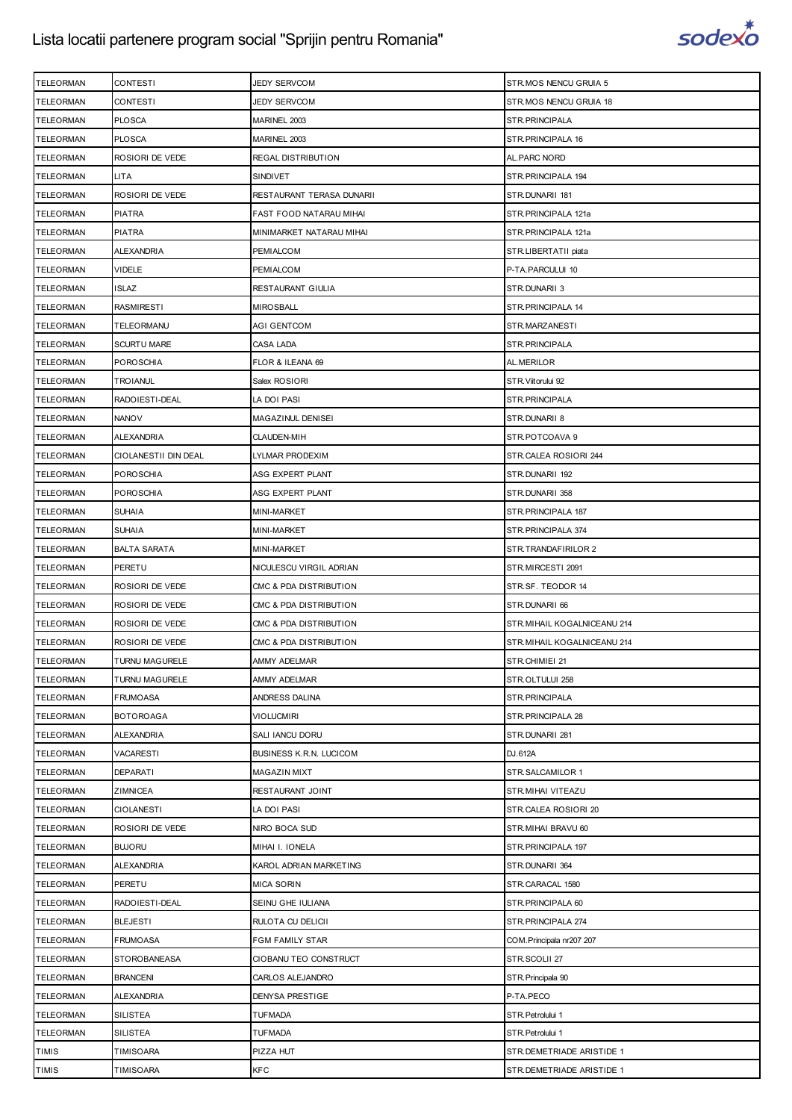

| <b>TELEORMAN</b><br><b>CONTESTI</b><br>JEDY SERVCOM<br>STR.MOS NENCU GRUIA 18<br><b>PLOSCA</b><br><b>TELEORMAN</b><br>MARINEL 2003<br>STR.PRINCIPALA<br><b>PLOSCA</b><br>STR.PRINCIPALA 16<br><b>TELEORMAN</b><br>MARINEL 2003<br>ROSIORI DE VEDE<br>AL. PARC NORD<br><b>TELEORMAN</b><br>REGAL DISTRIBUTION<br><b>TELEORMAN</b><br><b>LITA</b><br>SINDIVET<br>STR.PRINCIPALA 194<br><b>TELEORMAN</b><br>ROSIORI DE VEDE<br>RESTAURANT TERASA DUNARII<br>STR.DUNARII 181<br><b>PIATRA</b><br><b>TELEORMAN</b><br>FAST FOOD NATARAU MIHAI<br>STR.PRINCIPALA 121a<br><b>TELEORMAN</b><br><b>PIATRA</b><br>MINIMARKET NATARAU MIHAI<br>STR.PRINCIPALA 121a<br><b>TELEORMAN</b><br><b>ALEXANDRIA</b><br>PEMIALCOM<br>STR.LIBERTATII piata<br><b>VIDELE</b><br><b>TELEORMAN</b><br>PEMIALCOM<br>P-TA.PARCULUI 10<br><b>TELEORMAN</b><br><b>ISLAZ</b><br>RESTAURANT GIULIA<br>STR.DUNARII 3<br><b>TELEORMAN</b><br><b>RASMIRESTI</b><br>MIROSBALL<br>STR.PRINCIPALA 14<br><b>TELEORMAN</b><br>TELEORMANU<br>AGI GENTCOM<br>STR.MARZANESTI<br><b>TELEORMAN</b><br><b>SCURTU MARE</b><br>CASA LADA<br>STR.PRINCIPALA<br><b>POROSCHIA</b><br><b>TELEORMAN</b><br>FLOR & ILEANA 69<br>AL.MERILOR<br><b>TELEORMAN</b><br><b>TROIANUL</b><br>Salex ROSIORI<br>STR. Viitorului 92<br><b>TELEORMAN</b><br>RADOIESTI-DEAL<br>LA DOI PASI<br>STR.PRINCIPALA<br><b>TELEORMAN</b><br><b>NANOV</b><br>MAGAZINUL DENISEI<br>STR.DUNARII 8<br><b>TELEORMAN</b><br><b>ALEXANDRIA</b><br><b>CLAUDEN-MIH</b><br>STR.POTCOAVA 9<br><b>TELEORMAN</b><br>CIOLANESTII DIN DEAL<br>LYLMAR PRODEXIM<br>STR.CALEA ROSIORI 244<br><b>POROSCHIA</b><br><b>TELEORMAN</b><br>ASG EXPERT PLANT<br>STR.DUNARII 192<br><b>POROSCHIA</b><br><b>TELEORMAN</b><br>ASG EXPERT PLANT<br>STR.DUNARII 358<br><b>TELEORMAN</b><br><b>SUHAIA</b><br>MINI-MARKET<br>STR.PRINCIPALA 187<br><b>TELEORMAN</b><br><b>SUHAIA</b><br>MINI-MARKET<br>STR. PRINCIPALA 374<br><b>BALTA SARATA</b><br><b>TELEORMAN</b><br>MINI-MARKET<br>STR.TRANDAFIRILOR 2<br><b>TELEORMAN</b><br>PERETU<br>NICULESCU VIRGIL ADRIAN<br>STR.MIRCESTI 2091<br>ROSIORI DE VEDE<br><b>TELEORMAN</b><br>CMC & PDA DISTRIBUTION<br>STR.SF. TEODOR 14<br><b>TELEORMAN</b><br>ROSIORI DE VEDE<br>CMC & PDA DISTRIBUTION<br>STR.DUNARII 66<br><b>TELEORMAN</b><br>ROSIORI DE VEDE<br>CMC & PDA DISTRIBUTION<br>STR. MIHAIL KOGALNICEANU 214<br><b>TELEORMAN</b><br>ROSIORI DE VEDE<br>CMC & PDA DISTRIBUTION<br>STR. MIHAIL KOGALNICEANU 214<br><b>TELEORMAN</b><br>TURNU MAGURELE<br>AMMY ADELMAR<br>STR.CHIMIEI 21<br><b>TELEORMAN</b><br>TURNU MAGURELE<br>AMMY ADELMAR<br>STR.OLTULUI 258<br><b>TELEORMAN</b><br><b>FRUMOASA</b><br>ANDRESS DALINA<br>STR.PRINCIPALA<br><b>TELEORMAN</b><br><b>BOTOROAGA</b><br>VIOLUCMIRI<br>STR.PRINCIPALA 28<br><b>TELEORMAN</b><br><b>ALEXANDRIA</b><br>SALI IANCU DORU<br>STR.DUNARII 281<br><b>TELEORMAN</b><br><b>VACARESTI</b><br>BUSINESS K.R.N. LUCICOM<br>DJ.612A<br><b>TELEORMAN</b><br><b>DEPARATI</b><br>MAGAZIN MIXT<br>STR.SALCAMILOR 1<br><b>TELEORMAN</b><br>ZIMNICEA<br>RESTAURANT JOINT<br>STR.MIHAI VITEAZU<br><b>TELEORMAN</b><br><b>CIOLANESTI</b><br>STR.CALEA ROSIORI 20<br>LA DOI PASI<br><b>TELEORMAN</b><br>ROSIORI DE VEDE<br>NIRO BOCA SUD<br>STR.MIHAI BRAVU 60<br><b>TELEORMAN</b><br><b>BUJORU</b><br>MIHAI I. IONELA<br>STR. PRINCIPALA 197<br><b>TELEORMAN</b><br><b>ALEXANDRIA</b><br>KAROL ADRIAN MARKETING<br>STR.DUNARII 364<br><b>TELEORMAN</b><br>PERETU<br>MICA SORIN<br>STR.CARACAL 1580<br><b>TELEORMAN</b><br>RADOIESTI-DEAL<br>STR.PRINCIPALA 60<br>SEINU GHE IULIANA<br><b>BLEJESTI</b><br>RULOTA CU DELICII<br>STR.PRINCIPALA 274<br><b>TELEORMAN</b><br><b>TELEORMAN</b><br><b>FRUMOASA</b><br>FGM FAMILY STAR<br>COM. Principala nr207 207<br>STOROBANEASA<br>CIOBANU TEO CONSTRUCT<br>STR.SCOLII 27<br><b>TELEORMAN</b><br><b>BRANCENI</b><br>STR. Principala 90<br>TELEORMAN<br>CARLOS ALEJANDRO<br>P-TA.PECO<br><b>TELEORMAN</b><br><b>ALEXANDRIA</b><br>DENYSA PRESTIGE<br><b>TELEORMAN</b><br><b>TUFMADA</b><br>STR. Petrolului 1<br><b>SILISTEA</b><br><b>TELEORMAN</b><br><b>SILISTEA</b><br><b>TUFMADA</b><br>STR. Petrolului 1<br><b>TIMIS</b><br>TIMISOARA<br>PIZZA HUT<br>STR.DEMETRIADE ARISTIDE 1 | <b>TELEORMAN</b> | <b>CONTESTI</b> | <b>JEDY SERVCOM</b> | STR.MOS NENCU GRUIA 5     |
|---------------------------------------------------------------------------------------------------------------------------------------------------------------------------------------------------------------------------------------------------------------------------------------------------------------------------------------------------------------------------------------------------------------------------------------------------------------------------------------------------------------------------------------------------------------------------------------------------------------------------------------------------------------------------------------------------------------------------------------------------------------------------------------------------------------------------------------------------------------------------------------------------------------------------------------------------------------------------------------------------------------------------------------------------------------------------------------------------------------------------------------------------------------------------------------------------------------------------------------------------------------------------------------------------------------------------------------------------------------------------------------------------------------------------------------------------------------------------------------------------------------------------------------------------------------------------------------------------------------------------------------------------------------------------------------------------------------------------------------------------------------------------------------------------------------------------------------------------------------------------------------------------------------------------------------------------------------------------------------------------------------------------------------------------------------------------------------------------------------------------------------------------------------------------------------------------------------------------------------------------------------------------------------------------------------------------------------------------------------------------------------------------------------------------------------------------------------------------------------------------------------------------------------------------------------------------------------------------------------------------------------------------------------------------------------------------------------------------------------------------------------------------------------------------------------------------------------------------------------------------------------------------------------------------------------------------------------------------------------------------------------------------------------------------------------------------------------------------------------------------------------------------------------------------------------------------------------------------------------------------------------------------------------------------------------------------------------------------------------------------------------------------------------------------------------------------------------------------------------------------------------------------------------------------------------------------------------------------------------------------------------------------------------------------------------------------------------------------------------------------------------------------------------------------------------------------------------------------------------------------------------------------------------------------------------------------------------------------------------------------------------------------------------------------------------------------------------------------------------------------------------------------------------------------------------------------------------------|------------------|-----------------|---------------------|---------------------------|
|                                                                                                                                                                                                                                                                                                                                                                                                                                                                                                                                                                                                                                                                                                                                                                                                                                                                                                                                                                                                                                                                                                                                                                                                                                                                                                                                                                                                                                                                                                                                                                                                                                                                                                                                                                                                                                                                                                                                                                                                                                                                                                                                                                                                                                                                                                                                                                                                                                                                                                                                                                                                                                                                                                                                                                                                                                                                                                                                                                                                                                                                                                                                                                                                                                                                                                                                                                                                                                                                                                                                                                                                                                                                                                                                                                                                                                                                                                                                                                                                                                                                                                                                                                                                                     |                  |                 |                     |                           |
|                                                                                                                                                                                                                                                                                                                                                                                                                                                                                                                                                                                                                                                                                                                                                                                                                                                                                                                                                                                                                                                                                                                                                                                                                                                                                                                                                                                                                                                                                                                                                                                                                                                                                                                                                                                                                                                                                                                                                                                                                                                                                                                                                                                                                                                                                                                                                                                                                                                                                                                                                                                                                                                                                                                                                                                                                                                                                                                                                                                                                                                                                                                                                                                                                                                                                                                                                                                                                                                                                                                                                                                                                                                                                                                                                                                                                                                                                                                                                                                                                                                                                                                                                                                                                     |                  |                 |                     |                           |
|                                                                                                                                                                                                                                                                                                                                                                                                                                                                                                                                                                                                                                                                                                                                                                                                                                                                                                                                                                                                                                                                                                                                                                                                                                                                                                                                                                                                                                                                                                                                                                                                                                                                                                                                                                                                                                                                                                                                                                                                                                                                                                                                                                                                                                                                                                                                                                                                                                                                                                                                                                                                                                                                                                                                                                                                                                                                                                                                                                                                                                                                                                                                                                                                                                                                                                                                                                                                                                                                                                                                                                                                                                                                                                                                                                                                                                                                                                                                                                                                                                                                                                                                                                                                                     |                  |                 |                     |                           |
|                                                                                                                                                                                                                                                                                                                                                                                                                                                                                                                                                                                                                                                                                                                                                                                                                                                                                                                                                                                                                                                                                                                                                                                                                                                                                                                                                                                                                                                                                                                                                                                                                                                                                                                                                                                                                                                                                                                                                                                                                                                                                                                                                                                                                                                                                                                                                                                                                                                                                                                                                                                                                                                                                                                                                                                                                                                                                                                                                                                                                                                                                                                                                                                                                                                                                                                                                                                                                                                                                                                                                                                                                                                                                                                                                                                                                                                                                                                                                                                                                                                                                                                                                                                                                     |                  |                 |                     |                           |
|                                                                                                                                                                                                                                                                                                                                                                                                                                                                                                                                                                                                                                                                                                                                                                                                                                                                                                                                                                                                                                                                                                                                                                                                                                                                                                                                                                                                                                                                                                                                                                                                                                                                                                                                                                                                                                                                                                                                                                                                                                                                                                                                                                                                                                                                                                                                                                                                                                                                                                                                                                                                                                                                                                                                                                                                                                                                                                                                                                                                                                                                                                                                                                                                                                                                                                                                                                                                                                                                                                                                                                                                                                                                                                                                                                                                                                                                                                                                                                                                                                                                                                                                                                                                                     |                  |                 |                     |                           |
|                                                                                                                                                                                                                                                                                                                                                                                                                                                                                                                                                                                                                                                                                                                                                                                                                                                                                                                                                                                                                                                                                                                                                                                                                                                                                                                                                                                                                                                                                                                                                                                                                                                                                                                                                                                                                                                                                                                                                                                                                                                                                                                                                                                                                                                                                                                                                                                                                                                                                                                                                                                                                                                                                                                                                                                                                                                                                                                                                                                                                                                                                                                                                                                                                                                                                                                                                                                                                                                                                                                                                                                                                                                                                                                                                                                                                                                                                                                                                                                                                                                                                                                                                                                                                     |                  |                 |                     |                           |
|                                                                                                                                                                                                                                                                                                                                                                                                                                                                                                                                                                                                                                                                                                                                                                                                                                                                                                                                                                                                                                                                                                                                                                                                                                                                                                                                                                                                                                                                                                                                                                                                                                                                                                                                                                                                                                                                                                                                                                                                                                                                                                                                                                                                                                                                                                                                                                                                                                                                                                                                                                                                                                                                                                                                                                                                                                                                                                                                                                                                                                                                                                                                                                                                                                                                                                                                                                                                                                                                                                                                                                                                                                                                                                                                                                                                                                                                                                                                                                                                                                                                                                                                                                                                                     |                  |                 |                     |                           |
|                                                                                                                                                                                                                                                                                                                                                                                                                                                                                                                                                                                                                                                                                                                                                                                                                                                                                                                                                                                                                                                                                                                                                                                                                                                                                                                                                                                                                                                                                                                                                                                                                                                                                                                                                                                                                                                                                                                                                                                                                                                                                                                                                                                                                                                                                                                                                                                                                                                                                                                                                                                                                                                                                                                                                                                                                                                                                                                                                                                                                                                                                                                                                                                                                                                                                                                                                                                                                                                                                                                                                                                                                                                                                                                                                                                                                                                                                                                                                                                                                                                                                                                                                                                                                     |                  |                 |                     |                           |
|                                                                                                                                                                                                                                                                                                                                                                                                                                                                                                                                                                                                                                                                                                                                                                                                                                                                                                                                                                                                                                                                                                                                                                                                                                                                                                                                                                                                                                                                                                                                                                                                                                                                                                                                                                                                                                                                                                                                                                                                                                                                                                                                                                                                                                                                                                                                                                                                                                                                                                                                                                                                                                                                                                                                                                                                                                                                                                                                                                                                                                                                                                                                                                                                                                                                                                                                                                                                                                                                                                                                                                                                                                                                                                                                                                                                                                                                                                                                                                                                                                                                                                                                                                                                                     |                  |                 |                     |                           |
|                                                                                                                                                                                                                                                                                                                                                                                                                                                                                                                                                                                                                                                                                                                                                                                                                                                                                                                                                                                                                                                                                                                                                                                                                                                                                                                                                                                                                                                                                                                                                                                                                                                                                                                                                                                                                                                                                                                                                                                                                                                                                                                                                                                                                                                                                                                                                                                                                                                                                                                                                                                                                                                                                                                                                                                                                                                                                                                                                                                                                                                                                                                                                                                                                                                                                                                                                                                                                                                                                                                                                                                                                                                                                                                                                                                                                                                                                                                                                                                                                                                                                                                                                                                                                     |                  |                 |                     |                           |
|                                                                                                                                                                                                                                                                                                                                                                                                                                                                                                                                                                                                                                                                                                                                                                                                                                                                                                                                                                                                                                                                                                                                                                                                                                                                                                                                                                                                                                                                                                                                                                                                                                                                                                                                                                                                                                                                                                                                                                                                                                                                                                                                                                                                                                                                                                                                                                                                                                                                                                                                                                                                                                                                                                                                                                                                                                                                                                                                                                                                                                                                                                                                                                                                                                                                                                                                                                                                                                                                                                                                                                                                                                                                                                                                                                                                                                                                                                                                                                                                                                                                                                                                                                                                                     |                  |                 |                     |                           |
|                                                                                                                                                                                                                                                                                                                                                                                                                                                                                                                                                                                                                                                                                                                                                                                                                                                                                                                                                                                                                                                                                                                                                                                                                                                                                                                                                                                                                                                                                                                                                                                                                                                                                                                                                                                                                                                                                                                                                                                                                                                                                                                                                                                                                                                                                                                                                                                                                                                                                                                                                                                                                                                                                                                                                                                                                                                                                                                                                                                                                                                                                                                                                                                                                                                                                                                                                                                                                                                                                                                                                                                                                                                                                                                                                                                                                                                                                                                                                                                                                                                                                                                                                                                                                     |                  |                 |                     |                           |
|                                                                                                                                                                                                                                                                                                                                                                                                                                                                                                                                                                                                                                                                                                                                                                                                                                                                                                                                                                                                                                                                                                                                                                                                                                                                                                                                                                                                                                                                                                                                                                                                                                                                                                                                                                                                                                                                                                                                                                                                                                                                                                                                                                                                                                                                                                                                                                                                                                                                                                                                                                                                                                                                                                                                                                                                                                                                                                                                                                                                                                                                                                                                                                                                                                                                                                                                                                                                                                                                                                                                                                                                                                                                                                                                                                                                                                                                                                                                                                                                                                                                                                                                                                                                                     |                  |                 |                     |                           |
|                                                                                                                                                                                                                                                                                                                                                                                                                                                                                                                                                                                                                                                                                                                                                                                                                                                                                                                                                                                                                                                                                                                                                                                                                                                                                                                                                                                                                                                                                                                                                                                                                                                                                                                                                                                                                                                                                                                                                                                                                                                                                                                                                                                                                                                                                                                                                                                                                                                                                                                                                                                                                                                                                                                                                                                                                                                                                                                                                                                                                                                                                                                                                                                                                                                                                                                                                                                                                                                                                                                                                                                                                                                                                                                                                                                                                                                                                                                                                                                                                                                                                                                                                                                                                     |                  |                 |                     |                           |
|                                                                                                                                                                                                                                                                                                                                                                                                                                                                                                                                                                                                                                                                                                                                                                                                                                                                                                                                                                                                                                                                                                                                                                                                                                                                                                                                                                                                                                                                                                                                                                                                                                                                                                                                                                                                                                                                                                                                                                                                                                                                                                                                                                                                                                                                                                                                                                                                                                                                                                                                                                                                                                                                                                                                                                                                                                                                                                                                                                                                                                                                                                                                                                                                                                                                                                                                                                                                                                                                                                                                                                                                                                                                                                                                                                                                                                                                                                                                                                                                                                                                                                                                                                                                                     |                  |                 |                     |                           |
|                                                                                                                                                                                                                                                                                                                                                                                                                                                                                                                                                                                                                                                                                                                                                                                                                                                                                                                                                                                                                                                                                                                                                                                                                                                                                                                                                                                                                                                                                                                                                                                                                                                                                                                                                                                                                                                                                                                                                                                                                                                                                                                                                                                                                                                                                                                                                                                                                                                                                                                                                                                                                                                                                                                                                                                                                                                                                                                                                                                                                                                                                                                                                                                                                                                                                                                                                                                                                                                                                                                                                                                                                                                                                                                                                                                                                                                                                                                                                                                                                                                                                                                                                                                                                     |                  |                 |                     |                           |
|                                                                                                                                                                                                                                                                                                                                                                                                                                                                                                                                                                                                                                                                                                                                                                                                                                                                                                                                                                                                                                                                                                                                                                                                                                                                                                                                                                                                                                                                                                                                                                                                                                                                                                                                                                                                                                                                                                                                                                                                                                                                                                                                                                                                                                                                                                                                                                                                                                                                                                                                                                                                                                                                                                                                                                                                                                                                                                                                                                                                                                                                                                                                                                                                                                                                                                                                                                                                                                                                                                                                                                                                                                                                                                                                                                                                                                                                                                                                                                                                                                                                                                                                                                                                                     |                  |                 |                     |                           |
|                                                                                                                                                                                                                                                                                                                                                                                                                                                                                                                                                                                                                                                                                                                                                                                                                                                                                                                                                                                                                                                                                                                                                                                                                                                                                                                                                                                                                                                                                                                                                                                                                                                                                                                                                                                                                                                                                                                                                                                                                                                                                                                                                                                                                                                                                                                                                                                                                                                                                                                                                                                                                                                                                                                                                                                                                                                                                                                                                                                                                                                                                                                                                                                                                                                                                                                                                                                                                                                                                                                                                                                                                                                                                                                                                                                                                                                                                                                                                                                                                                                                                                                                                                                                                     |                  |                 |                     |                           |
|                                                                                                                                                                                                                                                                                                                                                                                                                                                                                                                                                                                                                                                                                                                                                                                                                                                                                                                                                                                                                                                                                                                                                                                                                                                                                                                                                                                                                                                                                                                                                                                                                                                                                                                                                                                                                                                                                                                                                                                                                                                                                                                                                                                                                                                                                                                                                                                                                                                                                                                                                                                                                                                                                                                                                                                                                                                                                                                                                                                                                                                                                                                                                                                                                                                                                                                                                                                                                                                                                                                                                                                                                                                                                                                                                                                                                                                                                                                                                                                                                                                                                                                                                                                                                     |                  |                 |                     |                           |
|                                                                                                                                                                                                                                                                                                                                                                                                                                                                                                                                                                                                                                                                                                                                                                                                                                                                                                                                                                                                                                                                                                                                                                                                                                                                                                                                                                                                                                                                                                                                                                                                                                                                                                                                                                                                                                                                                                                                                                                                                                                                                                                                                                                                                                                                                                                                                                                                                                                                                                                                                                                                                                                                                                                                                                                                                                                                                                                                                                                                                                                                                                                                                                                                                                                                                                                                                                                                                                                                                                                                                                                                                                                                                                                                                                                                                                                                                                                                                                                                                                                                                                                                                                                                                     |                  |                 |                     |                           |
|                                                                                                                                                                                                                                                                                                                                                                                                                                                                                                                                                                                                                                                                                                                                                                                                                                                                                                                                                                                                                                                                                                                                                                                                                                                                                                                                                                                                                                                                                                                                                                                                                                                                                                                                                                                                                                                                                                                                                                                                                                                                                                                                                                                                                                                                                                                                                                                                                                                                                                                                                                                                                                                                                                                                                                                                                                                                                                                                                                                                                                                                                                                                                                                                                                                                                                                                                                                                                                                                                                                                                                                                                                                                                                                                                                                                                                                                                                                                                                                                                                                                                                                                                                                                                     |                  |                 |                     |                           |
|                                                                                                                                                                                                                                                                                                                                                                                                                                                                                                                                                                                                                                                                                                                                                                                                                                                                                                                                                                                                                                                                                                                                                                                                                                                                                                                                                                                                                                                                                                                                                                                                                                                                                                                                                                                                                                                                                                                                                                                                                                                                                                                                                                                                                                                                                                                                                                                                                                                                                                                                                                                                                                                                                                                                                                                                                                                                                                                                                                                                                                                                                                                                                                                                                                                                                                                                                                                                                                                                                                                                                                                                                                                                                                                                                                                                                                                                                                                                                                                                                                                                                                                                                                                                                     |                  |                 |                     |                           |
|                                                                                                                                                                                                                                                                                                                                                                                                                                                                                                                                                                                                                                                                                                                                                                                                                                                                                                                                                                                                                                                                                                                                                                                                                                                                                                                                                                                                                                                                                                                                                                                                                                                                                                                                                                                                                                                                                                                                                                                                                                                                                                                                                                                                                                                                                                                                                                                                                                                                                                                                                                                                                                                                                                                                                                                                                                                                                                                                                                                                                                                                                                                                                                                                                                                                                                                                                                                                                                                                                                                                                                                                                                                                                                                                                                                                                                                                                                                                                                                                                                                                                                                                                                                                                     |                  |                 |                     |                           |
|                                                                                                                                                                                                                                                                                                                                                                                                                                                                                                                                                                                                                                                                                                                                                                                                                                                                                                                                                                                                                                                                                                                                                                                                                                                                                                                                                                                                                                                                                                                                                                                                                                                                                                                                                                                                                                                                                                                                                                                                                                                                                                                                                                                                                                                                                                                                                                                                                                                                                                                                                                                                                                                                                                                                                                                                                                                                                                                                                                                                                                                                                                                                                                                                                                                                                                                                                                                                                                                                                                                                                                                                                                                                                                                                                                                                                                                                                                                                                                                                                                                                                                                                                                                                                     |                  |                 |                     |                           |
|                                                                                                                                                                                                                                                                                                                                                                                                                                                                                                                                                                                                                                                                                                                                                                                                                                                                                                                                                                                                                                                                                                                                                                                                                                                                                                                                                                                                                                                                                                                                                                                                                                                                                                                                                                                                                                                                                                                                                                                                                                                                                                                                                                                                                                                                                                                                                                                                                                                                                                                                                                                                                                                                                                                                                                                                                                                                                                                                                                                                                                                                                                                                                                                                                                                                                                                                                                                                                                                                                                                                                                                                                                                                                                                                                                                                                                                                                                                                                                                                                                                                                                                                                                                                                     |                  |                 |                     |                           |
|                                                                                                                                                                                                                                                                                                                                                                                                                                                                                                                                                                                                                                                                                                                                                                                                                                                                                                                                                                                                                                                                                                                                                                                                                                                                                                                                                                                                                                                                                                                                                                                                                                                                                                                                                                                                                                                                                                                                                                                                                                                                                                                                                                                                                                                                                                                                                                                                                                                                                                                                                                                                                                                                                                                                                                                                                                                                                                                                                                                                                                                                                                                                                                                                                                                                                                                                                                                                                                                                                                                                                                                                                                                                                                                                                                                                                                                                                                                                                                                                                                                                                                                                                                                                                     |                  |                 |                     |                           |
|                                                                                                                                                                                                                                                                                                                                                                                                                                                                                                                                                                                                                                                                                                                                                                                                                                                                                                                                                                                                                                                                                                                                                                                                                                                                                                                                                                                                                                                                                                                                                                                                                                                                                                                                                                                                                                                                                                                                                                                                                                                                                                                                                                                                                                                                                                                                                                                                                                                                                                                                                                                                                                                                                                                                                                                                                                                                                                                                                                                                                                                                                                                                                                                                                                                                                                                                                                                                                                                                                                                                                                                                                                                                                                                                                                                                                                                                                                                                                                                                                                                                                                                                                                                                                     |                  |                 |                     |                           |
|                                                                                                                                                                                                                                                                                                                                                                                                                                                                                                                                                                                                                                                                                                                                                                                                                                                                                                                                                                                                                                                                                                                                                                                                                                                                                                                                                                                                                                                                                                                                                                                                                                                                                                                                                                                                                                                                                                                                                                                                                                                                                                                                                                                                                                                                                                                                                                                                                                                                                                                                                                                                                                                                                                                                                                                                                                                                                                                                                                                                                                                                                                                                                                                                                                                                                                                                                                                                                                                                                                                                                                                                                                                                                                                                                                                                                                                                                                                                                                                                                                                                                                                                                                                                                     |                  |                 |                     |                           |
|                                                                                                                                                                                                                                                                                                                                                                                                                                                                                                                                                                                                                                                                                                                                                                                                                                                                                                                                                                                                                                                                                                                                                                                                                                                                                                                                                                                                                                                                                                                                                                                                                                                                                                                                                                                                                                                                                                                                                                                                                                                                                                                                                                                                                                                                                                                                                                                                                                                                                                                                                                                                                                                                                                                                                                                                                                                                                                                                                                                                                                                                                                                                                                                                                                                                                                                                                                                                                                                                                                                                                                                                                                                                                                                                                                                                                                                                                                                                                                                                                                                                                                                                                                                                                     |                  |                 |                     |                           |
|                                                                                                                                                                                                                                                                                                                                                                                                                                                                                                                                                                                                                                                                                                                                                                                                                                                                                                                                                                                                                                                                                                                                                                                                                                                                                                                                                                                                                                                                                                                                                                                                                                                                                                                                                                                                                                                                                                                                                                                                                                                                                                                                                                                                                                                                                                                                                                                                                                                                                                                                                                                                                                                                                                                                                                                                                                                                                                                                                                                                                                                                                                                                                                                                                                                                                                                                                                                                                                                                                                                                                                                                                                                                                                                                                                                                                                                                                                                                                                                                                                                                                                                                                                                                                     |                  |                 |                     |                           |
|                                                                                                                                                                                                                                                                                                                                                                                                                                                                                                                                                                                                                                                                                                                                                                                                                                                                                                                                                                                                                                                                                                                                                                                                                                                                                                                                                                                                                                                                                                                                                                                                                                                                                                                                                                                                                                                                                                                                                                                                                                                                                                                                                                                                                                                                                                                                                                                                                                                                                                                                                                                                                                                                                                                                                                                                                                                                                                                                                                                                                                                                                                                                                                                                                                                                                                                                                                                                                                                                                                                                                                                                                                                                                                                                                                                                                                                                                                                                                                                                                                                                                                                                                                                                                     |                  |                 |                     |                           |
|                                                                                                                                                                                                                                                                                                                                                                                                                                                                                                                                                                                                                                                                                                                                                                                                                                                                                                                                                                                                                                                                                                                                                                                                                                                                                                                                                                                                                                                                                                                                                                                                                                                                                                                                                                                                                                                                                                                                                                                                                                                                                                                                                                                                                                                                                                                                                                                                                                                                                                                                                                                                                                                                                                                                                                                                                                                                                                                                                                                                                                                                                                                                                                                                                                                                                                                                                                                                                                                                                                                                                                                                                                                                                                                                                                                                                                                                                                                                                                                                                                                                                                                                                                                                                     |                  |                 |                     |                           |
|                                                                                                                                                                                                                                                                                                                                                                                                                                                                                                                                                                                                                                                                                                                                                                                                                                                                                                                                                                                                                                                                                                                                                                                                                                                                                                                                                                                                                                                                                                                                                                                                                                                                                                                                                                                                                                                                                                                                                                                                                                                                                                                                                                                                                                                                                                                                                                                                                                                                                                                                                                                                                                                                                                                                                                                                                                                                                                                                                                                                                                                                                                                                                                                                                                                                                                                                                                                                                                                                                                                                                                                                                                                                                                                                                                                                                                                                                                                                                                                                                                                                                                                                                                                                                     |                  |                 |                     |                           |
|                                                                                                                                                                                                                                                                                                                                                                                                                                                                                                                                                                                                                                                                                                                                                                                                                                                                                                                                                                                                                                                                                                                                                                                                                                                                                                                                                                                                                                                                                                                                                                                                                                                                                                                                                                                                                                                                                                                                                                                                                                                                                                                                                                                                                                                                                                                                                                                                                                                                                                                                                                                                                                                                                                                                                                                                                                                                                                                                                                                                                                                                                                                                                                                                                                                                                                                                                                                                                                                                                                                                                                                                                                                                                                                                                                                                                                                                                                                                                                                                                                                                                                                                                                                                                     |                  |                 |                     |                           |
|                                                                                                                                                                                                                                                                                                                                                                                                                                                                                                                                                                                                                                                                                                                                                                                                                                                                                                                                                                                                                                                                                                                                                                                                                                                                                                                                                                                                                                                                                                                                                                                                                                                                                                                                                                                                                                                                                                                                                                                                                                                                                                                                                                                                                                                                                                                                                                                                                                                                                                                                                                                                                                                                                                                                                                                                                                                                                                                                                                                                                                                                                                                                                                                                                                                                                                                                                                                                                                                                                                                                                                                                                                                                                                                                                                                                                                                                                                                                                                                                                                                                                                                                                                                                                     |                  |                 |                     |                           |
|                                                                                                                                                                                                                                                                                                                                                                                                                                                                                                                                                                                                                                                                                                                                                                                                                                                                                                                                                                                                                                                                                                                                                                                                                                                                                                                                                                                                                                                                                                                                                                                                                                                                                                                                                                                                                                                                                                                                                                                                                                                                                                                                                                                                                                                                                                                                                                                                                                                                                                                                                                                                                                                                                                                                                                                                                                                                                                                                                                                                                                                                                                                                                                                                                                                                                                                                                                                                                                                                                                                                                                                                                                                                                                                                                                                                                                                                                                                                                                                                                                                                                                                                                                                                                     |                  |                 |                     |                           |
|                                                                                                                                                                                                                                                                                                                                                                                                                                                                                                                                                                                                                                                                                                                                                                                                                                                                                                                                                                                                                                                                                                                                                                                                                                                                                                                                                                                                                                                                                                                                                                                                                                                                                                                                                                                                                                                                                                                                                                                                                                                                                                                                                                                                                                                                                                                                                                                                                                                                                                                                                                                                                                                                                                                                                                                                                                                                                                                                                                                                                                                                                                                                                                                                                                                                                                                                                                                                                                                                                                                                                                                                                                                                                                                                                                                                                                                                                                                                                                                                                                                                                                                                                                                                                     |                  |                 |                     |                           |
|                                                                                                                                                                                                                                                                                                                                                                                                                                                                                                                                                                                                                                                                                                                                                                                                                                                                                                                                                                                                                                                                                                                                                                                                                                                                                                                                                                                                                                                                                                                                                                                                                                                                                                                                                                                                                                                                                                                                                                                                                                                                                                                                                                                                                                                                                                                                                                                                                                                                                                                                                                                                                                                                                                                                                                                                                                                                                                                                                                                                                                                                                                                                                                                                                                                                                                                                                                                                                                                                                                                                                                                                                                                                                                                                                                                                                                                                                                                                                                                                                                                                                                                                                                                                                     |                  |                 |                     |                           |
|                                                                                                                                                                                                                                                                                                                                                                                                                                                                                                                                                                                                                                                                                                                                                                                                                                                                                                                                                                                                                                                                                                                                                                                                                                                                                                                                                                                                                                                                                                                                                                                                                                                                                                                                                                                                                                                                                                                                                                                                                                                                                                                                                                                                                                                                                                                                                                                                                                                                                                                                                                                                                                                                                                                                                                                                                                                                                                                                                                                                                                                                                                                                                                                                                                                                                                                                                                                                                                                                                                                                                                                                                                                                                                                                                                                                                                                                                                                                                                                                                                                                                                                                                                                                                     |                  |                 |                     |                           |
|                                                                                                                                                                                                                                                                                                                                                                                                                                                                                                                                                                                                                                                                                                                                                                                                                                                                                                                                                                                                                                                                                                                                                                                                                                                                                                                                                                                                                                                                                                                                                                                                                                                                                                                                                                                                                                                                                                                                                                                                                                                                                                                                                                                                                                                                                                                                                                                                                                                                                                                                                                                                                                                                                                                                                                                                                                                                                                                                                                                                                                                                                                                                                                                                                                                                                                                                                                                                                                                                                                                                                                                                                                                                                                                                                                                                                                                                                                                                                                                                                                                                                                                                                                                                                     |                  |                 |                     |                           |
|                                                                                                                                                                                                                                                                                                                                                                                                                                                                                                                                                                                                                                                                                                                                                                                                                                                                                                                                                                                                                                                                                                                                                                                                                                                                                                                                                                                                                                                                                                                                                                                                                                                                                                                                                                                                                                                                                                                                                                                                                                                                                                                                                                                                                                                                                                                                                                                                                                                                                                                                                                                                                                                                                                                                                                                                                                                                                                                                                                                                                                                                                                                                                                                                                                                                                                                                                                                                                                                                                                                                                                                                                                                                                                                                                                                                                                                                                                                                                                                                                                                                                                                                                                                                                     |                  |                 |                     |                           |
|                                                                                                                                                                                                                                                                                                                                                                                                                                                                                                                                                                                                                                                                                                                                                                                                                                                                                                                                                                                                                                                                                                                                                                                                                                                                                                                                                                                                                                                                                                                                                                                                                                                                                                                                                                                                                                                                                                                                                                                                                                                                                                                                                                                                                                                                                                                                                                                                                                                                                                                                                                                                                                                                                                                                                                                                                                                                                                                                                                                                                                                                                                                                                                                                                                                                                                                                                                                                                                                                                                                                                                                                                                                                                                                                                                                                                                                                                                                                                                                                                                                                                                                                                                                                                     |                  |                 |                     |                           |
|                                                                                                                                                                                                                                                                                                                                                                                                                                                                                                                                                                                                                                                                                                                                                                                                                                                                                                                                                                                                                                                                                                                                                                                                                                                                                                                                                                                                                                                                                                                                                                                                                                                                                                                                                                                                                                                                                                                                                                                                                                                                                                                                                                                                                                                                                                                                                                                                                                                                                                                                                                                                                                                                                                                                                                                                                                                                                                                                                                                                                                                                                                                                                                                                                                                                                                                                                                                                                                                                                                                                                                                                                                                                                                                                                                                                                                                                                                                                                                                                                                                                                                                                                                                                                     |                  |                 |                     |                           |
|                                                                                                                                                                                                                                                                                                                                                                                                                                                                                                                                                                                                                                                                                                                                                                                                                                                                                                                                                                                                                                                                                                                                                                                                                                                                                                                                                                                                                                                                                                                                                                                                                                                                                                                                                                                                                                                                                                                                                                                                                                                                                                                                                                                                                                                                                                                                                                                                                                                                                                                                                                                                                                                                                                                                                                                                                                                                                                                                                                                                                                                                                                                                                                                                                                                                                                                                                                                                                                                                                                                                                                                                                                                                                                                                                                                                                                                                                                                                                                                                                                                                                                                                                                                                                     |                  |                 |                     |                           |
|                                                                                                                                                                                                                                                                                                                                                                                                                                                                                                                                                                                                                                                                                                                                                                                                                                                                                                                                                                                                                                                                                                                                                                                                                                                                                                                                                                                                                                                                                                                                                                                                                                                                                                                                                                                                                                                                                                                                                                                                                                                                                                                                                                                                                                                                                                                                                                                                                                                                                                                                                                                                                                                                                                                                                                                                                                                                                                                                                                                                                                                                                                                                                                                                                                                                                                                                                                                                                                                                                                                                                                                                                                                                                                                                                                                                                                                                                                                                                                                                                                                                                                                                                                                                                     |                  |                 |                     |                           |
|                                                                                                                                                                                                                                                                                                                                                                                                                                                                                                                                                                                                                                                                                                                                                                                                                                                                                                                                                                                                                                                                                                                                                                                                                                                                                                                                                                                                                                                                                                                                                                                                                                                                                                                                                                                                                                                                                                                                                                                                                                                                                                                                                                                                                                                                                                                                                                                                                                                                                                                                                                                                                                                                                                                                                                                                                                                                                                                                                                                                                                                                                                                                                                                                                                                                                                                                                                                                                                                                                                                                                                                                                                                                                                                                                                                                                                                                                                                                                                                                                                                                                                                                                                                                                     |                  |                 |                     |                           |
|                                                                                                                                                                                                                                                                                                                                                                                                                                                                                                                                                                                                                                                                                                                                                                                                                                                                                                                                                                                                                                                                                                                                                                                                                                                                                                                                                                                                                                                                                                                                                                                                                                                                                                                                                                                                                                                                                                                                                                                                                                                                                                                                                                                                                                                                                                                                                                                                                                                                                                                                                                                                                                                                                                                                                                                                                                                                                                                                                                                                                                                                                                                                                                                                                                                                                                                                                                                                                                                                                                                                                                                                                                                                                                                                                                                                                                                                                                                                                                                                                                                                                                                                                                                                                     |                  |                 |                     |                           |
|                                                                                                                                                                                                                                                                                                                                                                                                                                                                                                                                                                                                                                                                                                                                                                                                                                                                                                                                                                                                                                                                                                                                                                                                                                                                                                                                                                                                                                                                                                                                                                                                                                                                                                                                                                                                                                                                                                                                                                                                                                                                                                                                                                                                                                                                                                                                                                                                                                                                                                                                                                                                                                                                                                                                                                                                                                                                                                                                                                                                                                                                                                                                                                                                                                                                                                                                                                                                                                                                                                                                                                                                                                                                                                                                                                                                                                                                                                                                                                                                                                                                                                                                                                                                                     |                  |                 |                     |                           |
|                                                                                                                                                                                                                                                                                                                                                                                                                                                                                                                                                                                                                                                                                                                                                                                                                                                                                                                                                                                                                                                                                                                                                                                                                                                                                                                                                                                                                                                                                                                                                                                                                                                                                                                                                                                                                                                                                                                                                                                                                                                                                                                                                                                                                                                                                                                                                                                                                                                                                                                                                                                                                                                                                                                                                                                                                                                                                                                                                                                                                                                                                                                                                                                                                                                                                                                                                                                                                                                                                                                                                                                                                                                                                                                                                                                                                                                                                                                                                                                                                                                                                                                                                                                                                     |                  |                 |                     |                           |
|                                                                                                                                                                                                                                                                                                                                                                                                                                                                                                                                                                                                                                                                                                                                                                                                                                                                                                                                                                                                                                                                                                                                                                                                                                                                                                                                                                                                                                                                                                                                                                                                                                                                                                                                                                                                                                                                                                                                                                                                                                                                                                                                                                                                                                                                                                                                                                                                                                                                                                                                                                                                                                                                                                                                                                                                                                                                                                                                                                                                                                                                                                                                                                                                                                                                                                                                                                                                                                                                                                                                                                                                                                                                                                                                                                                                                                                                                                                                                                                                                                                                                                                                                                                                                     |                  |                 |                     |                           |
|                                                                                                                                                                                                                                                                                                                                                                                                                                                                                                                                                                                                                                                                                                                                                                                                                                                                                                                                                                                                                                                                                                                                                                                                                                                                                                                                                                                                                                                                                                                                                                                                                                                                                                                                                                                                                                                                                                                                                                                                                                                                                                                                                                                                                                                                                                                                                                                                                                                                                                                                                                                                                                                                                                                                                                                                                                                                                                                                                                                                                                                                                                                                                                                                                                                                                                                                                                                                                                                                                                                                                                                                                                                                                                                                                                                                                                                                                                                                                                                                                                                                                                                                                                                                                     |                  |                 |                     |                           |
|                                                                                                                                                                                                                                                                                                                                                                                                                                                                                                                                                                                                                                                                                                                                                                                                                                                                                                                                                                                                                                                                                                                                                                                                                                                                                                                                                                                                                                                                                                                                                                                                                                                                                                                                                                                                                                                                                                                                                                                                                                                                                                                                                                                                                                                                                                                                                                                                                                                                                                                                                                                                                                                                                                                                                                                                                                                                                                                                                                                                                                                                                                                                                                                                                                                                                                                                                                                                                                                                                                                                                                                                                                                                                                                                                                                                                                                                                                                                                                                                                                                                                                                                                                                                                     |                  |                 |                     |                           |
|                                                                                                                                                                                                                                                                                                                                                                                                                                                                                                                                                                                                                                                                                                                                                                                                                                                                                                                                                                                                                                                                                                                                                                                                                                                                                                                                                                                                                                                                                                                                                                                                                                                                                                                                                                                                                                                                                                                                                                                                                                                                                                                                                                                                                                                                                                                                                                                                                                                                                                                                                                                                                                                                                                                                                                                                                                                                                                                                                                                                                                                                                                                                                                                                                                                                                                                                                                                                                                                                                                                                                                                                                                                                                                                                                                                                                                                                                                                                                                                                                                                                                                                                                                                                                     | <b>TIMIS</b>     | TIMISOARA       | KFC                 | STR.DEMETRIADE ARISTIDE 1 |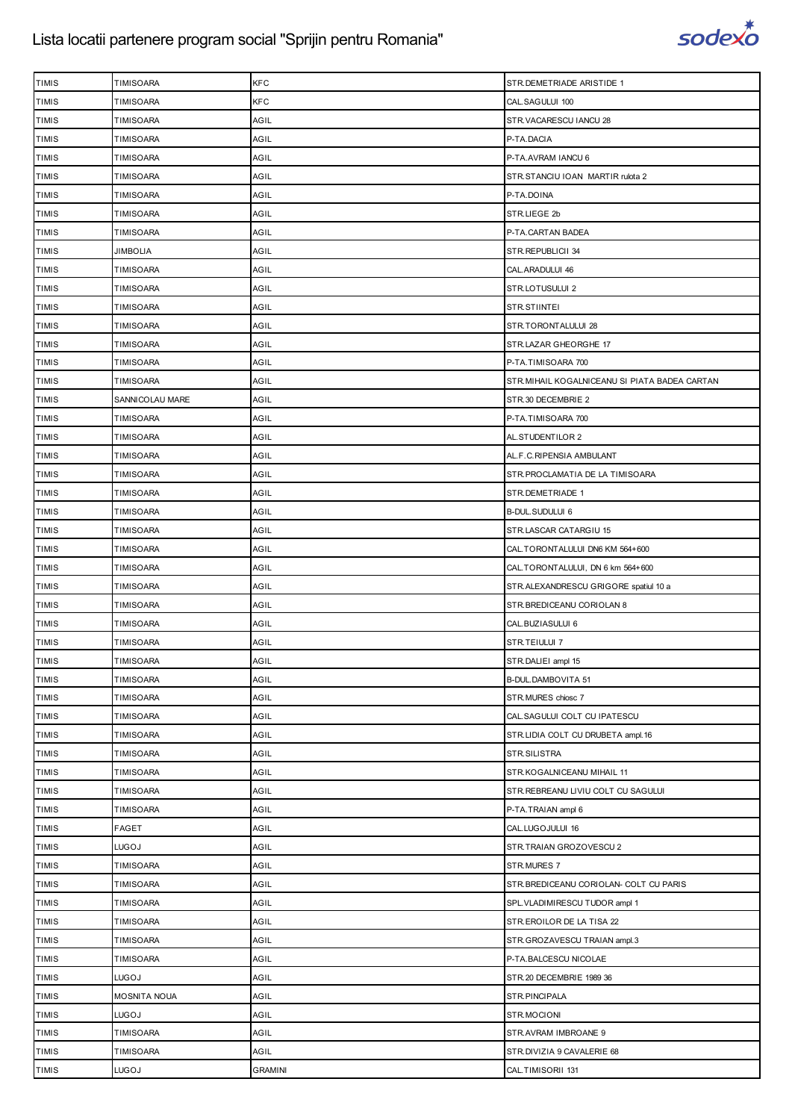

| <b>TIMIS</b> | <b>TIMISOARA</b>    | KFC            | STR.DEMETRIADE ARISTIDE 1                      |
|--------------|---------------------|----------------|------------------------------------------------|
| <b>TIMIS</b> | <b>TIMISOARA</b>    | KFC            | CAL.SAGULUI 100                                |
| <b>TIMIS</b> | TIMISOARA           | AGIL           | STR.VACARESCU IANCU 28                         |
| <b>TIMIS</b> | TIMISOARA           | AGIL           | P-TA.DACIA                                     |
| <b>TIMIS</b> | <b>TIMISOARA</b>    | AGIL           | P-TA.AVRAM IANCU 6                             |
| <b>TIMIS</b> | TIMISOARA           | AGIL           | STR.STANCIU IOAN MARTIR rulota 2               |
| <b>TIMIS</b> | TIMISOARA           | AGIL           | P-TA.DOINA                                     |
| <b>TIMIS</b> | <b>TIMISOARA</b>    | AGIL           | STR.LIEGE 2b                                   |
| <b>TIMIS</b> | TIMISOARA           | AGIL           | P-TA.CARTAN BADEA                              |
| <b>TIMIS</b> | <b>JIMBOLIA</b>     | AGIL           | STR.REPUBLICII 34                              |
| <b>TIMIS</b> | <b>TIMISOARA</b>    | AGIL           | CAL.ARADULUI 46                                |
| <b>TIMIS</b> | TIMISOARA           | AGIL           | STR.LOTUSULUI 2                                |
| <b>TIMIS</b> | TIMISOARA           | AGIL           | STR.STIINTEI                                   |
| <b>TIMIS</b> | <b>TIMISOARA</b>    | AGIL           | STR.TORONTALULUI 28                            |
| <b>TIMIS</b> | TIMISOARA           | AGIL           | STR.LAZAR GHEORGHE 17                          |
| <b>TIMIS</b> | <b>TIMISOARA</b>    | AGIL           | P-TA.TIMISOARA 700                             |
| <b>TIMIS</b> | <b>TIMISOARA</b>    | AGIL           | STR. MIHAIL KOGALNICEANU SI PIATA BADEA CARTAN |
| <b>TIMIS</b> | SANNICOLAU MARE     | AGIL           | STR.30 DECEMBRIE 2                             |
| <b>TIMIS</b> | TIMISOARA           | AGIL           | P-TA.TIMISOARA 700                             |
| <b>TIMIS</b> | <b>TIMISOARA</b>    | AGIL           | AL.STUDENTILOR 2                               |
| <b>TIMIS</b> | TIMISOARA           | AGIL           | AL.F.C.RIPENSIA AMBULANT                       |
| <b>TIMIS</b> | TIMISOARA           | AGIL           | STR. PROCLAMATIA DE LA TIMISOARA               |
| <b>TIMIS</b> | <b>TIMISOARA</b>    | AGIL           | STR.DEMETRIADE 1                               |
| <b>TIMIS</b> | TIMISOARA           | AGIL           | B-DUL.SUDULUI 6                                |
| <b>TIMIS</b> | TIMISOARA           | AGIL           | STR.LASCAR CATARGIU 15                         |
| <b>TIMIS</b> | <b>TIMISOARA</b>    | AGIL           | CAL.TORONTALULUI DN6 KM 564+600                |
| <b>TIMIS</b> | TIMISOARA           | AGIL           | CAL.TORONTALULUI, DN 6 km 564+600              |
| <b>TIMIS</b> | TIMISOARA           | AGIL           | STR.ALEXANDRESCU GRIGORE spatiul 10 a          |
| <b>TIMIS</b> | <b>TIMISOARA</b>    | AGIL           | STR.BREDICEANU CORIOLAN 8                      |
| <b>TIMIS</b> | TIMISOARA           | AGIL           | CAL.BUZIASULUI 6                               |
| <b>TIMIS</b> | TIMISOARA           | AGIL           | STR.TEIULUI 7                                  |
| <b>TIMIS</b> | <b>TIMISOARA</b>    | AGIL           | STR.DALIEI ampl 15                             |
| <b>TIMIS</b> | <b>TIMISOARA</b>    | AGIL           | B-DUL.DAMBOVITA 51                             |
| <b>TIMIS</b> | TIMISOARA           | AGIL           | STR.MURES chiosc 7                             |
| <b>TIMIS</b> | <b>TIMISOARA</b>    | AGIL           | CAL. SAGULUI COLT CU IPATESCU                  |
| <b>TIMIS</b> | TIMISOARA           | AGIL           | STR.LIDIA COLT CU DRUBETA ampl. 16             |
| <b>TIMIS</b> | TIMISOARA           | AGIL           | STR.SILISTRA                                   |
| <b>TIMIS</b> | <b>TIMISOARA</b>    | AGIL           | STR.KOGALNICEANU MIHAIL 11                     |
| <b>TIMIS</b> | <b>TIMISOARA</b>    | AGIL           | STR. REBREANU LIVIU COLT CU SAGULUI            |
| <b>TIMIS</b> | TIMISOARA           | AGIL           | P-TA.TRAIAN ampl 6                             |
| <b>TIMIS</b> | <b>FAGET</b>        | AGIL           | CAL.LUGOJULUI 16                               |
| <b>TIMIS</b> | <b>LUGOJ</b>        | AGIL           | STR.TRAIAN GROZOVESCU 2                        |
| <b>TIMIS</b> | TIMISOARA           | AGIL           | STR.MURES 7                                    |
| <b>TIMIS</b> | <b>TIMISOARA</b>    | AGIL           | STR.BREDICEANU CORIOLAN- COLT CU PARIS         |
| <b>TIMIS</b> | TIMISOARA           | AGIL           | SPL. VLADIMIRESCU TUDOR ampl 1                 |
| <b>TIMIS</b> | TIMISOARA           | AGIL           | STR.EROILOR DE LA TISA 22                      |
| <b>TIMIS</b> | <b>TIMISOARA</b>    | AGIL           | STR.GROZAVESCU TRAIAN ampl.3                   |
| <b>TIMIS</b> | TIMISOARA           | AGIL           | P-TA.BALCESCU NICOLAE                          |
| <b>TIMIS</b> | <b>LUGOJ</b>        | AGIL           | STR.20 DECEMBRIE 1989 36                       |
| <b>TIMIS</b> | <b>MOSNITA NOUA</b> | AGIL           | STR.PINCIPALA                                  |
| <b>TIMIS</b> | <b>LUGOJ</b>        | AGIL           | STR.MOCIONI                                    |
| <b>TIMIS</b> | TIMISOARA           | AGIL           | STR.AVRAM IMBROANE 9                           |
| <b>TIMIS</b> | <b>TIMISOARA</b>    | AGIL           | STR.DIVIZIA 9 CAVALERIE 68                     |
| <b>TIMIS</b> | <b>LUGOJ</b>        | <b>GRAMINI</b> | CAL.TIMISORII 131                              |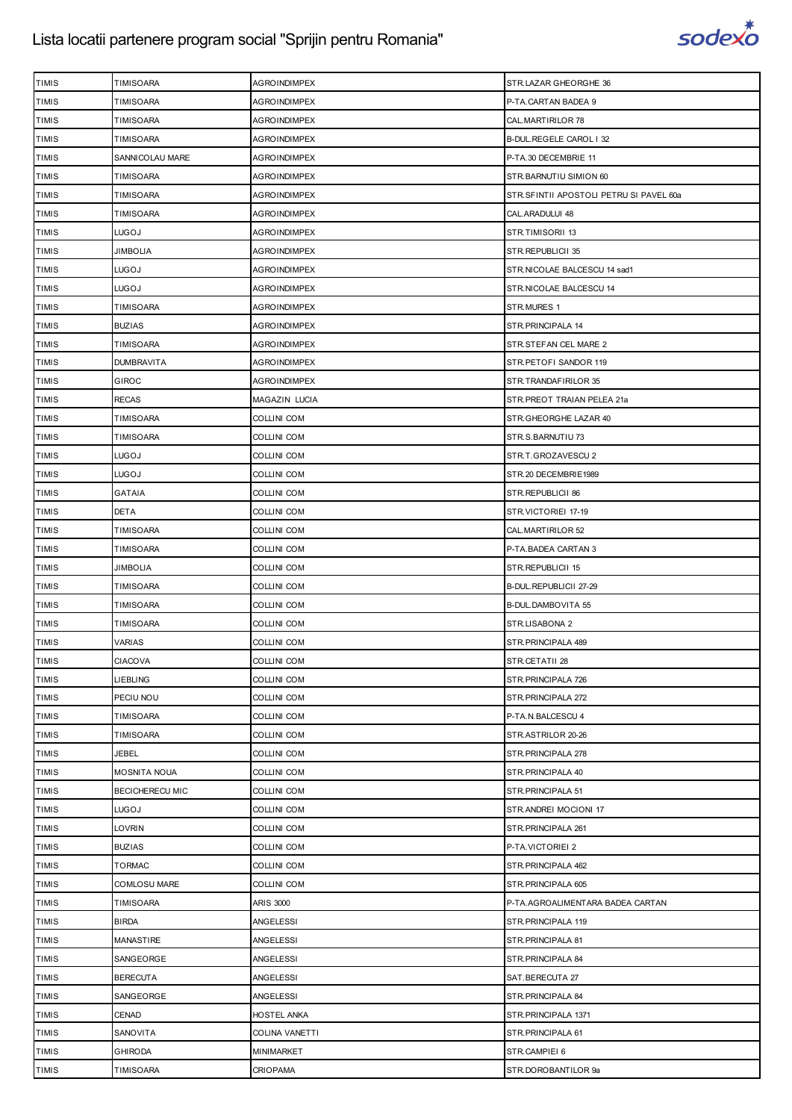

| TIMIS        | TIMISOARA              | AGROINDIMPEX        | STR.LAZAR GHEORGHE 36                   |
|--------------|------------------------|---------------------|-----------------------------------------|
| <b>TIMIS</b> | <b>TIMISOARA</b>       | AGROINDIMPEX        | P-TA.CARTAN BADEA 9                     |
| <b>TIMIS</b> | <b>TIMISOARA</b>       | AGROINDIMPEX        | CAL.MARTIRILOR 78                       |
| TIMIS        | TIMISOARA              | <b>AGROINDIMPEX</b> | B-DUL REGELE CAROL I 32                 |
| <b>TIMIS</b> | SANNICOLAU MARE        | <b>AGROINDIMPEX</b> | P-TA.30 DECEMBRIE 11                    |
| <b>TIMIS</b> | TIMISOARA              | AGROINDIMPEX        | STR.BARNUTIU SIMION 60                  |
| TIMIS        | TIMISOARA              | AGROINDIMPEX        | STR.SFINTII APOSTOLI PETRU SI PAVEL 60a |
| <b>TIMIS</b> | <b>TIMISOARA</b>       | <b>AGROINDIMPEX</b> | CAL. ARADULUI 48                        |
| <b>TIMIS</b> | LUGOJ                  | AGROINDIMPEX        | STR.TIMISORII 13                        |
| <b>TIMIS</b> | <b>JIMBOLIA</b>        | <b>AGROINDIMPEX</b> | STR.REPUBLICII 35                       |
| <b>TIMIS</b> | LUGOJ                  | <b>AGROINDIMPEX</b> | STR.NICOLAE BALCESCU 14 sad1            |
| <b>TIMIS</b> | LUGOJ                  | <b>AGROINDIMPEX</b> | STR.NICOLAE BALCESCU 14                 |
| TIMIS        | TIMISOARA              | AGROINDIMPEX        | STR.MURES 1                             |
| <b>TIMIS</b> | <b>BUZIAS</b>          | <b>AGROINDIMPEX</b> | STR. PRINCIPALA 14                      |
| <b>TIMIS</b> | <b>TIMISOARA</b>       | <b>AGROINDIMPEX</b> | STR.STEFAN CEL MARE 2                   |
| TIMIS        | <b>DUMBRAVITA</b>      | AGROINDIMPEX        | STR. PETOFI SANDOR 119                  |
| <b>TIMIS</b> | <b>GIROC</b>           | <b>AGROINDIMPEX</b> | STR.TRANDAFIRILOR 35                    |
| <b>TIMIS</b> | <b>RECAS</b>           | MAGAZIN LUCIA       | STR.PREOT TRAIAN PELEA 21a              |
| TIMIS        | TIMISOARA              | COLLINI COM         | STR.GHEORGHE LAZAR 40                   |
| <b>TIMIS</b> | <b>TIMISOARA</b>       | <b>COLLINI COM</b>  | STR.S.BARNUTIU 73                       |
| <b>TIMIS</b> | LUGOJ                  | <b>COLLINI COM</b>  | STR.T.GROZAVESCU 2                      |
| <b>TIMIS</b> | LUGOJ                  | <b>COLLINI COM</b>  | STR.20 DECEMBRIE1989                    |
| <b>TIMIS</b> | <b>GATAIA</b>          | <b>COLLINI COM</b>  | STR.REPUBLICII 86                       |
| <b>TIMIS</b> | DETA                   | <b>COLLINI COM</b>  | STR.VICTORIEI 17-19                     |
| TIMIS        | TIMISOARA              | COLLINI COM         | CAL.MARTIRILOR 52                       |
| <b>TIMIS</b> | <b>TIMISOARA</b>       | <b>COLLINI COM</b>  | P-TA BADEA CARTAN 3                     |
| <b>TIMIS</b> | JIMBOLIA               | COLLINI COM         | STR.REPUBLICII 15                       |
| <b>TIMIS</b> | TIMISOARA              | <b>COLLINI COM</b>  | B-DUL.REPUBLICII 27-29                  |
| <b>TIMIS</b> | <b>TIMISOARA</b>       | <b>COLLINI COM</b>  | B-DUL.DAMBOVITA 55                      |
| <b>TIMIS</b> | TIMISOARA              | COLLINI COM         | STR.LISABONA 2                          |
| <b>TIMIS</b> | VARIAS                 | COLLINI COM         | STR. PRINCIPALA 489                     |
| <b>TIMIS</b> | <b>CIACOVA</b>         | COLLINI COM         | STR.CETATII 28                          |
| <b>TIMIS</b> | LIEBLING               | <b>COLLINI COM</b>  | STR.PRINCIPALA 726                      |
| <b>TIMIS</b> | PECIU NOU              | <b>COLLINI COM</b>  | STR.PRINCIPALA 272                      |
| <b>TIMIS</b> | <b>TIMISOARA</b>       | <b>COLLINI COM</b>  | P-TA.N.BALCESCU 4                       |
| <b>TIMIS</b> | <b>TIMISOARA</b>       | <b>COLLINI COM</b>  | STR.ASTRILOR 20-26                      |
| <b>TIMIS</b> | JEBEL                  | <b>COLLINI COM</b>  | STR.PRINCIPALA 278                      |
| <b>TIMIS</b> | <b>MOSNITA NOUA</b>    | COLLINI COM         | STR.PRINCIPALA 40                       |
| <b>TIMIS</b> | <b>BECICHERECU MIC</b> | <b>COLLINI COM</b>  | STR.PRINCIPALA 51                       |
| <b>TIMIS</b> | LUGOJ                  | <b>COLLINI COM</b>  | STR.ANDREI MOCIONI 17                   |
| <b>TIMIS</b> | <b>LOVRIN</b>          | COLLINI COM         | STR. PRINCIPALA 261                     |
| <b>TIMIS</b> | <b>BUZIAS</b>          | COLLINI COM         | P-TA.VICTORIEI 2                        |
| <b>TIMIS</b> | <b>TORMAC</b>          | COLLINI COM         | STR. PRINCIPALA 462                     |
| <b>TIMIS</b> | <b>COMLOSU MARE</b>    | COLLINI COM         | STR. PRINCIPALA 605                     |
| <b>TIMIS</b> | <b>TIMISOARA</b>       | <b>ARIS 3000</b>    | P-TA.AGROALIMENTARA BADEA CARTAN        |
| <b>TIMIS</b> | <b>BIRDA</b>           | ANGELESSI           | STR.PRINCIPALA 119                      |
| <b>TIMIS</b> | MANASTIRE              | ANGELESSI           | STR. PRINCIPALA 81                      |
| <b>TIMIS</b> | SANGEORGE              | ANGELESSI           | STR. PRINCIPALA 84                      |
| <b>TIMIS</b> | <b>BERECUTA</b>        | ANGELESSI           | SAT.BERECUTA 27                         |
| <b>TIMIS</b> | SANGEORGE              | ANGELESSI           | STR. PRINCIPALA 84                      |
| <b>TIMIS</b> | CENAD                  | HOSTEL ANKA         | STR. PRINCIPALA 1371                    |
| <b>TIMIS</b> | SANOVITA               | COLINA VANETTI      | STR. PRINCIPALA 61                      |
| TIMIS        | <b>GHIRODA</b>         | MINIMARKET          | STR.CAMPIEI 6                           |
| <b>TIMIS</b> | TIMISOARA              | <b>CRIOPAMA</b>     | STR.DOROBANTILOR 9a                     |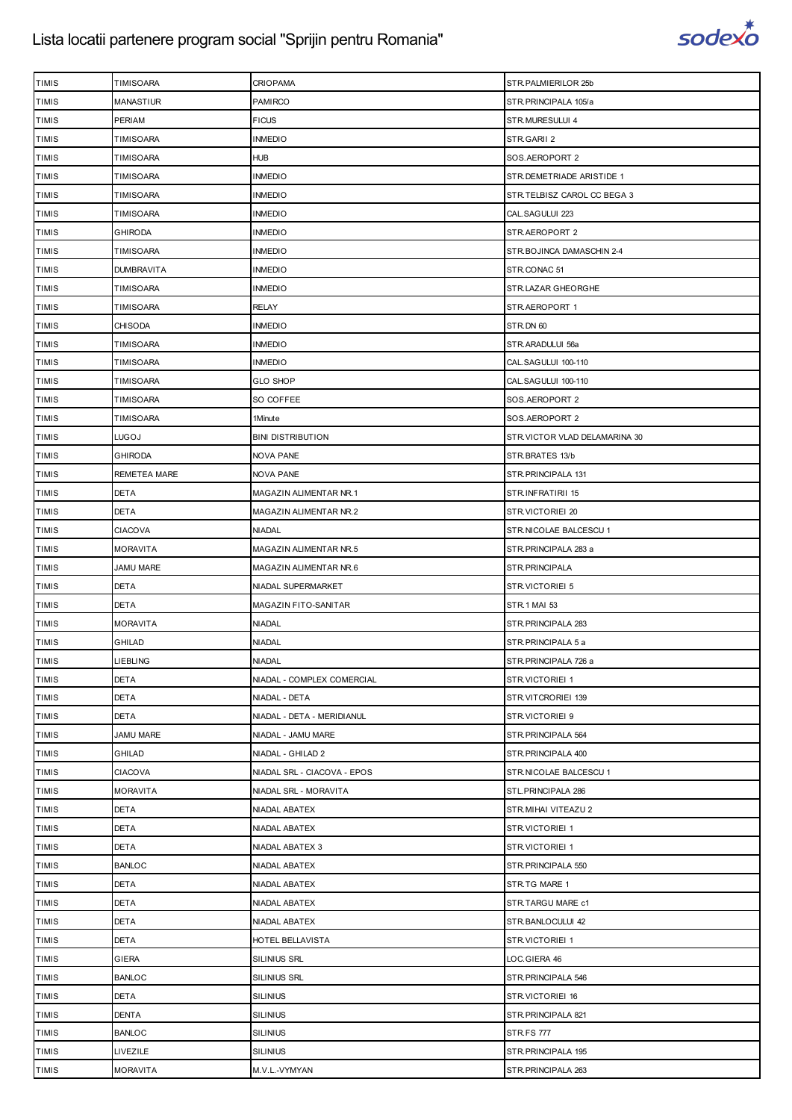

| <b>TIMIS</b> | TIMISOARA         | <b>CRIOPAMA</b>             | STR.PALMIERILOR 25b           |
|--------------|-------------------|-----------------------------|-------------------------------|
| <b>TIMIS</b> | <b>MANASTIUR</b>  | <b>PAMIRCO</b>              | STR.PRINCIPALA 105/a          |
| <b>TIMIS</b> | PERIAM            | <b>FICUS</b>                | STR.MURESULUI 4               |
| <b>TIMIS</b> | TIMISOARA         | <b>INMEDIO</b>              | STR.GARII 2                   |
| <b>TIMIS</b> | TIMISOARA         | <b>HUB</b>                  | SOS.AEROPORT 2                |
| <b>TIMIS</b> | TIMISOARA         | <b>INMEDIO</b>              | STR.DEMETRIADE ARISTIDE 1     |
| TIMIS        | TIMISOARA         | INMEDIO                     | STR.TELBISZ CAROL CC BEGA 3   |
| <b>TIMIS</b> | TIMISOARA         | <b>INMEDIO</b>              | CAL.SAGULUI 223               |
| <b>TIMIS</b> | GHIRODA           | <b>INMEDIO</b>              | STR.AEROPORT 2                |
| <b>TIMIS</b> | <b>TIMISOARA</b>  | INMEDIO                     | STR. BOJINCA DAMASCHIN 2-4    |
| <b>TIMIS</b> | <b>DUMBRAVITA</b> | <b>INMEDIO</b>              | STR.CONAC 51                  |
| <b>TIMIS</b> | TIMISOARA         | <b>INMEDIO</b>              | STR.LAZAR GHEORGHE            |
| <b>TIMIS</b> | TIMISOARA         | RELAY                       | STR.AEROPORT 1                |
| <b>TIMIS</b> | CHISODA           | <b>INMEDIO</b>              | STR.DN 60                     |
| <b>TIMIS</b> | TIMISOARA         | <b>INMEDIO</b>              | STR.ARADULUI 56a              |
| <b>TIMIS</b> | TIMISOARA         | <b>INMEDIO</b>              | CAL.SAGULUI 100-110           |
| <b>TIMIS</b> | TIMISOARA         | <b>GLO SHOP</b>             | CAL.SAGULUI 100-110           |
| <b>TIMIS</b> | TIMISOARA         | SO COFFEE                   | SOS.AEROPORT 2                |
| TIMIS        | TIMISOARA         | 1Minute                     | SOS.AEROPORT 2                |
| <b>TIMIS</b> | LUGOJ             | <b>BINI DISTRIBUTION</b>    | STR.VICTOR VLAD DELAMARINA 30 |
| <b>TIMIS</b> | GHIRODA           | <b>NOVA PANE</b>            | STR.BRATES 13/b               |
| <b>TIMIS</b> | REMETEA MARE      | <b>NOVA PANE</b>            | STR. PRINCIPALA 131           |
| <b>TIMIS</b> | <b>DETA</b>       | MAGAZIN ALIMENTAR NR.1      | STR.INFRATIRII 15             |
| <b>TIMIS</b> | DETA              | MAGAZIN ALIMENTAR NR.2      | STR.VICTORIEI 20              |
| <b>TIMIS</b> | CIACOVA           | <b>NIADAL</b>               | STR.NICOLAE BALCESCU 1        |
| <b>TIMIS</b> | <b>MORAVITA</b>   | MAGAZIN ALIMENTAR NR.5      | STR.PRINCIPALA 283 a          |
| <b>TIMIS</b> | <b>JAMU MARE</b>  | MAGAZIN ALIMENTAR NR.6      | STR.PRINCIPALA                |
| <b>TIMIS</b> | DETA              | NIADAL SUPERMARKET          | STR.VICTORIEI 5               |
| <b>TIMIS</b> | <b>DETA</b>       | MAGAZIN FITO-SANITAR        | STR.1 MAI 53                  |
| <b>TIMIS</b> | <b>MORAVITA</b>   | <b>NIADAL</b>               | STR. PRINCIPALA 283           |
| TIMIS        | GHILAD            | <b>NIADAL</b>               | STR.PRINCIPALA 5 a            |
| <b>TIMIS</b> | <b>LIEBLING</b>   | <b>NIADAL</b>               | STR.PRINCIPALA 726 a          |
| <b>TIMIS</b> | <b>DETA</b>       | NIADAL - COMPLEX COMERCIAL  | STR.VICTORIEI 1               |
| <b>TIMIS</b> | DETA              | NIADAL - DETA               | STR.VITCRORIEI 139            |
| <b>TIMIS</b> | DETA              | NIADAL - DETA - MERIDIANUL  | STR.VICTORIEI 9               |
| <b>TIMIS</b> | <b>JAMU MARE</b>  | NIADAL - JAMU MARE          | STR. PRINCIPALA 564           |
| <b>TIMIS</b> | GHILAD            | NIADAL - GHILAD 2           | STR. PRINCIPALA 400           |
| <b>TIMIS</b> | <b>CIACOVA</b>    | NIADAL SRL - CIACOVA - EPOS | STR.NICOLAE BALCESCU 1        |
| <b>TIMIS</b> | <b>MORAVITA</b>   | NIADAL SRL - MORAVITA       | STL.PRINCIPALA 286            |
| TIMIS        | DETA              | NIADAL ABATEX               | STR.MIHAI VITEAZU 2           |
| <b>TIMIS</b> | <b>DETA</b>       | NIADAL ABATEX               | STR.VICTORIEI 1               |
| <b>TIMIS</b> | DETA              | NIADAL ABATEX 3             | STR.VICTORIEI 1               |
| <b>TIMIS</b> | <b>BANLOC</b>     | NIADAL ABATEX               | STR. PRINCIPALA 550           |
| <b>TIMIS</b> | DETA              | NIADAL ABATEX               | STR.TG MARE 1                 |
| <b>TIMIS</b> | DETA              | NIADAL ABATEX               | STR.TARGU MARE c1             |
| TIMIS        | DETA              | NIADAL ABATEX               | STR.BANLOCULUI 42             |
| <b>TIMIS</b> | DETA              | HOTEL BELLAVISTA            | STR.VICTORIEI 1               |
| <b>TIMIS</b> | <b>GIERA</b>      | SILINIUS SRL                | LOC.GIERA 46                  |
| <b>TIMIS</b> | <b>BANLOC</b>     | SILINIUS SRL                | STR.PRINCIPALA 546            |
| <b>TIMIS</b> | DETA              | <b>SILINIUS</b>             | STR.VICTORIEI 16              |
| <b>TIMIS</b> | DENTA             | <b>SILINIUS</b>             | STR. PRINCIPALA 821           |
| TIMIS        | <b>BANLOC</b>     | <b>SILINIUS</b>             | <b>STR.FS 777</b>             |
| <b>TIMIS</b> | LIVEZILE          | <b>SILINIUS</b>             | STR.PRINCIPALA 195            |
| TIMIS        | <b>MORAVITA</b>   | M.V.L.-VYMYAN               | STR. PRINCIPALA 263           |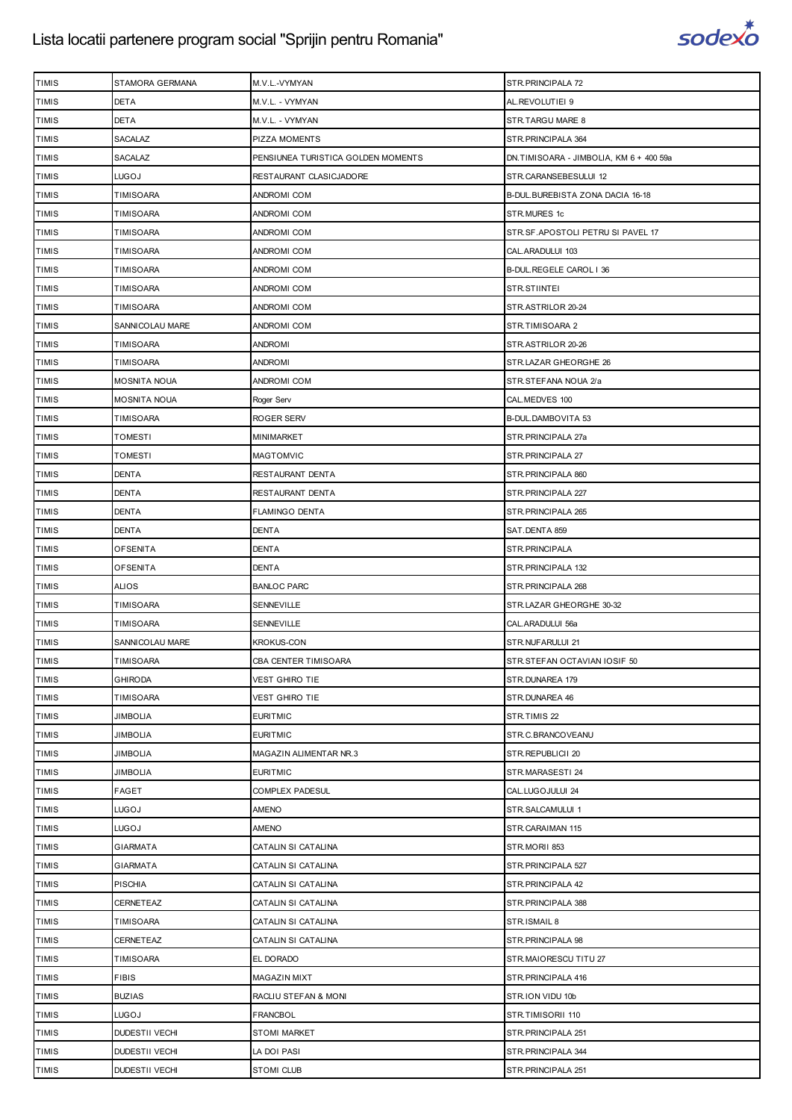

| <b>TIMIS</b> | STAMORA GERMANA       | M.V.L.-VYMYAN                      | STR.PRINCIPALA 72                       |
|--------------|-----------------------|------------------------------------|-----------------------------------------|
| <b>TIMIS</b> | <b>DETA</b>           | M.V.L. - VYMYAN                    | AL.REVOLUTIEI 9                         |
| <b>TIMIS</b> | <b>DETA</b>           | M.V.L. - VYMYAN                    | STR.TARGU MARE 8                        |
| <b>TIMIS</b> | SACALAZ               | PIZZA MOMENTS                      | STR. PRINCIPALA 364                     |
| <b>TIMIS</b> | SACALAZ               | PENSIUNEA TURISTICA GOLDEN MOMENTS | DN.TIMISOARA - JIMBOLIA, KM 6 + 400 59a |
| <b>TIMIS</b> | LUGOJ                 | RESTAURANT CLASICJADORE            | STR.CARANSEBESULUI 12                   |
| <b>TIMIS</b> | TIMISOARA             | <b>ANDROMI COM</b>                 | B-DUL.BUREBISTA ZONA DACIA 16-18        |
| <b>TIMIS</b> | TIMISOARA             | ANDROMI COM                        | STR.MURES 1c                            |
| TIMIS        | TIMISOARA             | <b>ANDROMI COM</b>                 | STR.SF.APOSTOLI PETRU SI PAVEL 17       |
| <b>TIMIS</b> | TIMISOARA             | ANDROMI COM                        | CAL. ARADULUI 103                       |
| <b>TIMIS</b> | TIMISOARA             | ANDROMI COM                        | B-DUL.REGELE CAROL I 36                 |
| TIMIS        | TIMISOARA             | ANDROMI COM                        | STR.STIINTEI                            |
| <b>TIMIS</b> | TIMISOARA             | ANDROMI COM                        | STR.ASTRILOR 20-24                      |
| <b>TIMIS</b> | SANNICOLAU MARE       | ANDROMI COM                        | STR.TIMISOARA 2                         |
| <b>TIMIS</b> | <b>TIMISOARA</b>      | <b>ANDROMI</b>                     | STR.ASTRILOR 20-26                      |
| <b>TIMIS</b> | TIMISOARA             | <b>ANDROMI</b>                     | STR.LAZAR GHEORGHE 26                   |
| <b>TIMIS</b> | <b>MOSNITA NOUA</b>   | ANDROMI COM                        | STR.STEFANA NOUA 2/a                    |
| <b>TIMIS</b> | MOSNITA NOUA          | Roger Serv                         | CAL.MEDVES 100                          |
| <b>TIMIS</b> | TIMISOARA             | <b>ROGER SERV</b>                  | B-DUL.DAMBOVITA 53                      |
| <b>TIMIS</b> | TOMESTI               | MINIMARKET                         | STR.PRINCIPALA 27a                      |
| TIMIS        | TOMESTI               | MAGTOMVIC                          | STR.PRINCIPALA 27                       |
| <b>TIMIS</b> | <b>DENTA</b>          | RESTAURANT DENTA                   | STR. PRINCIPALA 860                     |
| <b>TIMIS</b> | <b>DENTA</b>          | RESTAURANT DENTA                   | STR. PRINCIPALA 227                     |
| TIMIS        | <b>DENTA</b>          | <b>FLAMINGO DENTA</b>              | STR.PRINCIPALA 265                      |
| <b>TIMIS</b> | DENTA                 | <b>DENTA</b>                       | SAT.DENTA 859                           |
| <b>TIMIS</b> | <b>OFSENITA</b>       | <b>DENTA</b>                       | STR.PRINCIPALA                          |
| <b>TIMIS</b> | <b>OFSENITA</b>       | <b>DENTA</b>                       | STR. PRINCIPALA 132                     |
| <b>TIMIS</b> | ALIOS                 | <b>BANLOC PARC</b>                 | STR.PRINCIPALA 268                      |
| <b>TIMIS</b> | TIMISOARA             | SENNEVILLE                         | STR.LAZAR GHEORGHE 30-32                |
| TIMIS        | TIMISOARA             | SENNEVILLE                         | CAL.ARADULUI 56a                        |
| <b>TIMIS</b> | SANNICOLAU MARE       | KROKUS-CON                         | STR.NUFARULUI 21                        |
| <b>TIMIS</b> | <b>TIMISOARA</b>      | CBA CENTER TIMISOARA               | STR.STEFAN OCTAVIAN IOSIF 50            |
| <b>TIMIS</b> | <b>GHIRODA</b>        | VEST GHIRO TIE                     | STR.DUNAREA 179                         |
| <b>TIMIS</b> | TIMISOARA             | <b>VEST GHIRO TIE</b>              | STR.DUNAREA 46                          |
| <b>TIMIS</b> | <b>JIMBOLIA</b>       | <b>EURITMIC</b>                    | STR.TIMIS 22                            |
| TIMIS        | <b>JIMBOLIA</b>       | <b>EURITMIC</b>                    | STR.C.BRANCOVEANU                       |
| <b>TIMIS</b> | <b>JIMBOLIA</b>       | MAGAZIN ALIMENTAR NR.3             | STR.REPUBLICII 20                       |
| <b>TIMIS</b> | <b>JIMBOLIA</b>       | <b>EURITMIC</b>                    | STR.MARASESTI 24                        |
| TIMIS        | FAGET                 | COMPLEX PADESUL                    | CAL.LUGOJULUI 24                        |
| <b>TIMIS</b> | LUGOJ                 | AMENO                              | STR.SALCAMULUI 1                        |
| <b>TIMIS</b> | LUGOJ                 | <b>AMENO</b>                       | STR.CARAIMAN 115                        |
| TIMIS        | GIARMATA              | CATALIN SI CATALINA                | STR.MORII 853                           |
| <b>TIMIS</b> | <b>GIARMATA</b>       | CATALIN SI CATALINA                | STR. PRINCIPALA 527                     |
| <b>TIMIS</b> | <b>PISCHIA</b>        | CATALIN SI CATALINA                | STR.PRINCIPALA 42                       |
| TIMIS        | CERNETEAZ             | CATALIN SI CATALINA                | STR. PRINCIPALA 388                     |
| <b>TIMIS</b> | TIMISOARA             | CATALIN SI CATALINA                | STR.ISMAIL 8                            |
| <b>TIMIS</b> | CERNETEAZ             | CATALIN SI CATALINA                | STR.PRINCIPALA 98                       |
| TIMIS        | TIMISOARA             | EL DORADO                          | STR.MAIORESCU TITU 27                   |
| <b>TIMIS</b> | <b>FIBIS</b>          | MAGAZIN MIXT                       | STR. PRINCIPALA 416                     |
| <b>TIMIS</b> | <b>BUZIAS</b>         | RACLIU STEFAN & MONI               | STR.ION VIDU 10b                        |
| TIMIS        | LUGOJ                 | FRANCBOL                           | STR.TIMISORII 110                       |
| <b>TIMIS</b> | <b>DUDESTII VECHI</b> | <b>STOMI MARKET</b>                | STR. PRINCIPALA 251                     |
| <b>TIMIS</b> | <b>DUDESTII VECHI</b> | LA DOI PASI                        | STR. PRINCIPALA 344                     |
| TIMIS        | <b>DUDESTII VECHI</b> | <b>STOMI CLUB</b>                  | STR.PRINCIPALA 251                      |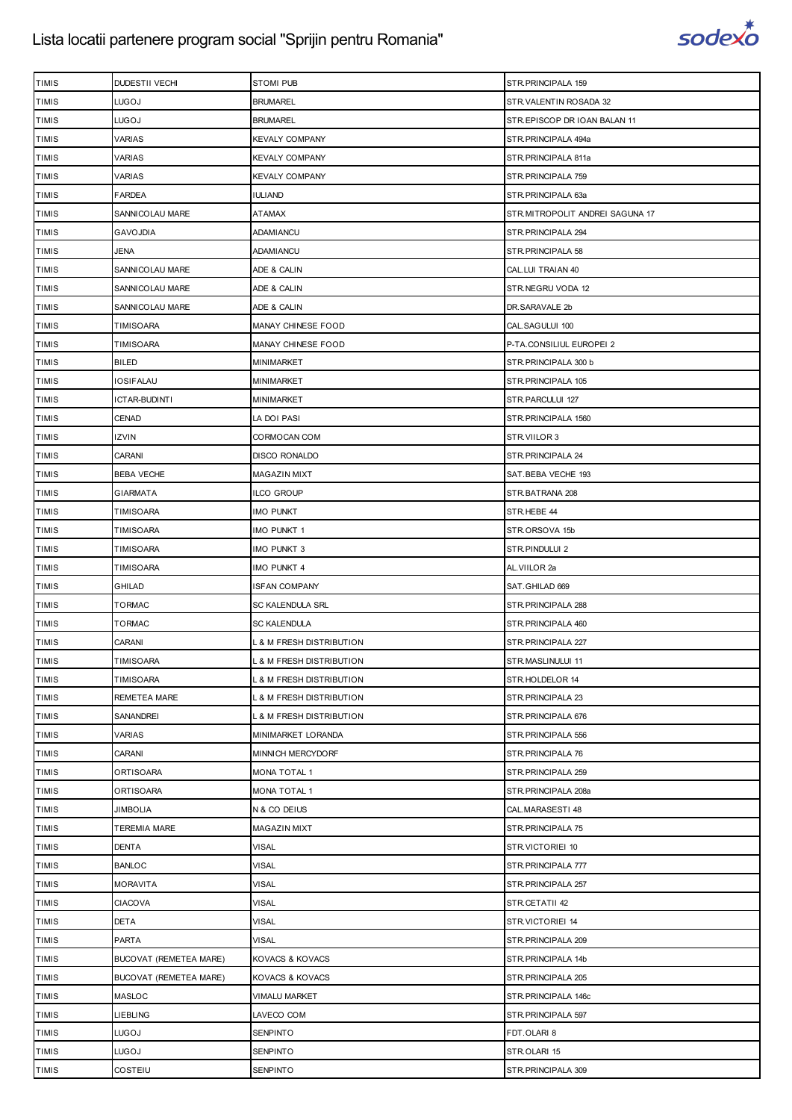

| <b>TIMIS</b> | DUDESTII VECHI         | <b>STOMI PUB</b>                    | STR.PRINCIPALA 159              |
|--------------|------------------------|-------------------------------------|---------------------------------|
| <b>TIMIS</b> | LUGOJ                  | <b>BRUMAREL</b>                     | STR.VALENTIN ROSADA 32          |
| <b>TIMIS</b> | LUGOJ                  | <b>BRUMAREL</b>                     | STR.EPISCOP DR IOAN BALAN 11    |
| <b>TIMIS</b> | VARIAS                 | <b>KEVALY COMPANY</b>               | STR.PRINCIPALA 494a             |
| <b>TIMIS</b> | <b>VARIAS</b>          | <b>KEVALY COMPANY</b>               | STR.PRINCIPALA 811a             |
| <b>TIMIS</b> | <b>VARIAS</b>          | <b>KEVALY COMPANY</b>               | STR.PRINCIPALA 759              |
| <b>TIMIS</b> | FARDEA                 | <b>IULIAND</b>                      | STR.PRINCIPALA 63a              |
| <b>TIMIS</b> | SANNICOLAU MARE        | <b>ATAMAX</b>                       | STR.MITROPOLIT ANDREI SAGUNA 17 |
| <b>TIMIS</b> | <b>GAVOJDIA</b>        | ADAMIANCU                           | STR.PRINCIPALA 294              |
| <b>TIMIS</b> | JENA                   | ADAMIANCU                           | STR. PRINCIPALA 58              |
| <b>TIMIS</b> | SANNICOLAU MARE        | ADE & CALIN                         | CAL.LUI TRAIAN 40               |
| <b>TIMIS</b> | SANNICOLAU MARE        | ADE & CALIN                         | STR.NEGRU VODA 12               |
| <b>TIMIS</b> | SANNICOLAU MARE        | ADE & CALIN                         | DR.SARAVALE 2b                  |
| <b>TIMIS</b> | TIMISOARA              | MANAY CHINESE FOOD                  | CAL.SAGULUI 100                 |
| <b>TIMIS</b> | TIMISOARA              | MANAY CHINESE FOOD                  | P-TA.CONSILIUL EUROPEI 2        |
| <b>TIMIS</b> | BILED                  | MINIMARKET                          | STR.PRINCIPALA 300 b            |
| <b>TIMIS</b> | IOSIFALAU              | MINIMARKET                          | STR.PRINCIPALA 105              |
| <b>TIMIS</b> | ICTAR-BUDINTI          | MINIMARKET                          | STR.PARCULUI 127                |
| <b>TIMIS</b> | CENAD                  | LA DOI PASI                         | STR.PRINCIPALA 1560             |
| <b>TIMIS</b> | IZVIN                  | CORMOCAN COM                        | STR.VIILOR 3                    |
| <b>TIMIS</b> | CARANI                 | <b>DISCO RONALDO</b>                | STR. PRINCIPALA 24              |
| <b>TIMIS</b> | <b>BEBA VECHE</b>      | MAGAZIN MIXT                        | SAT.BEBA VECHE 193              |
| <b>TIMIS</b> | <b>GIARMATA</b>        | <b>ILCO GROUP</b>                   | STR.BATRANA 208                 |
| <b>TIMIS</b> | TIMISOARA              | <b>IMO PUNKT</b>                    | STR.HEBE 44                     |
| <b>TIMIS</b> | TIMISOARA              | <b>IMO PUNKT 1</b>                  | STR.ORSOVA 15b                  |
| <b>TIMIS</b> | TIMISOARA              | IMO PUNKT 3                         | STR.PINDULUI 2                  |
| <b>TIMIS</b> | TIMISOARA              | <b>IMO PUNKT 4</b>                  | AL.VIILOR 2a                    |
| <b>TIMIS</b> | GHILAD                 | <b>ISFAN COMPANY</b>                | SAT.GHILAD 669                  |
| <b>TIMIS</b> | <b>TORMAC</b>          | SC KALENDULA SRL                    | STR.PRINCIPALA 288              |
| <b>TIMIS</b> | TORMAC                 | <b>SC KALENDULA</b>                 | STR.PRINCIPALA 460              |
| <b>TIMIS</b> | CARANI                 | L & M FRESH DISTRIBUTION            | STR.PRINCIPALA 227              |
| <b>TIMIS</b> | <b>TIMISOARA</b>       | <b>L &amp; M FRESH DISTRIBUTION</b> | STR.MASLINULUI 11               |
| <b>TIMIS</b> | TIMISOARA              | L & M FRESH DISTRIBUTION            | STR.HOLDELOR 14                 |
| <b>TIMIS</b> | REMETEA MARE           | L & M FRESH DISTRIBUTION            | STR.PRINCIPALA 23               |
| <b>TIMIS</b> | SANANDREI              | L & M FRESH DISTRIBUTION            | STR.PRINCIPALA 676              |
| <b>TIMIS</b> | <b>VARIAS</b>          | MINIMARKET LORANDA                  | STR.PRINCIPALA 556              |
| <b>TIMIS</b> | CARANI                 | MINNICH MERCYDORF                   | STR.PRINCIPALA 76               |
| <b>TIMIS</b> | <b>ORTISOARA</b>       | <b>MONA TOTAL 1</b>                 | STR.PRINCIPALA 259              |
| <b>TIMIS</b> | ORTISOARA              | <b>MONA TOTAL 1</b>                 | STR.PRINCIPALA 208a             |
| <b>TIMIS</b> | JIMBOLIA               | N & CO DEIUS                        | CAL.MARASESTI 48                |
| <b>TIMIS</b> | <b>TEREMIA MARE</b>    | MAGAZIN MIXT                        | STR.PRINCIPALA 75               |
| <b>TIMIS</b> | DENTA                  | <b>VISAL</b>                        | STR.VICTORIEI 10                |
| <b>TIMIS</b> | <b>BANLOC</b>          | <b>VISAL</b>                        | STR.PRINCIPALA 777              |
| <b>TIMIS</b> | <b>MORAVITA</b>        | <b>VISAL</b>                        | STR.PRINCIPALA 257              |
| <b>TIMIS</b> | <b>CIACOVA</b>         | <b>VISAL</b>                        | STR.CETATII 42                  |
| <b>TIMIS</b> | DETA                   | <b>VISAL</b>                        | STR.VICTORIEI 14                |
| <b>TIMIS</b> | <b>PARTA</b>           | <b>VISAL</b>                        | STR.PRINCIPALA 209              |
| <b>TIMIS</b> | BUCOVAT (REMETEA MARE) | KOVACS & KOVACS                     | STR.PRINCIPALA 14b              |
| <b>TIMIS</b> | BUCOVAT (REMETEA MARE) | KOVACS & KOVACS                     | STR.PRINCIPALA 205              |
| <b>TIMIS</b> | MASLOC                 | <b>VIMALU MARKET</b>                | STR.PRINCIPALA 146c             |
| <b>TIMIS</b> | LIEBLING               | LAVECO COM                          | STR.PRINCIPALA 597              |
| <b>TIMIS</b> | LUGOJ                  | <b>SENPINTO</b>                     | FDT.OLARI 8                     |
| <b>TIMIS</b> | LUGOJ                  | SENPINTO                            | STR.OLARI 15                    |
| TIMIS        | COSTEIU                | <b>SENPINTO</b>                     | STR.PRINCIPALA 309              |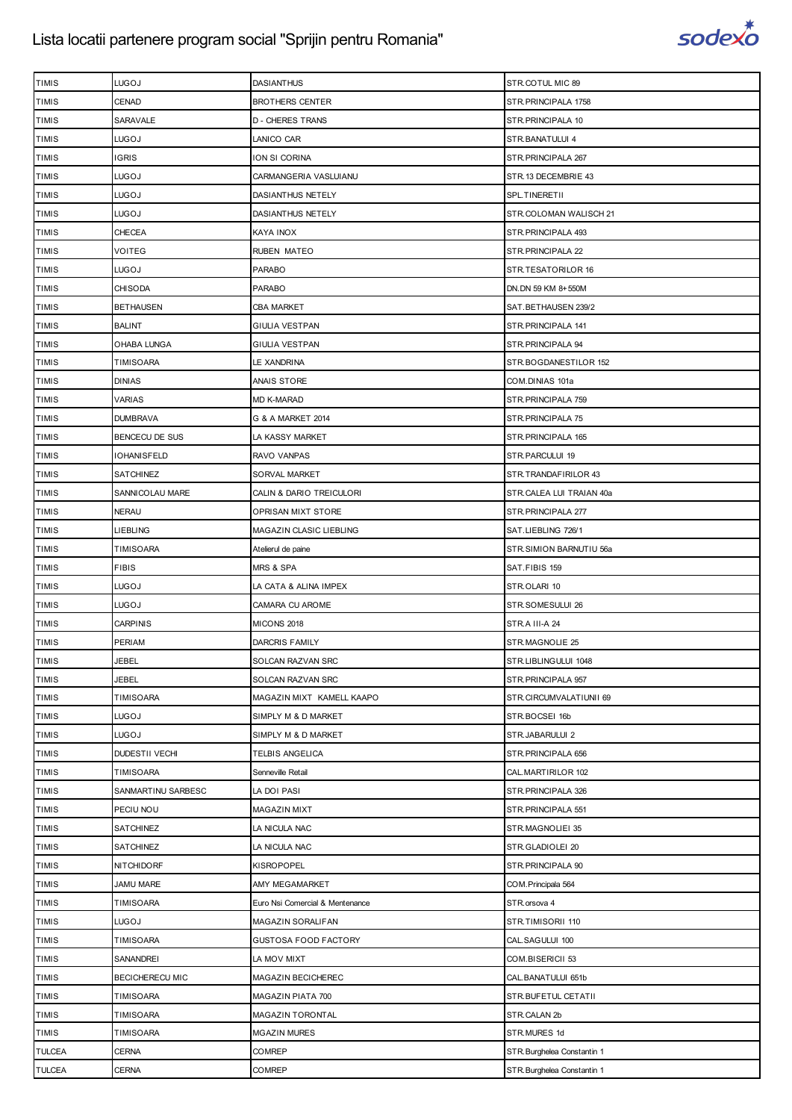

| <b>TIMIS</b> | LUGOJ                  | <b>DASIANTHUS</b>               | STR.COTUL MIC 89            |
|--------------|------------------------|---------------------------------|-----------------------------|
| <b>TIMIS</b> | CENAD                  | <b>BROTHERS CENTER</b>          | STR. PRINCIPALA 1758        |
| <b>TIMIS</b> | <b>SARAVALE</b>        | <b>D - CHERES TRANS</b>         | STR. PRINCIPALA 10          |
| <b>TIMIS</b> | LUGOJ                  | LANICO CAR                      | STR.BANATULUI 4             |
| TIMIS        | <b>IGRIS</b>           | ION SI CORINA                   | STR. PRINCIPALA 267         |
| <b>TIMIS</b> | LUGOJ                  | CARMANGERIA VASLUIANU           | STR.13 DECEMBRIE 43         |
| TIMIS        | LUGOJ                  | DASIANTHUS NETELY               | SPL.TINERETII               |
| TIMIS        | LUGOJ                  | DASIANTHUS NETELY               | STR.COLOMAN WALISCH 21      |
| <b>TIMIS</b> | CHECEA                 | KAYA INOX                       | STR.PRINCIPALA 493          |
| <b>TIMIS</b> | VOITEG                 | RUBEN MATEO                     | STR. PRINCIPALA 22          |
| TIMIS        | LUGOJ                  | <b>PARABO</b>                   | STR.TESATORILOR 16          |
| <b>TIMIS</b> | <b>CHISODA</b>         | PARABO                          | DN. DN 59 KM 8+550M         |
| <b>TIMIS</b> | <b>BETHAUSEN</b>       | <b>CBA MARKET</b>               | SAT.BETHAUSEN 239/2         |
| TIMIS        | <b>BALINT</b>          | GIULIA VESTPAN                  | STR. PRINCIPALA 141         |
| <b>TIMIS</b> | OHABA LUNGA            | <b>GIULIA VESTPAN</b>           | STR. PRINCIPALA 94          |
| <b>TIMIS</b> | TIMISOARA              | LE XANDRINA                     | STR.BOGDANESTILOR 152       |
| <b>TIMIS</b> | <b>DINIAS</b>          | <b>ANAIS STORE</b>              | COM.DINIAS 101a             |
| <b>TIMIS</b> | VARIAS                 | <b>MD K-MARAD</b>               | STR.PRINCIPALA 759          |
| <b>TIMIS</b> | <b>DUMBRAVA</b>        | G & A MARKET 2014               | STR.PRINCIPALA 75           |
| TIMIS        | <b>BENCECU DE SUS</b>  | LA KASSY MARKET                 | STR. PRINCIPALA 165         |
| <b>TIMIS</b> | IOHANISFELD            | RAVO VANPAS                     | STR.PARCULUI 19             |
| <b>TIMIS</b> | <b>SATCHINEZ</b>       | SORVAL MARKET                   | STR.TRANDAFIRILOR 43        |
| TIMIS        | SANNICOLAU MARE        | CALIN & DARIO TREICULORI        | STR.CALEA LUI TRAIAN 40a    |
| <b>TIMIS</b> | NERAU                  | OPRISAN MIXT STORE              | STR. PRINCIPALA 277         |
| <b>TIMIS</b> | LIEBLING               | MAGAZIN CLASIC LIEBLING         | SAT.LIEBLING 726/1          |
| <b>TIMIS</b> | TIMISOARA              | Atelierul de paine              | STR.SIMION BARNUTIU 56a     |
| <b>TIMIS</b> | <b>FIBIS</b>           | <b>MRS &amp; SPA</b>            | SAT.FIBIS 159               |
| <b>TIMIS</b> | LUGOJ                  | LA CATA & ALINA IMPEX           | STR.OLARI 10                |
| TIMIS        | LUGOJ                  | CAMARA CU AROME                 | STR.SOMESULUI 26            |
| <b>TIMIS</b> | <b>CARPINIS</b>        | <b>MICONS 2018</b>              | STR.A III-A 24              |
| TIMIS        | PERIAM                 | DARCRIS FAMILY                  | STR.MAGNOLIE 25             |
| <b>TIMIS</b> | <b>JEBEL</b>           | SOLCAN RAZVAN SRC               | STR.LIBLINGULUI 1048        |
| <b>TIMIS</b> | JEBEL                  | SOLCAN RAZVAN SRC               | STR.PRINCIPALA 957          |
| <b>TIMIS</b> | TIMISOARA              | MAGAZIN MIXT KAMELL KAAPO       | STR.CIRCUMVALATIUNII 69     |
| <b>TIMIS</b> | LUGOJ                  | SIMPLY M & D MARKET             | STR.BOCSEI 16b              |
| <b>TIMIS</b> | LUGOJ                  | SIMPLY M & D MARKET             | STR.JABARULUI 2             |
| <b>TIMIS</b> | <b>DUDESTII VECHI</b>  | TELBIS ANGELICA                 | STR. PRINCIPALA 656         |
| <b>TIMIS</b> | <b>TIMISOARA</b>       | Senneville Retail               | CAL.MARTIRILOR 102          |
| <b>TIMIS</b> | SANMARTINU SARBESC     | LA DOI PASI                     | STR.PRINCIPALA 326          |
| <b>TIMIS</b> | PECIU NOU              | MAGAZIN MIXT                    | STR. PRINCIPALA 551         |
| <b>TIMIS</b> | SATCHINEZ              | LA NICULA NAC                   | STR.MAGNOLIEI 35            |
| <b>TIMIS</b> | SATCHINEZ              | LA NICULA NAC                   | STR.GLADIOLEI 20            |
| <b>TIMIS</b> | <b>NITCHIDORF</b>      | KISROPOPEL                      | STR. PRINCIPALA 90          |
| <b>TIMIS</b> | <b>JAMU MARE</b>       | AMY MEGAMARKET                  | COM. Principala 564         |
| <b>TIMIS</b> | TIMISOARA              | Euro Nsi Comercial & Mentenance | STR.orsova 4                |
| <b>TIMIS</b> | LUGOJ                  | MAGAZIN SORALIFAN               | STR.TIMISORII 110           |
| TIMIS        | TIMISOARA              | GUSTOSA FOOD FACTORY            | CAL.SAGULUI 100             |
| <b>TIMIS</b> | SANANDREI              | LA MOV MIXT                     | COM.BISERICII 53            |
| <b>TIMIS</b> | <b>BECICHERECU MIC</b> | MAGAZIN BECICHEREC              | CAL.BANATULUI 651b          |
| <b>TIMIS</b> | TIMISOARA              | MAGAZIN PIATA 700               | STR.BUFETUL CETATII         |
| <b>TIMIS</b> | TIMISOARA              | MAGAZIN TORONTAL                | STR.CALAN 2b                |
| <b>TIMIS</b> | <b>TIMISOARA</b>       | <b>MGAZIN MURES</b>             | STR.MURES 1d                |
| TULCEA       | CERNA                  | COMREP                          | STR. Burghelea Constantin 1 |
| TULCEA       | CERNA                  | COMREP                          | STR. Burghelea Constantin 1 |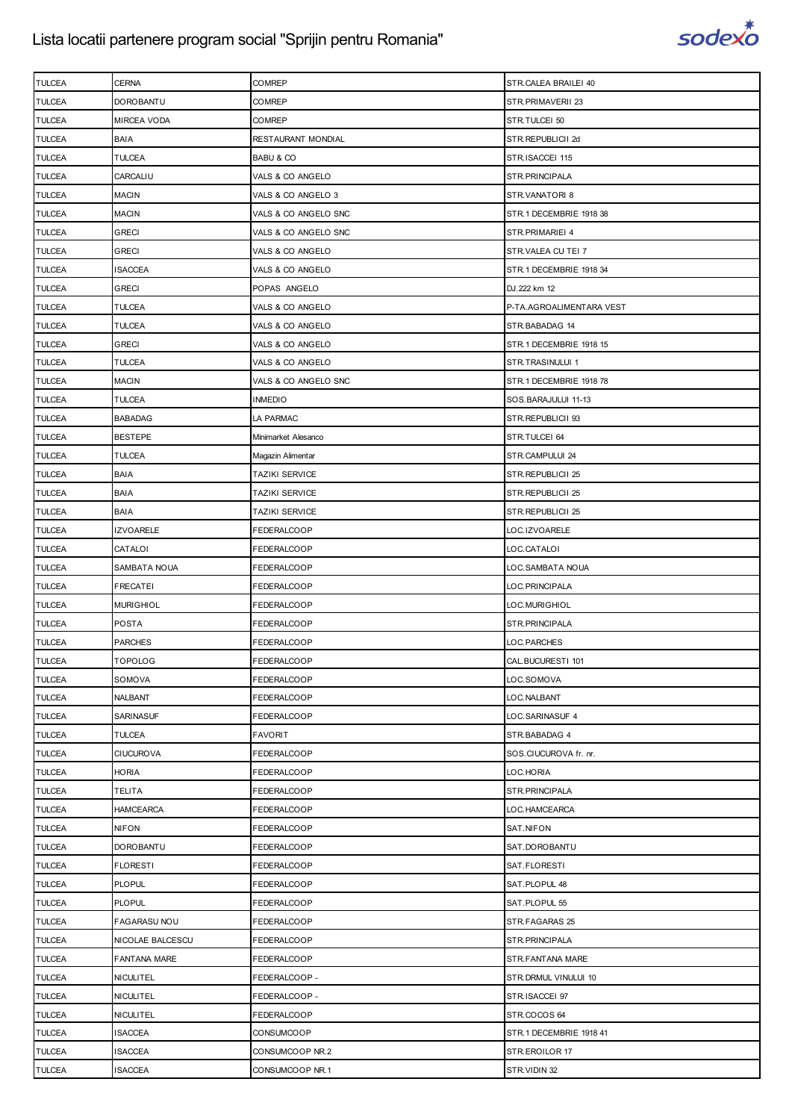

| <b>TULCEA</b> | <b>CERNA</b>        | <b>COMREP</b>         | STR.CALEA BRAILEI 40     |
|---------------|---------------------|-----------------------|--------------------------|
| <b>TULCEA</b> | <b>DOROBANTU</b>    | COMREP                | STR.PRIMAVERII 23        |
| <b>TULCEA</b> | <b>MIRCEA VODA</b>  | COMREP                | STR.TULCEI 50            |
| <b>TULCEA</b> | <b>BAIA</b>         | RESTAURANT MONDIAL    | STR.REPUBLICII 2d        |
| <b>TULCEA</b> | <b>TULCEA</b>       | <b>BABU &amp; CO</b>  | STR.ISACCEI 115          |
| <b>TULCEA</b> | CARCALIU            | VALS & CO ANGELO      | STR.PRINCIPALA           |
| TULCEA        | <b>MACIN</b>        | VALS & CO ANGELO 3    | STR.VANATORI 8           |
| <b>TULCEA</b> | <b>MACIN</b>        | VALS & CO ANGELO SNC  | STR.1 DECEMBRIE 1918 38  |
| <b>TULCEA</b> | <b>GRECI</b>        | VALS & CO ANGELO SNC  | STR. PRIMARIEI 4         |
| <b>TULCEA</b> | <b>GRECI</b>        | VALS & CO ANGELO      | STR.VALEA CU TEI 7       |
| <b>TULCEA</b> | <b>ISACCEA</b>      | VALS & CO ANGELO      | STR.1 DECEMBRIE 1918 34  |
| <b>TULCEA</b> | <b>GRECI</b>        | POPAS ANGELO          | DJ.222 km 12             |
| TULCEA        | TULCEA              | VALS & CO ANGELO      | P-TA.AGROALIMENTARA VEST |
| <b>TULCEA</b> | <b>TULCEA</b>       | VALS & CO ANGELO      | STR.BABADAG 14           |
| <b>TULCEA</b> | <b>GRECI</b>        | VALS & CO ANGELO      | STR.1 DECEMBRIE 1918 15  |
| <b>TULCEA</b> | TULCEA              | VALS & CO ANGELO      | STR.TRASINULUI 1         |
| <b>TULCEA</b> | <b>MACIN</b>        | VALS & CO ANGELO SNC  | STR.1 DECEMBRIE 1918 78  |
| <b>TULCEA</b> | TULCEA              | <b>INMEDIO</b>        | SOS.BARAJULUI 11-13      |
| TULCEA        | <b>BABADAG</b>      | LA PARMAC             | STR.REPUBLICII 93        |
| <b>TULCEA</b> | <b>BESTEPE</b>      | Minimarket Alesanco   | STR.TULCEI 64            |
| <b>TULCEA</b> | TULCEA              | Magazin Alimentar     | STR.CAMPULUI 24          |
| TULCEA        | <b>BAIA</b>         | <b>TAZIKI SERVICE</b> | STR.REPUBLICII 25        |
| <b>TULCEA</b> | <b>BAIA</b>         | <b>TAZIKI SERVICE</b> | STR.REPUBLICII 25        |
| <b>TULCEA</b> | <b>BAIA</b>         | <b>TAZIKI SERVICE</b> | STR.REPUBLICII 25        |
| TULCEA        | <b>IZVOARELE</b>    | FEDERALCOOP           | LOC.IZVOARELE            |
| <b>TULCEA</b> | CATALOI             | FEDERALCOOP           | LOC.CATALOI              |
| <b>TULCEA</b> | SAMBATA NOUA        | FEDERALCOOP           | LOC.SAMBATA NOUA         |
| TULCEA        | <b>FRECATEI</b>     | FEDERALCOOP           | LOC.PRINCIPALA           |
| <b>TULCEA</b> | <b>MURIGHIOL</b>    | FEDERALCOOP           | LOC.MURIGHIOL            |
| <b>TULCEA</b> | <b>POSTA</b>        | FEDERALCOOP           | STR.PRINCIPALA           |
| <b>TULCEA</b> | <b>PARCHES</b>      | FEDERALCOOP           | LOC.PARCHES              |
| <b>TULCEA</b> | <b>TOPOLOG</b>      | FEDERALCOOP           | CAL.BUCURESTI 101        |
| <b>TULCEA</b> | SOMOVA              | FEDERALCOOP           | LOC.SOMOVA               |
| TULCEA        | NALBANT             | FEDERALCOOP           | LOC.NALBANT              |
| <b>TULCEA</b> | <b>SARINASUF</b>    | FEDERALCOOP           | LOC.SARINASUF 4          |
| <b>TULCEA</b> | <b>TULCEA</b>       | <b>FAVORIT</b>        | STR.BABADAG 4            |
| <b>TULCEA</b> | <b>CIUCUROVA</b>    | FEDERALCOOP           | SOS.CIUCUROVA fr. nr.    |
| <b>TULCEA</b> | <b>HORIA</b>        | FEDERALCOOP           | LOC.HORIA                |
| <b>TULCEA</b> | TELITA              | FEDERALCOOP           | STR.PRINCIPALA           |
| <b>TULCEA</b> | <b>HAMCEARCA</b>    | <b>FEDERALCOOP</b>    | LOC.HAMCEARCA            |
| <b>TULCEA</b> | <b>NIFON</b>        | <b>FEDERALCOOP</b>    | SAT.NIFON                |
| <b>TULCEA</b> | <b>DOROBANTU</b>    | FEDERALCOOP           | SAT.DOROBANTU            |
| TULCEA        | <b>FLORESTI</b>     | FEDERALCOOP           | SAT.FLORESTI             |
| <b>TULCEA</b> | <b>PLOPUL</b>       | FEDERALCOOP           | SAT.PLOPUL 48            |
| <b>TULCEA</b> | <b>PLOPUL</b>       | FEDERALCOOP           | SAT.PLOPUL 55            |
| TULCEA        | <b>FAGARASU NOU</b> | FEDERALCOOP           | STR.FAGARAS 25           |
| <b>TULCEA</b> | NICOLAE BALCESCU    | FEDERALCOOP           | STR.PRINCIPALA           |
| <b>TULCEA</b> | <b>FANTANA MARE</b> | FEDERALCOOP           | STR.FANTANA MARE         |
| TULCEA        | <b>NICULITEL</b>    | FEDERALCOOP -         | STR.DRMUL VINULUI 10     |
| <b>TULCEA</b> | <b>NICULITEL</b>    | FEDERALCOOP -         | STR.ISACCEI 97           |
| <b>TULCEA</b> | <b>NICULITEL</b>    | FEDERALCOOP           | STR.COCOS 64             |
| TULCEA        | <b>ISACCEA</b>      | CONSUMCOOP            | STR.1 DECEMBRIE 1918 41  |
| <b>TULCEA</b> | <b>ISACCEA</b>      | CONSUMCOOP NR.2       | STR.EROILOR 17           |
| TULCEA        | <b>ISACCEA</b>      | CONSUMCOOP NR.1       | STR.VIDIN 32             |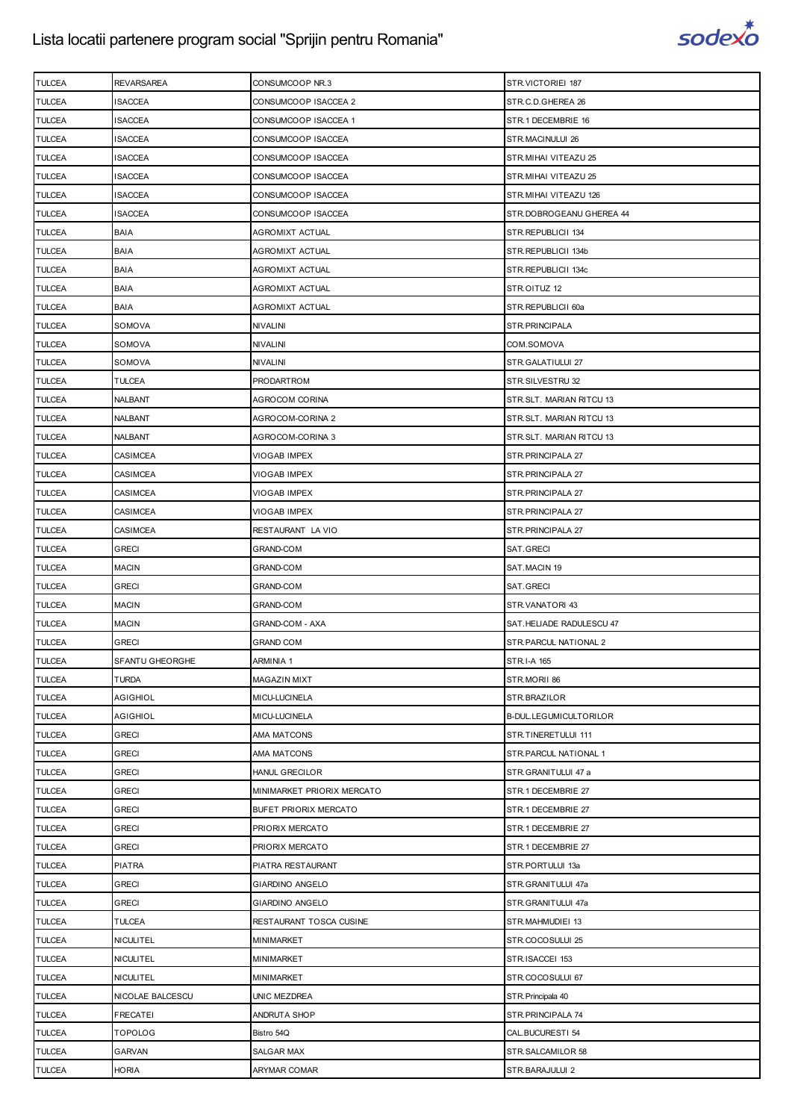

| <b>TULCEA</b> | <b>REVARSAREA</b> | CONSUMCOOP NR.3              | STR.VICTORIEI 187        |
|---------------|-------------------|------------------------------|--------------------------|
| <b>TULCEA</b> | ISACCEA           | CONSUMCOOP ISACCEA 2         | STR.C.D.GHEREA 26        |
| <b>TULCEA</b> | <b>ISACCEA</b>    | CONSUMCOOP ISACCEA 1         | STR.1 DECEMBRIE 16       |
| <b>TULCEA</b> | <b>ISACCEA</b>    | CONSUMCOOP ISACCEA           | STR.MACINULUI 26         |
| <b>TULCEA</b> | ISACCEA           | CONSUMCOOP ISACCEA           | STR. MIHAI VITEAZU 25    |
| <b>TULCEA</b> | ISACCEA           | CONSUMCOOP ISACCEA           | STR. MIHAI VITEAZU 25    |
| <b>TULCEA</b> | ISACCEA           | CONSUMCOOP ISACCEA           | STR.MIHAI VITEAZU 126    |
| <b>TULCEA</b> | ISACCEA           | CONSUMCOOP ISACCEA           | STR.DOBROGEANU GHEREA 44 |
| <b>TULCEA</b> | <b>BAIA</b>       | AGROMIXT ACTUAL              | STR.REPUBLICII 134       |
| <b>TULCEA</b> | <b>BAIA</b>       | AGROMIXT ACTUAL              | STR.REPUBLICII 134b      |
| <b>TULCEA</b> | <b>BAIA</b>       | AGROMIXT ACTUAL              | STR.REPUBLICII 134c      |
| <b>TULCEA</b> | <b>BAIA</b>       | AGROMIXT ACTUAL              | STR.OITUZ 12             |
| <b>TULCEA</b> | <b>BAIA</b>       | AGROMIXT ACTUAL              | STR.REPUBLICII 60a       |
| <b>TULCEA</b> | SOMOVA            | NIVALINI                     | STR.PRINCIPALA           |
| <b>TULCEA</b> | SOMOVA            | <b>NIVALINI</b>              | COM.SOMOVA               |
| <b>TULCEA</b> | SOMOVA            | NIVALINI                     | STR.GALATIULUI 27        |
| <b>TULCEA</b> | <b>TULCEA</b>     | <b>PRODARTROM</b>            | STR.SILVESTRU 32         |
| <b>TULCEA</b> | NALBANT           | AGROCOM CORINA               | STR.SLT. MARIAN RITCU 13 |
| <b>TULCEA</b> | NALBANT           | AGROCOM-CORINA 2             | STR.SLT. MARIAN RITCU 13 |
| <b>TULCEA</b> | NALBANT           | AGROCOM-CORINA 3             | STR.SLT. MARIAN RITCU 13 |
| <b>TULCEA</b> | CASIMCEA          | VIOGAB IMPEX                 | STR.PRINCIPALA 27        |
| <b>TULCEA</b> | <b>CASIMCEA</b>   | VIOGAB IMPEX                 | STR.PRINCIPALA 27        |
| <b>TULCEA</b> | CASIMCEA          | VIOGAB IMPEX                 | STR.PRINCIPALA 27        |
| <b>TULCEA</b> | CASIMCEA          | VIOGAB IMPEX                 | STR. PRINCIPALA 27       |
| <b>TULCEA</b> | CASIMCEA          | RESTAURANT LA VIO            | STR.PRINCIPALA 27        |
| <b>TULCEA</b> | <b>GRECI</b>      | <b>GRAND-COM</b>             | SAT.GRECI                |
| <b>TULCEA</b> | <b>MACIN</b>      | GRAND-COM                    | SAT.MACIN 19             |
| <b>TULCEA</b> | <b>GRECI</b>      | GRAND-COM                    | SAT.GRECI                |
| <b>TULCEA</b> | <b>MACIN</b>      | <b>GRAND-COM</b>             | STR.VANATORI 43          |
| <b>TULCEA</b> | <b>MACIN</b>      | <b>GRAND-COM - AXA</b>       | SAT.HELIADE RADULESCU 47 |
| <b>TULCEA</b> | <b>GRECI</b>      | <b>GRAND COM</b>             | STR. PARCUL NATIONAL 2   |
| <b>TULCEA</b> | SFANTU GHEORGHE   | <b>ARMINIA 1</b>             | <b>STR.I-A 165</b>       |
| <b>TULCEA</b> | <b>TURDA</b>      | <b>MAGAZIN MIXT</b>          | STR.MORII 86             |
| <b>TULCEA</b> | AGIGHIOL          | MICU-LUCINELA                | STR.BRAZILOR             |
| <b>TULCEA</b> | <b>AGIGHIOL</b>   | MICU-LUCINELA                | B-DUL.LEGUMICULTORILOR   |
| <b>TULCEA</b> | <b>GRECI</b>      | AMA MATCONS                  | STR.TINERETULUI 111      |
| <b>TULCEA</b> | <b>GRECI</b>      | <b>AMA MATCONS</b>           | STR. PARCUL NATIONAL 1   |
| <b>TULCEA</b> | <b>GRECI</b>      | <b>HANUL GRECILOR</b>        | STR.GRANITULUI 47 a      |
| <b>TULCEA</b> | GRECI             | MINIMARKET PRIORIX MERCATO   | STR.1 DECEMBRIE 27       |
| <b>TULCEA</b> | <b>GRECI</b>      | <b>BUFET PRIORIX MERCATO</b> | STR.1 DECEMBRIE 27       |
| <b>TULCEA</b> | <b>GRECI</b>      | PRIORIX MERCATO              | STR.1 DECEMBRIE 27       |
| <b>TULCEA</b> | <b>GRECI</b>      | PRIORIX MERCATO              | STR.1 DECEMBRIE 27       |
| <b>TULCEA</b> | <b>PIATRA</b>     | PIATRA RESTAURANT            | STR.PORTULUI 13a         |
| <b>TULCEA</b> | <b>GRECI</b>      | <b>GIARDINO ANGELO</b>       | STR.GRANITULUI 47a       |
| <b>TULCEA</b> | GRECI             | <b>GIARDINO ANGELO</b>       | STR.GRANITULUI 47a       |
| <b>TULCEA</b> | <b>TULCEA</b>     | RESTAURANT TOSCA CUSINE      | STR.MAHMUDIEI 13         |
| <b>TULCEA</b> | <b>NICULITEL</b>  | MINIMARKET                   | STR.COCOSULUI 25         |
| <b>TULCEA</b> | <b>NICULITEL</b>  | MINIMARKET                   | STR.ISACCEI 153          |
| <b>TULCEA</b> | <b>NICULITEL</b>  | <b>MINIMARKET</b>            | STR.COCOSULUI 67         |
| <b>TULCEA</b> | NICOLAE BALCESCU  | UNIC MEZDREA                 | STR. Principala 40       |
| <b>TULCEA</b> | <b>FRECATEI</b>   | ANDRUTA SHOP                 | STR. PRINCIPALA 74       |
| <b>TULCEA</b> | <b>TOPOLOG</b>    | Bistro 54Q                   | CAL.BUCURESTI 54         |
| <b>TULCEA</b> | GARVAN            | SALGAR MAX                   | STR.SALCAMILOR 58        |
| <b>TULCEA</b> | <b>HORIA</b>      | ARYMAR COMAR                 | STR.BARAJULUI 2          |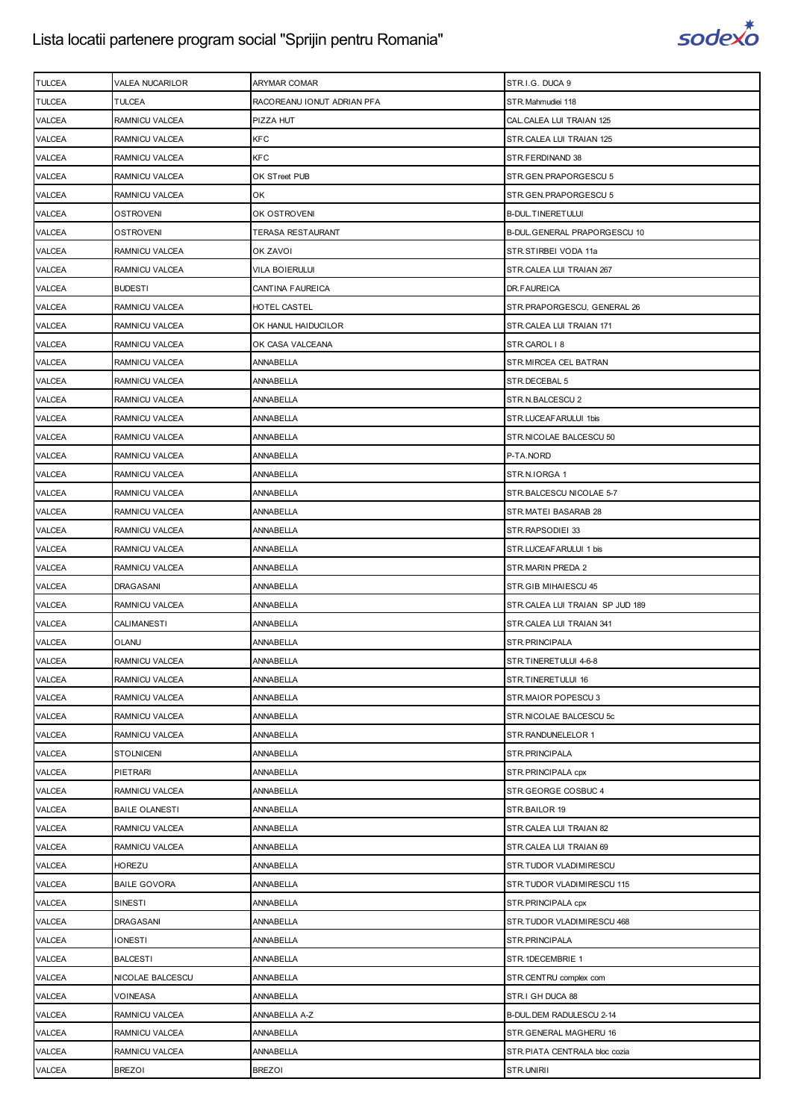

| <b>TULCEA</b> | VALEA NUCARILOR       | ARYMAR COMAR               | STR.I.G. DUCA 9                 |
|---------------|-----------------------|----------------------------|---------------------------------|
| <b>TULCEA</b> | <b>TULCEA</b>         | RACOREANU IONUT ADRIAN PFA | STR.Mahmudiei 118               |
| <b>VALCEA</b> | RAMNICU VALCEA        | PIZZA HUT                  | CAL.CALEA LUI TRAIAN 125        |
| <b>VALCEA</b> | RAMNICU VALCEA        | KFC                        | STR.CALEA LUI TRAIAN 125        |
| <b>VALCEA</b> | RAMNICU VALCEA        | <b>KFC</b>                 | STR.FERDINAND 38                |
| <b>VALCEA</b> | RAMNICU VALCEA        | OK STreet PUB              | STR.GEN.PRAPORGESCU 5           |
| VALCEA        | RAMNICU VALCEA        | ОK                         | STR.GEN.PRAPORGESCU 5           |
| VALCEA        | <b>OSTROVENI</b>      | ok ostroveni               | <b>B-DUL.TINERETULUI</b>        |
| VALCEA        | OSTROVENI             | TERASA RESTAURANT          | B-DUL.GENERAL PRAPORGESCU 10    |
| VALCEA        | RAMNICU VALCEA        | OK ZAVOI                   | STR.STIRBEI VODA 11a            |
| <b>VALCEA</b> | RAMNICU VALCEA        | VILA BOIERULUI             | STR.CALEA LUI TRAIAN 267        |
| <b>VALCEA</b> | <b>BUDESTI</b>        | CANTINA FAUREICA           | DR.FAUREICA                     |
| VALCEA        | RAMNICU VALCEA        | HOTEL CASTEL               | STR.PRAPORGESCU, GENERAL 26     |
| VALCEA        | RAMNICU VALCEA        | OK HANUL HAIDUCILOR        | STR.CALEA LUI TRAIAN 171        |
| <b>VALCEA</b> | RAMNICU VALCEA        | OK CASA VALCEANA           | STR.CAROL   8                   |
| VALCEA        | RAMNICU VALCEA        | ANNABELLA                  | STR. MIRCEA CEL BATRAN          |
| <b>VALCEA</b> | RAMNICU VALCEA        | ANNABELLA                  | STR.DECEBAL 5                   |
| <b>VALCEA</b> | RAMNICU VALCEA        | ANNABELLA                  | STR.N.BALCESCU 2                |
| <b>VALCEA</b> | RAMNICU VALCEA        | ANNABELLA                  | STR.LUCEAFARULUI 1bis           |
| VALCEA        | RAMNICU VALCEA        | ANNABELLA                  | STR.NICOLAE BALCESCU 50         |
| <b>VALCEA</b> | RAMNICU VALCEA        | ANNABELLA                  | P-TA.NORD                       |
| VALCEA        | RAMNICU VALCEA        | ANNABELLA                  | STR.N.IORGA 1                   |
| <b>VALCEA</b> | RAMNICU VALCEA        | ANNABELLA                  | STR.BALCESCU NICOLAE 5-7        |
| <b>VALCEA</b> | RAMNICU VALCEA        | ANNABELLA                  | STR.MATEI BASARAB 28            |
| <b>VALCEA</b> | RAMNICU VALCEA        | ANNABELLA                  | STR.RAPSODIEI 33                |
| VALCEA        | RAMNICU VALCEA        | ANNABELLA                  | STR.LUCEAFARULUI 1 bis          |
| <b>VALCEA</b> | RAMNICU VALCEA        | ANNABELLA                  | STR.MARIN PREDA 2               |
| VALCEA        | <b>DRAGASANI</b>      | ANNABELLA                  | STR.GIB MIHAIESCU 45            |
| VALCEA        | RAMNICU VALCEA        | <b>ANNABELLA</b>           | STR.CALEA LUI TRAIAN SP JUD 189 |
| <b>VALCEA</b> | <b>CALIMANESTI</b>    | ANNABELLA                  | STR.CALEA LUI TRAIAN 341        |
| <b>VALCEA</b> | <b>OLANU</b>          | <b>ANNABELLA</b>           | STR.PRINCIPALA                  |
| <b>VALCEA</b> | RAMNICU VALCEA        | ANNABELLA                  | STR.TINERETULUI 4-6-8           |
| <b>VALCEA</b> | RAMNICU VALCEA        | <b>ANNABELLA</b>           | STR.TINERETULUI 16              |
| VALCEA        | RAMNICU VALCEA        | ANNABELLA                  | STR.MAIOR POPESCU 3             |
| VALCEA        | RAMNICU VALCEA        | ANNABELLA                  | STR.NICOLAE BALCESCU 5c         |
| VALCEA        | RAMNICU VALCEA        | ANNABELLA                  | STR. RANDUNELELOR 1             |
| VALCEA        | <b>STOLNICENI</b>     | ANNABELLA                  | STR.PRINCIPALA                  |
| <b>VALCEA</b> | <b>PIETRARI</b>       | ANNABELLA                  | STR. PRINCIPALA cpx             |
| <b>VALCEA</b> | RAMNICU VALCEA        | ANNABELLA                  | STR.GEORGE COSBUC 4             |
| VALCEA        | <b>BAILE OLANESTI</b> | ANNABELLA                  | STR.BAILOR 19                   |
| VALCEA        | RAMNICU VALCEA        | <b>ANNABELLA</b>           | STR.CALEA LUI TRAIAN 82         |
| <b>VALCEA</b> | RAMNICU VALCEA        | ANNABELLA                  | STR.CALEA LUI TRAIAN 69         |
| VALCEA        | <b>HOREZU</b>         | ANNABELLA                  | STR.TUDOR VLADIMIRESCU          |
| <b>VALCEA</b> | <b>BAILE GOVORA</b>   | ANNABELLA                  | STR.TUDOR VLADIMIRESCU 115      |
| <b>VALCEA</b> | SINESTI               | ANNABELLA                  | STR. PRINCIPALA cpx             |
| VALCEA        | <b>DRAGASANI</b>      | ANNABELLA                  | STR.TUDOR VLADIMIRESCU 468      |
| VALCEA        | <b>IONESTI</b>        | ANNABELLA                  | STR.PRINCIPALA                  |
| <b>VALCEA</b> | <b>BALCESTI</b>       | ANNABELLA                  | STR.1DECEMBRIE 1                |
| VALCEA        | NICOLAE BALCESCU      | ANNABELLA                  | STR.CENTRU complex com          |
| VALCEA        | <b>VOINEASA</b>       | ANNABELLA                  | STR.I GH DUCA 88                |
| <b>VALCEA</b> | RAMNICU VALCEA        | ANNABELLA A-Z              | B-DUL. DEM RADULESCU 2-14       |
| VALCEA        | RAMNICU VALCEA        | ANNABELLA                  | STR.GENERAL MAGHERU 16          |
| VALCEA        | RAMNICU VALCEA        | ANNABELLA                  | STR.PIATA CENTRALA bloc cozia   |
| VALCEA        | <b>BREZOI</b>         | <b>BREZOI</b>              | STR.UNIRII                      |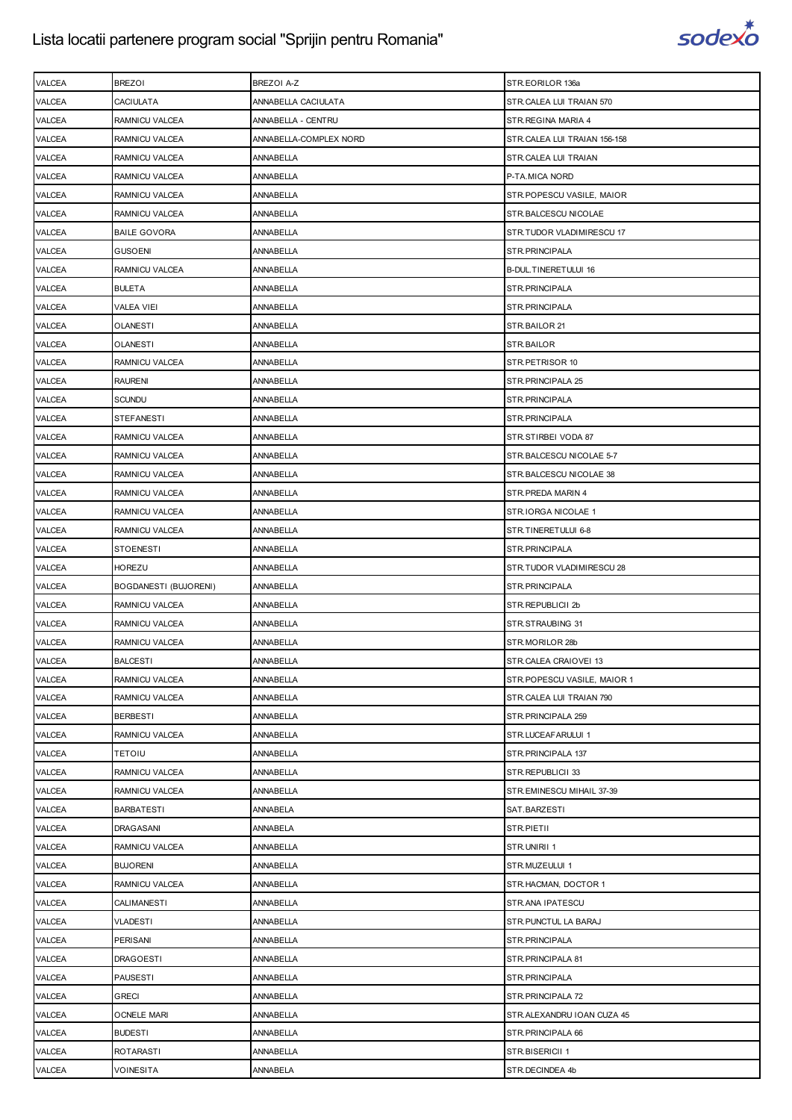

| CACIULATA<br>ANNABELLA CACIULATA<br>STR.CALEA LUI TRAIAN 570<br>RAMNICU VALCEA<br>ANNABELLA - CENTRU<br>STR. REGINA MARIA 4<br>RAMNICU VALCEA<br>ANNABELLA-COMPLEX NORD<br>STR.CALEA LUI TRAIAN 156-158<br>RAMNICU VALCEA<br>ANNABELLA<br>STR.CALEA LUI TRAIAN<br>RAMNICU VALCEA<br>ANNABELLA<br>P-TA.MICA NORD<br>RAMNICU VALCEA<br>ANNABELLA<br>STR.POPESCU VASILE, MAIOR<br>RAMNICU VALCEA<br>ANNABELLA<br>STR.BALCESCU NICOLAE<br><b>BAILE GOVORA</b><br>ANNABELLA<br>STR.TUDOR VLADIMIRESCU 17<br><b>GUSOENI</b><br>ANNABELLA<br>STR. PRINCIPALA<br>RAMNICU VALCEA<br>ANNABELLA<br>B-DUL.TINERETULUI 16<br><b>BULETA</b><br>ANNABELLA<br>STR.PRINCIPALA<br>VALEA VIEI<br>ANNABELLA<br>STR.PRINCIPALA<br>ANNABELLA<br>STR.BAILOR 21<br>OLANESTI<br><b>OLANESTI</b><br>ANNABELLA<br>STR.BAILOR<br>RAMNICU VALCEA<br>ANNABELLA<br>STR.PETRISOR 10<br><b>RAURENI</b><br>ANNABELLA<br>STR. PRINCIPALA 25<br>SCUNDU<br>ANNABELLA<br>STR. PRINCIPALA<br>ANNABELLA<br><b>STEFANESTI</b><br>STR.PRINCIPALA<br>RAMNICU VALCEA<br>ANNABELLA<br>STR.STIRBEI VODA 87<br>RAMNICU VALCEA<br>ANNABELLA<br>STR.BALCESCU NICOLAE 5-7<br>RAMNICU VALCEA<br>ANNABELLA<br>STR. BALCESCU NICOLAE 38<br>RAMNICU VALCEA<br>ANNABELLA<br>STR. PREDA MARIN 4<br>RAMNICU VALCEA<br>ANNABELLA<br>STR.IORGA NICOLAE 1<br>RAMNICU VALCEA<br>ANNABELLA<br>STR.TINERETULUI 6-8<br><b>STOENESTI</b><br>ANNABELLA<br>STR.PRINCIPALA<br><b>HOREZU</b><br>ANNABELLA<br>STR.TUDOR VLADIMIRESCU 28<br>BOGDANESTI (BUJORENI)<br>ANNABELLA<br>STR.PRINCIPALA<br>RAMNICU VALCEA<br>ANNABELLA<br>STR.REPUBLICII 2b<br>RAMNICU VALCEA<br>ANNABELLA<br>STR.STRAUBING 31<br>RAMNICU VALCEA<br>ANNABELLA<br>STR.MORILOR 28b<br><b>BALCESTI</b><br><b>ANNABELLA</b><br>STR.CALEA CRAIOVEI 13<br>RAMNICU VALCEA<br>ANNABELLA<br>STR.POPESCU VASILE, MAIOR 1<br>RAMNICU VALCEA<br>ANNABELLA<br>STR.CALEA LUI TRAIAN 790<br><b>BERBESTI</b><br>ANNABELLA<br>STR. PRINCIPALA 259<br>RAMNICU VALCEA<br>ANNABELLA<br>STR.LUCEAFARULUI 1<br><b>TETOIU</b><br>ANNABELLA<br>STR.PRINCIPALA 137<br>RAMNICU VALCEA<br>STR.REPUBLICII 33<br>ANNABELLA<br>RAMNICU VALCEA<br><b>ANNABELLA</b><br>STR.EMINESCU MIHAIL 37-39<br><b>BARBATESTI</b><br>ANNABELA<br>SAT.BARZESTI<br><b>DRAGASANI</b><br>ANNABELA<br>STR.PIETII<br>RAMNICU VALCEA<br>ANNABELLA<br>STR.UNIRII 1<br><b>BUJORENI</b><br>ANNABELLA<br>STR.MUZEULUI 1<br>RAMNICU VALCEA<br>ANNABELLA<br>STR.HACMAN, DOCTOR 1<br>CALIMANESTI<br>ANNABELLA<br>STR.ANA IPATESCU<br>VLADESTI<br>ANNABELLA<br>STR. PUNCTUL LA BARAJ<br><b>PERISANI</b><br>ANNABELLA<br>STR.PRINCIPALA<br><b>DRAGOESTI</b><br>ANNABELLA<br>STR. PRINCIPALA 81<br>PAUSESTI<br>ANNABELLA<br>STR.PRINCIPALA<br><b>GRECI</b><br>ANNABELLA<br>STR.PRINCIPALA 72<br><b>OCNELE MARI</b><br>ANNABELLA<br>STR.ALEXANDRU IOAN CUZA 45 | <b>VALCEA</b> | <b>BREZOI</b> | BREZOI A-Z | STR.EORILOR 136a |
|----------------------------------------------------------------------------------------------------------------------------------------------------------------------------------------------------------------------------------------------------------------------------------------------------------------------------------------------------------------------------------------------------------------------------------------------------------------------------------------------------------------------------------------------------------------------------------------------------------------------------------------------------------------------------------------------------------------------------------------------------------------------------------------------------------------------------------------------------------------------------------------------------------------------------------------------------------------------------------------------------------------------------------------------------------------------------------------------------------------------------------------------------------------------------------------------------------------------------------------------------------------------------------------------------------------------------------------------------------------------------------------------------------------------------------------------------------------------------------------------------------------------------------------------------------------------------------------------------------------------------------------------------------------------------------------------------------------------------------------------------------------------------------------------------------------------------------------------------------------------------------------------------------------------------------------------------------------------------------------------------------------------------------------------------------------------------------------------------------------------------------------------------------------------------------------------------------------------------------------------------------------------------------------------------------------------------------------------------------------------------------------------------------------------------------------------------------------------------------------------------------------------------------------------------------------------------------------------------------------------------------------------------------------------------------------------------------------------------------------------------------------------------------------------------|---------------|---------------|------------|------------------|
|                                                                                                                                                                                                                                                                                                                                                                                                                                                                                                                                                                                                                                                                                                                                                                                                                                                                                                                                                                                                                                                                                                                                                                                                                                                                                                                                                                                                                                                                                                                                                                                                                                                                                                                                                                                                                                                                                                                                                                                                                                                                                                                                                                                                                                                                                                                                                                                                                                                                                                                                                                                                                                                                                                                                                                                                    | <b>VALCEA</b> |               |            |                  |
|                                                                                                                                                                                                                                                                                                                                                                                                                                                                                                                                                                                                                                                                                                                                                                                                                                                                                                                                                                                                                                                                                                                                                                                                                                                                                                                                                                                                                                                                                                                                                                                                                                                                                                                                                                                                                                                                                                                                                                                                                                                                                                                                                                                                                                                                                                                                                                                                                                                                                                                                                                                                                                                                                                                                                                                                    | VALCEA        |               |            |                  |
|                                                                                                                                                                                                                                                                                                                                                                                                                                                                                                                                                                                                                                                                                                                                                                                                                                                                                                                                                                                                                                                                                                                                                                                                                                                                                                                                                                                                                                                                                                                                                                                                                                                                                                                                                                                                                                                                                                                                                                                                                                                                                                                                                                                                                                                                                                                                                                                                                                                                                                                                                                                                                                                                                                                                                                                                    | VALCEA        |               |            |                  |
|                                                                                                                                                                                                                                                                                                                                                                                                                                                                                                                                                                                                                                                                                                                                                                                                                                                                                                                                                                                                                                                                                                                                                                                                                                                                                                                                                                                                                                                                                                                                                                                                                                                                                                                                                                                                                                                                                                                                                                                                                                                                                                                                                                                                                                                                                                                                                                                                                                                                                                                                                                                                                                                                                                                                                                                                    | <b>VALCEA</b> |               |            |                  |
|                                                                                                                                                                                                                                                                                                                                                                                                                                                                                                                                                                                                                                                                                                                                                                                                                                                                                                                                                                                                                                                                                                                                                                                                                                                                                                                                                                                                                                                                                                                                                                                                                                                                                                                                                                                                                                                                                                                                                                                                                                                                                                                                                                                                                                                                                                                                                                                                                                                                                                                                                                                                                                                                                                                                                                                                    | <b>VALCEA</b> |               |            |                  |
|                                                                                                                                                                                                                                                                                                                                                                                                                                                                                                                                                                                                                                                                                                                                                                                                                                                                                                                                                                                                                                                                                                                                                                                                                                                                                                                                                                                                                                                                                                                                                                                                                                                                                                                                                                                                                                                                                                                                                                                                                                                                                                                                                                                                                                                                                                                                                                                                                                                                                                                                                                                                                                                                                                                                                                                                    | <b>VALCEA</b> |               |            |                  |
|                                                                                                                                                                                                                                                                                                                                                                                                                                                                                                                                                                                                                                                                                                                                                                                                                                                                                                                                                                                                                                                                                                                                                                                                                                                                                                                                                                                                                                                                                                                                                                                                                                                                                                                                                                                                                                                                                                                                                                                                                                                                                                                                                                                                                                                                                                                                                                                                                                                                                                                                                                                                                                                                                                                                                                                                    | <b>VALCEA</b> |               |            |                  |
|                                                                                                                                                                                                                                                                                                                                                                                                                                                                                                                                                                                                                                                                                                                                                                                                                                                                                                                                                                                                                                                                                                                                                                                                                                                                                                                                                                                                                                                                                                                                                                                                                                                                                                                                                                                                                                                                                                                                                                                                                                                                                                                                                                                                                                                                                                                                                                                                                                                                                                                                                                                                                                                                                                                                                                                                    | <b>VALCEA</b> |               |            |                  |
|                                                                                                                                                                                                                                                                                                                                                                                                                                                                                                                                                                                                                                                                                                                                                                                                                                                                                                                                                                                                                                                                                                                                                                                                                                                                                                                                                                                                                                                                                                                                                                                                                                                                                                                                                                                                                                                                                                                                                                                                                                                                                                                                                                                                                                                                                                                                                                                                                                                                                                                                                                                                                                                                                                                                                                                                    | <b>VALCEA</b> |               |            |                  |
|                                                                                                                                                                                                                                                                                                                                                                                                                                                                                                                                                                                                                                                                                                                                                                                                                                                                                                                                                                                                                                                                                                                                                                                                                                                                                                                                                                                                                                                                                                                                                                                                                                                                                                                                                                                                                                                                                                                                                                                                                                                                                                                                                                                                                                                                                                                                                                                                                                                                                                                                                                                                                                                                                                                                                                                                    | VALCEA        |               |            |                  |
|                                                                                                                                                                                                                                                                                                                                                                                                                                                                                                                                                                                                                                                                                                                                                                                                                                                                                                                                                                                                                                                                                                                                                                                                                                                                                                                                                                                                                                                                                                                                                                                                                                                                                                                                                                                                                                                                                                                                                                                                                                                                                                                                                                                                                                                                                                                                                                                                                                                                                                                                                                                                                                                                                                                                                                                                    | <b>VALCEA</b> |               |            |                  |
|                                                                                                                                                                                                                                                                                                                                                                                                                                                                                                                                                                                                                                                                                                                                                                                                                                                                                                                                                                                                                                                                                                                                                                                                                                                                                                                                                                                                                                                                                                                                                                                                                                                                                                                                                                                                                                                                                                                                                                                                                                                                                                                                                                                                                                                                                                                                                                                                                                                                                                                                                                                                                                                                                                                                                                                                    | <b>VALCEA</b> |               |            |                  |
|                                                                                                                                                                                                                                                                                                                                                                                                                                                                                                                                                                                                                                                                                                                                                                                                                                                                                                                                                                                                                                                                                                                                                                                                                                                                                                                                                                                                                                                                                                                                                                                                                                                                                                                                                                                                                                                                                                                                                                                                                                                                                                                                                                                                                                                                                                                                                                                                                                                                                                                                                                                                                                                                                                                                                                                                    | <b>VALCEA</b> |               |            |                  |
|                                                                                                                                                                                                                                                                                                                                                                                                                                                                                                                                                                                                                                                                                                                                                                                                                                                                                                                                                                                                                                                                                                                                                                                                                                                                                                                                                                                                                                                                                                                                                                                                                                                                                                                                                                                                                                                                                                                                                                                                                                                                                                                                                                                                                                                                                                                                                                                                                                                                                                                                                                                                                                                                                                                                                                                                    | <b>VALCEA</b> |               |            |                  |
|                                                                                                                                                                                                                                                                                                                                                                                                                                                                                                                                                                                                                                                                                                                                                                                                                                                                                                                                                                                                                                                                                                                                                                                                                                                                                                                                                                                                                                                                                                                                                                                                                                                                                                                                                                                                                                                                                                                                                                                                                                                                                                                                                                                                                                                                                                                                                                                                                                                                                                                                                                                                                                                                                                                                                                                                    | <b>VALCEA</b> |               |            |                  |
|                                                                                                                                                                                                                                                                                                                                                                                                                                                                                                                                                                                                                                                                                                                                                                                                                                                                                                                                                                                                                                                                                                                                                                                                                                                                                                                                                                                                                                                                                                                                                                                                                                                                                                                                                                                                                                                                                                                                                                                                                                                                                                                                                                                                                                                                                                                                                                                                                                                                                                                                                                                                                                                                                                                                                                                                    | VALCEA        |               |            |                  |
|                                                                                                                                                                                                                                                                                                                                                                                                                                                                                                                                                                                                                                                                                                                                                                                                                                                                                                                                                                                                                                                                                                                                                                                                                                                                                                                                                                                                                                                                                                                                                                                                                                                                                                                                                                                                                                                                                                                                                                                                                                                                                                                                                                                                                                                                                                                                                                                                                                                                                                                                                                                                                                                                                                                                                                                                    | <b>VALCEA</b> |               |            |                  |
|                                                                                                                                                                                                                                                                                                                                                                                                                                                                                                                                                                                                                                                                                                                                                                                                                                                                                                                                                                                                                                                                                                                                                                                                                                                                                                                                                                                                                                                                                                                                                                                                                                                                                                                                                                                                                                                                                                                                                                                                                                                                                                                                                                                                                                                                                                                                                                                                                                                                                                                                                                                                                                                                                                                                                                                                    | <b>VALCEA</b> |               |            |                  |
|                                                                                                                                                                                                                                                                                                                                                                                                                                                                                                                                                                                                                                                                                                                                                                                                                                                                                                                                                                                                                                                                                                                                                                                                                                                                                                                                                                                                                                                                                                                                                                                                                                                                                                                                                                                                                                                                                                                                                                                                                                                                                                                                                                                                                                                                                                                                                                                                                                                                                                                                                                                                                                                                                                                                                                                                    | <b>VALCEA</b> |               |            |                  |
|                                                                                                                                                                                                                                                                                                                                                                                                                                                                                                                                                                                                                                                                                                                                                                                                                                                                                                                                                                                                                                                                                                                                                                                                                                                                                                                                                                                                                                                                                                                                                                                                                                                                                                                                                                                                                                                                                                                                                                                                                                                                                                                                                                                                                                                                                                                                                                                                                                                                                                                                                                                                                                                                                                                                                                                                    | <b>VALCEA</b> |               |            |                  |
|                                                                                                                                                                                                                                                                                                                                                                                                                                                                                                                                                                                                                                                                                                                                                                                                                                                                                                                                                                                                                                                                                                                                                                                                                                                                                                                                                                                                                                                                                                                                                                                                                                                                                                                                                                                                                                                                                                                                                                                                                                                                                                                                                                                                                                                                                                                                                                                                                                                                                                                                                                                                                                                                                                                                                                                                    | <b>VALCEA</b> |               |            |                  |
|                                                                                                                                                                                                                                                                                                                                                                                                                                                                                                                                                                                                                                                                                                                                                                                                                                                                                                                                                                                                                                                                                                                                                                                                                                                                                                                                                                                                                                                                                                                                                                                                                                                                                                                                                                                                                                                                                                                                                                                                                                                                                                                                                                                                                                                                                                                                                                                                                                                                                                                                                                                                                                                                                                                                                                                                    | VALCEA        |               |            |                  |
|                                                                                                                                                                                                                                                                                                                                                                                                                                                                                                                                                                                                                                                                                                                                                                                                                                                                                                                                                                                                                                                                                                                                                                                                                                                                                                                                                                                                                                                                                                                                                                                                                                                                                                                                                                                                                                                                                                                                                                                                                                                                                                                                                                                                                                                                                                                                                                                                                                                                                                                                                                                                                                                                                                                                                                                                    | VALCEA        |               |            |                  |
|                                                                                                                                                                                                                                                                                                                                                                                                                                                                                                                                                                                                                                                                                                                                                                                                                                                                                                                                                                                                                                                                                                                                                                                                                                                                                                                                                                                                                                                                                                                                                                                                                                                                                                                                                                                                                                                                                                                                                                                                                                                                                                                                                                                                                                                                                                                                                                                                                                                                                                                                                                                                                                                                                                                                                                                                    | <b>VALCEA</b> |               |            |                  |
|                                                                                                                                                                                                                                                                                                                                                                                                                                                                                                                                                                                                                                                                                                                                                                                                                                                                                                                                                                                                                                                                                                                                                                                                                                                                                                                                                                                                                                                                                                                                                                                                                                                                                                                                                                                                                                                                                                                                                                                                                                                                                                                                                                                                                                                                                                                                                                                                                                                                                                                                                                                                                                                                                                                                                                                                    | <b>VALCEA</b> |               |            |                  |
|                                                                                                                                                                                                                                                                                                                                                                                                                                                                                                                                                                                                                                                                                                                                                                                                                                                                                                                                                                                                                                                                                                                                                                                                                                                                                                                                                                                                                                                                                                                                                                                                                                                                                                                                                                                                                                                                                                                                                                                                                                                                                                                                                                                                                                                                                                                                                                                                                                                                                                                                                                                                                                                                                                                                                                                                    | <b>VALCEA</b> |               |            |                  |
|                                                                                                                                                                                                                                                                                                                                                                                                                                                                                                                                                                                                                                                                                                                                                                                                                                                                                                                                                                                                                                                                                                                                                                                                                                                                                                                                                                                                                                                                                                                                                                                                                                                                                                                                                                                                                                                                                                                                                                                                                                                                                                                                                                                                                                                                                                                                                                                                                                                                                                                                                                                                                                                                                                                                                                                                    | <b>VALCEA</b> |               |            |                  |
|                                                                                                                                                                                                                                                                                                                                                                                                                                                                                                                                                                                                                                                                                                                                                                                                                                                                                                                                                                                                                                                                                                                                                                                                                                                                                                                                                                                                                                                                                                                                                                                                                                                                                                                                                                                                                                                                                                                                                                                                                                                                                                                                                                                                                                                                                                                                                                                                                                                                                                                                                                                                                                                                                                                                                                                                    | VALCEA        |               |            |                  |
|                                                                                                                                                                                                                                                                                                                                                                                                                                                                                                                                                                                                                                                                                                                                                                                                                                                                                                                                                                                                                                                                                                                                                                                                                                                                                                                                                                                                                                                                                                                                                                                                                                                                                                                                                                                                                                                                                                                                                                                                                                                                                                                                                                                                                                                                                                                                                                                                                                                                                                                                                                                                                                                                                                                                                                                                    | VALCEA        |               |            |                  |
|                                                                                                                                                                                                                                                                                                                                                                                                                                                                                                                                                                                                                                                                                                                                                                                                                                                                                                                                                                                                                                                                                                                                                                                                                                                                                                                                                                                                                                                                                                                                                                                                                                                                                                                                                                                                                                                                                                                                                                                                                                                                                                                                                                                                                                                                                                                                                                                                                                                                                                                                                                                                                                                                                                                                                                                                    | <b>VALCEA</b> |               |            |                  |
|                                                                                                                                                                                                                                                                                                                                                                                                                                                                                                                                                                                                                                                                                                                                                                                                                                                                                                                                                                                                                                                                                                                                                                                                                                                                                                                                                                                                                                                                                                                                                                                                                                                                                                                                                                                                                                                                                                                                                                                                                                                                                                                                                                                                                                                                                                                                                                                                                                                                                                                                                                                                                                                                                                                                                                                                    | <b>VALCEA</b> |               |            |                  |
|                                                                                                                                                                                                                                                                                                                                                                                                                                                                                                                                                                                                                                                                                                                                                                                                                                                                                                                                                                                                                                                                                                                                                                                                                                                                                                                                                                                                                                                                                                                                                                                                                                                                                                                                                                                                                                                                                                                                                                                                                                                                                                                                                                                                                                                                                                                                                                                                                                                                                                                                                                                                                                                                                                                                                                                                    | VALCEA        |               |            |                  |
|                                                                                                                                                                                                                                                                                                                                                                                                                                                                                                                                                                                                                                                                                                                                                                                                                                                                                                                                                                                                                                                                                                                                                                                                                                                                                                                                                                                                                                                                                                                                                                                                                                                                                                                                                                                                                                                                                                                                                                                                                                                                                                                                                                                                                                                                                                                                                                                                                                                                                                                                                                                                                                                                                                                                                                                                    | <b>VALCEA</b> |               |            |                  |
|                                                                                                                                                                                                                                                                                                                                                                                                                                                                                                                                                                                                                                                                                                                                                                                                                                                                                                                                                                                                                                                                                                                                                                                                                                                                                                                                                                                                                                                                                                                                                                                                                                                                                                                                                                                                                                                                                                                                                                                                                                                                                                                                                                                                                                                                                                                                                                                                                                                                                                                                                                                                                                                                                                                                                                                                    | VALCEA        |               |            |                  |
|                                                                                                                                                                                                                                                                                                                                                                                                                                                                                                                                                                                                                                                                                                                                                                                                                                                                                                                                                                                                                                                                                                                                                                                                                                                                                                                                                                                                                                                                                                                                                                                                                                                                                                                                                                                                                                                                                                                                                                                                                                                                                                                                                                                                                                                                                                                                                                                                                                                                                                                                                                                                                                                                                                                                                                                                    | VALCEA        |               |            |                  |
|                                                                                                                                                                                                                                                                                                                                                                                                                                                                                                                                                                                                                                                                                                                                                                                                                                                                                                                                                                                                                                                                                                                                                                                                                                                                                                                                                                                                                                                                                                                                                                                                                                                                                                                                                                                                                                                                                                                                                                                                                                                                                                                                                                                                                                                                                                                                                                                                                                                                                                                                                                                                                                                                                                                                                                                                    | VALCEA        |               |            |                  |
|                                                                                                                                                                                                                                                                                                                                                                                                                                                                                                                                                                                                                                                                                                                                                                                                                                                                                                                                                                                                                                                                                                                                                                                                                                                                                                                                                                                                                                                                                                                                                                                                                                                                                                                                                                                                                                                                                                                                                                                                                                                                                                                                                                                                                                                                                                                                                                                                                                                                                                                                                                                                                                                                                                                                                                                                    | VALCEA        |               |            |                  |
|                                                                                                                                                                                                                                                                                                                                                                                                                                                                                                                                                                                                                                                                                                                                                                                                                                                                                                                                                                                                                                                                                                                                                                                                                                                                                                                                                                                                                                                                                                                                                                                                                                                                                                                                                                                                                                                                                                                                                                                                                                                                                                                                                                                                                                                                                                                                                                                                                                                                                                                                                                                                                                                                                                                                                                                                    | VALCEA        |               |            |                  |
|                                                                                                                                                                                                                                                                                                                                                                                                                                                                                                                                                                                                                                                                                                                                                                                                                                                                                                                                                                                                                                                                                                                                                                                                                                                                                                                                                                                                                                                                                                                                                                                                                                                                                                                                                                                                                                                                                                                                                                                                                                                                                                                                                                                                                                                                                                                                                                                                                                                                                                                                                                                                                                                                                                                                                                                                    | VALCEA        |               |            |                  |
|                                                                                                                                                                                                                                                                                                                                                                                                                                                                                                                                                                                                                                                                                                                                                                                                                                                                                                                                                                                                                                                                                                                                                                                                                                                                                                                                                                                                                                                                                                                                                                                                                                                                                                                                                                                                                                                                                                                                                                                                                                                                                                                                                                                                                                                                                                                                                                                                                                                                                                                                                                                                                                                                                                                                                                                                    | VALCEA        |               |            |                  |
|                                                                                                                                                                                                                                                                                                                                                                                                                                                                                                                                                                                                                                                                                                                                                                                                                                                                                                                                                                                                                                                                                                                                                                                                                                                                                                                                                                                                                                                                                                                                                                                                                                                                                                                                                                                                                                                                                                                                                                                                                                                                                                                                                                                                                                                                                                                                                                                                                                                                                                                                                                                                                                                                                                                                                                                                    | VALCEA        |               |            |                  |
|                                                                                                                                                                                                                                                                                                                                                                                                                                                                                                                                                                                                                                                                                                                                                                                                                                                                                                                                                                                                                                                                                                                                                                                                                                                                                                                                                                                                                                                                                                                                                                                                                                                                                                                                                                                                                                                                                                                                                                                                                                                                                                                                                                                                                                                                                                                                                                                                                                                                                                                                                                                                                                                                                                                                                                                                    | VALCEA        |               |            |                  |
|                                                                                                                                                                                                                                                                                                                                                                                                                                                                                                                                                                                                                                                                                                                                                                                                                                                                                                                                                                                                                                                                                                                                                                                                                                                                                                                                                                                                                                                                                                                                                                                                                                                                                                                                                                                                                                                                                                                                                                                                                                                                                                                                                                                                                                                                                                                                                                                                                                                                                                                                                                                                                                                                                                                                                                                                    | VALCEA        |               |            |                  |
|                                                                                                                                                                                                                                                                                                                                                                                                                                                                                                                                                                                                                                                                                                                                                                                                                                                                                                                                                                                                                                                                                                                                                                                                                                                                                                                                                                                                                                                                                                                                                                                                                                                                                                                                                                                                                                                                                                                                                                                                                                                                                                                                                                                                                                                                                                                                                                                                                                                                                                                                                                                                                                                                                                                                                                                                    | VALCEA        |               |            |                  |
|                                                                                                                                                                                                                                                                                                                                                                                                                                                                                                                                                                                                                                                                                                                                                                                                                                                                                                                                                                                                                                                                                                                                                                                                                                                                                                                                                                                                                                                                                                                                                                                                                                                                                                                                                                                                                                                                                                                                                                                                                                                                                                                                                                                                                                                                                                                                                                                                                                                                                                                                                                                                                                                                                                                                                                                                    | VALCEA        |               |            |                  |
|                                                                                                                                                                                                                                                                                                                                                                                                                                                                                                                                                                                                                                                                                                                                                                                                                                                                                                                                                                                                                                                                                                                                                                                                                                                                                                                                                                                                                                                                                                                                                                                                                                                                                                                                                                                                                                                                                                                                                                                                                                                                                                                                                                                                                                                                                                                                                                                                                                                                                                                                                                                                                                                                                                                                                                                                    | VALCEA        |               |            |                  |
|                                                                                                                                                                                                                                                                                                                                                                                                                                                                                                                                                                                                                                                                                                                                                                                                                                                                                                                                                                                                                                                                                                                                                                                                                                                                                                                                                                                                                                                                                                                                                                                                                                                                                                                                                                                                                                                                                                                                                                                                                                                                                                                                                                                                                                                                                                                                                                                                                                                                                                                                                                                                                                                                                                                                                                                                    | VALCEA        |               |            |                  |
|                                                                                                                                                                                                                                                                                                                                                                                                                                                                                                                                                                                                                                                                                                                                                                                                                                                                                                                                                                                                                                                                                                                                                                                                                                                                                                                                                                                                                                                                                                                                                                                                                                                                                                                                                                                                                                                                                                                                                                                                                                                                                                                                                                                                                                                                                                                                                                                                                                                                                                                                                                                                                                                                                                                                                                                                    | VALCEA        |               |            |                  |
|                                                                                                                                                                                                                                                                                                                                                                                                                                                                                                                                                                                                                                                                                                                                                                                                                                                                                                                                                                                                                                                                                                                                                                                                                                                                                                                                                                                                                                                                                                                                                                                                                                                                                                                                                                                                                                                                                                                                                                                                                                                                                                                                                                                                                                                                                                                                                                                                                                                                                                                                                                                                                                                                                                                                                                                                    | VALCEA        |               |            |                  |
|                                                                                                                                                                                                                                                                                                                                                                                                                                                                                                                                                                                                                                                                                                                                                                                                                                                                                                                                                                                                                                                                                                                                                                                                                                                                                                                                                                                                                                                                                                                                                                                                                                                                                                                                                                                                                                                                                                                                                                                                                                                                                                                                                                                                                                                                                                                                                                                                                                                                                                                                                                                                                                                                                                                                                                                                    | VALCEA        |               |            |                  |
| <b>BUDESTI</b><br>ANNABELLA<br>STR. PRINCIPALA 66                                                                                                                                                                                                                                                                                                                                                                                                                                                                                                                                                                                                                                                                                                                                                                                                                                                                                                                                                                                                                                                                                                                                                                                                                                                                                                                                                                                                                                                                                                                                                                                                                                                                                                                                                                                                                                                                                                                                                                                                                                                                                                                                                                                                                                                                                                                                                                                                                                                                                                                                                                                                                                                                                                                                                  | VALCEA        |               |            |                  |
| ROTARASTI<br>ANNABELLA<br>STR.BISERICII 1                                                                                                                                                                                                                                                                                                                                                                                                                                                                                                                                                                                                                                                                                                                                                                                                                                                                                                                                                                                                                                                                                                                                                                                                                                                                                                                                                                                                                                                                                                                                                                                                                                                                                                                                                                                                                                                                                                                                                                                                                                                                                                                                                                                                                                                                                                                                                                                                                                                                                                                                                                                                                                                                                                                                                          | VALCEA        |               |            |                  |
| VALCEA<br>ANNABELA<br>VOINESITA<br>STR.DECINDEA 4b                                                                                                                                                                                                                                                                                                                                                                                                                                                                                                                                                                                                                                                                                                                                                                                                                                                                                                                                                                                                                                                                                                                                                                                                                                                                                                                                                                                                                                                                                                                                                                                                                                                                                                                                                                                                                                                                                                                                                                                                                                                                                                                                                                                                                                                                                                                                                                                                                                                                                                                                                                                                                                                                                                                                                 |               |               |            |                  |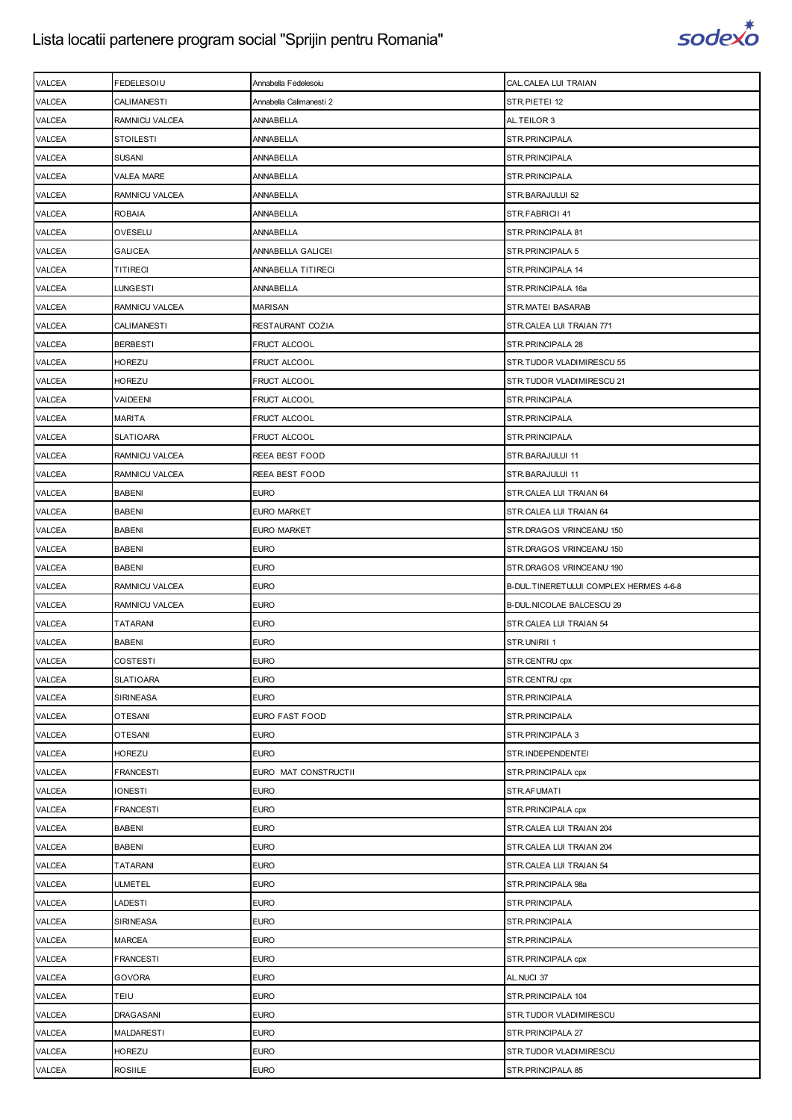

| VALCEA           | FEDELESOIU                      | Annabella Fedelesoiu       | CAL.CALEA LUI TRAIAN                        |
|------------------|---------------------------------|----------------------------|---------------------------------------------|
| VALCEA           | CALIMANESTI                     | Annabella Calimanesti 2    | STR.PIETEI 12                               |
| <b>VALCEA</b>    | RAMNICU VALCEA                  | ANNABELLA                  | AL.TEILOR 3                                 |
| VALCEA           | <b>STOILESTI</b>                | ANNABELLA                  | STR.PRINCIPALA                              |
| VALCEA           | <b>SUSANI</b>                   | ANNABELLA                  | STR.PRINCIPALA                              |
| VALCEA           | <b>VALEA MARE</b>               | ANNABELLA                  | STR.PRINCIPALA                              |
| VALCEA           | RAMNICU VALCEA                  | ANNABELLA                  | STR.BARAJULUI 52                            |
| VALCEA           | <b>ROBAIA</b>                   | ANNABELLA                  | STR.FABRICII 41                             |
| VALCEA           | OVESELU                         | ANNABELLA                  | STR. PRINCIPALA 81                          |
| VALCEA           | GALICEA                         | ANNABELLA GALICEI          | STR. PRINCIPALA 5                           |
| VALCEA           | <b>TITIRECI</b>                 | ANNABELLA TITIRECI         | STR.PRINCIPALA 14                           |
| VALCEA           | LUNGESTI                        | ANNABELLA                  | STR.PRINCIPALA 16a                          |
| VALCEA           | RAMNICU VALCEA                  | MARISAN                    | STR.MATEI BASARAB                           |
| VALCEA           | CALIMANESTI                     | RESTAURANT COZIA           | STR.CALEA LUI TRAIAN 771                    |
| VALCEA           | <b>BERBESTI</b>                 | FRUCT ALCOOL               | STR. PRINCIPALA 28                          |
| VALCEA           | HOREZU                          | FRUCT ALCOOL               | STR.TUDOR VLADIMIRESCU 55                   |
| VALCEA           | <b>HOREZU</b>                   | <b>FRUCT ALCOOL</b>        | STR.TUDOR VLADIMIRESCU 21                   |
| VALCEA           | VAIDEENI                        | FRUCT ALCOOL               | STR.PRINCIPALA                              |
| VALCEA           | MARITA                          | FRUCT ALCOOL               | STR.PRINCIPALA                              |
| VALCEA           | <b>SLATIOARA</b>                | <b>FRUCT ALCOOL</b>        | STR.PRINCIPALA                              |
| <b>VALCEA</b>    | RAMNICU VALCEA                  | REEA BEST FOOD             | STR.BARAJULUI 11                            |
| VALCEA           | RAMNICU VALCEA                  | REEA BEST FOOD             | STR.BARAJULUI 11                            |
| VALCEA           | <b>BABENI</b>                   | <b>EURO</b>                | STR.CALEA LUI TRAIAN 64                     |
| VALCEA           | <b>BABENI</b>                   | <b>EURO MARKET</b>         | STR.CALEA LUI TRAIAN 64                     |
| VALCEA           | <b>BABENI</b>                   | EURO MARKET                | STR.DRAGOS VRINCEANU 150                    |
| VALCEA           | <b>BABENI</b>                   | <b>EURO</b>                | STR.DRAGOS VRINCEANU 150                    |
| VALCEA           | <b>BABENI</b>                   | <b>EURO</b>                | STR.DRAGOS VRINCEANU 190                    |
|                  |                                 |                            |                                             |
| VALCEA           | RAMNICU VALCEA                  | <b>EURO</b>                | B-DUL.TINERETULUI COMPLEX HERMES 4-6-8      |
| VALCEA           | RAMNICU VALCEA                  | <b>EURO</b>                | B-DUL.NICOLAE BALCESCU 29                   |
| VALCEA           | TATARANI                        | <b>EURO</b>                | STR.CALEA LUI TRAIAN 54                     |
| VALCEA           | <b>BABENI</b>                   | <b>EURO</b>                | STR.UNIRII 1                                |
| <b>VALCEA</b>    | <b>COSTESTI</b>                 | <b>EURO</b>                | STR.CENTRU cpx                              |
| VALCEA           | <b>SLATIOARA</b>                | <b>EURO</b>                | STR.CENTRU cpx                              |
| VALCEA           | <b>SIRINEASA</b>                | <b>EURO</b>                | STR.PRINCIPALA                              |
| VALCEA           | <b>OTESANI</b>                  | EURO FAST FOOD             | STR.PRINCIPALA                              |
| VALCEA           | <b>OTESANI</b>                  | <b>EURO</b>                | STR. PRINCIPALA 3                           |
| VALCEA           | HOREZU                          | <b>EURO</b>                | STR.INDEPENDENTEI                           |
| VALCEA           | <b>FRANCESTI</b>                | EURO MAT CONSTRUCTII       | STR. PRINCIPALA cpx                         |
| VALCEA           | <b>IONESTI</b>                  | <b>EURO</b>                | STR.AFUMATI                                 |
| VALCEA           | FRANCESTI                       | <b>EURO</b>                | STR. PRINCIPALA cpx                         |
| VALCEA           | <b>BABENI</b>                   | <b>EURO</b>                | STR.CALEA LUI TRAIAN 204                    |
| VALCEA           | <b>BABENI</b>                   | <b>EURO</b>                | STR.CALEA LUI TRAIAN 204                    |
| VALCEA           | TATARANI                        | <b>EURO</b>                | STR.CALEA LUI TRAIAN 54                     |
| VALCEA           | <b>ULMETEL</b>                  | <b>EURO</b>                | STR.PRINCIPALA 98a                          |
| VALCEA           | LADESTI                         | <b>EURO</b>                | STR.PRINCIPALA                              |
| VALCEA           | SIRINEASA                       | <b>EURO</b>                | STR.PRINCIPALA                              |
| VALCEA           | <b>MARCEA</b>                   | <b>EURO</b>                | STR.PRINCIPALA                              |
| VALCEA           | <b>FRANCESTI</b>                | <b>EURO</b>                | STR. PRINCIPALA cpx                         |
| VALCEA           | <b>GOVORA</b>                   | <b>EURO</b>                | AL.NUCI 37                                  |
| VALCEA           | <b>TEIU</b>                     | <b>EURO</b>                | STR.PRINCIPALA 104                          |
| VALCEA           | <b>DRAGASANI</b>                | <b>EURO</b>                | STR.TUDOR VLADIMIRESCU                      |
| VALCEA           | <b>MALDARESTI</b>               | <b>EURO</b>                | STR.PRINCIPALA 27                           |
| VALCEA<br>VALCEA | <b>HOREZU</b><br><b>ROSIILE</b> | <b>EURO</b><br><b>EURO</b> | STR.TUDOR VLADIMIRESCU<br>STR.PRINCIPALA 85 |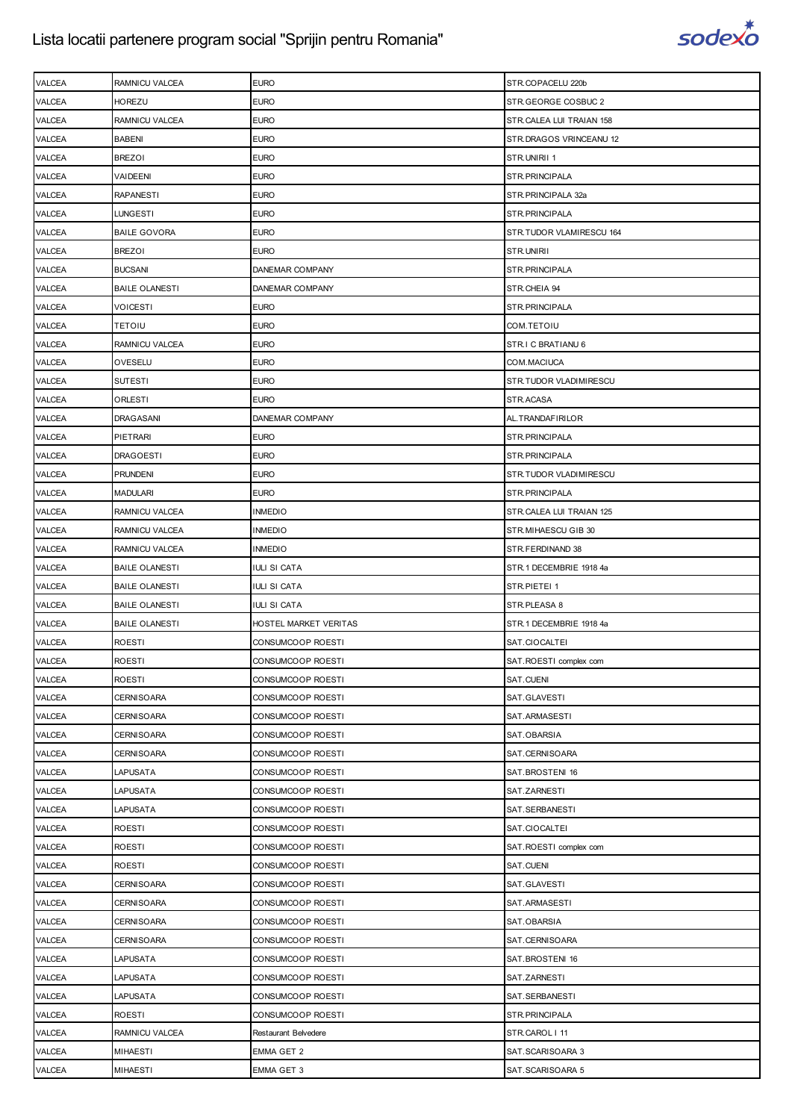

| <b>VALCEA</b> | RAMNICU VALCEA        | <b>EURO</b>           | STR.COPACELU 220b        |
|---------------|-----------------------|-----------------------|--------------------------|
| <b>VALCEA</b> | <b>HOREZU</b>         | <b>EURO</b>           | STR.GEORGE COSBUC 2      |
| <b>VALCEA</b> | RAMNICU VALCEA        | <b>EURO</b>           | STR.CALEA LUI TRAIAN 158 |
| <b>VALCEA</b> | <b>BABENI</b>         | <b>EURO</b>           | STR.DRAGOS VRINCEANU 12  |
| VALCEA        | <b>BREZOI</b>         | <b>EURO</b>           | STR.UNIRII 1             |
| VALCEA        | VAIDEENI              | <b>EURO</b>           | STR.PRINCIPALA           |
| VALCEA        | <b>RAPANESTI</b>      | <b>EURO</b>           | STR.PRINCIPALA 32a       |
| <b>VALCEA</b> | <b>LUNGESTI</b>       | <b>EURO</b>           | STR.PRINCIPALA           |
| <b>VALCEA</b> | <b>BAILE GOVORA</b>   | <b>EURO</b>           | STR.TUDOR VLAMIRESCU 164 |
| <b>VALCEA</b> | <b>BREZOI</b>         | <b>EURO</b>           | STR.UNIRII               |
| VALCEA        | <b>BUCSANI</b>        | DANEMAR COMPANY       | STR.PRINCIPALA           |
| VALCEA        | <b>BAILE OLANESTI</b> | DANEMAR COMPANY       | STR.CHEIA 94             |
| VALCEA        | VOICESTI              | <b>EURO</b>           | STR.PRINCIPALA           |
| VALCEA        | <b>TETOIU</b>         | <b>EURO</b>           | COM.TETOIU               |
| <b>VALCEA</b> | RAMNICU VALCEA        | <b>EURO</b>           | STR.I C BRATIANU 6       |
| <b>VALCEA</b> | OVESELU               | <b>EURO</b>           | COM.MACIUCA              |
| VALCEA        | <b>SUTESTI</b>        | <b>EURO</b>           | STR.TUDOR VLADIMIRESCU   |
| <b>VALCEA</b> | ORLESTI               | <b>EURO</b>           | STR.ACASA                |
| VALCEA        | <b>DRAGASANI</b>      | DANEMAR COMPANY       | AL.TRANDAFIRILOR         |
| VALCEA        | <b>PIETRARI</b>       | <b>EURO</b>           | STR.PRINCIPALA           |
| <b>VALCEA</b> | <b>DRAGOESTI</b>      | <b>EURO</b>           | STR.PRINCIPALA           |
| <b>VALCEA</b> | <b>PRUNDENI</b>       | <b>EURO</b>           | STR.TUDOR VLADIMIRESCU   |
| VALCEA        | <b>MADULARI</b>       | <b>EURO</b>           | STR.PRINCIPALA           |
| VALCEA        | RAMNICU VALCEA        | INMEDIO               | STR.CALEA LUI TRAIAN 125 |
| VALCEA        | RAMNICU VALCEA        | INMEDIO               | STR.MIHAESCU GIB 30      |
| VALCEA        | RAMNICU VALCEA        | <b>INMEDIO</b>        | STR.FERDINAND 38         |
| <b>VALCEA</b> | <b>BAILE OLANESTI</b> | IULI SI CATA          | STR.1 DECEMBRIE 1918 4a  |
|               |                       |                       |                          |
| <b>VALCEA</b> | <b>BAILE OLANESTI</b> | IULI SI CATA          | STR.PIETEI 1             |
| VALCEA        | <b>BAILE OLANESTI</b> | IULI SI CATA          | STR.PLEASA 8             |
| <b>VALCEA</b> | <b>BAILE OLANESTI</b> | HOSTEL MARKET VERITAS | STR.1 DECEMBRIE 1918 4a  |
| VALCEA        | <b>ROESTI</b>         | CONSUMCOOP ROESTI     | SAT.CIOCALTEI            |
| <b>VALCEA</b> | <b>ROESTI</b>         | CONSUMCOOP ROESTI     | SAT.ROESTI complex com   |
| VALCEA        | <b>ROESTI</b>         | CONSUMCOOP ROESTI     | SAT.CUENI                |
| VALCEA        | <b>CERNISOARA</b>     | CONSUMCOOP ROESTI     | SAT.GLAVESTI             |
| VALCEA        | <b>CERNISOARA</b>     | CONSUMCOOP ROESTI     | SAT.ARMASESTI            |
| VALCEA        | <b>CERNISOARA</b>     | CONSUMCOOP ROESTI     | SAT.OBARSIA              |
| <b>VALCEA</b> | <b>CERNISOARA</b>     | CONSUMCOOP ROESTI     | SAT.CERNISOARA           |
| VALCEA        | LAPUSATA              | CONSUMCOOP ROESTI     | SAT.BROSTENI 16          |
| VALCEA        | LAPUSATA              | CONSUMCOOP ROESTI     | SAT.ZARNESTI             |
| VALCEA        | <b>LAPUSATA</b>       | CONSUMCOOP ROESTI     | SAT.SERBANESTI           |
| VALCEA        | <b>ROESTI</b>         | CONSUMCOOP ROESTI     | SAT.CIOCALTEI            |
| VALCEA        | <b>ROESTI</b>         | CONSUMCOOP ROESTI     | SAT.ROESTI complex com   |
| <b>VALCEA</b> | <b>ROESTI</b>         | CONSUMCOOP ROESTI     | SAT.CUENI                |
| VALCEA        | <b>CERNISOARA</b>     | CONSUMCOOP ROESTI     | SAT.GLAVESTI             |
| VALCEA        | <b>CERNISOARA</b>     | CONSUMCOOP ROESTI     | SAT.ARMASESTI            |
| VALCEA        | <b>CERNISOARA</b>     | CONSUMCOOP ROESTI     | SAT.OBARSIA              |
| VALCEA        | <b>CERNISOARA</b>     | CONSUMCOOP ROESTI     | SAT.CERNISOARA           |
| VALCEA        | LAPUSATA              | CONSUMCOOP ROESTI     | SAT.BROSTENI 16          |
| <b>VALCEA</b> | <b>LAPUSATA</b>       | CONSUMCOOP ROESTI     | SAT.ZARNESTI             |
| <b>VALCEA</b> | LAPUSATA              | CONSUMCOOP ROESTI     | SAT.SERBANESTI           |
| VALCEA        | <b>ROESTI</b>         | CONSUMCOOP ROESTI     | STR.PRINCIPALA           |
| VALCEA        | RAMNICU VALCEA        | Restaurant Belvedere  | STR.CAROL   11           |
| <b>VALCEA</b> | <b>MIHAESTI</b>       | EMMA GET 2            | SAT.SCARISOARA 3         |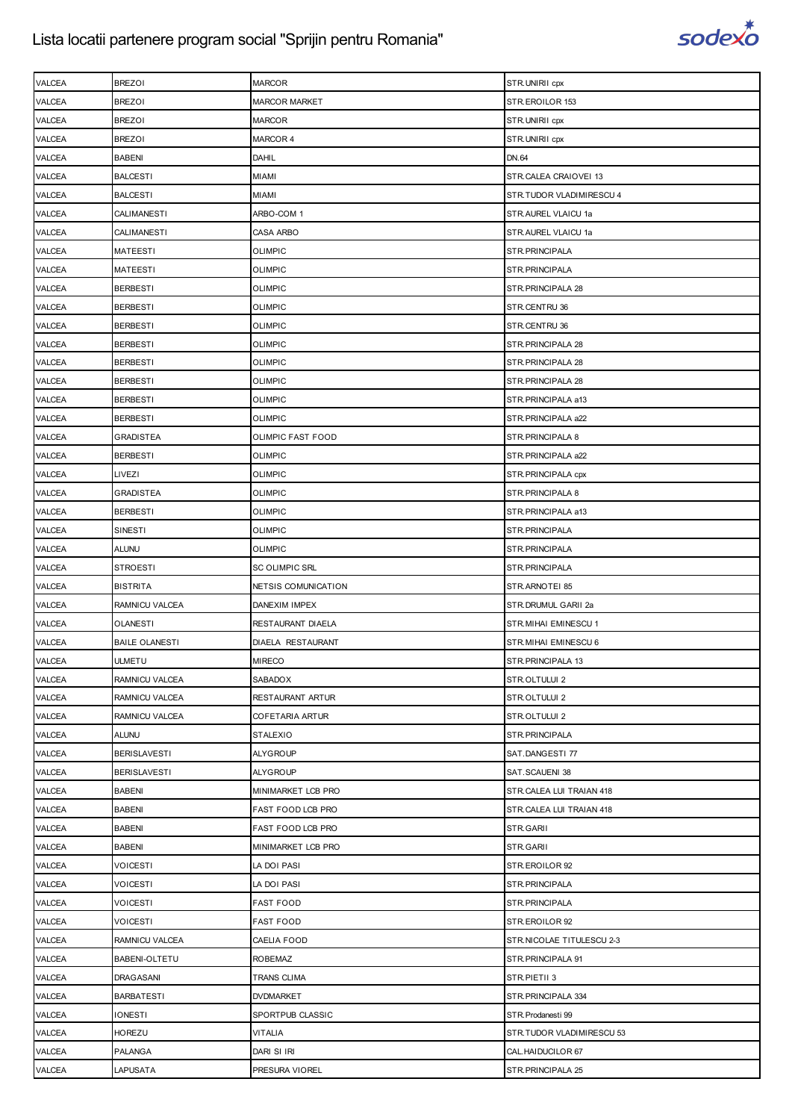

| VALCEA        | <b>BREZOI</b>         | <b>MARCOR</b>         | STR.UNIRII cpx             |
|---------------|-----------------------|-----------------------|----------------------------|
| VALCEA        | <b>BREZOI</b>         | <b>MARCOR MARKET</b>  | STR.EROILOR 153            |
| <b>VALCEA</b> | <b>BREZOI</b>         | <b>MARCOR</b>         | STR.UNIRII cpx             |
| VALCEA        | <b>BREZOI</b>         | MARCOR 4              | STR.UNIRII cpx             |
| VALCEA        | <b>BABENI</b>         | DAHIL                 | DN.64                      |
| <b>VALCEA</b> | <b>BALCESTI</b>       | <b>MIAMI</b>          | STR.CALEA CRAIOVEI 13      |
| VALCEA        | <b>BALCESTI</b>       | MIAMI                 | STR.TUDOR VLADIMIRESCU 4   |
| VALCEA        | <b>CALIMANESTI</b>    | ARBO-COM 1            | STR.AUREL VLAICU 1a        |
| <b>VALCEA</b> | CALIMANESTI           | CASA ARBO             | STR.AUREL VLAICU 1a        |
| VALCEA        | <b>MATEESTI</b>       | <b>OLIMPIC</b>        | STR.PRINCIPALA             |
| VALCEA        | <b>MATEESTI</b>       | <b>OLIMPIC</b>        | STR. PRINCIPALA            |
| VALCEA        | <b>BERBESTI</b>       | <b>OLIMPIC</b>        | STR. PRINCIPALA 28         |
| VALCEA        | <b>BERBESTI</b>       | <b>OLIMPIC</b>        | STR.CENTRU 36              |
| VALCEA        | <b>BERBESTI</b>       | <b>OLIMPIC</b>        | STR.CENTRU 36              |
| <b>VALCEA</b> | <b>BERBESTI</b>       | <b>OLIMPIC</b>        | STR.PRINCIPALA 28          |
| VALCEA        | <b>BERBESTI</b>       | <b>OLIMPIC</b>        | STR. PRINCIPALA 28         |
| VALCEA        | <b>BERBESTI</b>       | <b>OLIMPIC</b>        | STR. PRINCIPALA 28         |
| VALCEA        | <b>BERBESTI</b>       | <b>OLIMPIC</b>        | STR.PRINCIPALA a13         |
| VALCEA        | <b>BERBESTI</b>       | <b>OLIMPIC</b>        | STR.PRINCIPALA a22         |
| VALCEA        | <b>GRADISTEA</b>      | OLIMPIC FAST FOOD     | STR.PRINCIPALA 8           |
| VALCEA        | <b>BERBESTI</b>       | <b>OLIMPIC</b>        | STR.PRINCIPALA a22         |
| VALCEA        | LIVEZI                | <b>OLIMPIC</b>        | STR. PRINCIPALA cpx        |
| <b>VALCEA</b> | <b>GRADISTEA</b>      | <b>OLIMPIC</b>        | STR. PRINCIPALA 8          |
| <b>VALCEA</b> | <b>BERBESTI</b>       | <b>OLIMPIC</b>        | STR.PRINCIPALA a13         |
| VALCEA        | SINESTI               | <b>OLIMPIC</b>        | STR.PRINCIPALA             |
| VALCEA        | <b>ALUNU</b>          | <b>OLIMPIC</b>        | STR. PRINCIPALA            |
| <b>VALCEA</b> | <b>STROESTI</b>       | <b>SC OLIMPIC SRL</b> | STR.PRINCIPALA             |
| VALCEA        | <b>BISTRITA</b>       | NETSIS COMUNICATION   | STR.ARNOTEI 85             |
| <b>VALCEA</b> | RAMNICU VALCEA        | DANEXIM IMPEX         | STR.DRUMUL GARII 2a        |
| <b>VALCEA</b> | <b>OLANESTI</b>       | RESTAURANT DIAELA     | STR. MIHAI EMINESCU 1      |
| VALCEA        | <b>BAILE OLANESTI</b> | DIAELA RESTAURANT     | STR. MIHAI EMINESCU 6      |
| <b>VALCEA</b> | <b>ULMETU</b>         | <b>MIRECO</b>         | STR.PRINCIPALA 13          |
| VALCEA        | RAMNICU VALCEA        | SABADOX               | STR.OLTULUI 2              |
| VALCEA        | RAMNICU VALCEA        | RESTAURANT ARTUR      | STR.OLTULUI 2              |
| VALCEA        | RAMNICU VALCEA        | COFETARIA ARTUR       | STR.OLTULUI 2              |
| VALCEA        | <b>ALUNU</b>          | <b>STALEXIO</b>       | STR.PRINCIPALA             |
| VALCEA        | <b>BERISLAVESTI</b>   | <b>ALYGROUP</b>       | SAT.DANGESTI 77            |
| VALCEA        | <b>BERISLAVESTI</b>   | <b>ALYGROUP</b>       | SAT.SCAUENI 38             |
| VALCEA        | <b>BABENI</b>         | MINIMARKET LCB PRO    | STR.CALEA LUI TRAIAN 418   |
| VALCEA        | <b>BABENI</b>         | FAST FOOD LCB PRO     | STR.CALEA LUI TRAIAN 418   |
| VALCEA        | <b>BABENI</b>         | FAST FOOD LCB PRO     | STR.GARII                  |
| VALCEA        | <b>BABENI</b>         | MINIMARKET LCB PRO    | STR.GARII                  |
| VALCEA        | VOICESTI              | LA DOI PASI           | STR.EROILOR 92             |
| VALCEA        | <b>VOICESTI</b>       | LA DOI PASI           | STR.PRINCIPALA             |
| VALCEA        | <b>VOICESTI</b>       | <b>FAST FOOD</b>      | STR.PRINCIPALA             |
| VALCEA        | VOICESTI              | <b>FAST FOOD</b>      | STR.EROILOR 92             |
| VALCEA        | RAMNICU VALCEA        | CAELIA FOOD           | STR. NICOLAE TITULESCU 2-3 |
| VALCEA        | <b>BABENI-OLTETU</b>  | <b>ROBEMAZ</b>        | STR. PRINCIPALA 91         |
| VALCEA        | DRAGASANI             | TRANS CLIMA           | STR.PIETII 3               |
| VALCEA        | <b>BARBATESTI</b>     | <b>DVDMARKET</b>      | STR. PRINCIPALA 334        |
| VALCEA        | <b>IONESTI</b>        | SPORTPUB CLASSIC      | STR. Prodanesti 99         |
| VALCEA        | HOREZU                | VITALIA               | STR.TUDOR VLADIMIRESCU 53  |
| VALCEA        | <b>PALANGA</b>        | DARI SI IRI           | CAL.HAIDUCILOR 67          |
| VALCEA        | LAPUSATA              | PRESURA VIOREL        | STR. PRINCIPALA 25         |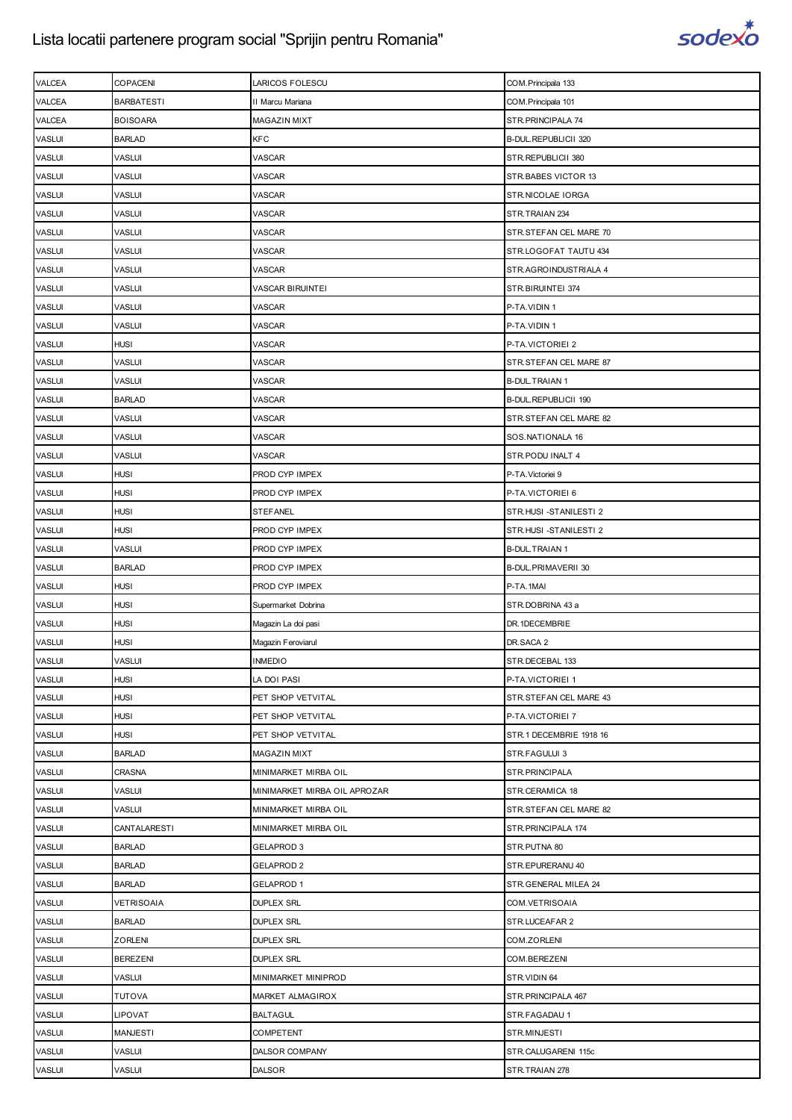

| VALCEA        | COPACENI          | LARICOS FOLESCU              | COM. Principala 133     |
|---------------|-------------------|------------------------------|-------------------------|
| <b>VALCEA</b> | <b>BARBATESTI</b> | II Marcu Mariana             | COM. Principala 101     |
| <b>VALCEA</b> | <b>BOISOARA</b>   | MAGAZIN MIXT                 | STR.PRINCIPALA 74       |
| <b>VASLUI</b> | <b>BARLAD</b>     | <b>KFC</b>                   | B-DUL.REPUBLICII 320    |
| <b>VASLUI</b> | <b>VASLUI</b>     | VASCAR                       | STR.REPUBLICII 380      |
| <b>VASLUI</b> | <b>VASLUI</b>     | VASCAR                       | STR.BABES VICTOR 13     |
| <b>VASLUI</b> | VASLUI            | VASCAR                       | STR.NICOLAE IORGA       |
| <b>VASLUI</b> | <b>VASLUI</b>     | VASCAR                       | STR.TRAIAN 234          |
| <b>VASLUI</b> | <b>VASLUI</b>     | VASCAR                       | STR.STEFAN CEL MARE 70  |
| <b>VASLUI</b> | <b>VASLUI</b>     | VASCAR                       | STR.LOGOFAT TAUTU 434   |
| <b>VASLUI</b> | <b>VASLUI</b>     | VASCAR                       | STR.AGROINDUSTRIALA 4   |
| <b>VASLUI</b> | VASLUI            | <b>VASCAR BIRUINTEI</b>      | STR.BIRUINTEI 374       |
| <b>VASLUI</b> | VASLUI            | VASCAR                       | P-TA.VIDIN 1            |
| <b>VASLUI</b> | <b>VASLUI</b>     | VASCAR                       | P-TA.VIDIN 1            |
| <b>VASLUI</b> | <b>HUSI</b>       | VASCAR                       | P-TA.VICTORIEI 2        |
| <b>VASLUI</b> | <b>VASLUI</b>     | VASCAR                       | STR.STEFAN CEL MARE 87  |
| <b>VASLUI</b> | <b>VASLUI</b>     | VASCAR                       | <b>B-DUL.TRAIAN 1</b>   |
| <b>VASLUI</b> | <b>BARLAD</b>     | VASCAR                       | B-DUL.REPUBLICII 190    |
| <b>VASLUI</b> | VASLUI            | VASCAR                       | STR.STEFAN CEL MARE 82  |
| <b>VASLUI</b> | <b>VASLUI</b>     | VASCAR                       | SOS.NATIONALA 16        |
| <b>VASLUI</b> | <b>VASLUI</b>     | VASCAR                       | STR.PODU INALT 4        |
| <b>VASLUI</b> | <b>HUSI</b>       | PROD CYP IMPEX               | P-TA. Victoriei 9       |
| <b>VASLUI</b> | <b>HUSI</b>       | PROD CYP IMPEX               | P-TA.VICTORIEI 6        |
| <b>VASLUI</b> | <b>HUSI</b>       | <b>STEFANEL</b>              | STR.HUSI -STANILESTI 2  |
| <b>VASLUI</b> | <b>HUSI</b>       | PROD CYP IMPEX               | STR.HUSI -STANILESTI 2  |
| <b>VASLUI</b> | <b>VASLUI</b>     | PROD CYP IMPEX               | <b>B-DUL.TRAIAN 1</b>   |
| <b>VASLUI</b> | <b>BARLAD</b>     | PROD CYP IMPEX               | B-DUL.PRIMAVERII 30     |
| <b>VASLUI</b> | <b>HUSI</b>       | PROD CYP IMPEX               | P-TA.1MAI               |
| <b>VASLUI</b> | <b>HUSI</b>       | Supermarket Dobrina          | STR.DOBRINA 43 a        |
| <b>VASLUI</b> | <b>HUSI</b>       | Magazin La doi pasi          | DR.1DECEMBRIE           |
| <b>VASLUI</b> | <b>HUSI</b>       | Magazin Feroviarul           | DR.SACA 2               |
| <b>VASLUI</b> | <b>VASLUI</b>     | <b>INMEDIO</b>               | STR.DECEBAL 133         |
| <b>VASLUI</b> | <b>HUSI</b>       | LA DOI PASI                  | P-TA.VICTORIEI 1        |
| <b>VASLUI</b> | <b>HUSI</b>       | PET SHOP VETVITAL            | STR.STEFAN CEL MARE 43  |
| <b>VASLUI</b> | <b>HUSI</b>       | PET SHOP VETVITAL            | P-TA.VICTORIEI 7        |
| <b>VASLUI</b> | <b>HUSI</b>       | PET SHOP VETVITAL            | STR.1 DECEMBRIE 1918 16 |
| <b>VASLUI</b> | <b>BARLAD</b>     | MAGAZIN MIXT                 | STR.FAGULUI 3           |
| <b>VASLUI</b> | <b>CRASNA</b>     | MINIMARKET MIRBA OIL         | STR.PRINCIPALA          |
| <b>VASLUI</b> | <b>VASLUI</b>     | MINIMARKET MIRBA OIL APROZAR | STR.CERAMICA 18         |
| <b>VASLUI</b> | <b>VASLUI</b>     | MINIMARKET MIRBA OIL         | STR.STEFAN CEL MARE 82  |
| <b>VASLUI</b> | CANTALARESTI      | MINIMARKET MIRBA OIL         | STR. PRINCIPALA 174     |
| <b>VASLUI</b> | <b>BARLAD</b>     | <b>GELAPROD 3</b>            | STR.PUTNA 80            |
| <b>VASLUI</b> | <b>BARLAD</b>     | <b>GELAPROD 2</b>            | STR.EPURERANU 40        |
| <b>VASLUI</b> | <b>BARLAD</b>     | <b>GELAPROD 1</b>            | STR.GENERAL MILEA 24    |
| <b>VASLUI</b> | <b>VETRISOAIA</b> | <b>DUPLEX SRL</b>            | COM.VETRISOAIA          |
| <b>VASLUI</b> | <b>BARLAD</b>     | <b>DUPLEX SRL</b>            | STR.LUCEAFAR 2          |
| <b>VASLUI</b> | <b>ZORLENI</b>    | <b>DUPLEX SRL</b>            | COM.ZORLENI             |
| <b>VASLUI</b> | <b>BEREZENI</b>   | <b>DUPLEX SRL</b>            | COM.BEREZENI            |
| <b>VASLUI</b> | <b>VASLUI</b>     | MINIMARKET MINIPROD          | STR.VIDIN 64            |
| <b>VASLUI</b> | <b>TUTOVA</b>     | MARKET ALMAGIROX             | STR. PRINCIPALA 467     |
| <b>VASLUI</b> | LIPOVAT           | <b>BALTAGUL</b>              | STR.FAGADAU 1           |
| <b>VASLUI</b> | <b>MANJESTI</b>   | COMPETENT                    | STR.MINJESTI            |
| <b>VASLUI</b> | <b>VASLUI</b>     | DALSOR COMPANY               | STR.CALUGARENI 115c     |
| VASLUI        | <b>VASLUI</b>     | <b>DALSOR</b>                | STR.TRAIAN 278          |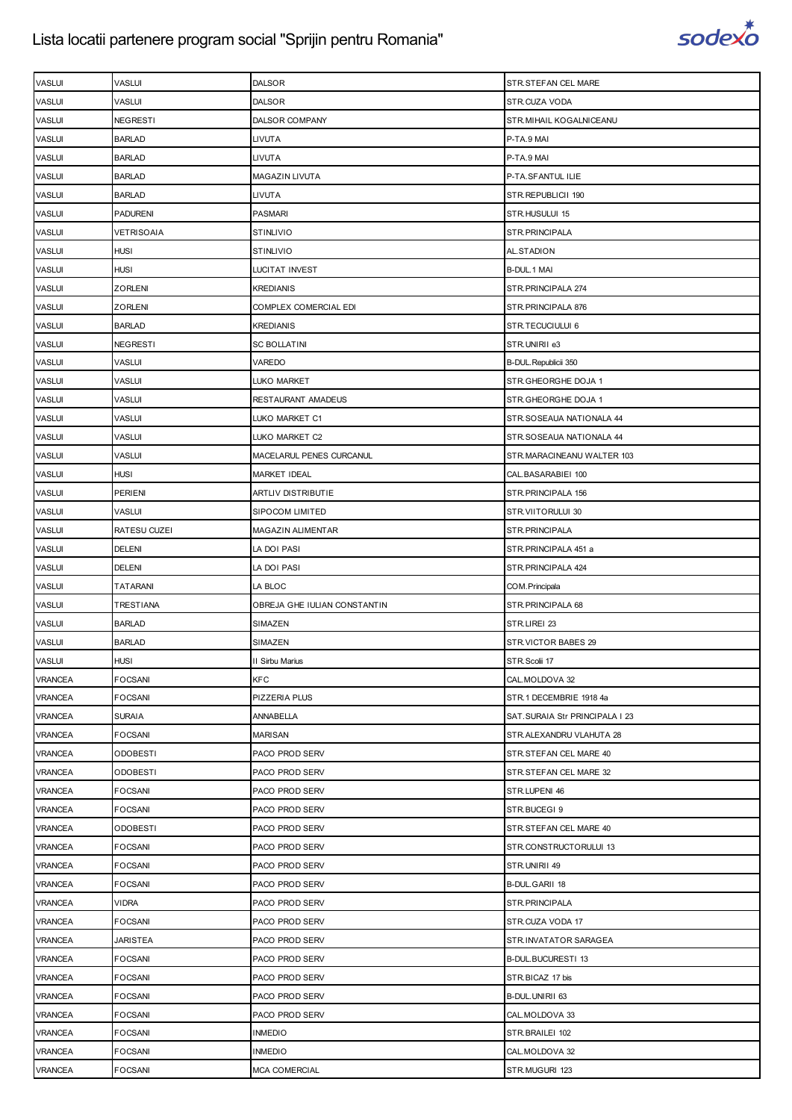

| <b>VASLUI</b>  | VASLUI            | DALSOR                       | STR.STEFAN CEL MARE            |
|----------------|-------------------|------------------------------|--------------------------------|
| <b>VASLUI</b>  | VASLUI            | <b>DALSOR</b>                | STR.CUZA VODA                  |
| <b>VASLUI</b>  | <b>NEGRESTI</b>   | DALSOR COMPANY               | STR. MIHAIL KOGALNICEANU       |
| <b>VASLUI</b>  | <b>BARLAD</b>     | LIVUTA                       | P-TA.9 MAI                     |
| <b>VASLUI</b>  | <b>BARLAD</b>     | LIVUTA                       | P-TA.9 MAI                     |
| <b>VASLUI</b>  | <b>BARLAD</b>     | MAGAZIN LIVUTA               | P-TA.SFANTUL ILIE              |
| <b>VASLUI</b>  | <b>BARLAD</b>     | LIVUTA                       | STR.REPUBLICII 190             |
| <b>VASLUI</b>  | <b>PADURENI</b>   | <b>PASMARI</b>               | STR.HUSULUI 15                 |
| <b>VASLUI</b>  | <b>VETRISOAIA</b> | <b>STINLIVIO</b>             | STR.PRINCIPALA                 |
| <b>VASLUI</b>  | <b>HUSI</b>       | <b>STINLIVIO</b>             | AL.STADION                     |
| <b>VASLUI</b>  | <b>HUSI</b>       | LUCITAT INVEST               | B-DUL.1 MAI                    |
| <b>VASLUI</b>  | ZORLENI           | <b>KREDIANIS</b>             | STR. PRINCIPALA 274            |
| <b>VASLUI</b>  | ZORLENI           | COMPLEX COMERCIAL EDI        | STR. PRINCIPALA 876            |
| <b>VASLUI</b>  | <b>BARLAD</b>     | KREDIANIS                    | STR.TECUCIULUI 6               |
| <b>VASLUI</b>  | <b>NEGRESTI</b>   | <b>SC BOLLATINI</b>          | STR.UNIRII e3                  |
| <b>VASLUI</b>  | VASLUI            | VAREDO                       | B-DUL. Republicii 350          |
| <b>VASLUI</b>  | <b>VASLUI</b>     | LUKO MARKET                  | STR.GHEORGHE DOJA 1            |
| <b>VASLUI</b>  | VASLUI            | RESTAURANT AMADEUS           | STR.GHEORGHE DOJA 1            |
| <b>VASLUI</b>  | VASLUI            | LUKO MARKET C1               | STR.SOSEAUA NATIONALA 44       |
| <b>VASLUI</b>  | VASLUI            | LUKO MARKET C2               | STR.SOSEAUA NATIONALA 44       |
| <b>VASLUI</b>  | <b>VASLUI</b>     | MACELARUL PENES CURCANUL     | STR.MARACINEANU WALTER 103     |
| <b>VASLUI</b>  | <b>HUSI</b>       | <b>MARKET IDEAL</b>          | CAL.BASARABIEI 100             |
| <b>VASLUI</b>  | <b>PERIENI</b>    | ARTLIV DISTRIBUTIE           | STR. PRINCIPALA 156            |
| <b>VASLUI</b>  | VASLUI            | <b>SIPOCOM LIMITED</b>       | STR.VIITORULUI 30              |
| <b>VASLUI</b>  | RATESU CUZEI      | MAGAZIN ALIMENTAR            | STR.PRINCIPALA                 |
| <b>VASLUI</b>  | <b>DELENI</b>     | LA DOI PASI                  | STR.PRINCIPALA 451 a           |
| <b>VASLUI</b>  | <b>DELENI</b>     | LA DOI PASI                  | STR. PRINCIPALA 424            |
| <b>VASLUI</b>  | TATARANI          | LA BLOC                      | COM. Principala                |
| <b>VASLUI</b>  | TRESTIANA         | OBREJA GHE IULIAN CONSTANTIN | STR.PRINCIPALA 68              |
| <b>VASLUI</b>  | <b>BARLAD</b>     | SIMAZEN                      | STR.LIREI 23                   |
| <b>VASLUI</b>  | <b>BARLAD</b>     | SIMAZEN                      | STR.VICTOR BABES 29            |
| <b>VASLUI</b>  | <b>HUSI</b>       | II Sirbu Marius              | STR.Scolii 17                  |
| <b>VRANCEA</b> | <b>FOCSANI</b>    | <b>KFC</b>                   | CAL. MOLDOVA 32                |
| <b>VRANCEA</b> | <b>FOCSANI</b>    | PIZZERIA PLUS                | STR.1 DECEMBRIE 1918 4a        |
| <b>VRANCEA</b> | <b>SURAIA</b>     | ANNABELLA                    | SAT.SURAIA Str PRINCIPALA I 23 |
| <b>VRANCEA</b> | <b>FOCSANI</b>    | <b>MARISAN</b>               | STR.ALEXANDRU VLAHUTA 28       |
| <b>VRANCEA</b> | <b>ODOBESTI</b>   | PACO PROD SERV               | STR.STEFAN CEL MARE 40         |
| <b>VRANCEA</b> | <b>ODOBESTI</b>   | PACO PROD SERV               | STR.STEFAN CEL MARE 32         |
| <b>VRANCEA</b> | <b>FOCSANI</b>    | PACO PROD SERV               | STR.LUPENI 46                  |
| <b>VRANCEA</b> | FOCSANI           | PACO PROD SERV               | STR.BUCEGI9                    |
| <b>VRANCEA</b> | <b>ODOBESTI</b>   | PACO PROD SERV               | STR.STEFAN CEL MARE 40         |
| <b>VRANCEA</b> | <b>FOCSANI</b>    | PACO PROD SERV               | STR.CONSTRUCTORULUI 13         |
| <b>VRANCEA</b> | <b>FOCSANI</b>    | PACO PROD SERV               | STR.UNIRII 49                  |
| <b>VRANCEA</b> | <b>FOCSANI</b>    | PACO PROD SERV               | B-DUL.GARII 18                 |
| <b>VRANCEA</b> | <b>VIDRA</b>      | PACO PROD SERV               | STR.PRINCIPALA                 |
| <b>VRANCEA</b> | <b>FOCSANI</b>    | PACO PROD SERV               | STR.CUZA VODA 17               |
| <b>VRANCEA</b> | JARISTEA          | PACO PROD SERV               | STR.INVATATOR SARAGEA          |
| <b>VRANCEA</b> | <b>FOCSANI</b>    | PACO PROD SERV               | B-DUL.BUCURESTI 13             |
| <b>VRANCEA</b> | <b>FOCSANI</b>    | PACO PROD SERV               | STR.BICAZ 17 bis               |
| <b>VRANCEA</b> | <b>FOCSANI</b>    | PACO PROD SERV               | B-DUL.UNIRII 63                |
| <b>VRANCEA</b> | <b>FOCSANI</b>    | PACO PROD SERV               | CAL.MOLDOVA 33                 |
| <b>VRANCEA</b> | <b>FOCSANI</b>    | <b>INMEDIO</b>               | STR.BRAILEI 102                |
| VRANCEA        | <b>FOCSANI</b>    | <b>INMEDIO</b>               | CAL.MOLDOVA 32                 |
| VRANCEA        | <b>FOCSANI</b>    | <b>MCA COMERCIAL</b>         | STR.MUGURI 123                 |